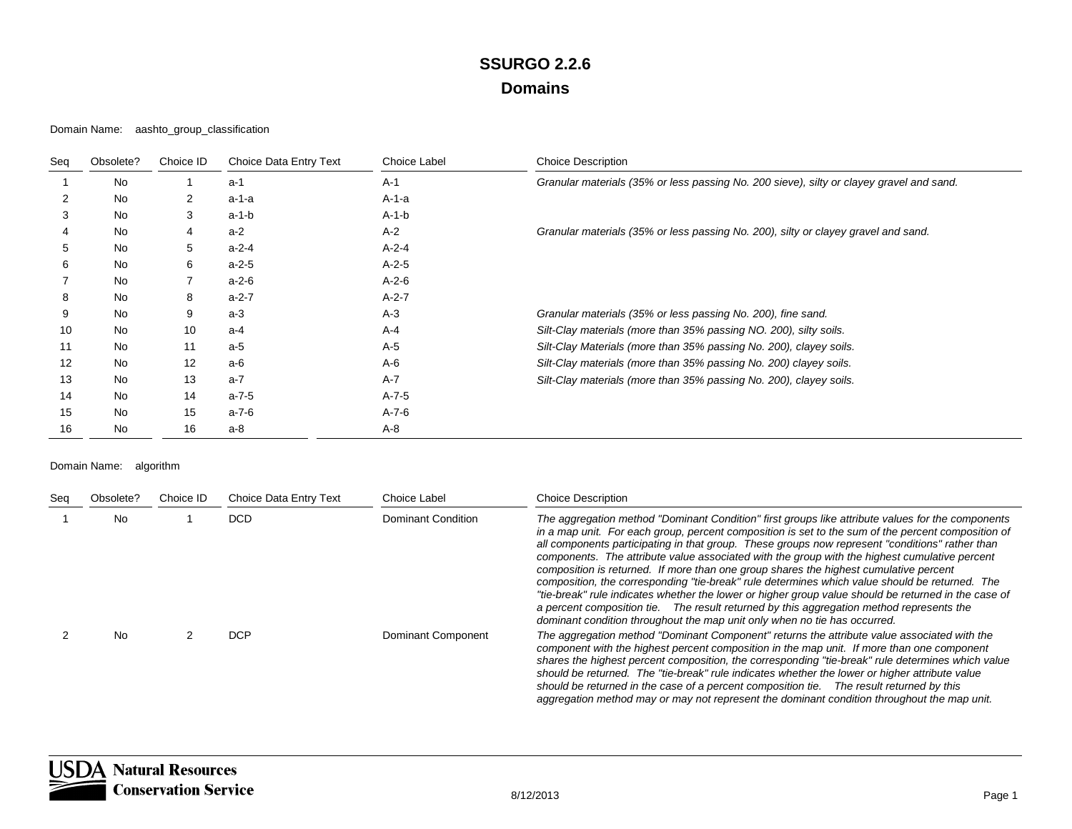#### Domain Name: aashto\_group\_classification

| Seq | Obsolete? | Choice ID | Choice Data Entry Text | Choice Label | <b>Choice Description</b>                                                                |
|-----|-----------|-----------|------------------------|--------------|------------------------------------------------------------------------------------------|
|     | No        |           | $a-1$                  | $A-1$        | Granular materials (35% or less passing No. 200 sieve), silty or clayey gravel and sand. |
| 2   | No        | 2         | a-1-a                  | A-1-a        |                                                                                          |
| 3   | No        | 3         | $a-1-b$                | $A-1-b$      |                                                                                          |
|     | <b>No</b> | 4         | $a-2$                  | $A-2$        | Granular materials (35% or less passing No. 200), silty or clayey gravel and sand.       |
| 5   | No        | 5         | $a-2-4$                | $A - 2 - 4$  |                                                                                          |
| 6   | No        | 6         | $a-2-5$                | $A-2-5$      |                                                                                          |
|     | No        |           | $a-2-6$                | $A-2-6$      |                                                                                          |
| 8   | No        | 8         | $a-2-7$                | $A-2-7$      |                                                                                          |
| 9   | No        | 9         | $a-3$                  | $A-3$        | Granular materials (35% or less passing No. 200), fine sand.                             |
| 10  | No        | 10        | $a-4$                  | $A - 4$      | Silt-Clay materials (more than 35% passing NO. 200), silty soils.                        |
| 11  | No        | 11        | $a-5$                  | $A-5$        | Silt-Clay Materials (more than 35% passing No. 200), clayey soils.                       |
| 12  | No        | 12        | $a-6$                  | $A-6$        | Silt-Clay materials (more than 35% passing No. 200) clayey soils.                        |
| 13  | No        | 13        | $a-7$                  | $A-7$        | Silt-Clay materials (more than 35% passing No. 200), clayey soils.                       |
| 14  | No        | 14        | $a-7-5$                | A-7-5        |                                                                                          |
| 15  | No        | 15        | $a - 7 - 6$            | $A - 7 - 6$  |                                                                                          |
| 16  | No        | 16        | $a-8$                  | $A-8$        |                                                                                          |

#### Domain Name: algorithm

| Sea | Obsolete? | Choice ID | Choice Data Entry Text | Choice Label       | <b>Choice Description</b>                                                                                                                                                                                                                                                                                                                                                                                                                                                                                                                                                                                                                                                                                                                                                                                                                                                               |
|-----|-----------|-----------|------------------------|--------------------|-----------------------------------------------------------------------------------------------------------------------------------------------------------------------------------------------------------------------------------------------------------------------------------------------------------------------------------------------------------------------------------------------------------------------------------------------------------------------------------------------------------------------------------------------------------------------------------------------------------------------------------------------------------------------------------------------------------------------------------------------------------------------------------------------------------------------------------------------------------------------------------------|
|     | No.       |           | <b>DCD</b>             | Dominant Condition | The aggregation method "Dominant Condition" first groups like attribute values for the components<br>in a map unit. For each group, percent composition is set to the sum of the percent composition of<br>all components participating in that group. These groups now represent "conditions" rather than<br>components. The attribute value associated with the group with the highest cumulative percent<br>composition is returned. If more than one group shares the highest cumulative percent<br>composition, the corresponding "tie-break" rule determines which value should be returned. The<br>"tie-break" rule indicates whether the lower or higher group value should be returned in the case of<br>a percent composition tie. The result returned by this aggregation method represents the<br>dominant condition throughout the map unit only when no tie has occurred. |
|     | No        |           | <b>DCP</b>             | Dominant Component | The aggregation method "Dominant Component" returns the attribute value associated with the<br>component with the highest percent composition in the map unit. If more than one component<br>shares the highest percent composition, the corresponding "tie-break" rule determines which value<br>should be returned. The "tie-break" rule indicates whether the lower or higher attribute value<br>should be returned in the case of a percent composition tie. The result returned by this<br>aggregation method may or may not represent the dominant condition throughout the map unit.                                                                                                                                                                                                                                                                                             |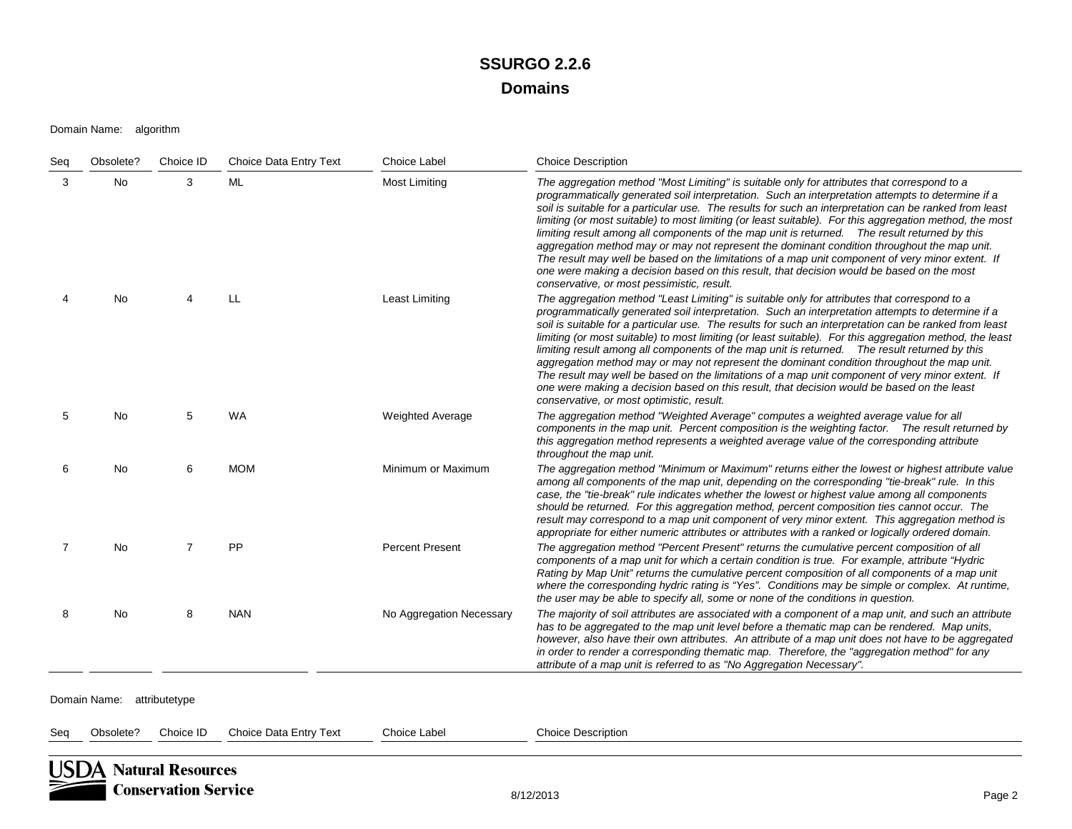Domain Name: algorithm

| Seg | Obsolete? | Choice ID      | Choice Data Entry Text | <b>Choice Label</b>      | <b>Choice Description</b>                                                                                                                                                                                                                                                                                                                                                                                                                                                                                                                                                                                                                                                                                                                                                                                                                                               |
|-----|-----------|----------------|------------------------|--------------------------|-------------------------------------------------------------------------------------------------------------------------------------------------------------------------------------------------------------------------------------------------------------------------------------------------------------------------------------------------------------------------------------------------------------------------------------------------------------------------------------------------------------------------------------------------------------------------------------------------------------------------------------------------------------------------------------------------------------------------------------------------------------------------------------------------------------------------------------------------------------------------|
| 3   | No        | 3              | ML                     | <b>Most Limiting</b>     | The aggregation method "Most Limiting" is suitable only for attributes that correspond to a<br>programmatically generated soil interpretation. Such an interpretation attempts to determine if a<br>soil is suitable for a particular use. The results for such an interpretation can be ranked from least<br>limiting (or most suitable) to most limiting (or least suitable). For this aggregation method, the most<br>limiting result among all components of the map unit is returned. The result returned by this<br>aggregation method may or may not represent the dominant condition throughout the map unit.<br>The result may well be based on the limitations of a map unit component of very minor extent. If<br>one were making a decision based on this result, that decision would be based on the most<br>conservative, or most pessimistic, result.    |
|     | No        | 4              | LL                     | Least Limiting           | The aggregation method "Least Limiting" is suitable only for attributes that correspond to a<br>programmatically generated soil interpretation. Such an interpretation attempts to determine if a<br>soil is suitable for a particular use. The results for such an interpretation can be ranked from least<br>limiting (or most suitable) to most limiting (or least suitable). For this aggregation method, the least<br>limiting result among all components of the map unit is returned.  The result returned by this<br>aggregation method may or may not represent the dominant condition throughout the map unit.<br>The result may well be based on the limitations of a map unit component of very minor extent. If<br>one were making a decision based on this result, that decision would be based on the least<br>conservative, or most optimistic, result. |
| 5   | <b>No</b> | 5              | <b>WA</b>              | <b>Weighted Average</b>  | The aggregation method "Weighted Average" computes a weighted average value for all<br>components in the map unit. Percent composition is the weighting factor. The result returned by<br>this aggregation method represents a weighted average value of the corresponding attribute<br>throughout the map unit.                                                                                                                                                                                                                                                                                                                                                                                                                                                                                                                                                        |
| 6   | <b>No</b> | 6              | <b>MOM</b>             | Minimum or Maximum       | The aggregation method "Minimum or Maximum" returns either the lowest or highest attribute value<br>among all components of the map unit, depending on the corresponding "tie-break" rule. In this<br>case, the "tie-break" rule indicates whether the lowest or highest value among all components<br>should be returned. For this aggregation method, percent composition ties cannot occur. The<br>result may correspond to a map unit component of very minor extent. This aggregation method is<br>appropriate for either numeric attributes or attributes with a ranked or logically ordered domain.                                                                                                                                                                                                                                                              |
| 7   | <b>No</b> | $\overline{7}$ | PP                     | <b>Percent Present</b>   | The aggregation method "Percent Present" returns the cumulative percent composition of all<br>components of a map unit for which a certain condition is true. For example, attribute "Hydric<br>Rating by Map Unit" returns the cumulative percent composition of all components of a map unit<br>where the corresponding hydric rating is "Yes". Conditions may be simple or complex. At runtime,<br>the user may be able to specify all, some or none of the conditions in question.                                                                                                                                                                                                                                                                                                                                                                                  |
| 8   | <b>No</b> | 8              | <b>NAN</b>             | No Aggregation Necessary | The majority of soil attributes are associated with a component of a map unit, and such an attribute<br>has to be aggregated to the map unit level before a thematic map can be rendered. Map units,<br>however, also have their own attributes. An attribute of a map unit does not have to be aggregated<br>in order to render a corresponding thematic map. Therefore, the "aggregation method" for any<br>attribute of a map unit is referred to as "No Aggregation Necessary".                                                                                                                                                                                                                                                                                                                                                                                     |

Domain Name: attributetype

Seq Obsolete? Choice ID Choice Data Entry Text Choice Label Choice Description

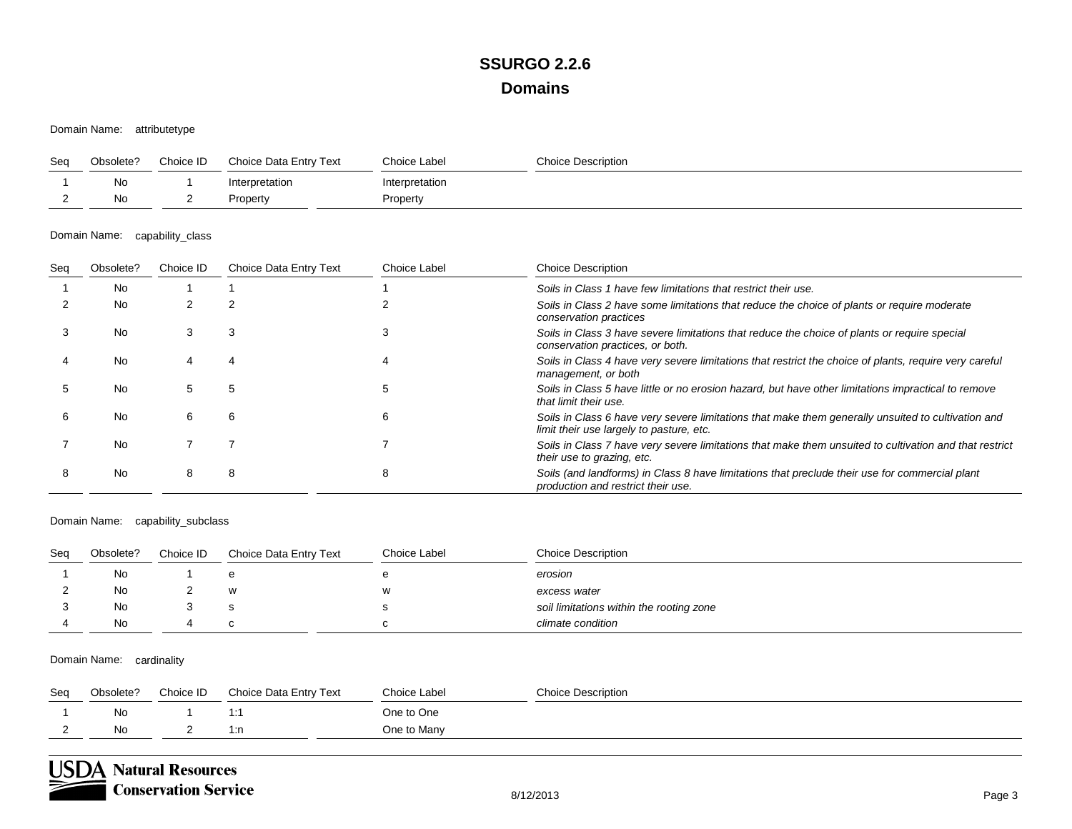Domain Name: attributetype

| Seq      | Obsolete? | Choice ID | Choice Data Entry Text | Choice Label   | <b>Choice Description</b> |
|----------|-----------|-----------|------------------------|----------------|---------------------------|
|          | No        |           | Interpretation         | Interpretation |                           |
| <u>_</u> | No        |           | Property               | Property       |                           |
|          |           |           |                        |                |                           |

#### Domain Name: capability\_class

| Seg | Obsolete? | Choice ID | Choice Data Entry Text | Choice Label | <b>Choice Description</b>                                                                                                                      |
|-----|-----------|-----------|------------------------|--------------|------------------------------------------------------------------------------------------------------------------------------------------------|
|     | No        |           |                        |              | Soils in Class 1 have few limitations that restrict their use.                                                                                 |
|     | No        |           |                        |              | Soils in Class 2 have some limitations that reduce the choice of plants or require moderate<br>conservation practices                          |
|     | No        |           | 3                      |              | Soils in Class 3 have severe limitations that reduce the choice of plants or require special<br>conservation practices, or both.               |
|     | No        |           |                        |              | Soils in Class 4 have very severe limitations that restrict the choice of plants, require very careful<br>management, or both                  |
|     | No        | 5         | G.                     |              | Soils in Class 5 have little or no erosion hazard, but have other limitations impractical to remove<br>that limit their use.                   |
|     | <b>No</b> | 6         | 6                      |              | Soils in Class 6 have very severe limitations that make them generally unsuited to cultivation and<br>limit their use largely to pasture, etc. |
|     | No        |           |                        |              | Soils in Class 7 have very severe limitations that make them unsuited to cultivation and that restrict<br>their use to grazing, etc.           |
| 8   | No.       | 8         | 8                      |              | Soils (and landforms) in Class 8 have limitations that preclude their use for commercial plant<br>production and restrict their use.           |

#### Domain Name: capability\_subclass

| Seg | Obsolete? | Choice ID | Choice Data Entry Text | Choice Label | <b>Choice Description</b>                |
|-----|-----------|-----------|------------------------|--------------|------------------------------------------|
|     | No.       |           | е                      |              | erosion                                  |
|     | No        |           | W                      | W            | excess water                             |
|     | No        |           |                        |              | soil limitations within the rooting zone |
|     | No.       |           |                        | $\sim$       | climate condition                        |

Domain Name: cardinality

| Seq      | Obsolete? | Choice ID | Choice Data Entry Text | <b>Choice Label</b> | <b>Choice Description</b> |
|----------|-----------|-----------|------------------------|---------------------|---------------------------|
|          | No        |           |                        | One to One          |                           |
| <u>_</u> | No        |           | 1:n                    | One to Many         |                           |

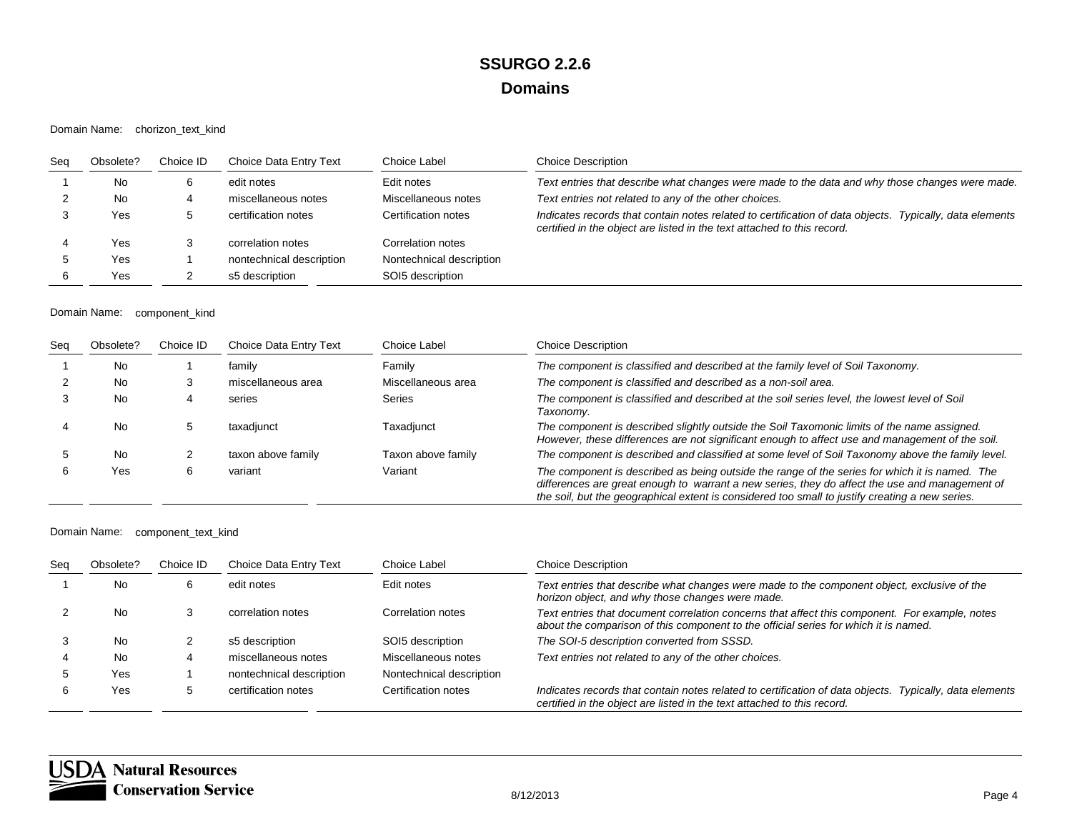#### Domain Name: chorizon\_text\_kind

| Seq | Obsolete? | Choice ID | Choice Data Entry Text   | Choice Label             | <b>Choice Description</b>                                                                                                                                                          |
|-----|-----------|-----------|--------------------------|--------------------------|------------------------------------------------------------------------------------------------------------------------------------------------------------------------------------|
|     | No        |           | edit notes               | Edit notes               | Text entries that describe what changes were made to the data and why those changes were made.                                                                                     |
|     | No        | 4         | miscellaneous notes      | Miscellaneous notes      | Text entries not related to any of the other choices.                                                                                                                              |
|     | Yes       |           | certification notes      | Certification notes      | Indicates records that contain notes related to certification of data objects. Typically, data elements<br>certified in the object are listed in the text attached to this record. |
|     | Yes       |           | correlation notes        | Correlation notes        |                                                                                                                                                                                    |
|     | Yes       |           | nontechnical description | Nontechnical description |                                                                                                                                                                                    |
|     | Yes       |           | s5 description           | SOI5 description         |                                                                                                                                                                                    |

#### Domain Name: component\_kind

| Sea | Obsolete? | Choice ID | Choice Data Entry Text | Choice Label       | <b>Choice Description</b>                                                                                                                                                                                                                                                                           |
|-----|-----------|-----------|------------------------|--------------------|-----------------------------------------------------------------------------------------------------------------------------------------------------------------------------------------------------------------------------------------------------------------------------------------------------|
|     | No        |           | family                 | Family             | The component is classified and described at the family level of Soil Taxonomy.                                                                                                                                                                                                                     |
|     | No        |           | miscellaneous area     | Miscellaneous area | The component is classified and described as a non-soil area.                                                                                                                                                                                                                                       |
|     | No        |           | series                 | Series             | The component is classified and described at the soil series level, the lowest level of Soil<br>Taxonomy.                                                                                                                                                                                           |
|     | No        |           | taxadjunct             | Taxadjunct         | The component is described slightly outside the Soil Taxomonic limits of the name assigned.<br>However, these differences are not significant enough to affect use and management of the soil.                                                                                                      |
|     | No        |           | taxon above family     | Taxon above family | The component is described and classified at some level of Soil Taxonomy above the family level.                                                                                                                                                                                                    |
|     | Yes       |           | variant                | Variant            | The component is described as being outside the range of the series for which it is named. The<br>differences are great enough to warrant a new series, they do affect the use and management of<br>the soil, but the geographical extent is considered too small to justify creating a new series. |

#### Domain Name: component\_text\_kind

| Sea | Obsolete? | Choice ID | Choice Data Entry Text   | Choice Label             | <b>Choice Description</b>                                                                                                                                                              |
|-----|-----------|-----------|--------------------------|--------------------------|----------------------------------------------------------------------------------------------------------------------------------------------------------------------------------------|
|     | No        |           | edit notes               | Edit notes               | Text entries that describe what changes were made to the component object, exclusive of the<br>horizon object, and why those changes were made.                                        |
|     | No        |           | correlation notes        | Correlation notes        | Text entries that document correlation concerns that affect this component. For example, notes<br>about the comparison of this component to the official series for which it is named. |
|     | No        |           | s5 description           | SOI5 description         | The SOI-5 description converted from SSSD.                                                                                                                                             |
|     | No        |           | miscellaneous notes      | Miscellaneous notes      | Text entries not related to any of the other choices.                                                                                                                                  |
|     | Yes       |           | nontechnical description | Nontechnical description |                                                                                                                                                                                        |
|     | Yes       |           | certification notes      | Certification notes      | Indicates records that contain notes related to certification of data objects.<br>Typically, data elements<br>certified in the object are listed in the text attached to this record.  |

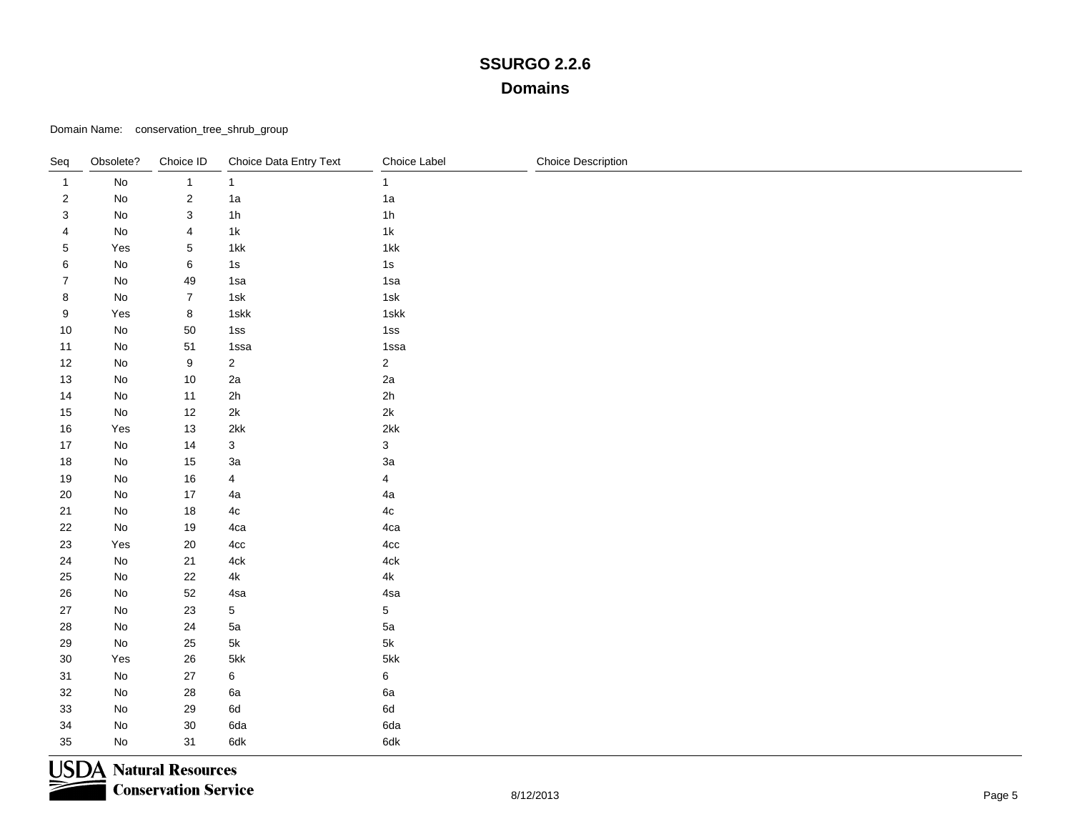Domain Name: conservation\_tree\_shrub\_group

| Seq            | Obsolete?                    | Choice ID                 | Choice Data Entry Text | Choice Label   | <b>Choice Description</b> |
|----------------|------------------------------|---------------------------|------------------------|----------------|---------------------------|
| $\mathbf{1}$   | $\operatorname{\mathsf{No}}$ | $\mathbf{1}$              | $\mathbf{1}$           | $\mathbf{1}$   |                           |
| $\overline{2}$ | $\operatorname{\mathsf{No}}$ | $\sqrt{2}$                | 1a                     | 1a             |                           |
| 3              | $\operatorname{\mathsf{No}}$ | $\ensuremath{\mathsf{3}}$ | 1h                     | 1h             |                           |
| 4              | $\operatorname{\mathsf{No}}$ | $\overline{\mathbf{4}}$   | $1\mathrm{k}$          | 1k             |                           |
| 5              | Yes                          | $\,$ 5 $\,$               | 1kk                    | 1kk            |                           |
| 6              | $\operatorname{\mathsf{No}}$ | 6                         | $1s$                   | $1s$           |                           |
| $\overline{7}$ | $\mathsf{No}$                | 49                        | 1sa                    | 1sa            |                           |
| 8              | $\mathsf{No}$                | $\overline{7}$            | 1sk                    | 1sk            |                           |
| 9              | Yes                          | $\bf 8$                   | 1skk                   | 1skk           |                           |
| 10             | $\mathsf{No}$                | $50\,$                    | 1ss                    | 1ss            |                           |
| 11             | No                           | 51                        | 1ssa                   | 1ssa           |                           |
| 12             | $\mathsf{No}$                | $\boldsymbol{9}$          | $\overline{c}$         | $\overline{c}$ |                           |
| 13             | $\operatorname{\mathsf{No}}$ | $10$                      | 2a                     | 2a             |                           |
| 14             | $\operatorname{\mathsf{No}}$ | 11                        | 2h                     | 2h             |                           |
| $15\,$         | $\mathsf{No}$                | 12                        | 2k                     | $2\mathsf{k}$  |                           |
| 16             | Yes                          | $13$                      | 2kk                    | 2kk            |                           |
| 17             | No                           | 14                        | $\mathbf{3}$           | $\mathbf{3}$   |                           |
| 18             | $\operatorname{\mathsf{No}}$ | $15$                      | $3\mathsf{a}$          | 3a             |                           |
| 19             | No                           | $16\,$                    | $\overline{4}$         | $\overline{4}$ |                           |
| 20             | $\operatorname{\mathsf{No}}$ | $17$                      | 4a                     | 4a             |                           |
| 21             | $\operatorname{\mathsf{No}}$ | $18$                      | $4\mathrm{c}$          | $4\mathrm{c}$  |                           |
| 22             | No                           | 19                        | 4ca                    | 4ca            |                           |
| 23             | Yes                          | $20\,$                    | 4cc                    | 4cc            |                           |
| 24             | No                           | 21                        | $4ck$                  | $4ck$          |                           |
| 25             | $\operatorname{\mathsf{No}}$ | 22                        | 4k                     | $4\mathsf{k}$  |                           |
| 26             | No                           | 52                        | 4sa                    | 4sa            |                           |
| $27\,$         | $\operatorname{\mathsf{No}}$ | 23                        | $\overline{5}$         | $\sqrt{5}$     |                           |
| 28             | $\operatorname{\mathsf{No}}$ | 24                        | $5\mathrm{a}$          | 5a             |                           |
| 29             | No                           | 25                        | $5\mathsf{k}$          | $5\mathsf{k}$  |                           |
| $30\,$         | Yes                          | $26\,$                    | $5$ kk                 | 5kk            |                           |
| 31             | $\operatorname{\mathsf{No}}$ | $27\,$                    | 6                      | $\bf 6$        |                           |
| 32             | $\operatorname{\mathsf{No}}$ | 28                        | 6a                     | 6a             |                           |
| 33             | $\operatorname{\mathsf{No}}$ | 29                        | $6\mathrm{d}$          | 6d             |                           |
| 34             | $\operatorname{\mathsf{No}}$ | $30\,$                    | 6da                    | 6da            |                           |
| 35             | No                           | 31                        | 6dk                    | 6dk            |                           |

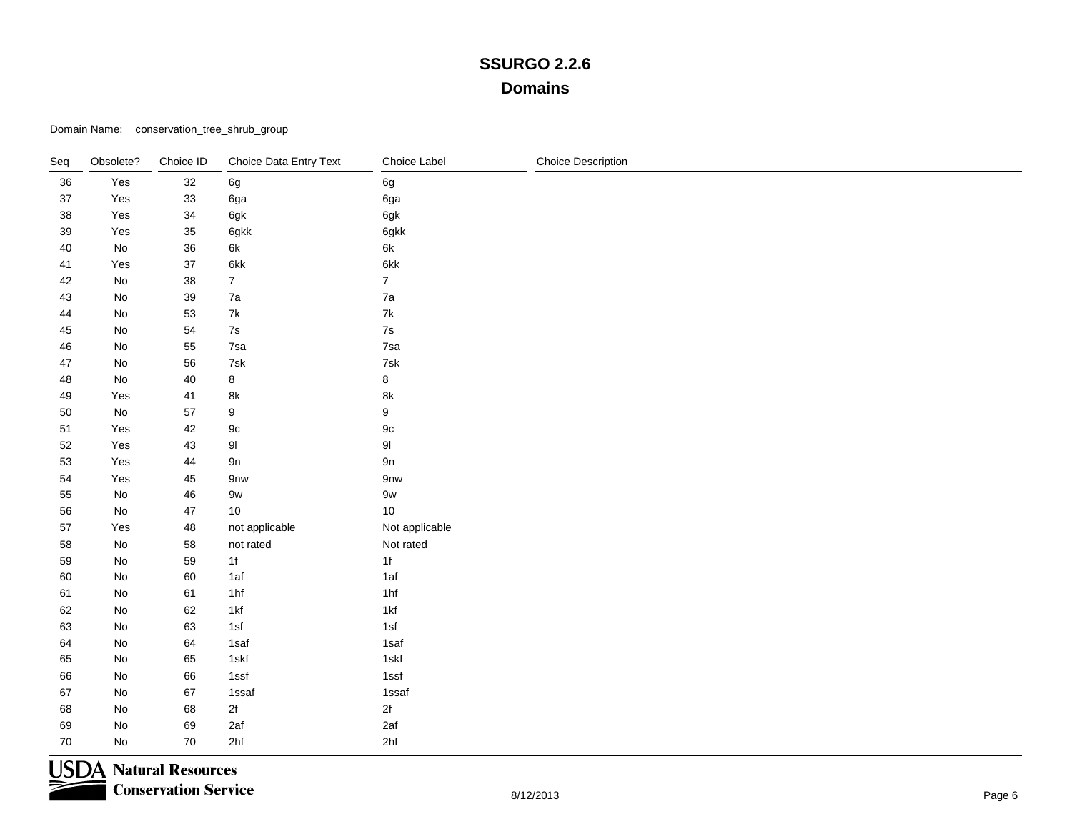Domain Name: conservation\_tree\_shrub\_group

| Seq    | Obsolete?                    | Choice ID | Choice Data Entry Text | Choice Label   | <b>Choice Description</b> |
|--------|------------------------------|-----------|------------------------|----------------|---------------------------|
| $36\,$ | Yes                          | $32\,$    | 6g                     | $6g\,$         |                           |
| 37     | Yes                          | $33\,$    | 6ga                    | 6ga            |                           |
| 38     | Yes                          | 34        | 6gk                    | 6gk            |                           |
| $39\,$ | Yes                          | 35        | 6gkk                   | 6gkk           |                           |
| 40     | $\operatorname{\mathsf{No}}$ | $36\,$    | 6k                     | 6k             |                           |
| 41     | Yes                          | 37        | 6kk                    | 6kk            |                           |
| 42     | $\operatorname{\mathsf{No}}$ | 38        | $\overline{7}$         | $\overline{7}$ |                           |
| 43     | No                           | 39        | 7a                     | $7\mathrm{a}$  |                           |
| 44     | No                           | 53        | 7k                     | $7\mathsf{k}$  |                           |
| 45     | No                           | 54        | $7\mathrm{s}$          | $7\mathrm{s}$  |                           |
| 46     | No                           | 55        | 7sa                    | 7sa            |                           |
| 47     | $\operatorname{\mathsf{No}}$ | 56        | $7$ sk                 | $7s\mathsf{k}$ |                           |
| 48     | No                           | 40        | $\bf 8$                | 8              |                           |
| 49     | Yes                          | 41        | $8\mathsf{k}$          | $8\mathsf{k}$  |                           |
| 50     | $\operatorname{\mathsf{No}}$ | 57        | $\boldsymbol{9}$       | 9              |                           |
| 51     | Yes                          | 42        | 9c                     | $9\mathrm{c}$  |                           |
| 52     | Yes                          | 43        | $9\mathsf{l}$          | 91             |                           |
| 53     | Yes                          | 44        | 9n                     | 9n             |                           |
| 54     | Yes                          | 45        | 9nw                    | 9nw            |                           |
| 55     | $\operatorname{\mathsf{No}}$ | 46        | 9w                     | $9w$           |                           |
| 56     | $\operatorname{\mathsf{No}}$ | $47\,$    | $10$                   | 10             |                           |
| 57     | Yes                          | 48        | not applicable         | Not applicable |                           |
| 58     | No                           | 58        | not rated              | Not rated      |                           |
| 59     | No                           | 59        | 1f                     | 1f             |                           |
| 60     | No                           | 60        | 1af                    | 1af            |                           |
| 61     | No                           | 61        | 1hf                    | 1hf            |                           |
| 62     | $\operatorname{\mathsf{No}}$ | 62        | 1kf                    | 1kf            |                           |
| 63     | No                           | 63        | 1sf                    | 1sf            |                           |
| 64     | No                           | 64        | 1saf                   | 1saf           |                           |
| 65     | $\operatorname{\mathsf{No}}$ | 65        | 1skf                   | 1skf           |                           |
| 66     | No                           | 66        | 1ssf                   | 1ssf           |                           |
| 67     | $\operatorname{\mathsf{No}}$ | 67        | 1ssaf                  | 1ssaf          |                           |
| 68     | $\operatorname{\mathsf{No}}$ | 68        | 2f                     | 2f             |                           |
| 69     | No                           | 69        | 2af                    | 2af            |                           |
| 70     | No                           | $70\,$    | 2hf                    | 2hf            |                           |

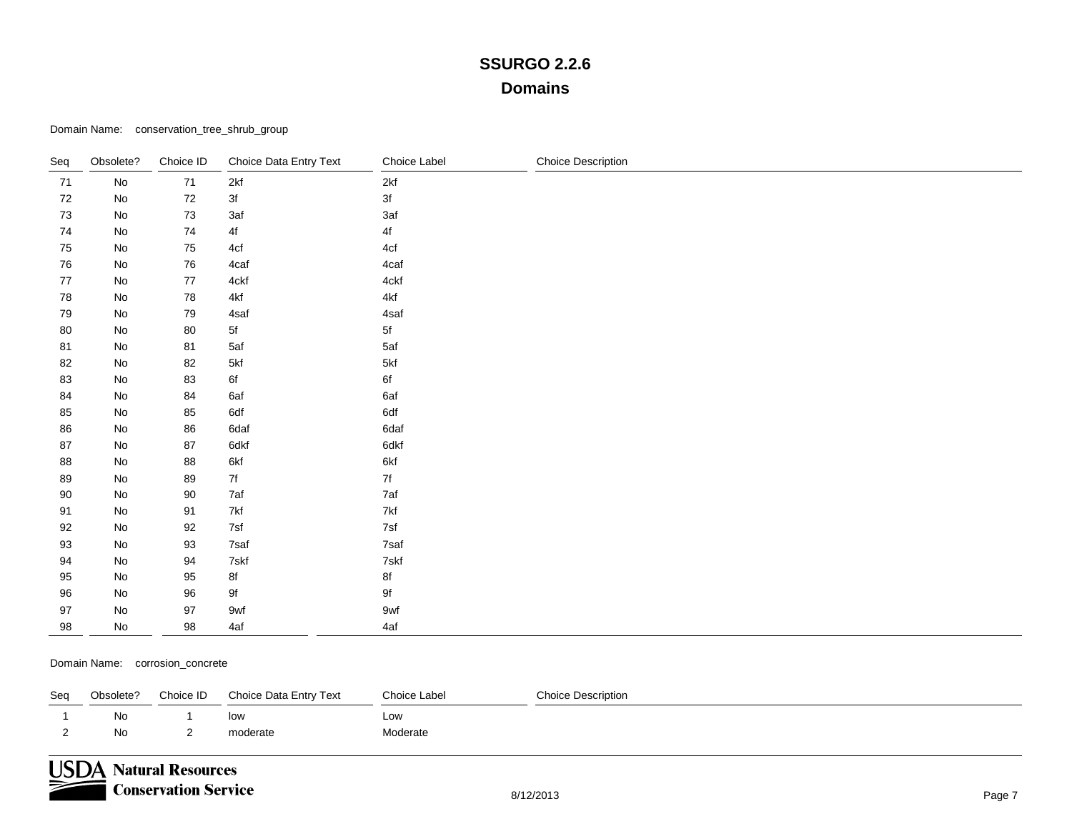Domain Name: conservation\_tree\_shrub\_group

| Seq | Obsolete?     | Choice ID  | Choice Data Entry Text | Choice Label | <b>Choice Description</b> |
|-----|---------------|------------|------------------------|--------------|---------------------------|
| 71  | $\mathsf{No}$ | 71         | 2kf                    | 2kf          |                           |
| 72  | No            | $72\,$     | $3f$                   | 3f           |                           |
| 73  | No            | 73         | 3af                    | 3af          |                           |
| 74  | No            | 74         | 4f                     | $4f$         |                           |
| 75  | No            | ${\bf 75}$ | 4cf                    | 4cf          |                           |
| 76  | No            | 76         | 4caf                   | 4caf         |                           |
| 77  | No            | $77\,$     | 4ckf                   | 4ckf         |                           |
| 78  | No            | 78         | 4kf                    | 4kf          |                           |
| 79  | No            | 79         | 4saf                   | 4saf         |                           |
| 80  | No            | 80         | ${\sf 5f}$             | 5f           |                           |
| 81  | No            | 81         | 5af                    | 5af          |                           |
| 82  | No            | 82         | 5kf                    | 5kf          |                           |
| 83  | No            | 83         | 6f                     | 6f           |                           |
| 84  | No            | 84         | 6af                    | 6af          |                           |
| 85  | No            | 85         | 6df                    | 6df          |                           |
| 86  | No            | 86         | 6daf                   | 6daf         |                           |
| 87  | No            | 87         | 6dkf                   | 6dkf         |                           |
| 88  | No            | 88         | 6kf                    | 6kf          |                           |
| 89  | No            | 89         | $7f$                   | $7f$         |                           |
| 90  | No            | $90\,$     | 7af                    | 7af          |                           |
| 91  | No            | 91         | 7kf                    | 7kf          |                           |
| 92  | No            | 92         | 7sf                    | 7sf          |                           |
| 93  | No            | 93         | 7saf                   | 7saf         |                           |
| 94  | No            | 94         | 7skf                   | 7skf         |                           |
| 95  | No            | 95         | 8f                     | 8f           |                           |
| 96  | No            | 96         | $9f$                   | $9f$         |                           |
| 97  | No            | 97         | 9wf                    | 9wf          |                           |
| 98  | No            | 98         | 4af                    | 4af          |                           |

Domain Name: corrosion\_concrete

|     | Seq Obsolete? Choice ID Choice Data Entry Text | Choice Label | <b>Choice Description</b> |
|-----|------------------------------------------------|--------------|---------------------------|
| No  | low                                            | Low          |                           |
| No. | moderate                                       | Moderate     |                           |

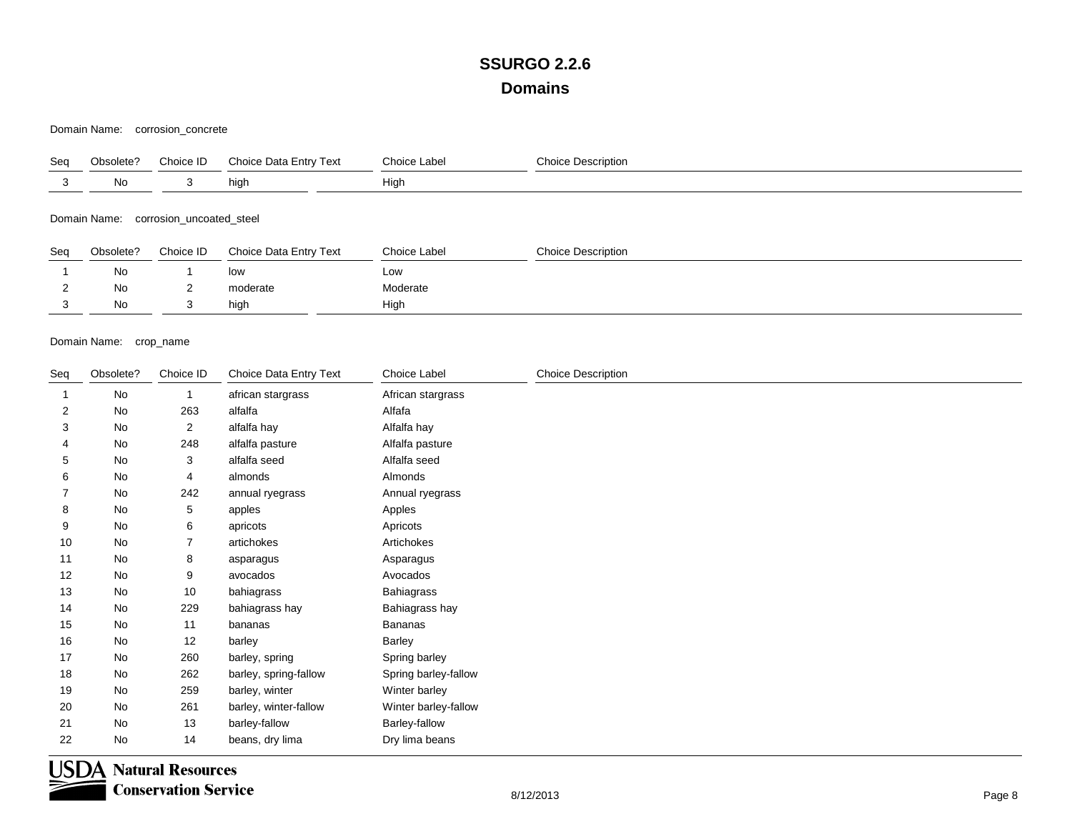Domain Name: corrosion\_concrete

| Seq | Obsolete?                                | Choice ID | Choice Data Entry Text | Choice Label | <b>Choice Description</b> |  |  |  |  |  |
|-----|------------------------------------------|-----------|------------------------|--------------|---------------------------|--|--|--|--|--|
| 3   | No                                       | 3         | high                   | High         |                           |  |  |  |  |  |
|     | corrosion_uncoated_steel<br>Domain Name: |           |                        |              |                           |  |  |  |  |  |
| Seq | Obsolete?                                | Choice ID | Choice Data Entry Text | Choice Label | <b>Choice Description</b> |  |  |  |  |  |
|     | No                                       |           | low                    | Low          |                           |  |  |  |  |  |
| 2   | No                                       | 2         | moderate               | Moderate     |                           |  |  |  |  |  |
| З   | No                                       | 3         | high                   | High         |                           |  |  |  |  |  |

| Seq | Obsolete? | Choice ID      | Choice Data Entry Text | Choice Label         | <b>Choice Description</b> |
|-----|-----------|----------------|------------------------|----------------------|---------------------------|
|     | No        | $\mathbf{1}$   | african stargrass      | African stargrass    |                           |
| 2   | No        | 263            | alfalfa                | Alfafa               |                           |
| 3   | No        | $\overline{2}$ | alfalfa hay            | Alfalfa hay          |                           |
| 4   | No        | 248            | alfalfa pasture        | Alfalfa pasture      |                           |
| 5   | No        | 3              | alfalfa seed           | Alfalfa seed         |                           |
| 6   | No        | 4              | almonds                | Almonds              |                           |
| 7   | No        | 242            | annual ryegrass        | Annual ryegrass      |                           |
| 8   | No        | 5              | apples                 | Apples               |                           |
| 9   | No        | 6              | apricots               | Apricots             |                           |
| 10  | No        | 7              | artichokes             | Artichokes           |                           |
| 11  | No        | 8              | asparagus              | Asparagus            |                           |
| 12  | No        | 9              | avocados               | Avocados             |                           |
| 13  | No        | 10             | bahiagrass             | Bahiagrass           |                           |
| 14  | No        | 229            | bahiagrass hay         | Bahiagrass hay       |                           |
| 15  | No        | 11             | bananas                | Bananas              |                           |
| 16  | No        | 12             | barley                 | <b>Barley</b>        |                           |
| 17  | No        | 260            | barley, spring         | Spring barley        |                           |
| 18  | No        | 262            | barley, spring-fallow  | Spring barley-fallow |                           |
| 19  | No        | 259            | barley, winter         | Winter barley        |                           |
| 20  | No        | 261            | barley, winter-fallow  | Winter barley-fallow |                           |
| 21  | No        | 13             | barley-fallow          | Barley-fallow        |                           |
| 22  | No        | 14             | beans, dry lima        | Dry lima beans       |                           |

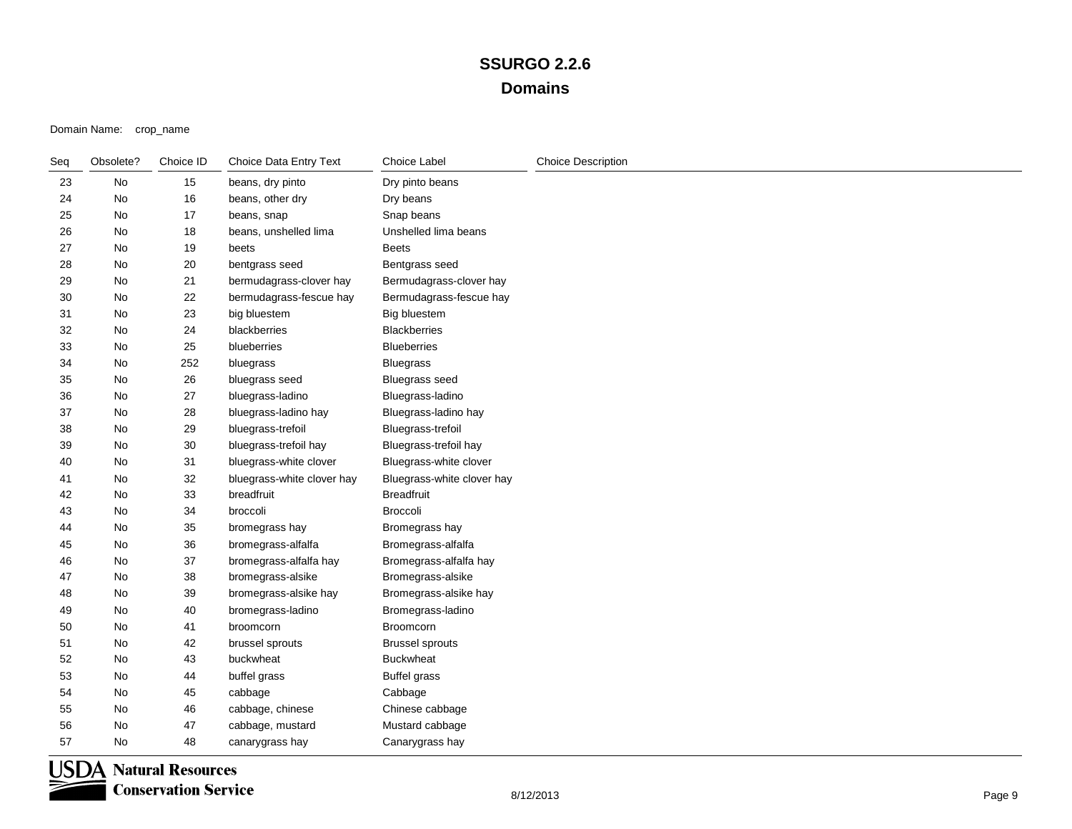| Seq | Obsolete? | Choice ID | Choice Data Entry Text     | Choice Label               | <b>Choice Description</b> |
|-----|-----------|-----------|----------------------------|----------------------------|---------------------------|
| 23  | No        | 15        | beans, dry pinto           | Dry pinto beans            |                           |
| 24  | No        | $16\,$    | beans, other dry           | Dry beans                  |                           |
| 25  | No        | 17        | beans, snap                | Snap beans                 |                           |
| 26  | No        | 18        | beans, unshelled lima      | Unshelled lima beans       |                           |
| 27  | No        | 19        | beets                      | <b>Beets</b>               |                           |
| 28  | No        | $20\,$    | bentgrass seed             | Bentgrass seed             |                           |
| 29  | No        | 21        | bermudagrass-clover hay    | Bermudagrass-clover hay    |                           |
| 30  | <b>No</b> | 22        | bermudagrass-fescue hay    | Bermudagrass-fescue hay    |                           |
| 31  | No        | 23        | big bluestem               | Big bluestem               |                           |
| 32  | No        | 24        | blackberries               | <b>Blackberries</b>        |                           |
| 33  | No        | 25        | blueberries                | <b>Blueberries</b>         |                           |
| 34  | No        | 252       | bluegrass                  | <b>Bluegrass</b>           |                           |
| 35  | No        | 26        | bluegrass seed             | Bluegrass seed             |                           |
| 36  | No        | 27        | bluegrass-ladino           | Bluegrass-ladino           |                           |
| 37  | No        | 28        | bluegrass-ladino hay       | Bluegrass-ladino hay       |                           |
| 38  | No        | 29        | bluegrass-trefoil          | Bluegrass-trefoil          |                           |
| 39  | No        | 30        | bluegrass-trefoil hay      | Bluegrass-trefoil hay      |                           |
| 40  | No        | 31        | bluegrass-white clover     | Bluegrass-white clover     |                           |
| 41  | No        | 32        | bluegrass-white clover hay | Bluegrass-white clover hay |                           |
| 42  | No        | 33        | breadfruit                 | <b>Breadfruit</b>          |                           |
| 43  | No        | 34        | broccoli                   | <b>Broccoli</b>            |                           |
| 44  | No        | 35        | bromegrass hay             | Bromegrass hay             |                           |
| 45  | No        | 36        | bromegrass-alfalfa         | Bromegrass-alfalfa         |                           |
| 46  | No        | 37        | bromegrass-alfalfa hay     | Bromegrass-alfalfa hay     |                           |
| 47  | <b>No</b> | 38        | bromegrass-alsike          | Bromegrass-alsike          |                           |
| 48  | No        | 39        | bromegrass-alsike hay      | Bromegrass-alsike hay      |                           |
| 49  | No        | 40        | bromegrass-ladino          | Bromegrass-ladino          |                           |
| 50  | No        | 41        | broomcorn                  | <b>Broomcorn</b>           |                           |
| 51  | No        | 42        | brussel sprouts            | <b>Brussel sprouts</b>     |                           |
| 52  | <b>No</b> | 43        | buckwheat                  | <b>Buckwheat</b>           |                           |
| 53  | No        | 44        | buffel grass               | <b>Buffel grass</b>        |                           |
| 54  | No        | 45        | cabbage                    | Cabbage                    |                           |
| 55  | No        | 46        | cabbage, chinese           | Chinese cabbage            |                           |
| 56  | No        | 47        | cabbage, mustard           | Mustard cabbage            |                           |
| 57  | No        | 48        | canarygrass hay            | Canarygrass hay            |                           |

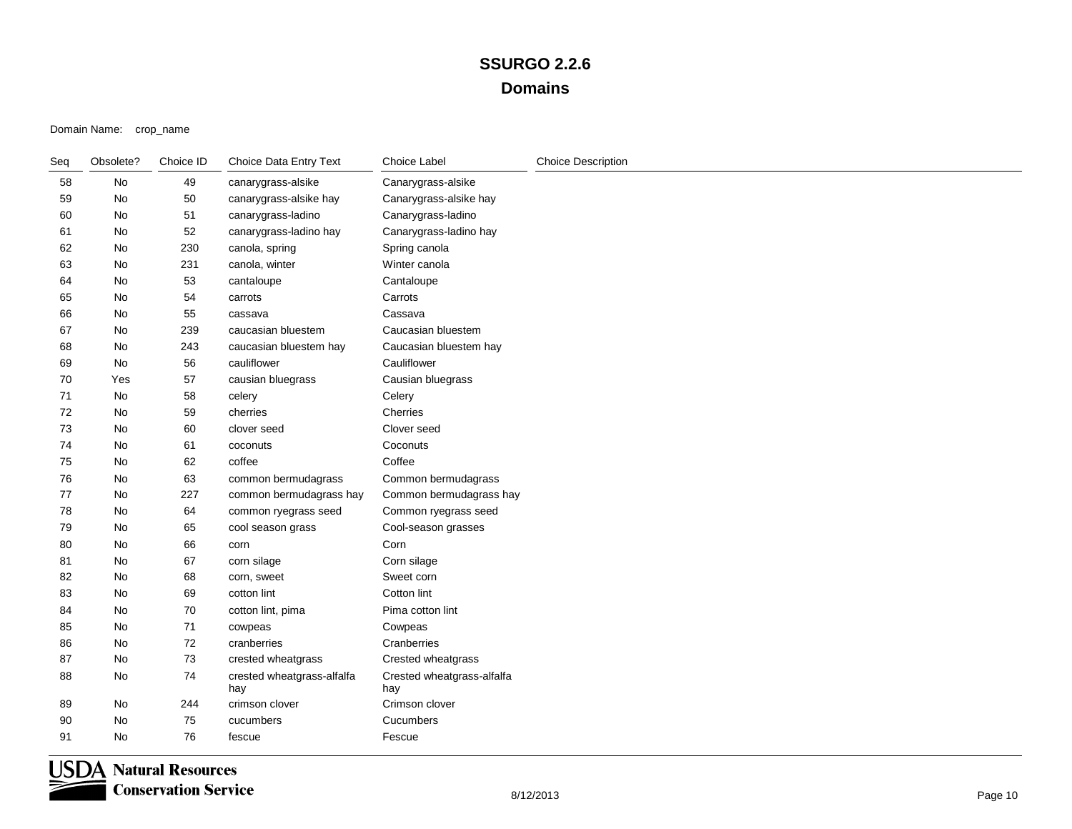| Seq | Obsolete? | Choice ID | Choice Data Entry Text            | Choice Label                      | <b>Choice Description</b> |
|-----|-----------|-----------|-----------------------------------|-----------------------------------|---------------------------|
| 58  | No        | 49        | canarygrass-alsike                | Canarygrass-alsike                |                           |
| 59  | No        | 50        | canarygrass-alsike hay            | Canarygrass-alsike hay            |                           |
| 60  | No        | 51        | canarygrass-ladino                | Canarygrass-ladino                |                           |
| 61  | No        | 52        | canarygrass-ladino hay            | Canarygrass-ladino hay            |                           |
| 62  | No        | 230       | canola, spring                    | Spring canola                     |                           |
| 63  | No        | 231       | canola, winter                    | Winter canola                     |                           |
| 64  | No        | 53        | cantaloupe                        | Cantaloupe                        |                           |
| 65  | No        | 54        | carrots                           | Carrots                           |                           |
| 66  | No        | 55        | cassava                           | Cassava                           |                           |
| 67  | No        | 239       | caucasian bluestem                | Caucasian bluestem                |                           |
| 68  | No        | 243       | caucasian bluestem hay            | Caucasian bluestem hay            |                           |
| 69  | No        | 56        | cauliflower                       | Cauliflower                       |                           |
| 70  | Yes       | 57        | causian bluegrass                 | Causian bluegrass                 |                           |
| 71  | No        | 58        | celery                            | Celery                            |                           |
| 72  | No        | 59        | cherries                          | Cherries                          |                           |
| 73  | No        | 60        | clover seed                       | Clover seed                       |                           |
| 74  | No        | 61        | coconuts                          | Coconuts                          |                           |
| 75  | No        | 62        | coffee                            | Coffee                            |                           |
| 76  | No        | 63        | common bermudagrass               | Common bermudagrass               |                           |
| 77  | No        | 227       | common bermudagrass hay           | Common bermudagrass hay           |                           |
| 78  | No        | 64        | common ryegrass seed              | Common ryegrass seed              |                           |
| 79  | No        | 65        | cool season grass                 | Cool-season grasses               |                           |
| 80  | No        | 66        | corn                              | Corn                              |                           |
| 81  | No        | 67        | corn silage                       | Corn silage                       |                           |
| 82  | No        | 68        | corn, sweet                       | Sweet corn                        |                           |
| 83  | No        | 69        | cotton lint                       | Cotton lint                       |                           |
| 84  | No        | 70        | cotton lint, pima                 | Pima cotton lint                  |                           |
| 85  | No        | 71        | cowpeas                           | Cowpeas                           |                           |
| 86  | No        | 72        | cranberries                       | Cranberries                       |                           |
| 87  | No        | 73        | crested wheatgrass                | Crested wheatgrass                |                           |
| 88  | No        | 74        | crested wheatgrass-alfalfa<br>hay | Crested wheatgrass-alfalfa<br>hay |                           |
| 89  | No        | 244       | crimson clover                    | Crimson clover                    |                           |
| 90  | No        | 75        | cucumbers                         | Cucumbers                         |                           |
| 91  | No        | 76        | fescue                            | Fescue                            |                           |

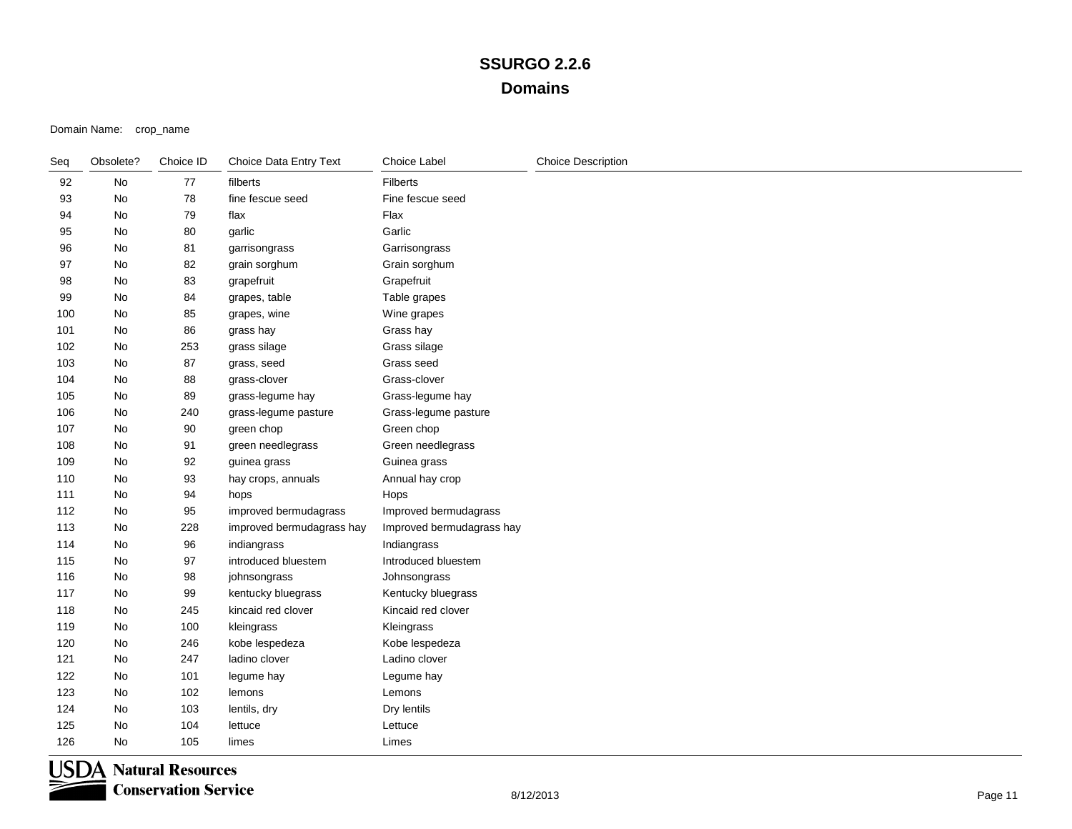| Seq | Obsolete? | Choice ID | Choice Data Entry Text    | <b>Choice Label</b>       | <b>Choice Description</b> |
|-----|-----------|-----------|---------------------------|---------------------------|---------------------------|
| 92  | No        | 77        | filberts                  | Filberts                  |                           |
| 93  | No        | 78        | fine fescue seed          | Fine fescue seed          |                           |
| 94  | No        | 79        | flax                      | Flax                      |                           |
| 95  | No        | 80        | garlic                    | Garlic                    |                           |
| 96  | No        | 81        | garrisongrass             | Garrisongrass             |                           |
| 97  | <b>No</b> | 82        | grain sorghum             | Grain sorghum             |                           |
| 98  | No        | 83        | grapefruit                | Grapefruit                |                           |
| 99  | No        | 84        | grapes, table             | Table grapes              |                           |
| 100 | No        | 85        | grapes, wine              | Wine grapes               |                           |
| 101 | No        | 86        | grass hay                 | Grass hay                 |                           |
| 102 | No        | 253       | grass silage              | Grass silage              |                           |
| 103 | No        | 87        | grass, seed               | Grass seed                |                           |
| 104 | No        | 88        | grass-clover              | Grass-clover              |                           |
| 105 | No        | 89        | grass-legume hay          | Grass-legume hay          |                           |
| 106 | No        | 240       | grass-legume pasture      | Grass-legume pasture      |                           |
| 107 | No        | 90        | green chop                | Green chop                |                           |
| 108 | No        | 91        | green needlegrass         | Green needlegrass         |                           |
| 109 | No        | 92        | guinea grass              | Guinea grass              |                           |
| 110 | No        | 93        | hay crops, annuals        | Annual hay crop           |                           |
| 111 | No        | 94        | hops                      | Hops                      |                           |
| 112 | No        | 95        | improved bermudagrass     | Improved bermudagrass     |                           |
| 113 | No        | 228       | improved bermudagrass hay | Improved bermudagrass hay |                           |
| 114 | No        | 96        | indiangrass               | Indiangrass               |                           |
| 115 | No        | 97        | introduced bluestem       | Introduced bluestem       |                           |
| 116 | No        | 98        | johnsongrass              | Johnsongrass              |                           |
| 117 | No        | 99        | kentucky bluegrass        | Kentucky bluegrass        |                           |
| 118 | No        | 245       | kincaid red clover        | Kincaid red clover        |                           |
| 119 | No        | 100       | kleingrass                | Kleingrass                |                           |
| 120 | No        | 246       | kobe lespedeza            | Kobe lespedeza            |                           |
| 121 | No        | 247       | ladino clover             | Ladino clover             |                           |
| 122 | No        | 101       | legume hay                | Legume hay                |                           |
| 123 | No        | 102       | lemons                    | Lemons                    |                           |
| 124 | No        | 103       | lentils, dry              | Dry lentils               |                           |
| 125 | No        | 104       | lettuce                   | Lettuce                   |                           |
| 126 | No        | 105       | limes                     | Limes                     |                           |

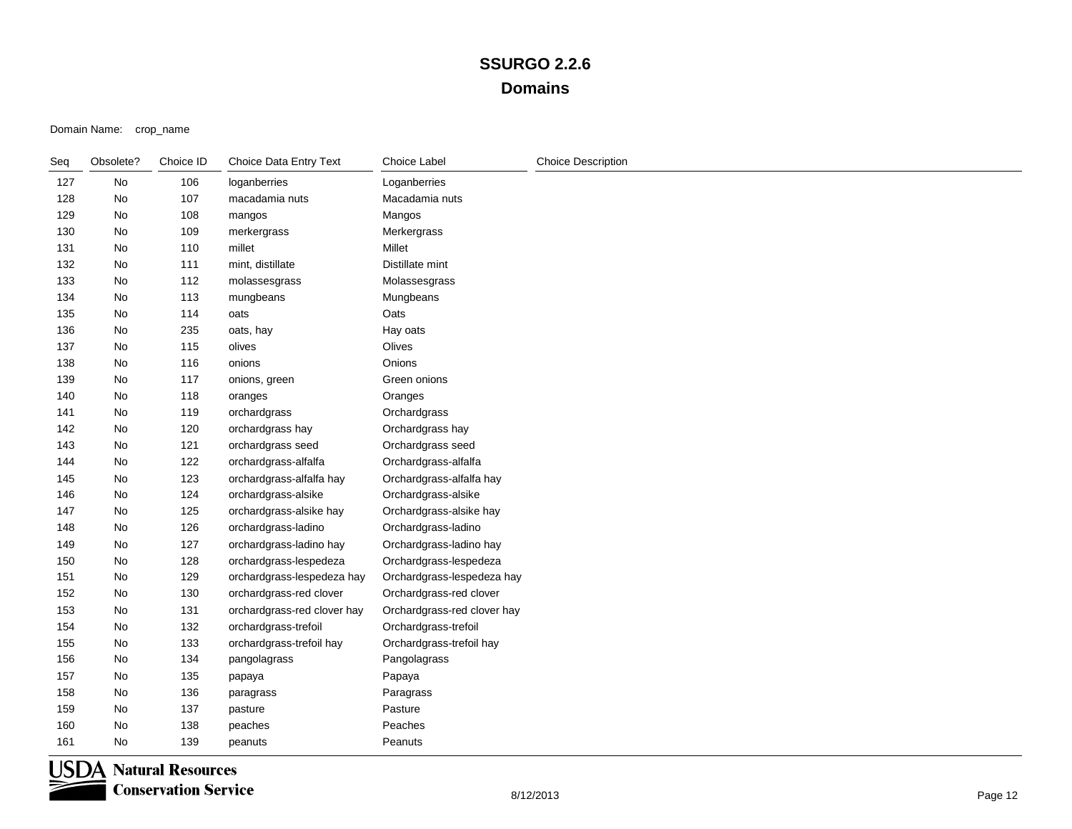| Seq | Obsolete? | Choice ID | Choice Data Entry Text      | <b>Choice Label</b>         | <b>Choice Description</b> |
|-----|-----------|-----------|-----------------------------|-----------------------------|---------------------------|
| 127 | No        | 106       | loganberries                | Loganberries                |                           |
| 128 | No        | 107       | macadamia nuts              | Macadamia nuts              |                           |
| 129 | No        | 108       | mangos                      | Mangos                      |                           |
| 130 | No        | 109       | merkergrass                 | Merkergrass                 |                           |
| 131 | No        | 110       | millet                      | Millet                      |                           |
| 132 | No        | 111       | mint, distillate            | Distillate mint             |                           |
| 133 | No        | 112       | molassesgrass               | Molassesgrass               |                           |
| 134 | No        | 113       | mungbeans                   | Mungbeans                   |                           |
| 135 | No        | 114       | oats                        | Oats                        |                           |
| 136 | No        | 235       | oats, hay                   | Hay oats                    |                           |
| 137 | No        | 115       | olives                      | Olives                      |                           |
| 138 | No        | 116       | onions                      | Onions                      |                           |
| 139 | No        | 117       | onions, green               | Green onions                |                           |
| 140 | No        | 118       | oranges                     | Oranges                     |                           |
| 141 | No        | 119       | orchardgrass                | Orchardgrass                |                           |
| 142 | No        | 120       | orchardgrass hay            | Orchardgrass hay            |                           |
| 143 | No        | 121       | orchardgrass seed           | Orchardgrass seed           |                           |
| 144 | No        | 122       | orchardgrass-alfalfa        | Orchardgrass-alfalfa        |                           |
| 145 | No        | 123       | orchardgrass-alfalfa hay    | Orchardgrass-alfalfa hay    |                           |
| 146 | No        | 124       | orchardgrass-alsike         | Orchardgrass-alsike         |                           |
| 147 | No        | 125       | orchardgrass-alsike hay     | Orchardgrass-alsike hay     |                           |
| 148 | No        | 126       | orchardgrass-ladino         | Orchardgrass-ladino         |                           |
| 149 | No        | 127       | orchardgrass-ladino hay     | Orchardgrass-ladino hay     |                           |
| 150 | No        | 128       | orchardgrass-lespedeza      | Orchardgrass-lespedeza      |                           |
| 151 | No        | 129       | orchardgrass-lespedeza hay  | Orchardgrass-lespedeza hay  |                           |
| 152 | No        | 130       | orchardgrass-red clover     | Orchardgrass-red clover     |                           |
| 153 | No        | 131       | orchardgrass-red clover hay | Orchardgrass-red clover hay |                           |
| 154 | No        | 132       | orchardgrass-trefoil        | Orchardgrass-trefoil        |                           |
| 155 | No        | 133       | orchardgrass-trefoil hay    | Orchardgrass-trefoil hay    |                           |
| 156 | No        | 134       | pangolagrass                | Pangolagrass                |                           |
| 157 | No        | 135       | papaya                      | Papaya                      |                           |
| 158 | No        | 136       | paragrass                   | Paragrass                   |                           |
| 159 | No        | 137       | pasture                     | Pasture                     |                           |
| 160 | No        | 138       | peaches                     | Peaches                     |                           |
| 161 | No        | 139       | peanuts                     | Peanuts                     |                           |

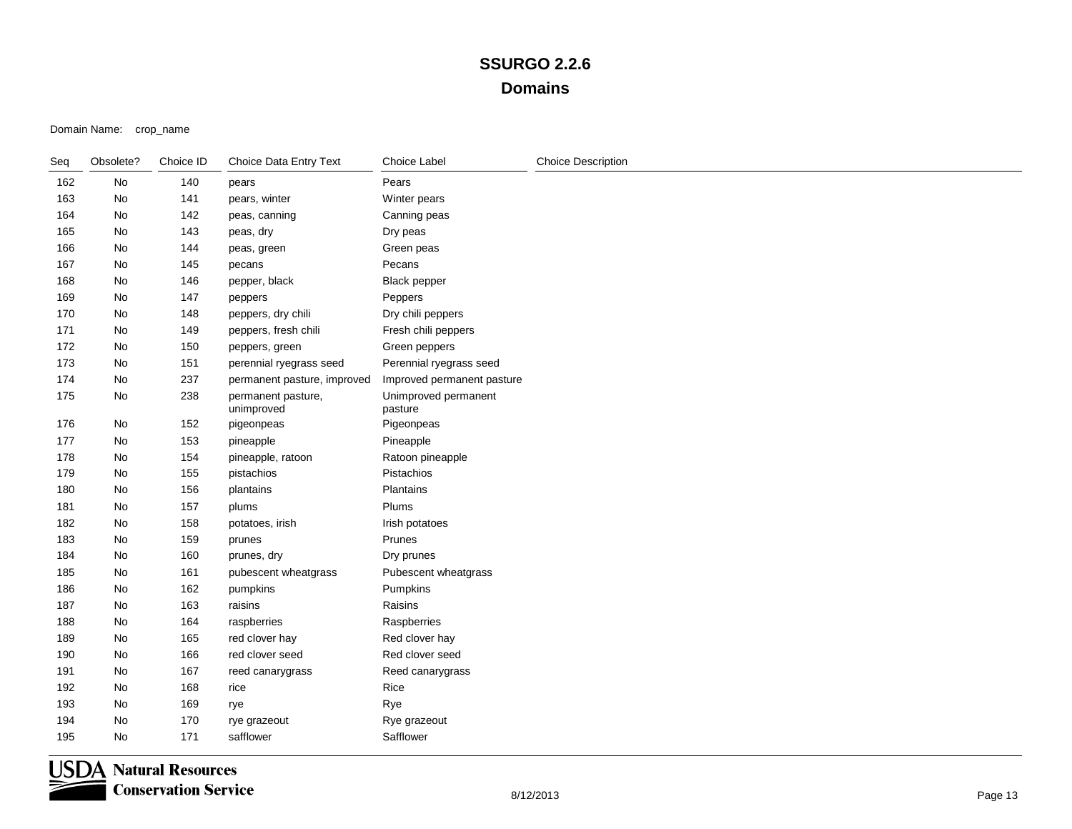Domain Name: crop\_name

| Seq | Obsolete? | Choice ID | Choice Data Entry Text           | Choice Label                    | <b>Choice Description</b> |
|-----|-----------|-----------|----------------------------------|---------------------------------|---------------------------|
| 162 | No        | 140       | pears                            | Pears                           |                           |
| 163 | No        | 141       | pears, winter                    | Winter pears                    |                           |
| 164 | No        | 142       | peas, canning                    | Canning peas                    |                           |
| 165 | No        | 143       | peas, dry                        | Dry peas                        |                           |
| 166 | No        | 144       | peas, green                      | Green peas                      |                           |
| 167 | No        | 145       | pecans                           | Pecans                          |                           |
| 168 | No        | 146       | pepper, black                    | Black pepper                    |                           |
| 169 | No        | 147       | peppers                          | Peppers                         |                           |
| 170 | No        | 148       | peppers, dry chili               | Dry chili peppers               |                           |
| 171 | No        | 149       | peppers, fresh chili             | Fresh chili peppers             |                           |
| 172 | No        | 150       | peppers, green                   | Green peppers                   |                           |
| 173 | No        | 151       | perennial ryegrass seed          | Perennial ryegrass seed         |                           |
| 174 | No        | 237       | permanent pasture, improved      | Improved permanent pasture      |                           |
| 175 | No        | 238       | permanent pasture,<br>unimproved | Unimproved permanent<br>pasture |                           |
| 176 | No        | 152       | pigeonpeas                       | Pigeonpeas                      |                           |
| 177 | No        | 153       | pineapple                        | Pineapple                       |                           |
| 178 | No        | 154       | pineapple, ratoon                | Ratoon pineapple                |                           |
| 179 | No        | 155       | pistachios                       | Pistachios                      |                           |
| 180 | No        | 156       | plantains                        | Plantains                       |                           |
| 181 | No        | 157       | plums                            | Plums                           |                           |
| 182 | No        | 158       | potatoes, irish                  | Irish potatoes                  |                           |
| 183 | No        | 159       | prunes                           | Prunes                          |                           |
| 184 | No        | 160       | prunes, dry                      | Dry prunes                      |                           |
| 185 | No        | 161       | pubescent wheatgrass             | Pubescent wheatgrass            |                           |
| 186 | No        | 162       | pumpkins                         | Pumpkins                        |                           |
| 187 | No        | 163       | raisins                          | Raisins                         |                           |
| 188 | No        | 164       | raspberries                      | Raspberries                     |                           |
| 189 | No        | 165       | red clover hay                   | Red clover hay                  |                           |
| 190 | No        | 166       | red clover seed                  | Red clover seed                 |                           |
| 191 | No        | 167       | reed canarygrass                 | Reed canarygrass                |                           |
| 192 | No        | 168       | rice                             | Rice                            |                           |
| 193 | No        | 169       | rye                              | Rye                             |                           |
| 194 | No        | 170       | rye grazeout                     | Rye grazeout                    |                           |
| 195 | No        | 171       | safflower                        | Safflower                       |                           |

**USDA** Natural Resources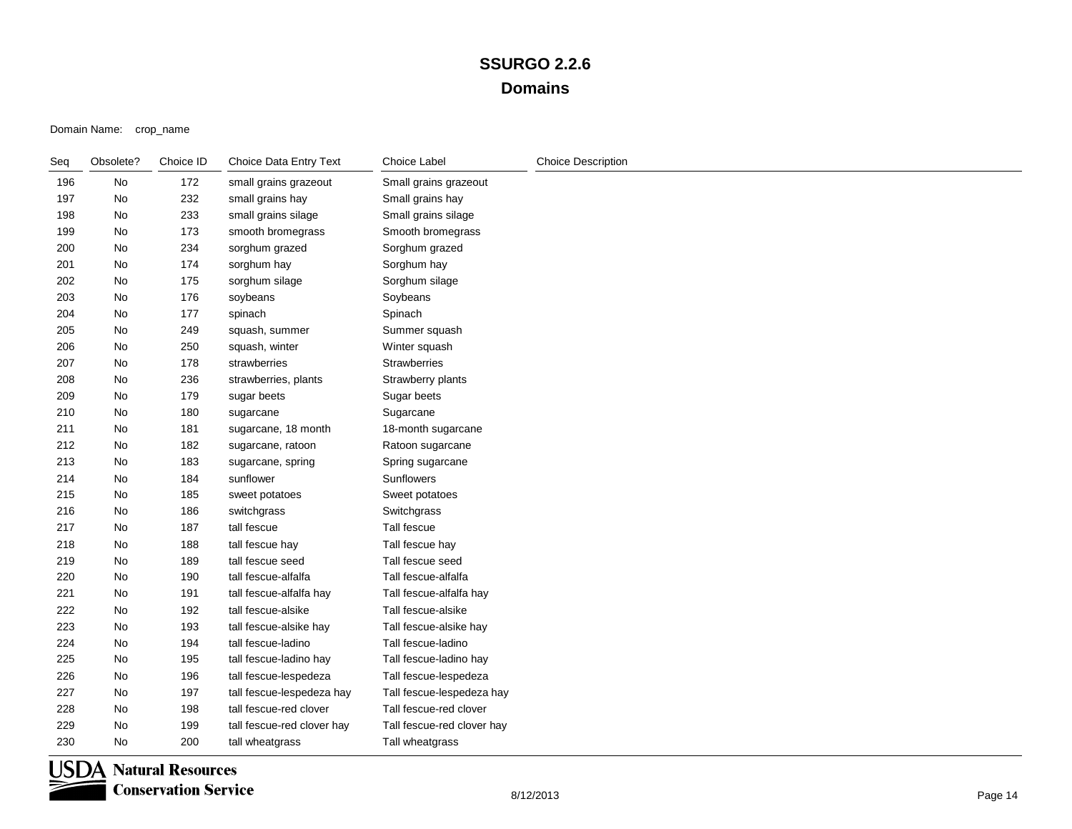| Seq | Obsolete? | Choice ID | Choice Data Entry Text     | Choice Label               | <b>Choice Description</b> |
|-----|-----------|-----------|----------------------------|----------------------------|---------------------------|
| 196 | No        | 172       | small grains grazeout      | Small grains grazeout      |                           |
| 197 | No        | 232       | small grains hay           | Small grains hay           |                           |
| 198 | No        | 233       | small grains silage        | Small grains silage        |                           |
| 199 | No        | 173       | smooth bromegrass          | Smooth bromegrass          |                           |
| 200 | No        | 234       | sorghum grazed             | Sorghum grazed             |                           |
| 201 | No        | 174       | sorghum hay                | Sorghum hay                |                           |
| 202 | No        | 175       | sorghum silage             | Sorghum silage             |                           |
| 203 | No        | 176       | soybeans                   | Soybeans                   |                           |
| 204 | No        | 177       | spinach                    | Spinach                    |                           |
| 205 | No        | 249       | squash, summer             | Summer squash              |                           |
| 206 | No        | 250       | squash, winter             | Winter squash              |                           |
| 207 | No        | 178       | strawberries               | <b>Strawberries</b>        |                           |
| 208 | No        | 236       | strawberries, plants       | Strawberry plants          |                           |
| 209 | No        | 179       | sugar beets                | Sugar beets                |                           |
| 210 | No        | 180       | sugarcane                  | Sugarcane                  |                           |
| 211 | No        | 181       | sugarcane, 18 month        | 18-month sugarcane         |                           |
| 212 | No        | 182       | sugarcane, ratoon          | Ratoon sugarcane           |                           |
| 213 | No        | 183       | sugarcane, spring          | Spring sugarcane           |                           |
| 214 | No        | 184       | sunflower                  | Sunflowers                 |                           |
| 215 | No        | 185       | sweet potatoes             | Sweet potatoes             |                           |
| 216 | No        | 186       | switchgrass                | Switchgrass                |                           |
| 217 | No        | 187       | tall fescue                | Tall fescue                |                           |
| 218 | No        | 188       | tall fescue hay            | Tall fescue hay            |                           |
| 219 | No        | 189       | tall fescue seed           | Tall fescue seed           |                           |
| 220 | No        | 190       | tall fescue-alfalfa        | Tall fescue-alfalfa        |                           |
| 221 | No        | 191       | tall fescue-alfalfa hay    | Tall fescue-alfalfa hay    |                           |
| 222 | No        | 192       | tall fescue-alsike         | Tall fescue-alsike         |                           |
| 223 | No        | 193       | tall fescue-alsike hay     | Tall fescue-alsike hay     |                           |
| 224 | No        | 194       | tall fescue-ladino         | Tall fescue-ladino         |                           |
| 225 | No        | 195       | tall fescue-ladino hay     | Tall fescue-ladino hay     |                           |
| 226 | No        | 196       | tall fescue-lespedeza      | Tall fescue-lespedeza      |                           |
| 227 | No        | 197       | tall fescue-lespedeza hay  | Tall fescue-lespedeza hay  |                           |
| 228 | No        | 198       | tall fescue-red clover     | Tall fescue-red clover     |                           |
| 229 | No        | 199       | tall fescue-red clover hay | Tall fescue-red clover hay |                           |
| 230 | No        | 200       | tall wheatgrass            | Tall wheatgrass            |                           |

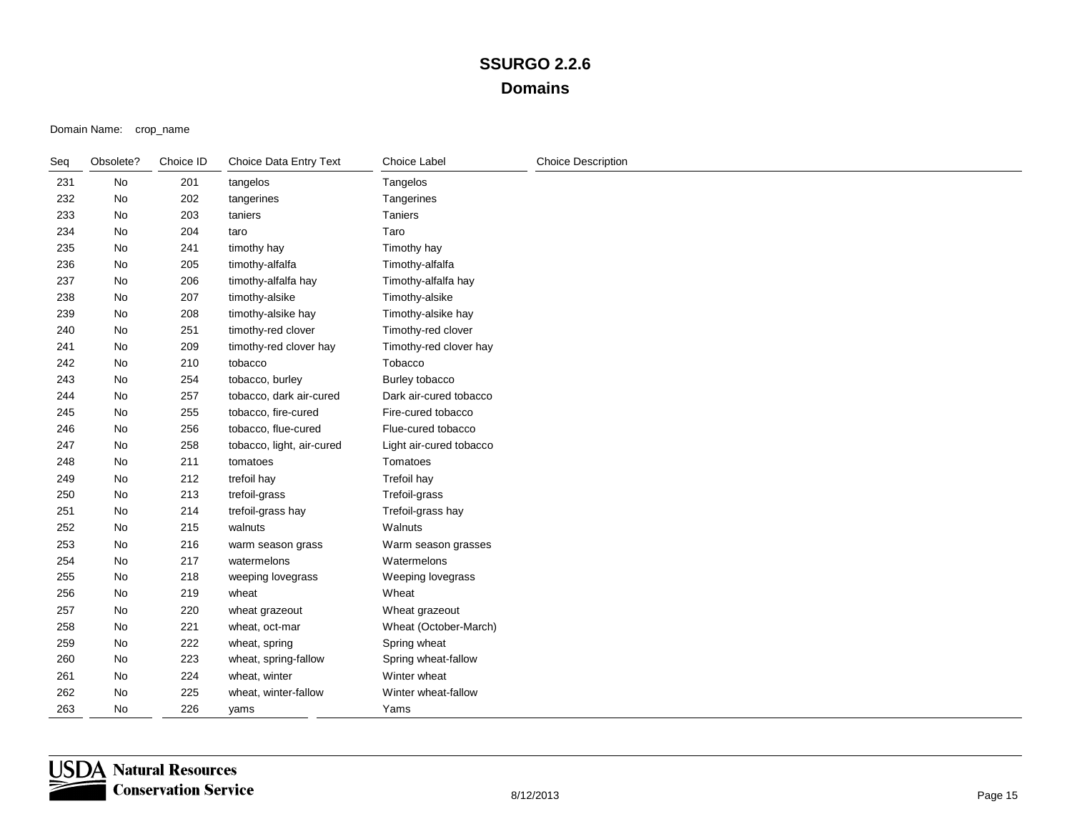| Seq | Obsolete? | Choice ID | Choice Data Entry Text    | Choice Label            | <b>Choice Description</b> |
|-----|-----------|-----------|---------------------------|-------------------------|---------------------------|
| 231 | No        | 201       | tangelos                  | Tangelos                |                           |
| 232 | No        | 202       | tangerines                | Tangerines              |                           |
| 233 | No        | 203       | taniers                   | Taniers                 |                           |
| 234 | No        | 204       | taro                      | Taro                    |                           |
| 235 | No        | 241       | timothy hay               | Timothy hay             |                           |
| 236 | No        | 205       | timothy-alfalfa           | Timothy-alfalfa         |                           |
| 237 | No        | 206       | timothy-alfalfa hay       | Timothy-alfalfa hay     |                           |
| 238 | No        | 207       | timothy-alsike            | Timothy-alsike          |                           |
| 239 | No        | 208       | timothy-alsike hay        | Timothy-alsike hay      |                           |
| 240 | No        | 251       | timothy-red clover        | Timothy-red clover      |                           |
| 241 | No        | 209       | timothy-red clover hay    | Timothy-red clover hay  |                           |
| 242 | No        | 210       | tobacco                   | Tobacco                 |                           |
| 243 | No        | 254       | tobacco, burley           | Burley tobacco          |                           |
| 244 | No        | 257       | tobacco, dark air-cured   | Dark air-cured tobacco  |                           |
| 245 | No        | 255       | tobacco, fire-cured       | Fire-cured tobacco      |                           |
| 246 | No        | 256       | tobacco, flue-cured       | Flue-cured tobacco      |                           |
| 247 | No        | 258       | tobacco, light, air-cured | Light air-cured tobacco |                           |
| 248 | No        | 211       | tomatoes                  | Tomatoes                |                           |
| 249 | No        | 212       | trefoil hay               | Trefoil hay             |                           |
| 250 | No        | 213       | trefoil-grass             | Trefoil-grass           |                           |
| 251 | No        | 214       | trefoil-grass hay         | Trefoil-grass hay       |                           |
| 252 | No        | 215       | walnuts                   | Walnuts                 |                           |
| 253 | No        | 216       | warm season grass         | Warm season grasses     |                           |
| 254 | No        | 217       | watermelons               | Watermelons             |                           |
| 255 | No        | 218       | weeping lovegrass         | Weeping lovegrass       |                           |
| 256 | No        | 219       | wheat                     | Wheat                   |                           |
| 257 | No        | 220       | wheat grazeout            | Wheat grazeout          |                           |
| 258 | No        | 221       | wheat, oct-mar            | Wheat (October-March)   |                           |
| 259 | No        | 222       | wheat, spring             | Spring wheat            |                           |
| 260 | No        | 223       | wheat, spring-fallow      | Spring wheat-fallow     |                           |
| 261 | No        | 224       | wheat, winter             | Winter wheat            |                           |
| 262 | No        | 225       | wheat, winter-fallow      | Winter wheat-fallow     |                           |
| 263 | No        | 226       | yams                      | Yams                    |                           |

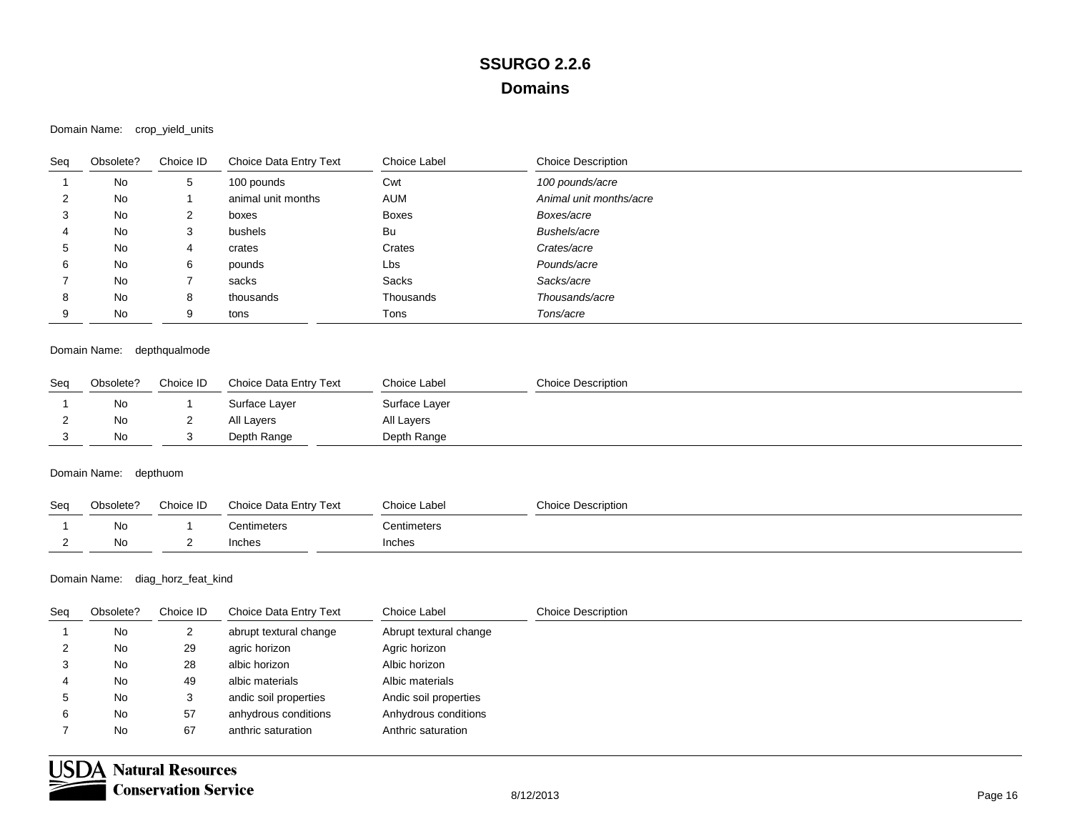#### Domain Name: crop\_yield\_units

| Seq | Obsolete? | Choice ID | Choice Data Entry Text | Choice Label | <b>Choice Description</b> |  |
|-----|-----------|-----------|------------------------|--------------|---------------------------|--|
|     | No        | 5         | 100 pounds             | Cwt          | 100 pounds/acre           |  |
|     | No        |           | animal unit months     | <b>AUM</b>   | Animal unit months/acre   |  |
| 3   | No        | 2         | boxes                  | <b>Boxes</b> | Boxes/acre                |  |
| 4   | No        | 3         | bushels                | Bu           | Bushels/acre              |  |
| 5   | No        | 4         | crates                 | Crates       | Crates/acre               |  |
| 6   | No        | 6         | pounds                 | Lbs          | Pounds/acre               |  |
|     | No        |           | sacks                  | Sacks        | Sacks/acre                |  |
| 8   | No        | 8         | thousands              | Thousands    | Thousands/acre            |  |
|     | No        | 9         | tons                   | Tons         | Tons/acre                 |  |

#### Domain Name: depthqualmode

| Seg | Obsolete? | Choice ID | Choice Data Entry Text | Choice Label  | <b>Choice Description</b> |
|-----|-----------|-----------|------------------------|---------------|---------------------------|
|     | No        |           | Surface Layer          | Surface Layer |                           |
|     | No        | ∸         | All Layers             | All Layers    |                           |
|     | No        |           | Depth Range            | Depth Range   |                           |

#### Domain Name: depthuom

| Seq | Obsolete? | Choice ID | Choice Data Entry Text | Choice Label | <b>Choice Description</b> |
|-----|-----------|-----------|------------------------|--------------|---------------------------|
|     | Nc        |           | Centimeters            | Centimeters  |                           |
|     | Nο        |           | Inches                 | Inches       |                           |

#### Domain Name: diag\_horz\_feat\_kind

| Seg | Obsolete? | Choice ID | Choice Data Entry Text | Choice Label           | <b>Choice Description</b> |
|-----|-----------|-----------|------------------------|------------------------|---------------------------|
|     | No        | 2         | abrupt textural change | Abrupt textural change |                           |
|     | No        | 29        | agric horizon          | Agric horizon          |                           |
|     | No        | 28        | albic horizon          | Albic horizon          |                           |
|     | No        | 49        | albic materials        | Albic materials        |                           |
|     | No        |           | andic soil properties  | Andic soil properties  |                           |
| 6   | No        | 57        | anhydrous conditions   | Anhydrous conditions   |                           |
|     | No        | 67        | anthric saturation     | Anthric saturation     |                           |

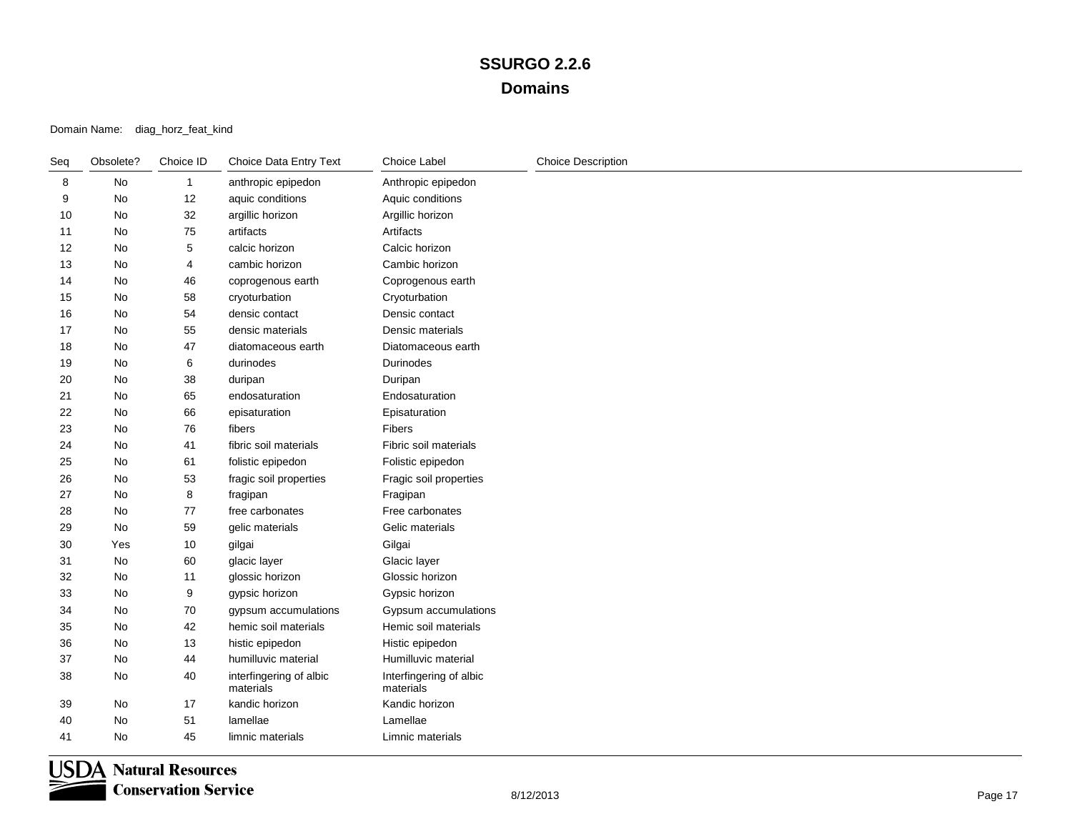#### Domain Name: diag\_horz\_feat\_kind

| Seq | Obsolete? | Choice ID    | Choice Data Entry Text               | Choice Label                         | Choice Description |
|-----|-----------|--------------|--------------------------------------|--------------------------------------|--------------------|
| 8   | No        | $\mathbf{1}$ | anthropic epipedon                   | Anthropic epipedon                   |                    |
| 9   | No        | 12           | aquic conditions                     | Aquic conditions                     |                    |
| 10  | No        | 32           | argillic horizon                     | Argillic horizon                     |                    |
| 11  | No        | 75           | artifacts                            | Artifacts                            |                    |
| 12  | <b>No</b> | 5            | calcic horizon                       | Calcic horizon                       |                    |
| 13  | No        | 4            | cambic horizon                       | Cambic horizon                       |                    |
| 14  | No        | 46           | coprogenous earth                    | Coprogenous earth                    |                    |
| 15  | No        | 58           | cryoturbation                        | Cryoturbation                        |                    |
| 16  | No        | 54           | densic contact                       | Densic contact                       |                    |
| 17  | No        | 55           | densic materials                     | Densic materials                     |                    |
| 18  | No        | 47           | diatomaceous earth                   | Diatomaceous earth                   |                    |
| 19  | No        | 6            | durinodes                            | Durinodes                            |                    |
| 20  | No        | 38           | duripan                              | Duripan                              |                    |
| 21  | No        | 65           | endosaturation                       | Endosaturation                       |                    |
| 22  | No        | 66           | episaturation                        | Episaturation                        |                    |
| 23  | No        | 76           | fibers                               | Fibers                               |                    |
| 24  | <b>No</b> | 41           | fibric soil materials                | Fibric soil materials                |                    |
| 25  | No        | 61           | folistic epipedon                    | Folistic epipedon                    |                    |
| 26  | No        | 53           | fragic soil properties               | Fragic soil properties               |                    |
| 27  | No.       | 8            | fragipan                             | Fragipan                             |                    |
| 28  | No        | 77           | free carbonates                      | Free carbonates                      |                    |
| 29  | No        | 59           | gelic materials                      | Gelic materials                      |                    |
| 30  | Yes       | 10           | gilgai                               | Gilgai                               |                    |
| 31  | No        | 60           | glacic layer                         | Glacic layer                         |                    |
| 32  | No        | 11           | glossic horizon                      | Glossic horizon                      |                    |
| 33  | No        | 9            | gypsic horizon                       | Gypsic horizon                       |                    |
| 34  | No        | 70           | gypsum accumulations                 | Gypsum accumulations                 |                    |
| 35  | No        | 42           | hemic soil materials                 | Hemic soil materials                 |                    |
| 36  | No        | 13           | histic epipedon                      | Histic epipedon                      |                    |
| 37  | No        | 44           | humilluvic material                  | Humilluvic material                  |                    |
| 38  | No        | 40           | interfingering of albic<br>materials | Interfingering of albic<br>materials |                    |
| 39  | No        | 17           | kandic horizon                       | Kandic horizon                       |                    |
| 40  | <b>No</b> | 51           | lamellae                             | Lamellae                             |                    |
| 41  | No        | 45           | limnic materials                     | Limnic materials                     |                    |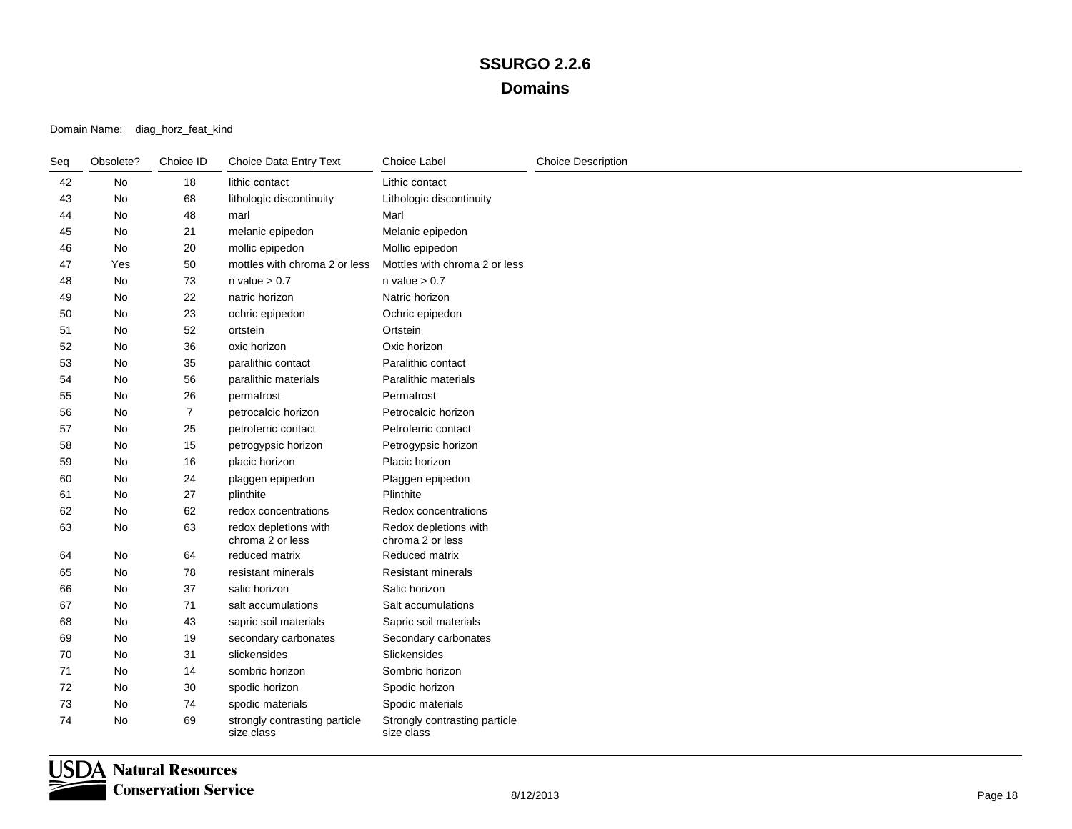#### Domain Name: diag\_horz\_feat\_kind

| Seq | Obsolete? | Choice ID      | Choice Data Entry Text                      | <b>Choice Label</b>                         | <b>Choice Description</b> |
|-----|-----------|----------------|---------------------------------------------|---------------------------------------------|---------------------------|
| 42  | No        | 18             | lithic contact                              | Lithic contact                              |                           |
| 43  | No        | 68             | lithologic discontinuity                    | Lithologic discontinuity                    |                           |
| 44  | No        | 48             | marl                                        | Marl                                        |                           |
| 45  | No        | 21             | melanic epipedon                            | Melanic epipedon                            |                           |
| 46  | No        | 20             | mollic epipedon                             | Mollic epipedon                             |                           |
| 47  | Yes       | 50             | mottles with chroma 2 or less               | Mottles with chroma 2 or less               |                           |
| 48  | No.       | 73             | n value $> 0.7$                             | n value $> 0.7$                             |                           |
| 49  | No        | 22             | natric horizon                              | Natric horizon                              |                           |
| 50  | No        | 23             | ochric epipedon                             | Ochric epipedon                             |                           |
| 51  | No        | 52             | ortstein                                    | Ortstein                                    |                           |
| 52  | No        | 36             | oxic horizon                                | Oxic horizon                                |                           |
| 53  | No.       | 35             | paralithic contact                          | Paralithic contact                          |                           |
| 54  | No        | 56             | paralithic materials                        | Paralithic materials                        |                           |
| 55  | No        | 26             | permafrost                                  | Permafrost                                  |                           |
| 56  | No        | $\overline{7}$ | petrocalcic horizon                         | Petrocalcic horizon                         |                           |
| 57  | No        | 25             | petroferric contact                         | Petroferric contact                         |                           |
| 58  | <b>No</b> | 15             | petrogypsic horizon                         | Petrogypsic horizon                         |                           |
| 59  | No        | 16             | placic horizon                              | Placic horizon                              |                           |
| 60  | No        | 24             | plaggen epipedon                            | Plaggen epipedon                            |                           |
| 61  | No        | 27             | plinthite                                   | Plinthite                                   |                           |
| 62  | No        | 62             | redox concentrations                        | Redox concentrations                        |                           |
| 63  | No        | 63             | redox depletions with<br>chroma 2 or less   | Redox depletions with<br>chroma 2 or less   |                           |
| 64  | <b>No</b> | 64             | reduced matrix                              | Reduced matrix                              |                           |
| 65  | No        | 78             | resistant minerals                          | <b>Resistant minerals</b>                   |                           |
| 66  | No        | 37             | salic horizon                               | Salic horizon                               |                           |
| 67  | No        | 71             | salt accumulations                          | Salt accumulations                          |                           |
| 68  | No        | 43             | sapric soil materials                       | Sapric soil materials                       |                           |
| 69  | No        | 19             | secondary carbonates                        | Secondary carbonates                        |                           |
| 70  | No        | 31             | slickensides                                | Slickensides                                |                           |
| 71  | No        | 14             | sombric horizon                             | Sombric horizon                             |                           |
| 72  | No        | 30             | spodic horizon                              | Spodic horizon                              |                           |
| 73  | No        | 74             | spodic materials                            | Spodic materials                            |                           |
| 74  | <b>No</b> | 69             | strongly contrasting particle<br>size class | Strongly contrasting particle<br>size class |                           |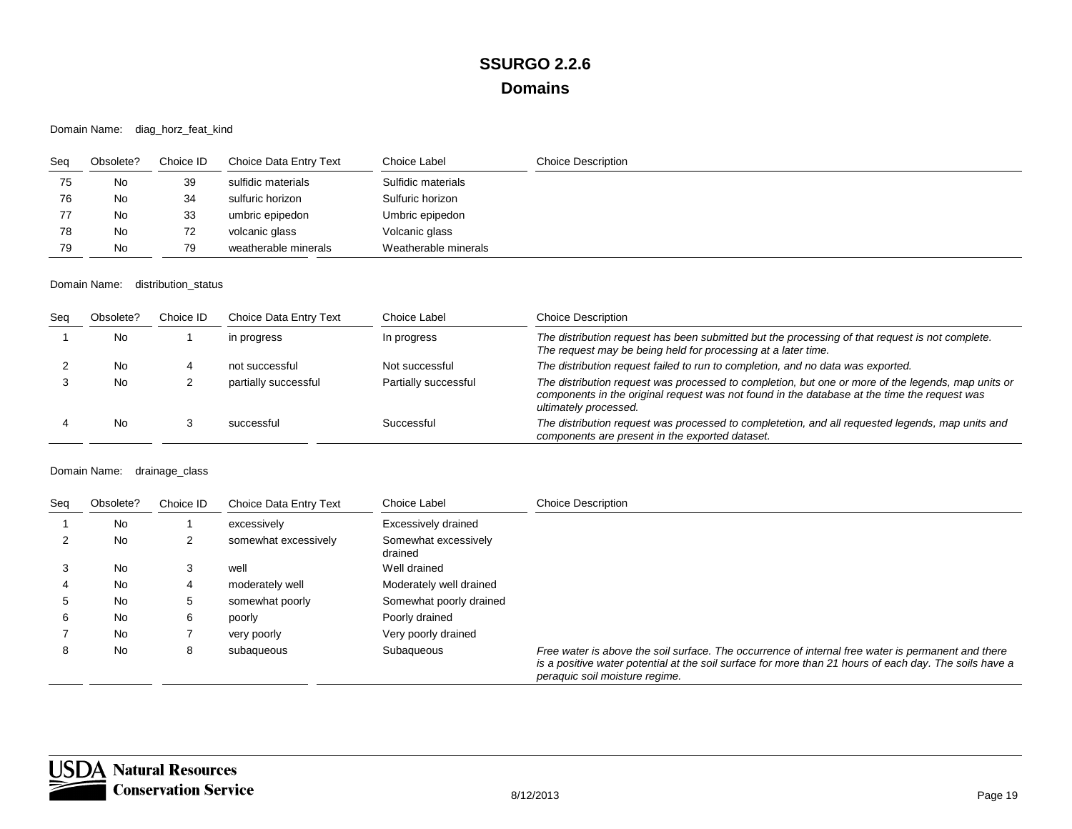#### Domain Name: diag\_horz\_feat\_kind

| Seg | Obsolete? | Choice ID | Choice Data Entry Text | Choice Label         | <b>Choice Description</b> |
|-----|-----------|-----------|------------------------|----------------------|---------------------------|
| 75  | No        | 39        | sulfidic materials     | Sulfidic materials   |                           |
| 76  | No        | 34        | sulfuric horizon       | Sulfuric horizon     |                           |
| 77  | No        | 33        | umbric epipedon        | Umbric epipedon      |                           |
| 78  | No        | 72        | volcanic glass         | Volcanic glass       |                           |
| 79  | No        | 79        | weatherable minerals   | Weatherable minerals |                           |

#### Domain Name: distribution\_status

| Seq | Obsolete? | Choice ID | Choice Data Entry Text | Choice Label         | <b>Choice Description</b>                                                                                                                                                                                                   |
|-----|-----------|-----------|------------------------|----------------------|-----------------------------------------------------------------------------------------------------------------------------------------------------------------------------------------------------------------------------|
|     | No        |           | in progress            | In progress          | The distribution request has been submitted but the processing of that request is not complete.<br>The request may be being held for processing at a later time.                                                            |
|     | No        |           | not successful         | Not successful       | The distribution request failed to run to completion, and no data was exported.                                                                                                                                             |
|     | No        |           | partially successful   | Partially successful | The distribution request was processed to completion, but one or more of the legends, map units or<br>components in the original request was not found in the database at the time the request was<br>ultimately processed. |
|     | No        |           | successful             | Successful           | The distribution request was processed to completetion, and all requested legends, map units and<br>components are present in the exported dataset.                                                                         |

#### Domain Name: drainage\_class

| Seq | Obsolete? | Choice ID | Choice Data Entry Text | Choice Label                    | <b>Choice Description</b>                                                                                                                                                                                                                      |
|-----|-----------|-----------|------------------------|---------------------------------|------------------------------------------------------------------------------------------------------------------------------------------------------------------------------------------------------------------------------------------------|
|     | No        |           | excessively            | Excessively drained             |                                                                                                                                                                                                                                                |
|     | No        |           | somewhat excessively   | Somewhat excessively<br>drained |                                                                                                                                                                                                                                                |
|     | No        |           | well                   | Well drained                    |                                                                                                                                                                                                                                                |
|     | No        |           | moderately well        | Moderately well drained         |                                                                                                                                                                                                                                                |
|     | No        |           | somewhat poorly        | Somewhat poorly drained         |                                                                                                                                                                                                                                                |
|     | No        | 6         | poorly                 | Poorly drained                  |                                                                                                                                                                                                                                                |
|     | No        |           | very poorly            | Very poorly drained             |                                                                                                                                                                                                                                                |
|     | No        | 8         | subaqueous             | Subaqueous                      | Free water is above the soil surface. The occurrence of internal free water is permanent and there<br>is a positive water potential at the soil surface for more than 21 hours of each day. The soils have a<br>peraquic soil moisture regime. |

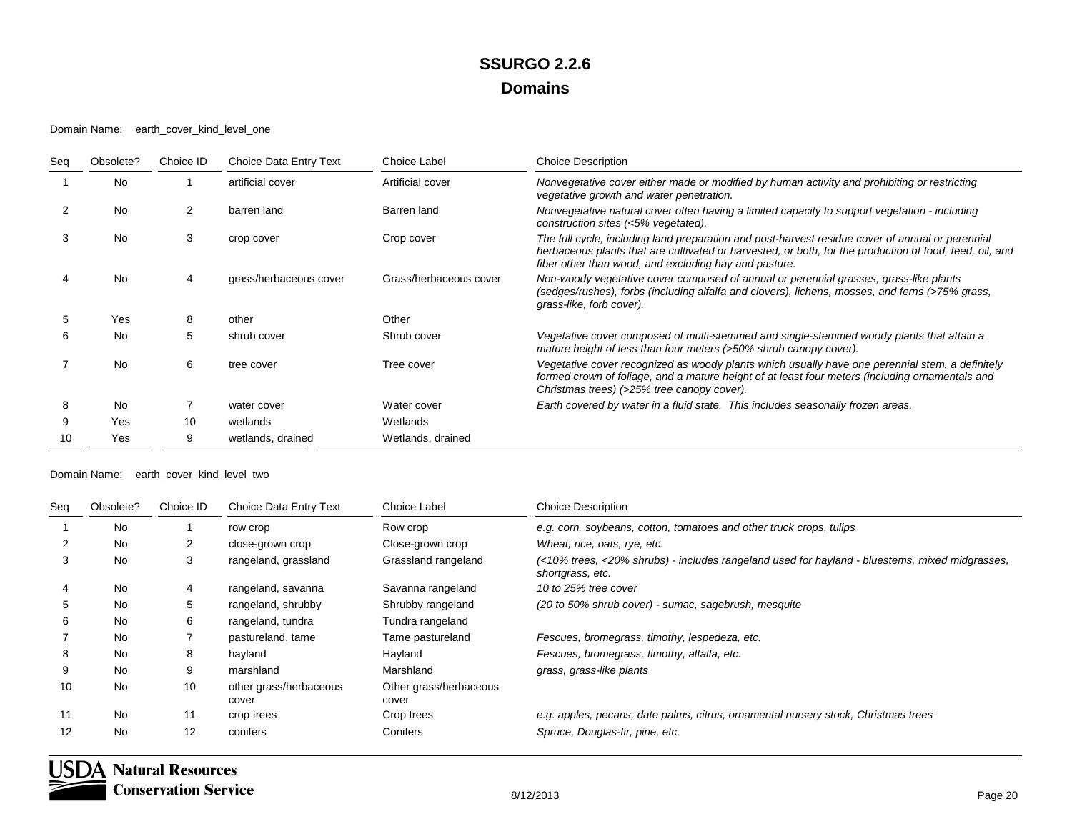Domain Name: earth\_cover\_kind\_level\_one

| Seg | Obsolete? | Choice ID      | Choice Data Entry Text | Choice Label           | <b>Choice Description</b>                                                                                                                                                                                                                                            |
|-----|-----------|----------------|------------------------|------------------------|----------------------------------------------------------------------------------------------------------------------------------------------------------------------------------------------------------------------------------------------------------------------|
|     | <b>No</b> |                | artificial cover       | Artificial cover       | Nonvegetative cover either made or modified by human activity and prohibiting or restricting<br>vegetative growth and water penetration.                                                                                                                             |
|     | <b>No</b> | $\overline{2}$ | barren land            | Barren land            | Nonvegetative natural cover often having a limited capacity to support vegetation - including<br>construction sites (<5% vegetated).                                                                                                                                 |
|     | <b>No</b> | 3              | crop cover             | Crop cover             | The full cycle, including land preparation and post-harvest residue cover of annual or perennial<br>herbaceous plants that are cultivated or harvested, or both, for the production of food, feed, oil, and<br>fiber other than wood, and excluding hay and pasture. |
|     | <b>No</b> | 4              | grass/herbaceous cover | Grass/herbaceous cover | Non-woody vegetative cover composed of annual or perennial grasses, grass-like plants<br>(sedges/rushes), forbs (including alfalfa and clovers), lichens, mosses, and ferns (>75% grass,<br>grass-like, forb cover).                                                 |
| 5.  | Yes       | 8              | other                  | Other                  |                                                                                                                                                                                                                                                                      |
| 6   | <b>No</b> | 5              | shrub cover            | Shrub cover            | Vegetative cover composed of multi-stemmed and single-stemmed woody plants that attain a<br>mature height of less than four meters (>50% shrub canopy cover).                                                                                                        |
|     | <b>No</b> | 6              | tree cover             | Tree cover             | Vegetative cover recognized as woody plants which usually have one perennial stem, a definitely<br>formed crown of foliage, and a mature height of at least four meters (including ornamentals and<br>Christmas trees) (>25% tree canopy cover).                     |
| 8   | <b>No</b> |                | water cover            | Water cover            | Earth covered by water in a fluid state. This includes seasonally frozen areas.                                                                                                                                                                                      |
| 9   | Yes       | 10             | wetlands               | Wetlands               |                                                                                                                                                                                                                                                                      |
| 10  | Yes       | 9              | wetlands, drained      | Wetlands, drained      |                                                                                                                                                                                                                                                                      |

#### Domain Name: earth\_cover\_kind\_level\_two

| Seg | Obsolete? | Choice ID | Choice Data Entry Text          | Choice Label                    | <b>Choice Description</b>                                                                                          |
|-----|-----------|-----------|---------------------------------|---------------------------------|--------------------------------------------------------------------------------------------------------------------|
|     | No        |           | row crop                        | Row crop                        | e.g. corn, soybeans, cotton, tomatoes and other truck crops, tulips                                                |
|     | <b>No</b> |           | close-grown crop                | Close-grown crop                | Wheat, rice, oats, rye, etc.                                                                                       |
| 3   | No        | 3         | rangeland, grassland            | Grassland rangeland             | (<10% trees, <20% shrubs) - includes rangeland used for hayland - bluestems, mixed midgrasses,<br>shortgrass, etc. |
| 4   | No        | 4         | rangeland, savanna              | Savanna rangeland               | 10 to 25% tree cover                                                                                               |
| 5.  | <b>No</b> | 5         | rangeland, shrubby              | Shrubby rangeland               | (20 to 50% shrub cover) - sumac, sagebrush, mesquite                                                               |
| 6   | No        | 6         | rangeland, tundra               | Tundra rangeland                |                                                                                                                    |
|     | <b>No</b> |           | pastureland, tame               | Tame pastureland                | Fescues, bromegrass, timothy, lespedeza, etc.                                                                      |
| 8   | <b>No</b> | 8         | hayland                         | Hayland                         | Fescues, bromegrass, timothy, alfalfa, etc.                                                                        |
| 9   | <b>No</b> | 9         | marshland                       | Marshland                       | grass, grass-like plants                                                                                           |
| 10  | No        | 10        | other grass/herbaceous<br>cover | Other grass/herbaceous<br>cover |                                                                                                                    |
| 11  | <b>No</b> | 11        | crop trees                      | Crop trees                      | e.g. apples, pecans, date palms, citrus, ornamental nursery stock, Christmas trees                                 |
| 12  | <b>No</b> | 12        | conifers                        | Conifers                        | Spruce, Douglas-fir, pine, etc.                                                                                    |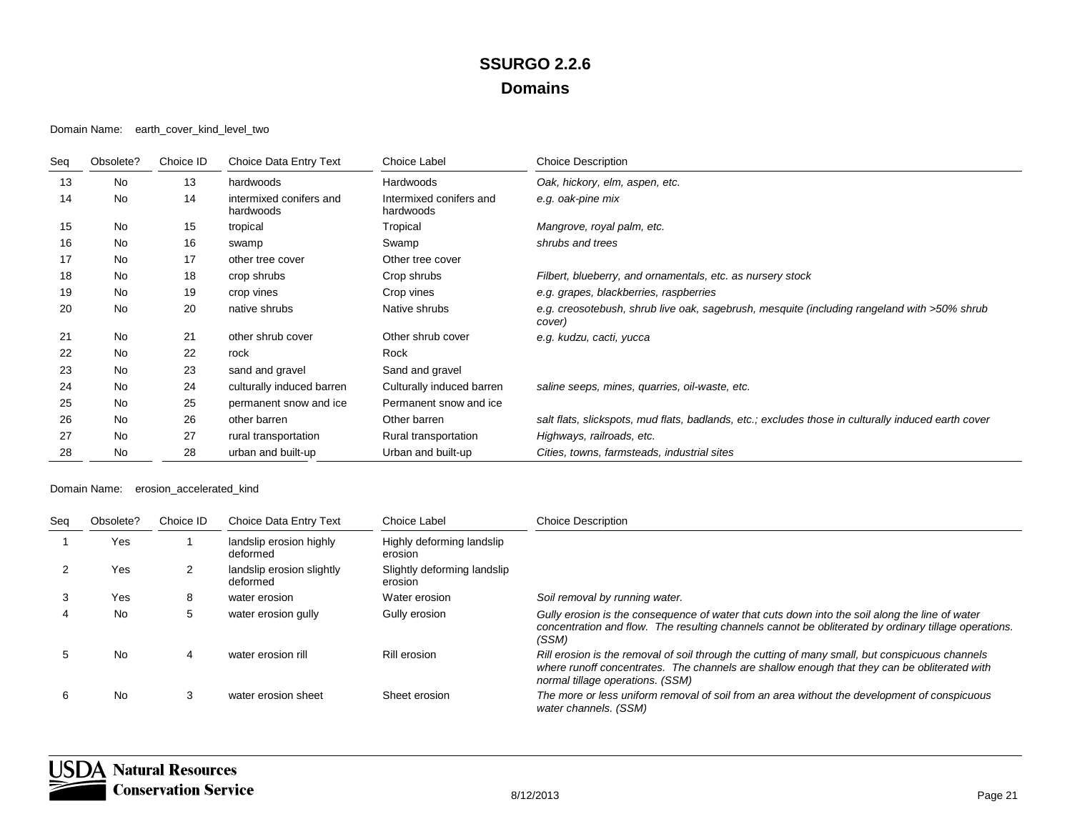#### Domain Name: earth\_cover\_kind\_level\_two

| Seg | Obsolete? | Choice ID | Choice Data Entry Text               | Choice Label                         | <b>Choice Description</b>                                                                             |
|-----|-----------|-----------|--------------------------------------|--------------------------------------|-------------------------------------------------------------------------------------------------------|
| 13  | No        | 13        | hardwoods                            | Hardwoods                            | Oak, hickory, elm, aspen, etc.                                                                        |
| 14  | <b>No</b> | 14        | intermixed conifers and<br>hardwoods | Intermixed conifers and<br>hardwoods | e.g. oak-pine mix                                                                                     |
| 15  | No        | 15        | tropical                             | Tropical                             | Mangrove, royal palm, etc.                                                                            |
| 16  | No        | 16        | swamp                                | Swamp                                | shrubs and trees                                                                                      |
| 17  | No        | 17        | other tree cover                     | Other tree cover                     |                                                                                                       |
| 18  | No        | 18        | crop shrubs                          | Crop shrubs                          | Filbert, blueberry, and ornamentals, etc. as nursery stock                                            |
| 19  | No        | 19        | crop vines                           | Crop vines                           | e.g. grapes, blackberries, raspberries                                                                |
| 20  | No        | 20        | native shrubs                        | Native shrubs                        | e.g. creosotebush, shrub live oak, sagebrush, mesquite (including rangeland with >50% shrub<br>cover) |
| 21  | No        | 21        | other shrub cover                    | Other shrub cover                    | e.g. kudzu, cacti, yucca                                                                              |
| 22  | No        | 22        | rock                                 | Rock                                 |                                                                                                       |
| 23  | No        | 23        | sand and gravel                      | Sand and gravel                      |                                                                                                       |
| 24  | No        | 24        | culturally induced barren            | Culturally induced barren            | saline seeps, mines, quarries, oil-waste, etc.                                                        |
| 25  | No        | 25        | permanent snow and ice               | Permanent snow and ice               |                                                                                                       |
| 26  | No        | 26        | other barren                         | Other barren                         | salt flats, slickspots, mud flats, badlands, etc.; excludes those in culturally induced earth cover   |
| 27  | No        | 27        | rural transportation                 | Rural transportation                 | Highways, railroads, etc.                                                                             |
| 28  | No        | 28        | urban and built-up                   | Urban and built-up                   | Cities, towns, farmsteads, industrial sites                                                           |

#### Domain Name: erosion\_accelerated\_kind

| Seg | Obsolete? | Choice ID | Choice Data Entry Text                | Choice Label                           | <b>Choice Description</b>                                                                                                                                                                                                           |
|-----|-----------|-----------|---------------------------------------|----------------------------------------|-------------------------------------------------------------------------------------------------------------------------------------------------------------------------------------------------------------------------------------|
|     | Yes       |           | landslip erosion highly<br>deformed   | Highly deforming landslip<br>erosion   |                                                                                                                                                                                                                                     |
|     | Yes       | 2         | landslip erosion slightly<br>deformed | Slightly deforming landslip<br>erosion |                                                                                                                                                                                                                                     |
|     | Yes       | 8         | water erosion                         | Water erosion                          | Soil removal by running water.                                                                                                                                                                                                      |
|     | No        | 5         | water erosion gully                   | Gully erosion                          | Gully erosion is the consequence of water that cuts down into the soil along the line of water<br>concentration and flow. The resulting channels cannot be obliterated by ordinary tillage operations.<br>(SSM)                     |
|     | No        | 4         | water erosion rill                    | Rill erosion                           | Rill erosion is the removal of soil through the cutting of many small, but conspicuous channels<br>where runoff concentrates. The channels are shallow enough that they can be obliterated with<br>normal tillage operations. (SSM) |
|     | No        | 3         | water erosion sheet                   | Sheet erosion                          | The more or less uniform removal of soil from an area without the development of conspicuous<br>water channels. (SSM)                                                                                                               |

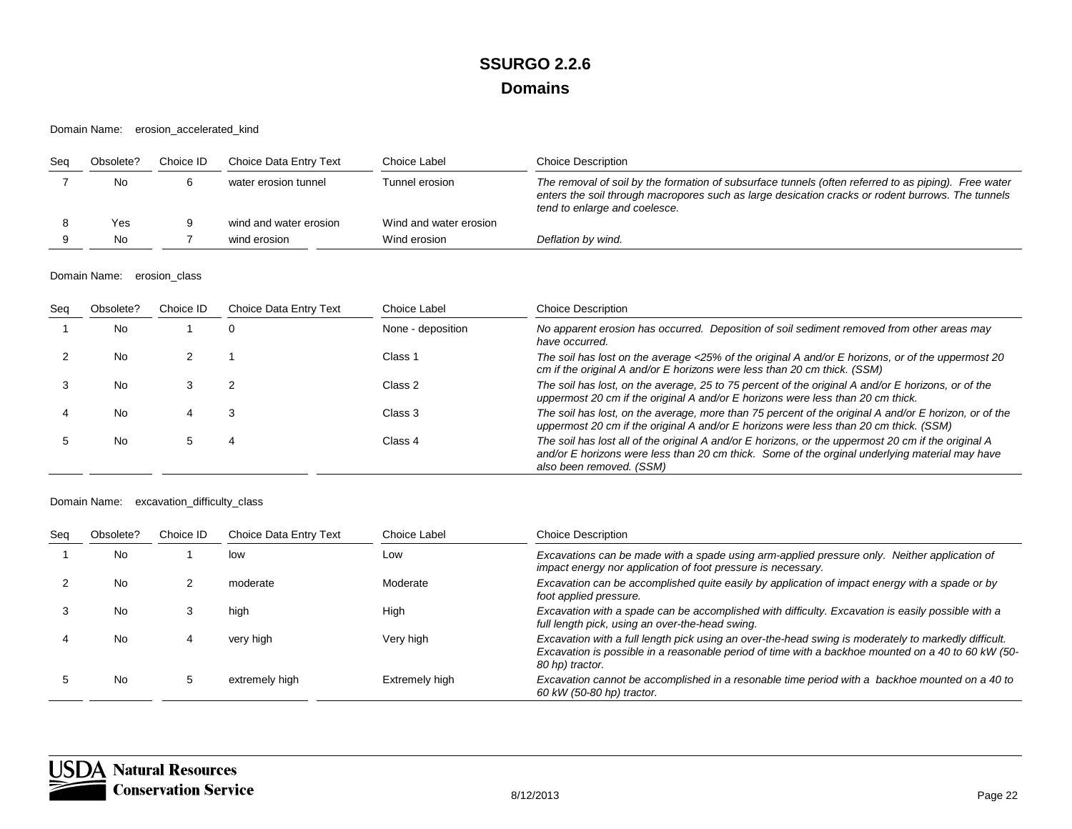Domain Name: erosion\_accelerated\_kind

| Sea | Obsolete? | Choice ID | Choice Data Entry Text | Choice Label           | <b>Choice Description</b>                                                                                                                                                                                                                  |
|-----|-----------|-----------|------------------------|------------------------|--------------------------------------------------------------------------------------------------------------------------------------------------------------------------------------------------------------------------------------------|
|     | No        |           | water erosion tunnel   | Tunnel erosion         | The removal of soil by the formation of subsurface tunnels (often referred to as piping). Free water<br>enters the soil through macropores such as large desication cracks or rodent burrows. The tunnels<br>tend to enlarge and coelesce. |
|     | Yes       |           | wind and water erosion | Wind and water erosion |                                                                                                                                                                                                                                            |
|     | No        |           | wind erosion           | Wind erosion           | Deflation by wind.                                                                                                                                                                                                                         |

Domain Name: erosion\_class

| Seq | Obsolete? | Choice ID | Choice Data Entry Text | Choice Label      | <b>Choice Description</b>                                                                                                                                                                                                         |
|-----|-----------|-----------|------------------------|-------------------|-----------------------------------------------------------------------------------------------------------------------------------------------------------------------------------------------------------------------------------|
|     | No        |           |                        | None - deposition | No apparent erosion has occurred. Deposition of soil sediment removed from other areas may<br>have occurred.                                                                                                                      |
|     | No        |           |                        | Class 1           | The soil has lost on the average <25% of the original A and/or E horizons, or of the uppermost 20<br>cm if the original A and/or E horizons were less than 20 cm thick. (SSM)                                                     |
|     | No        |           |                        | Class 2           | The soil has lost, on the average, 25 to 75 percent of the original A and/or E horizons, or of the<br>uppermost 20 cm if the original A and/or E horizons were less than 20 cm thick.                                             |
|     | No        |           |                        | Class 3           | The soil has lost, on the average, more than 75 percent of the original A and/or E horizon, or of the<br>uppermost 20 cm if the original A and/or E horizons were less than 20 cm thick. (SSM)                                    |
|     | No        |           |                        | Class 4           | The soil has lost all of the original A and/or E horizons, or the uppermost 20 cm if the original A<br>and/or E horizons were less than 20 cm thick. Some of the orginal underlying material may have<br>also been removed. (SSM) |

Domain Name: excavation\_difficulty\_class

| Sea | Obsolete? | Choice ID | Choice Data Entry Text | Choice Label   | <b>Choice Description</b>                                                                                                                                                                                                     |
|-----|-----------|-----------|------------------------|----------------|-------------------------------------------------------------------------------------------------------------------------------------------------------------------------------------------------------------------------------|
|     | No        |           | low                    | Low            | Excavations can be made with a spade using arm-applied pressure only. Neither application of<br>impact energy nor application of foot pressure is necessary.                                                                  |
|     | No.       |           | moderate               | Moderate       | Excavation can be accomplished quite easily by application of impact energy with a spade or by<br>foot applied pressure.                                                                                                      |
|     | No.       |           | high                   | High           | Excavation with a spade can be accomplished with difficulty. Excavation is easily possible with a<br>full length pick, using an over-the-head swing.                                                                          |
|     | No        |           | very high              | Very high      | Excavation with a full length pick using an over-the-head swing is moderately to markedly difficult.<br>Excavation is possible in a reasonable period of time with a backhoe mounted on a 40 to 60 kW (50-<br>80 hp) tractor. |
|     | No        |           | extremely high         | Extremely high | Excavation cannot be accomplished in a resonable time period with a backhoe mounted on a 40 to<br>60 kW (50-80 hp) tractor.                                                                                                   |

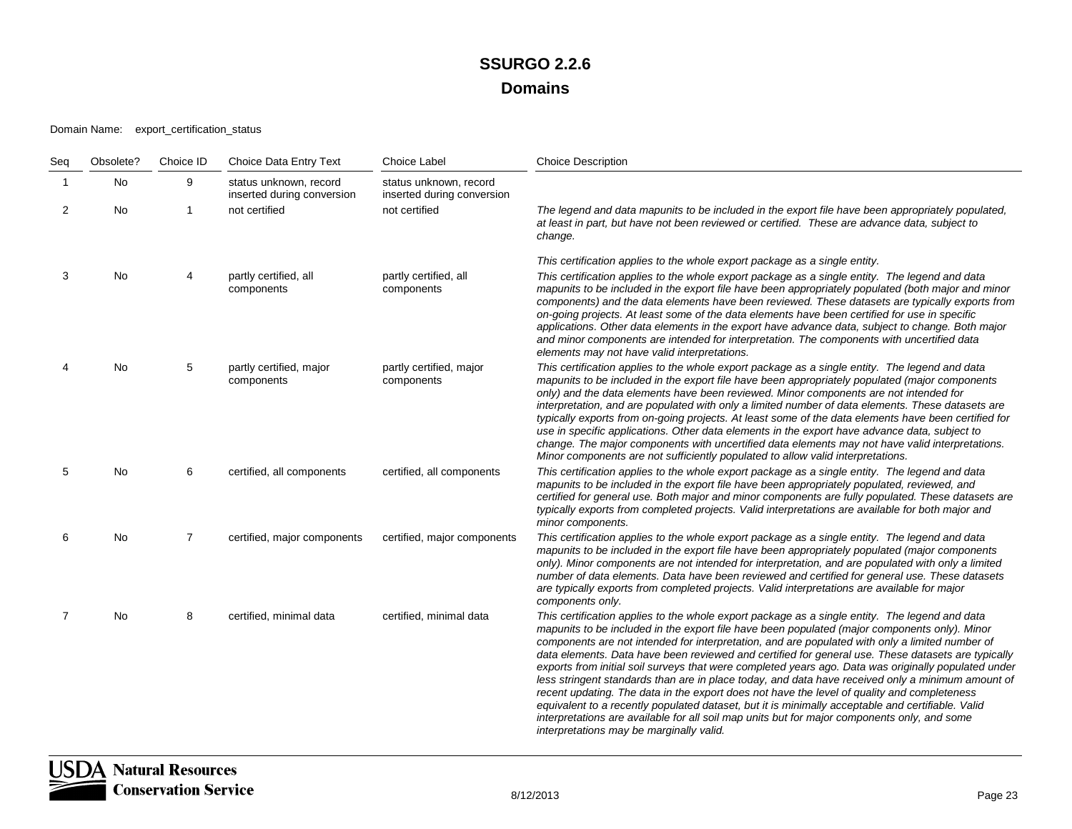#### Domain Name: export\_certification\_status

| Seq          | Obsolete? | Choice ID      | Choice Data Entry Text                               | Choice Label                                         | <b>Choice Description</b>                                                                                                                                                                                                                                                                                                                                                                                                                                                                                                                                                                                                                                                                                                                                                                                                                                                                                                                                             |
|--------------|-----------|----------------|------------------------------------------------------|------------------------------------------------------|-----------------------------------------------------------------------------------------------------------------------------------------------------------------------------------------------------------------------------------------------------------------------------------------------------------------------------------------------------------------------------------------------------------------------------------------------------------------------------------------------------------------------------------------------------------------------------------------------------------------------------------------------------------------------------------------------------------------------------------------------------------------------------------------------------------------------------------------------------------------------------------------------------------------------------------------------------------------------|
| $\mathbf{1}$ | No.       | 9              | status unknown, record<br>inserted during conversion | status unknown, record<br>inserted during conversion |                                                                                                                                                                                                                                                                                                                                                                                                                                                                                                                                                                                                                                                                                                                                                                                                                                                                                                                                                                       |
| 2            | <b>No</b> | -1             | not certified                                        | not certified                                        | The legend and data mapunits to be included in the export file have been appropriately populated,<br>at least in part, but have not been reviewed or certified. These are advance data, subject to<br>change.                                                                                                                                                                                                                                                                                                                                                                                                                                                                                                                                                                                                                                                                                                                                                         |
|              |           |                |                                                      |                                                      | This certification applies to the whole export package as a single entity.                                                                                                                                                                                                                                                                                                                                                                                                                                                                                                                                                                                                                                                                                                                                                                                                                                                                                            |
| 3            | <b>No</b> | 4              | partly certified, all<br>components                  | partly certified, all<br>components                  | This certification applies to the whole export package as a single entity. The legend and data<br>mapunits to be included in the export file have been appropriately populated (both major and minor<br>components) and the data elements have been reviewed. These datasets are typically exports from<br>on-going projects. At least some of the data elements have been certified for use in specific<br>applications. Other data elements in the export have advance data, subject to change. Both major<br>and minor components are intended for interpretation. The components with uncertified data<br>elements may not have valid interpretations.                                                                                                                                                                                                                                                                                                            |
|              | <b>No</b> | 5              | partly certified, major<br>components                | partly certified, major<br>components                | This certification applies to the whole export package as a single entity. The legend and data<br>mapunits to be included in the export file have been appropriately populated (major components<br>only) and the data elements have been reviewed. Minor components are not intended for<br>interpretation, and are populated with only a limited number of data elements. These datasets are<br>typically exports from on-going projects. At least some of the data elements have been certified for<br>use in specific applications. Other data elements in the export have advance data, subject to<br>change. The major components with uncertified data elements may not have valid interpretations.<br>Minor components are not sufficiently populated to allow valid interpretations.                                                                                                                                                                         |
| 5            | <b>No</b> | 6              | certified, all components                            | certified, all components                            | This certification applies to the whole export package as a single entity. The legend and data<br>mapunits to be included in the export file have been appropriately populated, reviewed, and<br>certified for general use. Both major and minor components are fully populated. These datasets are<br>typically exports from completed projects. Valid interpretations are available for both major and<br>minor components.                                                                                                                                                                                                                                                                                                                                                                                                                                                                                                                                         |
| 6            | <b>No</b> | $\overline{7}$ | certified, major components                          | certified, major components                          | This certification applies to the whole export package as a single entity. The legend and data<br>mapunits to be included in the export file have been appropriately populated (major components<br>only). Minor components are not intended for interpretation, and are populated with only a limited<br>number of data elements. Data have been reviewed and certified for general use. These datasets<br>are typically exports from completed projects. Valid interpretations are available for major<br>components only.                                                                                                                                                                                                                                                                                                                                                                                                                                          |
| 7            | <b>No</b> | 8              | certified, minimal data                              | certified, minimal data                              | This certification applies to the whole export package as a single entity. The legend and data<br>mapunits to be included in the export file have been populated (major components only). Minor<br>components are not intended for interpretation, and are populated with only a limited number of<br>data elements. Data have been reviewed and certified for general use. These datasets are typically<br>exports from initial soil surveys that were completed years ago. Data was originally populated under<br>less stringent standards than are in place today, and data have received only a minimum amount of<br>recent updating. The data in the export does not have the level of quality and completeness<br>equivalent to a recently populated dataset, but it is minimally acceptable and certifiable. Valid<br>interpretations are available for all soil map units but for major components only, and some<br>interpretations may be marginally valid. |

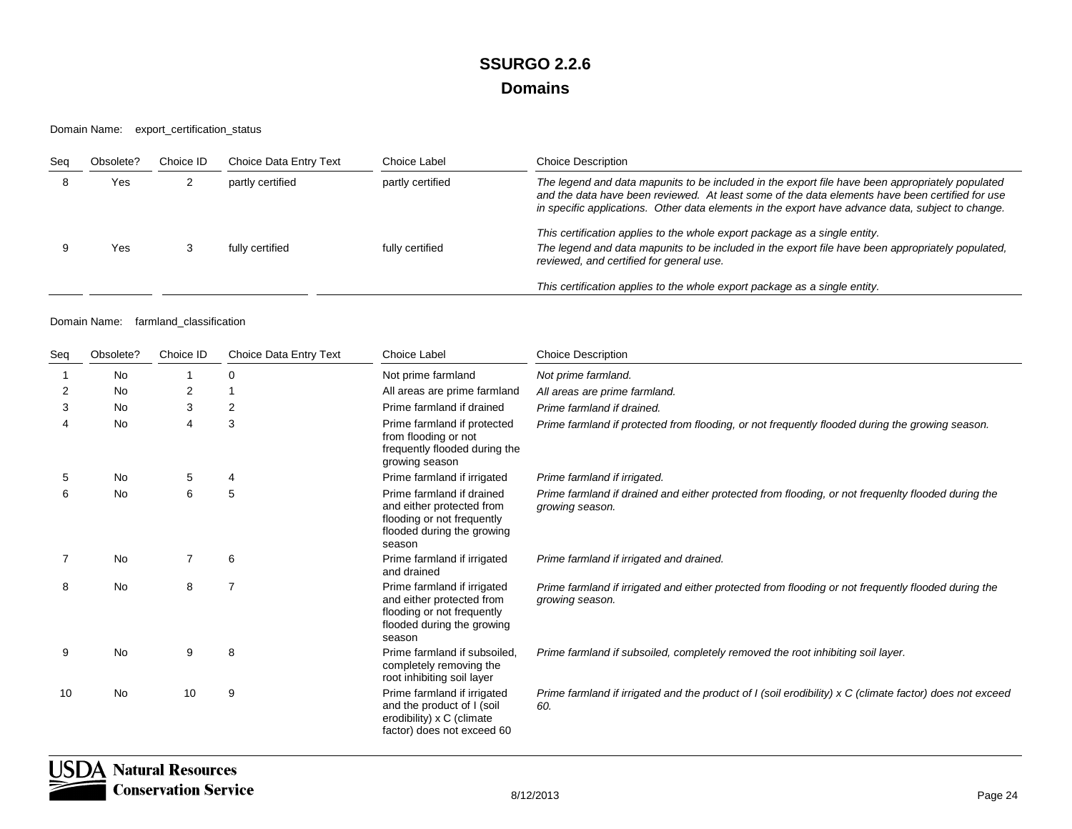Domain Name: export\_certification\_status

| Seg | Obsolete? | Choice ID | Choice Data Entry Text | Choice Label     | <b>Choice Description</b>                                                                                                                                                                                                                                                                                |
|-----|-----------|-----------|------------------------|------------------|----------------------------------------------------------------------------------------------------------------------------------------------------------------------------------------------------------------------------------------------------------------------------------------------------------|
|     | Yes       |           | partly certified       | partly certified | The legend and data mapunits to be included in the export file have been appropriately populated<br>and the data have been reviewed. At least some of the data elements have been certified for use<br>in specific applications. Other data elements in the export have advance data, subject to change. |
|     | Yes       |           | fully certified        | fully certified  | This certification applies to the whole export package as a single entity.<br>The legend and data mapunits to be included in the export file have been appropriately populated,<br>reviewed, and certified for general use.                                                                              |
|     |           |           |                        |                  | This certification applies to the whole export package as a single entity.                                                                                                                                                                                                                               |

#### Domain Name: farmland\_classification

| Seq | Obsolete? | Choice ID      | Choice Data Entry Text | <b>Choice Label</b>                                                                                                            | <b>Choice Description</b>                                                                                              |
|-----|-----------|----------------|------------------------|--------------------------------------------------------------------------------------------------------------------------------|------------------------------------------------------------------------------------------------------------------------|
|     | No        |                | $\Omega$               | Not prime farmland                                                                                                             | Not prime farmland.                                                                                                    |
| 2   | <b>No</b> | $\overline{2}$ |                        | All areas are prime farmland                                                                                                   | All areas are prime farmland.                                                                                          |
| 3   | <b>No</b> | 3              | 2                      | Prime farmland if drained                                                                                                      | Prime farmland if drained.                                                                                             |
|     | <b>No</b> | $\overline{4}$ | 3                      | Prime farmland if protected<br>from flooding or not<br>frequently flooded during the<br>growing season                         | Prime farmland if protected from flooding, or not frequently flooded during the growing season.                        |
| 5   | <b>No</b> | 5              | 4                      | Prime farmland if irrigated                                                                                                    | Prime farmland if irrigated.                                                                                           |
| 6   | No        | 6              | 5                      | Prime farmland if drained<br>and either protected from<br>flooding or not frequently<br>flooded during the growing<br>season   | Prime farmland if drained and either protected from flooding, or not frequenlty flooded during the<br>growing season.  |
|     | <b>No</b> | 7              | 6                      | Prime farmland if irrigated<br>and drained                                                                                     | Prime farmland if irrigated and drained.                                                                               |
| 8   | <b>No</b> | 8              |                        | Prime farmland if irrigated<br>and either protected from<br>flooding or not frequently<br>flooded during the growing<br>season | Prime farmland if irrigated and either protected from flooding or not frequently flooded during the<br>growing season. |
| 9   | <b>No</b> | 9              | 8                      | Prime farmland if subsoiled.<br>completely removing the<br>root inhibiting soil layer                                          | Prime farmland if subsoiled, completely removed the root inhibiting soil layer.                                        |
| 10  | No        | 10             | 9                      | Prime farmland if irrigated<br>and the product of I (soil<br>erodibility) x C (climate<br>factor) does not exceed 60           | Prime farmland if irrigated and the product of I (soil erodibility) x C (climate factor) does not exceed<br>60.        |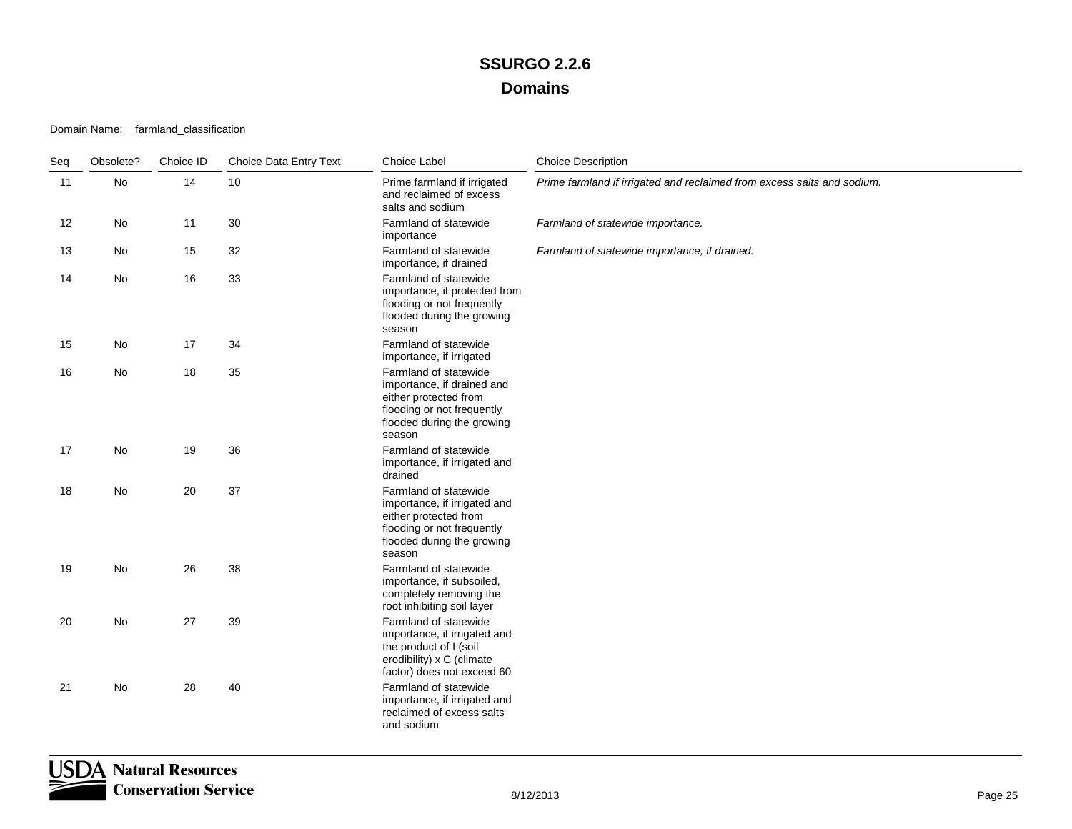#### Domain Name: farmland\_classification

| Seq | Obsolete? | Choice ID | Choice Data Entry Text | Choice Label                                                                                                                                         | <b>Choice Description</b>                                               |
|-----|-----------|-----------|------------------------|------------------------------------------------------------------------------------------------------------------------------------------------------|-------------------------------------------------------------------------|
| 11  | No        | 14        | 10                     | Prime farmland if irrigated<br>and reclaimed of excess<br>salts and sodium                                                                           | Prime farmland if irrigated and reclaimed from excess salts and sodium. |
| 12  | No        | 11        | 30                     | Farmland of statewide<br>importance                                                                                                                  | Farmland of statewide importance.                                       |
| 13  | No        | 15        | 32                     | Farmland of statewide<br>importance, if drained                                                                                                      | Farmland of statewide importance, if drained.                           |
| 14  | No        | 16        | 33                     | Farmland of statewide<br>importance, if protected from<br>flooding or not frequently<br>flooded during the growing<br>season                         |                                                                         |
| 15  | No        | 17        | 34                     | Farmland of statewide<br>importance, if irrigated                                                                                                    |                                                                         |
| 16  | No        | 18        | 35                     | Farmland of statewide<br>importance, if drained and<br>either protected from<br>flooding or not frequently<br>flooded during the growing<br>season   |                                                                         |
| 17  | No        | 19        | 36                     | Farmland of statewide<br>importance, if irrigated and<br>drained                                                                                     |                                                                         |
| 18  | No        | 20        | 37                     | Farmland of statewide<br>importance, if irrigated and<br>either protected from<br>flooding or not frequently<br>flooded during the growing<br>season |                                                                         |
| 19  | No        | 26        | 38                     | Farmland of statewide<br>importance, if subsoiled,<br>completely removing the<br>root inhibiting soil layer                                          |                                                                         |
| 20  | No        | 27        | 39                     | Farmland of statewide<br>importance, if irrigated and<br>the product of I (soil<br>erodibility) x C (climate<br>factor) does not exceed 60           |                                                                         |
| 21  | No        | 28        | 40                     | Farmland of statewide<br>importance, if irrigated and<br>reclaimed of excess salts<br>and sodium                                                     |                                                                         |

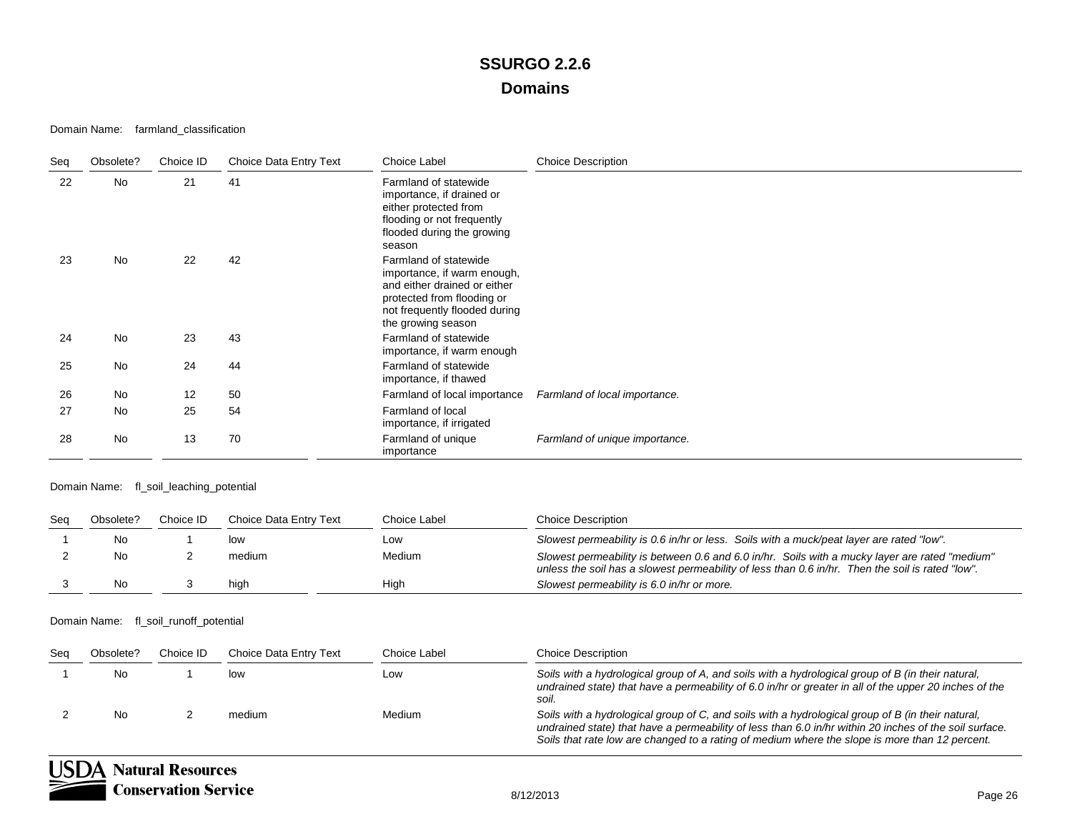#### Domain Name: farmland\_classification

| Seq | Obsolete? | Choice ID | Choice Data Entry Text | Choice Label                                                                                                                                                              | <b>Choice Description</b>      |
|-----|-----------|-----------|------------------------|---------------------------------------------------------------------------------------------------------------------------------------------------------------------------|--------------------------------|
| 22  | No        | 21        | 41                     | Farmland of statewide<br>importance, if drained or<br>either protected from<br>flooding or not frequently<br>flooded during the growing<br>season                         |                                |
| 23  | No        | 22        | 42                     | Farmland of statewide<br>importance, if warm enough,<br>and either drained or either<br>protected from flooding or<br>not frequently flooded during<br>the growing season |                                |
| 24  | <b>No</b> | 23        | 43                     | Farmland of statewide<br>importance, if warm enough                                                                                                                       |                                |
| 25  | No        | 24        | 44                     | Farmland of statewide<br>importance, if thawed                                                                                                                            |                                |
| 26  | <b>No</b> | 12        | 50                     | Farmland of local importance                                                                                                                                              | Farmland of local importance.  |
| 27  | No        | 25        | 54                     | Farmland of local<br>importance, if irrigated                                                                                                                             |                                |
| 28  | No        | 13        | 70                     | Farmland of unique<br>importance                                                                                                                                          | Farmland of unique importance. |

#### Domain Name: fl\_soil\_leaching\_potential

| Sea | Obsolete? | Choice ID | Choice Data Entry Text | Choice Label | <b>Choice Description</b>                                                                                                                                                                          |
|-----|-----------|-----------|------------------------|--------------|----------------------------------------------------------------------------------------------------------------------------------------------------------------------------------------------------|
|     | Nc        |           | low                    | Low          | Slowest permeability is 0.6 in/hr or less. Soils with a muck/peat layer are rated "low".                                                                                                           |
|     | No        |           | medium                 | Medium       | Slowest permeability is between 0.6 and 6.0 in/hr. Soils with a mucky layer are rated "medium"<br>unless the soil has a slowest permeability of less than 0.6 in/hr. Then the soil is rated "low". |
|     | No        |           | high                   | High         | Slowest permeability is 6.0 in/hr or more.                                                                                                                                                         |

#### Domain Name: fl\_soil\_runoff\_potential

| Sec | Obsolete? | Choice ID | Choice Data Entry Text | Choice Label | <b>Choice Description</b>                                                                                                                                                                                                                                                                                     |
|-----|-----------|-----------|------------------------|--------------|---------------------------------------------------------------------------------------------------------------------------------------------------------------------------------------------------------------------------------------------------------------------------------------------------------------|
|     | No.       |           | low                    | Low          | Soils with a hydrological group of A, and soils with a hydrological group of B (in their natural,<br>undrained state) that have a permeability of 6.0 in/hr or greater in all of the upper 20 inches of the<br>soil.                                                                                          |
|     | No.       |           | medium                 | Medium       | Soils with a hydrological group of C, and soils with a hydrological group of B (in their natural,<br>undrained state) that have a permeability of less than 6.0 in/hr within 20 inches of the soil surface.<br>Soils that rate low are changed to a rating of medium where the slope is more than 12 percent. |

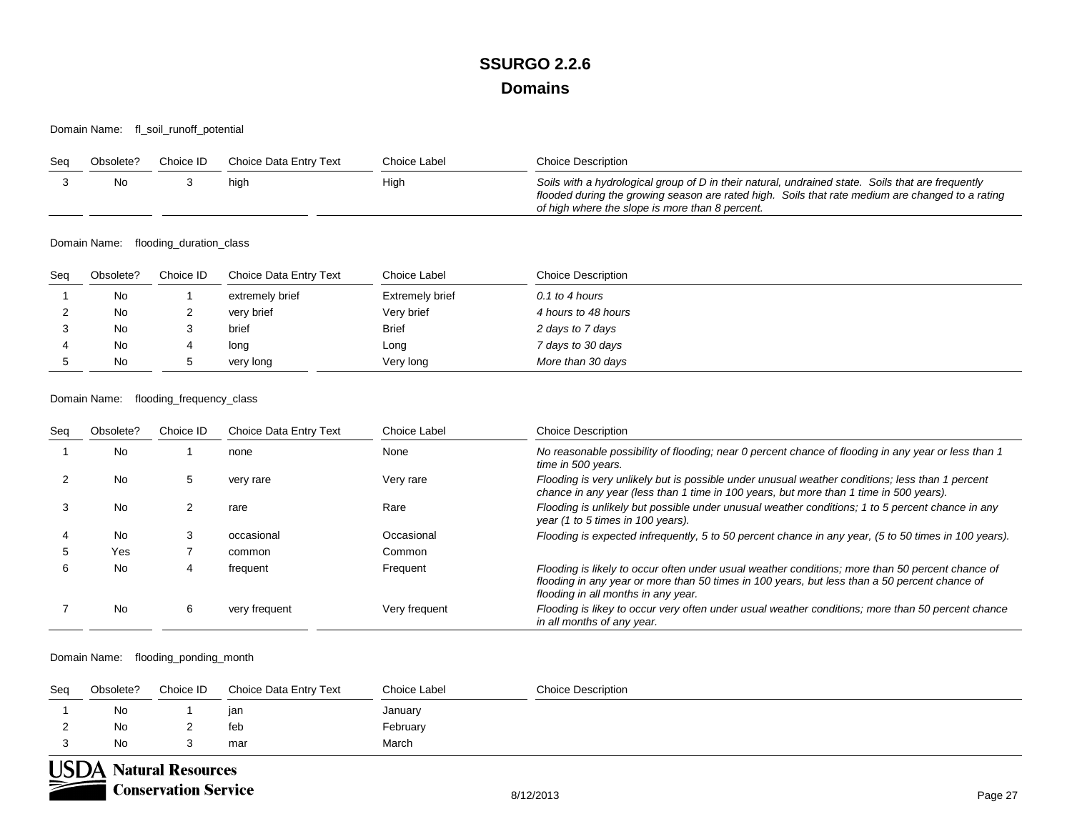Domain Name: fl\_soil\_runoff\_potential

| Seq | Obsolete? | Choice ID | Choice Data Entry Text | Choice Label | <b>Choice Description</b>                                                                                                                                                                                                                                |
|-----|-----------|-----------|------------------------|--------------|----------------------------------------------------------------------------------------------------------------------------------------------------------------------------------------------------------------------------------------------------------|
|     | No.       |           | hiah                   | Hiah         | Soils with a hydrological group of D in their natural, undrained state. Soils that are frequently<br>flooded during the growing season are rated high. Soils that rate medium are changed to a rating<br>of high where the slope is more than 8 percent. |

Domain Name: flooding\_duration\_class

| Seg | Obsolete? | Choice ID | Choice Data Entry Text | Choice Label    | <b>Choice Description</b> |
|-----|-----------|-----------|------------------------|-----------------|---------------------------|
|     | No        |           | extremely brief        | Extremely brief | 0.1 to 4 hours            |
| ∼   | No        | ∼         | very brief             | Very brief      | 4 hours to 48 hours       |
|     | No        |           | brief                  | <b>Brief</b>    | 2 days to 7 days          |
|     | No        |           | long                   | Long            | 7 days to 30 days         |
|     | No        | w         | very long              | Very long       | More than 30 days         |

Domain Name: flooding\_frequency\_class

| Sea | Obsolete? | Choice ID | Choice Data Entry Text | Choice Label  | <b>Choice Description</b>                                                                                                                                                                                                                |
|-----|-----------|-----------|------------------------|---------------|------------------------------------------------------------------------------------------------------------------------------------------------------------------------------------------------------------------------------------------|
|     | No        |           | none                   | None          | No reasonable possibility of flooding; near 0 percent chance of flooding in any year or less than 1<br>time in 500 years.                                                                                                                |
|     | No        |           | very rare              | Very rare     | Flooding is very unlikely but is possible under unusual weather conditions; less than 1 percent<br>chance in any year (less than 1 time in 100 years, but more than 1 time in 500 years).                                                |
|     | No        |           | rare                   | Rare          | Flooding is unlikely but possible under unusual weather conditions; 1 to 5 percent chance in any<br>year (1 to 5 times in 100 years).                                                                                                    |
|     | No        |           | occasional             | Occasional    | Flooding is expected infrequently, 5 to 50 percent chance in any year, (5 to 50 times in 100 years).                                                                                                                                     |
|     | Yes       |           | common                 | Common        |                                                                                                                                                                                                                                          |
|     | No        |           | frequent               | Frequent      | Flooding is likely to occur often under usual weather conditions; more than 50 percent chance of<br>flooding in any year or more than 50 times in 100 years, but less than a 50 percent chance of<br>flooding in all months in any year. |
|     | No        | 6         | very frequent          | Very frequent | Flooding is likey to occur very often under usual weather conditions; more than 50 percent chance<br>in all months of any year.                                                                                                          |

Domain Name: flooding\_ponding\_month

| Seq | Obsolete? | Choice ID | Choice Data Entry Text | Choice Label | <b>Choice Description</b> |
|-----|-----------|-----------|------------------------|--------------|---------------------------|
|     | No        |           | jan                    | January      |                           |
|     | No        |           | feb                    | February     |                           |
|     | No        |           | mar                    | March        |                           |



**USDA Natural Resources Conservation Service**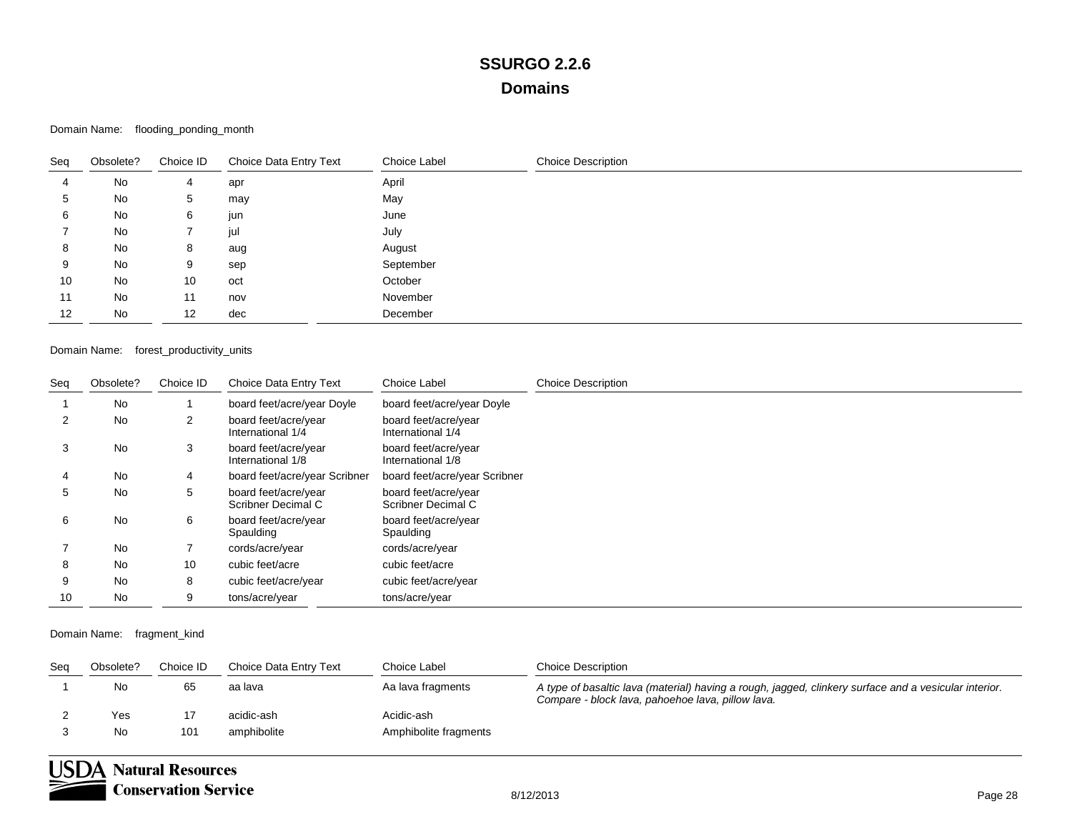#### Domain Name: flooding\_ponding\_month

| Seq | Obsolete? | Choice ID | Choice Data Entry Text | Choice Label | <b>Choice Description</b> |
|-----|-----------|-----------|------------------------|--------------|---------------------------|
| 4   | No        | 4         | apr                    | April        |                           |
| 5   | No        | 5         | may                    | May          |                           |
| 6   | No        | 6         | jun                    | June         |                           |
|     | No        |           | jul                    | July         |                           |
| 8   | No        | 8         | aug                    | August       |                           |
| 9   | No        | 9         | sep                    | September    |                           |
| 10  | No        | 10        | oct                    | October      |                           |
| 11  | No        | 11        | nov                    | November     |                           |
| 12  | No        | 12        | dec                    | December     |                           |

#### Domain Name: forest\_productivity\_units

| Seg | Obsolete? | Choice ID      | Choice Data Entry Text                     | Choice Label                               | <b>Choice Description</b> |
|-----|-----------|----------------|--------------------------------------------|--------------------------------------------|---------------------------|
|     | <b>No</b> |                | board feet/acre/year Doyle                 | board feet/acre/year Doyle                 |                           |
|     | No        | $\overline{2}$ | board feet/acre/year<br>International 1/4  | board feet/acre/year<br>International 1/4  |                           |
| 3   | No        | 3              | board feet/acre/year<br>International 1/8  | board feet/acre/year<br>International 1/8  |                           |
|     | <b>No</b> | 4              | board feet/acre/year Scribner              | board feet/acre/year Scribner              |                           |
| 5   | <b>No</b> | 5              | board feet/acre/year<br>Scribner Decimal C | board feet/acre/year<br>Scribner Decimal C |                           |
| 6   | <b>No</b> | 6              | board feet/acre/year<br>Spaulding          | board feet/acre/year<br>Spaulding          |                           |
|     | <b>No</b> | 7              | cords/acre/year                            | cords/acre/year                            |                           |
| 8   | <b>No</b> | 10             | cubic feet/acre                            | cubic feet/acre                            |                           |
| 9   | <b>No</b> | 8              | cubic feet/acre/year                       | cubic feet/acre/year                       |                           |
| 10  | No        | 9              | tons/acre/year                             | tons/acre/year                             |                           |

| Sea | Obsolete? | Choice ID | Choice Data Entry Text | Choice Label          | <b>Choice Description</b>                                                                                                                                  |
|-----|-----------|-----------|------------------------|-----------------------|------------------------------------------------------------------------------------------------------------------------------------------------------------|
|     | No        | 65        | aa lava                | Aa lava fragments     | A type of basaltic lava (material) having a rough, jagged, clinkery surface and a vesicular interior.<br>Compare - block lava, pahoehoe lava, pillow lava. |
|     | Yes       |           | acidic-ash             | Acidic-ash            |                                                                                                                                                            |
|     | No        | 101       | amphibolite            | Amphibolite fragments |                                                                                                                                                            |

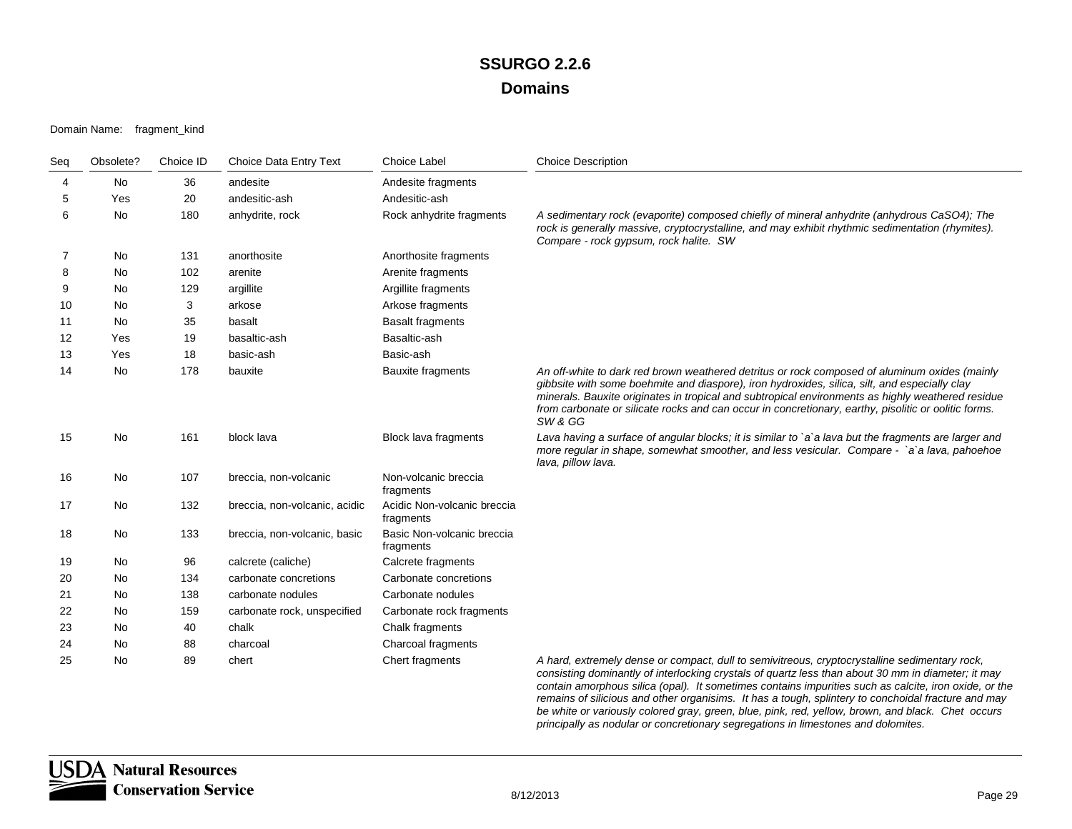#### Domain Name: fragment\_kind

| Seq | Obsolete? | Choice ID | Choice Data Entry Text        | <b>Choice Label</b>                      | <b>Choice Description</b>                                                                                                                                                                                                                                                                                                                                                                                              |
|-----|-----------|-----------|-------------------------------|------------------------------------------|------------------------------------------------------------------------------------------------------------------------------------------------------------------------------------------------------------------------------------------------------------------------------------------------------------------------------------------------------------------------------------------------------------------------|
| 4   | No        | 36        | andesite                      | Andesite fragments                       |                                                                                                                                                                                                                                                                                                                                                                                                                        |
| 5   | Yes       | 20        | andesitic-ash                 | Andesitic-ash                            |                                                                                                                                                                                                                                                                                                                                                                                                                        |
| 6   | No        | 180       | anhydrite, rock               | Rock anhydrite fragments                 | A sedimentary rock (evaporite) composed chiefly of mineral anhydrite (anhydrous CaSO4); The<br>rock is generally massive, cryptocrystalline, and may exhibit rhythmic sedimentation (rhymites).<br>Compare - rock gypsum, rock halite. SW                                                                                                                                                                              |
| 7   | No        | 131       | anorthosite                   | Anorthosite fragments                    |                                                                                                                                                                                                                                                                                                                                                                                                                        |
| 8   | No        | 102       | arenite                       | Arenite fragments                        |                                                                                                                                                                                                                                                                                                                                                                                                                        |
| 9   | No        | 129       | argillite                     | Argillite fragments                      |                                                                                                                                                                                                                                                                                                                                                                                                                        |
| 10  | No        | 3         | arkose                        | Arkose fragments                         |                                                                                                                                                                                                                                                                                                                                                                                                                        |
| 11  | <b>No</b> | 35        | basalt                        | <b>Basalt fragments</b>                  |                                                                                                                                                                                                                                                                                                                                                                                                                        |
| 12  | Yes       | 19        | basaltic-ash                  | Basaltic-ash                             |                                                                                                                                                                                                                                                                                                                                                                                                                        |
| 13  | Yes       | 18        | basic-ash                     | Basic-ash                                |                                                                                                                                                                                                                                                                                                                                                                                                                        |
| 14  | No        | 178       | bauxite                       | <b>Bauxite fragments</b>                 | An off-white to dark red brown weathered detritus or rock composed of aluminum oxides (mainly<br>gibbsite with some boehmite and diaspore), iron hydroxides, silica, silt, and especially clay<br>minerals. Bauxite originates in tropical and subtropical environments as highly weathered residue<br>from carbonate or silicate rocks and can occur in concretionary, earthy, pisolitic or oolitic forms.<br>SW & GG |
| 15  | <b>No</b> | 161       | block lava                    | Block lava fragments                     | Lava having a surface of angular blocks; it is similar to `a`a lava but the fragments are larger and<br>more regular in shape, somewhat smoother, and less vesicular. Compare - `a`a lava, pahoehoe<br>lava, pillow lava.                                                                                                                                                                                              |
| 16  | No        | 107       | breccia, non-volcanic         | Non-volcanic breccia<br>fragments        |                                                                                                                                                                                                                                                                                                                                                                                                                        |
| 17  | <b>No</b> | 132       | breccia, non-volcanic, acidic | Acidic Non-volcanic breccia<br>fragments |                                                                                                                                                                                                                                                                                                                                                                                                                        |
| 18  | No        | 133       | breccia, non-volcanic, basic  | Basic Non-volcanic breccia<br>fragments  |                                                                                                                                                                                                                                                                                                                                                                                                                        |
| 19  | No        | 96        | calcrete (caliche)            | Calcrete fragments                       |                                                                                                                                                                                                                                                                                                                                                                                                                        |
| 20  | No        | 134       | carbonate concretions         | Carbonate concretions                    |                                                                                                                                                                                                                                                                                                                                                                                                                        |
| 21  | No        | 138       | carbonate nodules             | Carbonate nodules                        |                                                                                                                                                                                                                                                                                                                                                                                                                        |
| 22  | No        | 159       | carbonate rock, unspecified   | Carbonate rock fragments                 |                                                                                                                                                                                                                                                                                                                                                                                                                        |
| 23  | <b>No</b> | 40        | chalk                         | Chalk fragments                          |                                                                                                                                                                                                                                                                                                                                                                                                                        |
| 24  | <b>No</b> | 88        | charcoal                      | Charcoal fragments                       |                                                                                                                                                                                                                                                                                                                                                                                                                        |
| 25  | No.       | 89        | chert                         | Chert fragments                          | A hard, extremely dense or compact, dull to semivitreous, cryptocrystalline sedimentary rock,<br>consisting dominantly of interlocking crystals of quartz less than about 30 mm in diameter; it may<br>contain amorphous silica (opal). It sometimes contains impurities such as calcite, iron oxide, or the                                                                                                           |

*contain amorphous silica (opal). It sometimes contains impurities such as calcite, iron oxide, or the remains of silicious and other organisims. It has a tough, splintery to conchoidal fracture and may be white or variously colored gray, green, blue, pink, red, yellow, brown, and black. Chet occurs principally as nodular or concretionary segregations in limestones and dolomites.*

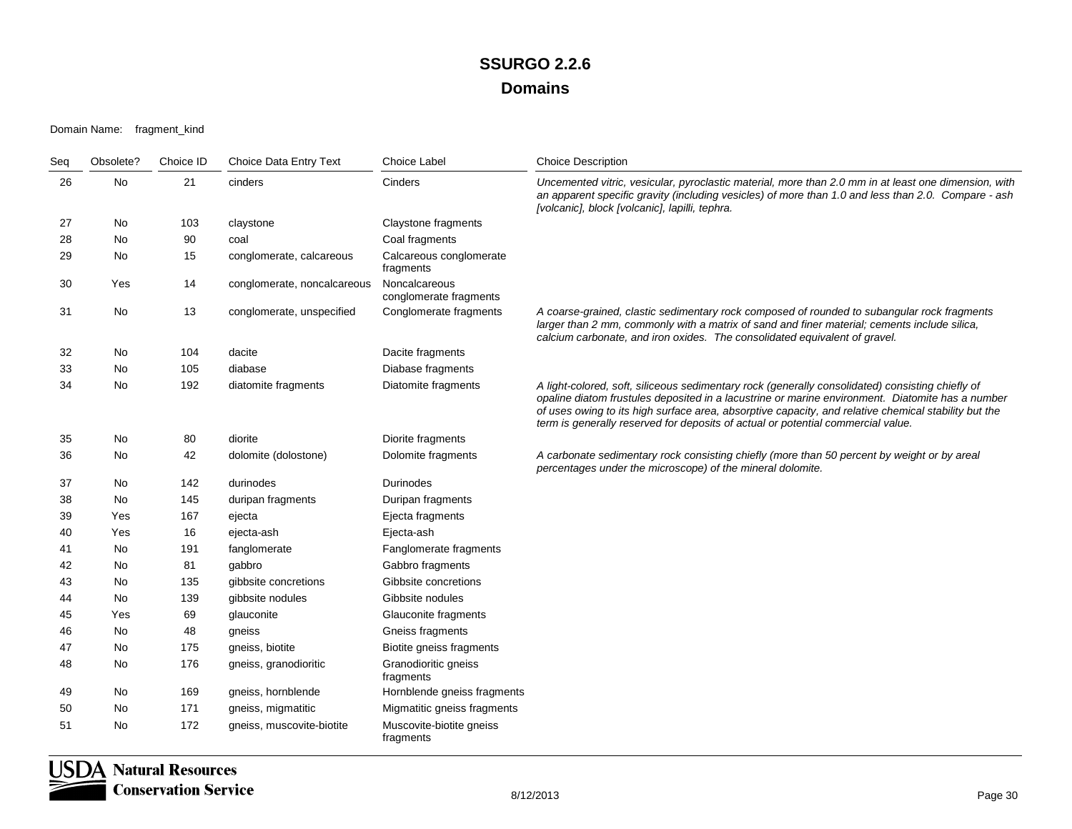| Seq | Obsolete? | Choice ID | Choice Data Entry Text      | <b>Choice Label</b>                     | <b>Choice Description</b>                                                                                                                                                                                                                                                                                                                                                                        |
|-----|-----------|-----------|-----------------------------|-----------------------------------------|--------------------------------------------------------------------------------------------------------------------------------------------------------------------------------------------------------------------------------------------------------------------------------------------------------------------------------------------------------------------------------------------------|
| 26  | No        | 21        | cinders                     | Cinders                                 | Uncemented vitric, vesicular, pyroclastic material, more than 2.0 mm in at least one dimension, with<br>an apparent specific gravity (including vesicles) of more than 1.0 and less than 2.0. Compare - ash<br>[volcanic], block [volcanic], lapilli, tephra.                                                                                                                                    |
| 27  | No        | 103       | claystone                   | Claystone fragments                     |                                                                                                                                                                                                                                                                                                                                                                                                  |
| 28  | No        | 90        | coal                        | Coal fragments                          |                                                                                                                                                                                                                                                                                                                                                                                                  |
| 29  | No        | 15        | conglomerate, calcareous    | Calcareous conglomerate<br>fragments    |                                                                                                                                                                                                                                                                                                                                                                                                  |
| 30  | Yes       | 14        | conglomerate, noncalcareous | Noncalcareous<br>conglomerate fragments |                                                                                                                                                                                                                                                                                                                                                                                                  |
| 31  | No        | 13        | conglomerate, unspecified   | Conglomerate fragments                  | A coarse-grained, clastic sedimentary rock composed of rounded to subangular rock fragments<br>larger than 2 mm, commonly with a matrix of sand and finer material; cements include silica,<br>calcium carbonate, and iron oxides. The consolidated equivalent of gravel.                                                                                                                        |
| 32  | No        | 104       | dacite                      | Dacite fragments                        |                                                                                                                                                                                                                                                                                                                                                                                                  |
| 33  | No        | 105       | diabase                     | Diabase fragments                       |                                                                                                                                                                                                                                                                                                                                                                                                  |
| 34  | No        | 192       | diatomite fragments         | Diatomite fragments                     | A light-colored, soft, siliceous sedimentary rock (generally consolidated) consisting chiefly of<br>opaline diatom frustules deposited in a lacustrine or marine environment. Diatomite has a number<br>of uses owing to its high surface area, absorptive capacity, and relative chemical stability but the<br>term is generally reserved for deposits of actual or potential commercial value. |
| 35  | No        | 80        | diorite                     | Diorite fragments                       |                                                                                                                                                                                                                                                                                                                                                                                                  |
| 36  | No        | 42        | dolomite (dolostone)        | Dolomite fragments                      | A carbonate sedimentary rock consisting chiefly (more than 50 percent by weight or by areal<br>percentages under the microscope) of the mineral dolomite.                                                                                                                                                                                                                                        |
| 37  | No        | 142       | durinodes                   | Durinodes                               |                                                                                                                                                                                                                                                                                                                                                                                                  |
| 38  | No        | 145       | duripan fragments           | Duripan fragments                       |                                                                                                                                                                                                                                                                                                                                                                                                  |
| 39  | Yes       | 167       | ejecta                      | Ejecta fragments                        |                                                                                                                                                                                                                                                                                                                                                                                                  |
| 40  | Yes       | 16        | ejecta-ash                  | Ejecta-ash                              |                                                                                                                                                                                                                                                                                                                                                                                                  |
| 41  | No        | 191       | fanglomerate                | Fanglomerate fragments                  |                                                                                                                                                                                                                                                                                                                                                                                                  |
| 42  | No        | 81        | gabbro                      | Gabbro fragments                        |                                                                                                                                                                                                                                                                                                                                                                                                  |
| 43  | No        | 135       | gibbsite concretions        | Gibbsite concretions                    |                                                                                                                                                                                                                                                                                                                                                                                                  |
| 44  | No        | 139       | gibbsite nodules            | Gibbsite nodules                        |                                                                                                                                                                                                                                                                                                                                                                                                  |
| 45  | Yes       | 69        | glauconite                  | Glauconite fragments                    |                                                                                                                                                                                                                                                                                                                                                                                                  |
| 46  | No        | 48        | gneiss                      | Gneiss fragments                        |                                                                                                                                                                                                                                                                                                                                                                                                  |
| 47  | No        | 175       | gneiss, biotite             | Biotite gneiss fragments                |                                                                                                                                                                                                                                                                                                                                                                                                  |
| 48  | No        | 176       | gneiss, granodioritic       | Granodioritic gneiss<br>fragments       |                                                                                                                                                                                                                                                                                                                                                                                                  |
| 49  | No        | 169       | gneiss, hornblende          | Hornblende gneiss fragments             |                                                                                                                                                                                                                                                                                                                                                                                                  |
| 50  | No        | 171       | gneiss, migmatitic          | Migmatitic gneiss fragments             |                                                                                                                                                                                                                                                                                                                                                                                                  |
| 51  | No.       | 172       | gneiss, muscovite-biotite   | Muscovite-biotite gneiss<br>fragments   |                                                                                                                                                                                                                                                                                                                                                                                                  |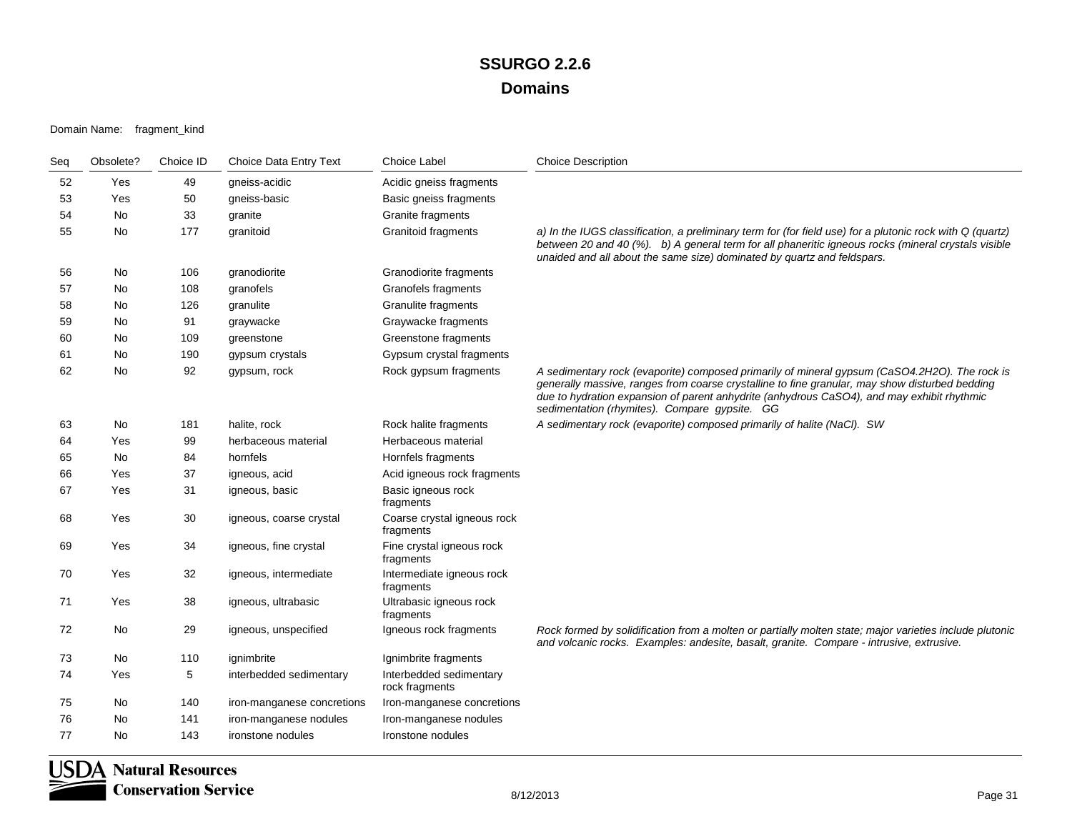| Sea | Obsolete? | Choice ID | Choice Data Entry Text     | Choice Label                              | <b>Choice Description</b>                                                                                                                                                                                                                                                                                                                      |
|-----|-----------|-----------|----------------------------|-------------------------------------------|------------------------------------------------------------------------------------------------------------------------------------------------------------------------------------------------------------------------------------------------------------------------------------------------------------------------------------------------|
| 52  | Yes       | 49        | gneiss-acidic              | Acidic gneiss fragments                   |                                                                                                                                                                                                                                                                                                                                                |
| 53  | Yes       | 50        | qneiss-basic               | Basic gneiss fragments                    |                                                                                                                                                                                                                                                                                                                                                |
| 54  | No.       | 33        | granite                    | Granite fragments                         |                                                                                                                                                                                                                                                                                                                                                |
| 55  | No        | 177       | granitoid                  | Granitoid fragments                       | a) In the IUGS classification, a preliminary term for (for field use) for a plutonic rock with Q (quartz)<br>between 20 and 40 (%). b) A general term for all phaneritic igneous rocks (mineral crystals visible<br>unaided and all about the same size) dominated by quartz and feldspars.                                                    |
| 56  | No        | 106       | granodiorite               | Granodiorite fragments                    |                                                                                                                                                                                                                                                                                                                                                |
| 57  | No        | 108       | granofels                  | Granofels fragments                       |                                                                                                                                                                                                                                                                                                                                                |
| 58  | No        | 126       | granulite                  | Granulite fragments                       |                                                                                                                                                                                                                                                                                                                                                |
| 59  | No        | 91        | graywacke                  | Graywacke fragments                       |                                                                                                                                                                                                                                                                                                                                                |
| 60  | No        | 109       | greenstone                 | Greenstone fragments                      |                                                                                                                                                                                                                                                                                                                                                |
| 61  | No        | 190       | gypsum crystals            | Gypsum crystal fragments                  |                                                                                                                                                                                                                                                                                                                                                |
| 62  | No        | 92        | gypsum, rock               | Rock gypsum fragments                     | A sedimentary rock (evaporite) composed primarily of mineral gypsum (CaSO4.2H2O). The rock is<br>generally massive, ranges from coarse crystalline to fine granular, may show disturbed bedding<br>due to hydration expansion of parent anhydrite (anhydrous CaSO4), and may exhibit rhythmic<br>sedimentation (rhymites). Compare gypsite. GG |
| 63  | No        | 181       | halite, rock               | Rock halite fragments                     | A sedimentary rock (evaporite) composed primarily of halite (NaCl). SW                                                                                                                                                                                                                                                                         |
| 64  | Yes       | 99        | herbaceous material        | Herbaceous material                       |                                                                                                                                                                                                                                                                                                                                                |
| 65  | <b>No</b> | 84        | hornfels                   | Hornfels fragments                        |                                                                                                                                                                                                                                                                                                                                                |
| 66  | Yes       | 37        | igneous, acid              | Acid igneous rock fragments               |                                                                                                                                                                                                                                                                                                                                                |
| 67  | Yes       | 31        | igneous, basic             | Basic igneous rock<br>fragments           |                                                                                                                                                                                                                                                                                                                                                |
| 68  | Yes       | 30        | igneous, coarse crystal    | Coarse crystal igneous rock<br>fragments  |                                                                                                                                                                                                                                                                                                                                                |
| 69  | Yes       | 34        | igneous, fine crystal      | Fine crystal igneous rock<br>fragments    |                                                                                                                                                                                                                                                                                                                                                |
| 70  | Yes       | 32        | igneous, intermediate      | Intermediate igneous rock<br>fragments    |                                                                                                                                                                                                                                                                                                                                                |
| 71  | Yes       | 38        | igneous, ultrabasic        | Ultrabasic igneous rock<br>fragments      |                                                                                                                                                                                                                                                                                                                                                |
| 72  | No        | 29        | igneous, unspecified       | Igneous rock fragments                    | Rock formed by solidification from a molten or partially molten state; major varieties include plutonic<br>and volcanic rocks. Examples: andesite, basalt, granite. Compare - intrusive, extrusive.                                                                                                                                            |
| 73  | No        | 110       | ignimbrite                 | Ignimbrite fragments                      |                                                                                                                                                                                                                                                                                                                                                |
| 74  | Yes       | 5         | interbedded sedimentary    | Interbedded sedimentary<br>rock fragments |                                                                                                                                                                                                                                                                                                                                                |
| 75  | No        | 140       | iron-manganese concretions | Iron-manganese concretions                |                                                                                                                                                                                                                                                                                                                                                |
| 76  | No        | 141       | iron-manganese nodules     | Iron-manganese nodules                    |                                                                                                                                                                                                                                                                                                                                                |
| 77  | No.       | 143       | ironstone nodules          | Ironstone nodules                         |                                                                                                                                                                                                                                                                                                                                                |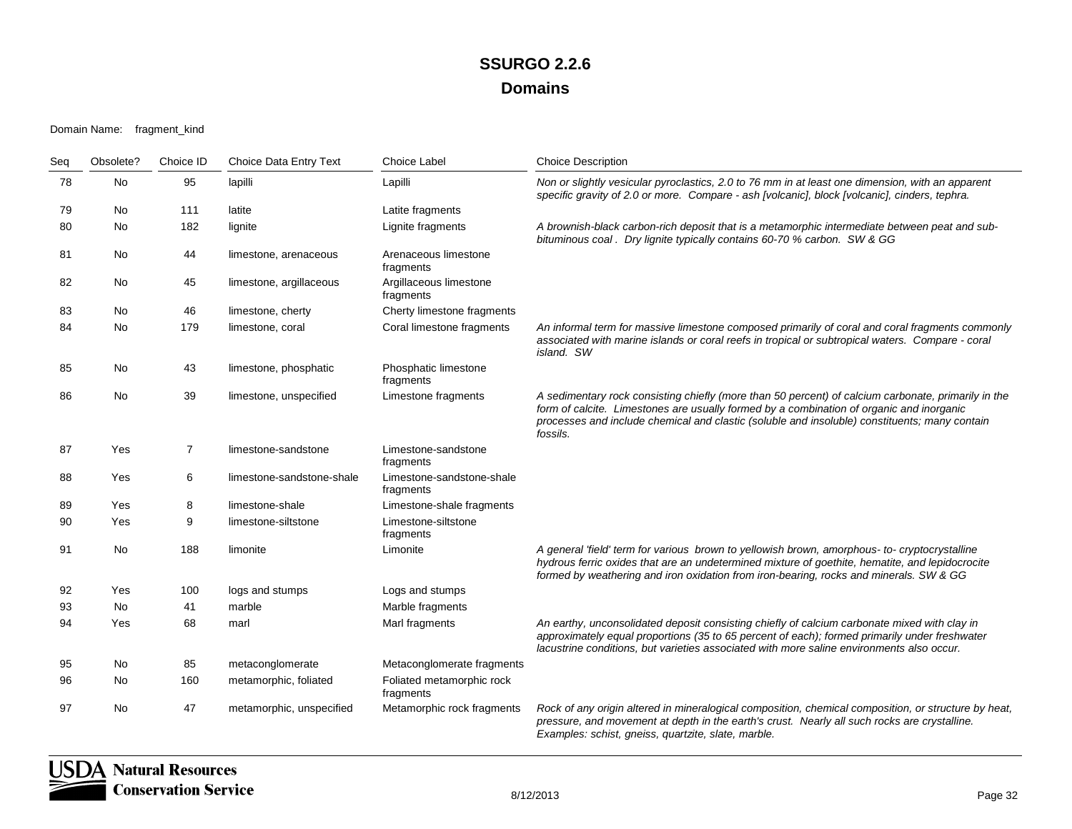| Seq | Obsolete? | Choice ID      | Choice Data Entry Text    | Choice Label                           | <b>Choice Description</b>                                                                                                                                                                                                                                                                                    |
|-----|-----------|----------------|---------------------------|----------------------------------------|--------------------------------------------------------------------------------------------------------------------------------------------------------------------------------------------------------------------------------------------------------------------------------------------------------------|
| 78  | No        | 95             | lapilli                   | Lapilli                                | Non or slightly vesicular pyroclastics, 2.0 to 76 mm in at least one dimension, with an apparent<br>specific gravity of 2.0 or more. Compare - ash [volcanic], block [volcanic], cinders, tephra.                                                                                                            |
| 79  | No        | 111            | latite                    | Latite fragments                       |                                                                                                                                                                                                                                                                                                              |
| 80  | No        | 182            | lignite                   | Lignite fragments                      | A brownish-black carbon-rich deposit that is a metamorphic intermediate between peat and sub-<br>bituminous coal. Dry lignite typically contains 60-70 % carbon. SW & GG                                                                                                                                     |
| 81  | No        | 44             | limestone, arenaceous     | Arenaceous limestone<br>fragments      |                                                                                                                                                                                                                                                                                                              |
| 82  | No        | 45             | limestone, argillaceous   | Argillaceous limestone<br>fragments    |                                                                                                                                                                                                                                                                                                              |
| 83  | No        | 46             | limestone, cherty         | Cherty limestone fragments             |                                                                                                                                                                                                                                                                                                              |
| 84  | No        | 179            | limestone, coral          | Coral limestone fragments              | An informal term for massive limestone composed primarily of coral and coral fragments commonly<br>associated with marine islands or coral reefs in tropical or subtropical waters. Compare - coral<br>island. SW                                                                                            |
| 85  | No        | 43             | limestone, phosphatic     | Phosphatic limestone<br>fragments      |                                                                                                                                                                                                                                                                                                              |
| 86  | No        | 39             | limestone, unspecified    | Limestone fragments                    | A sedimentary rock consisting chiefly (more than 50 percent) of calcium carbonate, primarily in the<br>form of calcite. Limestones are usually formed by a combination of organic and inorganic<br>processes and include chemical and clastic (soluble and insoluble) constituents; many contain<br>fossils. |
| 87  | Yes       | $\overline{7}$ | limestone-sandstone       | Limestone-sandstone<br>fragments       |                                                                                                                                                                                                                                                                                                              |
| 88  | Yes       | 6              | limestone-sandstone-shale | Limestone-sandstone-shale<br>fragments |                                                                                                                                                                                                                                                                                                              |
| 89  | Yes       | 8              | limestone-shale           | Limestone-shale fragments              |                                                                                                                                                                                                                                                                                                              |
| 90  | Yes       | 9              | limestone-siltstone       | Limestone-siltstone<br>fragments       |                                                                                                                                                                                                                                                                                                              |
| 91  | No        | 188            | limonite                  | Limonite                               | A general 'field' term for various brown to yellowish brown, amorphous- to-cryptocrystalline<br>hydrous ferric oxides that are an undetermined mixture of goethite, hematite, and lepidocrocite<br>formed by weathering and iron oxidation from iron-bearing, rocks and minerals. SW & GG                    |
| 92  | Yes       | 100            | logs and stumps           | Logs and stumps                        |                                                                                                                                                                                                                                                                                                              |
| 93  | No        | 41             | marble                    | Marble fragments                       |                                                                                                                                                                                                                                                                                                              |
| 94  | Yes       | 68             | marl                      | Marl fragments                         | An earthy, unconsolidated deposit consisting chiefly of calcium carbonate mixed with clay in<br>approximately equal proportions (35 to 65 percent of each); formed primarily under freshwater<br>lacustrine conditions, but varieties associated with more saline environments also occur.                   |
| 95  | No        | 85             | metaconglomerate          | Metaconglomerate fragments             |                                                                                                                                                                                                                                                                                                              |
| 96  | No        | 160            | metamorphic, foliated     | Foliated metamorphic rock<br>fragments |                                                                                                                                                                                                                                                                                                              |
| 97  | No        | 47             | metamorphic, unspecified  | Metamorphic rock fragments             | Rock of any origin altered in mineralogical composition, chemical composition, or structure by heat,<br>pressure, and movement at depth in the earth's crust. Nearly all such rocks are crystalline.<br>Examples: schist, gneiss, quartzite, slate, marble.                                                  |

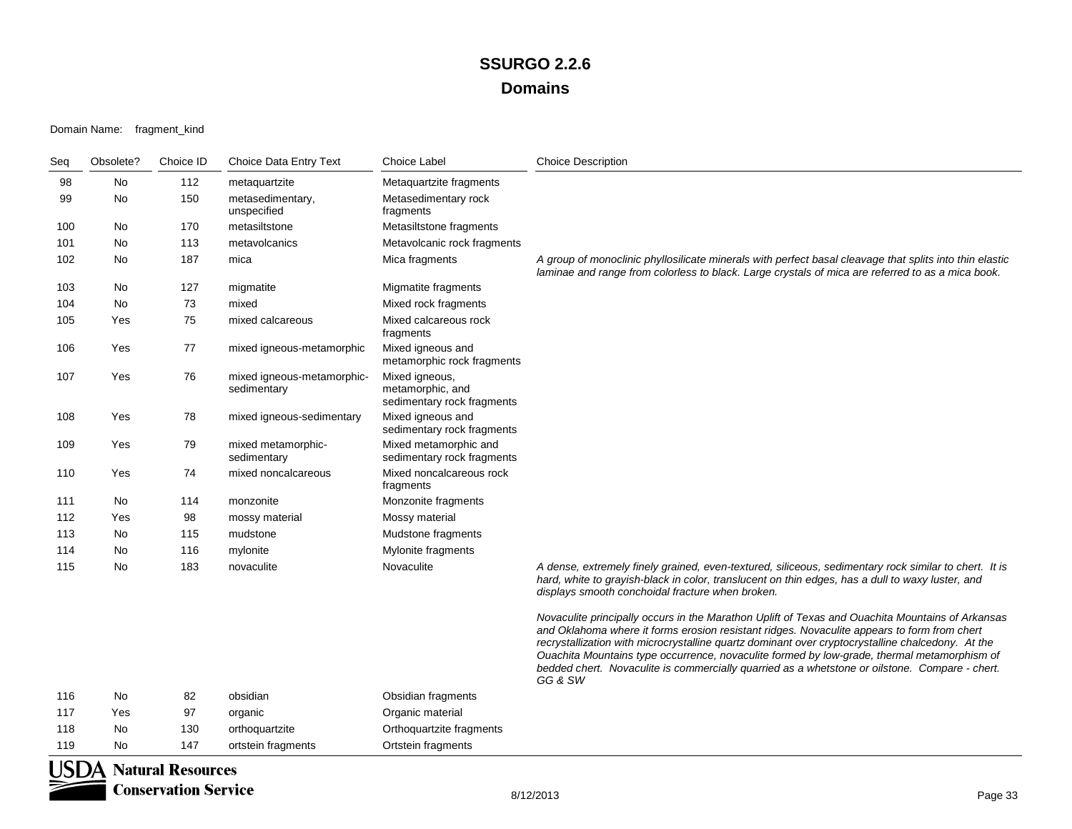#### Domain Name: fragment\_kind

| Seq            | Obsolete?    | Choice ID | Choice Data Entry Text                    | <b>Choice Label</b>                                              | <b>Choice Description</b>                                                                                                                                                                                                                                                                                                                                                                                                                                                                                        |
|----------------|--------------|-----------|-------------------------------------------|------------------------------------------------------------------|------------------------------------------------------------------------------------------------------------------------------------------------------------------------------------------------------------------------------------------------------------------------------------------------------------------------------------------------------------------------------------------------------------------------------------------------------------------------------------------------------------------|
| 98             | No           | 112       | metaquartzite                             | Metaquartzite fragments                                          |                                                                                                                                                                                                                                                                                                                                                                                                                                                                                                                  |
| 99             | No           | 150       | metasedimentary,<br>unspecified           | Metasedimentary rock<br>fragments                                |                                                                                                                                                                                                                                                                                                                                                                                                                                                                                                                  |
| 100            | No           | 170       | metasiltstone                             | Metasiltstone fragments                                          |                                                                                                                                                                                                                                                                                                                                                                                                                                                                                                                  |
| 101            | No           | 113       | metavolcanics                             | Metavolcanic rock fragments                                      |                                                                                                                                                                                                                                                                                                                                                                                                                                                                                                                  |
| 102            | No           | 187       | mica                                      | Mica fragments                                                   | A group of monoclinic phyllosilicate minerals with perfect basal cleavage that splits into thin elastic<br>laminae and range from colorless to black. Large crystals of mica are referred to as a mica book.                                                                                                                                                                                                                                                                                                     |
| 103            | No           | 127       | migmatite                                 | Migmatite fragments                                              |                                                                                                                                                                                                                                                                                                                                                                                                                                                                                                                  |
| 104            | No           | 73        | mixed                                     | Mixed rock fragments                                             |                                                                                                                                                                                                                                                                                                                                                                                                                                                                                                                  |
| 105            | Yes          | 75        | mixed calcareous                          | Mixed calcareous rock<br>fragments                               |                                                                                                                                                                                                                                                                                                                                                                                                                                                                                                                  |
| 106            | Yes          | 77        | mixed igneous-metamorphic                 | Mixed igneous and<br>metamorphic rock fragments                  |                                                                                                                                                                                                                                                                                                                                                                                                                                                                                                                  |
| 107            | Yes          | 76        | mixed igneous-metamorphic-<br>sedimentary | Mixed igneous,<br>metamorphic, and<br>sedimentary rock fragments |                                                                                                                                                                                                                                                                                                                                                                                                                                                                                                                  |
| 108            | Yes          | 78        | mixed igneous-sedimentary                 | Mixed igneous and<br>sedimentary rock fragments                  |                                                                                                                                                                                                                                                                                                                                                                                                                                                                                                                  |
| 109            | Yes          | 79        | mixed metamorphic-<br>sedimentary         | Mixed metamorphic and<br>sedimentary rock fragments              |                                                                                                                                                                                                                                                                                                                                                                                                                                                                                                                  |
| 110            | Yes          | 74        | mixed noncalcareous                       | Mixed noncalcareous rock<br>fragments                            |                                                                                                                                                                                                                                                                                                                                                                                                                                                                                                                  |
| 111            | No           | 114       | monzonite                                 | Monzonite fragments                                              |                                                                                                                                                                                                                                                                                                                                                                                                                                                                                                                  |
| 112            | Yes          | 98        | mossy material                            | Mossy material                                                   |                                                                                                                                                                                                                                                                                                                                                                                                                                                                                                                  |
| 113            | No           | 115       | mudstone                                  | Mudstone fragments                                               |                                                                                                                                                                                                                                                                                                                                                                                                                                                                                                                  |
| 114            | No           | 116       | mylonite                                  | Mylonite fragments                                               |                                                                                                                                                                                                                                                                                                                                                                                                                                                                                                                  |
| 115            | No           | 183       | novaculite                                | Novaculite                                                       | A dense, extremely finely grained, even-textured, siliceous, sedimentary rock similar to chert. It is<br>hard, white to grayish-black in color, translucent on thin edges, has a dull to waxy luster, and<br>displays smooth conchoidal fracture when broken.                                                                                                                                                                                                                                                    |
|                |              |           |                                           |                                                                  | Novaculite principally occurs in the Marathon Uplift of Texas and Ouachita Mountains of Arkansas<br>and Oklahoma where it forms erosion resistant ridges. Novaculite appears to form from chert<br>recrystallization with microcrystalline quartz dominant over cryptocrystalline chalcedony. At the<br>Ouachita Mountains type occurrence, novaculite formed by low-grade, thermal metamorphism of<br>bedded chert. Novaculite is commercially quarried as a whetstone or oilstone. Compare - chert.<br>GG & SW |
| 116            | No           | 82        | obsidian                                  | Obsidian fragments                                               |                                                                                                                                                                                                                                                                                                                                                                                                                                                                                                                  |
| 117            | Yes          | 97        | organic                                   | Organic material                                                 |                                                                                                                                                                                                                                                                                                                                                                                                                                                                                                                  |
| 118            | No.          | 130       | orthoquartzite                            | Orthoquartzite fragments                                         |                                                                                                                                                                                                                                                                                                                                                                                                                                                                                                                  |
| 119            | No           | 147       | ortstein fragments                        | Ortstein fragments                                               |                                                                                                                                                                                                                                                                                                                                                                                                                                                                                                                  |
| $\bf{I}$ ICINA | $\mathbf{X}$ |           |                                           |                                                                  |                                                                                                                                                                                                                                                                                                                                                                                                                                                                                                                  |

**USDA Natural Resources**<br>Conservation Service **Conservation Service**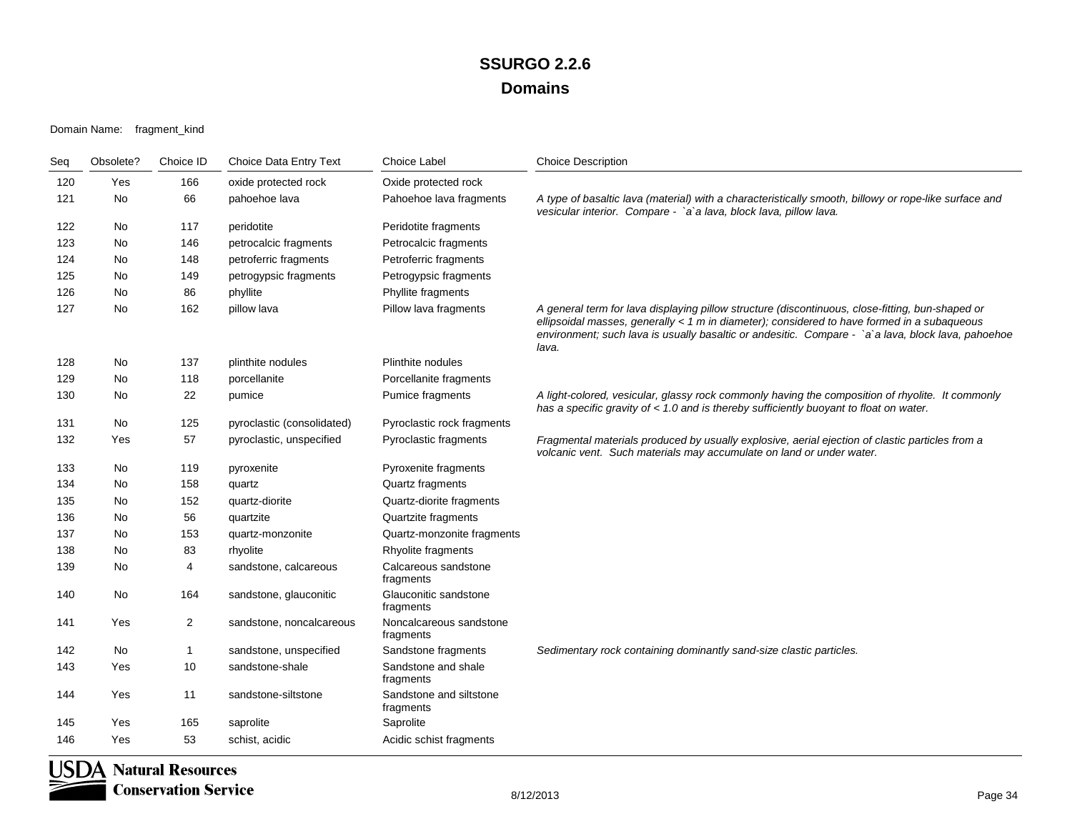#### Domain Name: fragment\_kind

| Seq | Obsolete? | Choice ID    | Choice Data Entry Text     | <b>Choice Label</b>                  | <b>Choice Description</b>                                                                                                                                                                                                                                                                                        |
|-----|-----------|--------------|----------------------------|--------------------------------------|------------------------------------------------------------------------------------------------------------------------------------------------------------------------------------------------------------------------------------------------------------------------------------------------------------------|
| 120 | Yes       | 166          | oxide protected rock       | Oxide protected rock                 |                                                                                                                                                                                                                                                                                                                  |
| 121 | No        | 66           | pahoehoe lava              | Pahoehoe lava fragments              | A type of basaltic lava (material) with a characteristically smooth, billowy or rope-like surface and<br>vesicular interior. Compare - `a`a lava, block lava, pillow lava.                                                                                                                                       |
| 122 | No        | 117          | peridotite                 | Peridotite fragments                 |                                                                                                                                                                                                                                                                                                                  |
| 123 | No        | 146          | petrocalcic fragments      | Petrocalcic fragments                |                                                                                                                                                                                                                                                                                                                  |
| 124 | No        | 148          | petroferric fragments      | Petroferric fragments                |                                                                                                                                                                                                                                                                                                                  |
| 125 | No        | 149          | petrogypsic fragments      | Petrogypsic fragments                |                                                                                                                                                                                                                                                                                                                  |
| 126 | No        | 86           | phyllite                   | Phyllite fragments                   |                                                                                                                                                                                                                                                                                                                  |
| 127 | No        | 162          | pillow lava                | Pillow lava fragments                | A general term for lava displaying pillow structure (discontinuous, close-fitting, bun-shaped or<br>ellipsoidal masses, generally $< 1$ m in diameter); considered to have formed in a subaqueous<br>environment; such lava is usually basaltic or andesitic. Compare - `a`a lava, block lava, pahoehoe<br>lava. |
| 128 | No        | 137          | plinthite nodules          | Plinthite nodules                    |                                                                                                                                                                                                                                                                                                                  |
| 129 | No        | 118          | porcellanite               | Porcellanite fragments               |                                                                                                                                                                                                                                                                                                                  |
| 130 | No        | 22           | pumice                     | Pumice fragments                     | A light-colored, vesicular, glassy rock commonly having the composition of rhyolite. It commonly<br>has a specific gravity of < 1.0 and is thereby sufficiently buoyant to float on water.                                                                                                                       |
| 131 | No        | 125          | pyroclastic (consolidated) | Pyroclastic rock fragments           |                                                                                                                                                                                                                                                                                                                  |
| 132 | Yes       | 57           | pyroclastic, unspecified   | Pyroclastic fragments                | Fragmental materials produced by usually explosive, aerial ejection of clastic particles from a<br>volcanic vent. Such materials may accumulate on land or under water.                                                                                                                                          |
| 133 | No        | 119          | pyroxenite                 | Pyroxenite fragments                 |                                                                                                                                                                                                                                                                                                                  |
| 134 | No        | 158          | quartz                     | Quartz fragments                     |                                                                                                                                                                                                                                                                                                                  |
| 135 | No        | 152          | quartz-diorite             | Quartz-diorite fragments             |                                                                                                                                                                                                                                                                                                                  |
| 136 | No        | 56           | quartzite                  | Quartzite fragments                  |                                                                                                                                                                                                                                                                                                                  |
| 137 | No        | 153          | quartz-monzonite           | Quartz-monzonite fragments           |                                                                                                                                                                                                                                                                                                                  |
| 138 | No        | 83           | rhyolite                   | Rhyolite fragments                   |                                                                                                                                                                                                                                                                                                                  |
| 139 | No        | 4            | sandstone, calcareous      | Calcareous sandstone<br>fragments    |                                                                                                                                                                                                                                                                                                                  |
| 140 | No        | 164          | sandstone, glauconitic     | Glauconitic sandstone<br>fragments   |                                                                                                                                                                                                                                                                                                                  |
| 141 | Yes       | 2            | sandstone, noncalcareous   | Noncalcareous sandstone<br>fragments |                                                                                                                                                                                                                                                                                                                  |
| 142 | <b>No</b> | $\mathbf{1}$ | sandstone, unspecified     | Sandstone fragments                  | Sedimentary rock containing dominantly sand-size clastic particles.                                                                                                                                                                                                                                              |
| 143 | Yes       | 10           | sandstone-shale            | Sandstone and shale<br>fragments     |                                                                                                                                                                                                                                                                                                                  |
| 144 | Yes       | 11           | sandstone-siltstone        | Sandstone and siltstone<br>fragments |                                                                                                                                                                                                                                                                                                                  |
| 145 | Yes       | 165          | saprolite                  | Saprolite                            |                                                                                                                                                                                                                                                                                                                  |
| 146 | Yes       | 53           | schist, acidic             | Acidic schist fragments              |                                                                                                                                                                                                                                                                                                                  |

**USDA Natural Resources Conservation Service**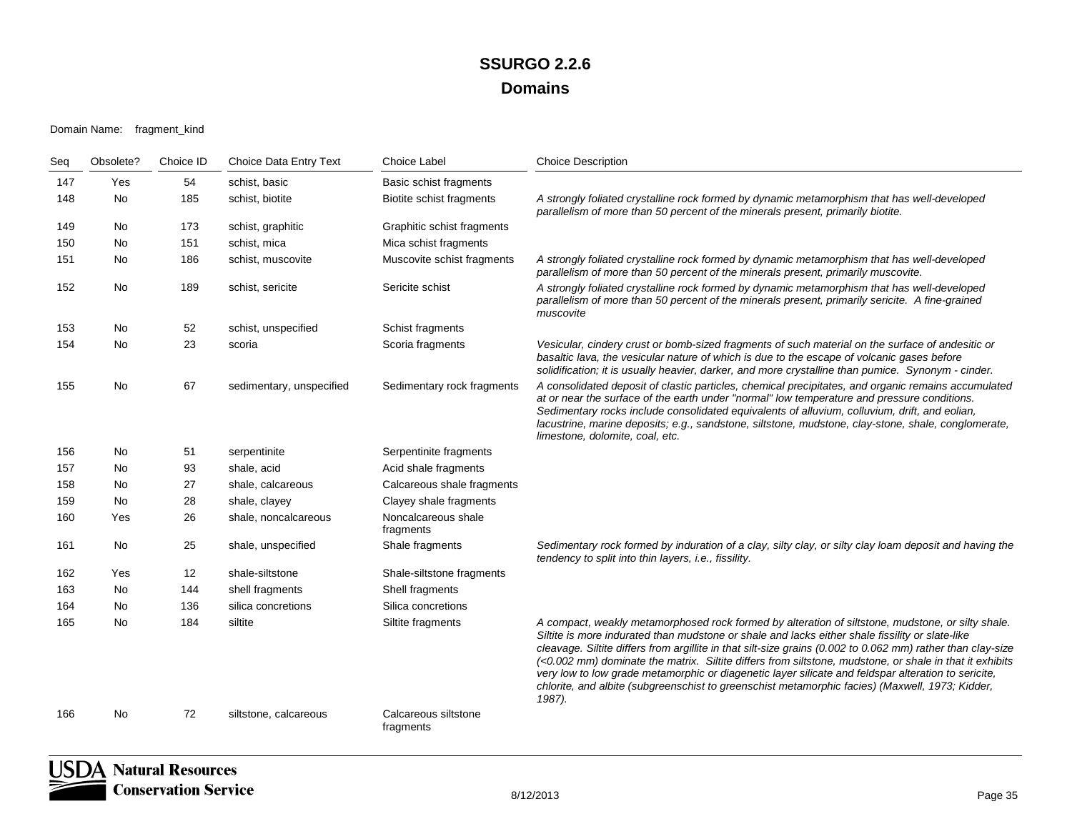| Seq | Obsolete? | Choice ID | Choice Data Entry Text   | Choice Label                      | <b>Choice Description</b>                                                                                                                                                                                                                                                                                                                                                                                                                                                                                                                                                                                                                          |
|-----|-----------|-----------|--------------------------|-----------------------------------|----------------------------------------------------------------------------------------------------------------------------------------------------------------------------------------------------------------------------------------------------------------------------------------------------------------------------------------------------------------------------------------------------------------------------------------------------------------------------------------------------------------------------------------------------------------------------------------------------------------------------------------------------|
| 147 | Yes       | 54        | schist, basic            | Basic schist fragments            |                                                                                                                                                                                                                                                                                                                                                                                                                                                                                                                                                                                                                                                    |
| 148 | No        | 185       | schist, biotite          | <b>Biotite schist fragments</b>   | A strongly foliated crystalline rock formed by dynamic metamorphism that has well-developed<br>parallelism of more than 50 percent of the minerals present, primarily biotite.                                                                                                                                                                                                                                                                                                                                                                                                                                                                     |
| 149 | No        | 173       | schist, graphitic        | Graphitic schist fragments        |                                                                                                                                                                                                                                                                                                                                                                                                                                                                                                                                                                                                                                                    |
| 150 | No        | 151       | schist, mica             | Mica schist fragments             |                                                                                                                                                                                                                                                                                                                                                                                                                                                                                                                                                                                                                                                    |
| 151 | No        | 186       | schist, muscovite        | Muscovite schist fragments        | A strongly foliated crystalline rock formed by dynamic metamorphism that has well-developed<br>parallelism of more than 50 percent of the minerals present, primarily muscovite.                                                                                                                                                                                                                                                                                                                                                                                                                                                                   |
| 152 | No        | 189       | schist, sericite         | Sericite schist                   | A strongly foliated crystalline rock formed by dynamic metamorphism that has well-developed<br>parallelism of more than 50 percent of the minerals present, primarily sericite. A fine-grained<br>muscovite                                                                                                                                                                                                                                                                                                                                                                                                                                        |
| 153 | No        | 52        | schist, unspecified      | Schist fragments                  |                                                                                                                                                                                                                                                                                                                                                                                                                                                                                                                                                                                                                                                    |
| 154 | No        | 23        | scoria                   | Scoria fragments                  | Vesicular, cindery crust or bomb-sized fragments of such material on the surface of andesitic or<br>basaltic lava, the vesicular nature of which is due to the escape of volcanic gases before<br>solidification; it is usually heavier, darker, and more crystalline than pumice. Synonym - cinder.                                                                                                                                                                                                                                                                                                                                               |
| 155 | No        | 67        | sedimentary, unspecified | Sedimentary rock fragments        | A consolidated deposit of clastic particles, chemical precipitates, and organic remains accumulated<br>at or near the surface of the earth under "normal" low temperature and pressure conditions.<br>Sedimentary rocks include consolidated equivalents of alluvium, colluvium, drift, and eolian,<br>lacustrine, marine deposits; e.g., sandstone, siltstone, mudstone, clay-stone, shale, conglomerate,<br>limestone, dolomite, coal, etc.                                                                                                                                                                                                      |
| 156 | No        | 51        | serpentinite             | Serpentinite fragments            |                                                                                                                                                                                                                                                                                                                                                                                                                                                                                                                                                                                                                                                    |
| 157 | No        | 93        | shale, acid              | Acid shale fragments              |                                                                                                                                                                                                                                                                                                                                                                                                                                                                                                                                                                                                                                                    |
| 158 | No        | 27        | shale, calcareous        | Calcareous shale fragments        |                                                                                                                                                                                                                                                                                                                                                                                                                                                                                                                                                                                                                                                    |
| 159 | No        | 28        | shale, clayey            | Clayey shale fragments            |                                                                                                                                                                                                                                                                                                                                                                                                                                                                                                                                                                                                                                                    |
| 160 | Yes       | 26        | shale, noncalcareous     | Noncalcareous shale<br>fragments  |                                                                                                                                                                                                                                                                                                                                                                                                                                                                                                                                                                                                                                                    |
| 161 | No        | 25        | shale, unspecified       | Shale fragments                   | Sedimentary rock formed by induration of a clay, silty clay, or silty clay loam deposit and having the<br>tendency to split into thin layers, i.e., fissility.                                                                                                                                                                                                                                                                                                                                                                                                                                                                                     |
| 162 | Yes       | 12        | shale-siltstone          | Shale-siltstone fragments         |                                                                                                                                                                                                                                                                                                                                                                                                                                                                                                                                                                                                                                                    |
| 163 | No        | 144       | shell fragments          | Shell fragments                   |                                                                                                                                                                                                                                                                                                                                                                                                                                                                                                                                                                                                                                                    |
| 164 | No        | 136       | silica concretions       | Silica concretions                |                                                                                                                                                                                                                                                                                                                                                                                                                                                                                                                                                                                                                                                    |
| 165 | <b>No</b> | 184       | siltite                  | Siltite fragments                 | A compact, weakly metamorphosed rock formed by alteration of siltstone, mudstone, or silty shale.<br>Siltite is more indurated than mudstone or shale and lacks either shale fissility or slate-like<br>cleavage. Siltite differs from argillite in that silt-size grains (0.002 to 0.062 mm) rather than clay-size<br>(<0.002 mm) dominate the matrix. Siltite differs from siltstone, mudstone, or shale in that it exhibits<br>very low to low grade metamorphic or diagenetic layer silicate and feldspar alteration to sericite,<br>chlorite, and albite (subgreenschist to greenschist metamorphic facies) (Maxwell, 1973; Kidder,<br>1987). |
| 166 | No        | 72        | siltstone, calcareous    | Calcareous siltstone<br>fragments |                                                                                                                                                                                                                                                                                                                                                                                                                                                                                                                                                                                                                                                    |

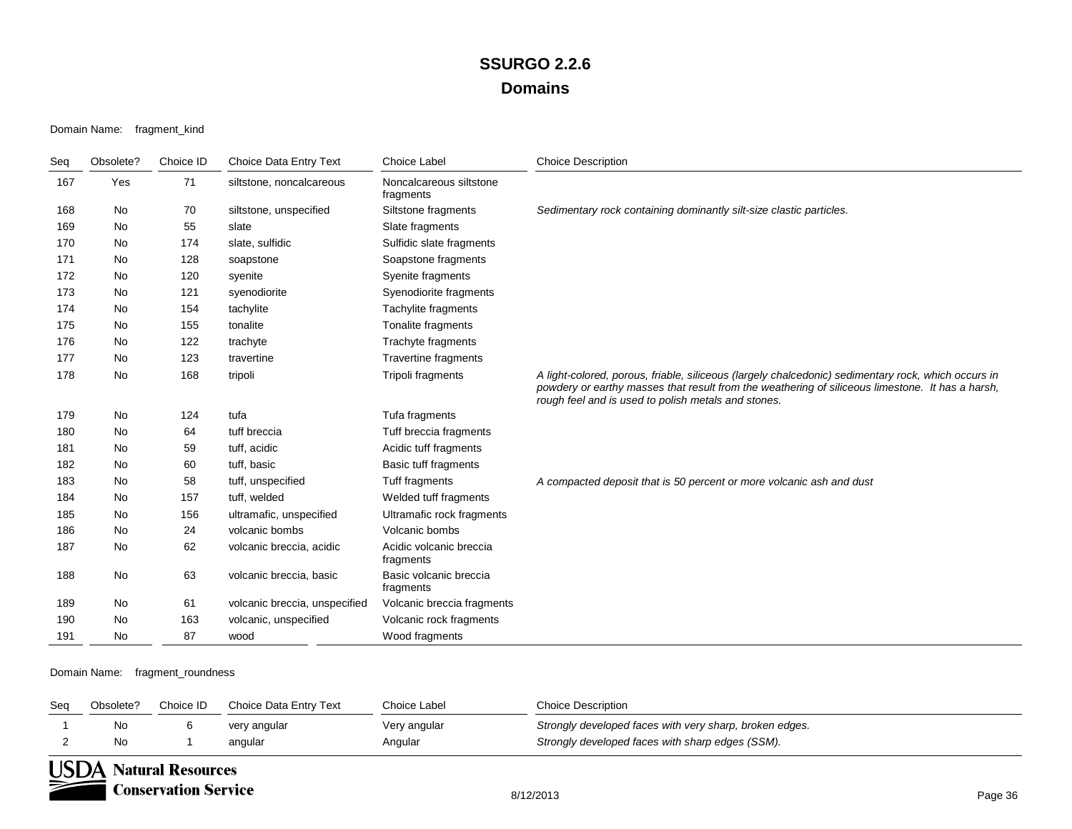#### Domain Name: fragment\_kind

| Seq | Obsolete? | Choice ID | Choice Data Entry Text        | <b>Choice Label</b>                  | <b>Choice Description</b>                                                                                                                                                                                                                                      |
|-----|-----------|-----------|-------------------------------|--------------------------------------|----------------------------------------------------------------------------------------------------------------------------------------------------------------------------------------------------------------------------------------------------------------|
| 167 | Yes       | 71        | siltstone, noncalcareous      | Noncalcareous siltstone<br>fragments |                                                                                                                                                                                                                                                                |
| 168 | No        | 70        | siltstone, unspecified        | Siltstone fragments                  | Sedimentary rock containing dominantly silt-size clastic particles.                                                                                                                                                                                            |
| 169 | No        | 55        | slate                         | Slate fragments                      |                                                                                                                                                                                                                                                                |
| 170 | No.       | 174       | slate, sulfidic               | Sulfidic slate fragments             |                                                                                                                                                                                                                                                                |
| 171 | No        | 128       | soapstone                     | Soapstone fragments                  |                                                                                                                                                                                                                                                                |
| 172 | <b>No</b> | 120       | syenite                       | Syenite fragments                    |                                                                                                                                                                                                                                                                |
| 173 | No.       | 121       | syenodiorite                  | Syenodiorite fragments               |                                                                                                                                                                                                                                                                |
| 174 | No        | 154       | tachylite                     | Tachylite fragments                  |                                                                                                                                                                                                                                                                |
| 175 | No        | 155       | tonalite                      | Tonalite fragments                   |                                                                                                                                                                                                                                                                |
| 176 | No        | 122       | trachyte                      | Trachyte fragments                   |                                                                                                                                                                                                                                                                |
| 177 | <b>No</b> | 123       | travertine                    | <b>Travertine fragments</b>          |                                                                                                                                                                                                                                                                |
| 178 | No        | 168       | tripoli                       | Tripoli fragments                    | A light-colored, porous, friable, siliceous (largely chalcedonic) sedimentary rock, which occurs in<br>powdery or earthy masses that result from the weathering of siliceous limestone. It has a harsh,<br>rough feel and is used to polish metals and stones. |
| 179 | <b>No</b> | 124       | tufa                          | Tufa fragments                       |                                                                                                                                                                                                                                                                |
| 180 | No        | 64        | tuff breccia                  | Tuff breccia fragments               |                                                                                                                                                                                                                                                                |
| 181 | No        | 59        | tuff, acidic                  | Acidic tuff fragments                |                                                                                                                                                                                                                                                                |
| 182 | No        | 60        | tuff, basic                   | Basic tuff fragments                 |                                                                                                                                                                                                                                                                |
| 183 | <b>No</b> | 58        | tuff, unspecified             | Tuff fragments                       | A compacted deposit that is 50 percent or more volcanic ash and dust                                                                                                                                                                                           |
| 184 | <b>No</b> | 157       | tuff, welded                  | Welded tuff fragments                |                                                                                                                                                                                                                                                                |
| 185 | No        | 156       | ultramafic, unspecified       | Ultramafic rock fragments            |                                                                                                                                                                                                                                                                |
| 186 | No        | 24        | volcanic bombs                | Volcanic bombs                       |                                                                                                                                                                                                                                                                |
| 187 | No        | 62        | volcanic breccia, acidic      | Acidic volcanic breccia<br>fragments |                                                                                                                                                                                                                                                                |
| 188 | No        | 63        | volcanic breccia, basic       | Basic volcanic breccia<br>fragments  |                                                                                                                                                                                                                                                                |
| 189 | <b>No</b> | 61        | volcanic breccia, unspecified | Volcanic breccia fragments           |                                                                                                                                                                                                                                                                |
| 190 | <b>No</b> | 163       | volcanic, unspecified         | Volcanic rock fragments              |                                                                                                                                                                                                                                                                |
| 191 | No        | 87        | wood                          | Wood fragments                       |                                                                                                                                                                                                                                                                |

Domain Name: fragment\_roundness

| Seg | Obsolete? | Choice ID | Choice Data Entry Text | Choice Label | <b>Choice Description</b>                               |
|-----|-----------|-----------|------------------------|--------------|---------------------------------------------------------|
|     | No        |           | very angular           | Very angular | Strongly developed faces with very sharp, broken edges. |
|     | No        |           | angular                | Angular      | Strongly developed faces with sharp edges (SSM).        |

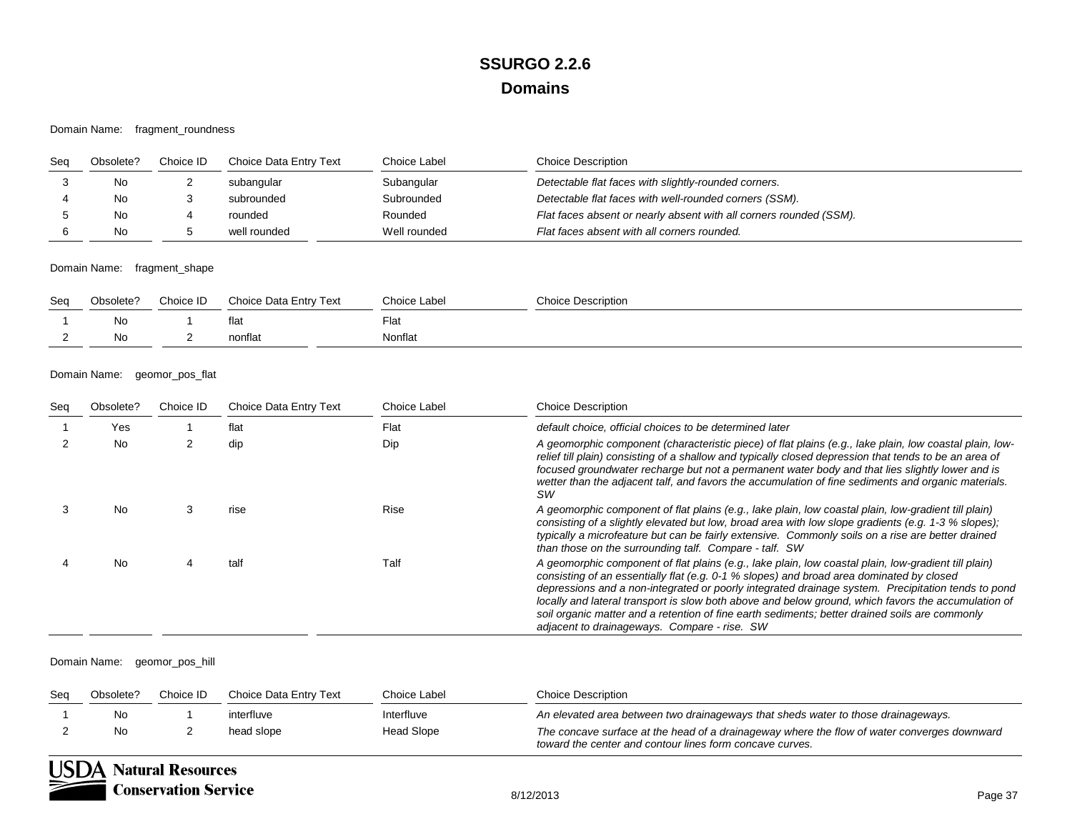### Domain Name: fragment\_roundness

| Sea | Obsolete? | Choice ID | Choice Data Entry Text | Choice Label | <b>Choice Description</b>                                          |
|-----|-----------|-----------|------------------------|--------------|--------------------------------------------------------------------|
|     | No.       |           | subangular             | Subangular   | Detectable flat faces with slightly-rounded corners.               |
|     | No        |           | subrounded             | Subrounded   | Detectable flat faces with well-rounded corners (SSM).             |
|     | No.       |           | rounded                | Rounded      | Flat faces absent or nearly absent with all corners rounded (SSM). |
|     | No.       |           | well rounded           | Well rounded | Flat faces absent with all corners rounded.                        |

Domain Name: fragment\_shape

| Seq | Obsolete? | Choice ID | Choice Data Entry Text | <b>Choice Label</b> | <b>Choice Description</b> |
|-----|-----------|-----------|------------------------|---------------------|---------------------------|
|     | Nc        |           | flat                   | Flat                |                           |
|     |           |           | nonflat                | Nonflat             |                           |

### Domain Name: geomor\_pos\_flat

| Seg | Obsolete? | Choice ID | Choice Data Entry Text | Choice Label | <b>Choice Description</b>                                                                                                                                                                                                                                                                                                                                                                                                                                                                                                                                       |
|-----|-----------|-----------|------------------------|--------------|-----------------------------------------------------------------------------------------------------------------------------------------------------------------------------------------------------------------------------------------------------------------------------------------------------------------------------------------------------------------------------------------------------------------------------------------------------------------------------------------------------------------------------------------------------------------|
|     | Yes       |           | flat                   | Flat         | default choice, official choices to be determined later                                                                                                                                                                                                                                                                                                                                                                                                                                                                                                         |
|     | <b>No</b> |           | dip                    | Dip          | A geomorphic component (characteristic piece) of flat plains (e.g., lake plain, low coastal plain, low-<br>relief till plain) consisting of a shallow and typically closed depression that tends to be an area of<br>focused groundwater recharge but not a permanent water body and that lies slightly lower and is<br>wetter than the adjacent talf, and favors the accumulation of fine sediments and organic materials.<br>SW                                                                                                                               |
|     | No        |           | rise                   | Rise         | A geomorphic component of flat plains (e.g., lake plain, low coastal plain, low-gradient till plain)<br>consisting of a slightly elevated but low, broad area with low slope gradients (e.g. 1-3 % slopes);<br>typically a microfeature but can be fairly extensive. Commonly soils on a rise are better drained<br>than those on the surrounding talf. Compare - talf. SW                                                                                                                                                                                      |
|     | <b>No</b> |           | talf                   | Talf         | A geomorphic component of flat plains (e.g., lake plain, low coastal plain, low-gradient till plain)<br>consisting of an essentially flat (e.g. 0-1 % slopes) and broad area dominated by closed<br>depressions and a non-integrated or poorly integrated drainage system. Precipitation tends to pond<br>locally and lateral transport is slow both above and below ground, which favors the accumulation of<br>soil organic matter and a retention of fine earth sediments; better drained soils are commonly<br>adjacent to drainageways. Compare - rise. SW |

Domain Name: geomor\_pos\_hill

| Sea | Obsolete? | Choice ID | Choice Data Entry Text | Choice Label | <b>Choice Description</b>                                                                                                                               |
|-----|-----------|-----------|------------------------|--------------|---------------------------------------------------------------------------------------------------------------------------------------------------------|
|     | No        |           | interfluve             | Interfluve   | An elevated area between two drainageways that sheds water to those drainageways.                                                                       |
|     | No        |           | head slope             | Head Slope   | The concave surface at the head of a drainageway where the flow of water converges downward<br>toward the center and contour lines form concave curves. |

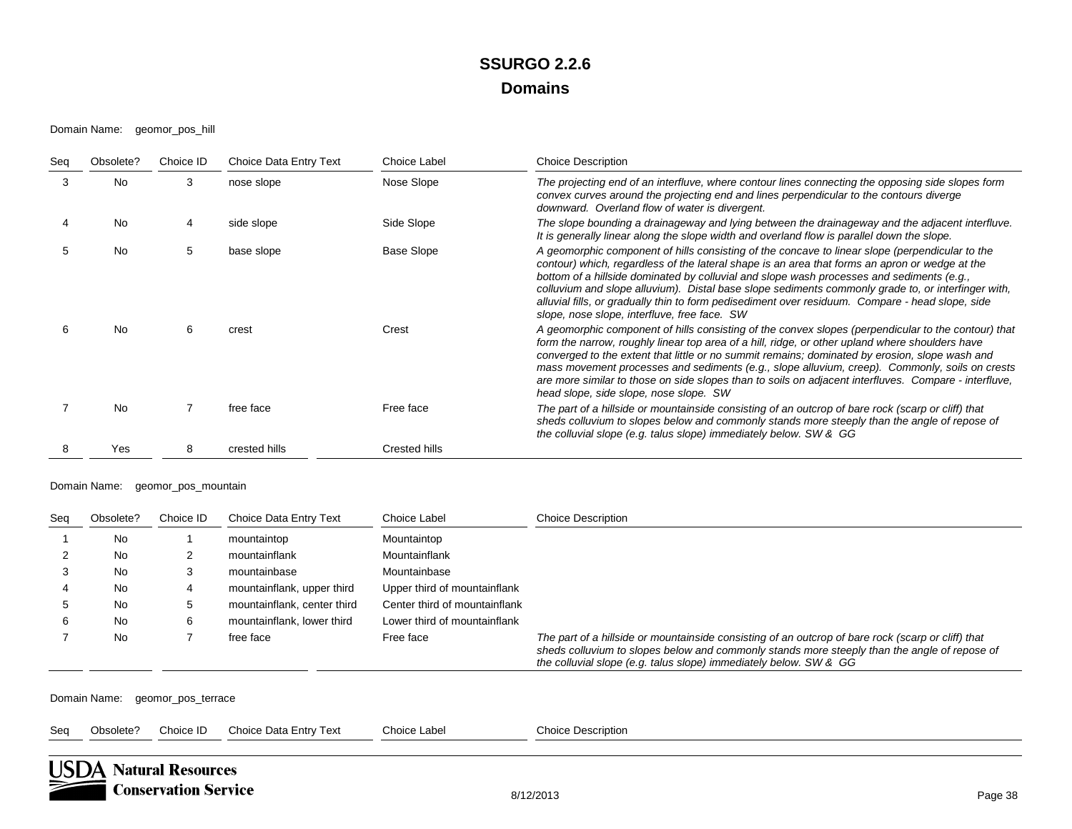#### Domain Name: geomor\_pos\_hill

| Seg | Obsolete? | Choice ID | Choice Data Entry Text | Choice Label  | <b>Choice Description</b>                                                                                                                                                                                                                                                                                                                                                                                                                                                                                                                                     |
|-----|-----------|-----------|------------------------|---------------|---------------------------------------------------------------------------------------------------------------------------------------------------------------------------------------------------------------------------------------------------------------------------------------------------------------------------------------------------------------------------------------------------------------------------------------------------------------------------------------------------------------------------------------------------------------|
| 3   | No        | 3         | nose slope             | Nose Slope    | The projecting end of an interfluve, where contour lines connecting the opposing side slopes form<br>convex curves around the projecting end and lines perpendicular to the contours diverge<br>downward. Overland flow of water is divergent.                                                                                                                                                                                                                                                                                                                |
|     | <b>No</b> | 4         | side slope             | Side Slope    | The slope bounding a drainageway and lying between the drainageway and the adjacent interfluve.<br>It is generally linear along the slope width and overland flow is parallel down the slope.                                                                                                                                                                                                                                                                                                                                                                 |
|     | <b>No</b> | 5         | base slope             | Base Slope    | A geomorphic component of hills consisting of the concave to linear slope (perpendicular to the<br>contour) which, regardless of the lateral shape is an area that forms an apron or wedge at the<br>bottom of a hillside dominated by colluvial and slope wash processes and sediments (e.g.,<br>colluvium and slope alluvium). Distal base slope sediments commonly grade to, or interfinger with,<br>alluvial fills, or gradually thin to form pedisediment over residuum. Compare - head slope, side<br>slope, nose slope, interfluve, free face. SW      |
|     | <b>No</b> | 6         | crest                  | Crest         | A geomorphic component of hills consisting of the convex slopes (perpendicular to the contour) that<br>form the narrow, roughly linear top area of a hill, ridge, or other upland where shoulders have<br>converged to the extent that little or no summit remains; dominated by erosion, slope wash and<br>mass movement processes and sediments (e.g., slope alluvium, creep). Commonly, soils on crests<br>are more similar to those on side slopes than to soils on adjacent interfluves. Compare - interfluve,<br>head slope, side slope, nose slope. SW |
|     | <b>No</b> | 7         | free face              | Free face     | The part of a hillside or mountainside consisting of an outcrop of bare rock (scarp or cliff) that<br>sheds colluvium to slopes below and commonly stands more steeply than the angle of repose of<br>the colluvial slope (e.g. talus slope) immediately below. SW & GG                                                                                                                                                                                                                                                                                       |
| 8   | Yes       | 8         | crested hills          | Crested hills |                                                                                                                                                                                                                                                                                                                                                                                                                                                                                                                                                               |

Domain Name: geomor\_pos\_mountain

| Seg | Obsolete? | Choice ID | Choice Data Entry Text      | Choice Label                  | <b>Choice Description</b>                                                                                                                                                                                                                                               |
|-----|-----------|-----------|-----------------------------|-------------------------------|-------------------------------------------------------------------------------------------------------------------------------------------------------------------------------------------------------------------------------------------------------------------------|
|     | No        |           | mountaintop                 | Mountaintop                   |                                                                                                                                                                                                                                                                         |
|     | No        |           | mountainflank               | Mountainflank                 |                                                                                                                                                                                                                                                                         |
|     | No        | ۰J        | mountainbase                | Mountainbase                  |                                                                                                                                                                                                                                                                         |
|     | No        |           | mountainflank, upper third  | Upper third of mountainflank  |                                                                                                                                                                                                                                                                         |
|     | No        |           | mountainflank, center third | Center third of mountainflank |                                                                                                                                                                                                                                                                         |
|     | No        | 6         | mountainflank, lower third  | Lower third of mountainflank  |                                                                                                                                                                                                                                                                         |
|     | No        |           | free face                   | Free face                     | The part of a hillside or mountainside consisting of an outcrop of bare rock (scarp or cliff) that<br>sheds colluvium to slopes below and commonly stands more steeply than the angle of repose of<br>the colluvial slope (e.g. talus slope) immediately below. SW & GG |

Domain Name: geomor\_pos\_terrace

Seq Obsolete? Choice ID Choice Data Entry Text Choice Label Choice Description

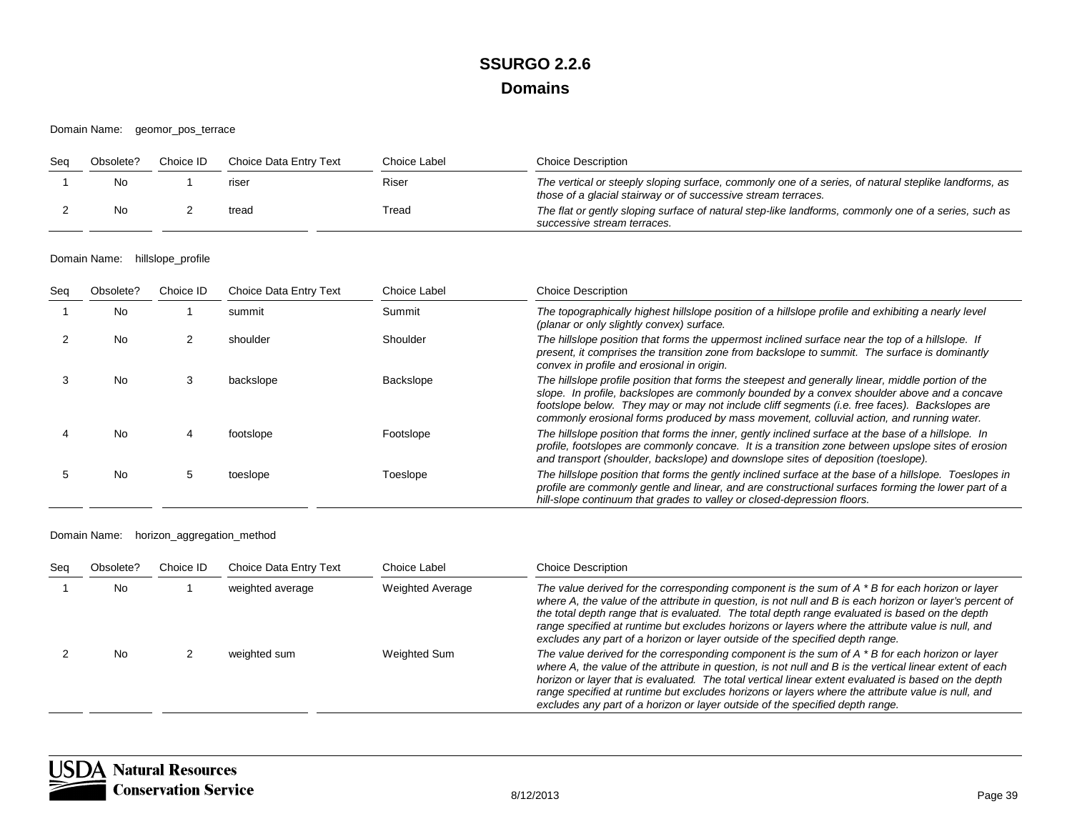Domain Name: geomor\_pos\_terrace

| Sea | Obsolete? | Choice ID | Choice Data Entry Text | Choice Label | <b>Choice Description</b>                                                                                                                                             |
|-----|-----------|-----------|------------------------|--------------|-----------------------------------------------------------------------------------------------------------------------------------------------------------------------|
|     | Nο        |           | riser                  | Riser        | The vertical or steeply sloping surface, commonly one of a series, of natural steplike landforms, as<br>those of a glacial stairway or of successive stream terraces. |
|     | Nο        |           | tread                  | Tread        | The flat or gently sloping surface of natural step-like landforms, commonly one of a series, such as<br>successive stream terraces.                                   |

Domain Name: hillslope\_profile

| Sea | Obsolete? | Choice ID | Choice Data Entry Text | Choice Label | <b>Choice Description</b>                                                                                                                                                                                                                                                                                                                                                                      |
|-----|-----------|-----------|------------------------|--------------|------------------------------------------------------------------------------------------------------------------------------------------------------------------------------------------------------------------------------------------------------------------------------------------------------------------------------------------------------------------------------------------------|
|     | No        |           | summit                 | Summit       | The topographically highest hillslope position of a hillslope profile and exhibiting a nearly level<br>(planar or only slightly convex) surface.                                                                                                                                                                                                                                               |
|     | No        |           | shoulder               | Shoulder     | The hillslope position that forms the uppermost inclined surface near the top of a hillslope. If<br>present, it comprises the transition zone from backslope to summit. The surface is dominantly<br>convex in profile and erosional in origin.                                                                                                                                                |
|     | No        |           | backslope              | Backslope    | The hillslope profile position that forms the steepest and generally linear, middle portion of the<br>slope. In profile, backslopes are commonly bounded by a convex shoulder above and a concave<br>footslope below. They may or may not include cliff segments (i.e. free faces). Backslopes are<br>commonly erosional forms produced by mass movement, colluvial action, and running water. |
|     | No.       |           | footslope              | Footslope    | The hillslope position that forms the inner, gently inclined surface at the base of a hillslope. In<br>profile, footslopes are commonly concave. It is a transition zone between upslope sites of erosion<br>and transport (shoulder, backslope) and downslope sites of deposition (toeslope).                                                                                                 |
|     | No.       |           | toeslope               | Toeslope     | The hillslope position that forms the gently inclined surface at the base of a hillslope. Toeslopes in<br>profile are commonly gentle and linear, and are constructional surfaces forming the lower part of a<br>hill-slope continuum that grades to valley or closed-depression floors.                                                                                                       |

Domain Name: horizon\_aggregation\_method

| Seg | Obsolete? | Choice ID | Choice Data Entry Text | Choice Label     | <b>Choice Description</b>                                                                                                                                                                                                                                                                                                                                                                                                                                                                                   |
|-----|-----------|-----------|------------------------|------------------|-------------------------------------------------------------------------------------------------------------------------------------------------------------------------------------------------------------------------------------------------------------------------------------------------------------------------------------------------------------------------------------------------------------------------------------------------------------------------------------------------------------|
|     | No        |           | weighted average       | Weighted Average | The value derived for the corresponding component is the sum of $A * B$ for each horizon or layer<br>where A, the value of the attribute in question, is not null and B is each horizon or layer's percent of<br>the total depth range that is evaluated. The total depth range evaluated is based on the depth<br>range specified at runtime but excludes horizons or layers where the attribute value is null, and<br>excludes any part of a horizon or layer outside of the specified depth range.       |
|     | No        |           | weighted sum           | Weighted Sum     | The value derived for the corresponding component is the sum of $A * B$ for each horizon or layer<br>where A, the value of the attribute in question, is not null and B is the vertical linear extent of each<br>horizon or layer that is evaluated. The total vertical linear extent evaluated is based on the depth<br>range specified at runtime but excludes horizons or layers where the attribute value is null, and<br>excludes any part of a horizon or layer outside of the specified depth range. |

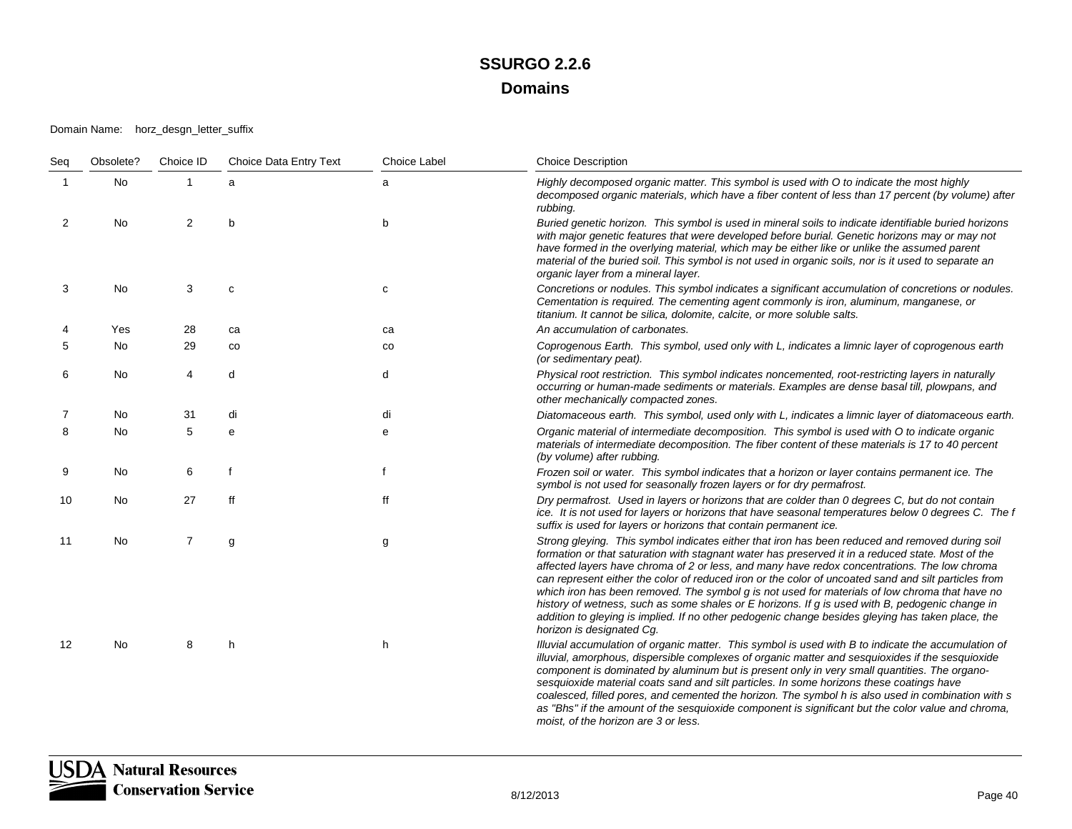Domain Name: horz\_desgn\_letter\_suffix

| Seq            | Obsolete? | Choice ID      | Choice Data Entry Text | <b>Choice Label</b> | <b>Choice Description</b>                                                                                                                                                                                                                                                                                                                                                                                                                                                                                                                                                                                                                                                                                                                           |
|----------------|-----------|----------------|------------------------|---------------------|-----------------------------------------------------------------------------------------------------------------------------------------------------------------------------------------------------------------------------------------------------------------------------------------------------------------------------------------------------------------------------------------------------------------------------------------------------------------------------------------------------------------------------------------------------------------------------------------------------------------------------------------------------------------------------------------------------------------------------------------------------|
| -1             | No        | 1              | a                      | a                   | Highly decomposed organic matter. This symbol is used with O to indicate the most highly<br>decomposed organic materials, which have a fiber content of less than 17 percent (by volume) after<br>rubbing.                                                                                                                                                                                                                                                                                                                                                                                                                                                                                                                                          |
| $\overline{2}$ | No        | 2              | b                      | b                   | Buried genetic horizon. This symbol is used in mineral soils to indicate identifiable buried horizons<br>with major genetic features that were developed before burial. Genetic horizons may or may not<br>have formed in the overlying material, which may be either like or unlike the assumed parent<br>material of the buried soil. This symbol is not used in organic soils, nor is it used to separate an<br>organic layer from a mineral layer.                                                                                                                                                                                                                                                                                              |
| 3              | No        | 3              | $\mathbf c$            | с                   | Concretions or nodules. This symbol indicates a significant accumulation of concretions or nodules.<br>Cementation is required. The cementing agent commonly is iron, aluminum, manganese, or<br>titanium. It cannot be silica, dolomite, calcite, or more soluble salts.                                                                                                                                                                                                                                                                                                                                                                                                                                                                           |
|                | Yes       | 28             | ca                     | ca                  | An accumulation of carbonates.                                                                                                                                                                                                                                                                                                                                                                                                                                                                                                                                                                                                                                                                                                                      |
| 5              | No        | 29             | $_{\rm CO}$            | co                  | Coprogenous Earth. This symbol, used only with L, indicates a limnic layer of coprogenous earth<br>(or sedimentary peat).                                                                                                                                                                                                                                                                                                                                                                                                                                                                                                                                                                                                                           |
| 6              | No        | 4              | d                      | d                   | Physical root restriction. This symbol indicates noncemented, root-restricting layers in naturally<br>occurring or human-made sediments or materials. Examples are dense basal till, plowpans, and<br>other mechanically compacted zones.                                                                                                                                                                                                                                                                                                                                                                                                                                                                                                           |
| 7              | No        | 31             | di                     | di                  | Diatomaceous earth. This symbol, used only with L, indicates a limnic layer of diatomaceous earth.                                                                                                                                                                                                                                                                                                                                                                                                                                                                                                                                                                                                                                                  |
| 8              | No.       | 5              | e                      | e                   | Organic material of intermediate decomposition. This symbol is used with O to indicate organic<br>materials of intermediate decomposition. The fiber content of these materials is 17 to 40 percent<br>(by volume) after rubbing.                                                                                                                                                                                                                                                                                                                                                                                                                                                                                                                   |
| 9              | No.       | 6              |                        | f                   | Frozen soil or water. This symbol indicates that a horizon or layer contains permanent ice. The<br>symbol is not used for seasonally frozen layers or for dry permafrost.                                                                                                                                                                                                                                                                                                                                                                                                                                                                                                                                                                           |
| 10             | No        | 27             | ff                     | ff                  | Dry permafrost. Used in layers or horizons that are colder than 0 degrees C, but do not contain<br>ice. It is not used for layers or horizons that have seasonal temperatures below 0 degrees C. The f<br>suffix is used for layers or horizons that contain permanent ice.                                                                                                                                                                                                                                                                                                                                                                                                                                                                         |
| 11             | No        | $\overline{7}$ | g                      | g                   | Strong gleying. This symbol indicates either that iron has been reduced and removed during soil<br>formation or that saturation with stagnant water has preserved it in a reduced state. Most of the<br>affected layers have chroma of 2 or less, and many have redox concentrations. The low chroma<br>can represent either the color of reduced iron or the color of uncoated sand and silt particles from<br>which iron has been removed. The symbol g is not used for materials of low chroma that have no<br>history of wetness, such as some shales or E horizons. If g is used with B, pedogenic change in<br>addition to gleying is implied. If no other pedogenic change besides gleying has taken place, the<br>horizon is designated Cg. |
| 12             | No        | 8              | h                      | h                   | Illuvial accumulation of organic matter. This symbol is used with B to indicate the accumulation of<br>illuvial, amorphous, dispersible complexes of organic matter and sesquioxides if the sesquioxide<br>component is dominated by aluminum but is present only in very small quantities. The organo-<br>sesquioxide material coats sand and silt particles. In some horizons these coatings have<br>coalesced, filled pores, and cemented the horizon. The symbol h is also used in combination with s<br>as "Bhs" if the amount of the sesquioxide component is significant but the color value and chroma,<br>moist, of the horizon are 3 or less.                                                                                             |

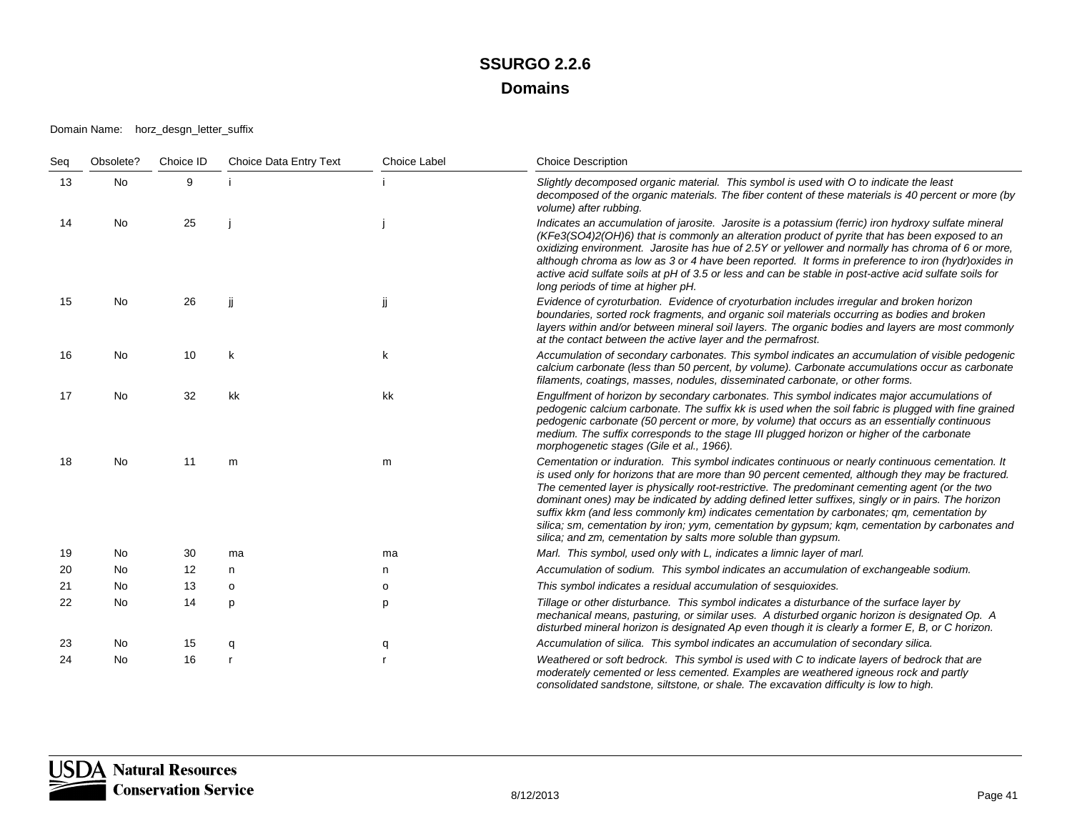Domain Name: horz\_desgn\_letter\_suffix

| Seq | Obsolete? | Choice ID | Choice Data Entry Text | <b>Choice Label</b> | <b>Choice Description</b>                                                                                                                                                                                                                                                                                                                                                                                                                                                                                                                                                                                                                                                       |
|-----|-----------|-----------|------------------------|---------------------|---------------------------------------------------------------------------------------------------------------------------------------------------------------------------------------------------------------------------------------------------------------------------------------------------------------------------------------------------------------------------------------------------------------------------------------------------------------------------------------------------------------------------------------------------------------------------------------------------------------------------------------------------------------------------------|
| 13  | No        | 9         |                        |                     | Slightly decomposed organic material. This symbol is used with O to indicate the least<br>decomposed of the organic materials. The fiber content of these materials is 40 percent or more (by<br>volume) after rubbing.                                                                                                                                                                                                                                                                                                                                                                                                                                                         |
| 14  | No        | 25        |                        |                     | Indicates an accumulation of jarosite. Jarosite is a potassium (ferric) iron hydroxy sulfate mineral<br>(KFe3(SO4)2(OH)6) that is commonly an alteration product of pyrite that has been exposed to an<br>oxidizing environment. Jarosite has hue of 2.5Y or yellower and normally has chroma of 6 or more,<br>although chroma as low as 3 or 4 have been reported. It forms in preference to iron (hydr)oxides in<br>active acid sulfate soils at pH of 3.5 or less and can be stable in post-active acid sulfate soils for<br>long periods of time at higher pH.                                                                                                              |
| 15  | No        | 26        | ji                     | jj                  | Evidence of cyroturbation. Evidence of cryoturbation includes irregular and broken horizon<br>boundaries, sorted rock fragments, and organic soil materials occurring as bodies and broken<br>layers within and/or between mineral soil layers. The organic bodies and layers are most commonly<br>at the contact between the active layer and the permafrost.                                                                                                                                                                                                                                                                                                                  |
| 16  | <b>No</b> | 10        | k                      | k                   | Accumulation of secondary carbonates. This symbol indicates an accumulation of visible pedogenic<br>calcium carbonate (less than 50 percent, by volume). Carbonate accumulations occur as carbonate<br>filaments, coatings, masses, nodules, disseminated carbonate, or other forms.                                                                                                                                                                                                                                                                                                                                                                                            |
| 17  | <b>No</b> | 32        | kk                     | kk                  | Engulfment of horizon by secondary carbonates. This symbol indicates major accumulations of<br>pedogenic calcium carbonate. The suffix kk is used when the soil fabric is plugged with fine grained<br>pedogenic carbonate (50 percent or more, by volume) that occurs as an essentially continuous<br>medium. The suffix corresponds to the stage III plugged horizon or higher of the carbonate<br>morphogenetic stages (Gile et al., 1966).                                                                                                                                                                                                                                  |
| 18  | No        | 11        | m                      | m                   | Cementation or induration. This symbol indicates continuous or nearly continuous cementation. It<br>is used only for horizons that are more than 90 percent cemented, although they may be fractured.<br>The cemented layer is physically root-restrictive. The predominant cementing agent (or the two<br>dominant ones) may be indicated by adding defined letter suffixes, singly or in pairs. The horizon<br>suffix kkm (and less commonly km) indicates cementation by carbonates; qm, cementation by<br>silica; sm, cementation by iron; yym, cementation by gypsum; kqm, cementation by carbonates and<br>silica; and zm, cementation by salts more soluble than gypsum. |
| 19  | No        | 30        | ma                     | ma                  | Marl. This symbol, used only with L, indicates a limnic layer of marl.                                                                                                                                                                                                                                                                                                                                                                                                                                                                                                                                                                                                          |
| 20  | No        | 12        | n                      | n                   | Accumulation of sodium. This symbol indicates an accumulation of exchangeable sodium.                                                                                                                                                                                                                                                                                                                                                                                                                                                                                                                                                                                           |
| 21  | <b>No</b> | 13        | $\circ$                | о                   | This symbol indicates a residual accumulation of sesquioxides.                                                                                                                                                                                                                                                                                                                                                                                                                                                                                                                                                                                                                  |
| 22  | No.       | 14        | p                      | p                   | Tillage or other disturbance. This symbol indicates a disturbance of the surface layer by<br>mechanical means, pasturing, or similar uses. A disturbed organic horizon is designated Op. A<br>disturbed mineral horizon is designated Ap even though it is clearly a former E, B, or C horizon.                                                                                                                                                                                                                                                                                                                                                                                 |
| 23  | No.       | 15        | q                      | q                   | Accumulation of silica. This symbol indicates an accumulation of secondary silica.                                                                                                                                                                                                                                                                                                                                                                                                                                                                                                                                                                                              |
| 24  | No        | 16        |                        |                     | Weathered or soft bedrock. This symbol is used with C to indicate layers of bedrock that are<br>moderately cemented or less cemented. Examples are weathered igneous rock and partly<br>consolidated sandstone, siltstone, or shale. The excavation difficulty is low to high.                                                                                                                                                                                                                                                                                                                                                                                                  |

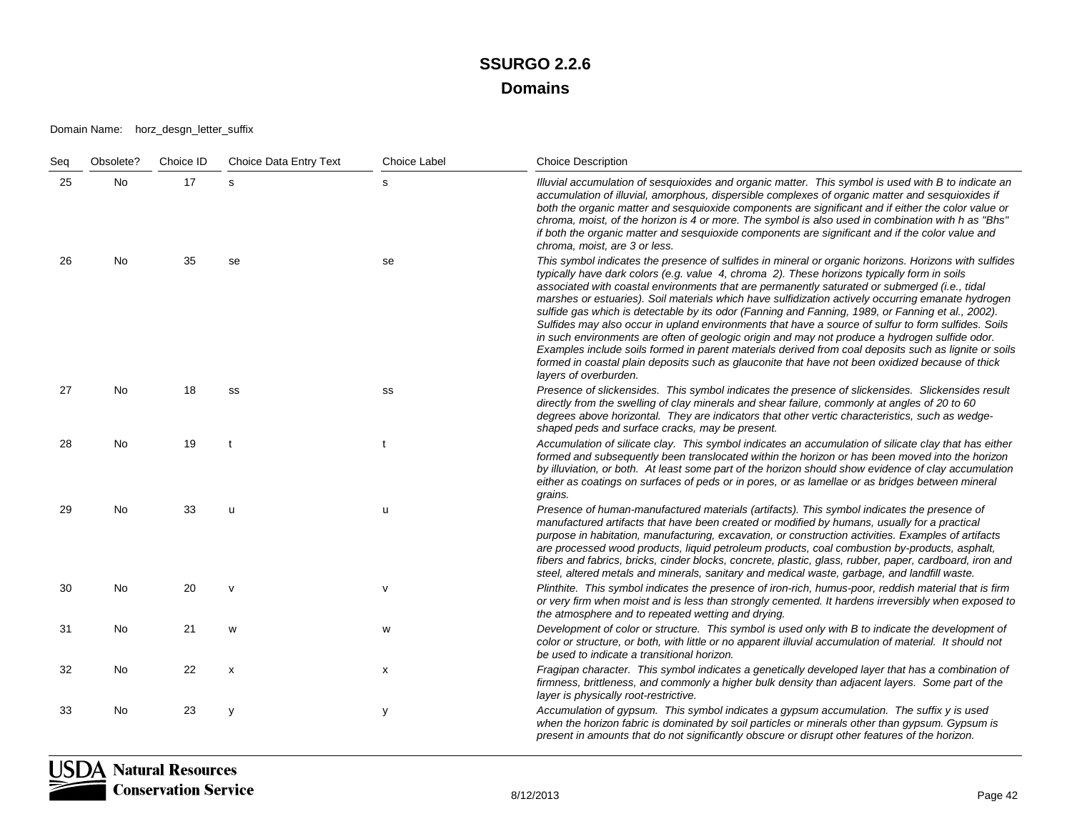Domain Name: horz\_desgn\_letter\_suffix

| Seq | Obsolete? | Choice ID | Choice Data Entry Text | Choice Label | <b>Choice Description</b>                                                                                                                                                                                                                                                                                                                                                                                                                                                                                                                                                                                                                                                                                                                                                                                                                                                                                                                                       |
|-----|-----------|-----------|------------------------|--------------|-----------------------------------------------------------------------------------------------------------------------------------------------------------------------------------------------------------------------------------------------------------------------------------------------------------------------------------------------------------------------------------------------------------------------------------------------------------------------------------------------------------------------------------------------------------------------------------------------------------------------------------------------------------------------------------------------------------------------------------------------------------------------------------------------------------------------------------------------------------------------------------------------------------------------------------------------------------------|
| 25  | No        | 17        | s                      | s            | Illuvial accumulation of sesquioxides and organic matter. This symbol is used with B to indicate an<br>accumulation of illuvial, amorphous, dispersible complexes of organic matter and sesquioxides if<br>both the organic matter and sesquioxide components are significant and if either the color value or<br>chroma, moist, of the horizon is 4 or more. The symbol is also used in combination with h as "Bhs"<br>if both the organic matter and sesquioxide components are significant and if the color value and<br>chroma, moist, are 3 or less.                                                                                                                                                                                                                                                                                                                                                                                                       |
| 26  | No        | 35        | se                     | se           | This symbol indicates the presence of sulfides in mineral or organic horizons. Horizons with sulfides<br>typically have dark colors (e.g. value 4, chroma 2). These horizons typically form in soils<br>associated with coastal environments that are permanently saturated or submerged (i.e., tidal<br>marshes or estuaries). Soil materials which have sulfidization actively occurring emanate hydrogen<br>sulfide gas which is detectable by its odor (Fanning and Fanning, 1989, or Fanning et al., 2002).<br>Sulfides may also occur in upland environments that have a source of sulfur to form sulfides. Soils<br>in such environments are often of geologic origin and may not produce a hydrogen sulfide odor.<br>Examples include soils formed in parent materials derived from coal deposits such as lignite or soils<br>formed in coastal plain deposits such as glauconite that have not been oxidized because of thick<br>layers of overburden. |
| 27  | <b>No</b> | 18        | SS                     | SS           | Presence of slickensides. This symbol indicates the presence of slickensides. Slickensides result<br>directly from the swelling of clay minerals and shear failure, commonly at angles of 20 to 60<br>degrees above horizontal. They are indicators that other vertic characteristics, such as wedge-<br>shaped peds and surface cracks, may be present.                                                                                                                                                                                                                                                                                                                                                                                                                                                                                                                                                                                                        |
| 28  | No        | 19        |                        | t            | Accumulation of silicate clay. This symbol indicates an accumulation of silicate clay that has either<br>formed and subsequently been translocated within the horizon or has been moved into the horizon<br>by illuviation, or both. At least some part of the horizon should show evidence of clay accumulation<br>either as coatings on surfaces of peds or in pores, or as lamellae or as bridges between mineral<br>grains.                                                                                                                                                                                                                                                                                                                                                                                                                                                                                                                                 |
| 29  | No        | 33        | u                      | u            | Presence of human-manufactured materials (artifacts). This symbol indicates the presence of<br>manufactured artifacts that have been created or modified by humans, usually for a practical<br>purpose in habitation, manufacturing, excavation, or construction activities. Examples of artifacts<br>are processed wood products, liquid petroleum products, coal combustion by-products, asphalt,<br>fibers and fabrics, bricks, cinder blocks, concrete, plastic, glass, rubber, paper, cardboard, iron and<br>steel, altered metals and minerals, sanitary and medical waste, garbage, and landfill waste.                                                                                                                                                                                                                                                                                                                                                  |
| 30  | No        | 20        | $\mathsf{v}$           | v            | Plinthite. This symbol indicates the presence of iron-rich, humus-poor, reddish material that is firm<br>or very firm when moist and is less than strongly cemented. It hardens irreversibly when exposed to<br>the atmosphere and to repeated wetting and drying.                                                                                                                                                                                                                                                                                                                                                                                                                                                                                                                                                                                                                                                                                              |
| 31  | No        | 21        | W                      | W            | Development of color or structure. This symbol is used only with B to indicate the development of<br>color or structure, or both, with little or no apparent illuvial accumulation of material. It should not<br>be used to indicate a transitional horizon.                                                                                                                                                                                                                                                                                                                                                                                                                                                                                                                                                                                                                                                                                                    |
| 32  | No        | 22        | $\pmb{\chi}$           | x            | Fragipan character. This symbol indicates a genetically developed layer that has a combination of<br>firmness, brittleness, and commonly a higher bulk density than adjacent layers. Some part of the<br>layer is physically root-restrictive.                                                                                                                                                                                                                                                                                                                                                                                                                                                                                                                                                                                                                                                                                                                  |
| 33  | No        | 23        | y                      | у            | Accumulation of gypsum. This symbol indicates a gypsum accumulation. The suffix y is used<br>when the horizon fabric is dominated by soil particles or minerals other than gypsum. Gypsum is<br>present in amounts that do not significantly obscure or disrupt other features of the horizon.                                                                                                                                                                                                                                                                                                                                                                                                                                                                                                                                                                                                                                                                  |

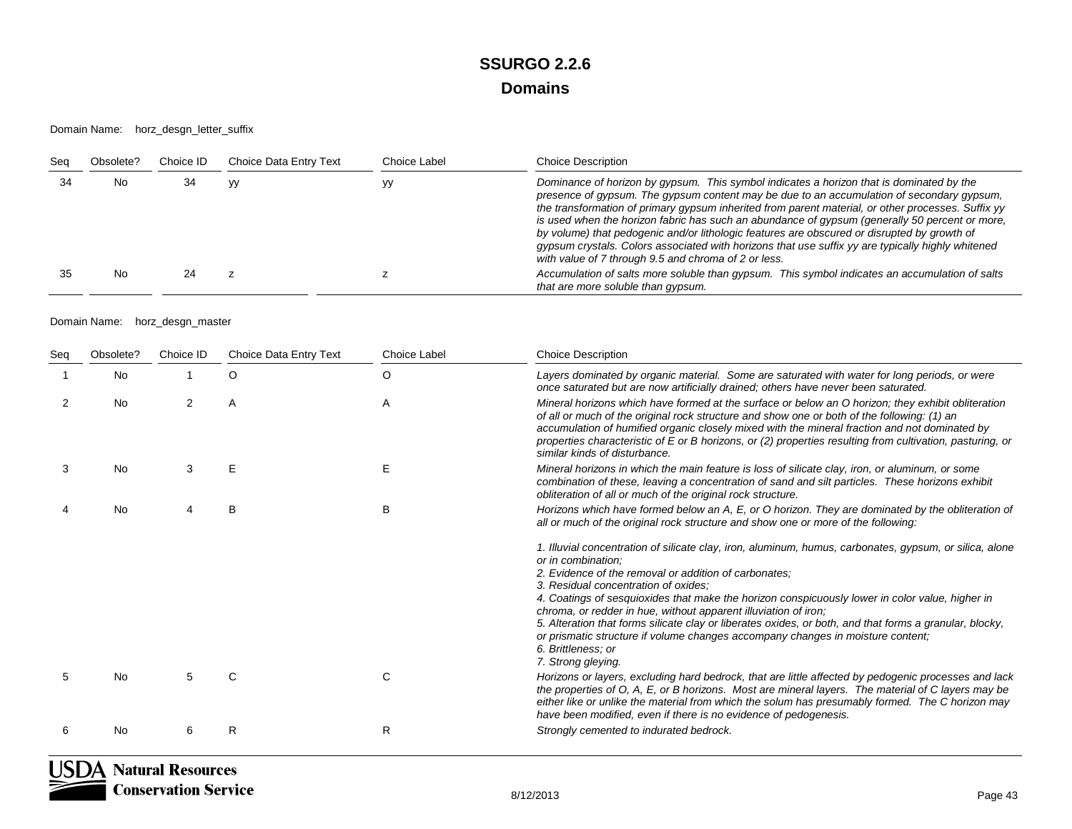Domain Name: horz\_desgn\_letter\_suffix

| Sea | Obsolete? | Choice ID | Choice Data Entry Text | Choice Label | <b>Choice Description</b>                                                                                                                                                                                                                                                                                                                                                                                                                                                                                                                                                                                                                                 |
|-----|-----------|-----------|------------------------|--------------|-----------------------------------------------------------------------------------------------------------------------------------------------------------------------------------------------------------------------------------------------------------------------------------------------------------------------------------------------------------------------------------------------------------------------------------------------------------------------------------------------------------------------------------------------------------------------------------------------------------------------------------------------------------|
| 34  | No.       | 34        | уу                     |              | Dominance of horizon by gypsum. This symbol indicates a horizon that is dominated by the<br>presence of gypsum. The gypsum content may be due to an accumulation of secondary gypsum,<br>the transformation of primary gypsum inherited from parent material, or other processes. Suffix yy<br>is used when the horizon fabric has such an abundance of gypsum (generally 50 percent or more,<br>by volume) that pedogenic and/or lithologic features are obscured or disrupted by growth of<br>gypsum crystals. Colors associated with horizons that use suffix yy are typically highly whitened<br>with value of 7 through 9.5 and chroma of 2 or less. |
|     | No.       | 24        |                        |              | Accumulation of salts more soluble than gypsum. This symbol indicates an accumulation of salts<br>that are more soluble than gypsum.                                                                                                                                                                                                                                                                                                                                                                                                                                                                                                                      |

Domain Name: horz\_desgn\_master

| Seq | Obsolete? | Choice ID | Choice Data Entry Text | Choice Label | <b>Choice Description</b>                                                                                                                                                                                                                                                                                                                                                                                                                                                                                                                                                                                                                      |
|-----|-----------|-----------|------------------------|--------------|------------------------------------------------------------------------------------------------------------------------------------------------------------------------------------------------------------------------------------------------------------------------------------------------------------------------------------------------------------------------------------------------------------------------------------------------------------------------------------------------------------------------------------------------------------------------------------------------------------------------------------------------|
|     | <b>No</b> |           | $\circ$                | O            | Layers dominated by organic material. Some are saturated with water for long periods, or were<br>once saturated but are now artificially drained; others have never been saturated.                                                                                                                                                                                                                                                                                                                                                                                                                                                            |
|     | No        | 2         | A                      | A            | Mineral horizons which have formed at the surface or below an O horizon; they exhibit obliteration<br>of all or much of the original rock structure and show one or both of the following: (1) an<br>accumulation of humified organic closely mixed with the mineral fraction and not dominated by<br>properties characteristic of E or B horizons, or (2) properties resulting from cultivation, pasturing, or<br>similar kinds of disturbance.                                                                                                                                                                                               |
|     | <b>No</b> | 3         | E                      |              | Mineral horizons in which the main feature is loss of silicate clay, iron, or aluminum, or some<br>combination of these, leaving a concentration of sand and silt particles. These horizons exhibit<br>obliteration of all or much of the original rock structure.                                                                                                                                                                                                                                                                                                                                                                             |
|     | <b>No</b> |           | B                      | B            | Horizons which have formed below an A, E, or O horizon. They are dominated by the obliteration of<br>all or much of the original rock structure and show one or more of the following:                                                                                                                                                                                                                                                                                                                                                                                                                                                         |
|     |           |           |                        |              | 1. Illuvial concentration of silicate clay, iron, aluminum, humus, carbonates, gypsum, or silica, alone<br>or in combination;<br>2. Evidence of the removal or addition of carbonates:<br>3. Residual concentration of oxides:<br>4. Coatings of sesquioxides that make the horizon conspicuously lower in color value, higher in<br>chroma, or redder in hue, without apparent illuviation of iron;<br>5. Alteration that forms silicate clay or liberates oxides, or both, and that forms a granular, blocky,<br>or prismatic structure if volume changes accompany changes in moisture content;<br>6. Brittleness; or<br>7. Strong gleying. |
|     | <b>No</b> | 5         | С                      | С            | Horizons or layers, excluding hard bedrock, that are little affected by pedogenic processes and lack<br>the properties of O, A, E, or B horizons. Most are mineral layers. The material of C layers may be<br>either like or unlike the material from which the solum has presumably formed. The C horizon may<br>have been modified, even if there is no evidence of pedogenesis.                                                                                                                                                                                                                                                             |
|     | <b>No</b> | 6         | R                      | R            | Strongly cemented to indurated bedrock.                                                                                                                                                                                                                                                                                                                                                                                                                                                                                                                                                                                                        |

**USDA** Natural Resources **Conservation Service**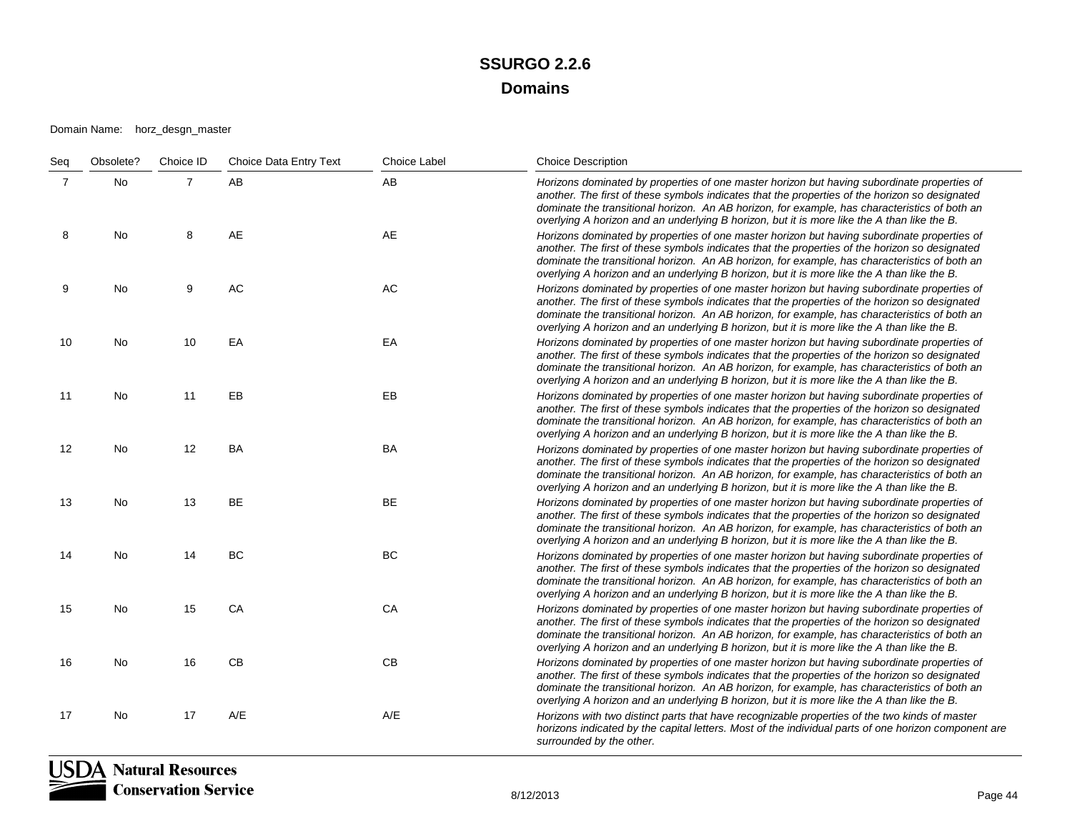| Seq            | Obsolete? | Choice ID      | Choice Data Entry Text | <b>Choice Label</b> | <b>Choice Description</b>                                                                                                                                                                                                                                                                                                                                                                     |
|----------------|-----------|----------------|------------------------|---------------------|-----------------------------------------------------------------------------------------------------------------------------------------------------------------------------------------------------------------------------------------------------------------------------------------------------------------------------------------------------------------------------------------------|
| $\overline{7}$ | No        | $\overline{7}$ | AB                     | AB                  | Horizons dominated by properties of one master horizon but having subordinate properties of<br>another. The first of these symbols indicates that the properties of the horizon so designated<br>dominate the transitional horizon. An AB horizon, for example, has characteristics of both an<br>overlying A horizon and an underlying B horizon, but it is more like the A than like the B. |
| 8              | No        | 8              | AE                     | AE                  | Horizons dominated by properties of one master horizon but having subordinate properties of<br>another. The first of these symbols indicates that the properties of the horizon so designated<br>dominate the transitional horizon. An AB horizon, for example, has characteristics of both an<br>overlying A horizon and an underlying B horizon, but it is more like the A than like the B. |
| 9              | No        | 9              | AC                     | AC                  | Horizons dominated by properties of one master horizon but having subordinate properties of<br>another. The first of these symbols indicates that the properties of the horizon so designated<br>dominate the transitional horizon. An AB horizon, for example, has characteristics of both an<br>overlying A horizon and an underlying B horizon, but it is more like the A than like the B. |
| 10             | No        | 10             | EA                     | EA                  | Horizons dominated by properties of one master horizon but having subordinate properties of<br>another. The first of these symbols indicates that the properties of the horizon so designated<br>dominate the transitional horizon. An AB horizon, for example, has characteristics of both an<br>overlying A horizon and an underlying B horizon, but it is more like the A than like the B. |
| 11             | No        | 11             | EB                     | EB                  | Horizons dominated by properties of one master horizon but having subordinate properties of<br>another. The first of these symbols indicates that the properties of the horizon so designated<br>dominate the transitional horizon. An AB horizon, for example, has characteristics of both an<br>overlying A horizon and an underlying B horizon, but it is more like the A than like the B. |
| 12             | <b>No</b> | 12             | <b>BA</b>              | <b>BA</b>           | Horizons dominated by properties of one master horizon but having subordinate properties of<br>another. The first of these symbols indicates that the properties of the horizon so designated<br>dominate the transitional horizon. An AB horizon, for example, has characteristics of both an<br>overlying A horizon and an underlying B horizon, but it is more like the A than like the B. |
| 13             | No        | 13             | BE                     | BE                  | Horizons dominated by properties of one master horizon but having subordinate properties of<br>another. The first of these symbols indicates that the properties of the horizon so designated<br>dominate the transitional horizon. An AB horizon, for example, has characteristics of both an<br>overlying A horizon and an underlying B horizon, but it is more like the A than like the B. |
| 14             | <b>No</b> | 14             | <b>BC</b>              | BC                  | Horizons dominated by properties of one master horizon but having subordinate properties of<br>another. The first of these symbols indicates that the properties of the horizon so designated<br>dominate the transitional horizon. An AB horizon, for example, has characteristics of both an<br>overlying A horizon and an underlying B horizon, but it is more like the A than like the B. |
| 15             | <b>No</b> | 15             | CA                     | CA                  | Horizons dominated by properties of one master horizon but having subordinate properties of<br>another. The first of these symbols indicates that the properties of the horizon so designated<br>dominate the transitional horizon. An AB horizon, for example, has characteristics of both an<br>overlying A horizon and an underlying B horizon, but it is more like the A than like the B. |
| 16             | No        | 16             | CB                     | CB                  | Horizons dominated by properties of one master horizon but having subordinate properties of<br>another. The first of these symbols indicates that the properties of the horizon so designated<br>dominate the transitional horizon. An AB horizon, for example, has characteristics of both an<br>overlying A horizon and an underlying B horizon, but it is more like the A than like the B. |
| 17             | <b>No</b> | 17             | A/E                    | A/E                 | Horizons with two distinct parts that have recognizable properties of the two kinds of master<br>horizons indicated by the capital letters. Most of the individual parts of one horizon component are<br>surrounded by the other.                                                                                                                                                             |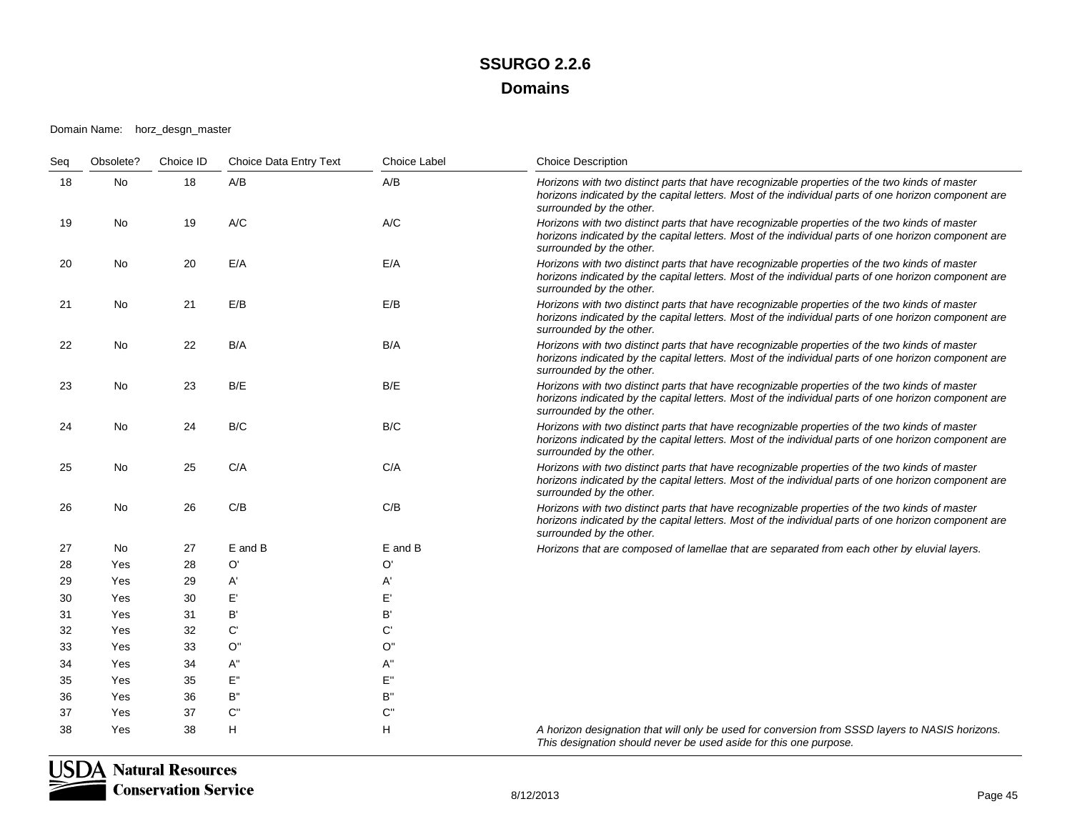| Seq | Obsolete? | Choice ID | Choice Data Entry Text                       | <b>Choice Label</b>                  | <b>Choice Description</b>                                                                                                                                                                                                         |
|-----|-----------|-----------|----------------------------------------------|--------------------------------------|-----------------------------------------------------------------------------------------------------------------------------------------------------------------------------------------------------------------------------------|
| 18  | No        | 18        | A/B                                          | A/B                                  | Horizons with two distinct parts that have recognizable properties of the two kinds of master<br>horizons indicated by the capital letters. Most of the individual parts of one horizon component are<br>surrounded by the other. |
| 19  | No        | 19        | A/C                                          | A/C                                  | Horizons with two distinct parts that have recognizable properties of the two kinds of master<br>horizons indicated by the capital letters. Most of the individual parts of one horizon component are<br>surrounded by the other. |
| 20  | No        | 20        | E/A                                          | E/A                                  | Horizons with two distinct parts that have recognizable properties of the two kinds of master<br>horizons indicated by the capital letters. Most of the individual parts of one horizon component are<br>surrounded by the other. |
| 21  | No        | 21        | E/B                                          | E/B                                  | Horizons with two distinct parts that have recognizable properties of the two kinds of master<br>horizons indicated by the capital letters. Most of the individual parts of one horizon component are<br>surrounded by the other. |
| 22  | No        | 22        | B/A                                          | B/A                                  | Horizons with two distinct parts that have recognizable properties of the two kinds of master<br>horizons indicated by the capital letters. Most of the individual parts of one horizon component are<br>surrounded by the other. |
| 23  | No        | 23        | B/E                                          | B/E                                  | Horizons with two distinct parts that have recognizable properties of the two kinds of master<br>horizons indicated by the capital letters. Most of the individual parts of one horizon component are<br>surrounded by the other. |
| 24  | No        | 24        | B/C                                          | B/C                                  | Horizons with two distinct parts that have recognizable properties of the two kinds of master<br>horizons indicated by the capital letters. Most of the individual parts of one horizon component are<br>surrounded by the other. |
| 25  | No        | 25        | C/A                                          | C/A                                  | Horizons with two distinct parts that have recognizable properties of the two kinds of master<br>horizons indicated by the capital letters. Most of the individual parts of one horizon component are<br>surrounded by the other. |
| 26  | No        | 26        | C/B                                          | C/B                                  | Horizons with two distinct parts that have recognizable properties of the two kinds of master<br>horizons indicated by the capital letters. Most of the individual parts of one horizon component are<br>surrounded by the other. |
| 27  | No.       | 27        | E and B                                      | E and B                              | Horizons that are composed of lamellae that are separated from each other by eluvial layers.                                                                                                                                      |
| 28  | Yes       | 28        | O'                                           | O'                                   |                                                                                                                                                                                                                                   |
| 29  | Yes       | 29        | A'                                           | A'                                   |                                                                                                                                                                                                                                   |
| 30  | Yes       | 30        | E'                                           | $E^{\prime}$                         |                                                                                                                                                                                                                                   |
| 31  | Yes       | 31        | B'                                           | B'                                   |                                                                                                                                                                                                                                   |
| 32  | Yes       | 32        | $\mathbf{C}^{\prime}$                        | $\mathbf{C}^{\prime}$                |                                                                                                                                                                                                                                   |
| 33  | Yes       | 33        | O''                                          | O"                                   |                                                                                                                                                                                                                                   |
| 34  | Yes       | 34        | A"                                           | A"                                   |                                                                                                                                                                                                                                   |
| 35  | Yes       | 35        | $\mathsf{E}^*$                               | E"                                   |                                                                                                                                                                                                                                   |
| 36  | Yes       | 36        | <b>B"</b>                                    | <b>B"</b>                            |                                                                                                                                                                                                                                   |
| 37  | Yes       | 37        | $\mathsf{C}^{\scriptscriptstyle\mathsf{II}}$ | $\mathsf{C}^{\scriptscriptstyle{0}}$ |                                                                                                                                                                                                                                   |
| 38  | Yes       | 38        | H                                            | H                                    | A horizon designation that will only be used for conversion from SSSD layers to NASIS horizons.<br>This designation should never be used aside for this one purpose.                                                              |

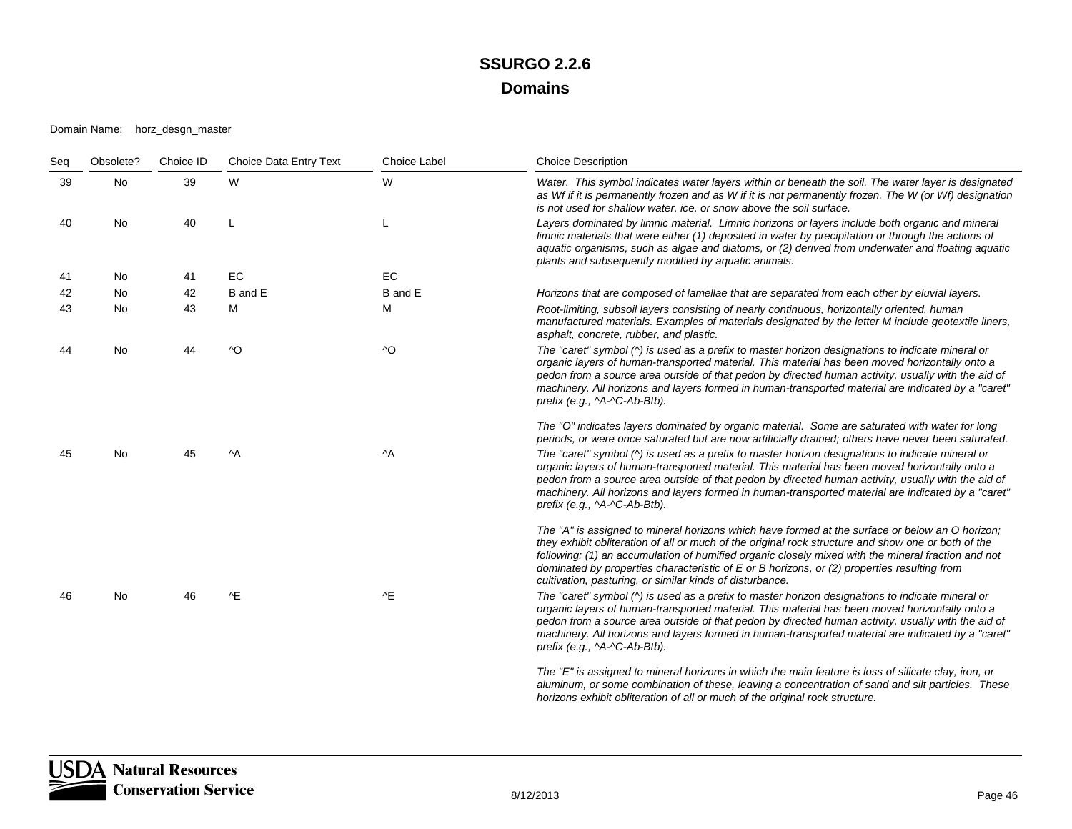| Seq | Obsolete? | Choice ID | Choice Data Entry Text | <b>Choice Label</b> | <b>Choice Description</b>                                                                                                                                                                                                                                                                                                                                                                                                                                                                                                                                                                                                                                                                                                                                                                                                                                                                                                     |
|-----|-----------|-----------|------------------------|---------------------|-------------------------------------------------------------------------------------------------------------------------------------------------------------------------------------------------------------------------------------------------------------------------------------------------------------------------------------------------------------------------------------------------------------------------------------------------------------------------------------------------------------------------------------------------------------------------------------------------------------------------------------------------------------------------------------------------------------------------------------------------------------------------------------------------------------------------------------------------------------------------------------------------------------------------------|
| 39  | No        | 39        | W                      | W                   | Water. This symbol indicates water layers within or beneath the soil. The water layer is designated<br>as Wf if it is permanently frozen and as W if it is not permanently frozen. The W (or Wf) designation<br>is not used for shallow water, ice, or snow above the soil surface.                                                                                                                                                                                                                                                                                                                                                                                                                                                                                                                                                                                                                                           |
| 40  | No.       | 40        |                        |                     | Layers dominated by limnic material. Limnic horizons or layers include both organic and mineral<br>limnic materials that were either (1) deposited in water by precipitation or through the actions of<br>aquatic organisms, such as algae and diatoms, or (2) derived from underwater and floating aquatic<br>plants and subsequently modified by aquatic animals.                                                                                                                                                                                                                                                                                                                                                                                                                                                                                                                                                           |
| 41  | No        | 41        | EC                     | EC                  |                                                                                                                                                                                                                                                                                                                                                                                                                                                                                                                                                                                                                                                                                                                                                                                                                                                                                                                               |
| 42  | No        | 42        | B and E                | B and E             | Horizons that are composed of lamellae that are separated from each other by eluvial layers.                                                                                                                                                                                                                                                                                                                                                                                                                                                                                                                                                                                                                                                                                                                                                                                                                                  |
| 43  | No.       | 43        | м                      | м                   | Root-limiting, subsoil layers consisting of nearly continuous, horizontally oriented, human<br>manufactured materials. Examples of materials designated by the letter M include geotextile liners,<br>asphalt, concrete, rubber, and plastic.                                                                                                                                                                                                                                                                                                                                                                                                                                                                                                                                                                                                                                                                                 |
| 44  | No        | 44        | $\overline{O}$         | ^O                  | The "caret" symbol $( \wedge )$ is used as a prefix to master horizon designations to indicate mineral or<br>organic layers of human-transported material. This material has been moved horizontally onto a<br>pedon from a source area outside of that pedon by directed human activity, usually with the aid of<br>machinery. All horizons and layers formed in human-transported material are indicated by a "caret"<br>prefix (e.g., ^A-^C-Ab-Btb).                                                                                                                                                                                                                                                                                                                                                                                                                                                                       |
| 45  | No        | 45        | $^{\wedge}$ A          | ^A                  | The "O" indicates layers dominated by organic material. Some are saturated with water for long<br>periods, or were once saturated but are now artificially drained; others have never been saturated.<br>The "caret" symbol (^) is used as a prefix to master horizon designations to indicate mineral or<br>organic layers of human-transported material. This material has been moved horizontally onto a<br>pedon from a source area outside of that pedon by directed human activity, usually with the aid of<br>machinery. All horizons and layers formed in human-transported material are indicated by a "caret"<br>prefix (e.g., ^A-^C-Ab-Btb).                                                                                                                                                                                                                                                                       |
| 46  | No        | 46        | ^E                     | ^E                  | The "A" is assigned to mineral horizons which have formed at the surface or below an O horizon;<br>they exhibit obliteration of all or much of the original rock structure and show one or both of the<br>following: (1) an accumulation of humified organic closely mixed with the mineral fraction and not<br>dominated by properties characteristic of $E$ or $B$ horizons, or (2) properties resulting from<br>cultivation, pasturing, or similar kinds of disturbance.<br>The "caret" symbol (^) is used as a prefix to master horizon designations to indicate mineral or<br>organic layers of human-transported material. This material has been moved horizontally onto a<br>pedon from a source area outside of that pedon by directed human activity, usually with the aid of<br>machinery. All horizons and layers formed in human-transported material are indicated by a "caret"<br>prefix (e.g., ^A-^C-Ab-Btb). |
|     |           |           |                        |                     | The "E" is assigned to mineral horizons in which the main feature is loss of silicate clay, iron, or<br>aluminum, or some combination of these, leaving a concentration of sand and silt particles. These<br>horizons exhibit obliteration of all or much of the original rock structure.                                                                                                                                                                                                                                                                                                                                                                                                                                                                                                                                                                                                                                     |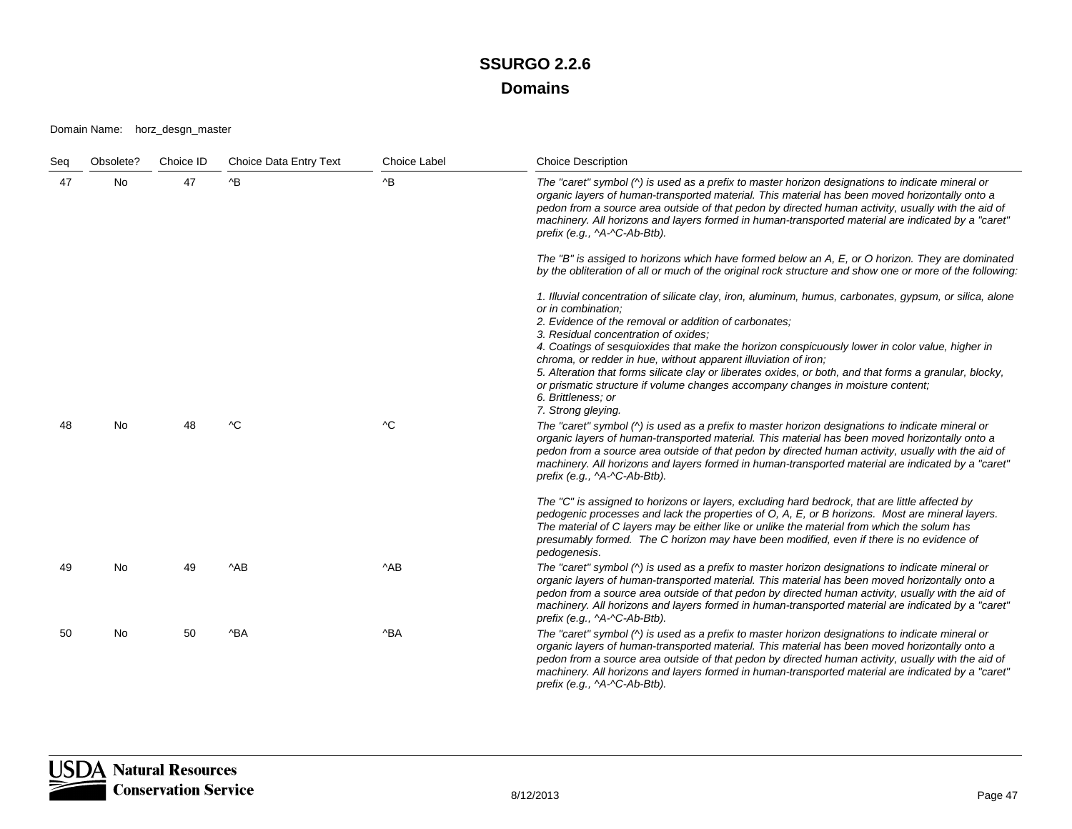| Seg | Obsolete? | Choice ID | <b>Choice Data Entry Text</b> | <b>Choice Label</b> | <b>Choice Description</b>                                                                                                                                                                                                                                                                                                                                                                                                                                                                                                                                                                                                                                                                                                                                                                                                                                                                                                                                                                                                                                                                        |
|-----|-----------|-----------|-------------------------------|---------------------|--------------------------------------------------------------------------------------------------------------------------------------------------------------------------------------------------------------------------------------------------------------------------------------------------------------------------------------------------------------------------------------------------------------------------------------------------------------------------------------------------------------------------------------------------------------------------------------------------------------------------------------------------------------------------------------------------------------------------------------------------------------------------------------------------------------------------------------------------------------------------------------------------------------------------------------------------------------------------------------------------------------------------------------------------------------------------------------------------|
| 47  | No        | 47        | $^{\wedge}B$                  | $^{\prime}$ B       | The "caret" symbol ( $\wedge$ ) is used as a prefix to master horizon designations to indicate mineral or<br>organic layers of human-transported material. This material has been moved horizontally onto a<br>pedon from a source area outside of that pedon by directed human activity, usually with the aid of<br>machinery. All horizons and layers formed in human-transported material are indicated by a "caret"<br>prefix (e.g., $\triangle A \triangle C$ -Ab-Btb).                                                                                                                                                                                                                                                                                                                                                                                                                                                                                                                                                                                                                     |
|     |           |           |                               |                     | The "B" is assiged to horizons which have formed below an A, E, or O horizon. They are dominated<br>by the obliteration of all or much of the original rock structure and show one or more of the following:                                                                                                                                                                                                                                                                                                                                                                                                                                                                                                                                                                                                                                                                                                                                                                                                                                                                                     |
| 48  | <b>No</b> | 48        | AC                            | AC                  | 1. Illuvial concentration of silicate clay, iron, aluminum, humus, carbonates, gypsum, or silica, alone<br>or in combination;<br>2. Evidence of the removal or addition of carbonates:<br>3. Residual concentration of oxides;<br>4. Coatings of sesquioxides that make the horizon conspicuously lower in color value, higher in<br>chroma, or redder in hue, without apparent illuviation of iron;<br>5. Alteration that forms silicate clay or liberates oxides, or both, and that forms a granular, blocky,<br>or prismatic structure if volume changes accompany changes in moisture content;<br>6. Brittleness: or<br>7. Strong gleying.<br>The "caret" symbol (^) is used as a prefix to master horizon designations to indicate mineral or<br>organic layers of human-transported material. This material has been moved horizontally onto a<br>pedon from a source area outside of that pedon by directed human activity, usually with the aid of<br>machinery. All horizons and layers formed in human-transported material are indicated by a "caret"<br>prefix (e.g., ^A-^C-Ab-Btb). |
|     |           |           |                               |                     | The "C" is assigned to horizons or layers, excluding hard bedrock, that are little affected by<br>pedogenic processes and lack the properties of O, A, E, or B horizons. Most are mineral layers.<br>The material of C layers may be either like or unlike the material from which the solum has<br>presumably formed. The C horizon may have been modified, even if there is no evidence of<br>pedogenesis.                                                                                                                                                                                                                                                                                                                                                                                                                                                                                                                                                                                                                                                                                     |
| 49  | <b>No</b> | 49        | $^{\wedge}$ AB                | $^{\wedge}$ AB      | The "caret" symbol (^) is used as a prefix to master horizon designations to indicate mineral or<br>organic layers of human-transported material. This material has been moved horizontally onto a<br>pedon from a source area outside of that pedon by directed human activity, usually with the aid of<br>machinery. All horizons and layers formed in human-transported material are indicated by a "caret"<br>prefix (e.g., $\triangle A \triangle C$ -Ab-Btb).                                                                                                                                                                                                                                                                                                                                                                                                                                                                                                                                                                                                                              |
| 50  | No        | 50        | ^BA                           | ^BA                 | The "caret" symbol (^) is used as a prefix to master horizon designations to indicate mineral or<br>organic layers of human-transported material. This material has been moved horizontally onto a<br>pedon from a source area outside of that pedon by directed human activity, usually with the aid of<br>machinery. All horizons and layers formed in human-transported material are indicated by a "caret"<br>prefix (e.g., ^A-^C-Ab-Btb).                                                                                                                                                                                                                                                                                                                                                                                                                                                                                                                                                                                                                                                   |

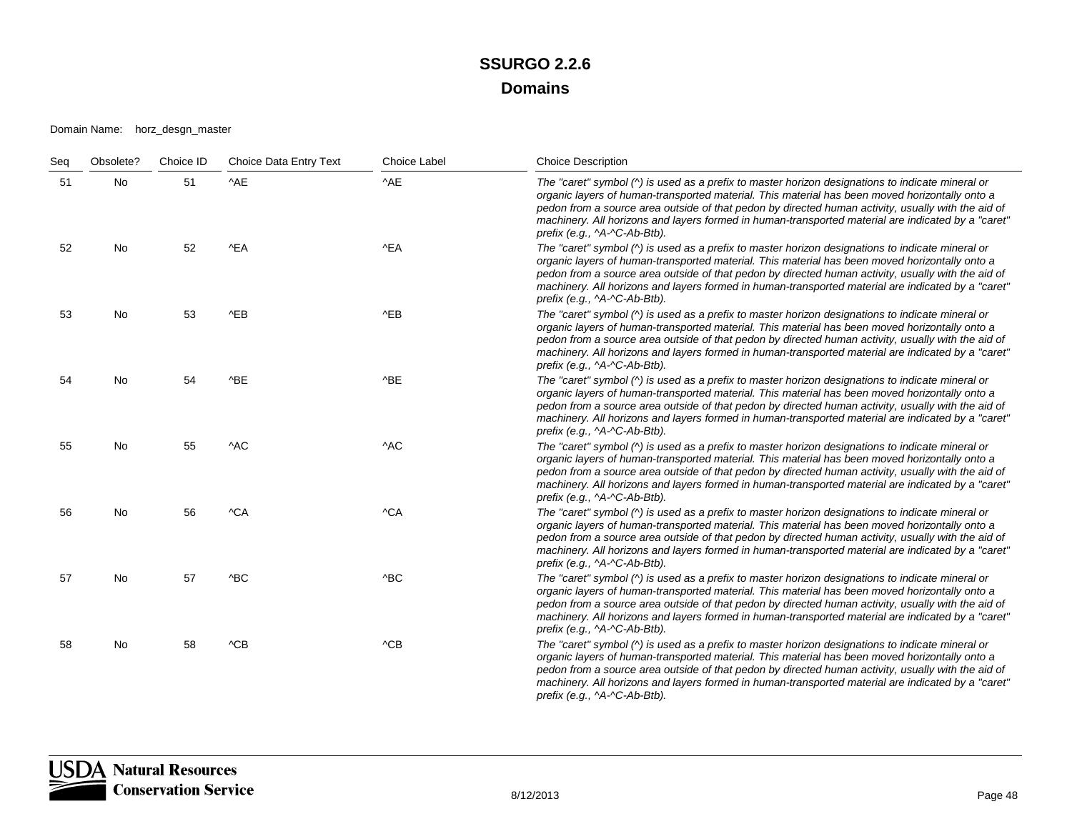| Seg | Obsolete? | Choice ID | Choice Data Entry Text | <b>Choice Label</b> | <b>Choice Description</b>                                                                                                                                                                                                                                                                                                                                                                                                                                           |
|-----|-----------|-----------|------------------------|---------------------|---------------------------------------------------------------------------------------------------------------------------------------------------------------------------------------------------------------------------------------------------------------------------------------------------------------------------------------------------------------------------------------------------------------------------------------------------------------------|
| 51  | No        | 51        | ^AE                    | ^AE                 | The "caret" symbol $( \wedge )$ is used as a prefix to master horizon designations to indicate mineral or<br>organic layers of human-transported material. This material has been moved horizontally onto a<br>pedon from a source area outside of that pedon by directed human activity, usually with the aid of<br>machinery. All horizons and layers formed in human-transported material are indicated by a "caret"<br>prefix (e.g., ^A-^C-Ab-Btb).             |
| 52  | No        | 52        | ^EA                    | ^EA                 | The "caret" symbol (^) is used as a prefix to master horizon designations to indicate mineral or<br>organic layers of human-transported material. This material has been moved horizontally onto a<br>pedon from a source area outside of that pedon by directed human activity, usually with the aid of<br>machinery. All horizons and layers formed in human-transported material are indicated by a "caret"<br>prefix (e.g., ^A-^C-Ab-Btb).                      |
| 53  | No        | 53        | AEB                    | AEB                 | The "caret" symbol (^) is used as a prefix to master horizon designations to indicate mineral or<br>organic layers of human-transported material. This material has been moved horizontally onto a<br>pedon from a source area outside of that pedon by directed human activity, usually with the aid of<br>machinery. All horizons and layers formed in human-transported material are indicated by a "caret"<br>prefix (e.g., ^A-^C-Ab-Btb).                      |
| 54  | No        | 54        | ^BE                    | ^BE                 | The "caret" symbol $\langle \wedge \rangle$ is used as a prefix to master horizon designations to indicate mineral or<br>organic layers of human-transported material. This material has been moved horizontally onto a<br>pedon from a source area outside of that pedon by directed human activity, usually with the aid of<br>machinery. All horizons and layers formed in human-transported material are indicated by a "caret"<br>prefix (e.g., ^A-^C-Ab-Btb). |
| 55  | <b>No</b> | 55        | ^AC                    | ^AC                 | The "caret" symbol (^) is used as a prefix to master horizon designations to indicate mineral or<br>organic layers of human-transported material. This material has been moved horizontally onto a<br>pedon from a source area outside of that pedon by directed human activity, usually with the aid of<br>machinery. All horizons and layers formed in human-transported material are indicated by a "caret"<br>prefix (e.g., ^A-^C-Ab-Btb).                      |
| 56  | No        | 56        | ^CA                    | ^CA                 | The "caret" symbol $(\wedge)$ is used as a prefix to master horizon designations to indicate mineral or<br>organic layers of human-transported material. This material has been moved horizontally onto a<br>pedon from a source area outside of that pedon by directed human activity, usually with the aid of<br>machinery. All horizons and layers formed in human-transported material are indicated by a "caret"<br>prefix (e.g., ^A-^C-Ab-Btb).               |
| 57  | <b>No</b> | 57        | ^BC                    | ^BC                 | The "caret" symbol $(\wedge)$ is used as a prefix to master horizon designations to indicate mineral or<br>organic layers of human-transported material. This material has been moved horizontally onto a<br>pedon from a source area outside of that pedon by directed human activity, usually with the aid of<br>machinery. All horizons and layers formed in human-transported material are indicated by a "caret"<br>prefix (e.g., ^A-^C-Ab-Btb).               |
| 58  | No        | 58        | ACB                    | ACB                 | The "caret" symbol $(\wedge)$ is used as a prefix to master horizon designations to indicate mineral or<br>organic layers of human-transported material. This material has been moved horizontally onto a<br>pedon from a source area outside of that pedon by directed human activity, usually with the aid of<br>machinery. All horizons and layers formed in human-transported material are indicated by a "caret"<br>prefix (e.g., ^A-^C-Ab-Btb).               |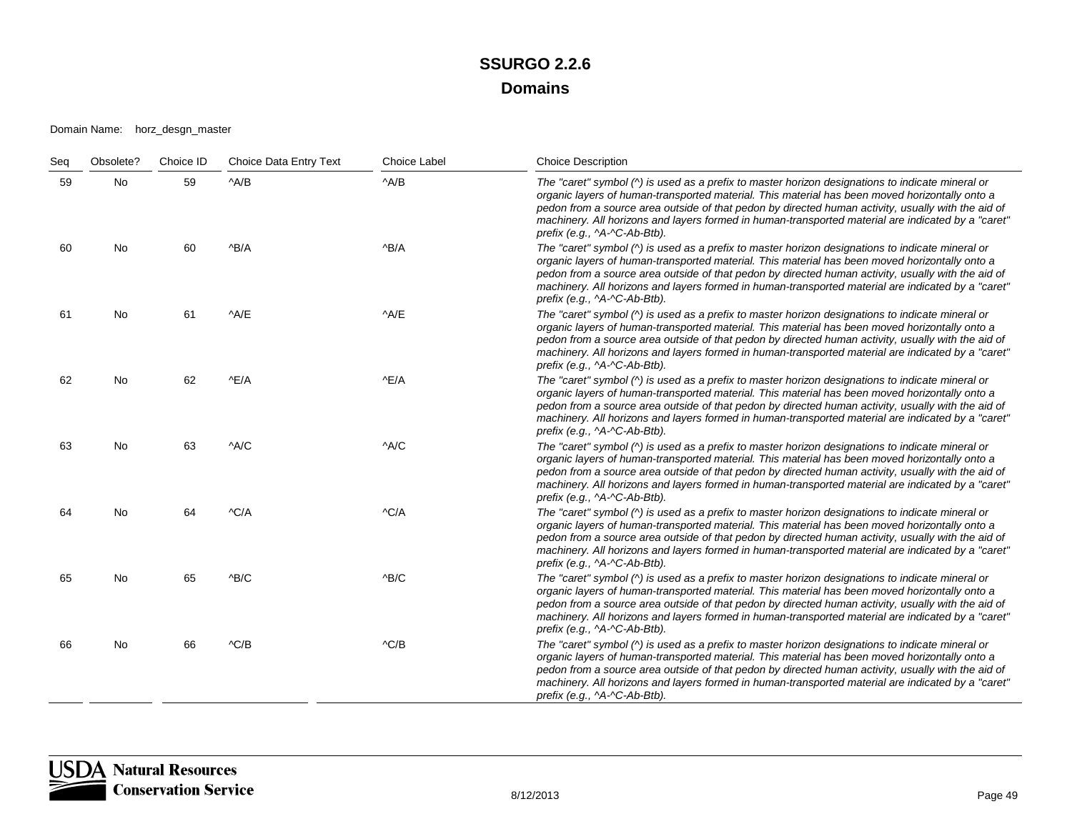| Seg | Obsolete? | Choice ID | Choice Data Entry Text | <b>Choice Label</b> | <b>Choice Description</b>                                                                                                                                                                                                                                                                                                                                                                                                                               |
|-----|-----------|-----------|------------------------|---------------------|---------------------------------------------------------------------------------------------------------------------------------------------------------------------------------------------------------------------------------------------------------------------------------------------------------------------------------------------------------------------------------------------------------------------------------------------------------|
| 59  | No        | 59        | $^A$ A/B               | $^A$ A/B            | The "caret" symbol (^) is used as a prefix to master horizon designations to indicate mineral or<br>organic layers of human-transported material. This material has been moved horizontally onto a<br>pedon from a source area outside of that pedon by directed human activity, usually with the aid of<br>machinery. All horizons and layers formed in human-transported material are indicated by a "caret"<br>prefix (e.g., ^A-^C-Ab-Btb).          |
| 60  | <b>No</b> | 60        | AB/A                   | AB/A                | The "caret" symbol $(\wedge)$ is used as a prefix to master horizon designations to indicate mineral or<br>organic layers of human-transported material. This material has been moved horizontally onto a<br>pedon from a source area outside of that pedon by directed human activity, usually with the aid of<br>machinery. All horizons and layers formed in human-transported material are indicated by a "caret"<br>prefix (e.g., ^A-^C-Ab-Btb).   |
| 61  | No        | 61        | ^A/E                   | A/E                 | The "caret" symbol $( \wedge )$ is used as a prefix to master horizon designations to indicate mineral or<br>organic layers of human-transported material. This material has been moved horizontally onto a<br>pedon from a source area outside of that pedon by directed human activity, usually with the aid of<br>machinery. All horizons and layers formed in human-transported material are indicated by a "caret"<br>prefix (e.g., ^A-^C-Ab-Btb). |
| 62  | No        | 62        | AE/A                   | AE/A                | The "caret" symbol (^) is used as a prefix to master horizon designations to indicate mineral or<br>organic layers of human-transported material. This material has been moved horizontally onto a<br>pedon from a source area outside of that pedon by directed human activity, usually with the aid of<br>machinery. All horizons and layers formed in human-transported material are indicated by a "caret"<br>prefix (e.g., ^A-^C-Ab-Btb).          |
| 63  | No        | 63        | ^A/C                   | A/C                 | The "caret" symbol (^) is used as a prefix to master horizon designations to indicate mineral or<br>organic layers of human-transported material. This material has been moved horizontally onto a<br>pedon from a source area outside of that pedon by directed human activity, usually with the aid of<br>machinery. All horizons and layers formed in human-transported material are indicated by a "caret"<br>prefix (e.g., ^A-^C-Ab-Btb).          |
| 64  | No        | 64        | AC/A                   | AC/A                | The "caret" symbol (^) is used as a prefix to master horizon designations to indicate mineral or<br>organic layers of human-transported material. This material has been moved horizontally onto a<br>pedon from a source area outside of that pedon by directed human activity, usually with the aid of<br>machinery. All horizons and layers formed in human-transported material are indicated by a "caret"<br>prefix (e.g., ^A-^C-Ab-Btb).          |
| 65  | No        | 65        | AB/C                   | AB/C                | The "caret" symbol (^) is used as a prefix to master horizon designations to indicate mineral or<br>organic layers of human-transported material. This material has been moved horizontally onto a<br>pedon from a source area outside of that pedon by directed human activity, usually with the aid of<br>machinery. All horizons and layers formed in human-transported material are indicated by a "caret"<br>prefix (e.g., ^A-^C-Ab-Btb).          |
| 66  | No        | 66        | AC/B                   | AC/B                | The "caret" symbol (^) is used as a prefix to master horizon designations to indicate mineral or<br>organic layers of human-transported material. This material has been moved horizontally onto a<br>pedon from a source area outside of that pedon by directed human activity, usually with the aid of<br>machinery. All horizons and layers formed in human-transported material are indicated by a "caret"<br>prefix (e.g., ^A-^C-Ab-Btb).          |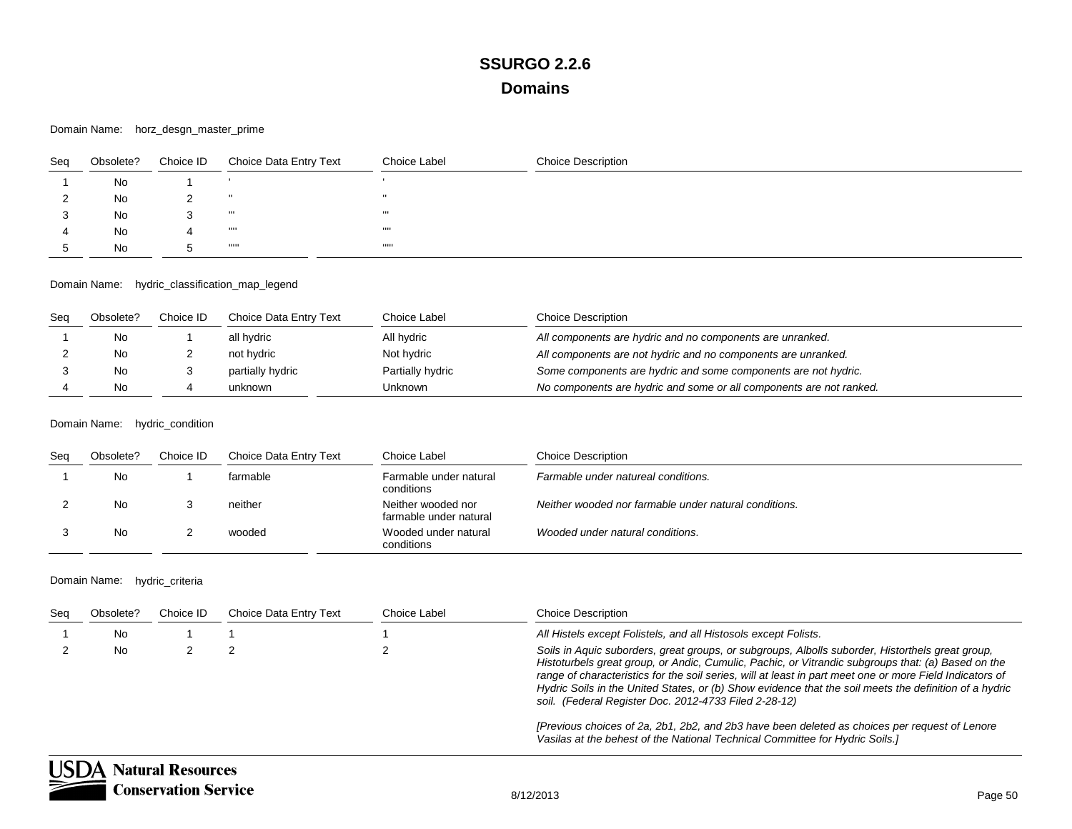Domain Name: horz\_desgn\_master\_prime

| Seq | Obsolete? | Choice ID | <b>Choice Data Entry Text</b> | Choice Label | <b>Choice Description</b> |
|-----|-----------|-----------|-------------------------------|--------------|---------------------------|
|     | No        |           |                               |              |                           |
|     | No        |           | $\mathbf{H}$                  | $\mathbf{H}$ |                           |
|     | No        |           | $\mathbf{H}$                  | $\mathbf{H}$ |                           |
|     | No        | 4         | $\cdots$                      | 1111         |                           |
|     | No        | . .       | 11111                         | 11111        |                           |

### Domain Name: hydric\_classification\_map\_legend

| Sea | Obsolete? | Choice ID . | Choice Data Entry Text | Choice Label     | <b>Choice Description</b>                                           |
|-----|-----------|-------------|------------------------|------------------|---------------------------------------------------------------------|
|     | . No      |             | all hydric             | All hydric       | All components are hydric and no components are unranked.           |
|     | No        |             | not hydric             | Not hydric       | All components are not hydric and no components are unranked.       |
|     | No.       |             | partially hydric       | Partially hydric | Some components are hydric and some components are not hydric.      |
|     | No        |             | unknown                | Unknown          | No components are hydric and some or all components are not ranked. |

### Domain Name: hydric\_condition

| Seg | Obsolete? | Choice ID | Choice Data Entry Text | Choice Label                                 | <b>Choice Description</b>                             |
|-----|-----------|-----------|------------------------|----------------------------------------------|-------------------------------------------------------|
|     | No        |           | farmable               | Farmable under natural<br>conditions         | Farmable under natureal conditions.                   |
|     | No        |           | neither                | Neither wooded nor<br>farmable under natural | Neither wooded nor farmable under natural conditions. |
|     | No        |           | wooded                 | Wooded under natural<br>conditions           | Wooded under natural conditions.                      |

### Domain Name: hydric\_criteria

₹

| Sea | Obsolete? | Choice ID                | Choice Data Entry Text | Choice Label | <b>Choice Description</b>                                                                                                                                                                                                                                                                                                                                                                                                                                                             |
|-----|-----------|--------------------------|------------------------|--------------|---------------------------------------------------------------------------------------------------------------------------------------------------------------------------------------------------------------------------------------------------------------------------------------------------------------------------------------------------------------------------------------------------------------------------------------------------------------------------------------|
|     | No        |                          |                        |              | All Histels except Folistels, and all Histosols except Folists.                                                                                                                                                                                                                                                                                                                                                                                                                       |
|     | No        |                          |                        |              | Soils in Aquic suborders, great groups, or subgroups, Albolls suborder, Historthels great group,<br>Histoturbels great group, or Andic, Cumulic, Pachic, or Vitrandic subgroups that: (a) Based on the<br>range of characteristics for the soil series, will at least in part meet one or more Field Indicators of<br>Hydric Soils in the United States, or (b) Show evidence that the soil meets the definition of a hydric<br>soil. (Federal Register Doc. 2012-4733 Filed 2-28-12) |
|     |           |                          |                        |              | [Previous choices of 2a, 2b1, 2b2, and 2b3 have been deleted as choices per request of Lenore<br>Vasilas at the behest of the National Technical Committee for Hydric Soils.                                                                                                                                                                                                                                                                                                          |
|     |           | <b>Natural Resources</b> |                        |              |                                                                                                                                                                                                                                                                                                                                                                                                                                                                                       |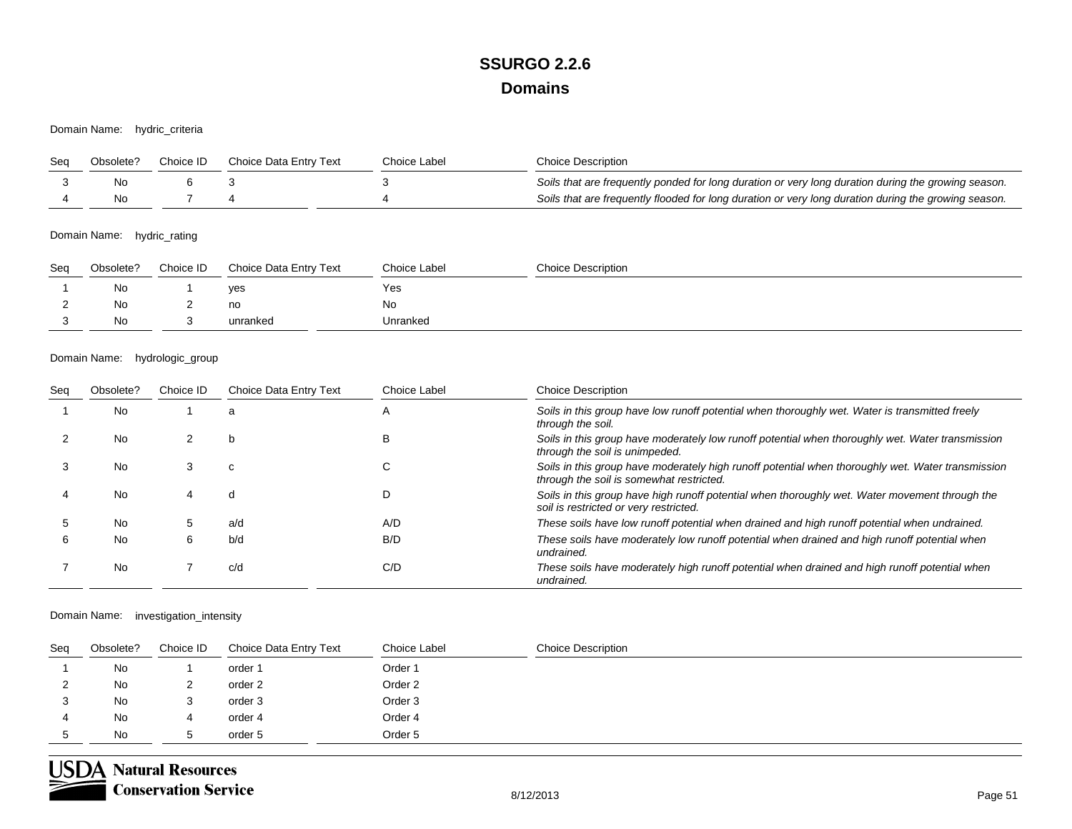Domain Name: hydric\_criteria

| Seq | Obsolete? | Choice ID | Choice Data Entry Text | Choice Label | Choice Description                                                                                   |
|-----|-----------|-----------|------------------------|--------------|------------------------------------------------------------------------------------------------------|
|     | Nο        |           |                        |              | Soils that are frequently ponded for long duration or very long duration during the growing season.  |
|     | Nο        |           |                        |              | Soils that are frequently flooded for long duration or very long duration during the growing season. |

Domain Name: hydric\_rating

| Seq | Obsolete? | Choice ID | Choice Data Entry Text | Choice Label | <b>Choice Description</b> |
|-----|-----------|-----------|------------------------|--------------|---------------------------|
|     | No.       |           | yes                    | Yes          |                           |
|     | No        |           | no                     | No           |                           |
|     | No        |           | unranked               | Unranked     |                           |

### Domain Name: hydrologic\_group

| Seg | Obsolete? | Choice ID | Choice Data Entry Text | Choice Label              | <b>Choice Description</b>                                                                                                                     |
|-----|-----------|-----------|------------------------|---------------------------|-----------------------------------------------------------------------------------------------------------------------------------------------|
|     | No        |           | a                      | $\boldsymbol{\mathsf{A}}$ | Soils in this group have low runoff potential when thoroughly wet. Water is transmitted freely<br>through the soil.                           |
|     | No        |           | b                      | В                         | Soils in this group have moderately low runoff potential when thoroughly wet. Water transmission<br>through the soil is unimpeded.            |
|     | No        |           | с                      |                           | Soils in this group have moderately high runoff potential when thoroughly wet. Water transmission<br>through the soil is somewhat restricted. |
|     | No        | 4         | a                      |                           | Soils in this group have high runoff potential when thoroughly wet. Water movement through the<br>soil is restricted or very restricted.      |
| :5  | No        | b.        | a/d                    | A/D                       | These soils have low runoff potential when drained and high runoff potential when undrained.                                                  |
|     | No        | 6         | b/d                    | B/D                       | These soils have moderately low runoff potential when drained and high runoff potential when<br>undrained.                                    |
|     | No        |           | c/d                    | C/D                       | These soils have moderately high runoff potential when drained and high runoff potential when<br>undrained.                                   |

Domain Name: investigation\_intensity

| Seq | Obsolete? | Choice ID            | Choice Data Entry Text | Choice Label | <b>Choice Description</b> |
|-----|-----------|----------------------|------------------------|--------------|---------------------------|
|     | No        |                      | order 1                | Order 1      |                           |
|     | No        | ◠<br><u>_</u>        | order 2                | Order 2      |                           |
|     | No        | J                    | order 3                | Order 3      |                           |
| 4   | No        | 4                    | order 4                | Order 4      |                           |
|     | No        | $\ddot{\phantom{1}}$ | order 5                | Order 5      |                           |

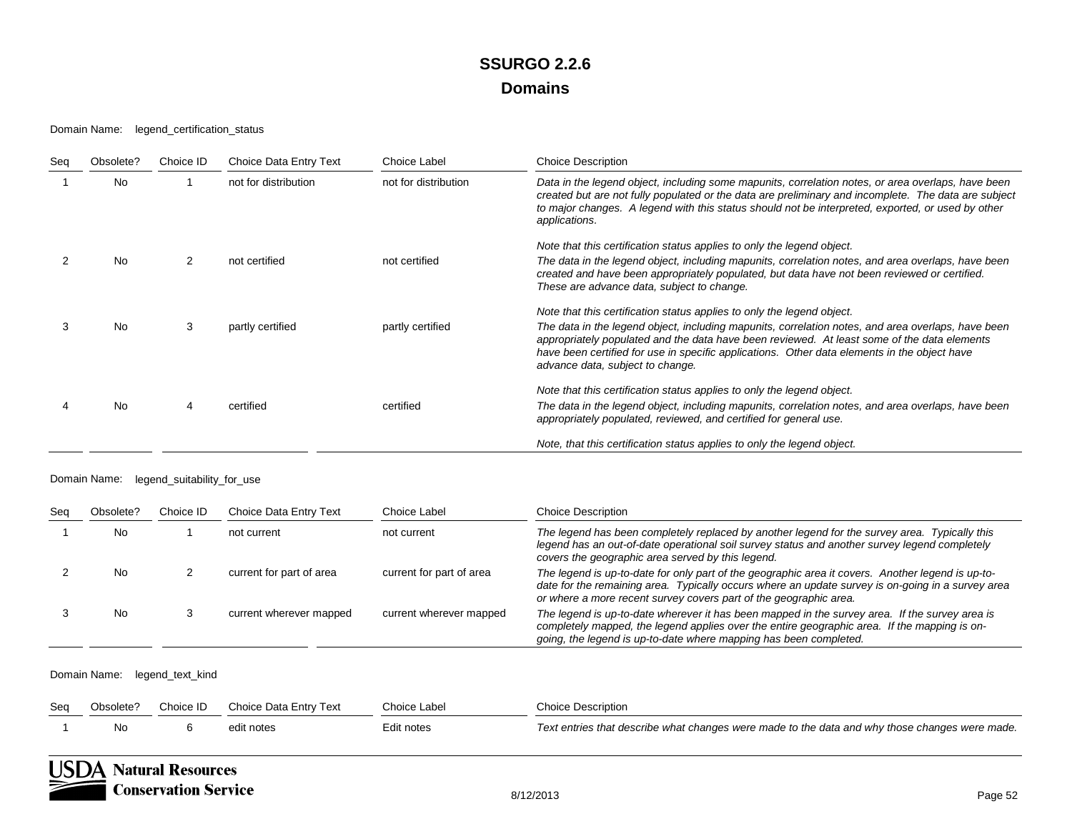### Domain Name: legend\_certification\_status

| Seg | Obsolete? | Choice ID | Choice Data Entry Text | Choice Label         | <b>Choice Description</b>                                                                                                                                                                                                                                                                                                             |
|-----|-----------|-----------|------------------------|----------------------|---------------------------------------------------------------------------------------------------------------------------------------------------------------------------------------------------------------------------------------------------------------------------------------------------------------------------------------|
|     | <b>No</b> |           | not for distribution   | not for distribution | Data in the legend object, including some mapunits, correlation notes, or area overlaps, have been<br>created but are not fully populated or the data are preliminary and incomplete. The data are subject<br>to major changes. A legend with this status should not be interpreted, exported, or used by other<br>applications.      |
|     |           |           |                        |                      | Note that this certification status applies to only the legend object.                                                                                                                                                                                                                                                                |
|     | <b>No</b> | 2         | not certified          | not certified        | The data in the legend object, including mapunits, correlation notes, and area overlaps, have been<br>created and have been appropriately populated, but data have not been reviewed or certified.<br>These are advance data, subject to change.                                                                                      |
|     |           |           |                        |                      | Note that this certification status applies to only the legend object.                                                                                                                                                                                                                                                                |
|     | <b>No</b> | 3         | partly certified       | partly certified     | The data in the legend object, including mapunits, correlation notes, and area overlaps, have been<br>appropriately populated and the data have been reviewed. At least some of the data elements<br>have been certified for use in specific applications. Other data elements in the object have<br>advance data, subject to change. |
|     |           |           |                        |                      | Note that this certification status applies to only the legend object.                                                                                                                                                                                                                                                                |
|     | <b>No</b> | 4         | certified              | certified            | The data in the legend object, including mapunits, correlation notes, and area overlaps, have been<br>appropriately populated, reviewed, and certified for general use.                                                                                                                                                               |
|     |           |           |                        |                      | Note, that this certification status applies to only the legend object.                                                                                                                                                                                                                                                               |

#### Domain Name: legend\_suitability\_for\_use

| Seq | Obsolete? | Choice ID | Choice Data Entry Text   | Choice Label             | <b>Choice Description</b>                                                                                                                                                                                                                                                   |
|-----|-----------|-----------|--------------------------|--------------------------|-----------------------------------------------------------------------------------------------------------------------------------------------------------------------------------------------------------------------------------------------------------------------------|
|     | No        |           | not current              | not current              | The legend has been completely replaced by another legend for the survey area. Typically this<br>legend has an out-of-date operational soil survey status and another survey legend completely<br>covers the geographic area served by this legend.                         |
|     | No        |           | current for part of area | current for part of area | The legend is up-to-date for only part of the geographic area it covers. Another legend is up-to-<br>date for the remaining area. Typically occurs where an update survey is on-going in a survey area<br>or where a more recent survey covers part of the geographic area. |
|     | No        |           | current wherever mapped  | current wherever mapped  | The legend is up-to-date wherever it has been mapped in the survey area. If the survey area is<br>completely mapped, the legend applies over the entire geographic area. If the mapping is on-<br>going, the legend is up-to-date where mapping has been completed.         |

### Domain Name: legend\_text\_kind

| Seg | Obsolete? | Choice ID Choice Data Entry Text | Choice Label | <b>Choice Description</b>                                                                      |
|-----|-----------|----------------------------------|--------------|------------------------------------------------------------------------------------------------|
|     | No.       | edit notes                       | Edit notes   | Text entries that describe what changes were made to the data and why those changes were made. |

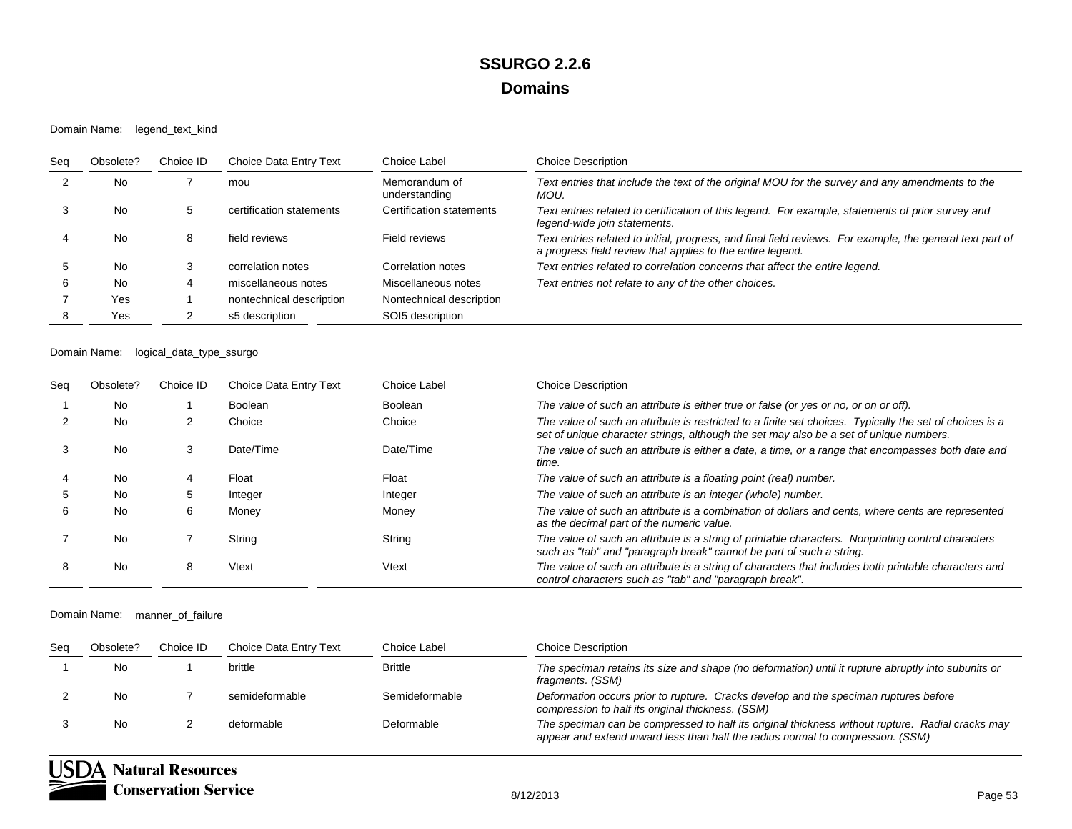### Domain Name: legend\_text\_kind

| Seg | Obsolete? | Choice ID | Choice Data Entry Text   | Choice Label                   | <b>Choice Description</b>                                                                                                                                               |
|-----|-----------|-----------|--------------------------|--------------------------------|-------------------------------------------------------------------------------------------------------------------------------------------------------------------------|
|     | No        |           | mou                      | Memorandum of<br>understanding | Text entries that include the text of the original MOU for the survey and any amendments to the<br>MOU.                                                                 |
|     | No        |           | certification statements | Certification statements       | Text entries related to certification of this legend. For example, statements of prior survey and<br>legend-wide join statements.                                       |
|     | No        |           | field reviews            | Field reviews                  | Text entries related to initial, progress, and final field reviews. For example, the general text part of<br>a progress field review that applies to the entire legend. |
|     | No        |           | correlation notes        | Correlation notes              | Text entries related to correlation concerns that affect the entire legend.                                                                                             |
| b   | No        | 4         | miscellaneous notes      | Miscellaneous notes            | Text entries not relate to any of the other choices.                                                                                                                    |
|     | Yes       |           | nontechnical description | Nontechnical description       |                                                                                                                                                                         |
|     | Yes       |           | s5 description           | SOI5 description               |                                                                                                                                                                         |

### Domain Name: logical\_data\_type\_ssurgo

| Seq | Obsolete? | Choice ID | Choice Data Entry Text | Choice Label | <b>Choice Description</b>                                                                                                                                                                         |
|-----|-----------|-----------|------------------------|--------------|---------------------------------------------------------------------------------------------------------------------------------------------------------------------------------------------------|
|     | <b>No</b> |           | Boolean                | Boolean      | The value of such an attribute is either true or false (or yes or no, or on or off).                                                                                                              |
|     | No.       |           | Choice                 | Choice       | The value of such an attribute is restricted to a finite set choices. Typically the set of choices is a<br>set of unique character strings, although the set may also be a set of unique numbers. |
|     | <b>No</b> | 3         | Date/Time              | Date/Time    | The value of such an attribute is either a date, a time, or a range that encompasses both date and<br>time.                                                                                       |
|     | <b>No</b> | 4         | Float                  | Float        | The value of such an attribute is a floating point (real) number.                                                                                                                                 |
|     | No        | 5         | Integer                | Integer      | The value of such an attribute is an integer (whole) number.                                                                                                                                      |
|     | No        | 6         | Money                  | Money        | The value of such an attribute is a combination of dollars and cents, where cents are represented<br>as the decimal part of the numeric value.                                                    |
|     | <b>No</b> |           | String                 | String       | The value of such an attribute is a string of printable characters. Nonprinting control characters<br>such as "tab" and "paragraph break" cannot be part of such a string.                        |
|     | No        | 8         | Vtext                  | Vtext        | The value of such an attribute is a string of characters that includes both printable characters and<br>control characters such as "tab" and "paragraph break".                                   |

#### Domain Name: manner\_of\_failure

| Sea | Obsolete? | Choice ID | Choice Data Entry Text | Choice Label   | <b>Choice Description</b>                                                                                                                                                           |
|-----|-----------|-----------|------------------------|----------------|-------------------------------------------------------------------------------------------------------------------------------------------------------------------------------------|
|     | No.       |           | brittle                | <b>Brittle</b> | The speciman retains its size and shape (no deformation) until it rupture abruptly into subunits or<br>fragments. (SSM)                                                             |
|     | No.       |           | semideformable         | Semideformable | Deformation occurs prior to rupture. Cracks develop and the speciman ruptures before<br>compression to half its original thickness. (SSM)                                           |
|     | No.       |           | deformable             | Deformable     | The speciman can be compressed to half its original thickness without rupture. Radial cracks may<br>appear and extend inward less than half the radius normal to compression. (SSM) |

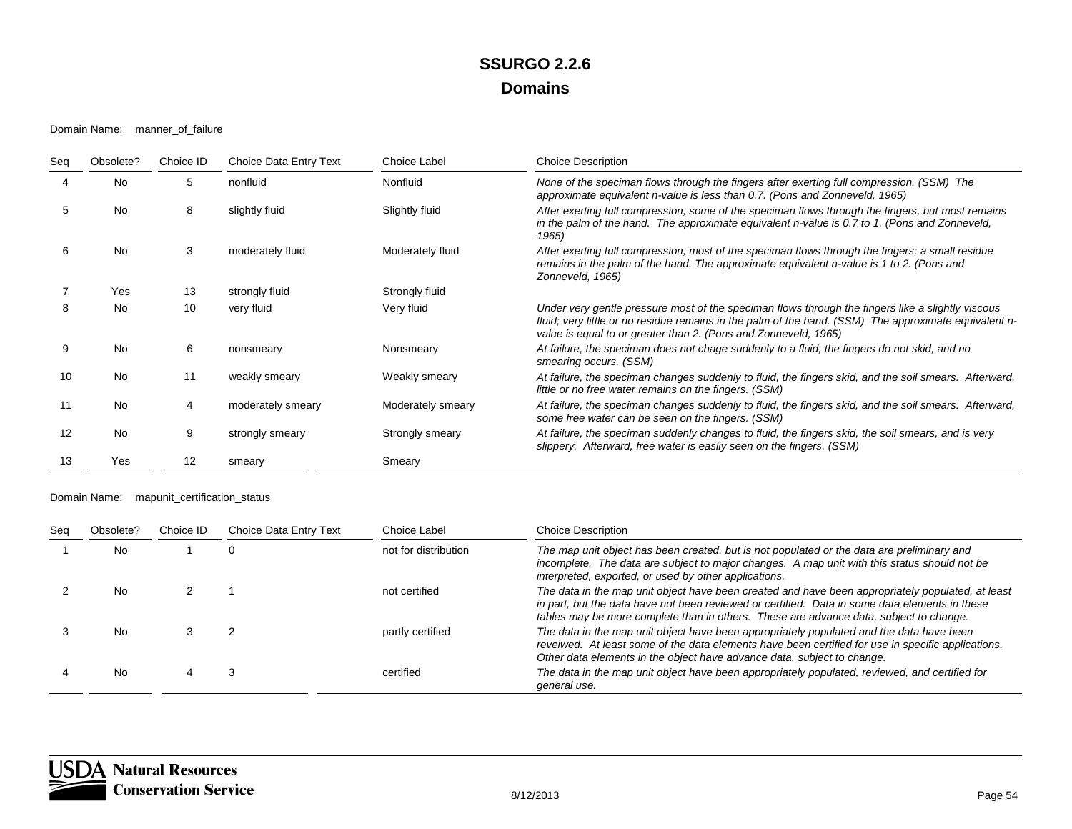Domain Name: manner\_of\_failure

| Seg | Obsolete? | Choice ID | Choice Data Entry Text | Choice Label      | <b>Choice Description</b>                                                                                                                                                                                                                                                     |
|-----|-----------|-----------|------------------------|-------------------|-------------------------------------------------------------------------------------------------------------------------------------------------------------------------------------------------------------------------------------------------------------------------------|
|     | <b>No</b> | 5         | nonfluid               | Nonfluid          | None of the speciman flows through the fingers after exerting full compression. (SSM) The<br>approximate equivalent n-value is less than 0.7. (Pons and Zonneveld, 1965)                                                                                                      |
| 5   | No        | 8         | slightly fluid         | Slightly fluid    | After exerting full compression, some of the speciman flows through the fingers, but most remains<br>in the palm of the hand. The approximate equivalent n-value is 0.7 to 1. (Pons and Zonneveld,<br>1965)                                                                   |
| 6   | No        | 3         | moderately fluid       | Moderately fluid  | After exerting full compression, most of the speciman flows through the fingers; a small residue<br>remains in the palm of the hand. The approximate equivalent n-value is 1 to 2. (Pons and<br>Zonneveld, 1965)                                                              |
|     | Yes       | 13        | strongly fluid         | Strongly fluid    |                                                                                                                                                                                                                                                                               |
| 8   | No        | 10        | very fluid             | Very fluid        | Under very gentle pressure most of the speciman flows through the fingers like a slightly viscous<br>fluid; very little or no residue remains in the palm of the hand. (SSM) The approximate equivalent n-<br>value is equal to or greater than 2. (Pons and Zonneveld, 1965) |
| 9   | <b>No</b> | 6         | nonsmeary              | Nonsmeary         | At failure, the speciman does not chage suddenly to a fluid, the fingers do not skid, and no<br>smearing occurs. (SSM)                                                                                                                                                        |
| 10  | <b>No</b> | 11        | weakly smeary          | Weakly smeary     | At failure, the speciman changes suddenly to fluid, the fingers skid, and the soil smears. Afterward,<br>little or no free water remains on the fingers. (SSM)                                                                                                                |
| 11  | No        | 4         | moderately smeary      | Moderately smeary | At failure, the speciman changes suddenly to fluid, the fingers skid, and the soil smears. Afterward,<br>some free water can be seen on the fingers. (SSM)                                                                                                                    |
| 12  | No        | 9         | strongly smeary        | Strongly smeary   | At failure, the speciman suddenly changes to fluid, the fingers skid, the soil smears, and is very<br>slippery. Afterward, free water is easliy seen on the fingers. (SSM)                                                                                                    |
| 13  | Yes       | 12        | smeary                 | Smeary            |                                                                                                                                                                                                                                                                               |

Domain Name: mapunit\_certification\_status

| Sec | Obsolete? | Choice ID | Choice Data Entry Text | Choice Label         | <b>Choice Description</b>                                                                                                                                                                                                                                                                     |
|-----|-----------|-----------|------------------------|----------------------|-----------------------------------------------------------------------------------------------------------------------------------------------------------------------------------------------------------------------------------------------------------------------------------------------|
|     | No.       |           |                        | not for distribution | The map unit object has been created, but is not populated or the data are preliminary and<br>incomplete. The data are subject to major changes. A map unit with this status should not be<br>interpreted, exported, or used by other applications.                                           |
|     | No        |           |                        | not certified        | The data in the map unit object have been created and have been appropriately populated, at least<br>in part, but the data have not been reviewed or certified. Data in some data elements in these<br>tables may be more complete than in others. These are advance data, subject to change. |
|     | No.       |           |                        | partly certified     | The data in the map unit object have been appropriately populated and the data have been<br>reveiwed. At least some of the data elements have been certified for use in specific applications.<br>Other data elements in the object have advance data, subject to change.                     |
|     | No        |           |                        | certified            | The data in the map unit object have been appropriately populated, reviewed, and certified for<br>general use.                                                                                                                                                                                |

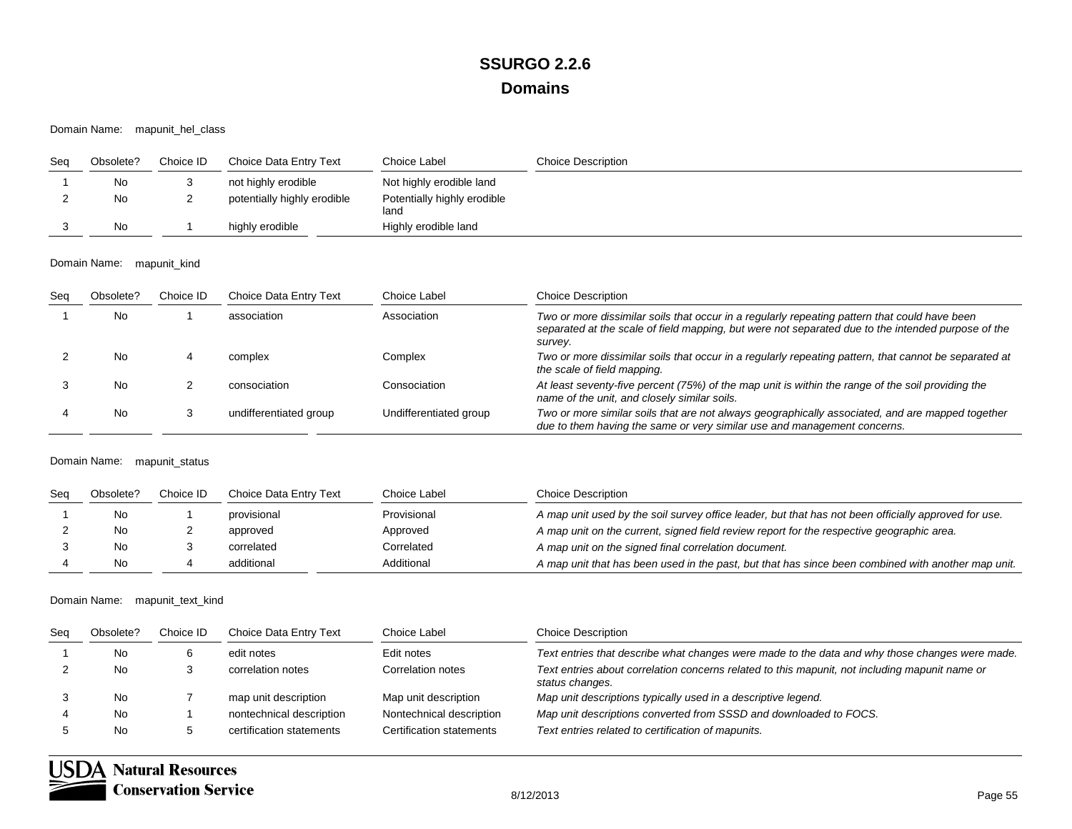Domain Name: mapunit\_hel\_class

| Seq | Obsolete? | Choice ID | Choice Data Entry Text      | Choice Label                        | <b>Choice Description</b> |
|-----|-----------|-----------|-----------------------------|-------------------------------------|---------------------------|
|     | No        |           | not highly erodible         | Not highly erodible land            |                           |
| ∼   | No        | <u>.</u>  | potentially highly erodible | Potentially highly erodible<br>land |                           |
|     | No        |           | highly erodible             | Highly erodible land                |                           |

Domain Name: mapunit\_kind

| Sea | Obsolete? | Choice ID | Choice Data Entry Text | Choice Label           | <b>Choice Description</b>                                                                                                                                                                                      |
|-----|-----------|-----------|------------------------|------------------------|----------------------------------------------------------------------------------------------------------------------------------------------------------------------------------------------------------------|
|     | No.       |           | association            | Association            | Two or more dissimilar soils that occur in a regularly repeating pattern that could have been<br>separated at the scale of field mapping, but were not separated due to the intended purpose of the<br>survev. |
|     | No        |           | complex                | Complex                | Two or more dissimilar soils that occur in a regularly repeating pattern, that cannot be separated at<br>the scale of field mapping.                                                                           |
|     | No        |           | consociation           | Consociation           | At least seventy-five percent (75%) of the map unit is within the range of the soil providing the<br>name of the unit, and closely similar soils.                                                              |
|     | No        |           | undifferentiated group | Undifferentiated group | Two or more similar soils that are not always geographically associated, and are mapped together<br>due to them having the same or very similar use and management concerns.                                   |

Domain Name: mapunit\_status

| Sea | Obsolete? | Choice ID | Choice Data Entry Text | Choice Label | <b>Choice Description</b>                                                                            |
|-----|-----------|-----------|------------------------|--------------|------------------------------------------------------------------------------------------------------|
|     | No        |           | provisional            | Provisional  | A map unit used by the soil survey office leader, but that has not been officially approved for use. |
|     | No        |           | approved               | Approved     | A map unit on the current, signed field review report for the respective geographic area.            |
|     | No        |           | correlated             | Correlated   | A map unit on the signed final correlation document.                                                 |
|     | No        |           | additional             | Additional   | A map unit that has been used in the past, but that has since been combined with another map unit.   |

Domain Name: mapunit\_text\_kind

| Sea | Obsolete? | Choice ID | Choice Data Entry Text   | Choice Label             | <b>Choice Description</b>                                                                                         |
|-----|-----------|-----------|--------------------------|--------------------------|-------------------------------------------------------------------------------------------------------------------|
|     | No        |           | edit notes               | Edit notes               | Text entries that describe what changes were made to the data and why those changes were made.                    |
|     | No.       |           | correlation notes        | Correlation notes        | Text entries about correlation concerns related to this mapunit, not including mapunit name or<br>status changes. |
|     | No.       |           | map unit description     | Map unit description     | Map unit descriptions typically used in a descriptive legend.                                                     |
|     | No        |           | nontechnical description | Nontechnical description | Map unit descriptions converted from SSSD and downloaded to FOCS.                                                 |
|     | No        |           | certification statements | Certification statements | Text entries related to certification of mapunits.                                                                |

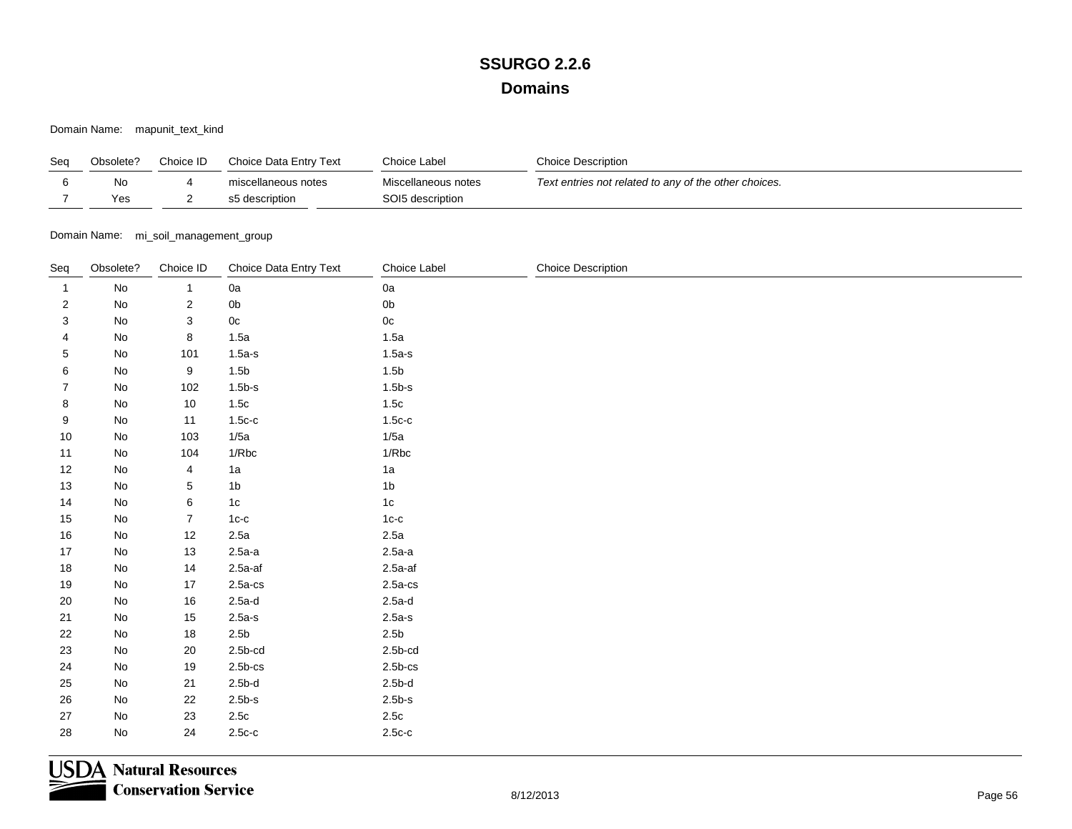Domain Name: mapunit\_text\_kind

| Seq              | Obsolete?                             | Choice ID                 | Choice Data Entry Text | Choice Label        | <b>Choice Description</b>                             |  |  |  |  |  |
|------------------|---------------------------------------|---------------------------|------------------------|---------------------|-------------------------------------------------------|--|--|--|--|--|
| 6                | No                                    | 4                         | miscellaneous notes    | Miscellaneous notes | Text entries not related to any of the other choices. |  |  |  |  |  |
| $\overline{7}$   | Yes                                   | $\overline{a}$            | s5 description         | SOI5 description    |                                                       |  |  |  |  |  |
|                  |                                       |                           |                        |                     |                                                       |  |  |  |  |  |
|                  | Domain Name: mi_soil_management_group |                           |                        |                     |                                                       |  |  |  |  |  |
| Seq              | Obsolete?                             | Choice ID                 | Choice Data Entry Text | Choice Label        | <b>Choice Description</b>                             |  |  |  |  |  |
| $\mathbf{1}$     | $\mathsf{No}$                         | $\mathbf{1}$              | 0a                     | 0a                  |                                                       |  |  |  |  |  |
| $\sqrt{2}$       | ${\sf No}$                            | $\mathbf 2$               | $0\mathsf{b}$          | 0 <sub>b</sub>      |                                                       |  |  |  |  |  |
| 3                | ${\sf No}$                            | $\ensuremath{\mathsf{3}}$ | $0\mathrm{c}$          | $0\mathrm{c}$       |                                                       |  |  |  |  |  |
| 4                | No                                    | 8                         | 1.5a                   | 1.5a                |                                                       |  |  |  |  |  |
| 5                | No                                    | 101                       | $1.5a-s$               | $1.5a-s$            |                                                       |  |  |  |  |  |
| 6                | No                                    | 9                         | 1.5 <sub>b</sub>       | 1.5 <sub>b</sub>    |                                                       |  |  |  |  |  |
| $\overline{7}$   | $\mathsf{No}$                         | 102                       | $1.5b-s$               | $1.5b-s$            |                                                       |  |  |  |  |  |
| 8                | ${\sf No}$                            | 10                        | 1.5c                   | 1.5c                |                                                       |  |  |  |  |  |
| $\boldsymbol{9}$ | No                                    | 11                        | $1.5c-c$               | $1.5c-c$            |                                                       |  |  |  |  |  |
| $10$             | No                                    | 103                       | 1/5a                   | 1/5a                |                                                       |  |  |  |  |  |
| 11               | ${\sf No}$                            | 104                       | 1/Rbc                  | 1/Rbc               |                                                       |  |  |  |  |  |
| 12               | No                                    | $\overline{\mathbf{4}}$   | 1a                     | 1a                  |                                                       |  |  |  |  |  |
| 13               | ${\sf No}$                            | $\sqrt{5}$                | 1 <sub>b</sub>         | 1 <sub>b</sub>      |                                                       |  |  |  |  |  |
| 14               | ${\sf No}$                            | $\,6$                     | $1c$                   | $1c$                |                                                       |  |  |  |  |  |
| 15               | No                                    | $\boldsymbol{7}$          | $1c-c$                 | $1c-c$              |                                                       |  |  |  |  |  |
| 16               | ${\sf No}$                            | 12                        | 2.5a                   | 2.5a                |                                                       |  |  |  |  |  |
| 17               | No                                    | $13$                      | $2.5a-a$               | $2.5a-a$            |                                                       |  |  |  |  |  |
| 18               | $\mathsf{No}$                         | 14                        | $2.5a-af$              | $2.5a-af$           |                                                       |  |  |  |  |  |
| 19               | $\mathsf{No}$                         | $17$                      | $2.5a-cs$              | $2.5a-cs$           |                                                       |  |  |  |  |  |
| $20\,$           | $\mathsf{No}$                         | 16                        | $2.5a-d$               | $2.5a-d$            |                                                       |  |  |  |  |  |
| 21               | $\mathsf{No}$                         | 15                        | $2.5a-s$               | $2.5a-s$            |                                                       |  |  |  |  |  |
| 22               | No                                    | $18$                      | 2.5 <sub>b</sub>       | 2.5 <sub>b</sub>    |                                                       |  |  |  |  |  |
| 23               | No                                    | 20                        | $2.5b-cd$              | $2.5b-cd$           |                                                       |  |  |  |  |  |
| 24               | $\mathsf{No}$                         | 19                        | $2.5b$ -cs             | $2.5b$ -cs          |                                                       |  |  |  |  |  |
| 25               | ${\sf No}$                            | 21                        | $2.5b-d$               | $2.5b-d$            |                                                       |  |  |  |  |  |
| 26               | ${\sf No}$                            | 22                        | $2.5b-s$               | $2.5b-s$            |                                                       |  |  |  |  |  |
| 27               | <b>No</b>                             | 23                        | 2.5c                   | 2.5c                |                                                       |  |  |  |  |  |
| 28               | No                                    | 24                        | $2.5c-c$               | $2.5c-c$            |                                                       |  |  |  |  |  |

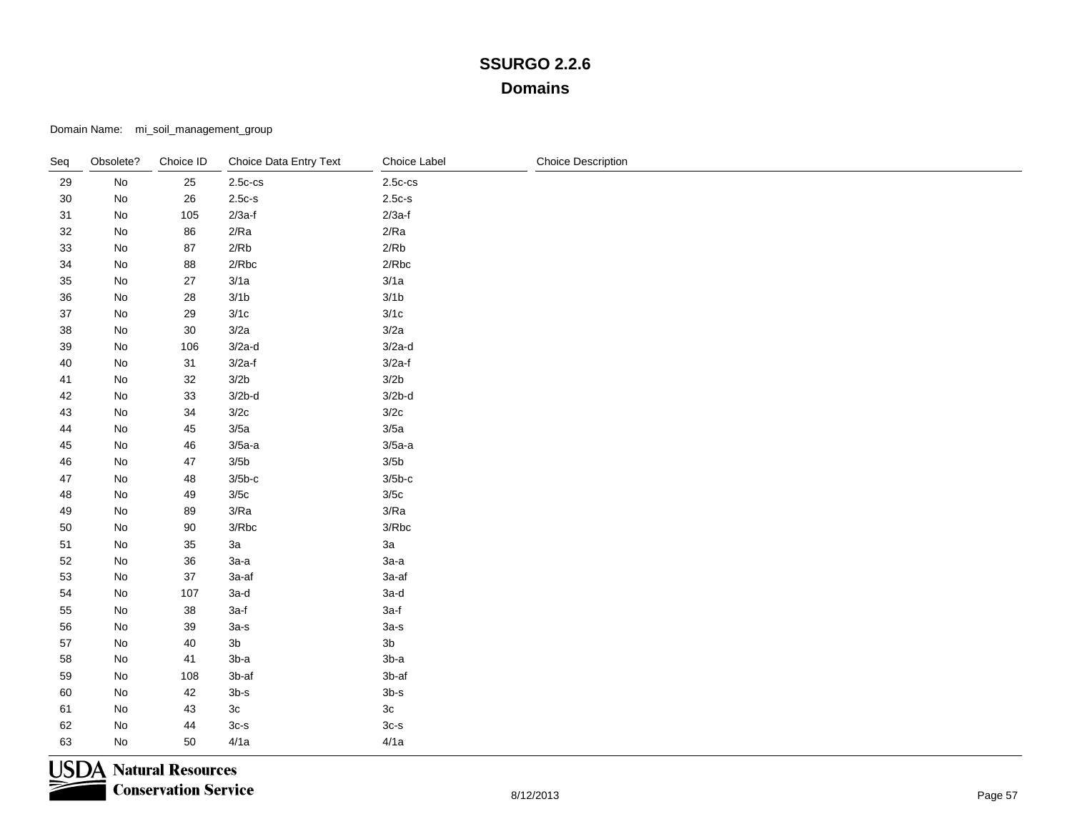Domain Name: mi\_soil\_management\_group

| Seq | Obsolete?                    | Choice ID  | Choice Data Entry Text | Choice Label     | <b>Choice Description</b> |
|-----|------------------------------|------------|------------------------|------------------|---------------------------|
| 29  | ${\sf No}$                   | 25         | $2.5c-cs$              | $2.5c-cs$        |                           |
| 30  | $\operatorname{\mathsf{No}}$ | 26         | $2.5c-s$               | $2.5c-s$         |                           |
| 31  | $\operatorname{\mathsf{No}}$ | 105        | $2/3a-f$               | $2/3a-f$         |                           |
| 32  | $\operatorname{\mathsf{No}}$ | 86         | 2/Ra                   | 2/Ra             |                           |
| 33  | $\operatorname{\mathsf{No}}$ | 87         | 2/Rb                   | $2/Rb$           |                           |
| 34  | No                           | 88         | 2/Rbc                  | 2/Rbc            |                           |
| 35  | No                           | $27\,$     | 3/1a                   | 3/1a             |                           |
| 36  | $\operatorname{\mathsf{No}}$ | ${\bf 28}$ | 3/1 <sub>b</sub>       | 3/1 <sub>b</sub> |                           |
| 37  | $\operatorname{\mathsf{No}}$ | 29         | 3/1c                   | 3/1c             |                           |
| 38  | No                           | $30\,$     | 3/2a                   | 3/2a             |                           |
| 39  | No                           | 106        | $3/2a-d$               | $3/2a-d$         |                           |
| 40  | $\operatorname{\mathsf{No}}$ | 31         | $3/2a-f$               | $3/2a-f$         |                           |
| 41  | $\operatorname{\mathsf{No}}$ | $32\,$     | 3/2 <sub>b</sub>       | 3/2 <sub>b</sub> |                           |
| 42  | No                           | $33\,$     | $3/2b-d$               | $3/2b-d$         |                           |
| 43  | $\operatorname{\mathsf{No}}$ | 34         | 3/2c                   | 3/2c             |                           |
| 44  | $\operatorname{\mathsf{No}}$ | $\bf 45$   | 3/5a                   | 3/5a             |                           |
| 45  | $\operatorname{\mathsf{No}}$ | ${\bf 46}$ | $3/5a-a$               | $3/5a-a$         |                           |
| 46  | $\operatorname{\mathsf{No}}$ | 47         | 3/5 <sub>b</sub>       | 3/5 <sub>b</sub> |                           |
| 47  | $\operatorname{\mathsf{No}}$ | 48         | $3/5b-c$               | $3/5b-c$         |                           |
| 48  | $\mathsf{No}$                | 49         | $3/5c$                 | 3/5c             |                           |
| 49  | $\mathsf{No}$                | 89         | 3/Ra                   | 3/Ra             |                           |
| 50  | No                           | 90         | 3/Rbc                  | $3/Rbc$          |                           |
| 51  | No                           | 35         | 3a                     | 3a               |                           |
| 52  | No                           | $36\,$     | $3a-a$                 | $3a-a$           |                           |
| 53  | $\operatorname{\mathsf{No}}$ | $37\,$     | 3a-af                  | 3a-af            |                           |
| 54  | No                           | 107        | 3a-d                   | $3a-d$           |                           |
| 55  | No                           | $38\,$     | 3a-f                   | $3a-f$           |                           |
| 56  | $\mathsf{No}$                | 39         | $3a-s$                 | $3a-s$           |                           |
| 57  | $\operatorname{\mathsf{No}}$ | $40\,$     | $3\mathsf{b}$          | 3 <sub>b</sub>   |                           |
| 58  | $\operatorname{\mathsf{No}}$ | 41         | $3b-a$                 | $3b-a$           |                           |
| 59  | $\mathsf{No}$                | 108        | 3b-af                  | $3b-af$          |                           |
| 60  | $\operatorname{\mathsf{No}}$ | 42         | $3b-s$                 | $3b-s$           |                           |
| 61  | $\operatorname{\mathsf{No}}$ | 43         | $3\mathrm{c}$          | $3\mathtt{c}$    |                           |
| 62  | $\operatorname{\mathsf{No}}$ | 44         | $3c-s$                 | $3c-s$           |                           |
| 63  | No                           | 50         | 4/1a                   | 4/1a             |                           |

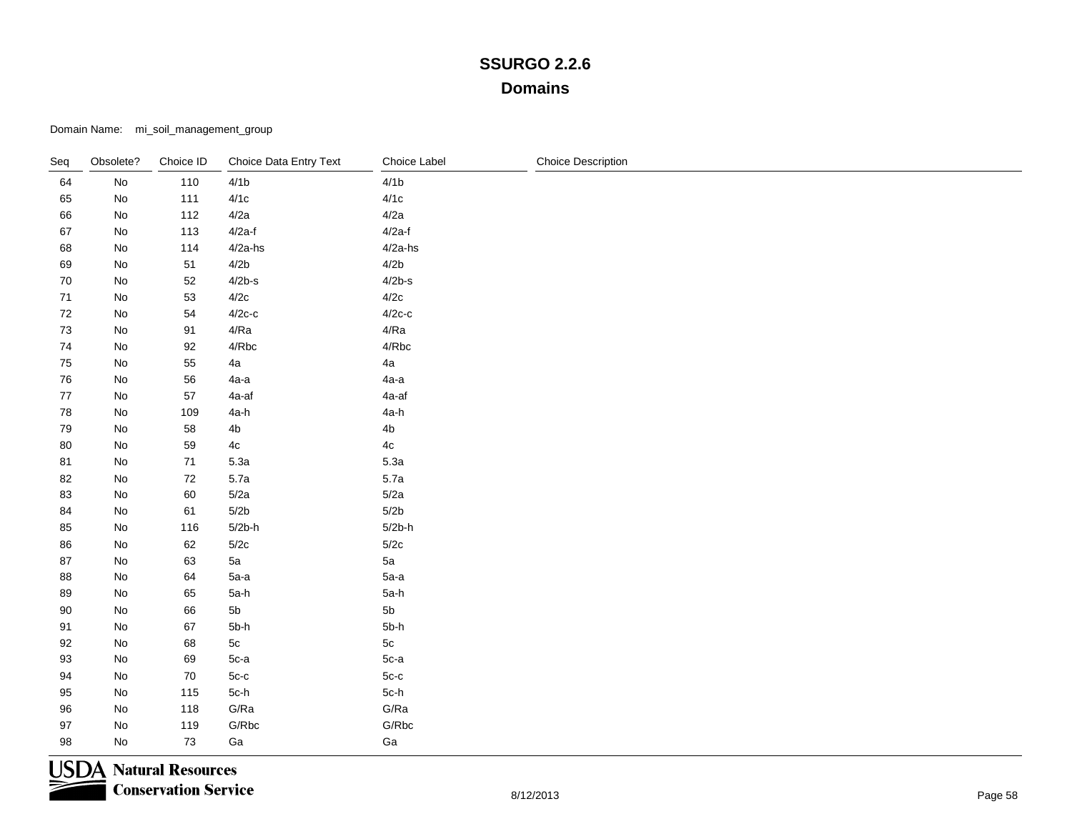Domain Name: mi\_soil\_management\_group

| Seq | Obsolete?                    | Choice ID | Choice Data Entry Text | Choice Label     | <b>Choice Description</b> |
|-----|------------------------------|-----------|------------------------|------------------|---------------------------|
| 64  | ${\sf No}$                   | 110       | 4/1 <sub>b</sub>       | 4/1 <sub>b</sub> |                           |
| 65  | $\mathsf{No}$                | 111       | 4/1c                   | 4/1c             |                           |
| 66  | $\mathsf{No}$                | 112       | 4/2a                   | 4/2a             |                           |
| 67  | $\operatorname{\mathsf{No}}$ | 113       | $4/2a-f$               | $4/2a-f$         |                           |
| 68  | $\operatorname{\mathsf{No}}$ | 114       | $4/2a$ -hs             | $4/2a$ -hs       |                           |
| 69  | No                           | $51$      | 4/2 <sub>b</sub>       | 4/2 <sub>b</sub> |                           |
| 70  | No                           | 52        | $4/2b-s$               | $4/2b-s$         |                           |
| 71  | $\mathsf{No}$                | 53        | 4/2c                   | 4/2c             |                           |
| 72  | $\mathsf{No}$                | 54        | $4/2c-c$               | $4/2c-c$         |                           |
| 73  | No                           | 91        | 4/Ra                   | 4/Ra             |                           |
| 74  | No                           | 92        | 4/Rbc                  | 4/Rbc            |                           |
| 75  | $\mathsf{No}$                | 55        | 4a                     | 4a               |                           |
| 76  | $\mathsf{No}$                | 56        | $4a-a$                 | $4a-a$           |                           |
| 77  | No                           | 57        | 4a-af                  | 4a-af            |                           |
| 78  | $\mathsf{No}$                | 109       | 4a-h                   | 4a-h             |                           |
| 79  | $\operatorname{\mathsf{No}}$ | 58        | 4 <sub>b</sub>         | 4 <sub>b</sub>   |                           |
| 80  | $\operatorname{\mathsf{No}}$ | 59        | $4\mathrm{c}$          | $4\mathrm{c}$    |                           |
| 81  | $\operatorname{\mathsf{No}}$ | $71$      | 5.3a                   | 5.3a             |                           |
| 82  | $\mathsf{No}$                | $72\,$    | 5.7a                   | 5.7a             |                           |
| 83  | $\mathsf{No}$                | 60        | 5/2a                   | 5/2a             |                           |
| 84  | $\mathsf{No}$                | 61        | 5/2b                   | 5/2b             |                           |
| 85  | No                           | 116       | $5/2b-h$               | $5/2b-h$         |                           |
| 86  | No                           | 62        | 5/2c                   | 5/2c             |                           |
| 87  | No                           | 63        | 5a                     | 5a               |                           |
| 88  | $\mathsf{No}$                | 64        | $5a-a$                 | $5a-a$           |                           |
| 89  | No                           | 65        | 5a-h                   | 5a-h             |                           |
| 90  | No                           | 66        | 5 <sub>b</sub>         | 5 <sub>b</sub>   |                           |
| 91  | $\mathsf{No}$                | 67        | $5b-h$                 | $5b-h$           |                           |
| 92  | $\operatorname{\mathsf{No}}$ | 68        | $5\mathrm{c}$          | $5c$             |                           |
| 93  | $\operatorname{\mathsf{No}}$ | 69        | $5c-a$                 | $5c-a$           |                           |
| 94  | $\mathsf{No}$                | 70        | $5c-c$                 | $5c-c$           |                           |
| 95  | $\mathsf{No}$                | 115       | $5c-h$                 | $5c-h$           |                           |
| 96  | $\operatorname{\mathsf{No}}$ | 118       | G/Ra                   | G/Ra             |                           |
| 97  | $\mathsf{No}$                | 119       | G/Rbc                  | G/Rbc            |                           |
| 98  | No                           | 73        | Ga                     | Ga               |                           |

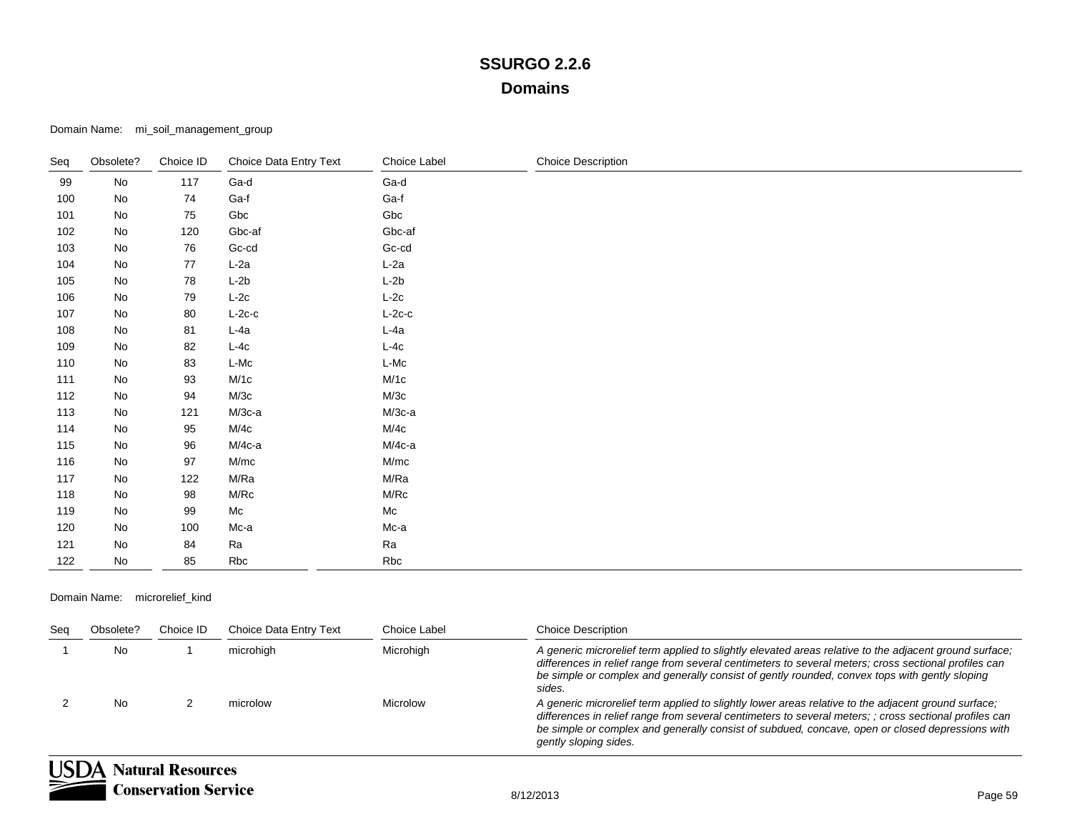Domain Name: mi\_soil\_management\_group

| Seq | Obsolete? | Choice ID | Choice Data Entry Text | Choice Label | <b>Choice Description</b> |
|-----|-----------|-----------|------------------------|--------------|---------------------------|
| 99  | No        | 117       | Ga-d                   | Ga-d         |                           |
| 100 | No        | 74        | Ga-f                   | Ga-f         |                           |
| 101 | No        | 75        | Gbc                    | Gbc          |                           |
| 102 | No        | 120       | Gbc-af                 | Gbc-af       |                           |
| 103 | No        | 76        | $Gc-cd$                | $Gc-cd$      |                           |
| 104 | No        | 77        | $L$ -2a                | $L$ -2a      |                           |
| 105 | No        | 78        | $L-2b$                 | $L-2b$       |                           |
| 106 | No        | 79        | $L-2c$                 | $L-2c$       |                           |
| 107 | No        | 80        | $L-2c-c$               | $L-2c-c$     |                           |
| 108 | No        | 81        | $L$ -4a                | $L-4a$       |                           |
| 109 | No        | 82        | $L-4c$                 | $L-4c$       |                           |
| 110 | No        | 83        | $L-Mc$                 | L-Mc         |                           |
| 111 | No        | 93        | M/1c                   | M/1c         |                           |
| 112 | No        | 94        | M/3c                   | M/3c         |                           |
| 113 | No        | 121       | $M/3c-a$               | $M/3c-a$     |                           |
| 114 | No        | 95        | M/4c                   | M/4c         |                           |
| 115 | No        | 96        | $M/4c-a$               | $M/4c-a$     |                           |
| 116 | No        | 97        | M/mc                   | M/mc         |                           |
| 117 | No        | 122       | M/Ra                   | M/Ra         |                           |
| 118 | No        | 98        | M/RC                   | M/RC         |                           |
| 119 | No        | 99        | Mc                     | ${\sf Mc}$   |                           |
| 120 | No        | 100       | Mc-a                   | Мс-а         |                           |
| 121 | No        | 84        | Ra                     | Ra           |                           |
| 122 | No        | 85        | Rbc                    | Rbc          |                           |

Domain Name: microrelief\_kind

| Sea | Obsolete?                | Choice ID | Choice Data Entry Text | Choice Label | <b>Choice Description</b>                                                                                                                                                                                                                                                                                                                 |  |  |
|-----|--------------------------|-----------|------------------------|--------------|-------------------------------------------------------------------------------------------------------------------------------------------------------------------------------------------------------------------------------------------------------------------------------------------------------------------------------------------|--|--|
|     | No                       |           | microhigh              | Microhigh    | A generic microrelief term applied to slightly elevated areas relative to the adjacent ground surface;<br>differences in relief range from several centimeters to several meters; cross sectional profiles can<br>be simple or complex and generally consist of gently rounded, convex tops with gently sloping<br>sides.                 |  |  |
|     | No.                      |           | microlow               | Microlow     | A generic microrelief term applied to slightly lower areas relative to the adjacent ground surface;<br>differences in relief range from several centimeters to several meters; ; cross sectional profiles can<br>be simple or complex and generally consist of subdued, concave, open or closed depressions with<br>gently sloping sides. |  |  |
|     | <b>Natural Resources</b> |           |                        |              |                                                                                                                                                                                                                                                                                                                                           |  |  |

Conservation Service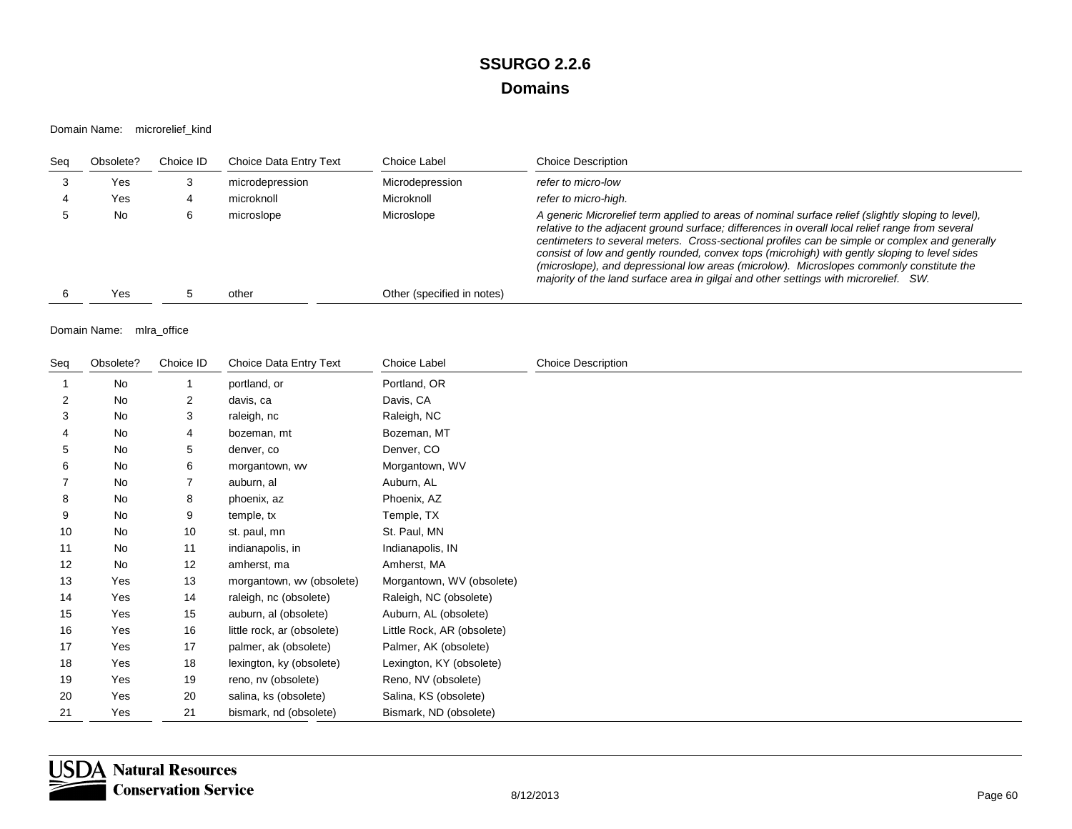#### Domain Name: microrelief\_kind

| Sea | Obsolete? | Choice ID | Choice Data Entry Text | Choice Label               | <b>Choice Description</b>                                                                                                                                                                                                                                                                                                                                                                                                                                                                                                                                                                    |
|-----|-----------|-----------|------------------------|----------------------------|----------------------------------------------------------------------------------------------------------------------------------------------------------------------------------------------------------------------------------------------------------------------------------------------------------------------------------------------------------------------------------------------------------------------------------------------------------------------------------------------------------------------------------------------------------------------------------------------|
|     | Yes       |           | microdepression        | Microdepression            | refer to micro-low                                                                                                                                                                                                                                                                                                                                                                                                                                                                                                                                                                           |
|     | Yes       |           | microknoll             | Microknoll                 | refer to micro-high.                                                                                                                                                                                                                                                                                                                                                                                                                                                                                                                                                                         |
|     | No        |           | microslope             | Microslope                 | A generic Microrelief term applied to areas of nominal surface relief (slightly sloping to level),<br>relative to the adjacent ground surface; differences in overall local relief range from several<br>centimeters to several meters. Cross-sectional profiles can be simple or complex and generally<br>consist of low and gently rounded, convex tops (microhigh) with gently sloping to level sides<br>(microslope), and depressional low areas (microlow). Microslopes commonly constitute the<br>majority of the land surface area in gilgai and other settings with microrelief. SW. |
|     | Yes       |           | other                  | Other (specified in notes) |                                                                                                                                                                                                                                                                                                                                                                                                                                                                                                                                                                                              |

### Domain Name: mlra\_office

| Seq | Obsolete? | Choice ID | Choice Data Entry Text     | Choice Label               | <b>Choice Description</b> |
|-----|-----------|-----------|----------------------------|----------------------------|---------------------------|
| 1   | No        | -1        | portland, or               | Portland, OR               |                           |
| 2   | No        | 2         | davis, ca                  | Davis, CA                  |                           |
| 3   | No        | 3         | raleigh, nc                | Raleigh, NC                |                           |
| 4   | No        | 4         | bozeman, mt                | Bozeman, MT                |                           |
| 5   | No        | 5         | denver, co                 | Denver, CO                 |                           |
| 6   | No        | 6         | morgantown, wv             | Morgantown, WV             |                           |
|     | No        |           | auburn, al                 | Auburn, AL                 |                           |
| 8   | No        | 8         | phoenix, az                | Phoenix, AZ                |                           |
| 9   | No        | 9         | temple, tx                 | Temple, TX                 |                           |
| 10  | No        | 10        | st. paul, mn               | St. Paul, MN               |                           |
| 11  | No        | 11        | indianapolis, in           | Indianapolis, IN           |                           |
| 12  | No        | 12        | amherst, ma                | Amherst, MA                |                           |
| 13  | Yes       | 13        | morgantown, wv (obsolete)  | Morgantown, WV (obsolete)  |                           |
| 14  | Yes       | 14        | raleigh, nc (obsolete)     | Raleigh, NC (obsolete)     |                           |
| 15  | Yes       | 15        | auburn, al (obsolete)      | Auburn, AL (obsolete)      |                           |
| 16  | Yes       | 16        | little rock, ar (obsolete) | Little Rock, AR (obsolete) |                           |
| 17  | Yes       | 17        | palmer, ak (obsolete)      | Palmer, AK (obsolete)      |                           |
| 18  | Yes       | 18        | lexington, ky (obsolete)   | Lexington, KY (obsolete)   |                           |
| 19  | Yes       | 19        | reno, nv (obsolete)        | Reno, NV (obsolete)        |                           |
| 20  | Yes       | 20        | salina, ks (obsolete)      | Salina, KS (obsolete)      |                           |
| 21  | Yes       | 21        | bismark, nd (obsolete)     | Bismark, ND (obsolete)     |                           |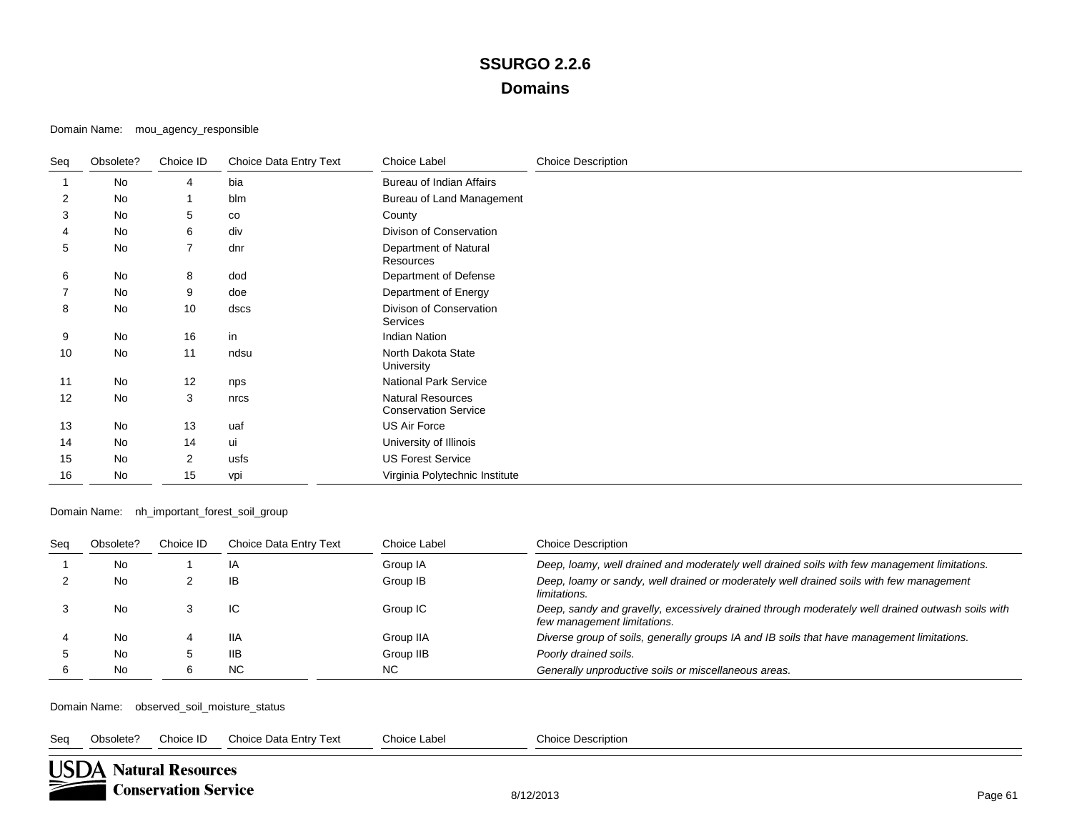#### Domain Name: mou\_agency\_responsible

| Seq | Obsolete? | Choice ID      | Choice Data Entry Text | Choice Label                                            | <b>Choice Description</b> |
|-----|-----------|----------------|------------------------|---------------------------------------------------------|---------------------------|
|     | No        | 4              | bia                    | Bureau of Indian Affairs                                |                           |
| 2   | No        | 1              | blm                    | Bureau of Land Management                               |                           |
| 3   | No        | 5              | $_{\rm CO}$            | County                                                  |                           |
| 4   | No        | 6              | div                    | Divison of Conservation                                 |                           |
| 5   | No        | $\overline{7}$ | dnr                    | Department of Natural<br>Resources                      |                           |
| 6   | No        | 8              | dod                    | Department of Defense                                   |                           |
|     | No        | 9              | doe                    | Department of Energy                                    |                           |
| 8   | No        | 10             | dscs                   | Divison of Conservation<br>Services                     |                           |
| 9   | No        | 16             | in                     | <b>Indian Nation</b>                                    |                           |
| 10  | No        | 11             | ndsu                   | North Dakota State<br>University                        |                           |
| 11  | No        | 12             | nps                    | <b>National Park Service</b>                            |                           |
| 12  | No        | 3              | nrcs                   | <b>Natural Resources</b><br><b>Conservation Service</b> |                           |
| 13  | No        | 13             | uaf                    | <b>US Air Force</b>                                     |                           |
| 14  | <b>No</b> | 14             | ui                     | University of Illinois                                  |                           |
| 15  | No        | $\overline{2}$ | usfs                   | <b>US Forest Service</b>                                |                           |
| 16  | No        | 15             | vpi                    | Virginia Polytechnic Institute                          |                           |

#### Domain Name: nh\_important\_forest\_soil\_group

| Seg | Obsolete? | Choice ID | Choice Data Entry Text | Choice Label | <b>Choice Description</b>                                                                                                       |
|-----|-----------|-----------|------------------------|--------------|---------------------------------------------------------------------------------------------------------------------------------|
|     | No.       |           | IA                     | Group IA     | Deep, loamy, well drained and moderately well drained soils with few management limitations.                                    |
|     | No        |           | IB                     | Group IB     | Deep, loamy or sandy, well drained or moderately well drained soils with few management<br>limitations.                         |
|     | No.       |           | IC                     | Group IC     | Deep, sandy and gravelly, excessively drained through moderately well drained outwash soils with<br>few management limitations. |
|     | No.       |           | 11A                    | Group IIA    | Diverse group of soils, generally groups IA and IB soils that have management limitations.                                      |
|     | No.       |           | <b>IIB</b>             | Group IIB    | Poorly drained soils.                                                                                                           |
|     | No.       |           | <b>NC</b>              | <b>NC</b>    | Generally unproductive soils or miscellaneous areas.                                                                            |

Domain Name: observed\_soil\_moisture\_status

Seq Obsolete? Choice ID Choice Data Entry Text Choice Label Choice Description

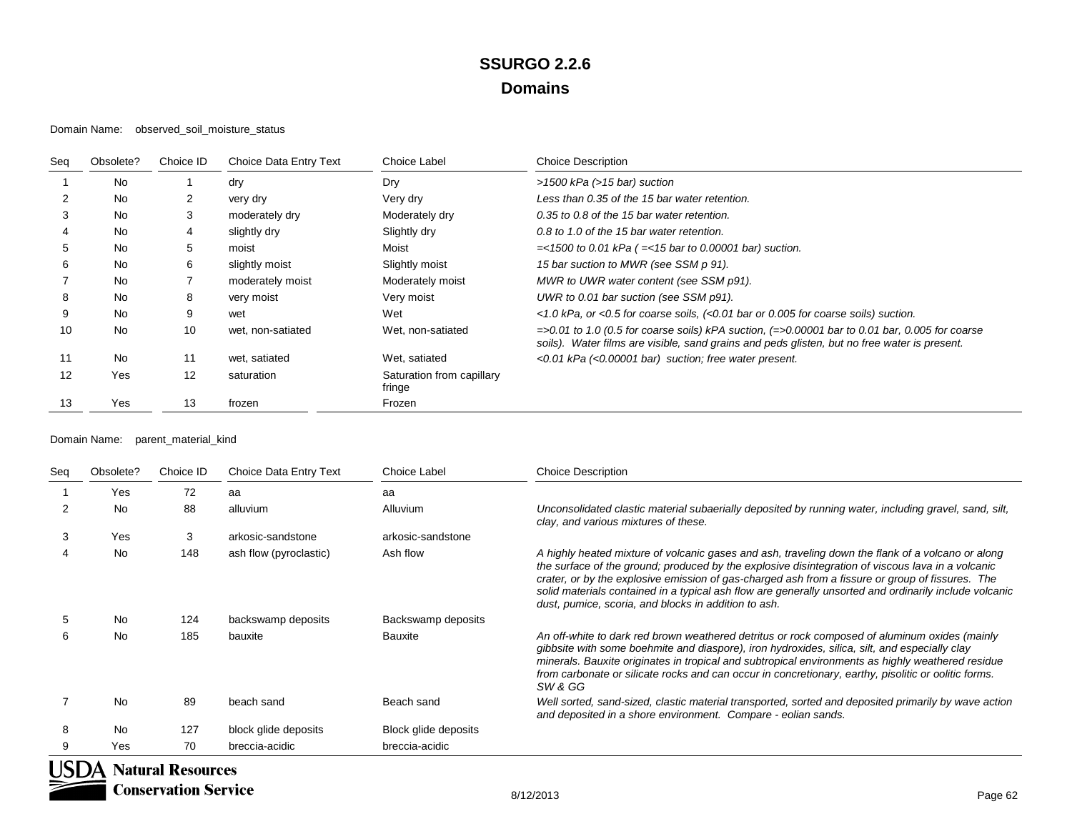#### Domain Name: observed\_soil\_moisture\_status

| Seg | Obsolete? | Choice ID | Choice Data Entry Text | Choice Label                        | <b>Choice Description</b>                                                                                                                                                                                |
|-----|-----------|-----------|------------------------|-------------------------------------|----------------------------------------------------------------------------------------------------------------------------------------------------------------------------------------------------------|
|     | <b>No</b> |           | dry                    | Dry                                 | $>1500$ kPa ( $>15$ bar) suction                                                                                                                                                                         |
|     | No        | 2         | very dry               | Very dry                            | Less than 0.35 of the 15 bar water retention.                                                                                                                                                            |
| 3   | No        | 3         | moderately dry         | Moderately dry                      | 0.35 to 0.8 of the 15 bar water retention.                                                                                                                                                               |
|     | No        | 4         | slightly dry           | Slightly dry                        | 0.8 to 1.0 of the 15 bar water retention.                                                                                                                                                                |
| 5   | No        | 5         | moist                  | Moist                               | $=$ <1500 to 0.01 kPa ( $=$ <15 bar to 0.00001 bar) suction.                                                                                                                                             |
| 6   | No        | 6         | slightly moist         | Slightly moist                      | 15 bar suction to MWR (see SSM p 91).                                                                                                                                                                    |
|     | No        |           | moderately moist       | Moderately moist                    | MWR to UWR water content (see SSM p91).                                                                                                                                                                  |
| 8   | <b>No</b> | 8         | very moist             | Very moist                          | UWR to 0.01 bar suction (see SSM p91).                                                                                                                                                                   |
| 9   | No        | 9         | wet                    | Wet                                 | <1.0 kPa, or <0.5 for coarse soils, $\leq 0.01$ bar or 0.005 for coarse soils) suction.                                                                                                                  |
| 10  | No        | 10        | wet. non-satiated      | Wet, non-satiated                   | $\approx$ =>0.01 to 1.0 (0.5 for coarse soils) kPA suction, (=>0.00001 bar to 0.01 bar, 0.005 for coarse<br>soils). Water films are visible, sand grains and peds glisten, but no free water is present. |
| 11  | <b>No</b> | 11        | wet, satiated          | Wet, satiated                       | < $0.01$ kPa (< $0.00001$ bar) suction; free water present.                                                                                                                                              |
| 12  | Yes       | 12        | saturation             | Saturation from capillary<br>fringe |                                                                                                                                                                                                          |
| 13  | Yes       | 13        | frozen                 | Frozen                              |                                                                                                                                                                                                          |

#### Domain Name: parent\_material\_kind

| Seq | Obsolete?                | Choice ID | Choice Data Entry Text | Choice Label         | <b>Choice Description</b>                                                                                                                                                                                                                                                                                                                                                                                                                                                    |  |  |  |
|-----|--------------------------|-----------|------------------------|----------------------|------------------------------------------------------------------------------------------------------------------------------------------------------------------------------------------------------------------------------------------------------------------------------------------------------------------------------------------------------------------------------------------------------------------------------------------------------------------------------|--|--|--|
|     | Yes                      | 72        | aa                     | aa                   |                                                                                                                                                                                                                                                                                                                                                                                                                                                                              |  |  |  |
| 2   | No.                      | 88        | alluvium               | Alluvium             | Unconsolidated clastic material subaerially deposited by running water, including gravel, sand, silt,<br>clay, and various mixtures of these.                                                                                                                                                                                                                                                                                                                                |  |  |  |
| 3   | Yes                      | 3         | arkosic-sandstone      | arkosic-sandstone    |                                                                                                                                                                                                                                                                                                                                                                                                                                                                              |  |  |  |
| 4   | No                       | 148       | ash flow (pyroclastic) | Ash flow             | A highly heated mixture of volcanic gases and ash, traveling down the flank of a volcano or along<br>the surface of the ground; produced by the explosive disintegration of viscous lava in a volcanic<br>crater, or by the explosive emission of gas-charged ash from a fissure or group of fissures. The<br>solid materials contained in a typical ash flow are generally unsorted and ordinarily include volcanic<br>dust, pumice, scoria, and blocks in addition to ash. |  |  |  |
| 5   | No                       | 124       | backswamp deposits     | Backswamp deposits   |                                                                                                                                                                                                                                                                                                                                                                                                                                                                              |  |  |  |
| 6   | No                       | 185       | bauxite                | Bauxite              | An off-white to dark red brown weathered detritus or rock composed of aluminum oxides (mainly<br>gibbsite with some boehmite and diaspore), iron hydroxides, silica, silt, and especially clay<br>minerals. Bauxite originates in tropical and subtropical environments as highly weathered residue<br>from carbonate or silicate rocks and can occur in concretionary, earthy, pisolitic or oolitic forms.<br>SW & GG                                                       |  |  |  |
|     | <b>No</b>                | 89        | beach sand             | Beach sand           | Well sorted, sand-sized, clastic material transported, sorted and deposited primarily by wave action<br>and deposited in a shore environment. Compare - eolian sands.                                                                                                                                                                                                                                                                                                        |  |  |  |
| 8   | <b>No</b>                | 127       | block glide deposits   | Block glide deposits |                                                                                                                                                                                                                                                                                                                                                                                                                                                                              |  |  |  |
|     | Yes                      | 70        | breccia-acidic         | breccia-acidic       |                                                                                                                                                                                                                                                                                                                                                                                                                                                                              |  |  |  |
|     | <b>\atural Resources</b> |           |                        |                      |                                                                                                                                                                                                                                                                                                                                                                                                                                                                              |  |  |  |

₹

**Conservation Service**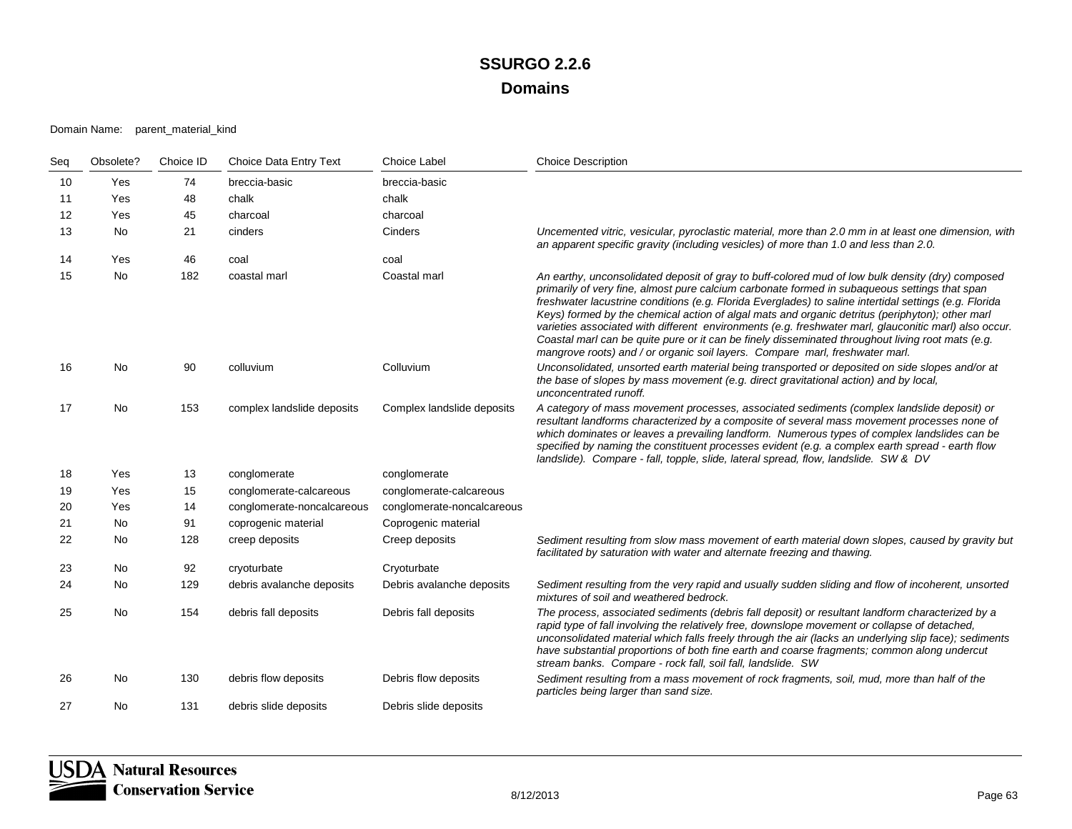#### Domain Name: parent\_material\_kind

| Seq | Obsolete? | Choice ID | Choice Data Entry Text     | <b>Choice Label</b>        | <b>Choice Description</b>                                                                                                                                                                                                                                                                                                                                                                                                                                                                                                                                                                                                                                                                                    |
|-----|-----------|-----------|----------------------------|----------------------------|--------------------------------------------------------------------------------------------------------------------------------------------------------------------------------------------------------------------------------------------------------------------------------------------------------------------------------------------------------------------------------------------------------------------------------------------------------------------------------------------------------------------------------------------------------------------------------------------------------------------------------------------------------------------------------------------------------------|
| 10  | Yes       | 74        | breccia-basic              | breccia-basic              |                                                                                                                                                                                                                                                                                                                                                                                                                                                                                                                                                                                                                                                                                                              |
| 11  | Yes       | 48        | chalk                      | chalk                      |                                                                                                                                                                                                                                                                                                                                                                                                                                                                                                                                                                                                                                                                                                              |
| 12  | Yes       | 45        | charcoal                   | charcoal                   |                                                                                                                                                                                                                                                                                                                                                                                                                                                                                                                                                                                                                                                                                                              |
| 13  | <b>No</b> | 21        | cinders                    | Cinders                    | Uncemented vitric, vesicular, pyroclastic material, more than 2.0 mm in at least one dimension, with<br>an apparent specific gravity (including vesicles) of more than 1.0 and less than 2.0.                                                                                                                                                                                                                                                                                                                                                                                                                                                                                                                |
| 14  | Yes       | 46        | coal                       | coal                       |                                                                                                                                                                                                                                                                                                                                                                                                                                                                                                                                                                                                                                                                                                              |
| 15  | No        | 182       | coastal marl               | Coastal marl               | An earthy, unconsolidated deposit of gray to buff-colored mud of low bulk density (dry) composed<br>primarily of very fine, almost pure calcium carbonate formed in subaqueous settings that span<br>freshwater lacustrine conditions (e.g. Florida Everglades) to saline intertidal settings (e.g. Florida<br>Keys) formed by the chemical action of algal mats and organic detritus (periphyton); other marl<br>varieties associated with different environments (e.g. freshwater marl, glauconitic marl) also occur.<br>Coastal marl can be quite pure or it can be finely disseminated throughout living root mats (e.g.<br>mangrove roots) and / or organic soil layers. Compare marl, freshwater marl. |
| 16  | No        | 90        | colluvium                  | Colluvium                  | Unconsolidated, unsorted earth material being transported or deposited on side slopes and/or at<br>the base of slopes by mass movement (e.g. direct gravitational action) and by local,<br>unconcentrated runoff.                                                                                                                                                                                                                                                                                                                                                                                                                                                                                            |
| 17  | No        | 153       | complex landslide deposits | Complex landslide deposits | A category of mass movement processes, associated sediments (complex landslide deposit) or<br>resultant landforms characterized by a composite of several mass movement processes none of<br>which dominates or leaves a prevailing landform. Numerous types of complex landslides can be<br>specified by naming the constituent processes evident (e.g. a complex earth spread - earth flow<br>landslide). Compare - fall, topple, slide, lateral spread, flow, landslide. SW & DV                                                                                                                                                                                                                          |
| 18  | Yes       | 13        | conglomerate               | conglomerate               |                                                                                                                                                                                                                                                                                                                                                                                                                                                                                                                                                                                                                                                                                                              |
| 19  | Yes       | 15        | conglomerate-calcareous    | conglomerate-calcareous    |                                                                                                                                                                                                                                                                                                                                                                                                                                                                                                                                                                                                                                                                                                              |
| 20  | Yes       | 14        | conglomerate-noncalcareous | conglomerate-noncalcareous |                                                                                                                                                                                                                                                                                                                                                                                                                                                                                                                                                                                                                                                                                                              |
| 21  | No        | 91        | coprogenic material        | Coprogenic material        |                                                                                                                                                                                                                                                                                                                                                                                                                                                                                                                                                                                                                                                                                                              |
| 22  | No.       | 128       | creep deposits             | Creep deposits             | Sediment resulting from slow mass movement of earth material down slopes, caused by gravity but<br>facilitated by saturation with water and alternate freezing and thawing.                                                                                                                                                                                                                                                                                                                                                                                                                                                                                                                                  |
| 23  | No        | 92        | cryoturbate                | Cryoturbate                |                                                                                                                                                                                                                                                                                                                                                                                                                                                                                                                                                                                                                                                                                                              |
| 24  | No        | 129       | debris avalanche deposits  | Debris avalanche deposits  | Sediment resulting from the very rapid and usually sudden sliding and flow of incoherent, unsorted<br>mixtures of soil and weathered bedrock.                                                                                                                                                                                                                                                                                                                                                                                                                                                                                                                                                                |
| 25  | No        | 154       | debris fall deposits       | Debris fall deposits       | The process, associated sediments (debris fall deposit) or resultant landform characterized by a<br>rapid type of fall involving the relatively free, downslope movement or collapse of detached,<br>unconsolidated material which falls freely through the air (lacks an underlying slip face); sediments<br>have substantial proportions of both fine earth and coarse fragments; common along undercut<br>stream banks. Compare - rock fall, soil fall, landslide. SW                                                                                                                                                                                                                                     |
| 26  | No        | 130       | debris flow deposits       | Debris flow deposits       | Sediment resulting from a mass movement of rock fragments, soil, mud, more than half of the<br>particles being larger than sand size.                                                                                                                                                                                                                                                                                                                                                                                                                                                                                                                                                                        |
| 27  | No.       | 131       | debris slide deposits      | Debris slide deposits      |                                                                                                                                                                                                                                                                                                                                                                                                                                                                                                                                                                                                                                                                                                              |

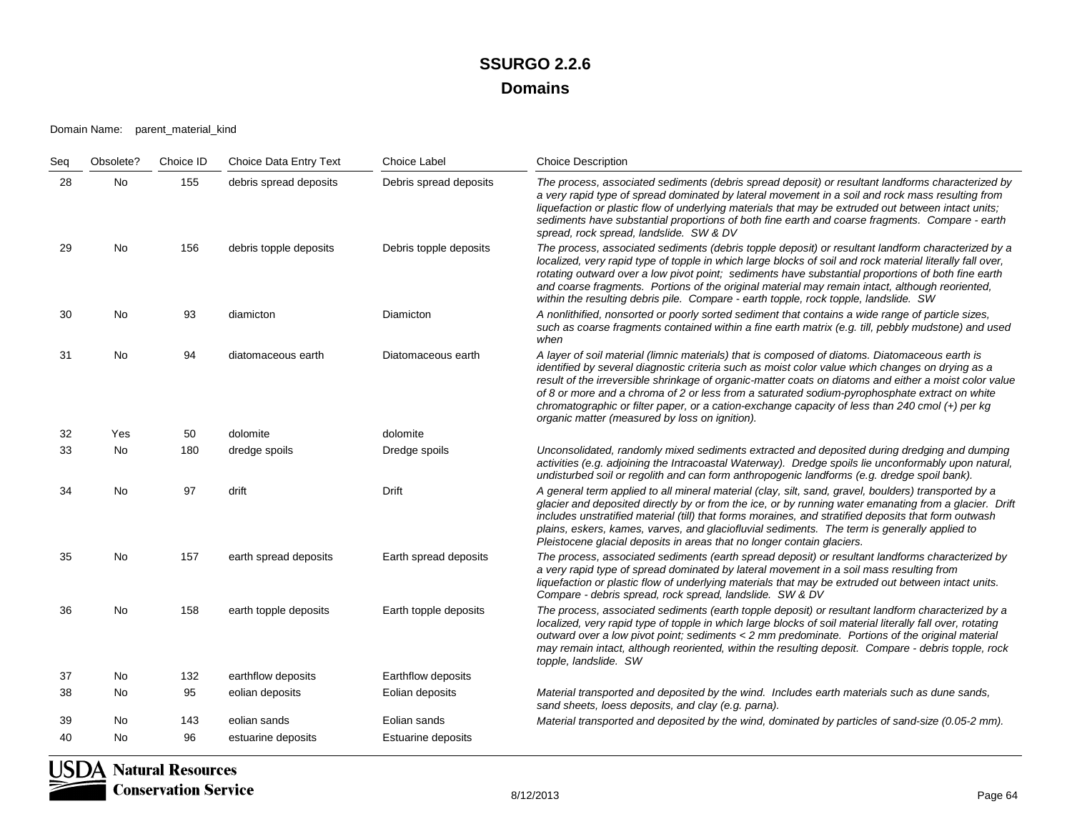Domain Name: parent\_material\_kind

| Seq | Obsolete? | Choice ID | Choice Data Entry Text | Choice Label              | <b>Choice Description</b>                                                                                                                                                                                                                                                                                                                                                                                                                                                                                                                                          |
|-----|-----------|-----------|------------------------|---------------------------|--------------------------------------------------------------------------------------------------------------------------------------------------------------------------------------------------------------------------------------------------------------------------------------------------------------------------------------------------------------------------------------------------------------------------------------------------------------------------------------------------------------------------------------------------------------------|
| 28  | No        | 155       | debris spread deposits | Debris spread deposits    | The process, associated sediments (debris spread deposit) or resultant landforms characterized by<br>a very rapid type of spread dominated by lateral movement in a soil and rock mass resulting from<br>liquefaction or plastic flow of underlying materials that may be extruded out between intact units;<br>sediments have substantial proportions of both fine earth and coarse fragments. Compare - earth<br>spread, rock spread, landslide. SW & DV                                                                                                         |
| 29  | <b>No</b> | 156       | debris topple deposits | Debris topple deposits    | The process, associated sediments (debris topple deposit) or resultant landform characterized by a<br>localized, very rapid type of topple in which large blocks of soil and rock material literally fall over,<br>rotating outward over a low pivot point; sediments have substantial proportions of both fine earth<br>and coarse fragments. Portions of the original material may remain intact, although reoriented,<br>within the resulting debris pile. Compare - earth topple, rock topple, landslide. SW                                                   |
| 30  | No        | 93        | diamicton              | Diamicton                 | A nonlithified, nonsorted or poorly sorted sediment that contains a wide range of particle sizes,<br>such as coarse fragments contained within a fine earth matrix (e.g. till, pebbly mudstone) and used<br>when                                                                                                                                                                                                                                                                                                                                                   |
| 31  | <b>No</b> | 94        | diatomaceous earth     | Diatomaceous earth        | A layer of soil material (limnic materials) that is composed of diatoms. Diatomaceous earth is<br>identified by several diagnostic criteria such as moist color value which changes on drying as a<br>result of the irreversible shrinkage of organic-matter coats on diatoms and either a moist color value<br>of 8 or more and a chroma of 2 or less from a saturated sodium-pyrophosphate extract on white<br>chromatographic or filter paper, or a cation-exchange capacity of less than 240 cmol (+) per kg<br>organic matter (measured by loss on ignition). |
| 32  | Yes       | 50        | dolomite               | dolomite                  |                                                                                                                                                                                                                                                                                                                                                                                                                                                                                                                                                                    |
| 33  | No.       | 180       | dredge spoils          | Dredge spoils             | Unconsolidated, randomly mixed sediments extracted and deposited during dredging and dumping<br>activities (e.g. adjoining the Intracoastal Waterway). Dredge spoils lie unconformably upon natural,<br>undisturbed soil or regolith and can form anthropogenic landforms (e.g. dredge spoil bank).                                                                                                                                                                                                                                                                |
| 34  | No.       | 97        | drift                  | <b>Drift</b>              | A general term applied to all mineral material (clay, silt, sand, gravel, boulders) transported by a<br>glacier and deposited directly by or from the ice, or by running water emanating from a glacier. Drift<br>includes unstratified material (till) that forms moraines, and stratified deposits that form outwash<br>plains, eskers, kames, varves, and glaciofluvial sediments. The term is generally applied to<br>Pleistocene glacial deposits in areas that no longer contain glaciers.                                                                   |
| 35  | No        | 157       | earth spread deposits  | Earth spread deposits     | The process, associated sediments (earth spread deposit) or resultant landforms characterized by<br>a very rapid type of spread dominated by lateral movement in a soil mass resulting from<br>liquefaction or plastic flow of underlying materials that may be extruded out between intact units.<br>Compare - debris spread, rock spread, landslide. SW & DV                                                                                                                                                                                                     |
| 36  | No.       | 158       | earth topple deposits  | Earth topple deposits     | The process, associated sediments (earth topple deposit) or resultant landform characterized by a<br>localized, very rapid type of topple in which large blocks of soil material literally fall over, rotating<br>outward over a low pivot point; sediments < 2 mm predominate. Portions of the original material<br>may remain intact, although reoriented, within the resulting deposit. Compare - debris topple, rock<br>topple, landslide. SW                                                                                                                  |
| 37  | No.       | 132       | earthflow deposits     | Earthflow deposits        |                                                                                                                                                                                                                                                                                                                                                                                                                                                                                                                                                                    |
| 38  | No        | 95        | eolian deposits        | Eolian deposits           | Material transported and deposited by the wind. Includes earth materials such as dune sands,<br>sand sheets, loess deposits, and clay (e.g. parna).                                                                                                                                                                                                                                                                                                                                                                                                                |
| 39  | No        | 143       | eolian sands           | Eolian sands              | Material transported and deposited by the wind, dominated by particles of sand-size (0.05-2 mm).                                                                                                                                                                                                                                                                                                                                                                                                                                                                   |
| 40  | No        | 96        | estuarine deposits     | <b>Estuarine deposits</b> |                                                                                                                                                                                                                                                                                                                                                                                                                                                                                                                                                                    |

**USDA** Natural Resources **Conservation Service**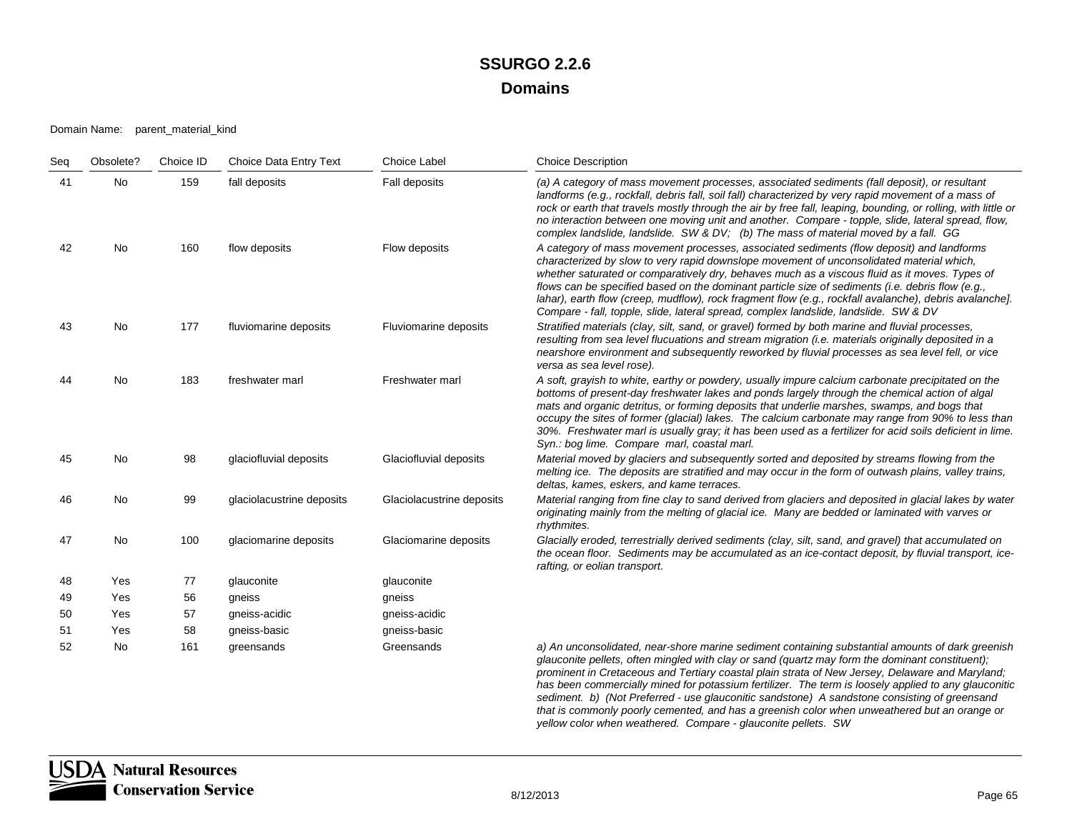#### Domain Name: parent\_material\_kind

| Seq | Obsolete? | Choice ID | Choice Data Entry Text    | <b>Choice Label</b>       | <b>Choice Description</b>                                                                                                                                                                                                                                                                                                                                                                                                                                                                                                                                                                   |
|-----|-----------|-----------|---------------------------|---------------------------|---------------------------------------------------------------------------------------------------------------------------------------------------------------------------------------------------------------------------------------------------------------------------------------------------------------------------------------------------------------------------------------------------------------------------------------------------------------------------------------------------------------------------------------------------------------------------------------------|
| 41  | No        | 159       | fall deposits             | Fall deposits             | (a) A category of mass movement processes, associated sediments (fall deposit), or resultant<br>landforms (e.g., rockfall, debris fall, soil fall) characterized by very rapid movement of a mass of<br>rock or earth that travels mostly through the air by free fall, leaping, bounding, or rolling, with little or<br>no interaction between one moving unit and another. Compare - topple, slide, lateral spread, flow,<br>complex landslide, landslide. SW & DV; (b) The mass of material moved by a fall. GG                                                                          |
| 42  | No        | 160       | flow deposits             | Flow deposits             | A category of mass movement processes, associated sediments (flow deposit) and landforms<br>characterized by slow to very rapid downslope movement of unconsolidated material which,<br>whether saturated or comparatively dry, behaves much as a viscous fluid as it moves. Types of<br>flows can be specified based on the dominant particle size of sediments (i.e. debris flow (e.g.,<br>lahar), earth flow (creep, mudflow), rock fragment flow (e.g., rockfall avalanche), debris avalanche).<br>Compare - fall, topple, slide, lateral spread, complex landslide, landslide. SW & DV |
| 43  | <b>No</b> | 177       | fluviomarine deposits     | Fluviomarine deposits     | Stratified materials (clay, silt, sand, or gravel) formed by both marine and fluvial processes,<br>resulting from sea level flucuations and stream migration (i.e. materials originally deposited in a<br>nearshore environment and subsequently reworked by fluvial processes as sea level fell, or vice<br>versa as sea level rose).                                                                                                                                                                                                                                                      |
| 44  | <b>No</b> | 183       | freshwater marl           | Freshwater marl           | A soft, grayish to white, earthy or powdery, usually impure calcium carbonate precipitated on the<br>bottoms of present-day freshwater lakes and ponds largely through the chemical action of algal<br>mats and organic detritus, or forming deposits that underlie marshes, swamps, and bogs that<br>occupy the sites of former (glacial) lakes. The calcium carbonate may range from 90% to less than<br>30%. Freshwater marl is usually gray; it has been used as a fertilizer for acid soils deficient in lime.<br>Syn.: bog lime. Compare marl, coastal marl.                          |
| 45  | <b>No</b> | 98        | glaciofluvial deposits    | Glaciofluvial deposits    | Material moved by glaciers and subsequently sorted and deposited by streams flowing from the<br>melting ice. The deposits are stratified and may occur in the form of outwash plains, valley trains,<br>deltas, kames, eskers, and kame terraces.                                                                                                                                                                                                                                                                                                                                           |
| 46  | <b>No</b> | 99        | glaciolacustrine deposits | Glaciolacustrine deposits | Material ranging from fine clay to sand derived from glaciers and deposited in glacial lakes by water<br>originating mainly from the melting of glacial ice. Many are bedded or laminated with varves or<br>rhythmites.                                                                                                                                                                                                                                                                                                                                                                     |
| 47  | No        | 100       | glaciomarine deposits     | Glaciomarine deposits     | Glacially eroded, terrestrially derived sediments (clay, silt, sand, and gravel) that accumulated on<br>the ocean floor. Sediments may be accumulated as an ice-contact deposit, by fluvial transport, ice-<br>rafting, or eolian transport.                                                                                                                                                                                                                                                                                                                                                |
| 48  | Yes       | 77        | glauconite                | glauconite                |                                                                                                                                                                                                                                                                                                                                                                                                                                                                                                                                                                                             |
| 49  | Yes       | 56        | gneiss                    | gneiss                    |                                                                                                                                                                                                                                                                                                                                                                                                                                                                                                                                                                                             |
| 50  | Yes       | 57        | qneiss-acidic             | gneiss-acidic             |                                                                                                                                                                                                                                                                                                                                                                                                                                                                                                                                                                                             |
| 51  | Yes       | 58        | gneiss-basic              | gneiss-basic              |                                                                                                                                                                                                                                                                                                                                                                                                                                                                                                                                                                                             |
| 52  | <b>No</b> | 161       | greensands                | Greensands                | a) An unconsolidated, near-shore marine sediment containing substantial amounts of dark greenish<br>glauconite pellets, often mingled with clay or sand (quartz may form the dominant constituent);<br>prominent in Cretaceous and Tertiary coastal plain strata of New Jersey, Delaware and Maryland;                                                                                                                                                                                                                                                                                      |

*has been commercially mined for potassium fertilizer. The term is loosely applied to any glauconitic sediment. b) (Not Preferred - use glauconitic sandstone) A sandstone consisting of greensand that is commonly poorly cemented, and has a greenish color when unweathered but an orange or yellow color when weathered. Compare - glauconite pellets. SW*

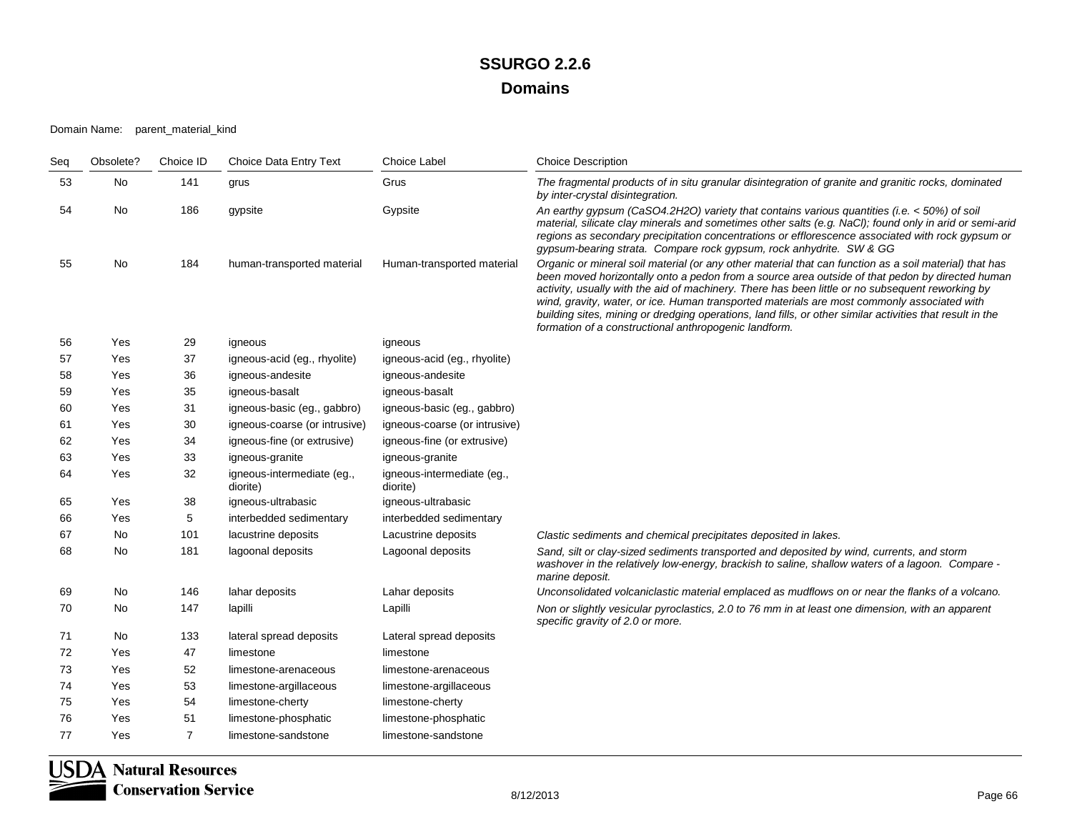#### Domain Name: parent\_material\_kind

| Seq | Obsolete? | Choice ID | Choice Data Entry Text                 | Choice Label                           | <b>Choice Description</b>                                                                                                                                                                                                                                                                                                                                                                                                                                                                                                                                                          |
|-----|-----------|-----------|----------------------------------------|----------------------------------------|------------------------------------------------------------------------------------------------------------------------------------------------------------------------------------------------------------------------------------------------------------------------------------------------------------------------------------------------------------------------------------------------------------------------------------------------------------------------------------------------------------------------------------------------------------------------------------|
| 53  | No        | 141       | grus                                   | Grus                                   | The fragmental products of in situ granular disintegration of granite and granitic rocks, dominated<br>by inter-crystal disintegration.                                                                                                                                                                                                                                                                                                                                                                                                                                            |
| 54  | No        | 186       | gypsite                                | Gypsite                                | An earthy gypsum (CaSO4.2H2O) variety that contains various quantities (i.e. < 50%) of soil<br>material, silicate clay minerals and sometimes other salts (e.g. NaCl); found only in arid or semi-arid<br>regions as secondary precipitation concentrations or efflorescence associated with rock gypsum or<br>gypsum-bearing strata. Compare rock gypsum, rock anhydrite. SW & GG                                                                                                                                                                                                 |
| 55  | No        | 184       | human-transported material             | Human-transported material             | Organic or mineral soil material (or any other material that can function as a soil material) that has<br>been moved horizontally onto a pedon from a source area outside of that pedon by directed human<br>activity, usually with the aid of machinery. There has been little or no subsequent reworking by<br>wind, gravity, water, or ice. Human transported materials are most commonly associated with<br>building sites, mining or dredging operations, land fills, or other similar activities that result in the<br>formation of a constructional anthropogenic landform. |
| 56  | Yes       | 29        | igneous                                | igneous                                |                                                                                                                                                                                                                                                                                                                                                                                                                                                                                                                                                                                    |
| 57  | Yes       | 37        | igneous-acid (eg., rhyolite)           | igneous-acid (eg., rhyolite)           |                                                                                                                                                                                                                                                                                                                                                                                                                                                                                                                                                                                    |
| 58  | Yes       | 36        | igneous-andesite                       | igneous-andesite                       |                                                                                                                                                                                                                                                                                                                                                                                                                                                                                                                                                                                    |
| 59  | Yes       | 35        | igneous-basalt                         | igneous-basalt                         |                                                                                                                                                                                                                                                                                                                                                                                                                                                                                                                                                                                    |
| 60  | Yes       | 31        | igneous-basic (eg., gabbro)            | igneous-basic (eg., gabbro)            |                                                                                                                                                                                                                                                                                                                                                                                                                                                                                                                                                                                    |
| 61  | Yes       | 30        | igneous-coarse (or intrusive)          | igneous-coarse (or intrusive)          |                                                                                                                                                                                                                                                                                                                                                                                                                                                                                                                                                                                    |
| 62  | Yes       | 34        | igneous-fine (or extrusive)            | igneous-fine (or extrusive)            |                                                                                                                                                                                                                                                                                                                                                                                                                                                                                                                                                                                    |
| 63  | Yes       | 33        | igneous-granite                        | igneous-granite                        |                                                                                                                                                                                                                                                                                                                                                                                                                                                                                                                                                                                    |
| 64  | Yes       | 32        | igneous-intermediate (eg.,<br>diorite) | igneous-intermediate (eg.,<br>diorite) |                                                                                                                                                                                                                                                                                                                                                                                                                                                                                                                                                                                    |
| 65  | Yes       | 38        | igneous-ultrabasic                     | igneous-ultrabasic                     |                                                                                                                                                                                                                                                                                                                                                                                                                                                                                                                                                                                    |
| 66  | Yes       | 5         | interbedded sedimentary                | interbedded sedimentary                |                                                                                                                                                                                                                                                                                                                                                                                                                                                                                                                                                                                    |
| 67  | No.       | 101       | lacustrine deposits                    | Lacustrine deposits                    | Clastic sediments and chemical precipitates deposited in lakes.                                                                                                                                                                                                                                                                                                                                                                                                                                                                                                                    |
| 68  | No        | 181       | lagoonal deposits                      | Lagoonal deposits                      | Sand, silt or clay-sized sediments transported and deposited by wind, currents, and storm<br>washover in the relatively low-energy, brackish to saline, shallow waters of a lagoon. Compare -<br>marine deposit.                                                                                                                                                                                                                                                                                                                                                                   |
| 69  | No        | 146       | lahar deposits                         | Lahar deposits                         | Unconsolidated volcaniclastic material emplaced as mudflows on or near the flanks of a volcano.                                                                                                                                                                                                                                                                                                                                                                                                                                                                                    |
| 70  | No        | 147       | lapilli                                | Lapilli                                | Non or slightly vesicular pyroclastics, 2.0 to 76 mm in at least one dimension, with an apparent<br>specific gravity of 2.0 or more.                                                                                                                                                                                                                                                                                                                                                                                                                                               |
| 71  | No        | 133       | lateral spread deposits                | Lateral spread deposits                |                                                                                                                                                                                                                                                                                                                                                                                                                                                                                                                                                                                    |
| 72  | Yes       | 47        | limestone                              | limestone                              |                                                                                                                                                                                                                                                                                                                                                                                                                                                                                                                                                                                    |
| 73  | Yes       | 52        | limestone-arenaceous                   | limestone-arenaceous                   |                                                                                                                                                                                                                                                                                                                                                                                                                                                                                                                                                                                    |
| 74  | Yes       | 53        | limestone-argillaceous                 | limestone-argillaceous                 |                                                                                                                                                                                                                                                                                                                                                                                                                                                                                                                                                                                    |
| 75  | Yes       | 54        | limestone-cherty                       | limestone-cherty                       |                                                                                                                                                                                                                                                                                                                                                                                                                                                                                                                                                                                    |
| 76  | Yes       | 51        | limestone-phosphatic                   | limestone-phosphatic                   |                                                                                                                                                                                                                                                                                                                                                                                                                                                                                                                                                                                    |
| 77  | Yes       | 7         | limestone-sandstone                    | limestone-sandstone                    |                                                                                                                                                                                                                                                                                                                                                                                                                                                                                                                                                                                    |

**USDA** Natural Resources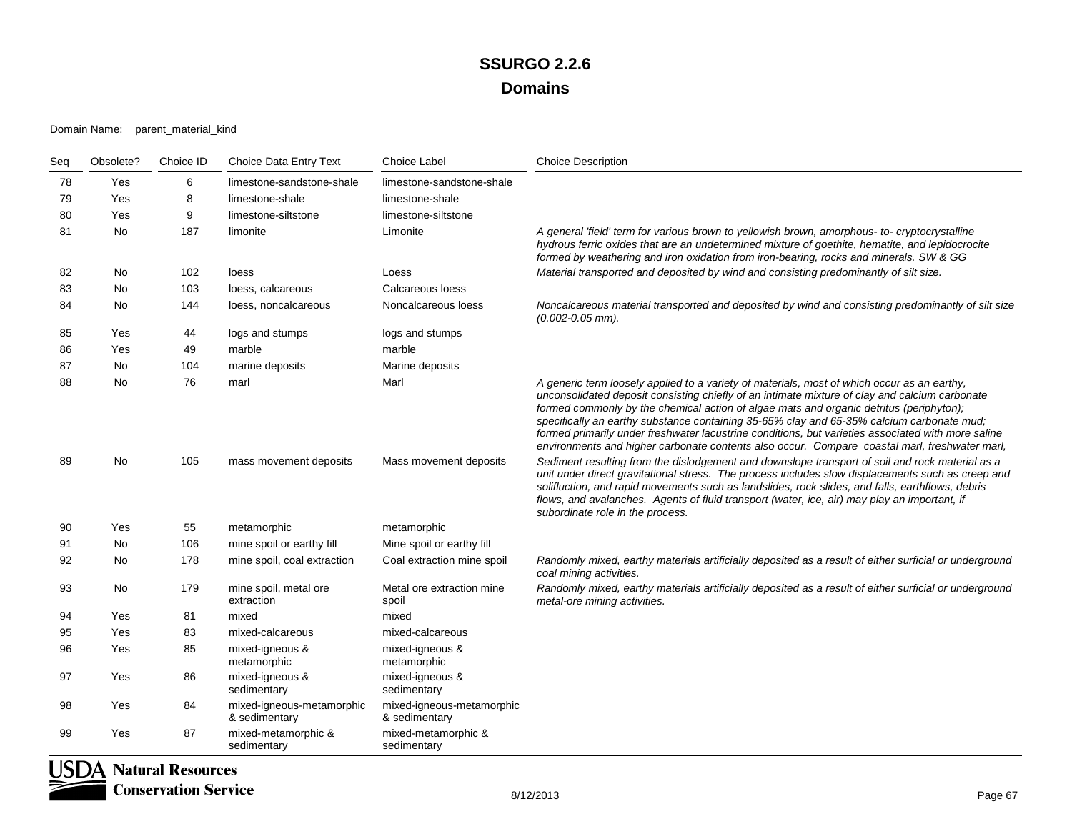#### Domain Name: parent\_material\_kind

| Seq | Obsolete?                     | Choice ID | Choice Data Entry Text                     | Choice Label                               | <b>Choice Description</b>                                                                                                                                                                                                                                                                                                                                                                                                                                                                                                                                                                    |  |  |
|-----|-------------------------------|-----------|--------------------------------------------|--------------------------------------------|----------------------------------------------------------------------------------------------------------------------------------------------------------------------------------------------------------------------------------------------------------------------------------------------------------------------------------------------------------------------------------------------------------------------------------------------------------------------------------------------------------------------------------------------------------------------------------------------|--|--|
| 78  | Yes                           | 6         | limestone-sandstone-shale                  | limestone-sandstone-shale                  |                                                                                                                                                                                                                                                                                                                                                                                                                                                                                                                                                                                              |  |  |
| 79  | Yes                           | 8         | limestone-shale                            | limestone-shale                            |                                                                                                                                                                                                                                                                                                                                                                                                                                                                                                                                                                                              |  |  |
| 80  | Yes                           | 9         | limestone-siltstone                        | limestone-siltstone                        |                                                                                                                                                                                                                                                                                                                                                                                                                                                                                                                                                                                              |  |  |
| 81  | <b>No</b>                     | 187       | limonite                                   | Limonite                                   | A general 'field' term for various brown to yellowish brown, amorphous- to-cryptocrystalline<br>hydrous ferric oxides that are an undetermined mixture of goethite, hematite, and lepidocrocite<br>formed by weathering and iron oxidation from iron-bearing, rocks and minerals. SW & GG                                                                                                                                                                                                                                                                                                    |  |  |
| 82  | No                            | 102       | loess                                      | Loess                                      | Material transported and deposited by wind and consisting predominantly of silt size.                                                                                                                                                                                                                                                                                                                                                                                                                                                                                                        |  |  |
| 83  | No                            | 103       | loess, calcareous                          | Calcareous loess                           |                                                                                                                                                                                                                                                                                                                                                                                                                                                                                                                                                                                              |  |  |
| 84  | No                            | 144       | loess, noncalcareous                       | Noncalcareous loess                        | Noncalcareous material transported and deposited by wind and consisting predominantly of silt size<br>$(0.002 - 0.05$ mm).                                                                                                                                                                                                                                                                                                                                                                                                                                                                   |  |  |
| 85  | Yes                           | 44        | logs and stumps                            | logs and stumps                            |                                                                                                                                                                                                                                                                                                                                                                                                                                                                                                                                                                                              |  |  |
| 86  | Yes                           | 49        | marble                                     | marble                                     |                                                                                                                                                                                                                                                                                                                                                                                                                                                                                                                                                                                              |  |  |
| 87  | No                            | 104       | marine deposits                            | Marine deposits                            |                                                                                                                                                                                                                                                                                                                                                                                                                                                                                                                                                                                              |  |  |
| 88  | No                            | 76        | marl                                       | Marl                                       | A generic term loosely applied to a variety of materials, most of which occur as an earthy,<br>unconsolidated deposit consisting chiefly of an intimate mixture of clay and calcium carbonate<br>formed commonly by the chemical action of algae mats and organic detritus (periphyton);<br>specifically an earthy substance containing 35-65% clay and 65-35% calcium carbonate mud;<br>formed primarily under freshwater lacustrine conditions, but varieties associated with more saline<br>environments and higher carbonate contents also occur. Compare coastal marl, freshwater marl, |  |  |
| 89  | No                            | 105       | mass movement deposits                     | Mass movement deposits                     | Sediment resulting from the dislodgement and downslope transport of soil and rock material as a<br>unit under direct gravitational stress. The process includes slow displacements such as creep and<br>solifluction, and rapid movements such as landslides, rock slides, and falls, earthflows, debris<br>flows, and avalanches. Agents of fluid transport (water, ice, air) may play an important, if<br>subordinate role in the process.                                                                                                                                                 |  |  |
| 90  | Yes                           | 55        | metamorphic                                | metamorphic                                |                                                                                                                                                                                                                                                                                                                                                                                                                                                                                                                                                                                              |  |  |
| 91  | No                            | 106       | mine spoil or earthy fill                  | Mine spoil or earthy fill                  |                                                                                                                                                                                                                                                                                                                                                                                                                                                                                                                                                                                              |  |  |
| 92  | No                            | 178       | mine spoil, coal extraction                | Coal extraction mine spoil                 | Randomly mixed, earthy materials artificially deposited as a result of either surficial or underground<br>coal mining activities.                                                                                                                                                                                                                                                                                                                                                                                                                                                            |  |  |
| 93  | No                            | 179       | mine spoil, metal ore<br>extraction        | Metal ore extraction mine<br>spoil         | Randomly mixed, earthy materials artificially deposited as a result of either surficial or underground<br>metal-ore mining activities.                                                                                                                                                                                                                                                                                                                                                                                                                                                       |  |  |
| 94  | Yes                           | 81        | mixed                                      | mixed                                      |                                                                                                                                                                                                                                                                                                                                                                                                                                                                                                                                                                                              |  |  |
| 95  | Yes                           | 83        | mixed-calcareous                           | mixed-calcareous                           |                                                                                                                                                                                                                                                                                                                                                                                                                                                                                                                                                                                              |  |  |
| 96  | Yes                           | 85        | mixed-igneous &<br>metamorphic             | mixed-igneous &<br>metamorphic             |                                                                                                                                                                                                                                                                                                                                                                                                                                                                                                                                                                                              |  |  |
| 97  | Yes                           | 86        | mixed-igneous &<br>sedimentary             | mixed-igneous &<br>sedimentary             |                                                                                                                                                                                                                                                                                                                                                                                                                                                                                                                                                                                              |  |  |
| 98  | Yes                           | 84        | mixed-igneous-metamorphic<br>& sedimentary | mixed-igneous-metamorphic<br>& sedimentary |                                                                                                                                                                                                                                                                                                                                                                                                                                                                                                                                                                                              |  |  |
| 99  | Yes                           | 87        | mixed-metamorphic &<br>sedimentary         | mixed-metamorphic &<br>sedimentary         |                                                                                                                                                                                                                                                                                                                                                                                                                                                                                                                                                                                              |  |  |
|     | <b>USDA Natural Resources</b> |           |                                            |                                            |                                                                                                                                                                                                                                                                                                                                                                                                                                                                                                                                                                                              |  |  |

**Conservation Service** 

₹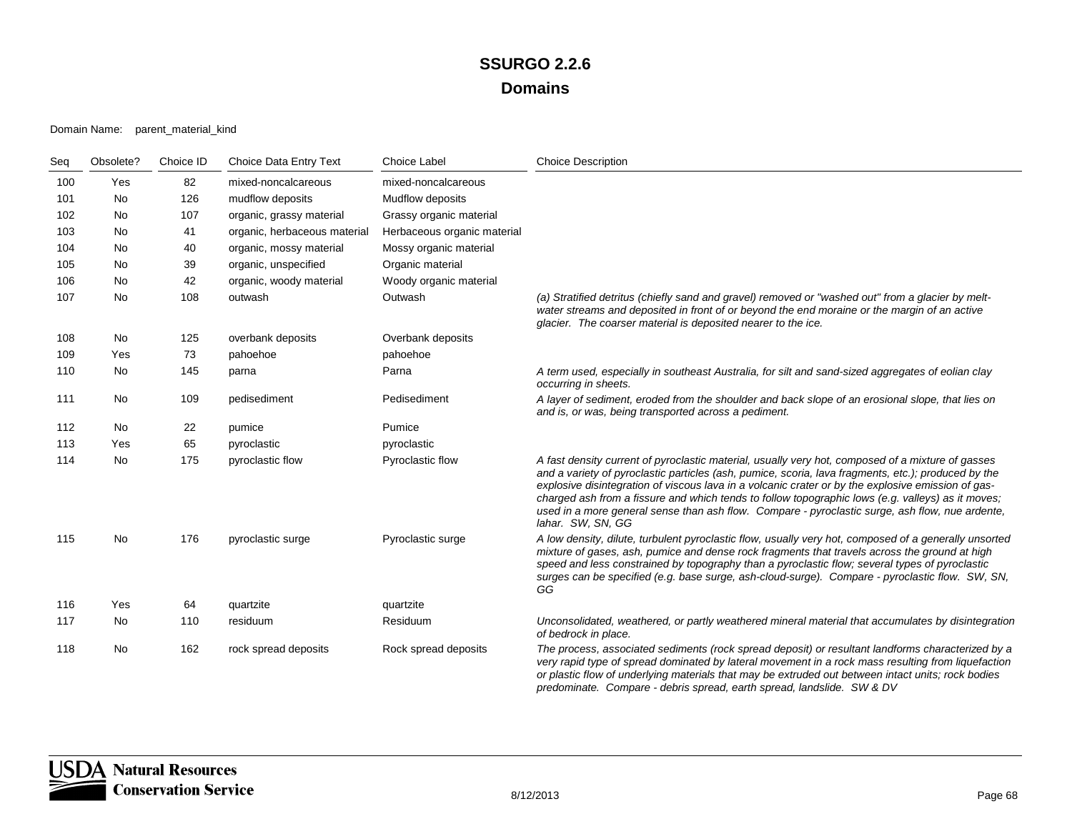#### Domain Name: parent\_material\_kind

| Seq | Obsolete? | Choice ID | Choice Data Entry Text       | <b>Choice Label</b>         | <b>Choice Description</b>                                                                                                                                                                                                                                                                                                                                                                                                                                                                                                                   |
|-----|-----------|-----------|------------------------------|-----------------------------|---------------------------------------------------------------------------------------------------------------------------------------------------------------------------------------------------------------------------------------------------------------------------------------------------------------------------------------------------------------------------------------------------------------------------------------------------------------------------------------------------------------------------------------------|
| 100 | Yes       | 82        | mixed-noncalcareous          | mixed-noncalcareous         |                                                                                                                                                                                                                                                                                                                                                                                                                                                                                                                                             |
| 101 | No        | 126       | mudflow deposits             | Mudflow deposits            |                                                                                                                                                                                                                                                                                                                                                                                                                                                                                                                                             |
| 102 | No        | 107       | organic, grassy material     | Grassy organic material     |                                                                                                                                                                                                                                                                                                                                                                                                                                                                                                                                             |
| 103 | No        | 41        | organic, herbaceous material | Herbaceous organic material |                                                                                                                                                                                                                                                                                                                                                                                                                                                                                                                                             |
| 104 | No        | 40        | organic, mossy material      | Mossy organic material      |                                                                                                                                                                                                                                                                                                                                                                                                                                                                                                                                             |
| 105 | No        | 39        | organic, unspecified         | Organic material            |                                                                                                                                                                                                                                                                                                                                                                                                                                                                                                                                             |
| 106 | No        | 42        | organic, woody material      | Woody organic material      |                                                                                                                                                                                                                                                                                                                                                                                                                                                                                                                                             |
| 107 | <b>No</b> | 108       | outwash                      | Outwash                     | (a) Stratified detritus (chiefly sand and gravel) removed or "washed out" from a glacier by melt-<br>water streams and deposited in front of or beyond the end moraine or the margin of an active<br>glacier. The coarser material is deposited nearer to the ice.                                                                                                                                                                                                                                                                          |
| 108 | No        | 125       | overbank deposits            | Overbank deposits           |                                                                                                                                                                                                                                                                                                                                                                                                                                                                                                                                             |
| 109 | Yes       | 73        | pahoehoe                     | pahoehoe                    |                                                                                                                                                                                                                                                                                                                                                                                                                                                                                                                                             |
| 110 | No        | 145       | parna                        | Parna                       | A term used, especially in southeast Australia, for silt and sand-sized aggregates of eolian clay<br>occurring in sheets.                                                                                                                                                                                                                                                                                                                                                                                                                   |
| 111 | No        | 109       | pedisediment                 | Pedisediment                | A layer of sediment, eroded from the shoulder and back slope of an erosional slope, that lies on<br>and is, or was, being transported across a pediment.                                                                                                                                                                                                                                                                                                                                                                                    |
| 112 | No        | 22        | pumice                       | Pumice                      |                                                                                                                                                                                                                                                                                                                                                                                                                                                                                                                                             |
| 113 | Yes       | 65        | pyroclastic                  | pyroclastic                 |                                                                                                                                                                                                                                                                                                                                                                                                                                                                                                                                             |
| 114 | No        | 175       | pyroclastic flow             | Pyroclastic flow            | A fast density current of pyroclastic material, usually very hot, composed of a mixture of gasses<br>and a variety of pyroclastic particles (ash, pumice, scoria, lava fragments, etc.); produced by the<br>explosive disintegration of viscous lava in a volcanic crater or by the explosive emission of gas-<br>charged ash from a fissure and which tends to follow topographic lows (e.g. valleys) as it moves;<br>used in a more general sense than ash flow. Compare - pyroclastic surge, ash flow, nue ardente,<br>lahar. SW, SN, GG |
| 115 | No        | 176       | pyroclastic surge            | Pyroclastic surge           | A low density, dilute, turbulent pyroclastic flow, usually very hot, composed of a generally unsorted<br>mixture of gases, ash, pumice and dense rock fragments that travels across the ground at high<br>speed and less constrained by topography than a pyroclastic flow; several types of pyroclastic<br>surges can be specified (e.g. base surge, ash-cloud-surge). Compare - pyroclastic flow. SW, SN,<br>GG                                                                                                                           |
| 116 | Yes       | 64        | quartzite                    | quartzite                   |                                                                                                                                                                                                                                                                                                                                                                                                                                                                                                                                             |
| 117 | No        | 110       | residuum                     | Residuum                    | Unconsolidated, weathered, or partly weathered mineral material that accumulates by disintegration<br>of bedrock in place.                                                                                                                                                                                                                                                                                                                                                                                                                  |
| 118 | No        | 162       | rock spread deposits         | Rock spread deposits        | The process, associated sediments (rock spread deposit) or resultant landforms characterized by a<br>very rapid type of spread dominated by lateral movement in a rock mass resulting from liquefaction<br>or plastic flow of underlying materials that may be extruded out between intact units; rock bodies<br>predominate. Compare - debris spread, earth spread, landslide. SW & DV                                                                                                                                                     |

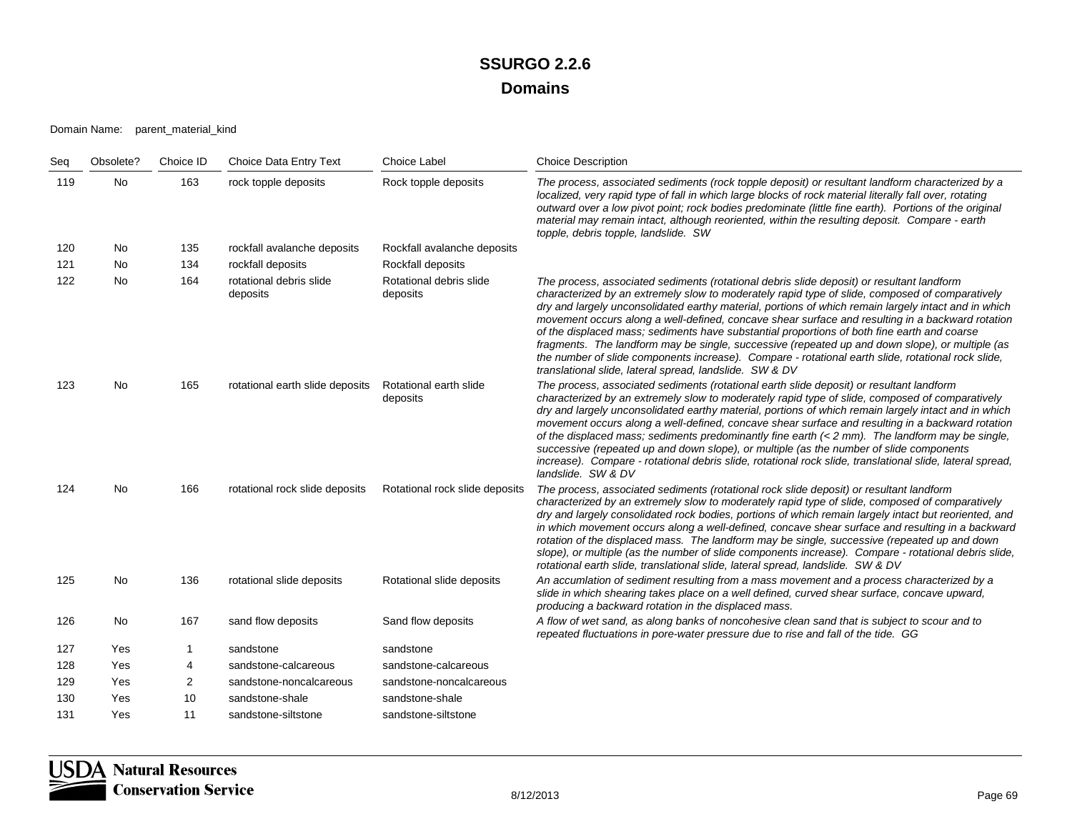Domain Name: parent\_material\_kind

| Seq | Obsolete? | Choice ID      | <b>Choice Data Entry Text</b>       | <b>Choice Label</b>                 | <b>Choice Description</b>                                                                                                                                                                                                                                                                                                                                                                                                                                                                                                                                                                                                                                                                                                                                                   |
|-----|-----------|----------------|-------------------------------------|-------------------------------------|-----------------------------------------------------------------------------------------------------------------------------------------------------------------------------------------------------------------------------------------------------------------------------------------------------------------------------------------------------------------------------------------------------------------------------------------------------------------------------------------------------------------------------------------------------------------------------------------------------------------------------------------------------------------------------------------------------------------------------------------------------------------------------|
| 119 | No.       | 163            | rock topple deposits                | Rock topple deposits                | The process, associated sediments (rock topple deposit) or resultant landform characterized by a<br>localized, very rapid type of fall in which large blocks of rock material literally fall over, rotating<br>outward over a low pivot point; rock bodies predominate (little fine earth). Portions of the original<br>material may remain intact, although reoriented, within the resulting deposit. Compare - earth<br>topple, debris topple, landslide. SW                                                                                                                                                                                                                                                                                                              |
| 120 | No.       | 135            | rockfall avalanche deposits         | Rockfall avalanche deposits         |                                                                                                                                                                                                                                                                                                                                                                                                                                                                                                                                                                                                                                                                                                                                                                             |
| 121 | No        | 134            | rockfall deposits                   | Rockfall deposits                   |                                                                                                                                                                                                                                                                                                                                                                                                                                                                                                                                                                                                                                                                                                                                                                             |
| 122 | No        | 164            | rotational debris slide<br>deposits | Rotational debris slide<br>deposits | The process, associated sediments (rotational debris slide deposit) or resultant landform<br>characterized by an extremely slow to moderately rapid type of slide, composed of comparatively<br>dry and largely unconsolidated earthy material, portions of which remain largely intact and in which<br>movement occurs along a well-defined, concave shear surface and resulting in a backward rotation<br>of the displaced mass; sediments have substantial proportions of both fine earth and coarse<br>fragments. The landform may be single, successive (repeated up and down slope), or multiple (as<br>the number of slide components increase). Compare - rotational earth slide, rotational rock slide,<br>translational slide, lateral spread, landslide. SW & DV |
| 123 | No.       | 165            | rotational earth slide deposits     | Rotational earth slide<br>deposits  | The process, associated sediments (rotational earth slide deposit) or resultant landform<br>characterized by an extremely slow to moderately rapid type of slide, composed of comparatively<br>dry and largely unconsolidated earthy material, portions of which remain largely intact and in which<br>movement occurs along a well-defined, concave shear surface and resulting in a backward rotation<br>of the displaced mass; sediments predominantly fine earth $\leq$ 2 mm). The landform may be single,<br>successive (repeated up and down slope), or multiple (as the number of slide components<br>increase). Compare - rotational debris slide, rotational rock slide, translational slide, lateral spread,<br>landslide. SW & DV                                |
| 124 | No.       | 166            | rotational rock slide deposits      | Rotational rock slide deposits      | The process, associated sediments (rotational rock slide deposit) or resultant landform<br>characterized by an extremely slow to moderately rapid type of slide, composed of comparatively<br>dry and largely consolidated rock bodies, portions of which remain largely intact but reoriented, and<br>in which movement occurs along a well-defined, concave shear surface and resulting in a backward<br>rotation of the displaced mass. The landform may be single, successive (repeated up and down<br>slope), or multiple (as the number of slide components increase). Compare - rotational debris slide,<br>rotational earth slide, translational slide, lateral spread, landslide. SW & DV                                                                          |
| 125 | No.       | 136            | rotational slide deposits           | Rotational slide deposits           | An accumlation of sediment resulting from a mass movement and a process characterized by a<br>slide in which shearing takes place on a well defined, curved shear surface, concave upward,<br>producing a backward rotation in the displaced mass.                                                                                                                                                                                                                                                                                                                                                                                                                                                                                                                          |
| 126 | No        | 167            | sand flow deposits                  | Sand flow deposits                  | A flow of wet sand, as along banks of noncohesive clean sand that is subject to scour and to<br>repeated fluctuations in pore-water pressure due to rise and fall of the tide. GG                                                                                                                                                                                                                                                                                                                                                                                                                                                                                                                                                                                           |
| 127 | Yes       | $\mathbf 1$    | sandstone                           | sandstone                           |                                                                                                                                                                                                                                                                                                                                                                                                                                                                                                                                                                                                                                                                                                                                                                             |
| 128 | Yes       | 4              | sandstone-calcareous                | sandstone-calcareous                |                                                                                                                                                                                                                                                                                                                                                                                                                                                                                                                                                                                                                                                                                                                                                                             |
| 129 | Yes       | $\overline{c}$ | sandstone-noncalcareous             | sandstone-noncalcareous             |                                                                                                                                                                                                                                                                                                                                                                                                                                                                                                                                                                                                                                                                                                                                                                             |
| 130 | Yes       | 10             | sandstone-shale                     | sandstone-shale                     |                                                                                                                                                                                                                                                                                                                                                                                                                                                                                                                                                                                                                                                                                                                                                                             |
| 131 | Yes       | 11             | sandstone-siltstone                 | sandstone-siltstone                 |                                                                                                                                                                                                                                                                                                                                                                                                                                                                                                                                                                                                                                                                                                                                                                             |

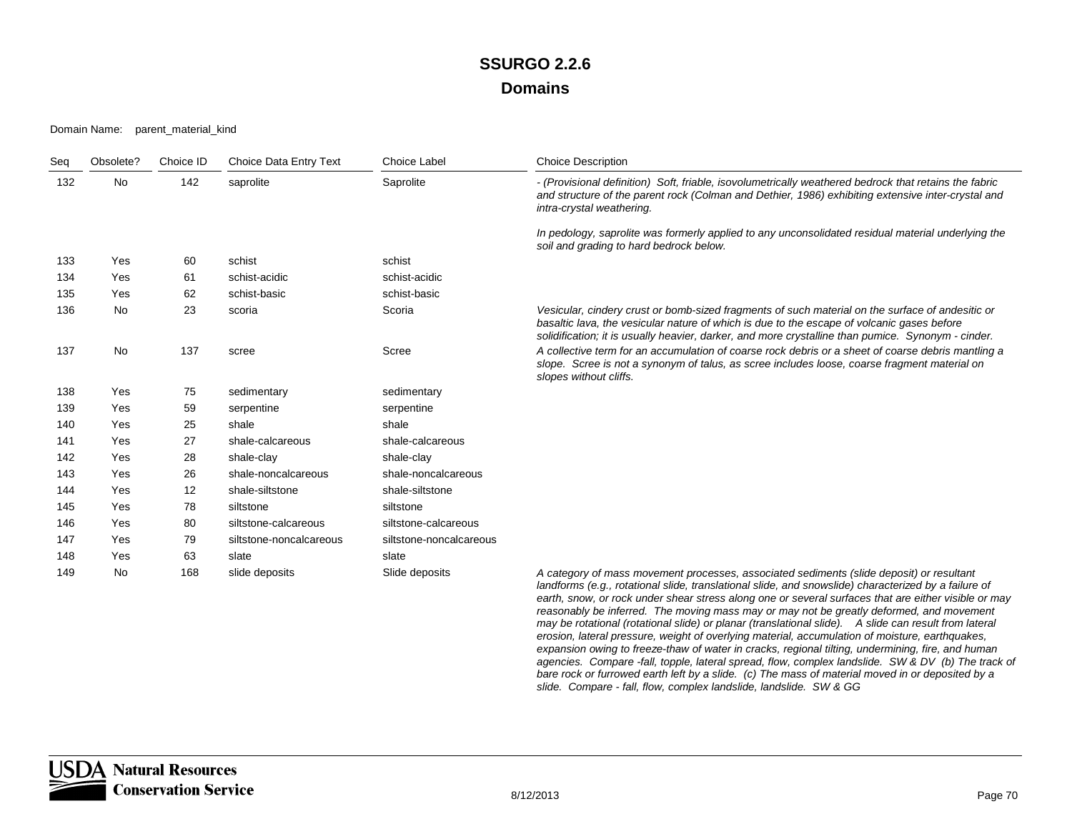### Domain Name: parent\_material\_kind

| Seq | Obsolete? | Choice ID | Choice Data Entry Text  | <b>Choice Label</b>     | <b>Choice Description</b>                                                                                                                                                                                                                                                                              |
|-----|-----------|-----------|-------------------------|-------------------------|--------------------------------------------------------------------------------------------------------------------------------------------------------------------------------------------------------------------------------------------------------------------------------------------------------|
| 132 | <b>No</b> | 142       | saprolite               | Saprolite               | - (Provisional definition) Soft, friable, isovolumetrically weathered bedrock that retains the fabric<br>and structure of the parent rock (Colman and Dethier, 1986) exhibiting extensive inter-crystal and<br>intra-crystal weathering.                                                               |
|     |           |           |                         |                         | In pedology, saprolite was formerly applied to any unconsolidated residual material underlying the<br>soil and grading to hard bedrock below.                                                                                                                                                          |
| 133 | Yes       | 60        | schist                  | schist                  |                                                                                                                                                                                                                                                                                                        |
| 134 | Yes       | 61        | schist-acidic           | schist-acidic           |                                                                                                                                                                                                                                                                                                        |
| 135 | Yes       | 62        | schist-basic            | schist-basic            |                                                                                                                                                                                                                                                                                                        |
| 136 | <b>No</b> | 23        | scoria                  | Scoria                  | Vesicular, cindery crust or bomb-sized fragments of such material on the surface of andesitic or<br>basaltic lava, the vesicular nature of which is due to the escape of volcanic gases before<br>solidification; it is usually heavier, darker, and more crystalline than pumice. Synonym - cinder.   |
| 137 | <b>No</b> | 137       | scree                   | Scree                   | A collective term for an accumulation of coarse rock debris or a sheet of coarse debris mantling a<br>slope. Scree is not a synonym of talus, as scree includes loose, coarse fragment material on<br>slopes without cliffs.                                                                           |
| 138 | Yes       | 75        | sedimentary             | sedimentary             |                                                                                                                                                                                                                                                                                                        |
| 139 | Yes       | 59        | serpentine              | serpentine              |                                                                                                                                                                                                                                                                                                        |
| 140 | Yes       | 25        | shale                   | shale                   |                                                                                                                                                                                                                                                                                                        |
| 141 | Yes       | 27        | shale-calcareous        | shale-calcareous        |                                                                                                                                                                                                                                                                                                        |
| 142 | Yes       | 28        | shale-clay              | shale-clay              |                                                                                                                                                                                                                                                                                                        |
| 143 | Yes       | 26        | shale-noncalcareous     | shale-noncalcareous     |                                                                                                                                                                                                                                                                                                        |
| 144 | Yes       | 12        | shale-siltstone         | shale-siltstone         |                                                                                                                                                                                                                                                                                                        |
| 145 | Yes       | 78        | siltstone               | siltstone               |                                                                                                                                                                                                                                                                                                        |
| 146 | Yes       | 80        | siltstone-calcareous    | siltstone-calcareous    |                                                                                                                                                                                                                                                                                                        |
| 147 | Yes       | 79        | siltstone-noncalcareous | siltstone-noncalcareous |                                                                                                                                                                                                                                                                                                        |
| 148 | Yes       | 63        | slate                   | slate                   |                                                                                                                                                                                                                                                                                                        |
| 149 | No        | 168       | slide deposits          | Slide deposits          | A category of mass movement processes, associated sediments (slide deposit) or resultant<br>landforms (e.g., rotational slide, translational slide, and snowslide) characterized by a failure of<br>earth snow or rock under shear stress along one or several surfaces that are either visible or may |

*earth, snow, or rock under shear stress along one or several surfaces that are either visible or may reasonably be inferred. The moving mass may or may not be greatly deformed, and movement may be rotational (rotational slide) or planar (translational slide). A slide can result from lateral erosion, lateral pressure, weight of overlying material, accumulation of moisture, earthquakes, expansion owing to freeze-thaw of water in cracks, regional tilting, undermining, fire, and human agencies. Compare -fall, topple, lateral spread, flow, complex landslide. SW & DV (b) The track of bare rock or furrowed earth left by a slide. (c) The mass of material moved in or deposited by a slide. Compare - fall, flow, complex landslide, landslide. SW & GG*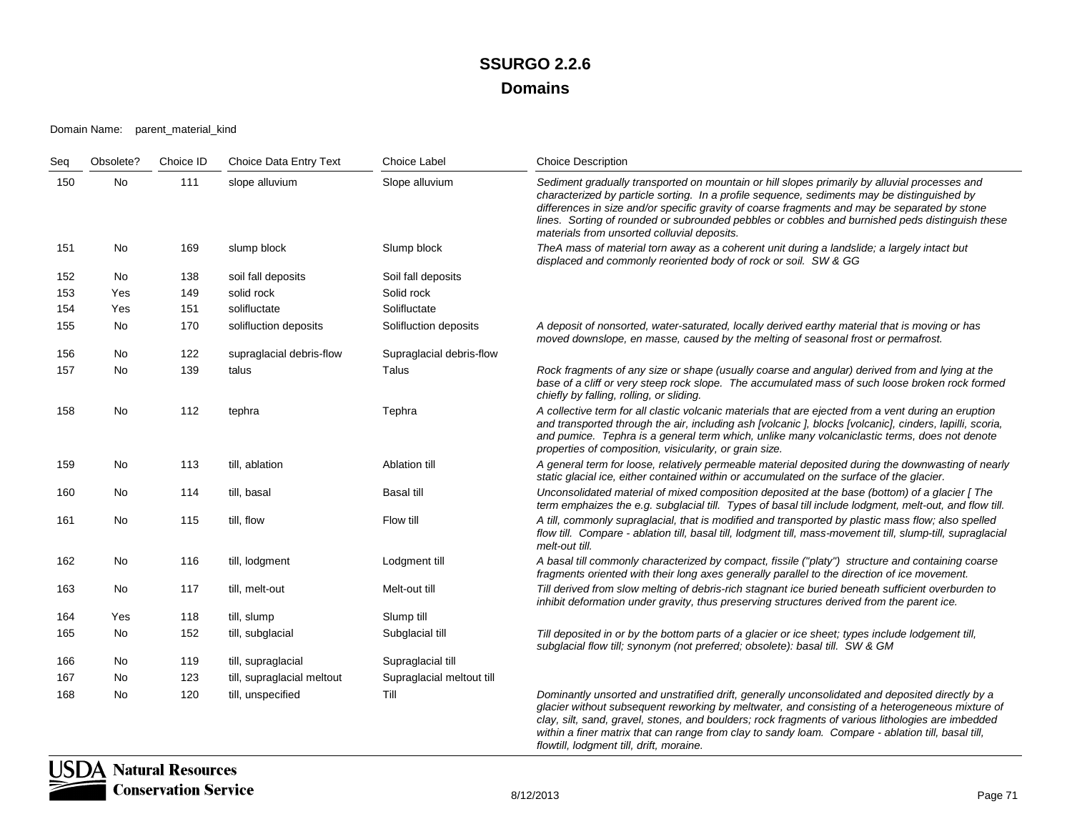### Domain Name: parent\_material\_kind

| Seq | Obsolete? | Choice ID | Choice Data Entry Text     | <b>Choice Label</b>       | <b>Choice Description</b>                                                                                                                                                                                                                                                                                                                                                                                                                       |
|-----|-----------|-----------|----------------------------|---------------------------|-------------------------------------------------------------------------------------------------------------------------------------------------------------------------------------------------------------------------------------------------------------------------------------------------------------------------------------------------------------------------------------------------------------------------------------------------|
| 150 | No        | 111       | slope alluvium             | Slope alluvium            | Sediment gradually transported on mountain or hill slopes primarily by alluvial processes and<br>characterized by particle sorting. In a profile sequence, sediments may be distinguished by<br>differences in size and/or specific gravity of coarse fragments and may be separated by stone<br>lines. Sorting of rounded or subrounded pebbles or cobbles and burnished peds distinguish these<br>materials from unsorted colluvial deposits. |
| 151 | No        | 169       | slump block                | Slump block               | The A mass of material torn away as a coherent unit during a landslide; a largely intact but<br>displaced and commonly reoriented body of rock or soil. SW & GG                                                                                                                                                                                                                                                                                 |
| 152 | No        | 138       | soil fall deposits         | Soil fall deposits        |                                                                                                                                                                                                                                                                                                                                                                                                                                                 |
| 153 | Yes       | 149       | solid rock                 | Solid rock                |                                                                                                                                                                                                                                                                                                                                                                                                                                                 |
| 154 | Yes       | 151       | solifluctate               | Solifluctate              |                                                                                                                                                                                                                                                                                                                                                                                                                                                 |
| 155 | No        | 170       | solifluction deposits      | Solifluction deposits     | A deposit of nonsorted, water-saturated, locally derived earthy material that is moving or has<br>moved downslope, en masse, caused by the melting of seasonal frost or permafrost.                                                                                                                                                                                                                                                             |
| 156 | No        | 122       | supraglacial debris-flow   | Supraglacial debris-flow  |                                                                                                                                                                                                                                                                                                                                                                                                                                                 |
| 157 | No        | 139       | talus                      | Talus                     | Rock fragments of any size or shape (usually coarse and angular) derived from and lying at the<br>base of a cliff or very steep rock slope. The accumulated mass of such loose broken rock formed<br>chiefly by falling, rolling, or sliding.                                                                                                                                                                                                   |
| 158 | No        | 112       | tephra                     | Tephra                    | A collective term for all clastic volcanic materials that are ejected from a vent during an eruption<br>and transported through the air, including ash [volcanic ], blocks [volcanic], cinders, lapilli, scoria,<br>and pumice. Tephra is a general term which, unlike many volcaniclastic terms, does not denote<br>properties of composition, visicularity, or grain size.                                                                    |
| 159 | No        | 113       | till, ablation             | Ablation till             | A general term for loose, relatively permeable material deposited during the downwasting of nearly<br>static glacial ice, either contained within or accumulated on the surface of the glacier.                                                                                                                                                                                                                                                 |
| 160 | No        | 114       | till, basal                | <b>Basal till</b>         | Unconsolidated material of mixed composition deposited at the base (bottom) of a glacier [ The<br>term emphaizes the e.g. subglacial till. Types of basal till include lodgment, melt-out, and flow till.                                                                                                                                                                                                                                       |
| 161 | No        | 115       | till, flow                 | Flow till                 | A till, commonly supraglacial, that is modified and transported by plastic mass flow; also spelled<br>flow till. Compare - ablation till, basal till, lodgment till, mass-movement till, slump-till, supraglacial<br>melt-out till.                                                                                                                                                                                                             |
| 162 | No        | 116       | till, lodgment             | Lodgment till             | A basal till commonly characterized by compact, fissile ("platy") structure and containing coarse<br>fragments oriented with their long axes generally parallel to the direction of ice movement.                                                                                                                                                                                                                                               |
| 163 | No        | 117       | till, melt-out             | Melt-out till             | Till derived from slow melting of debris-rich stagnant ice buried beneath sufficient overburden to<br>inhibit deformation under gravity, thus preserving structures derived from the parent ice.                                                                                                                                                                                                                                                |
| 164 | Yes       | 118       | till, slump                | Slump till                |                                                                                                                                                                                                                                                                                                                                                                                                                                                 |
| 165 | No        | 152       | till, subglacial           | Subglacial till           | Till deposited in or by the bottom parts of a glacier or ice sheet; types include lodgement till,<br>subglacial flow till; synonym (not preferred; obsolete): basal till. SW & GM                                                                                                                                                                                                                                                               |
| 166 | No        | 119       | till, supraglacial         | Supraglacial till         |                                                                                                                                                                                                                                                                                                                                                                                                                                                 |
| 167 | No        | 123       | till, supraglacial meltout | Supraglacial meltout till |                                                                                                                                                                                                                                                                                                                                                                                                                                                 |
| 168 | No        | 120       | till, unspecified          | Till                      | Dominantly unsorted and unstratified drift, generally unconsolidated and deposited directly by a<br>glacier without subsequent reworking by meltwater, and consisting of a heterogeneous mixture of<br>clay, silt, sand, gravel, stones, and boulders; rock fragments of various lithologies are imbedded<br>within a finer matrix that can range from clay to sandy loam. Compare - ablation till, basal till,                                 |



*flowtill, lodgment till, drift, moraine.*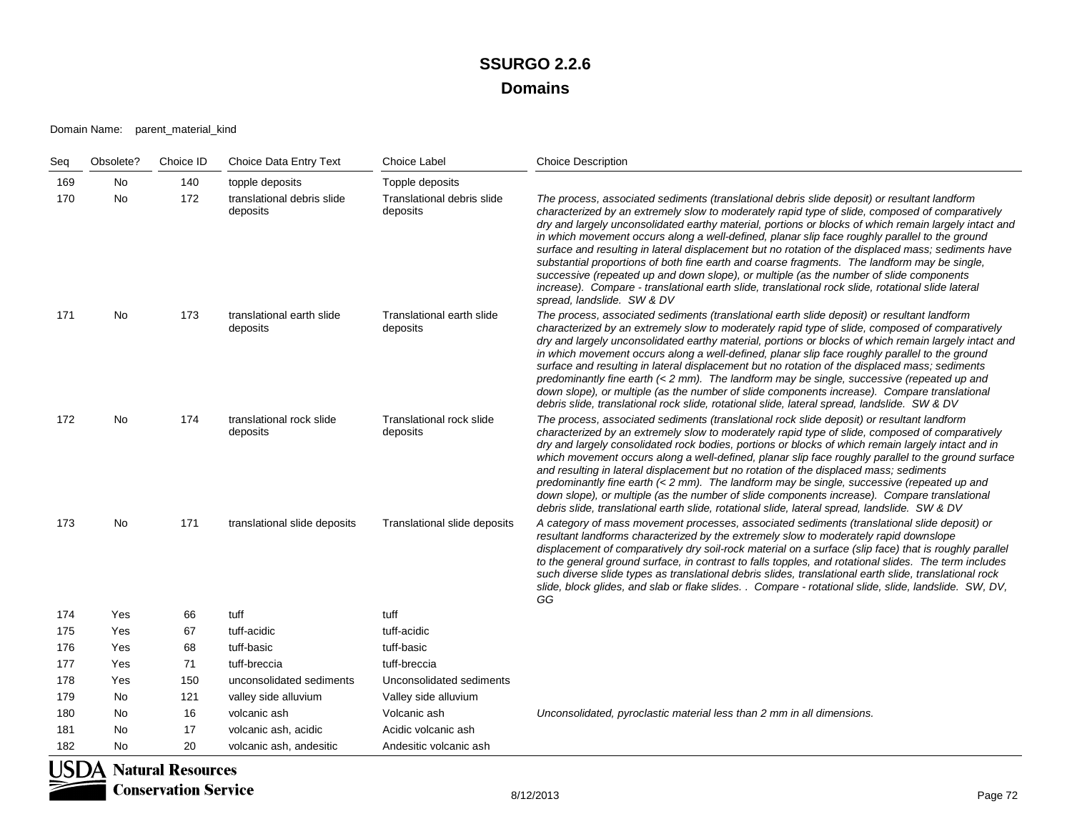#### Domain Name: parent\_material\_kind

| Seq | Obsolete?                         | Choice ID | Choice Data Entry Text                 | <b>Choice Label</b>                    | <b>Choice Description</b>                                                                                                                                                                                                                                                                                                                                                                                                                                                                                                                                                                                                                                                                                                                                                                                                                        |  |
|-----|-----------------------------------|-----------|----------------------------------------|----------------------------------------|--------------------------------------------------------------------------------------------------------------------------------------------------------------------------------------------------------------------------------------------------------------------------------------------------------------------------------------------------------------------------------------------------------------------------------------------------------------------------------------------------------------------------------------------------------------------------------------------------------------------------------------------------------------------------------------------------------------------------------------------------------------------------------------------------------------------------------------------------|--|
| 169 | No                                | 140       | topple deposits                        | Topple deposits                        |                                                                                                                                                                                                                                                                                                                                                                                                                                                                                                                                                                                                                                                                                                                                                                                                                                                  |  |
| 170 | No                                | 172       | translational debris slide<br>deposits | Translational debris slide<br>deposits | The process, associated sediments (translational debris slide deposit) or resultant landform<br>characterized by an extremely slow to moderately rapid type of slide, composed of comparatively<br>dry and largely unconsolidated earthy material, portions or blocks of which remain largely intact and<br>in which movement occurs along a well-defined, planar slip face roughly parallel to the ground<br>surface and resulting in lateral displacement but no rotation of the displaced mass; sediments have<br>substantial proportions of both fine earth and coarse fragments. The landform may be single,<br>successive (repeated up and down slope), or multiple (as the number of slide components<br>increase). Compare - translational earth slide, translational rock slide, rotational slide lateral<br>spread, landslide. SW & DV |  |
| 171 | No                                | 173       | translational earth slide<br>deposits  | Translational earth slide<br>deposits  | The process, associated sediments (translational earth slide deposit) or resultant landform<br>characterized by an extremely slow to moderately rapid type of slide, composed of comparatively<br>dry and largely unconsolidated earthy material, portions or blocks of which remain largely intact and<br>in which movement occurs along a well-defined, planar slip face roughly parallel to the ground<br>surface and resulting in lateral displacement but no rotation of the displaced mass; sediments<br>predominantly fine earth $(2 mm). The landform may be single, successive (repeated up anddown slope), or multiple (as the number of slide components increase). Compare translationaldebris slide, translational rock slide, rotational slide, lateral spread, landslide. SW & DV$                                                |  |
| 172 | <b>No</b>                         | 174       | translational rock slide<br>deposits   | Translational rock slide<br>deposits   | The process, associated sediments (translational rock slide deposit) or resultant landform<br>characterized by an extremely slow to moderately rapid type of slide, composed of comparatively<br>dry and largely consolidated rock bodies, portions or blocks of which remain largely intact and in<br>which movement occurs along a well-defined, planar slip face roughly parallel to the ground surface<br>and resulting in lateral displacement but no rotation of the displaced mass; sediments<br>predominantly fine earth $\left($ < 2 mm). The landform may be single, successive (repeated up and<br>down slope), or multiple (as the number of slide components increase). Compare translational<br>debris slide, translational earth slide, rotational slide, lateral spread, landslide. SW & DV                                      |  |
| 173 | <b>No</b>                         | 171       | translational slide deposits           | Translational slide deposits           | A category of mass movement processes, associated sediments (translational slide deposit) or<br>resultant landforms characterized by the extremely slow to moderately rapid downslope<br>displacement of comparatively dry soil-rock material on a surface (slip face) that is roughly parallel<br>to the general ground surface, in contrast to falls topples, and rotational slides. The term includes<br>such diverse slide types as translational debris slides, translational earth slide, translational rock<br>slide, block glides, and slab or flake slides. . Compare - rotational slide, slide, landslide. SW, DV,<br>GG                                                                                                                                                                                                               |  |
| 174 | Yes                               | 66        | tuff                                   | tuff                                   |                                                                                                                                                                                                                                                                                                                                                                                                                                                                                                                                                                                                                                                                                                                                                                                                                                                  |  |
| 175 | Yes                               | 67        | tuff-acidic                            | tuff-acidic                            |                                                                                                                                                                                                                                                                                                                                                                                                                                                                                                                                                                                                                                                                                                                                                                                                                                                  |  |
| 176 | Yes                               | 68        | tuff-basic                             | tuff-basic                             |                                                                                                                                                                                                                                                                                                                                                                                                                                                                                                                                                                                                                                                                                                                                                                                                                                                  |  |
| 177 | Yes                               | 71        | tuff-breccia                           | tuff-breccia                           |                                                                                                                                                                                                                                                                                                                                                                                                                                                                                                                                                                                                                                                                                                                                                                                                                                                  |  |
| 178 | Yes                               | 150       | unconsolidated sediments               | Unconsolidated sediments               |                                                                                                                                                                                                                                                                                                                                                                                                                                                                                                                                                                                                                                                                                                                                                                                                                                                  |  |
| 179 | No                                | 121       | valley side alluvium                   | Valley side alluvium                   |                                                                                                                                                                                                                                                                                                                                                                                                                                                                                                                                                                                                                                                                                                                                                                                                                                                  |  |
| 180 | No                                | 16        | volcanic ash                           | Volcanic ash                           | Unconsolidated, pyroclastic material less than 2 mm in all dimensions.                                                                                                                                                                                                                                                                                                                                                                                                                                                                                                                                                                                                                                                                                                                                                                           |  |
| 181 | No                                | 17        | volcanic ash, acidic                   | Acidic volcanic ash                    |                                                                                                                                                                                                                                                                                                                                                                                                                                                                                                                                                                                                                                                                                                                                                                                                                                                  |  |
| 182 | No                                | 20        | volcanic ash, andesitic                | Andesitic volcanic ash                 |                                                                                                                                                                                                                                                                                                                                                                                                                                                                                                                                                                                                                                                                                                                                                                                                                                                  |  |
|     | ISDA.<br><b>Natural Resources</b> |           |                                        |                                        |                                                                                                                                                                                                                                                                                                                                                                                                                                                                                                                                                                                                                                                                                                                                                                                                                                                  |  |

Conservation Service

 $\breve{\equiv}$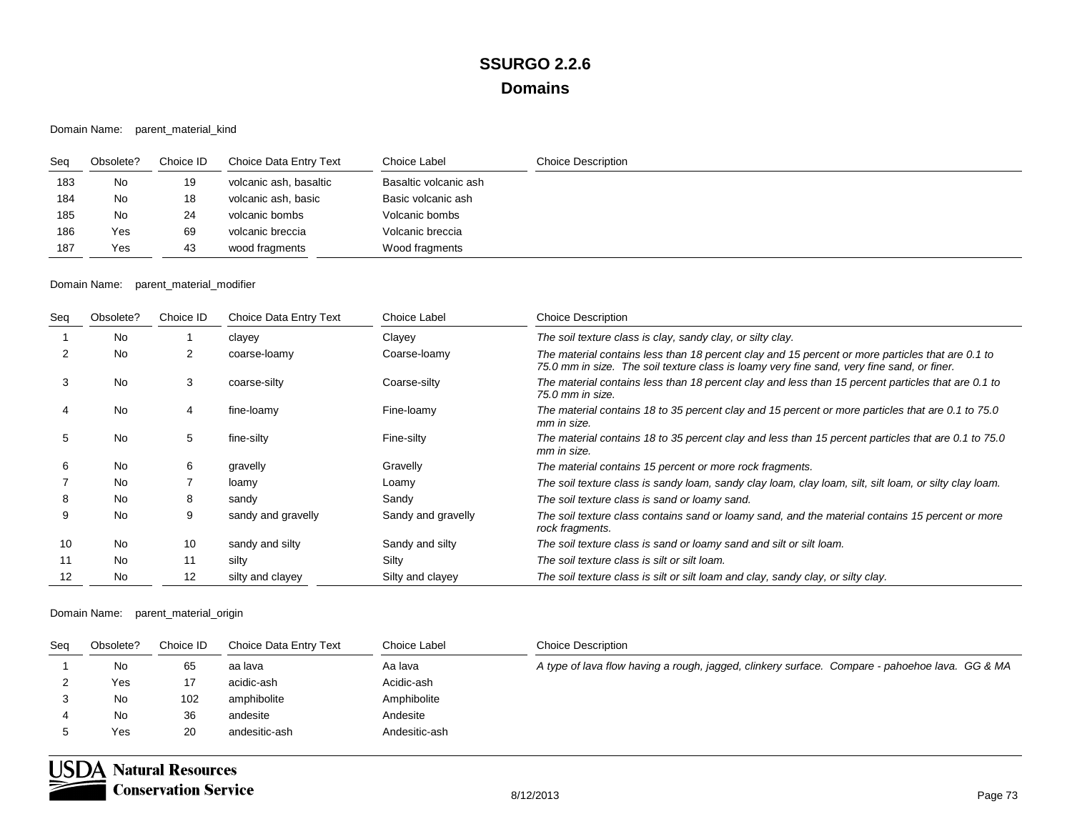Domain Name: parent\_material\_kind

| Seg | Obsolete? | Choice ID | Choice Data Entry Text | Choice Label          | <b>Choice Description</b> |
|-----|-----------|-----------|------------------------|-----------------------|---------------------------|
| 183 | No        | 19        | volcanic ash, basaltic | Basaltic volcanic ash |                           |
| 184 | No        | 18        | volcanic ash, basic    | Basic volcanic ash    |                           |
| 185 | No        | 24        | volcanic bombs         | Volcanic bombs        |                           |
| 186 | Yes       | 69        | volcanic breccia       | Volcanic breccia      |                           |
| 187 | Yes       | 43        | wood fragments         | Wood fragments        |                           |

#### Domain Name: parent\_material\_modifier

| Seg | Obsolete? | Choice ID         | Choice Data Entry Text | Choice Label       | <b>Choice Description</b>                                                                                                                                                                      |
|-----|-----------|-------------------|------------------------|--------------------|------------------------------------------------------------------------------------------------------------------------------------------------------------------------------------------------|
|     | No        |                   | clayey                 | Clayey             | The soil texture class is clay, sandy clay, or silty clay.                                                                                                                                     |
|     | No        | $\overline{2}$    | coarse-loamy           | Coarse-loamy       | The material contains less than 18 percent clay and 15 percent or more particles that are 0.1 to<br>75.0 mm in size. The soil texture class is loamy very fine sand, very fine sand, or finer. |
| 3   | No        | 3                 | coarse-silty           | Coarse-silty       | The material contains less than 18 percent clay and less than 15 percent particles that are 0.1 to<br>75.0 mm in size.                                                                         |
|     | No        | 4                 | fine-loamy             | Fine-loamy         | The material contains 18 to 35 percent clay and 15 percent or more particles that are 0.1 to 75.0<br>mm in size.                                                                               |
|     | <b>No</b> | 5                 | fine-silty             | Fine-silty         | The material contains 18 to 35 percent clay and less than 15 percent particles that are 0.1 to 75.0<br>mm in size.                                                                             |
| 6   | No        | 6                 | gravelly               | Gravelly           | The material contains 15 percent or more rock fragments.                                                                                                                                       |
|     | No        |                   | loamy                  | Loamy              | The soil texture class is sandy loam, sandy clay loam, clay loam, silt, silt loam, or silty clay loam.                                                                                         |
| 8   | No        | 8                 | sandy                  | Sandy              | The soil texture class is sand or loamy sand.                                                                                                                                                  |
| 9   | No        | 9                 | sandy and gravelly     | Sandy and gravelly | The soil texture class contains sand or loamy sand, and the material contains 15 percent or more<br>rock fragments.                                                                            |
| 10  | No        | 10                | sandy and silty        | Sandy and silty    | The soil texture class is sand or loamy sand and silt or silt loam.                                                                                                                            |
| 11  | No        | 11                | silty                  | Silty              | The soil texture class is silt or silt loam.                                                                                                                                                   |
| 12  | No.       | $12 \overline{ }$ | silty and clayey       | Silty and clayey   | The soil texture class is silt or silt loam and clay, sandy clay, or silty clay.                                                                                                               |

| Sea | Obsolete? | Choice ID | Choice Data Entry Text | Choice Label  | <b>Choice Description</b>                                                                      |
|-----|-----------|-----------|------------------------|---------------|------------------------------------------------------------------------------------------------|
|     | No        | 65        | aa lava                | Aa lava       | A type of lava flow having a rough, jagged, clinkery surface. Compare - pahoehoe lava. GG & MA |
|     | Yes       |           | acidic-ash             | Acidic-ash    |                                                                                                |
|     | No        | 102       | amphibolite            | Amphibolite   |                                                                                                |
|     | No        | 36        | andesite               | Andesite      |                                                                                                |
|     | Yes       | 20        | andesitic-ash          | Andesitic-ash |                                                                                                |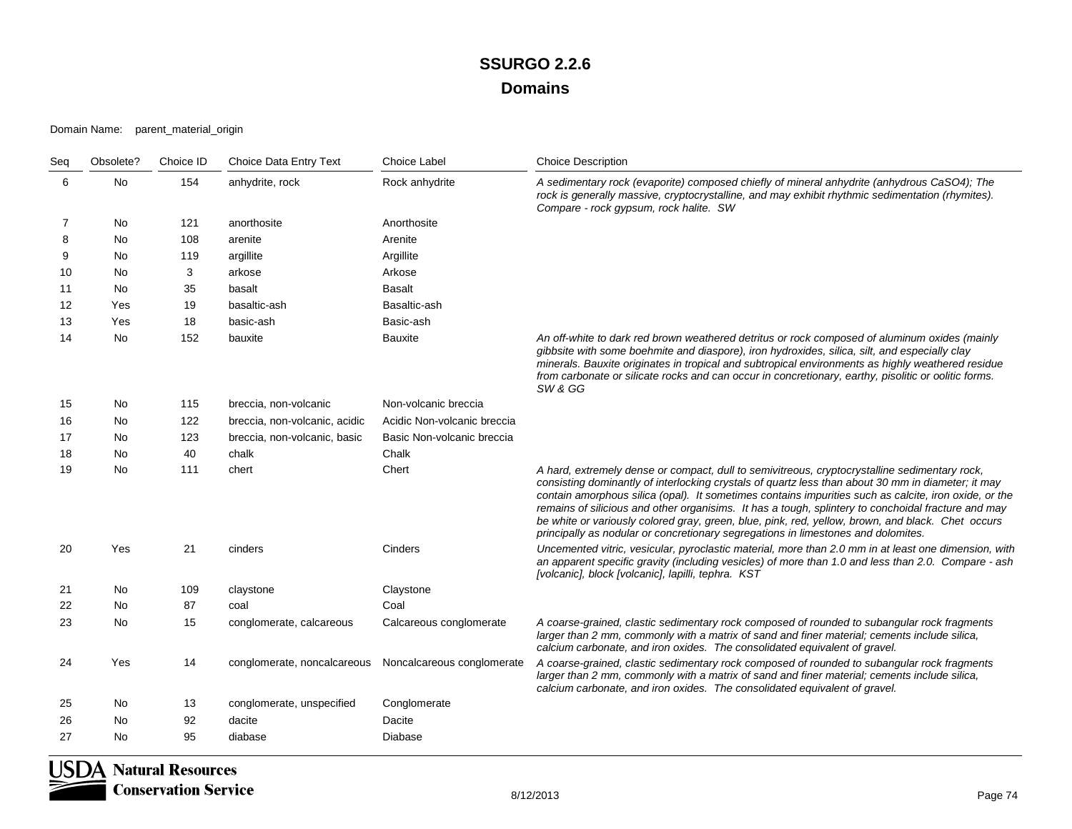#### Domain Name: parent\_material\_origin

| Seq | Obsolete? | Choice ID | Choice Data Entry Text        | <b>Choice Label</b>         | <b>Choice Description</b>                                                                                                                                                                                                                                                                                                                                                                                                                                                                                                                                                                                     |
|-----|-----------|-----------|-------------------------------|-----------------------------|---------------------------------------------------------------------------------------------------------------------------------------------------------------------------------------------------------------------------------------------------------------------------------------------------------------------------------------------------------------------------------------------------------------------------------------------------------------------------------------------------------------------------------------------------------------------------------------------------------------|
| 6   | <b>No</b> | 154       | anhydrite, rock               | Rock anhydrite              | A sedimentary rock (evaporite) composed chiefly of mineral anhydrite (anhydrous CaSO4); The<br>rock is generally massive, cryptocrystalline, and may exhibit rhythmic sedimentation (rhymites).<br>Compare - rock gypsum, rock halite. SW                                                                                                                                                                                                                                                                                                                                                                     |
| 7   | No        | 121       | anorthosite                   | Anorthosite                 |                                                                                                                                                                                                                                                                                                                                                                                                                                                                                                                                                                                                               |
| 8   | <b>No</b> | 108       | arenite                       | Arenite                     |                                                                                                                                                                                                                                                                                                                                                                                                                                                                                                                                                                                                               |
| 9   | No        | 119       | argillite                     | Argillite                   |                                                                                                                                                                                                                                                                                                                                                                                                                                                                                                                                                                                                               |
| 10  | No        | 3         | arkose                        | Arkose                      |                                                                                                                                                                                                                                                                                                                                                                                                                                                                                                                                                                                                               |
| 11  | No        | 35        | basalt                        | <b>Basalt</b>               |                                                                                                                                                                                                                                                                                                                                                                                                                                                                                                                                                                                                               |
| 12  | Yes       | 19        | basaltic-ash                  | Basaltic-ash                |                                                                                                                                                                                                                                                                                                                                                                                                                                                                                                                                                                                                               |
| 13  | Yes       | 18        | basic-ash                     | Basic-ash                   |                                                                                                                                                                                                                                                                                                                                                                                                                                                                                                                                                                                                               |
| 14  | No        | 152       | bauxite                       | <b>Bauxite</b>              | An off-white to dark red brown weathered detritus or rock composed of aluminum oxides (mainly<br>gibbsite with some boehmite and diaspore), iron hydroxides, silica, silt, and especially clay<br>minerals. Bauxite originates in tropical and subtropical environments as highly weathered residue<br>from carbonate or silicate rocks and can occur in concretionary, earthy, pisolitic or oolitic forms.<br>SW & GG                                                                                                                                                                                        |
| 15  | <b>No</b> | 115       | breccia, non-volcanic         | Non-volcanic breccia        |                                                                                                                                                                                                                                                                                                                                                                                                                                                                                                                                                                                                               |
| 16  | <b>No</b> | 122       | breccia, non-volcanic, acidic | Acidic Non-volcanic breccia |                                                                                                                                                                                                                                                                                                                                                                                                                                                                                                                                                                                                               |
| 17  | No        | 123       | breccia, non-volcanic, basic  | Basic Non-volcanic breccia  |                                                                                                                                                                                                                                                                                                                                                                                                                                                                                                                                                                                                               |
| 18  | No        | 40        | chalk                         | Chalk                       |                                                                                                                                                                                                                                                                                                                                                                                                                                                                                                                                                                                                               |
| 19  | <b>No</b> | 111       | chert                         | Chert                       | A hard, extremely dense or compact, dull to semivitreous, cryptocrystalline sedimentary rock,<br>consisting dominantly of interlocking crystals of quartz less than about 30 mm in diameter; it may<br>contain amorphous silica (opal). It sometimes contains impurities such as calcite, iron oxide, or the<br>remains of silicious and other organisims. It has a tough, splintery to conchoidal fracture and may<br>be white or variously colored gray, green, blue, pink, red, yellow, brown, and black. Chet occurs<br>principally as nodular or concretionary segregations in limestones and dolomites. |
| 20  | Yes       | 21        | cinders                       | Cinders                     | Uncemented vitric, vesicular, pyroclastic material, more than 2.0 mm in at least one dimension, with<br>an apparent specific gravity (including vesicles) of more than 1.0 and less than 2.0. Compare - ash<br>[volcanic], block [volcanic], lapilli, tephra. KST                                                                                                                                                                                                                                                                                                                                             |
| 21  | No        | 109       | claystone                     | Claystone                   |                                                                                                                                                                                                                                                                                                                                                                                                                                                                                                                                                                                                               |
| 22  | <b>No</b> | 87        | coal                          | Coal                        |                                                                                                                                                                                                                                                                                                                                                                                                                                                                                                                                                                                                               |
| 23  | No        | 15        | conglomerate, calcareous      | Calcareous conglomerate     | A coarse-grained, clastic sedimentary rock composed of rounded to subangular rock fragments<br>larger than 2 mm, commonly with a matrix of sand and finer material; cements include silica,<br>calcium carbonate, and iron oxides. The consolidated equivalent of gravel.                                                                                                                                                                                                                                                                                                                                     |
| 24  | Yes       | 14        | conglomerate, noncalcareous   | Noncalcareous conglomerate  | A coarse-grained, clastic sedimentary rock composed of rounded to subangular rock fragments<br>larger than 2 mm, commonly with a matrix of sand and finer material; cements include silica,<br>calcium carbonate, and iron oxides. The consolidated equivalent of gravel.                                                                                                                                                                                                                                                                                                                                     |
| 25  | No        | 13        | conglomerate, unspecified     | Conglomerate                |                                                                                                                                                                                                                                                                                                                                                                                                                                                                                                                                                                                                               |
| 26  | No        | 92        | dacite                        | Dacite                      |                                                                                                                                                                                                                                                                                                                                                                                                                                                                                                                                                                                                               |
| 27  | No        | 95        | diabase                       | Diabase                     |                                                                                                                                                                                                                                                                                                                                                                                                                                                                                                                                                                                                               |

₹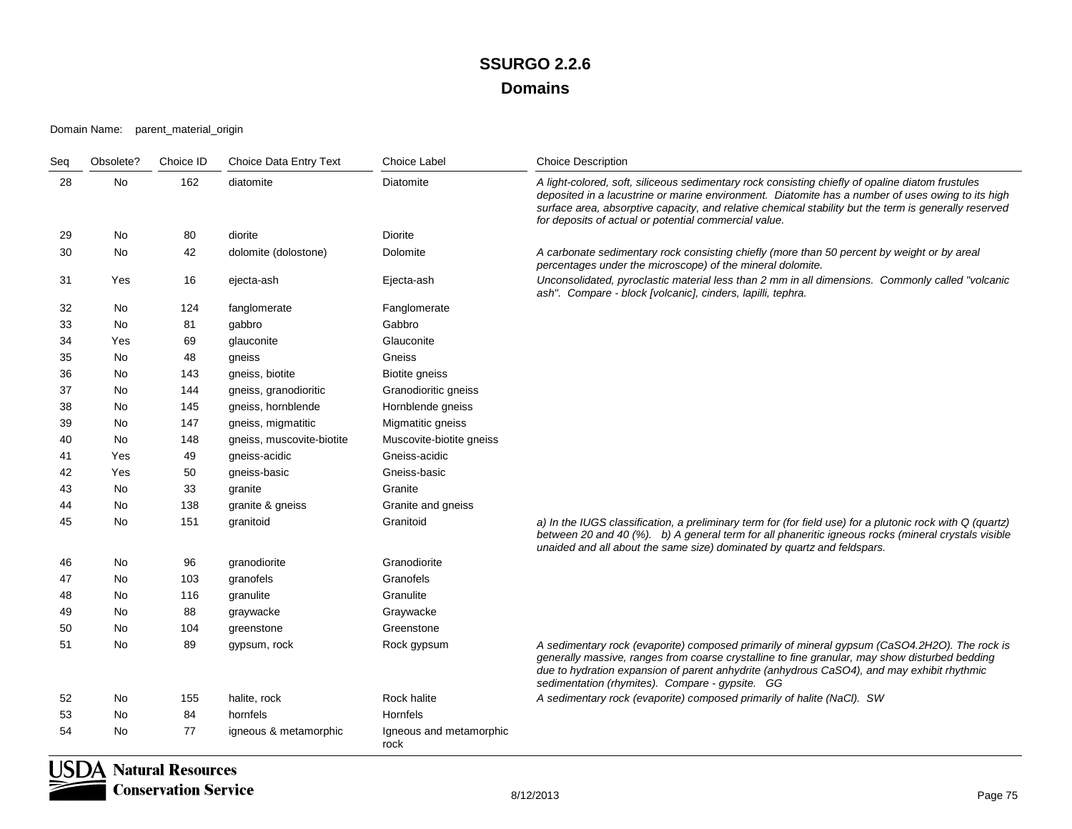#### Domain Name: parent\_material\_origin

| Seq | Obsolete?      | Choice ID | Choice Data Entry Text    | Choice Label                    | <b>Choice Description</b>                                                                                                                                                                                                                                                                                                                                               |
|-----|----------------|-----------|---------------------------|---------------------------------|-------------------------------------------------------------------------------------------------------------------------------------------------------------------------------------------------------------------------------------------------------------------------------------------------------------------------------------------------------------------------|
| 28  | No             | 162       | diatomite                 | Diatomite                       | A light-colored, soft, siliceous sedimentary rock consisting chiefly of opaline diatom frustules<br>deposited in a lacustrine or marine environment. Diatomite has a number of uses owing to its high<br>surface area, absorptive capacity, and relative chemical stability but the term is generally reserved<br>for deposits of actual or potential commercial value. |
| 29  | No             | 80        | diorite                   | <b>Diorite</b>                  |                                                                                                                                                                                                                                                                                                                                                                         |
| 30  | <b>No</b>      | 42        | dolomite (dolostone)      | Dolomite                        | A carbonate sedimentary rock consisting chiefly (more than 50 percent by weight or by areal<br>percentages under the microscope) of the mineral dolomite.                                                                                                                                                                                                               |
| 31  | Yes            | 16        | ejecta-ash                | Ejecta-ash                      | Unconsolidated, pyroclastic material less than 2 mm in all dimensions. Commonly called "volcanic<br>ash". Compare - block [volcanic], cinders, lapilli, tephra.                                                                                                                                                                                                         |
| 32  | No             | 124       | fanglomerate              | Fanglomerate                    |                                                                                                                                                                                                                                                                                                                                                                         |
| 33  | No             | 81        | gabbro                    | Gabbro                          |                                                                                                                                                                                                                                                                                                                                                                         |
| 34  | Yes            | 69        | glauconite                | Glauconite                      |                                                                                                                                                                                                                                                                                                                                                                         |
| 35  | No             | 48        | gneiss                    | Gneiss                          |                                                                                                                                                                                                                                                                                                                                                                         |
| 36  | N <sub>0</sub> | 143       | gneiss, biotite           | <b>Biotite gneiss</b>           |                                                                                                                                                                                                                                                                                                                                                                         |
| 37  | N <sub>0</sub> | 144       | gneiss, granodioritic     | Granodioritic gneiss            |                                                                                                                                                                                                                                                                                                                                                                         |
| 38  | No             | 145       | gneiss, hornblende        | Hornblende gneiss               |                                                                                                                                                                                                                                                                                                                                                                         |
| 39  | No             | 147       | gneiss, migmatitic        | Migmatitic gneiss               |                                                                                                                                                                                                                                                                                                                                                                         |
| 40  | No             | 148       | gneiss, muscovite-biotite | Muscovite-biotite gneiss        |                                                                                                                                                                                                                                                                                                                                                                         |
| 41  | Yes            | 49        | gneiss-acidic             | Gneiss-acidic                   |                                                                                                                                                                                                                                                                                                                                                                         |
| 42  | Yes            | 50        | gneiss-basic              | Gneiss-basic                    |                                                                                                                                                                                                                                                                                                                                                                         |
| 43  | <b>No</b>      | 33        | granite                   | Granite                         |                                                                                                                                                                                                                                                                                                                                                                         |
| 44  | No             | 138       | granite & gneiss          | Granite and gneiss              |                                                                                                                                                                                                                                                                                                                                                                         |
| 45  | No             | 151       | granitoid                 | Granitoid                       | a) In the IUGS classification, a preliminary term for (for field use) for a plutonic rock with Q (quartz)<br>between 20 and 40 (%). b) A general term for all phaneritic igneous rocks (mineral crystals visible<br>unaided and all about the same size) dominated by quartz and feldspars.                                                                             |
| 46  | No             | 96        | granodiorite              | Granodiorite                    |                                                                                                                                                                                                                                                                                                                                                                         |
| 47  | No             | 103       | granofels                 | Granofels                       |                                                                                                                                                                                                                                                                                                                                                                         |
| 48  | No             | 116       | granulite                 | Granulite                       |                                                                                                                                                                                                                                                                                                                                                                         |
| 49  | No             | 88        | graywacke                 | Graywacke                       |                                                                                                                                                                                                                                                                                                                                                                         |
| 50  | No             | 104       | greenstone                | Greenstone                      |                                                                                                                                                                                                                                                                                                                                                                         |
| 51  | No             | 89        | gypsum, rock              | Rock gypsum                     | A sedimentary rock (evaporite) composed primarily of mineral gypsum (CaSO4.2H2O). The rock is<br>generally massive, ranges from coarse crystalline to fine granular, may show disturbed bedding<br>due to hydration expansion of parent anhydrite (anhydrous CaSO4), and may exhibit rhythmic<br>sedimentation (rhymites). Compare - gypsite. GG                        |
| 52  | No             | 155       | halite, rock              | Rock halite                     | A sedimentary rock (evaporite) composed primarily of halite (NaCl). SW                                                                                                                                                                                                                                                                                                  |
| 53  | No             | 84        | hornfels                  | <b>Hornfels</b>                 |                                                                                                                                                                                                                                                                                                                                                                         |
| 54  | No             | 77        | igneous & metamorphic     | Igneous and metamorphic<br>rock |                                                                                                                                                                                                                                                                                                                                                                         |

**USDA Natural Resources**<br>Conservation Service **Conservation Service**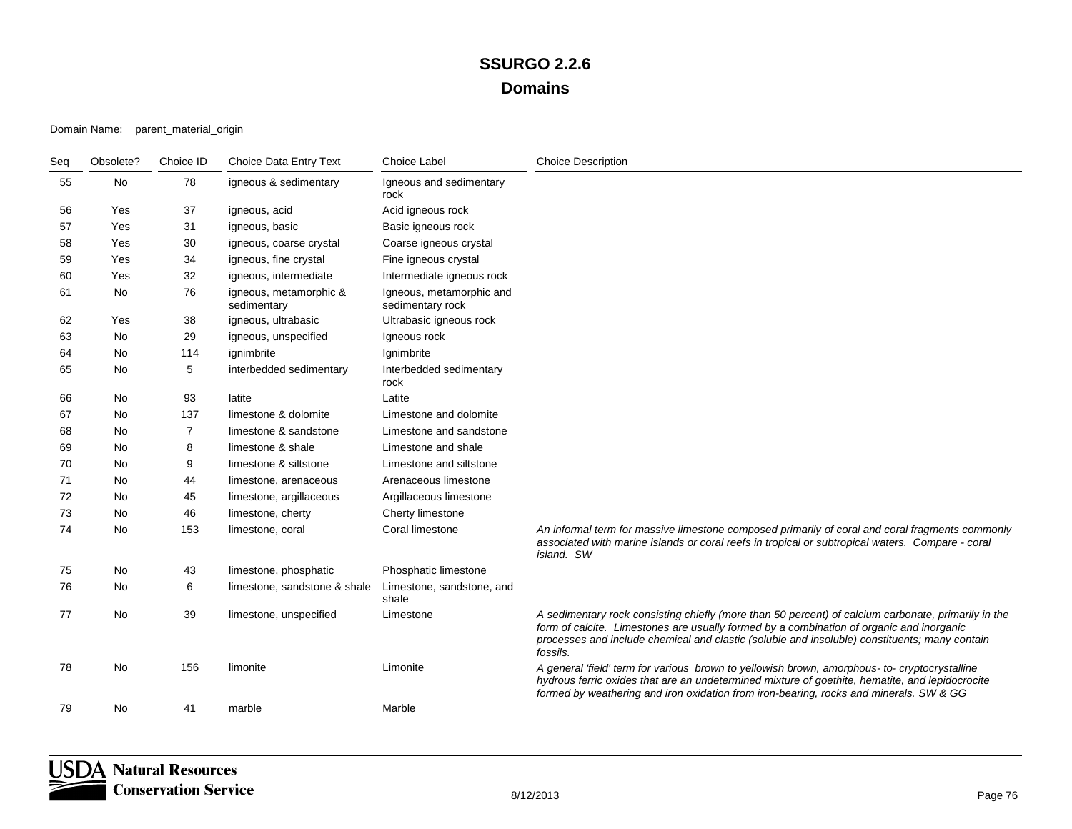| Seg | Obsolete? | Choice ID      | Choice Data Entry Text                | <b>Choice Label</b>                          | <b>Choice Description</b>                                                                                                                                                                                                                                                                                    |
|-----|-----------|----------------|---------------------------------------|----------------------------------------------|--------------------------------------------------------------------------------------------------------------------------------------------------------------------------------------------------------------------------------------------------------------------------------------------------------------|
| 55  | No        | 78             | igneous & sedimentary                 | Igneous and sedimentary<br>rock              |                                                                                                                                                                                                                                                                                                              |
| 56  | Yes       | 37             | igneous, acid                         | Acid igneous rock                            |                                                                                                                                                                                                                                                                                                              |
| 57  | Yes       | 31             | igneous, basic                        | Basic igneous rock                           |                                                                                                                                                                                                                                                                                                              |
| 58  | Yes       | 30             | igneous, coarse crystal               | Coarse igneous crystal                       |                                                                                                                                                                                                                                                                                                              |
| 59  | Yes       | 34             | igneous, fine crystal                 | Fine igneous crystal                         |                                                                                                                                                                                                                                                                                                              |
| 60  | Yes       | 32             | igneous, intermediate                 | Intermediate igneous rock                    |                                                                                                                                                                                                                                                                                                              |
| 61  | No        | 76             | igneous, metamorphic &<br>sedimentary | Igneous, metamorphic and<br>sedimentary rock |                                                                                                                                                                                                                                                                                                              |
| 62  | Yes       | 38             | igneous, ultrabasic                   | Ultrabasic igneous rock                      |                                                                                                                                                                                                                                                                                                              |
| 63  | No        | 29             | igneous, unspecified                  | Igneous rock                                 |                                                                                                                                                                                                                                                                                                              |
| 64  | No        | 114            | ignimbrite                            | Ignimbrite                                   |                                                                                                                                                                                                                                                                                                              |
| 65  | No        | 5              | interbedded sedimentary               | Interbedded sedimentary<br>rock              |                                                                                                                                                                                                                                                                                                              |
| 66  | No        | 93             | latite                                | Latite                                       |                                                                                                                                                                                                                                                                                                              |
| 67  | No        | 137            | limestone & dolomite                  | Limestone and dolomite                       |                                                                                                                                                                                                                                                                                                              |
| 68  | No        | $\overline{7}$ | limestone & sandstone                 | Limestone and sandstone                      |                                                                                                                                                                                                                                                                                                              |
| 69  | No.       | 8              | limestone & shale                     | Limestone and shale                          |                                                                                                                                                                                                                                                                                                              |
| 70  | No        | 9              | limestone & siltstone                 | Limestone and siltstone                      |                                                                                                                                                                                                                                                                                                              |
| 71  | No.       | 44             | limestone, arenaceous                 | Arenaceous limestone                         |                                                                                                                                                                                                                                                                                                              |
| 72  | No        | 45             | limestone, argillaceous               | Argillaceous limestone                       |                                                                                                                                                                                                                                                                                                              |
| 73  | No        | 46             | limestone, cherty                     | Cherty limestone                             |                                                                                                                                                                                                                                                                                                              |
| 74  | No.       | 153            | limestone, coral                      | Coral limestone                              | An informal term for massive limestone composed primarily of coral and coral fragments commonly<br>associated with marine islands or coral reefs in tropical or subtropical waters. Compare - coral<br>island. SW                                                                                            |
| 75  | No.       | 43             | limestone, phosphatic                 | Phosphatic limestone                         |                                                                                                                                                                                                                                                                                                              |
| 76  | No        | 6              | limestone, sandstone & shale          | Limestone, sandstone, and<br>shale           |                                                                                                                                                                                                                                                                                                              |
| 77  | No        | 39             | limestone, unspecified                | Limestone                                    | A sedimentary rock consisting chiefly (more than 50 percent) of calcium carbonate, primarily in the<br>form of calcite. Limestones are usually formed by a combination of organic and inorganic<br>processes and include chemical and clastic (soluble and insoluble) constituents; many contain<br>fossils. |
| 78  | No        | 156            | limonite                              | Limonite                                     | A general 'field' term for various brown to yellowish brown, amorphous- to-cryptocrystalline<br>hydrous ferric oxides that are an undetermined mixture of goethite, hematite, and lepidocrocite<br>formed by weathering and iron oxidation from iron-bearing, rocks and minerals. SW & GG                    |
| 79  | No.       | 41             | marble                                | Marble                                       |                                                                                                                                                                                                                                                                                                              |

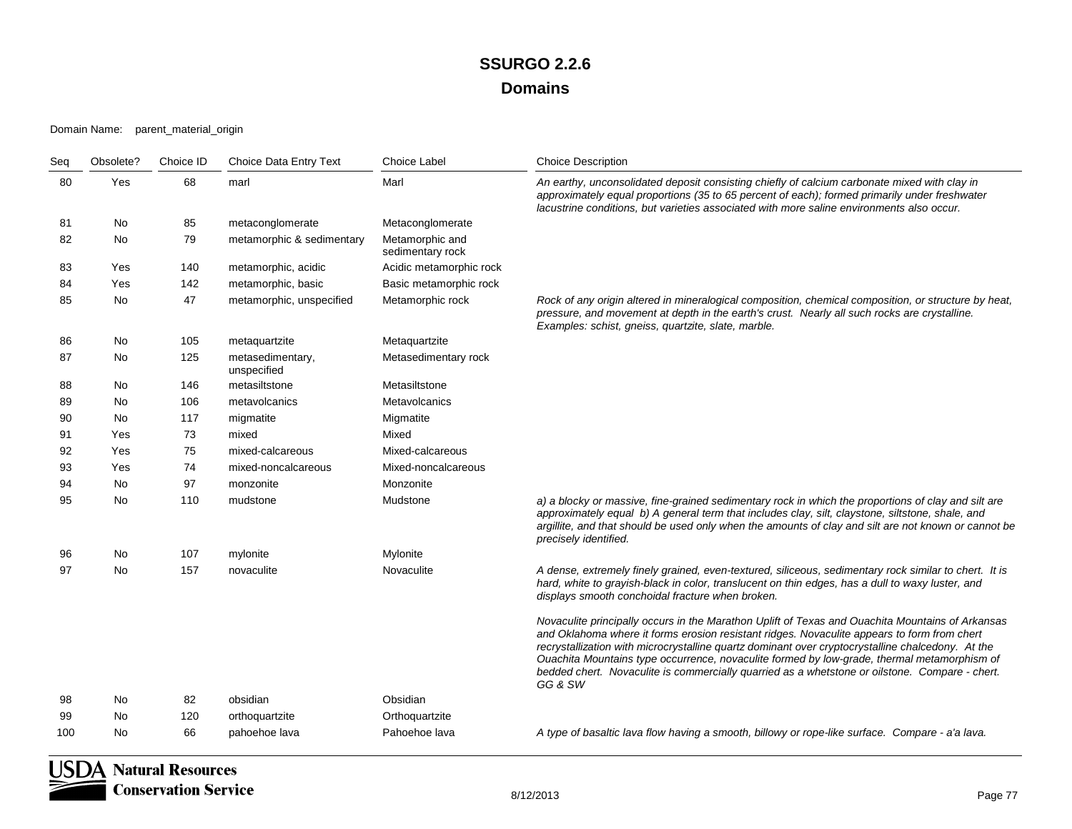| Seq | Obsolete? | Choice ID | Choice Data Entry Text          | Choice Label                        | <b>Choice Description</b>                                                                                                                                                                                                                                                                                                                                                                                                                                                                                        |
|-----|-----------|-----------|---------------------------------|-------------------------------------|------------------------------------------------------------------------------------------------------------------------------------------------------------------------------------------------------------------------------------------------------------------------------------------------------------------------------------------------------------------------------------------------------------------------------------------------------------------------------------------------------------------|
| 80  | Yes       | 68        | marl                            | Marl                                | An earthy, unconsolidated deposit consisting chiefly of calcium carbonate mixed with clay in<br>approximately equal proportions (35 to 65 percent of each); formed primarily under freshwater<br>lacustrine conditions, but varieties associated with more saline environments also occur.                                                                                                                                                                                                                       |
| 81  | No        | 85        | metaconglomerate                | Metaconglomerate                    |                                                                                                                                                                                                                                                                                                                                                                                                                                                                                                                  |
| 82  | No        | 79        | metamorphic & sedimentary       | Metamorphic and<br>sedimentary rock |                                                                                                                                                                                                                                                                                                                                                                                                                                                                                                                  |
| 83  | Yes       | 140       | metamorphic, acidic             | Acidic metamorphic rock             |                                                                                                                                                                                                                                                                                                                                                                                                                                                                                                                  |
| 84  | Yes       | 142       | metamorphic, basic              | Basic metamorphic rock              |                                                                                                                                                                                                                                                                                                                                                                                                                                                                                                                  |
| 85  | No        | 47        | metamorphic, unspecified        | Metamorphic rock                    | Rock of any origin altered in mineralogical composition, chemical composition, or structure by heat,<br>pressure, and movement at depth in the earth's crust. Nearly all such rocks are crystalline.<br>Examples: schist, gneiss, quartzite, slate, marble.                                                                                                                                                                                                                                                      |
| 86  | No        | 105       | metaquartzite                   | Metaquartzite                       |                                                                                                                                                                                                                                                                                                                                                                                                                                                                                                                  |
| 87  | No        | 125       | metasedimentary,<br>unspecified | Metasedimentary rock                |                                                                                                                                                                                                                                                                                                                                                                                                                                                                                                                  |
| 88  | No        | 146       | metasiltstone                   | Metasiltstone                       |                                                                                                                                                                                                                                                                                                                                                                                                                                                                                                                  |
| 89  | No        | 106       | metavolcanics                   | Metavolcanics                       |                                                                                                                                                                                                                                                                                                                                                                                                                                                                                                                  |
| 90  | No        | 117       | migmatite                       | Migmatite                           |                                                                                                                                                                                                                                                                                                                                                                                                                                                                                                                  |
| 91  | Yes       | 73        | mixed                           | Mixed                               |                                                                                                                                                                                                                                                                                                                                                                                                                                                                                                                  |
| 92  | Yes       | 75        | mixed-calcareous                | Mixed-calcareous                    |                                                                                                                                                                                                                                                                                                                                                                                                                                                                                                                  |
| 93  | Yes       | 74        | mixed-noncalcareous             | Mixed-noncalcareous                 |                                                                                                                                                                                                                                                                                                                                                                                                                                                                                                                  |
| 94  | No        | 97        | monzonite                       | Monzonite                           |                                                                                                                                                                                                                                                                                                                                                                                                                                                                                                                  |
| 95  | No        | 110       | mudstone                        | Mudstone                            | a) a blocky or massive, fine-grained sedimentary rock in which the proportions of clay and silt are<br>approximately equal b) A general term that includes clay, silt, claystone, siltstone, shale, and<br>argillite, and that should be used only when the amounts of clay and silt are not known or cannot be<br>precisely identified.                                                                                                                                                                         |
| 96  | No        | 107       | mylonite                        | Mylonite                            |                                                                                                                                                                                                                                                                                                                                                                                                                                                                                                                  |
| 97  | No        | 157       | novaculite                      | Novaculite                          | A dense, extremely finely grained, even-textured, siliceous, sedimentary rock similar to chert. It is<br>hard, white to grayish-black in color, translucent on thin edges, has a dull to waxy luster, and<br>displays smooth conchoidal fracture when broken.                                                                                                                                                                                                                                                    |
|     |           |           |                                 |                                     | Novaculite principally occurs in the Marathon Uplift of Texas and Ouachita Mountains of Arkansas<br>and Oklahoma where it forms erosion resistant ridges. Novaculite appears to form from chert<br>recrystallization with microcrystalline quartz dominant over cryptocrystalline chalcedony. At the<br>Ouachita Mountains type occurrence, novaculite formed by low-grade, thermal metamorphism of<br>bedded chert. Novaculite is commercially quarried as a whetstone or oilstone. Compare - chert.<br>GG & SW |
| 98  | No        | 82        | obsidian                        | Obsidian                            |                                                                                                                                                                                                                                                                                                                                                                                                                                                                                                                  |
| 99  | No        | 120       | orthoquartzite                  | Orthoquartzite                      |                                                                                                                                                                                                                                                                                                                                                                                                                                                                                                                  |
| 100 | No        | 66        | pahoehoe lava                   | Pahoehoe lava                       | A type of basaltic lava flow having a smooth, billowy or rope-like surface. Compare - a'a lava.                                                                                                                                                                                                                                                                                                                                                                                                                  |

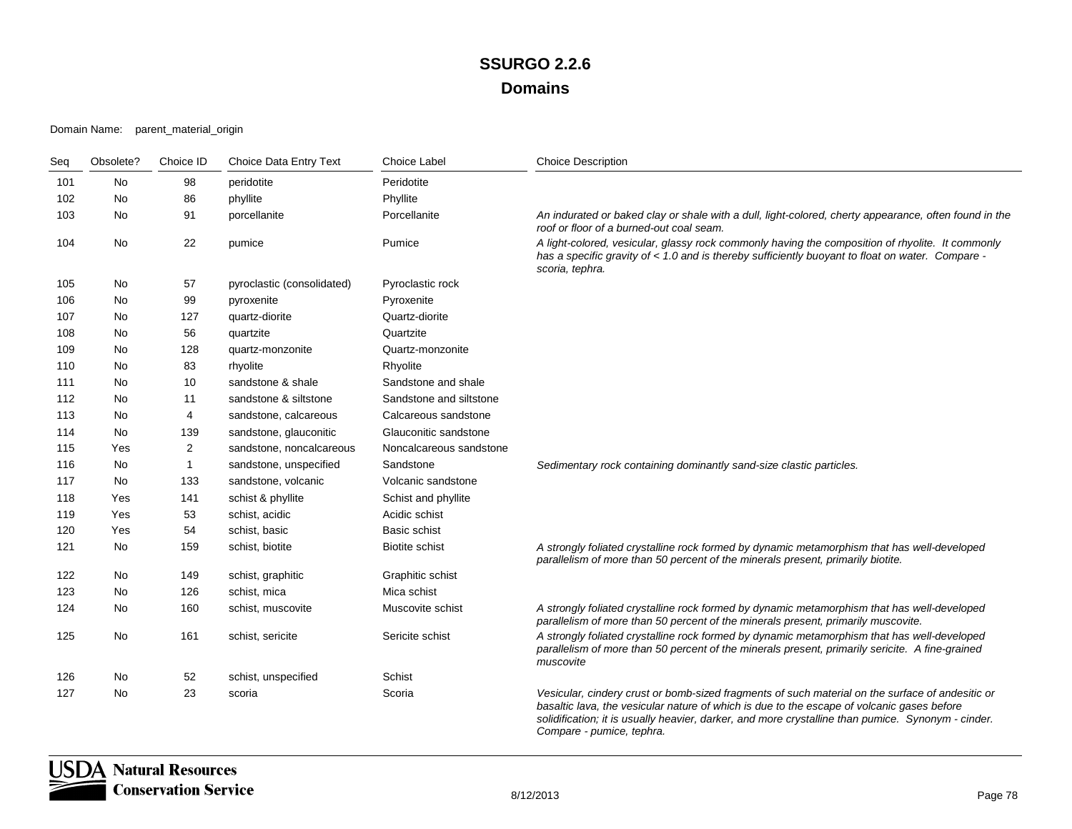| Sea | Obsolete? | Choice ID    | Choice Data Entry Text     | Choice Label            | <b>Choice Description</b>                                                                                                                                                                                                                                                                                                         |
|-----|-----------|--------------|----------------------------|-------------------------|-----------------------------------------------------------------------------------------------------------------------------------------------------------------------------------------------------------------------------------------------------------------------------------------------------------------------------------|
| 101 | No        | 98           | peridotite                 | Peridotite              |                                                                                                                                                                                                                                                                                                                                   |
| 102 | No        | 86           | phyllite                   | Phyllite                |                                                                                                                                                                                                                                                                                                                                   |
| 103 | No        | 91           | porcellanite               | Porcellanite            | An indurated or baked clay or shale with a dull, light-colored, cherty appearance, often found in the<br>roof or floor of a burned-out coal seam.                                                                                                                                                                                 |
| 104 | No        | 22           | pumice                     | Pumice                  | A light-colored, vesicular, glassy rock commonly having the composition of rhyolite. It commonly<br>has a specific gravity of < 1.0 and is thereby sufficiently buoyant to float on water. Compare -<br>scoria, tephra.                                                                                                           |
| 105 | No        | 57           | pyroclastic (consolidated) | Pyroclastic rock        |                                                                                                                                                                                                                                                                                                                                   |
| 106 | No        | 99           | pyroxenite                 | Pyroxenite              |                                                                                                                                                                                                                                                                                                                                   |
| 107 | No        | 127          | quartz-diorite             | Quartz-diorite          |                                                                                                                                                                                                                                                                                                                                   |
| 108 | No        | 56           | quartzite                  | Quartzite               |                                                                                                                                                                                                                                                                                                                                   |
| 109 | No        | 128          | quartz-monzonite           | Quartz-monzonite        |                                                                                                                                                                                                                                                                                                                                   |
| 110 | No        | 83           | rhyolite                   | Rhyolite                |                                                                                                                                                                                                                                                                                                                                   |
| 111 | No        | 10           | sandstone & shale          | Sandstone and shale     |                                                                                                                                                                                                                                                                                                                                   |
| 112 | No        | 11           | sandstone & siltstone      | Sandstone and siltstone |                                                                                                                                                                                                                                                                                                                                   |
| 113 | No        | 4            | sandstone, calcareous      | Calcareous sandstone    |                                                                                                                                                                                                                                                                                                                                   |
| 114 | No        | 139          | sandstone, glauconitic     | Glauconitic sandstone   |                                                                                                                                                                                                                                                                                                                                   |
| 115 | Yes       | 2            | sandstone, noncalcareous   | Noncalcareous sandstone |                                                                                                                                                                                                                                                                                                                                   |
| 116 | No        | $\mathbf{1}$ | sandstone, unspecified     | Sandstone               | Sedimentary rock containing dominantly sand-size clastic particles.                                                                                                                                                                                                                                                               |
| 117 | No        | 133          | sandstone, volcanic        | Volcanic sandstone      |                                                                                                                                                                                                                                                                                                                                   |
| 118 | Yes       | 141          | schist & phyllite          | Schist and phyllite     |                                                                                                                                                                                                                                                                                                                                   |
| 119 | Yes       | 53           | schist, acidic             | Acidic schist           |                                                                                                                                                                                                                                                                                                                                   |
| 120 | Yes       | 54           | schist, basic              | Basic schist            |                                                                                                                                                                                                                                                                                                                                   |
| 121 | No        | 159          | schist, biotite            | <b>Biotite schist</b>   | A strongly foliated crystalline rock formed by dynamic metamorphism that has well-developed<br>parallelism of more than 50 percent of the minerals present, primarily biotite.                                                                                                                                                    |
| 122 | No        | 149          | schist, graphitic          | Graphitic schist        |                                                                                                                                                                                                                                                                                                                                   |
| 123 | No        | 126          | schist, mica               | Mica schist             |                                                                                                                                                                                                                                                                                                                                   |
| 124 | No        | 160          | schist, muscovite          | Muscovite schist        | A strongly foliated crystalline rock formed by dynamic metamorphism that has well-developed<br>parallelism of more than 50 percent of the minerals present, primarily muscovite.                                                                                                                                                  |
| 125 | No        | 161          | schist, sericite           | Sericite schist         | A strongly foliated crystalline rock formed by dynamic metamorphism that has well-developed<br>parallelism of more than 50 percent of the minerals present, primarily sericite. A fine-grained<br>muscovite                                                                                                                       |
| 126 | No        | 52           | schist, unspecified        | Schist                  |                                                                                                                                                                                                                                                                                                                                   |
| 127 | No        | 23           | scoria                     | Scoria                  | Vesicular, cindery crust or bomb-sized fragments of such material on the surface of andesitic or<br>basaltic lava, the vesicular nature of which is due to the escape of volcanic gases before<br>solidification; it is usually heavier, darker, and more crystalline than pumice. Synonym - cinder.<br>Compare - pumice, tephra. |

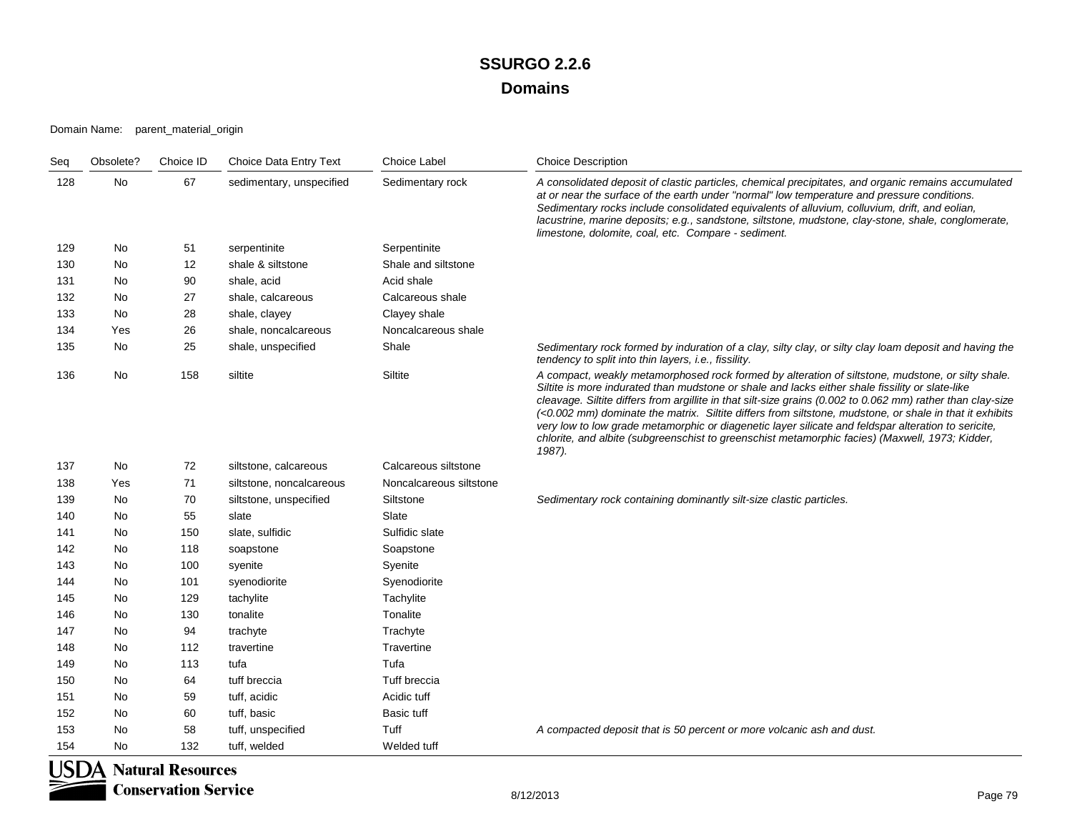Domain Name: parent\_material\_origin

| Seq | Obsolete? | Choice ID | <b>Choice Data Entry Text</b> | <b>Choice Label</b>     | <b>Choice Description</b>                                                                                                                                                                                                                                                                                                                                                                                                                                                                                                                                                                                                                          |
|-----|-----------|-----------|-------------------------------|-------------------------|----------------------------------------------------------------------------------------------------------------------------------------------------------------------------------------------------------------------------------------------------------------------------------------------------------------------------------------------------------------------------------------------------------------------------------------------------------------------------------------------------------------------------------------------------------------------------------------------------------------------------------------------------|
| 128 | <b>No</b> | 67        | sedimentary, unspecified      | Sedimentary rock        | A consolidated deposit of clastic particles, chemical precipitates, and organic remains accumulated<br>at or near the surface of the earth under "normal" low temperature and pressure conditions.<br>Sedimentary rocks include consolidated equivalents of alluvium, colluvium, drift, and eolian,<br>lacustrine, marine deposits; e.g., sandstone, siltstone, mudstone, clay-stone, shale, conglomerate,<br>limestone, dolomite, coal, etc. Compare - sediment.                                                                                                                                                                                  |
| 129 | No        | 51        | serpentinite                  | Serpentinite            |                                                                                                                                                                                                                                                                                                                                                                                                                                                                                                                                                                                                                                                    |
| 130 | <b>No</b> | 12        | shale & siltstone             | Shale and siltstone     |                                                                                                                                                                                                                                                                                                                                                                                                                                                                                                                                                                                                                                                    |
| 131 | No        | 90        | shale, acid                   | Acid shale              |                                                                                                                                                                                                                                                                                                                                                                                                                                                                                                                                                                                                                                                    |
| 132 | No        | 27        | shale, calcareous             | Calcareous shale        |                                                                                                                                                                                                                                                                                                                                                                                                                                                                                                                                                                                                                                                    |
| 133 | No        | 28        | shale, clayey                 | Clayey shale            |                                                                                                                                                                                                                                                                                                                                                                                                                                                                                                                                                                                                                                                    |
| 134 | Yes       | 26        | shale, noncalcareous          | Noncalcareous shale     |                                                                                                                                                                                                                                                                                                                                                                                                                                                                                                                                                                                                                                                    |
| 135 | No        | 25        | shale, unspecified            | Shale                   | Sedimentary rock formed by induration of a clay, silty clay, or silty clay loam deposit and having the<br>tendency to split into thin layers, i.e., fissility.                                                                                                                                                                                                                                                                                                                                                                                                                                                                                     |
| 136 | No        | 158       | siltite                       | Siltite                 | A compact, weakly metamorphosed rock formed by alteration of siltstone, mudstone, or silty shale.<br>Siltite is more indurated than mudstone or shale and lacks either shale fissility or slate-like<br>cleavage. Siltite differs from argillite in that silt-size grains (0.002 to 0.062 mm) rather than clay-size<br>(<0.002 mm) dominate the matrix. Siltite differs from siltstone, mudstone, or shale in that it exhibits<br>very low to low grade metamorphic or diagenetic layer silicate and feldspar alteration to sericite,<br>chlorite, and albite (subgreenschist to greenschist metamorphic facies) (Maxwell, 1973; Kidder,<br>1987). |
| 137 | No        | 72        | siltstone, calcareous         | Calcareous siltstone    |                                                                                                                                                                                                                                                                                                                                                                                                                                                                                                                                                                                                                                                    |
| 138 | Yes       | 71        | siltstone, noncalcareous      | Noncalcareous siltstone |                                                                                                                                                                                                                                                                                                                                                                                                                                                                                                                                                                                                                                                    |
| 139 | No        | 70        | siltstone, unspecified        | Siltstone               | Sedimentary rock containing dominantly silt-size clastic particles.                                                                                                                                                                                                                                                                                                                                                                                                                                                                                                                                                                                |
| 140 | No        | 55        | slate                         | Slate                   |                                                                                                                                                                                                                                                                                                                                                                                                                                                                                                                                                                                                                                                    |
| 141 | No        | 150       | slate, sulfidic               | Sulfidic slate          |                                                                                                                                                                                                                                                                                                                                                                                                                                                                                                                                                                                                                                                    |
| 142 | No        | 118       | soapstone                     | Soapstone               |                                                                                                                                                                                                                                                                                                                                                                                                                                                                                                                                                                                                                                                    |
| 143 | No        | 100       | syenite                       | Syenite                 |                                                                                                                                                                                                                                                                                                                                                                                                                                                                                                                                                                                                                                                    |
| 144 | <b>No</b> | 101       | syenodiorite                  | Syenodiorite            |                                                                                                                                                                                                                                                                                                                                                                                                                                                                                                                                                                                                                                                    |
| 145 | <b>No</b> | 129       | tachylite                     | Tachylite               |                                                                                                                                                                                                                                                                                                                                                                                                                                                                                                                                                                                                                                                    |
| 146 | No        | 130       | tonalite                      | Tonalite                |                                                                                                                                                                                                                                                                                                                                                                                                                                                                                                                                                                                                                                                    |
| 147 | No        | 94        | trachyte                      | Trachyte                |                                                                                                                                                                                                                                                                                                                                                                                                                                                                                                                                                                                                                                                    |
| 148 | No        | 112       | travertine                    | Travertine              |                                                                                                                                                                                                                                                                                                                                                                                                                                                                                                                                                                                                                                                    |
| 149 | No        | 113       | tufa                          | Tufa                    |                                                                                                                                                                                                                                                                                                                                                                                                                                                                                                                                                                                                                                                    |
| 150 | <b>No</b> | 64        | tuff breccia                  | Tuff breccia            |                                                                                                                                                                                                                                                                                                                                                                                                                                                                                                                                                                                                                                                    |
| 151 | No        | 59        | tuff, acidic                  | Acidic tuff             |                                                                                                                                                                                                                                                                                                                                                                                                                                                                                                                                                                                                                                                    |
| 152 | No        | 60        | tuff, basic                   | <b>Basic tuff</b>       |                                                                                                                                                                                                                                                                                                                                                                                                                                                                                                                                                                                                                                                    |
| 153 | No        | 58        | tuff, unspecified             | Tuff                    | A compacted deposit that is 50 percent or more volcanic ash and dust.                                                                                                                                                                                                                                                                                                                                                                                                                                                                                                                                                                              |
| 154 | <b>No</b> | 132       | tuff, welded                  | Welded tuff             |                                                                                                                                                                                                                                                                                                                                                                                                                                                                                                                                                                                                                                                    |

**USDA Natural Resources**<br>Conservation Service **Conservation Service**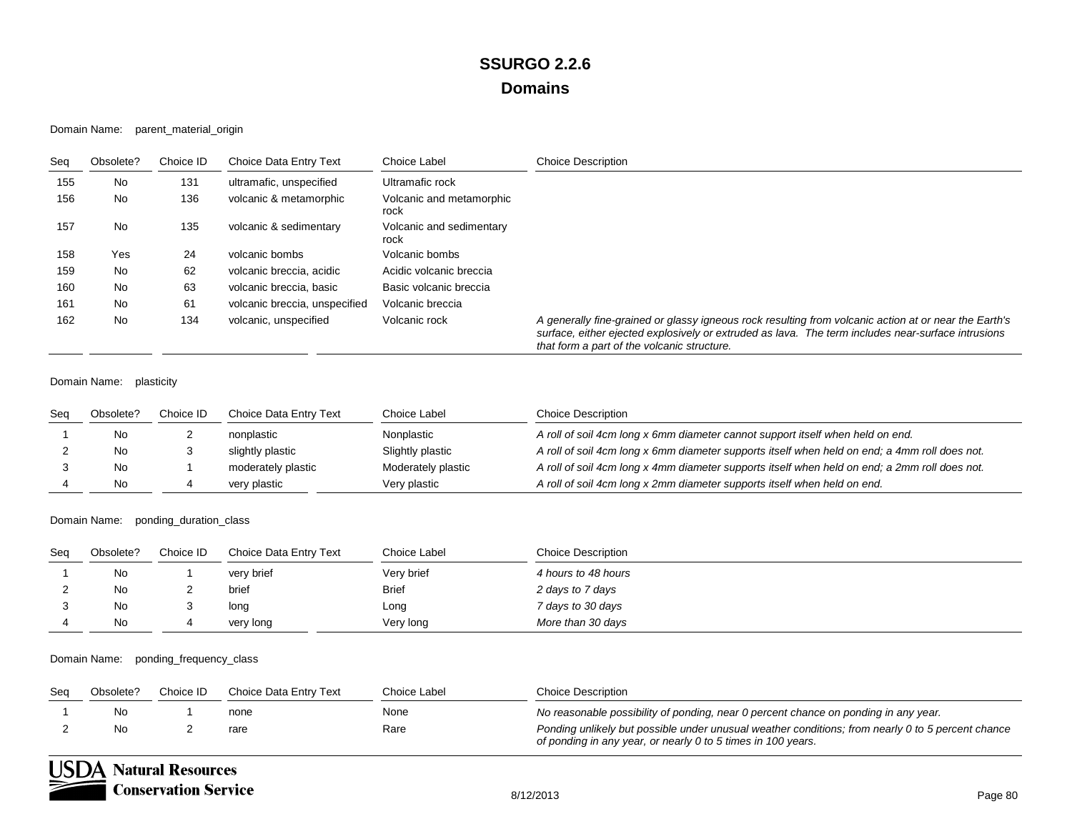Domain Name: parent\_material\_origin

| Seq | Obsolete? | Choice ID | Choice Data Entry Text        | Choice Label                     | <b>Choice Description</b>                                                                                                                                                                                                                                  |
|-----|-----------|-----------|-------------------------------|----------------------------------|------------------------------------------------------------------------------------------------------------------------------------------------------------------------------------------------------------------------------------------------------------|
| 155 | No        | 131       | ultramafic, unspecified       | Ultramafic rock                  |                                                                                                                                                                                                                                                            |
| 156 | No        | 136       | volcanic & metamorphic        | Volcanic and metamorphic<br>rock |                                                                                                                                                                                                                                                            |
| 157 | No        | 135       | volcanic & sedimentary        | Volcanic and sedimentary<br>rock |                                                                                                                                                                                                                                                            |
| 158 | Yes       | 24        | volcanic bombs                | Volcanic bombs                   |                                                                                                                                                                                                                                                            |
| 159 | No        | 62        | volcanic breccia, acidic      | Acidic volcanic breccia          |                                                                                                                                                                                                                                                            |
| 160 | No        | 63        | volcanic breccia, basic       | Basic volcanic breccia           |                                                                                                                                                                                                                                                            |
| 161 | No        | 61        | volcanic breccia, unspecified | Volcanic breccia                 |                                                                                                                                                                                                                                                            |
| 162 | No.       | 134       | volcanic, unspecified         | Volcanic rock                    | A generally fine-grained or glassy igneous rock resulting from volcanic action at or near the Earth's<br>surface, either ejected explosively or extruded as lava. The term includes near-surface intrusions<br>that form a part of the volcanic structure. |

#### Domain Name: plasticity

| Sea | Obsolete? | Choice ID | Choice Data Entry Text | Choice Label       | <b>Choice Description</b>                                                                     |
|-----|-----------|-----------|------------------------|--------------------|-----------------------------------------------------------------------------------------------|
|     | No        |           | nonplastic             | Nonplastic         | A roll of soil 4cm long x 6mm diameter cannot support itself when held on end.                |
|     | No        |           | slightly plastic       | Slightly plastic   | A roll of soil 4cm long x 6mm diameter supports itself when held on end; a 4mm roll does not. |
|     | No        |           | moderately plastic     | Moderately plastic | A roll of soil 4cm long x 4mm diameter supports itself when held on end; a 2mm roll does not. |
|     | No        |           | very plastic           | Very plastic       | A roll of soil 4cm long x 2mm diameter supports itself when held on end.                      |

Domain Name: ponding\_duration\_class

| Seg | Obsolete? | Choice ID | Choice Data Entry Text | Choice Label | <b>Choice Description</b> |
|-----|-----------|-----------|------------------------|--------------|---------------------------|
|     | No.       |           | very brief             | Very brief   | 4 hours to 48 hours       |
|     | No        |           | brief                  | <b>Brief</b> | 2 days to 7 days          |
|     | No        |           | long                   | Long         | 7 days to 30 days         |
|     | No        |           | very long              | Very long    | More than 30 days         |

Domain Name: ponding\_frequency\_class

| Sea | Obsolete? | Choice ID | Choice Data Entry Text | Choice Label | <b>Choice Description</b>                                                                                                                                         |
|-----|-----------|-----------|------------------------|--------------|-------------------------------------------------------------------------------------------------------------------------------------------------------------------|
|     | No.       |           | none                   | None         | No reasonable possibility of ponding, near 0 percent chance on ponding in any year.                                                                               |
|     | No.       |           | rare                   | Rare         | Ponding unlikely but possible under unusual weather conditions; from nearly 0 to 5 percent chance<br>of ponding in any year, or nearly 0 to 5 times in 100 years. |

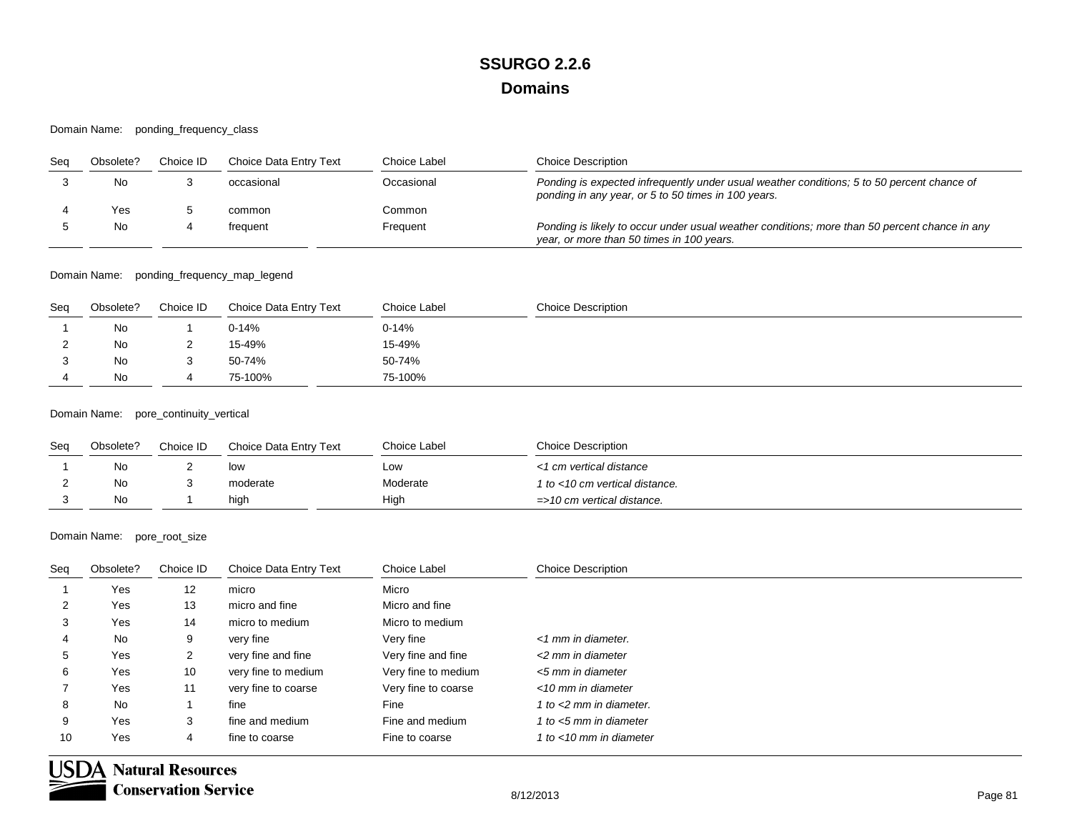Domain Name: ponding\_frequency\_class

| Sea | Obsolete? | Choice ID | Choice Data Entry Text | Choice Label | <b>Choice Description</b>                                                                                                                         |
|-----|-----------|-----------|------------------------|--------------|---------------------------------------------------------------------------------------------------------------------------------------------------|
|     | No        |           | occasional             | Occasional   | Ponding is expected infrequently under usual weather conditions; 5 to 50 percent chance of<br>ponding in any year, or 5 to 50 times in 100 years. |
|     | Yes       |           | common                 | Common       |                                                                                                                                                   |
|     | No        | 4         | freauent               | Frequent     | Ponding is likely to occur under usual weather conditions; more than 50 percent chance in any<br>year, or more than 50 times in 100 years.        |

Domain Name: ponding\_frequency\_map\_legend

| Seq | Obsolete? | Choice ID | Choice Data Entry Text | Choice Label | <b>Choice Description</b> |
|-----|-----------|-----------|------------------------|--------------|---------------------------|
|     | No        |           | 0-14%                  | 0-14%        |                           |
|     | No        |           | 15-49%                 | 15-49%       |                           |
|     | No        |           | 50-74%                 | 50-74%       |                           |
|     | No        |           | 75-100%                | 75-100%      |                           |

Domain Name: pore\_continuity\_vertical

| Seg | Obsolete? | Choice ID | Choice Data Entry Text | Choice Label | <b>Choice Description</b>      |
|-----|-----------|-----------|------------------------|--------------|--------------------------------|
|     | No        |           | low                    | Low          | <1 cm vertical distance        |
|     | No        |           | moderate               | Moderate     | 1 to <10 cm vertical distance. |
|     | No        |           | high                   | High         | =>10 cm vertical distance.     |

Domain Name: pore\_root\_size

| Seq | Obsolete? | Choice ID      | Choice Data Entry Text | Choice Label        | <b>Choice Description</b>  |
|-----|-----------|----------------|------------------------|---------------------|----------------------------|
|     | Yes       | 12             | micro                  | Micro               |                            |
|     | Yes       | 13             | micro and fine         | Micro and fine      |                            |
| 3   | Yes       | 14             | micro to medium        | Micro to medium     |                            |
| 4   | No        | 9              | very fine              | Very fine           | <1 mm in diameter.         |
| 5   | Yes       | $\overline{2}$ | very fine and fine     | Very fine and fine  | <2 mm in diameter          |
| 6   | Yes       | 10             | very fine to medium    | Very fine to medium | <5 mm in diameter          |
|     | Yes       | 11             | very fine to coarse    | Very fine to coarse | <10 mm in diameter         |
| 8   | No        |                | fine                   | Fine                | 1 to $<$ 2 mm in diameter. |
| 9   | Yes       | 3              | fine and medium        | Fine and medium     | 1 to <5 mm in diameter     |
| 10  | Yes       | 4              | fine to coarse         | Fine to coarse      | 1 to $<$ 10 mm in diameter |

₹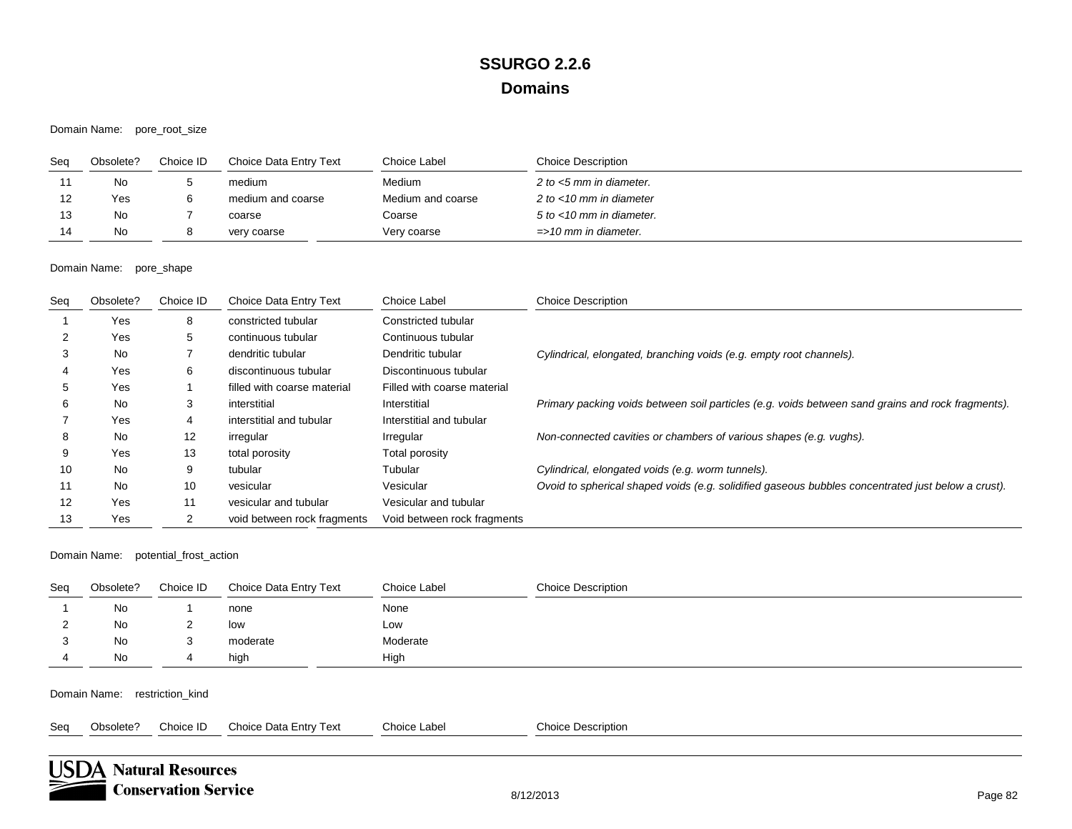Domain Name: pore\_root\_size

| Seg | Obsolete? | Choice ID | Choice Data Entry Text | Choice Label      | <b>Choice Description</b>        |
|-----|-----------|-----------|------------------------|-------------------|----------------------------------|
|     | N0        |           | medium                 | Medium            | 2 to <5 mm in diameter.          |
|     | Yes       |           | medium and coarse      | Medium and coarse | 2 to $<$ 10 mm in diameter       |
|     | No.       |           | coarse                 | Coarse            | 5 to <10 mm in diameter.         |
|     | No        |           | very coarse            | Very coarse       | $\Rightarrow$ 10 mm in diameter. |

Domain Name: pore\_shape

| Seq | Obsolete? | Choice ID | Choice Data Entry Text      | Choice Label                | <b>Choice Description</b>                                                                          |
|-----|-----------|-----------|-----------------------------|-----------------------------|----------------------------------------------------------------------------------------------------|
|     | Yes       | 8         | constricted tubular         | Constricted tubular         |                                                                                                    |
|     | Yes       | 5         | continuous tubular          | Continuous tubular          |                                                                                                    |
| 3   | <b>No</b> |           | dendritic tubular           | Dendritic tubular           | Cylindrical, elongated, branching voids (e.g. empty root channels).                                |
|     | Yes       | 6         | discontinuous tubular       | Discontinuous tubular       |                                                                                                    |
| 5   | Yes       |           | filled with coarse material | Filled with coarse material |                                                                                                    |
| 6   | <b>No</b> | 3         | interstitial                | Interstitial                | Primary packing voids between soil particles (e.g. voids between sand grains and rock fragments).  |
|     | Yes       | 4         | interstitial and tubular    | Interstitial and tubular    |                                                                                                    |
| 8   | <b>No</b> | 12        | irregular                   | Irregular                   | Non-connected cavities or chambers of various shapes (e.g. vughs).                                 |
| 9   | Yes       | 13        | total porosity              | Total porosity              |                                                                                                    |
| 10  | No        | 9         | tubular                     | Tubular                     | Cylindrical, elongated voids (e.g. worm tunnels).                                                  |
| 11  | No        | 10        | vesicular                   | Vesicular                   | Ovoid to spherical shaped voids (e.g. solidified gaseous bubbles concentrated just below a crust). |
| 12  | Yes       | 11        | vesicular and tubular       | Vesicular and tubular       |                                                                                                    |
| 13  | Yes       | 2         | void between rock fragments | Void between rock fragments |                                                                                                    |

Domain Name: potential\_frost\_action

| Seq | Obsolete? | Choice ID | Choice Data Entry Text | Choice Label | <b>Choice Description</b> |
|-----|-----------|-----------|------------------------|--------------|---------------------------|
|     | No.       |           | none                   | None         |                           |
| -   | No        |           | low                    | Low          |                           |
|     | No        |           | moderate               | Moderate     |                           |
|     | No.       | ↬         | high                   | High         |                           |

Domain Name: restriction\_kind

Seq Obsolete? Choice ID Choice Data Entry Text Choice Label Choice Description

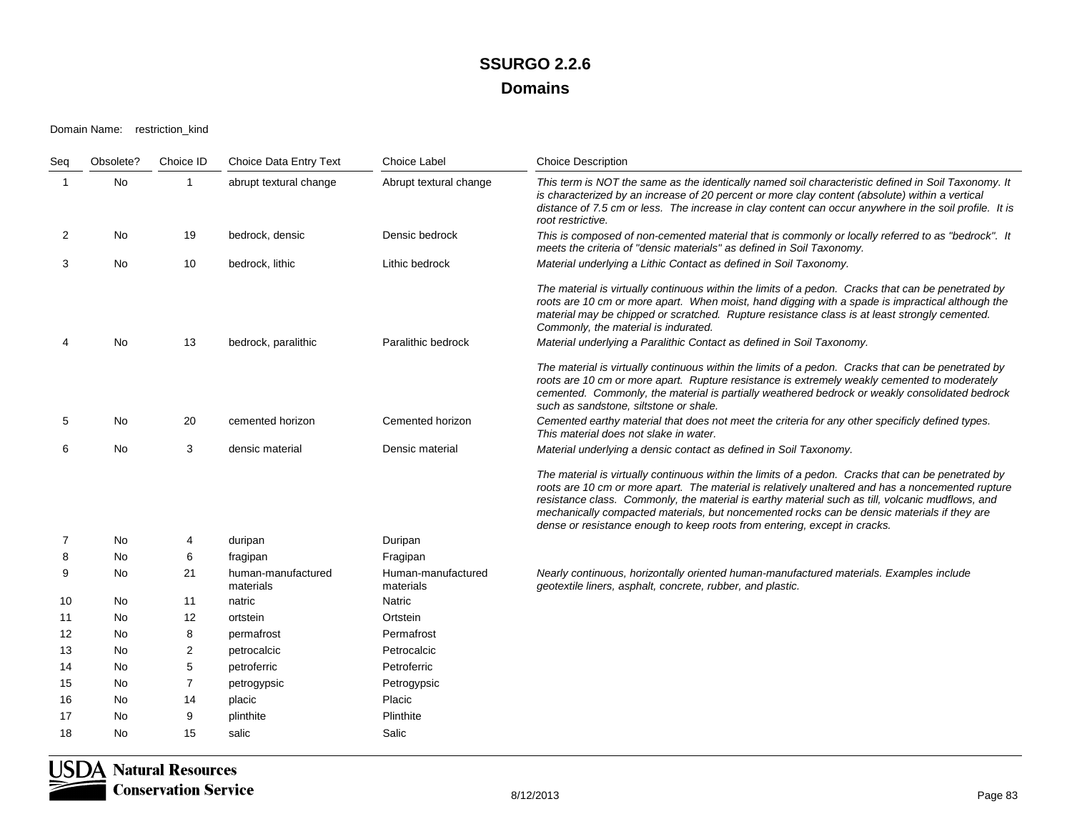Domain Name: restriction\_kind

| Seq            | Obsolete? | Choice ID      | Choice Data Entry Text          | Choice Label                    | <b>Choice Description</b>                                                                                                                                                                                                                                                                                                                                                                                                                                                                |
|----------------|-----------|----------------|---------------------------------|---------------------------------|------------------------------------------------------------------------------------------------------------------------------------------------------------------------------------------------------------------------------------------------------------------------------------------------------------------------------------------------------------------------------------------------------------------------------------------------------------------------------------------|
| 1              | No        |                | abrupt textural change          | Abrupt textural change          | This term is NOT the same as the identically named soil characteristic defined in Soil Taxonomy. It<br>is characterized by an increase of 20 percent or more clay content (absolute) within a vertical<br>distance of 7.5 cm or less. The increase in clay content can occur anywhere in the soil profile. It is<br>root restrictive.                                                                                                                                                    |
| 2              | No        | 19             | bedrock, densic                 | Densic bedrock                  | This is composed of non-cemented material that is commonly or locally referred to as "bedrock". It<br>meets the criteria of "densic materials" as defined in Soil Taxonomy.                                                                                                                                                                                                                                                                                                              |
| 3              | No.       | 10             | bedrock, lithic                 | Lithic bedrock                  | Material underlying a Lithic Contact as defined in Soil Taxonomy.                                                                                                                                                                                                                                                                                                                                                                                                                        |
|                |           |                |                                 |                                 | The material is virtually continuous within the limits of a pedon. Cracks that can be penetrated by<br>roots are 10 cm or more apart. When moist, hand digging with a spade is impractical although the<br>material may be chipped or scratched. Rupture resistance class is at least strongly cemented.<br>Commonly, the material is indurated.                                                                                                                                         |
|                | No        | 13             | bedrock, paralithic             | Paralithic bedrock              | Material underlying a Paralithic Contact as defined in Soil Taxonomy.                                                                                                                                                                                                                                                                                                                                                                                                                    |
|                |           |                |                                 |                                 | The material is virtually continuous within the limits of a pedon. Cracks that can be penetrated by<br>roots are 10 cm or more apart. Rupture resistance is extremely weakly cemented to moderately<br>cemented. Commonly, the material is partially weathered bedrock or weakly consolidated bedrock<br>such as sandstone, siltstone or shale.                                                                                                                                          |
| 5              | No.       | 20             | cemented horizon                | Cemented horizon                | Cemented earthy material that does not meet the criteria for any other specificly defined types.<br>This material does not slake in water.                                                                                                                                                                                                                                                                                                                                               |
| 6              | No        | 3              | densic material                 | Densic material                 | Material underlying a densic contact as defined in Soil Taxonomy.                                                                                                                                                                                                                                                                                                                                                                                                                        |
|                |           |                |                                 |                                 | The material is virtually continuous within the limits of a pedon. Cracks that can be penetrated by<br>roots are 10 cm or more apart. The material is relatively unaltered and has a noncemented rupture<br>resistance class. Commonly, the material is earthy material such as till, volcanic mudflows, and<br>mechanically compacted materials, but noncemented rocks can be densic materials if they are<br>dense or resistance enough to keep roots from entering, except in cracks. |
| $\overline{7}$ | No        | 4              | duripan                         | Duripan                         |                                                                                                                                                                                                                                                                                                                                                                                                                                                                                          |
| 8              | No        | 6              | fragipan                        | Fragipan                        |                                                                                                                                                                                                                                                                                                                                                                                                                                                                                          |
| 9              | No.       | 21             | human-manufactured<br>materials | Human-manufactured<br>materials | Nearly continuous, horizontally oriented human-manufactured materials. Examples include<br>geotextile liners, asphalt, concrete, rubber, and plastic.                                                                                                                                                                                                                                                                                                                                    |
| 10             | No        | 11             | natric                          | Natric                          |                                                                                                                                                                                                                                                                                                                                                                                                                                                                                          |
| 11             | No.       | 12             | ortstein                        | Ortstein                        |                                                                                                                                                                                                                                                                                                                                                                                                                                                                                          |
| 12             | No.       | 8              | permafrost                      | Permafrost                      |                                                                                                                                                                                                                                                                                                                                                                                                                                                                                          |
| 13             | No        | $\overline{c}$ | petrocalcic                     | Petrocalcic                     |                                                                                                                                                                                                                                                                                                                                                                                                                                                                                          |
| 14             | <b>No</b> | 5              | petroferric                     | Petroferric                     |                                                                                                                                                                                                                                                                                                                                                                                                                                                                                          |
| 15             | No        | $\overline{7}$ | petrogypsic                     | Petrogypsic                     |                                                                                                                                                                                                                                                                                                                                                                                                                                                                                          |
| 16             | No        | 14             | placic                          | Placic                          |                                                                                                                                                                                                                                                                                                                                                                                                                                                                                          |
| 17             | No        | 9              | plinthite                       | Plinthite                       |                                                                                                                                                                                                                                                                                                                                                                                                                                                                                          |
| 18             | No.       | 15             | salic                           | Salic                           |                                                                                                                                                                                                                                                                                                                                                                                                                                                                                          |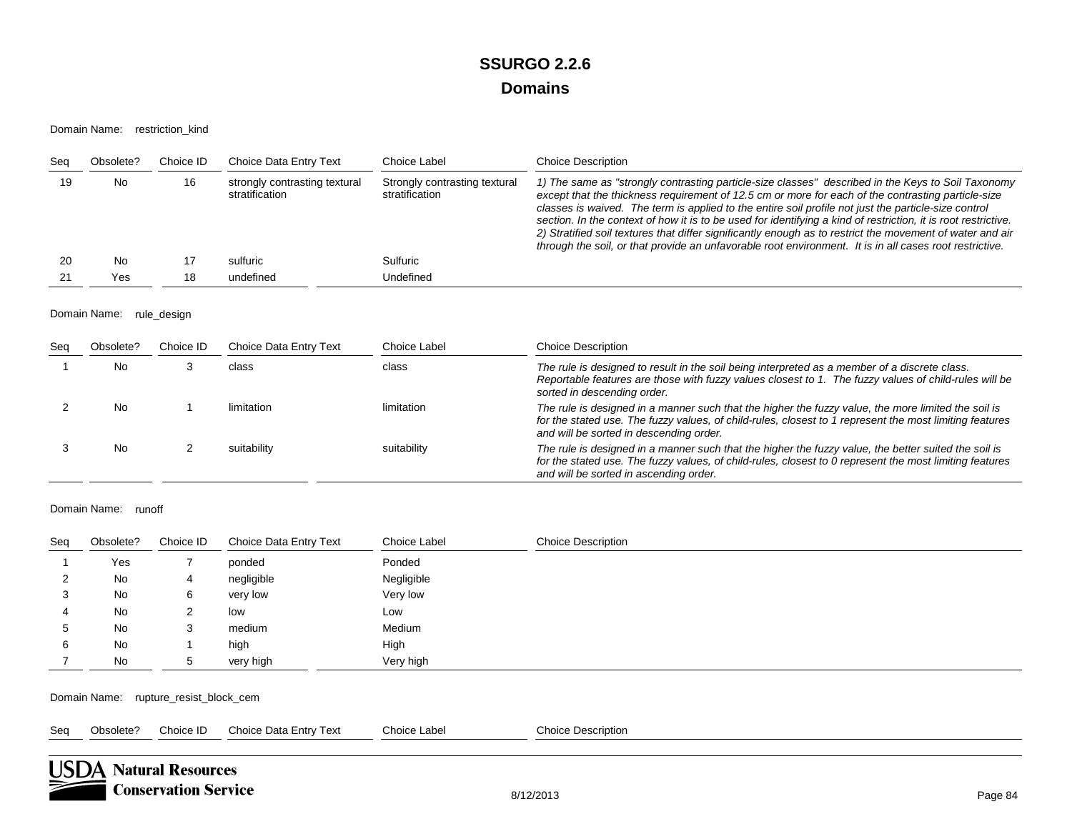Domain Name: restriction\_kind

| Sea | Obsolete? | Choice ID | Choice Data Entry Text                          | Choice Label                                    | <b>Choice Description</b>                                                                                                                                                                                                                                                                                                                                                                                                                                                                                                                                                                                                                                  |
|-----|-----------|-----------|-------------------------------------------------|-------------------------------------------------|------------------------------------------------------------------------------------------------------------------------------------------------------------------------------------------------------------------------------------------------------------------------------------------------------------------------------------------------------------------------------------------------------------------------------------------------------------------------------------------------------------------------------------------------------------------------------------------------------------------------------------------------------------|
| 19  | No        | 16        | strongly contrasting textural<br>stratification | Strongly contrasting textural<br>stratification | 1) The same as "strongly contrasting particle-size classes" described in the Keys to Soil Taxonomy<br>except that the thickness requirement of 12.5 cm or more for each of the contrasting particle-size<br>classes is waived. The term is applied to the entire soil profile not just the particle-size control<br>section. In the context of how it is to be used for identifying a kind of restriction, it is root restrictive.<br>2) Stratified soil textures that differ significantly enough as to restrict the movement of water and air<br>through the soil, or that provide an unfavorable root environment. It is in all cases root restrictive. |
| -20 | No        | 17        | sulfuric                                        | Sulfuric                                        |                                                                                                                                                                                                                                                                                                                                                                                                                                                                                                                                                                                                                                                            |
| 21  | Yes       | 18        | undefined                                       | Undefined                                       |                                                                                                                                                                                                                                                                                                                                                                                                                                                                                                                                                                                                                                                            |

Domain Name: rule\_design

| Sea | Obsolete? | Choice ID | Choice Data Entry Text | Choice Label | <b>Choice Description</b>                                                                                                                                                                                                                                 |
|-----|-----------|-----------|------------------------|--------------|-----------------------------------------------------------------------------------------------------------------------------------------------------------------------------------------------------------------------------------------------------------|
|     | No        |           | class                  | class        | The rule is designed to result in the soil being interpreted as a member of a discrete class.<br>Reportable features are those with fuzzy values closest to 1. The fuzzy values of child-rules will be<br>sorted in descending order.                     |
|     | No.       |           | limitation             | limitation   | The rule is designed in a manner such that the higher the fuzzy value, the more limited the soil is<br>for the stated use. The fuzzy values, of child-rules, closest to 1 represent the most limiting features<br>and will be sorted in descending order. |
|     | No.       |           | suitability            | suitability  | The rule is designed in a manner such that the higher the fuzzy value, the better suited the soil is<br>for the stated use. The fuzzy values, of child-rules, closest to 0 represent the most limiting features<br>and will be sorted in ascending order. |

Domain Name: runoff

| Seq | Obsolete? | Choice ID | Choice Data Entry Text | Choice Label | <b>Choice Description</b> |
|-----|-----------|-----------|------------------------|--------------|---------------------------|
|     | Yes       |           | ponded                 | Ponded       |                           |
| ∠   | No        | 4         | negligible             | Negligible   |                           |
| 3   | No        | 6         | very low               | Very low     |                           |
| 4   | No        | 2         | low                    | Low          |                           |
| C   | No        | 3         | medium                 | Medium       |                           |
| 6   | No        |           | high                   | High         |                           |
|     | No        | 5         | very high              | Very high    |                           |

Domain Name: rupture\_resist\_block\_cem

Seq Obsolete? Choice ID Choice Data Entry Text Choice Label Choice Description

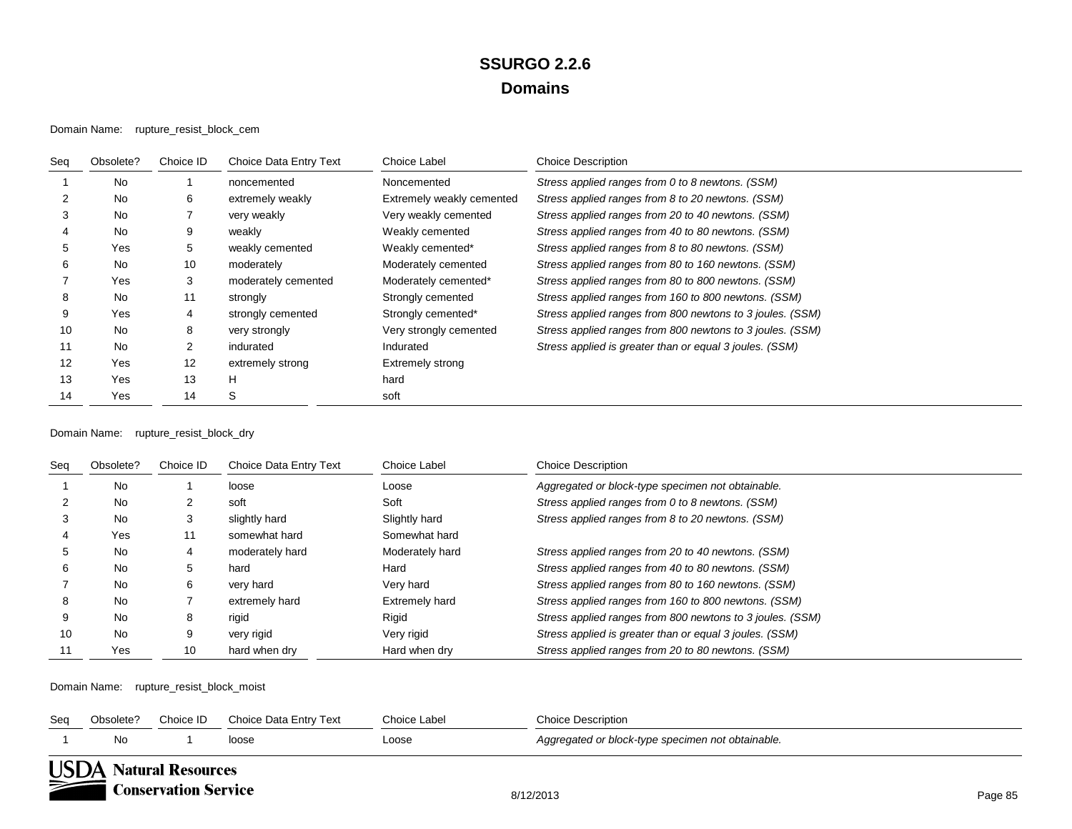#### Domain Name: rupture\_resist\_block\_cem

| Seq | Obsolete? | Choice ID      | Choice Data Entry Text | Choice Label              | <b>Choice Description</b>                                 |
|-----|-----------|----------------|------------------------|---------------------------|-----------------------------------------------------------|
|     | <b>No</b> |                | noncemented            | Noncemented               | Stress applied ranges from 0 to 8 newtons. (SSM)          |
|     | No        | 6              | extremely weakly       | Extremely weakly cemented | Stress applied ranges from 8 to 20 newtons. (SSM)         |
| З   | <b>No</b> |                | very weakly            | Very weakly cemented      | Stress applied ranges from 20 to 40 newtons. (SSM)        |
|     | No        | 9              | weakly                 | Weakly cemented           | Stress applied ranges from 40 to 80 newtons. (SSM)        |
| 5   | Yes       | 5              | weakly cemented        | Weakly cemented*          | Stress applied ranges from 8 to 80 newtons. (SSM)         |
| 6   | No        | 10             | moderately             | Moderately cemented       | Stress applied ranges from 80 to 160 newtons. (SSM)       |
|     | Yes       | 3              | moderately cemented    | Moderately cemented*      | Stress applied ranges from 80 to 800 newtons. (SSM)       |
| 8   | No        | 11             | strongly               | Strongly cemented         | Stress applied ranges from 160 to 800 newtons. (SSM)      |
| 9   | Yes       | 4              | strongly cemented      | Strongly cemented*        | Stress applied ranges from 800 newtons to 3 joules. (SSM) |
| 10  | No        | 8              | very strongly          | Very strongly cemented    | Stress applied ranges from 800 newtons to 3 joules. (SSM) |
| 11  | No        | $\overline{2}$ | indurated              | Indurated                 | Stress applied is greater than or equal 3 joules. (SSM)   |
| 12  | Yes       | 12             | extremely strong       | Extremely strong          |                                                           |
| 13  | Yes       | 13             | н                      | hard                      |                                                           |
| 14  | Yes       | 14             | S                      | soft                      |                                                           |

Domain Name: rupture\_resist\_block\_dry

| Seg | Obsolete? | Choice ID | Choice Data Entry Text | Choice Label    | <b>Choice Description</b>                                 |
|-----|-----------|-----------|------------------------|-----------------|-----------------------------------------------------------|
|     | <b>No</b> |           | loose                  | Loose           | Aggregated or block-type specimen not obtainable.         |
|     | <b>No</b> |           | soft                   | Soft            | Stress applied ranges from 0 to 8 newtons. (SSM)          |
|     | No        | 3         | slightly hard          | Slightly hard   | Stress applied ranges from 8 to 20 newtons. (SSM)         |
|     | Yes       | 11        | somewhat hard          | Somewhat hard   |                                                           |
| 5.  | No        | 4         | moderately hard        | Moderately hard | Stress applied ranges from 20 to 40 newtons. (SSM)        |
| 6   | No        | 5         | hard                   | Hard            | Stress applied ranges from 40 to 80 newtons. (SSM)        |
|     | No        | 6         | very hard              | Very hard       | Stress applied ranges from 80 to 160 newtons. (SSM)       |
| 8   | No        |           | extremely hard         | Extremely hard  | Stress applied ranges from 160 to 800 newtons. (SSM)      |
| 9   | No        | 8         | rigid                  | Rigid           | Stress applied ranges from 800 newtons to 3 joules. (SSM) |
| 10  | <b>No</b> | 9         | very rigid             | Very rigid      | Stress applied is greater than or equal 3 joules. (SSM)   |
| 11  | Yes       | 10        | hard when dry          | Hard when dry   | Stress applied ranges from 20 to 80 newtons. (SSM)        |

#### Domain Name: rupture\_resist\_block\_moist

| Seq | Obsolete?                                                                                                       | Choice ID | Choice Data Entry Text | Choice Label | Choice Description.                               |  |  |  |  |  |
|-----|-----------------------------------------------------------------------------------------------------------------|-----------|------------------------|--------------|---------------------------------------------------|--|--|--|--|--|
|     | No                                                                                                              |           | ้าose                  | Loose        | Aggregated or block-type specimen not obtainable. |  |  |  |  |  |
|     | the contract of the contract of the contract of the contract of the contract of the contract of the contract of |           |                        |              |                                                   |  |  |  |  |  |

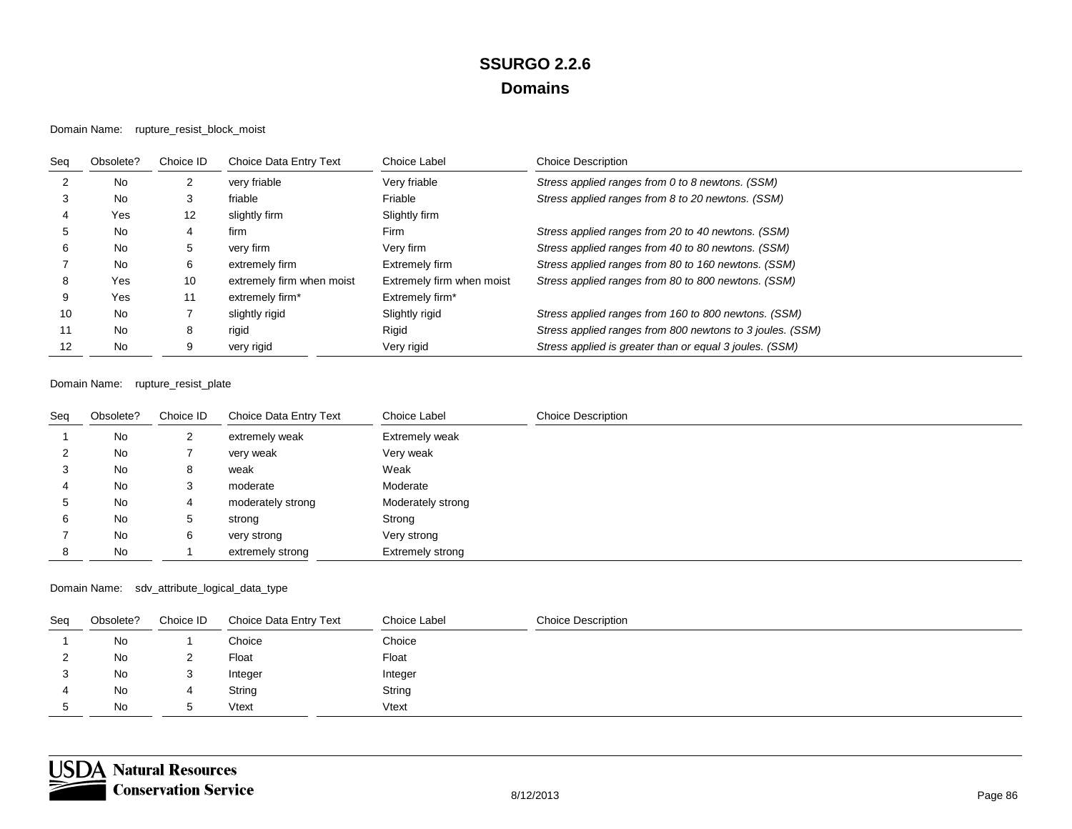#### Domain Name: rupture\_resist\_block\_moist

| Seq | Obsolete? | Choice ID   | Choice Data Entry Text    | Choice Label              | <b>Choice Description</b>                                 |
|-----|-----------|-------------|---------------------------|---------------------------|-----------------------------------------------------------|
|     | No        |             | very friable              | Very friable              | Stress applied ranges from 0 to 8 newtons. (SSM)          |
|     | No        | 3           | friable                   | Friable                   | Stress applied ranges from 8 to 20 newtons. (SSM)         |
|     | Yes       | 12          | slightly firm             | Slightly firm             |                                                           |
|     | No        |             | firm                      | Firm                      | Stress applied ranges from 20 to 40 newtons. (SSM)        |
|     | No        | $\mathbf b$ | very firm                 | Very firm                 | Stress applied ranges from 40 to 80 newtons. (SSM)        |
|     | No        | 6           | extremely firm            | Extremely firm            | Stress applied ranges from 80 to 160 newtons. (SSM)       |
|     | Yes       | 10          | extremely firm when moist | Extremely firm when moist | Stress applied ranges from 80 to 800 newtons. (SSM)       |
|     | Yes       | 11          | extremely firm*           | Extremely firm*           |                                                           |
| 10  | No        |             | slightly rigid            | Slightly rigid            | Stress applied ranges from 160 to 800 newtons. (SSM)      |
|     | No        | 8           | rigid                     | Rigid                     | Stress applied ranges from 800 newtons to 3 joules. (SSM) |
| 12  | No        |             | very rigid                | Very rigid                | Stress applied is greater than or equal 3 joules. (SSM)   |

#### Domain Name: rupture\_resist\_plate

| Seq | Obsolete? | Choice ID | Choice Data Entry Text | Choice Label          | <b>Choice Description</b> |
|-----|-----------|-----------|------------------------|-----------------------|---------------------------|
|     | No        | 2         | extremely weak         | <b>Extremely weak</b> |                           |
|     | No        |           | very weak              | Very weak             |                           |
|     | No        | 8         | weak                   | Weak                  |                           |
| 4   | No        | 3         | moderate               | Moderate              |                           |
| G.  | No        | 4         | moderately strong      | Moderately strong     |                           |
| 6   | No        | 5         | strong                 | Strong                |                           |
|     | No        | 6         | very strong            | Very strong           |                           |
|     | No        |           | extremely strong       | Extremely strong      |                           |

#### Domain Name: sdv\_attribute\_logical\_data\_type

| Seq | Obsolete? | Choice ID | Choice Data Entry Text | Choice Label | <b>Choice Description</b> |
|-----|-----------|-----------|------------------------|--------------|---------------------------|
|     | No        |           | Choice                 | Choice       |                           |
|     | No        |           | Float                  | Float        |                           |
| ◡   | No        | ັ         | Integer                | Integer      |                           |
| 4   | No        | 4         | String                 | String       |                           |
| ັ   | <b>No</b> | ∽<br>ັ    | Vtext                  | Vtext        |                           |

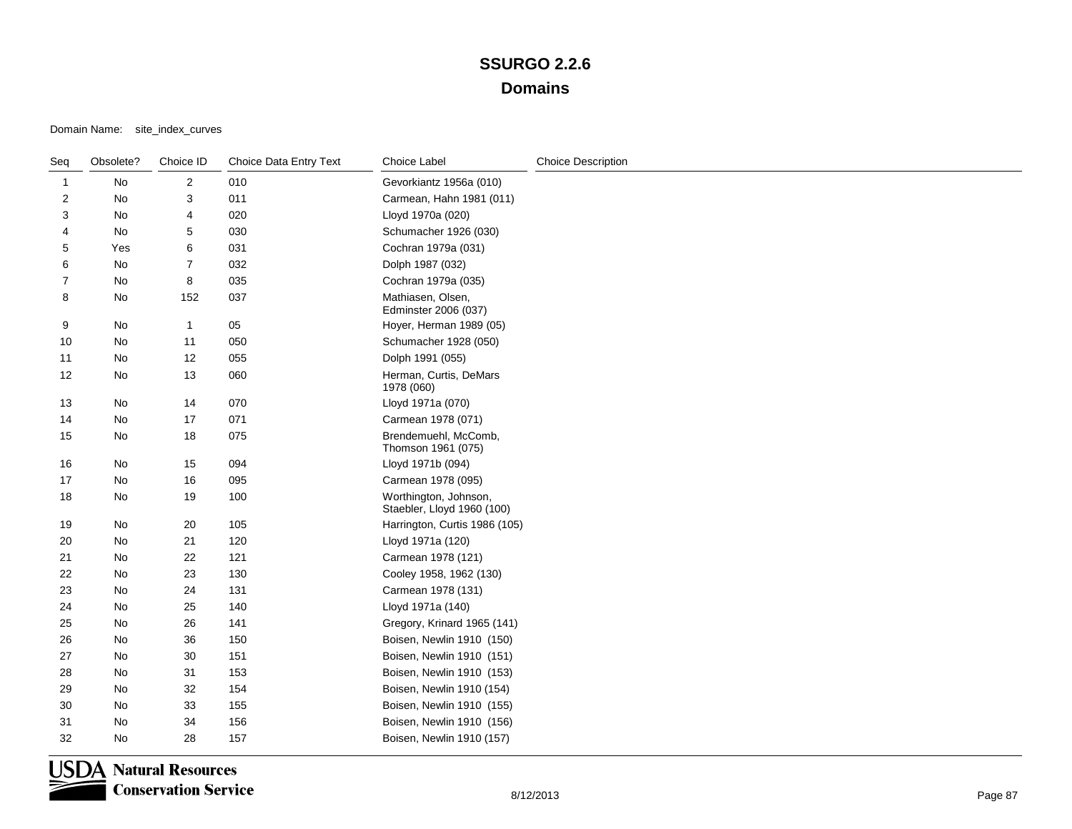| Seq            | Obsolete? | Choice ID      | Choice Data Entry Text | Choice Label                                        | <b>Choice Description</b> |
|----------------|-----------|----------------|------------------------|-----------------------------------------------------|---------------------------|
| $\mathbf{1}$   | No        | $\overline{2}$ | 010                    | Gevorkiantz 1956a (010)                             |                           |
| 2              | No        | 3              | 011                    | Carmean, Hahn 1981 (011)                            |                           |
| 3              | No        | 4              | 020                    | Lloyd 1970a (020)                                   |                           |
| 4              | No        | 5              | 030                    | Schumacher 1926 (030)                               |                           |
| 5              | Yes       | 6              | 031                    | Cochran 1979a (031)                                 |                           |
| 6              | No        | $\overline{7}$ | 032                    | Dolph 1987 (032)                                    |                           |
| $\overline{7}$ | No        | 8              | 035                    | Cochran 1979a (035)                                 |                           |
| 8              | No        | 152            | 037                    | Mathiasen, Olsen,<br>Edminster 2006 (037)           |                           |
| 9              | No        | $\overline{1}$ | 05                     | Hoyer, Herman 1989 (05)                             |                           |
| 10             | No        | 11             | 050                    | Schumacher 1928 (050)                               |                           |
| 11             | No        | 12             | 055                    | Dolph 1991 (055)                                    |                           |
| 12             | No        | 13             | 060                    | Herman, Curtis, DeMars<br>1978 (060)                |                           |
| 13             | No        | 14             | 070                    | Lloyd 1971a (070)                                   |                           |
| 14             | No        | 17             | 071                    | Carmean 1978 (071)                                  |                           |
| 15             | No        | 18             | 075                    | Brendemuehl, McComb,<br>Thomson 1961 (075)          |                           |
| 16             | No        | 15             | 094                    | Lloyd 1971b (094)                                   |                           |
| 17             | No        | $16\,$         | 095                    | Carmean 1978 (095)                                  |                           |
| 18             | No        | 19             | 100                    | Worthington, Johnson,<br>Staebler, Lloyd 1960 (100) |                           |
| 19             | No        | $20\,$         | 105                    | Harrington, Curtis 1986 (105)                       |                           |
| 20             | No        | 21             | 120                    | Lloyd 1971a (120)                                   |                           |
| 21             | No        | 22             | 121                    | Carmean 1978 (121)                                  |                           |
| 22             | No        | 23             | 130                    | Cooley 1958, 1962 (130)                             |                           |
| 23             | No        | 24             | 131                    | Carmean 1978 (131)                                  |                           |
| 24             | No        | 25             | 140                    | Lloyd 1971a (140)                                   |                           |
| 25             | No        | 26             | 141                    | Gregory, Krinard 1965 (141)                         |                           |
| 26             | No        | 36             | 150                    | Boisen, Newlin 1910 (150)                           |                           |
| 27             | No        | $30\,$         | 151                    | Boisen, Newlin 1910 (151)                           |                           |
| 28             | No        | 31             | 153                    | Boisen, Newlin 1910 (153)                           |                           |
| 29             | No        | 32             | 154                    | Boisen, Newlin 1910 (154)                           |                           |
| 30             | No        | 33             | 155                    | Boisen, Newlin 1910 (155)                           |                           |
| 31             | No        | 34             | 156                    | Boisen, Newlin 1910 (156)                           |                           |
| 32             | No        | 28             | 157                    | Boisen, Newlin 1910 (157)                           |                           |

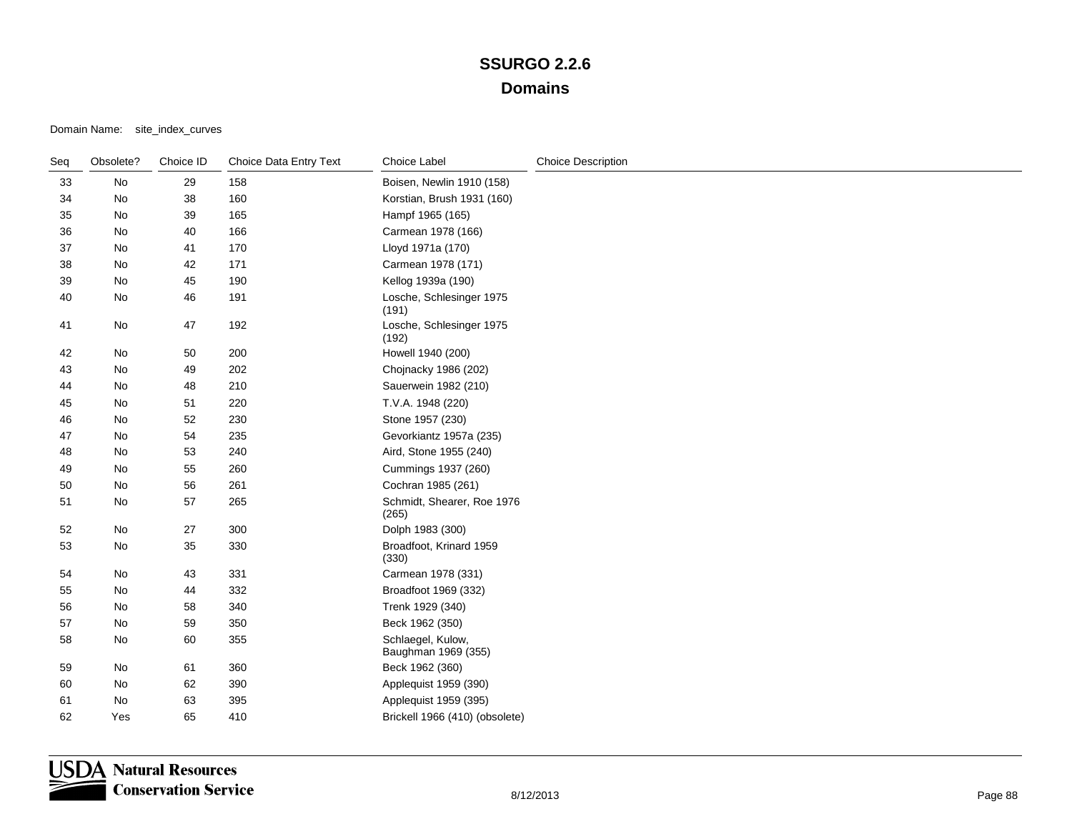| Seq | Obsolete? | Choice ID | Choice Data Entry Text | Choice Label                             | <b>Choice Description</b> |
|-----|-----------|-----------|------------------------|------------------------------------------|---------------------------|
| 33  | No        | 29        | 158                    | Boisen, Newlin 1910 (158)                |                           |
| 34  | No        | $38\,$    | 160                    | Korstian, Brush 1931 (160)               |                           |
| 35  | No        | 39        | 165                    | Hampf 1965 (165)                         |                           |
| 36  | No        | 40        | 166                    | Carmean 1978 (166)                       |                           |
| 37  | No        | 41        | 170                    | Lloyd 1971a (170)                        |                           |
| 38  | No        | 42        | 171                    | Carmean 1978 (171)                       |                           |
| 39  | No        | 45        | 190                    | Kellog 1939a (190)                       |                           |
| 40  | No        | 46        | 191                    | Losche, Schlesinger 1975<br>(191)        |                           |
| 41  | No        | 47        | 192                    | Losche, Schlesinger 1975<br>(192)        |                           |
| 42  | No        | 50        | 200                    | Howell 1940 (200)                        |                           |
| 43  | No        | 49        | 202                    | Chojnacky 1986 (202)                     |                           |
| 44  | No        | 48        | 210                    | Sauerwein 1982 (210)                     |                           |
| 45  | No        | 51        | 220                    | T.V.A. 1948 (220)                        |                           |
| 46  | No        | 52        | 230                    | Stone 1957 (230)                         |                           |
| 47  | No        | 54        | 235                    | Gevorkiantz 1957a (235)                  |                           |
| 48  | No        | 53        | 240                    | Aird, Stone 1955 (240)                   |                           |
| 49  | No        | 55        | 260                    | Cummings 1937 (260)                      |                           |
| 50  | No        | 56        | 261                    | Cochran 1985 (261)                       |                           |
| 51  | No        | 57        | 265                    | Schmidt, Shearer, Roe 1976<br>(265)      |                           |
| 52  | No        | 27        | 300                    | Dolph 1983 (300)                         |                           |
| 53  | No        | 35        | 330                    | Broadfoot, Krinard 1959<br>(330)         |                           |
| 54  | No        | 43        | 331                    | Carmean 1978 (331)                       |                           |
| 55  | No        | 44        | 332                    | Broadfoot 1969 (332)                     |                           |
| 56  | No        | 58        | 340                    | Trenk 1929 (340)                         |                           |
| 57  | No        | 59        | 350                    | Beck 1962 (350)                          |                           |
| 58  | No        | 60        | 355                    | Schlaegel, Kulow,<br>Baughman 1969 (355) |                           |
| 59  | No        | 61        | 360                    | Beck 1962 (360)                          |                           |
| 60  | No        | 62        | 390                    | Applequist 1959 (390)                    |                           |
| 61  | No        | 63        | 395                    | Applequist 1959 (395)                    |                           |
| 62  | Yes       | 65        | 410                    | Brickell 1966 (410) (obsolete)           |                           |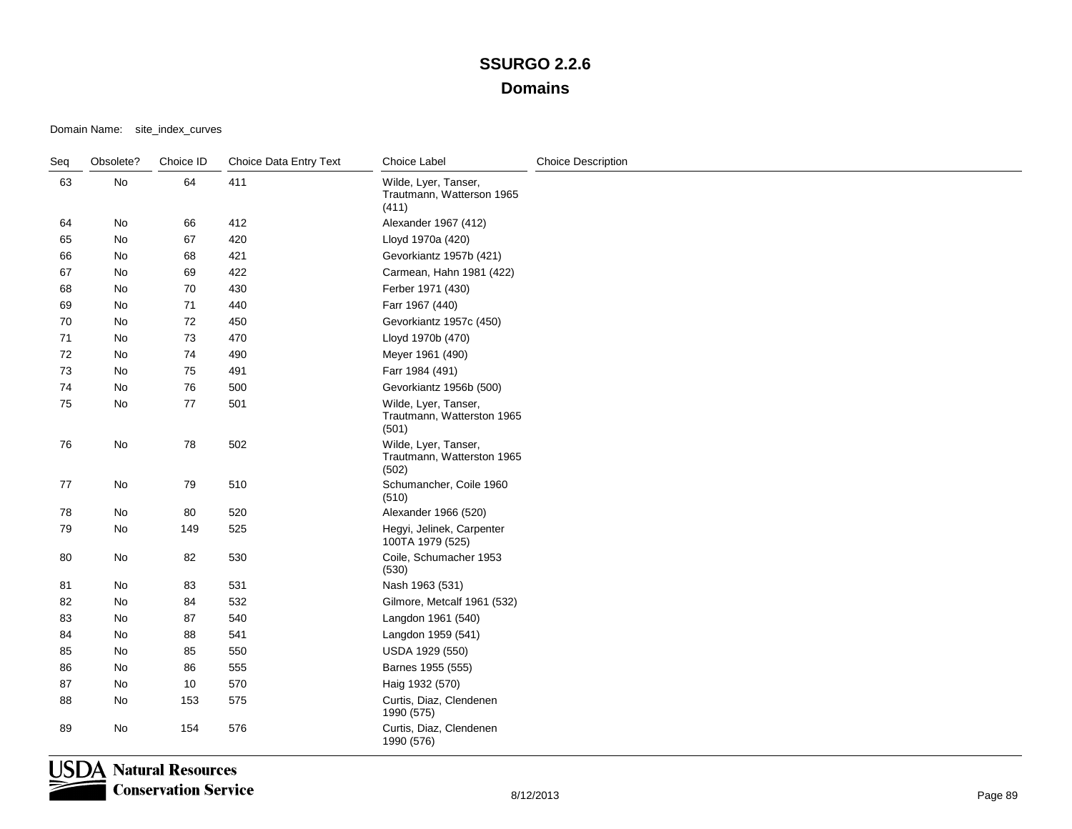| Seq | Obsolete?                    | Choice ID | Choice Data Entry Text | Choice Label                                                | <b>Choice Description</b> |
|-----|------------------------------|-----------|------------------------|-------------------------------------------------------------|---------------------------|
| 63  | No                           | 64        | 411                    | Wilde, Lyer, Tanser,<br>Trautmann, Watterson 1965<br>(411)  |                           |
| 64  | No                           | 66        | 412                    | Alexander 1967 (412)                                        |                           |
| 65  | No                           | 67        | 420                    | Lloyd 1970a (420)                                           |                           |
| 66  | <b>No</b>                    | 68        | 421                    | Gevorkiantz 1957b (421)                                     |                           |
| 67  | No                           | 69        | 422                    | Carmean, Hahn 1981 (422)                                    |                           |
| 68  | No                           | 70        | 430                    | Ferber 1971 (430)                                           |                           |
| 69  | No                           | 71        | 440                    | Farr 1967 (440)                                             |                           |
| 70  | No                           | 72        | 450                    | Gevorkiantz 1957c (450)                                     |                           |
| 71  | No                           | 73        | 470                    | Lloyd 1970b (470)                                           |                           |
| 72  | No                           | 74        | 490                    | Meyer 1961 (490)                                            |                           |
| 73  | No                           | 75        | 491                    | Farr 1984 (491)                                             |                           |
| 74  | No                           | 76        | 500                    | Gevorkiantz 1956b (500)                                     |                           |
| 75  | No                           | 77        | 501                    | Wilde, Lyer, Tanser,<br>Trautmann, Watterston 1965<br>(501) |                           |
| 76  | $\operatorname{\mathsf{No}}$ | 78        | 502                    | Wilde, Lyer, Tanser,<br>Trautmann, Watterston 1965<br>(502) |                           |
| 77  | No                           | 79        | 510                    | Schumancher, Coile 1960<br>(510)                            |                           |
| 78  | No                           | 80        | 520                    | Alexander 1966 (520)                                        |                           |
| 79  | No                           | 149       | 525                    | Hegyi, Jelinek, Carpenter<br>100TA 1979 (525)               |                           |
| 80  | No                           | 82        | 530                    | Coile, Schumacher 1953<br>(530)                             |                           |
| 81  | No                           | 83        | 531                    | Nash 1963 (531)                                             |                           |
| 82  | No                           | 84        | 532                    | Gilmore, Metcalf 1961 (532)                                 |                           |
| 83  | No                           | 87        | 540                    | Langdon 1961 (540)                                          |                           |
| 84  | No                           | 88        | 541                    | Langdon 1959 (541)                                          |                           |
| 85  | No                           | 85        | 550                    | USDA 1929 (550)                                             |                           |
| 86  | No                           | 86        | 555                    | Barnes 1955 (555)                                           |                           |
| 87  | No                           | 10        | 570                    | Haig 1932 (570)                                             |                           |
| 88  | No                           | 153       | 575                    | Curtis, Diaz, Clendenen<br>1990 (575)                       |                           |
| 89  | No                           | 154       | 576                    | Curtis, Diaz, Clendenen<br>1990 (576)                       |                           |

**USDA** Natural Resources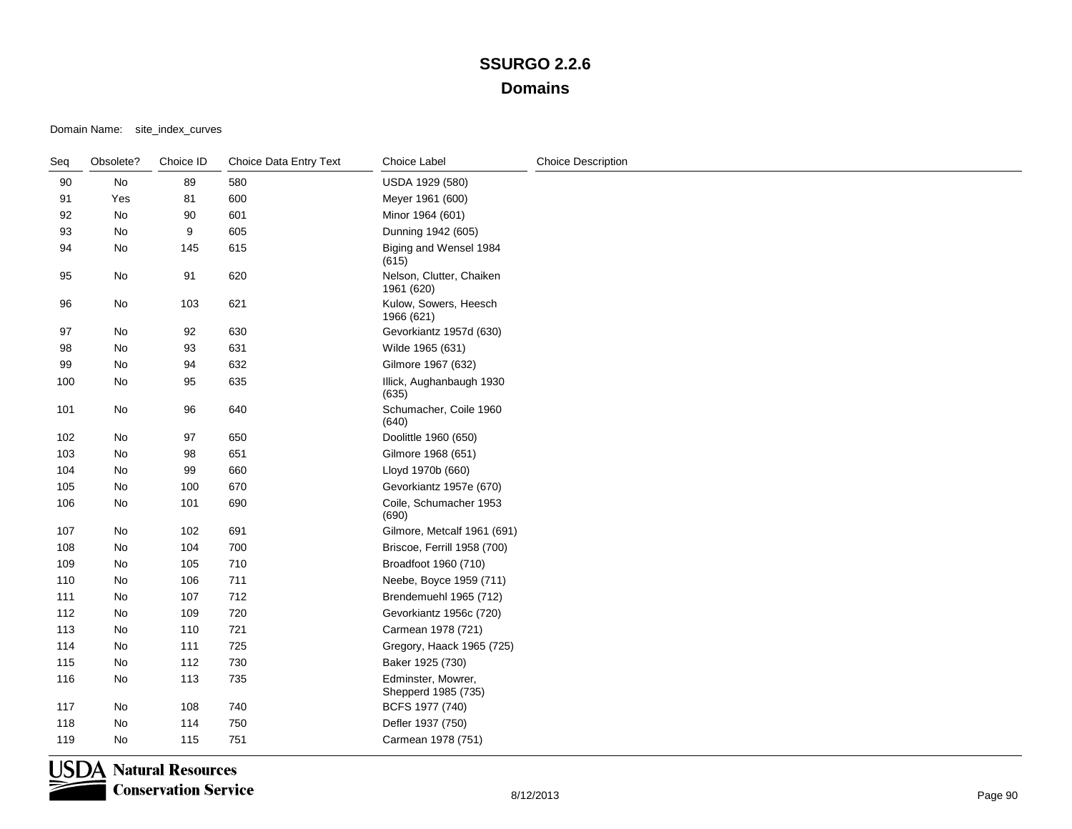| Seq | Obsolete? | Choice ID | Choice Data Entry Text | Choice Label                              | <b>Choice Description</b> |
|-----|-----------|-----------|------------------------|-------------------------------------------|---------------------------|
| 90  | No        | 89        | 580                    | USDA 1929 (580)                           |                           |
| 91  | Yes       | 81        | 600                    | Meyer 1961 (600)                          |                           |
| 92  | No        | $90\,$    | 601                    | Minor 1964 (601)                          |                           |
| 93  | No        | 9         | 605                    | Dunning 1942 (605)                        |                           |
| 94  | No        | 145       | 615                    | Biging and Wensel 1984<br>(615)           |                           |
| 95  | No        | 91        | 620                    | Nelson, Clutter, Chaiken<br>1961 (620)    |                           |
| 96  | No        | 103       | 621                    | Kulow, Sowers, Heesch<br>1966 (621)       |                           |
| 97  | No        | 92        | 630                    | Gevorkiantz 1957d (630)                   |                           |
| 98  | No        | 93        | 631                    | Wilde 1965 (631)                          |                           |
| 99  | No        | 94        | 632                    | Gilmore 1967 (632)                        |                           |
| 100 | No        | 95        | 635                    | Illick, Aughanbaugh 1930<br>(635)         |                           |
| 101 | No        | 96        | 640                    | Schumacher, Coile 1960<br>(640)           |                           |
| 102 | No        | $97\,$    | 650                    | Doolittle 1960 (650)                      |                           |
| 103 | No        | 98        | 651                    | Gilmore 1968 (651)                        |                           |
| 104 | No        | 99        | 660                    | Lloyd 1970b (660)                         |                           |
| 105 | No        | 100       | 670                    | Gevorkiantz 1957e (670)                   |                           |
| 106 | No        | 101       | 690                    | Coile, Schumacher 1953<br>(690)           |                           |
| 107 | No        | 102       | 691                    | Gilmore, Metcalf 1961 (691)               |                           |
| 108 | No        | 104       | 700                    | Briscoe, Ferrill 1958 (700)               |                           |
| 109 | No        | 105       | 710                    | Broadfoot 1960 (710)                      |                           |
| 110 | No        | 106       | 711                    | Neebe, Boyce 1959 (711)                   |                           |
| 111 | No        | 107       | 712                    | Brendemuehl 1965 (712)                    |                           |
| 112 | No        | 109       | 720                    | Gevorkiantz 1956c (720)                   |                           |
| 113 | No        | 110       | 721                    | Carmean 1978 (721)                        |                           |
| 114 | No        | 111       | 725                    | Gregory, Haack 1965 (725)                 |                           |
| 115 | No        | 112       | 730                    | Baker 1925 (730)                          |                           |
| 116 | No        | 113       | 735                    | Edminster, Mowrer,<br>Shepperd 1985 (735) |                           |
| 117 | No        | 108       | 740                    | BCFS 1977 (740)                           |                           |
| 118 | No        | 114       | 750                    | Defler 1937 (750)                         |                           |
| 119 | No        | 115       | 751                    | Carmean 1978 (751)                        |                           |

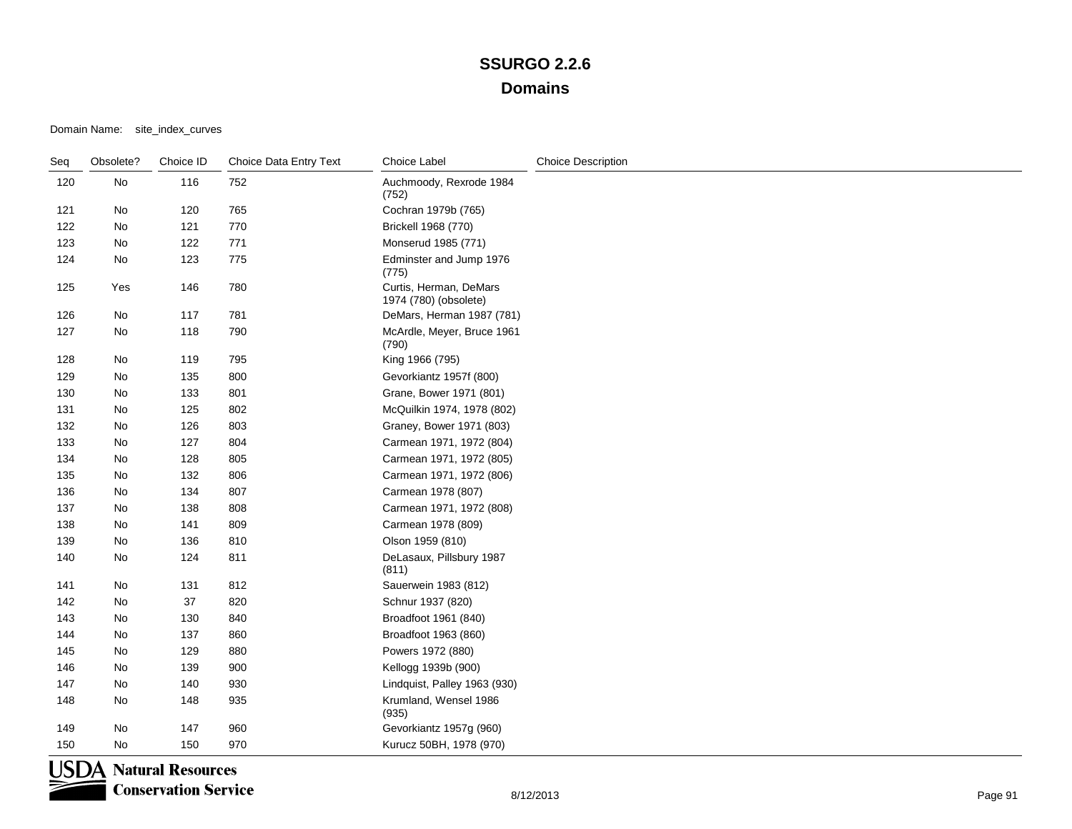Domain Name: site\_index\_curves

| Seq | Obsolete? | Choice ID | Choice Data Entry Text | <b>Choice Label</b>                             | <b>Choice Description</b> |
|-----|-----------|-----------|------------------------|-------------------------------------------------|---------------------------|
| 120 | No        | 116       | 752                    | Auchmoody, Rexrode 1984<br>(752)                |                           |
| 121 | No        | 120       | 765                    | Cochran 1979b (765)                             |                           |
| 122 | No        | 121       | 770                    | Brickell 1968 (770)                             |                           |
| 123 | No        | 122       | 771                    | Monserud 1985 (771)                             |                           |
| 124 | No        | 123       | 775                    | Edminster and Jump 1976<br>(775)                |                           |
| 125 | Yes       | 146       | 780                    | Curtis, Herman, DeMars<br>1974 (780) (obsolete) |                           |
| 126 | No        | 117       | 781                    | DeMars, Herman 1987 (781)                       |                           |
| 127 | No        | 118       | 790                    | McArdle, Meyer, Bruce 1961<br>(790)             |                           |
| 128 | No        | 119       | 795                    | King 1966 (795)                                 |                           |
| 129 | No        | 135       | 800                    | Gevorkiantz 1957f (800)                         |                           |
| 130 | No        | 133       | 801                    | Grane, Bower 1971 (801)                         |                           |
| 131 | No        | 125       | 802                    | McQuilkin 1974, 1978 (802)                      |                           |
| 132 | No        | 126       | 803                    | Graney, Bower 1971 (803)                        |                           |
| 133 | No        | 127       | 804                    | Carmean 1971, 1972 (804)                        |                           |
| 134 | No        | 128       | 805                    | Carmean 1971, 1972 (805)                        |                           |
| 135 | No        | 132       | 806                    | Carmean 1971, 1972 (806)                        |                           |
| 136 | No        | 134       | 807                    | Carmean 1978 (807)                              |                           |
| 137 | No        | 138       | 808                    | Carmean 1971, 1972 (808)                        |                           |
| 138 | No        | 141       | 809                    | Carmean 1978 (809)                              |                           |
| 139 | No        | 136       | 810                    | Olson 1959 (810)                                |                           |
| 140 | No        | 124       | 811                    | DeLasaux, Pillsbury 1987<br>(811)               |                           |
| 141 | No        | 131       | 812                    | Sauerwein 1983 (812)                            |                           |
| 142 | No        | 37        | 820                    | Schnur 1937 (820)                               |                           |
| 143 | No        | 130       | 840                    | Broadfoot 1961 (840)                            |                           |
| 144 | No        | 137       | 860                    | Broadfoot 1963 (860)                            |                           |
| 145 | No        | 129       | 880                    | Powers 1972 (880)                               |                           |
| 146 | No        | 139       | 900                    | Kellogg 1939b (900)                             |                           |
| 147 | No        | 140       | 930                    | Lindquist, Palley 1963 (930)                    |                           |
| 148 | No        | 148       | 935                    | Krumland, Wensel 1986<br>(935)                  |                           |
| 149 | No        | 147       | 960                    | Gevorkiantz 1957g (960)                         |                           |
| 150 | No        | 150       | 970                    | Kurucz 50BH, 1978 (970)                         |                           |

**USDA** Natural Resources **Conservation Service** 

₹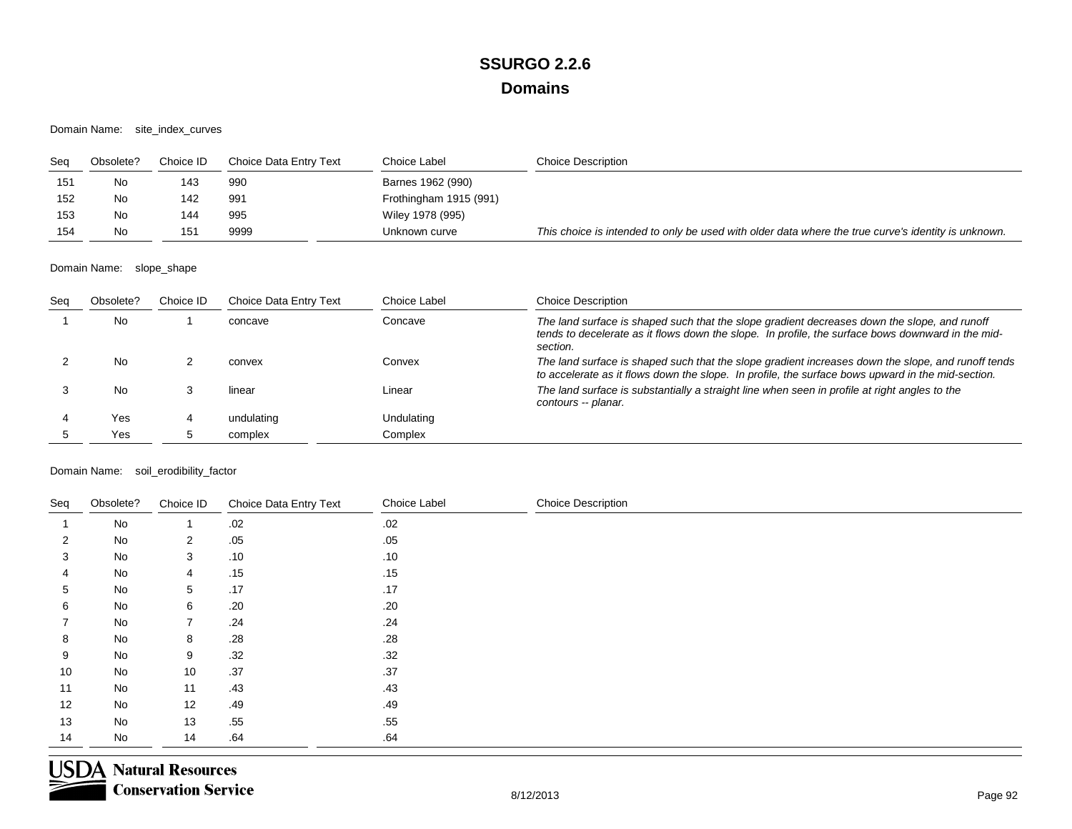Domain Name: site\_index\_curves

| Sea | Obsolete? | Choice ID | Choice Data Entry Text | Choice Label           | <b>Choice Description</b>                                                                           |
|-----|-----------|-----------|------------------------|------------------------|-----------------------------------------------------------------------------------------------------|
| 151 | No        | 143       | 990                    | Barnes 1962 (990)      |                                                                                                     |
| 152 | No        | 142       | 991                    | Frothingham 1915 (991) |                                                                                                     |
| 153 | No        | 144       | 995                    | Wiley 1978 (995)       |                                                                                                     |
| 154 | No        | 151       | 9999                   | Unknown curve          | This choice is intended to only be used with older data where the true curve's identity is unknown. |

Domain Name: slope\_shape

| Sea | Obsolete? | Choice ID | Choice Data Entry Text | Choice Label | <b>Choice Description</b>                                                                                                                                                                                     |
|-----|-----------|-----------|------------------------|--------------|---------------------------------------------------------------------------------------------------------------------------------------------------------------------------------------------------------------|
|     | No        |           | concave                | Concave      | The land surface is shaped such that the slope gradient decreases down the slope, and runoff<br>tends to decelerate as it flows down the slope. In profile, the surface bows downward in the mid-<br>section. |
|     | No        |           | convex                 | Convex       | The land surface is shaped such that the slope gradient increases down the slope, and runoff tends<br>to accelerate as it flows down the slope. In profile, the surface bows upward in the mid-section.       |
|     | No        |           | linear                 | Linear       | The land surface is substantially a straight line when seen in profile at right angles to the<br>contours -- planar.                                                                                          |
|     | Yes       |           | undulating             | Undulating   |                                                                                                                                                                                                               |
|     | Yes       |           | complex                | Complex      |                                                                                                                                                                                                               |

Domain Name: soil\_erodibility\_factor

| Seq | Obsolete? | Choice ID      | Choice Data Entry Text | Choice Label | <b>Choice Description</b> |
|-----|-----------|----------------|------------------------|--------------|---------------------------|
|     | No        | $\mathbf{1}$   | .02                    | .02          |                           |
| 2   | No        | $\overline{2}$ | .05                    | .05          |                           |
| 3   | No        | 3 <sup>1</sup> | .10                    | .10          |                           |
| 4   | No        | $\overline{4}$ | .15                    | .15          |                           |
| 5   | No        | 5 <sup>5</sup> | .17                    | .17          |                           |
| 6   | No        | 6              | .20                    | .20          |                           |
|     | No        | $7^{\circ}$    | .24                    | .24          |                           |
| 8   | No        | 8              | .28                    | .28          |                           |
| 9   | No        | 9              | .32                    | .32          |                           |
| 10  | No        | 10             | .37                    | .37          |                           |
| 11  | No        | 11             | .43                    | .43          |                           |
| 12  | No        | 12             | .49                    | .49          |                           |
| 13  | No        | 13             | .55                    | .55          |                           |
| 14  | No        | 14             | .64                    | .64          |                           |

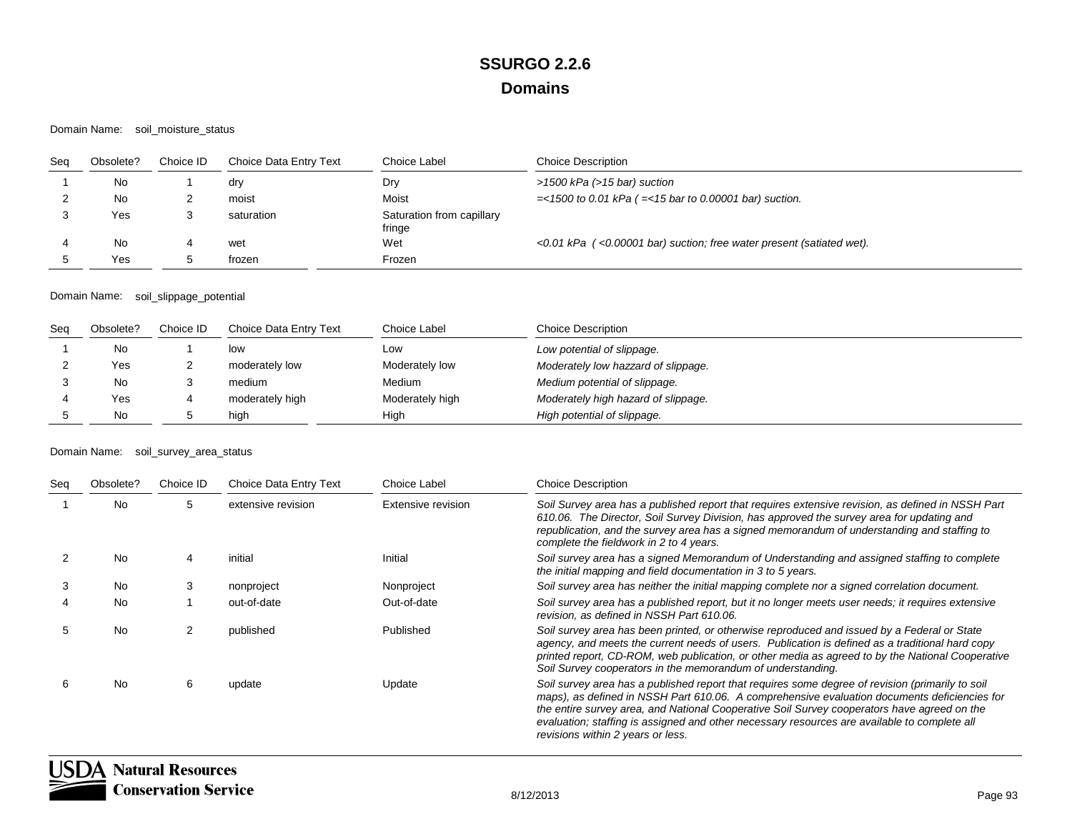Domain Name: soil\_moisture\_status

| Seg | Obsolete? | Choice ID | Choice Data Entry Text | Choice Label                        | <b>Choice Description</b>                                                         |
|-----|-----------|-----------|------------------------|-------------------------------------|-----------------------------------------------------------------------------------|
|     | No        |           | dry                    | Dry                                 | $>$ 1500 kPa ( $>$ 15 bar) suction                                                |
|     | No        |           | moist                  | Moist                               | $=$ <1500 to 0.01 kPa ( $=$ <15 bar to 0.00001 bar) suction.                      |
|     | Yes       |           | saturation             | Saturation from capillary<br>fringe |                                                                                   |
|     | No        |           | wet                    | Wet                                 | $\leq$ 0.01 kPa ( $\leq$ 0.00001 bar) suction; free water present (satiated wet). |
|     | Yes       |           | frozen                 | Frozen                              |                                                                                   |

#### Domain Name: soil\_slippage\_potential

| Seq | Obsolete? | Choice ID | Choice Data Entry Text | Choice Label    | <b>Choice Description</b>           |
|-----|-----------|-----------|------------------------|-----------------|-------------------------------------|
|     | No        |           | low                    | Low             | Low potential of slippage.          |
|     | Yes       |           | moderately low         | Moderately low  | Moderately low hazzard of slippage. |
|     | No        |           | medium                 | Medium          | Medium potential of slippage.       |
|     | Yes       |           | moderately high        | Moderately high | Moderately high hazard of slippage. |
|     | No        |           | high                   | High            | High potential of slippage.         |

Domain Name: soil\_survey\_area\_status

| Seg | Obsolete? | Choice ID | Choice Data Entry Text | <b>Choice Label</b> | <b>Choice Description</b>                                                                                                                                                                                                                                                                                                                                                                                                            |
|-----|-----------|-----------|------------------------|---------------------|--------------------------------------------------------------------------------------------------------------------------------------------------------------------------------------------------------------------------------------------------------------------------------------------------------------------------------------------------------------------------------------------------------------------------------------|
|     | No        | 5         | extensive revision     | Extensive revision  | Soil Survey area has a published report that requires extensive revision, as defined in NSSH Part<br>610.06. The Director, Soil Survey Division, has approved the survey area for updating and<br>republication, and the survey area has a signed memorandum of understanding and staffing to<br>complete the fieldwork in 2 to 4 years.                                                                                             |
|     | <b>No</b> |           | initial                | Initial             | Soil survey area has a signed Memorandum of Understanding and assigned staffing to complete<br>the initial mapping and field documentation in 3 to 5 years.                                                                                                                                                                                                                                                                          |
|     | <b>No</b> |           | nonproject             | Nonproject          | Soil survey area has neither the initial mapping complete nor a signed correlation document.                                                                                                                                                                                                                                                                                                                                         |
|     | No        |           | out-of-date            | Out-of-date         | Soil survey area has a published report, but it no longer meets user needs; it requires extensive<br>revision, as defined in NSSH Part 610.06.                                                                                                                                                                                                                                                                                       |
|     | No        | 2         | published              | Published           | Soil survey area has been printed, or otherwise reproduced and issued by a Federal or State<br>agency, and meets the current needs of users. Publication is defined as a traditional hard copy<br>printed report, CD-ROM, web publication, or other media as agreed to by the National Cooperative<br>Soil Survey cooperators in the memorandum of understanding.                                                                    |
|     | No        | 6         | update                 | Update              | Soil survey area has a published report that requires some degree of revision (primarily to soil<br>maps), as defined in NSSH Part 610.06. A comprehensive evaluation documents deficiencies for<br>the entire survey area, and National Cooperative Soil Survey cooperators have agreed on the<br>evaluation; staffing is assigned and other necessary resources are available to complete all<br>revisions within 2 years or less. |

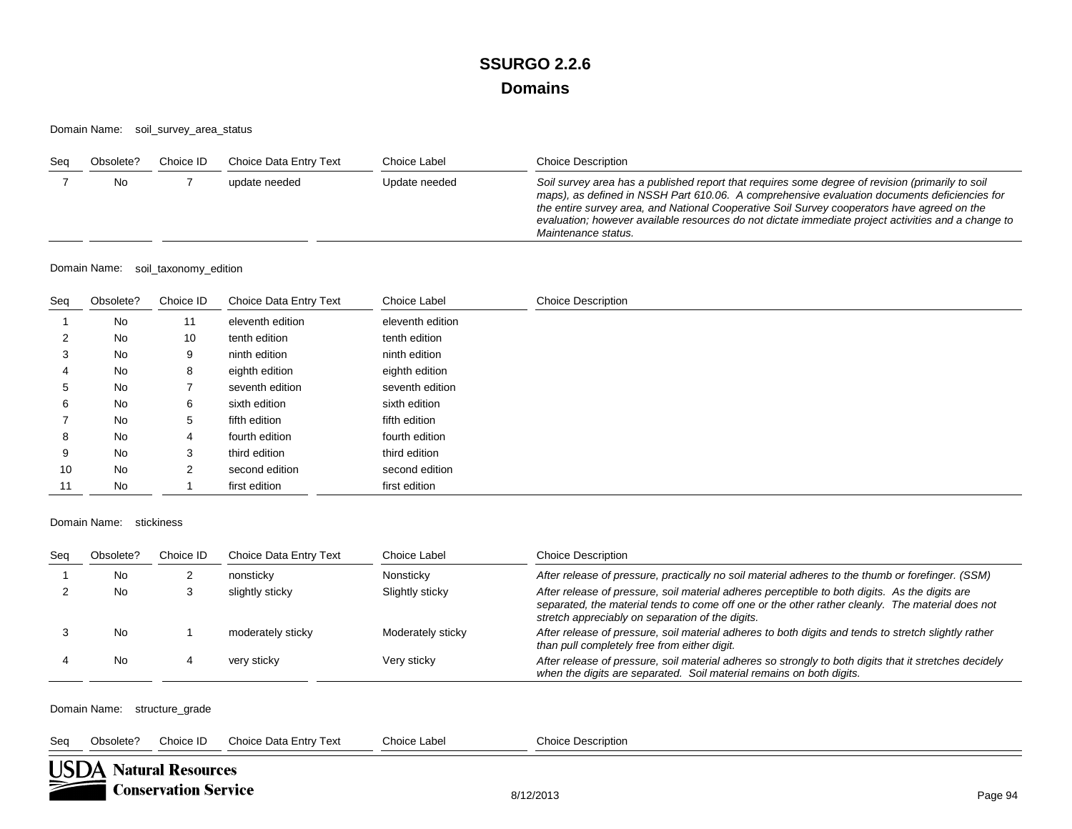Domain Name: soil\_survey\_area\_status

| Sea | Obsolete? | Choice ID | Choice Data Entry Text | Choice Label  | <b>Choice Description</b>                                                                                                                                                                                                                                                                                                                                                                                                     |
|-----|-----------|-----------|------------------------|---------------|-------------------------------------------------------------------------------------------------------------------------------------------------------------------------------------------------------------------------------------------------------------------------------------------------------------------------------------------------------------------------------------------------------------------------------|
|     | No        |           | update needed          | Update needed | Soil survey area has a published report that requires some degree of revision (primarily to soil<br>maps), as defined in NSSH Part 610.06. A comprehensive evaluation documents deficiencies for<br>the entire survey area, and National Cooperative Soil Survey cooperators have agreed on the<br>evaluation; however available resources do not dictate immediate project activities and a change to<br>Maintenance status. |

Domain Name: soil\_taxonomy\_edition

| Seq | Obsolete? | Choice ID      | Choice Data Entry Text | Choice Label     | <b>Choice Description</b> |
|-----|-----------|----------------|------------------------|------------------|---------------------------|
|     | No        | 11             | eleventh edition       | eleventh edition |                           |
| 2   | No        | 10             | tenth edition          | tenth edition    |                           |
| 3   | No        | 9              | ninth edition          | ninth edition    |                           |
| 4   | No        | 8              | eighth edition         | eighth edition   |                           |
| 5   | No        |                | seventh edition        | seventh edition  |                           |
| 6   | No        | 6              | sixth edition          | sixth edition    |                           |
|     | No        | 5              | fifth edition          | fifth edition    |                           |
| 8   | No        | 4              | fourth edition         | fourth edition   |                           |
| 9   | No        | 3              | third edition          | third edition    |                           |
| 10  | No        | $\overline{2}$ | second edition         | second edition   |                           |
| 11  | No        |                | first edition          | first edition    |                           |

#### Domain Name: stickiness

| Sea | Obsolete? | Choice ID | Choice Data Entry Text | Choice Label      | <b>Choice Description</b>                                                                                                                                                                                                                              |
|-----|-----------|-----------|------------------------|-------------------|--------------------------------------------------------------------------------------------------------------------------------------------------------------------------------------------------------------------------------------------------------|
|     | No        |           | nonsticky              | Nonsticky         | After release of pressure, practically no soil material adheres to the thumb or forefinger. (SSM)                                                                                                                                                      |
|     | No        |           | slightly sticky        | Slightly sticky   | After release of pressure, soil material adheres perceptible to both digits. As the digits are<br>separated, the material tends to come off one or the other rather cleanly. The material does not<br>stretch appreciably on separation of the digits. |
|     | No        |           | moderately sticky      | Moderately sticky | After release of pressure, soil material adheres to both digits and tends to stretch slightly rather<br>than pull completely free from either digit.                                                                                                   |
|     | No        |           | very sticky            | Very sticky       | After release of pressure, soil material adheres so strongly to both digits that it stretches decidely<br>when the digits are separated. Soil material remains on both digits.                                                                         |

Domain Name: structure\_grade

| Seq | Obsolete? | Choice ID | <b>Choice Data</b> |
|-----|-----------|-----------|--------------------|
|     |           |           |                    |

ta Entry Text Choice Label **Choice Choice Description** 

**USDA Natural Resources Conservation Service**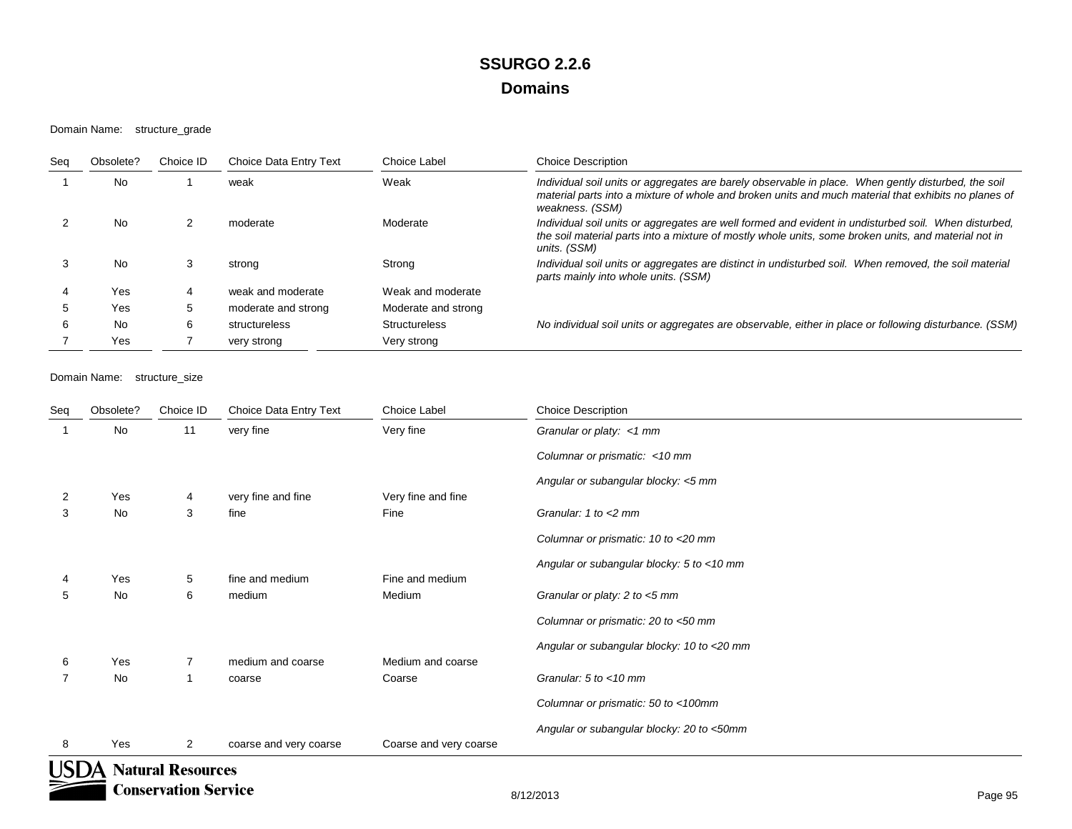#### Domain Name: structure\_grade

| Sea | Obsolete? | Choice ID | Choice Data Entry Text | Choice Label         | <b>Choice Description</b>                                                                                                                                                                                                      |
|-----|-----------|-----------|------------------------|----------------------|--------------------------------------------------------------------------------------------------------------------------------------------------------------------------------------------------------------------------------|
|     | No        |           | weak                   | Weak                 | Individual soil units or aggregates are barely observable in place. When gently disturbed, the soil<br>material parts into a mixture of whole and broken units and much material that exhibits no planes of<br>weakness. (SSM) |
|     | No        |           | moderate               | Moderate             | Individual soil units or aggregates are well formed and evident in undisturbed soil. When disturbed,<br>the soil material parts into a mixture of mostly whole units, some broken units, and material not in<br>units. (SSM)   |
|     | No        | 3         | strong                 | Strong               | Individual soil units or aggregates are distinct in undisturbed soil. When removed, the soil material<br>parts mainly into whole units. (SSM)                                                                                  |
|     | Yes       |           | weak and moderate      | Weak and moderate    |                                                                                                                                                                                                                                |
|     | Yes       | 5         | moderate and strong    | Moderate and strong  |                                                                                                                                                                                                                                |
|     | No        | 6         | structureless          | <b>Structureless</b> | No individual soil units or aggregates are observable, either in place or following disturbance. (SSM)                                                                                                                         |
|     | Yes       |           | very strong            | Very strong          |                                                                                                                                                                                                                                |

#### Domain Name: structure\_size

| Seq | Obsolete? | Choice ID                | Choice Data Entry Text | <b>Choice Label</b>    | <b>Choice Description</b>                  |
|-----|-----------|--------------------------|------------------------|------------------------|--------------------------------------------|
|     | No        | 11                       | very fine              | Very fine              | Granular or platy: <1 mm                   |
|     |           |                          |                        |                        | Columnar or prismatic: <10 mm              |
|     |           |                          |                        |                        | Angular or subangular blocky: <5 mm        |
| 2   | Yes       | 4                        | very fine and fine     | Very fine and fine     |                                            |
| 3   | No        | 3                        | fine                   | Fine                   | Granular: 1 to <2 mm                       |
|     |           |                          |                        |                        | Columnar or prismatic: 10 to <20 mm        |
|     |           |                          |                        |                        | Angular or subangular blocky: 5 to <10 mm  |
|     | Yes       | 5                        | fine and medium        | Fine and medium        |                                            |
| 5   | No        | 6                        | medium                 | Medium                 | Granular or platy: 2 to <5 mm              |
|     |           |                          |                        |                        | Columnar or prismatic: 20 to <50 mm        |
|     |           |                          |                        |                        | Angular or subangular blocky: 10 to <20 mm |
| 6   | Yes       | $\overline{7}$           | medium and coarse      | Medium and coarse      |                                            |
|     | No        | $\overline{1}$           | coarse                 | Coarse                 | Granular: $5$ to $<$ 10 mm                 |
|     |           |                          |                        |                        | Columnar or prismatic: 50 to <100mm        |
|     |           |                          |                        |                        | Angular or subangular blocky: 20 to <50mm  |
| 8   | Yes       | 2                        | coarse and very coarse | Coarse and very coarse |                                            |
|     |           | $ICDA$ Natural Decembers |                        |                        |                                            |

**USDA** Natural Resources **Conservation Service**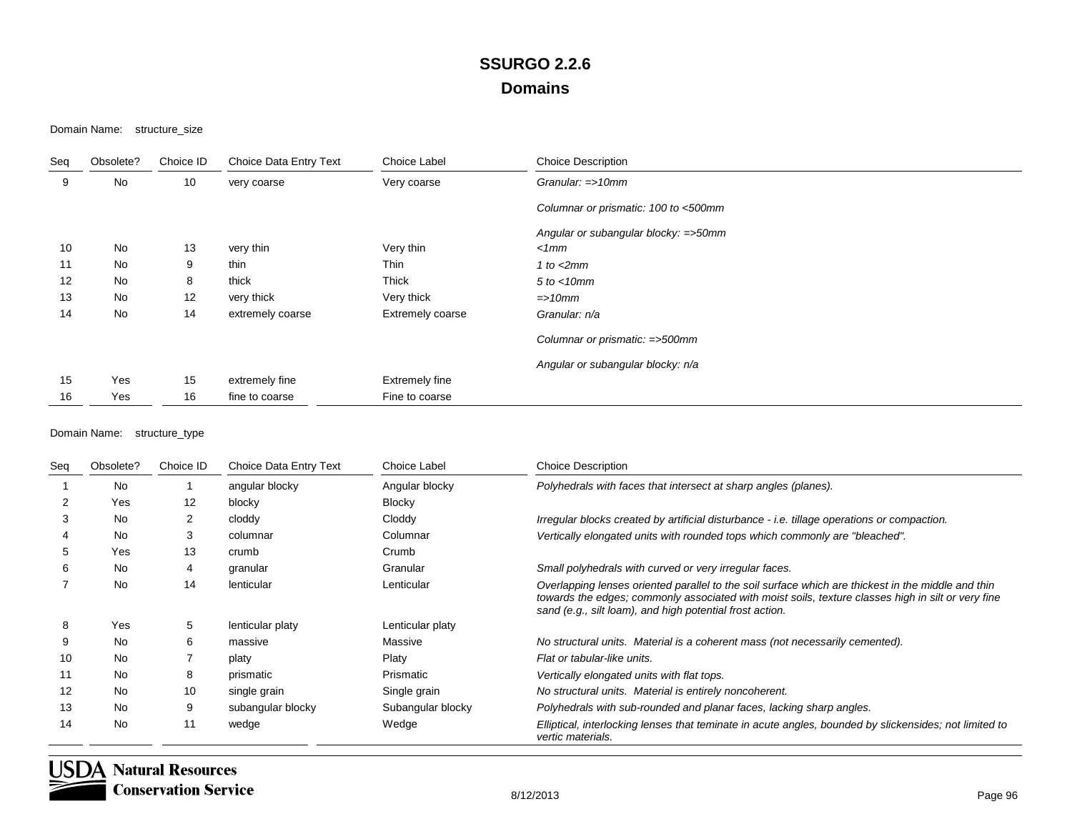Domain Name: structure\_size

| Seq | Obsolete? | Choice ID | Choice Data Entry Text | <b>Choice Label</b>   | <b>Choice Description</b>            |
|-----|-----------|-----------|------------------------|-----------------------|--------------------------------------|
| 9   | No        | 10        | very coarse            | Very coarse           | Granular: $\Rightarrow$ 10mm         |
|     |           |           |                        |                       | Columnar or prismatic: 100 to <500mm |
|     |           |           |                        |                       | Angular or subangular blocky: =>50mm |
| 10  | No        | 13        | very thin              | Very thin             | < 1 mm                               |
| 11  | <b>No</b> | 9         | thin                   | Thin                  | 1 to $<$ 2 $mm$                      |
| 12  | No        | 8         | thick                  | Thick                 | $5$ to $<$ 10mm                      |
| 13  | No        | 12        | very thick             | Very thick            | $\Rightarrow$ 10mm                   |
| 14  | No        | 14        | extremely coarse       | Extremely coarse      | Granular: n/a                        |
|     |           |           |                        |                       | Columnar or prismatic: =>500mm       |
|     |           |           |                        |                       | Angular or subangular blocky: n/a    |
| 15  | Yes       | 15        | extremely fine         | <b>Extremely fine</b> |                                      |
| 16  | Yes       | 16        | fine to coarse         | Fine to coarse        |                                      |

#### Domain Name: structure\_type

| Seq | Obsolete? | Choice ID         | Choice Data Entry Text | Choice Label      | <b>Choice Description</b>                                                                                                                                                                                                                                            |
|-----|-----------|-------------------|------------------------|-------------------|----------------------------------------------------------------------------------------------------------------------------------------------------------------------------------------------------------------------------------------------------------------------|
|     | No.       |                   | angular blocky         | Angular blocky    | Polyhedrals with faces that intersect at sharp angles (planes).                                                                                                                                                                                                      |
|     | Yes       | $12 \overline{ }$ | blocky                 | Blocky            |                                                                                                                                                                                                                                                                      |
| 3   | No        | 2                 | cloddy                 | Cloddy            | Irregular blocks created by artificial disturbance - i.e. tillage operations or compaction.                                                                                                                                                                          |
|     | No        | 3                 | columnar               | Columnar          | Vertically elongated units with rounded tops which commonly are "bleached".                                                                                                                                                                                          |
|     | Yes       | 13                | crumb                  | Crumb             |                                                                                                                                                                                                                                                                      |
| 6   | No        | 4                 | granular               | Granular          | Small polyhedrals with curved or very irregular faces.                                                                                                                                                                                                               |
|     | No        | 14                | lenticular             | Lenticular        | Overlapping lenses oriented parallel to the soil surface which are thickest in the middle and thin<br>towards the edges; commonly associated with moist soils, texture classes high in silt or very fine<br>sand (e.g., silt loam), and high potential frost action. |
| 8   | Yes       | 5                 | lenticular platy       | Lenticular platy  |                                                                                                                                                                                                                                                                      |
| 9   | No        | 6                 | massive                | Massive           | No structural units. Material is a coherent mass (not necessarily cemented).                                                                                                                                                                                         |
| 10  | No        |                   | platy                  | Platy             | Flat or tabular-like units.                                                                                                                                                                                                                                          |
| 11  | No        | 8                 | prismatic              | Prismatic         | Vertically elongated units with flat tops.                                                                                                                                                                                                                           |
| 12  | No        | 10                | single grain           | Single grain      | No structural units. Material is entirely noncoherent.                                                                                                                                                                                                               |
| 13  | No        | 9                 | subangular blocky      | Subangular blocky | Polyhedrals with sub-rounded and planar faces, lacking sharp angles.                                                                                                                                                                                                 |
| 14  | No        | 11                | wedge                  | Wedge             | Elliptical, interlocking lenses that teminate in acute angles, bounded by slickensides; not limited to<br>vertic materials.                                                                                                                                          |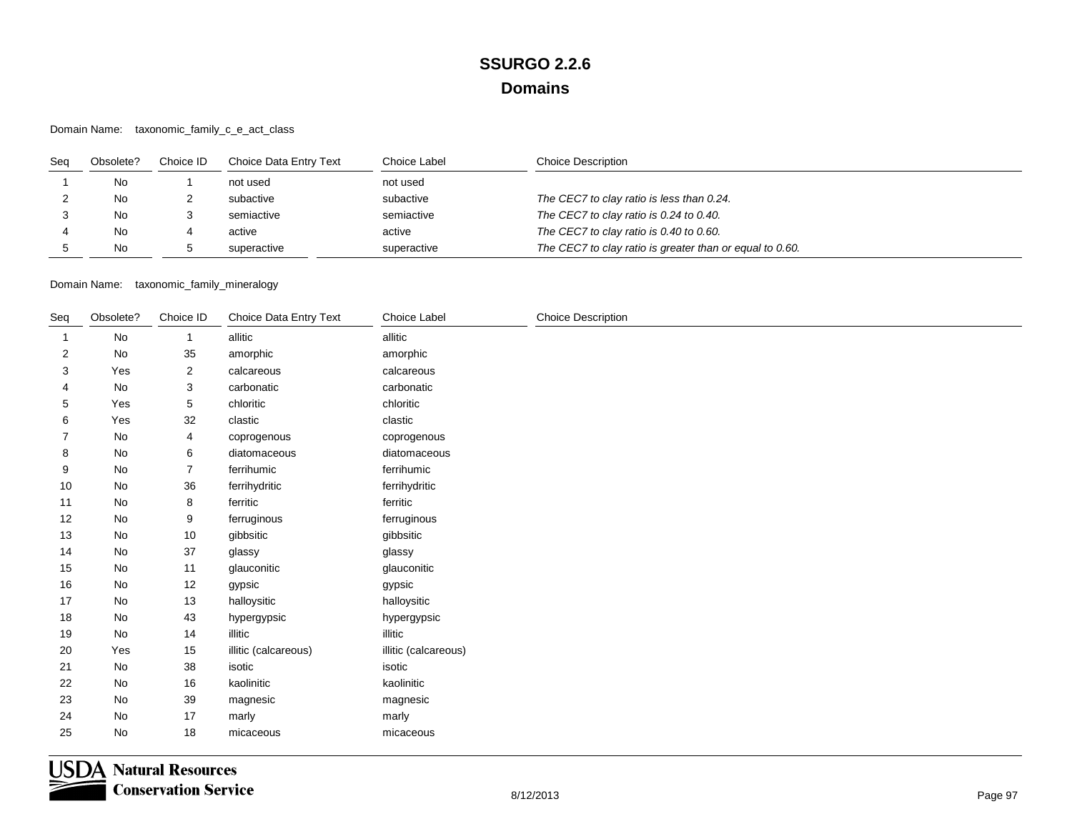Domain Name: taxonomic\_family\_c\_e\_act\_class

| Sea | Obsolete? | Choice ID | Choice Data Entry Text | Choice Label | <b>Choice Description</b>                                |
|-----|-----------|-----------|------------------------|--------------|----------------------------------------------------------|
|     | No        |           | not used               | not used     |                                                          |
|     | No        |           | subactive              | subactive    | The CEC7 to clay ratio is less than 0.24.                |
|     | No        |           | semiactive             | semiactive   | The CEC7 to clay ratio is 0.24 to 0.40.                  |
|     | No        | 4         | active                 | active       | The CEC7 to clay ratio is 0.40 to 0.60.                  |
|     | No        | э         | superactive            | superactive  | The CEC7 to clay ratio is greater than or equal to 0.60. |

Domain Name: taxonomic\_family\_mineralogy

| Seq            | Obsolete? | Choice ID      | Choice Data Entry Text | Choice Label         | <b>Choice Description</b> |
|----------------|-----------|----------------|------------------------|----------------------|---------------------------|
| 1              | No        | $\mathbf{1}$   | allitic                | allitic              |                           |
| $\overline{2}$ | No        | 35             | amorphic               | amorphic             |                           |
| 3              | Yes       | $\sqrt{2}$     | calcareous             | calcareous           |                           |
| 4              | No        | 3              | carbonatic             | carbonatic           |                           |
| 5              | Yes       | 5              | chloritic              | chloritic            |                           |
| 6              | Yes       | 32             | clastic                | clastic              |                           |
| $\overline{7}$ | <b>No</b> | 4              | coprogenous            | coprogenous          |                           |
| 8              | <b>No</b> | 6              | diatomaceous           | diatomaceous         |                           |
| 9              | No        | $\overline{7}$ | ferrihumic             | ferrihumic           |                           |
| 10             | <b>No</b> | 36             | ferrihydritic          | ferrihydritic        |                           |
| 11             | No        | 8              | ferritic               | ferritic             |                           |
| 12             | <b>No</b> | 9              | ferruginous            | ferruginous          |                           |
| 13             | <b>No</b> | $10$           | gibbsitic              | gibbsitic            |                           |
| 14             | No        | 37             | glassy                 | glassy               |                           |
| 15             | <b>No</b> | 11             | glauconitic            | glauconitic          |                           |
| 16             | No        | 12             | gypsic                 | gypsic               |                           |
| 17             | <b>No</b> | 13             | halloysitic            | halloysitic          |                           |
| 18             | <b>No</b> | 43             | hypergypsic            | hypergypsic          |                           |
| 19             | No        | 14             | illitic                | illitic              |                           |
| 20             | Yes       | 15             | illitic (calcareous)   | illitic (calcareous) |                           |
| 21             | No        | 38             | isotic                 | isotic               |                           |
| 22             | No        | 16             | kaolinitic             | kaolinitic           |                           |
| 23             | <b>No</b> | 39             | magnesic               | magnesic             |                           |
| 24             | No        | 17             | marly                  | marly                |                           |
| 25             | <b>No</b> | 18             | micaceous              | micaceous            |                           |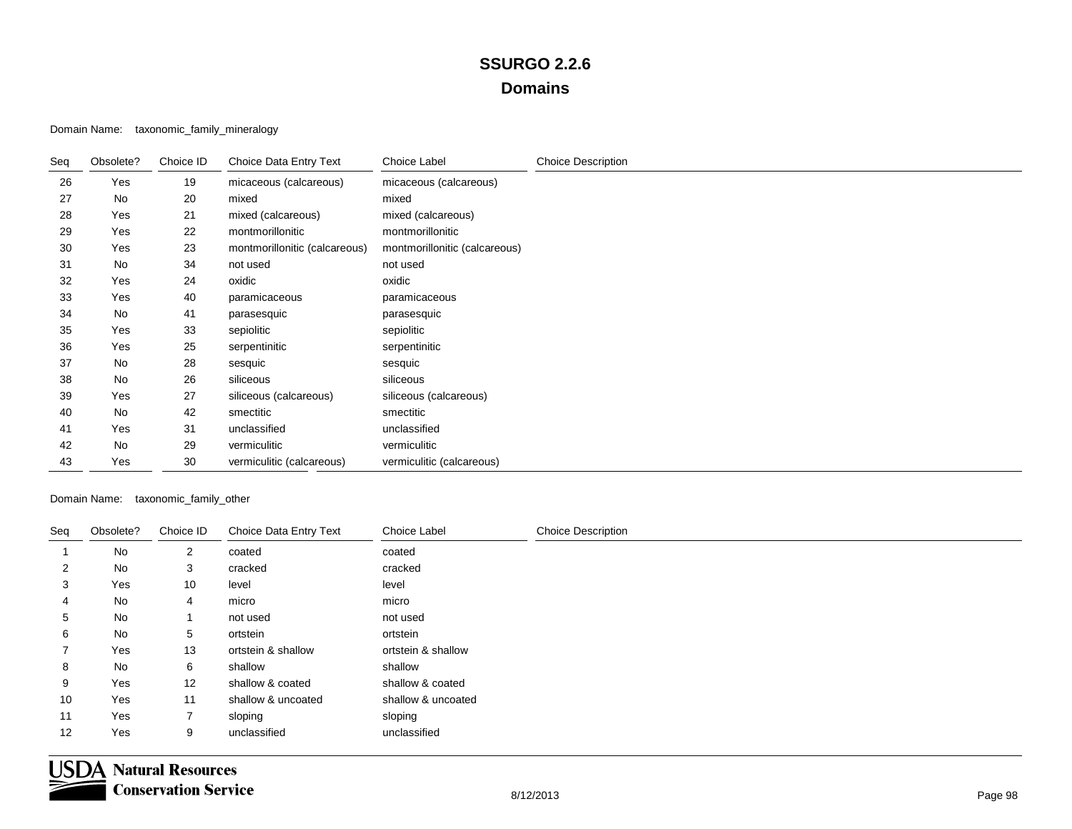Domain Name: taxonomic\_family\_mineralogy

| Seq | Obsolete? | Choice ID | Choice Data Entry Text        | Choice Label                  | <b>Choice Description</b> |
|-----|-----------|-----------|-------------------------------|-------------------------------|---------------------------|
| 26  | Yes       | 19        | micaceous (calcareous)        | micaceous (calcareous)        |                           |
| 27  | No        | 20        | mixed                         | mixed                         |                           |
| 28  | Yes       | 21        | mixed (calcareous)            | mixed (calcareous)            |                           |
| 29  | Yes       | 22        | montmorillonitic              | montmorillonitic              |                           |
| 30  | Yes       | 23        | montmorillonitic (calcareous) | montmorillonitic (calcareous) |                           |
| 31  | No        | 34        | not used                      | not used                      |                           |
| 32  | Yes       | 24        | oxidic                        | oxidic                        |                           |
| 33  | Yes       | 40        | paramicaceous                 | paramicaceous                 |                           |
| 34  | No        | 41        | parasesquic                   | parasesquic                   |                           |
| 35  | Yes       | 33        | sepiolitic                    | sepiolitic                    |                           |
| 36  | Yes       | 25        | serpentinitic                 | serpentinitic                 |                           |
| 37  | No        | 28        | sesquic                       | sesquic                       |                           |
| 38  | No        | 26        | siliceous                     | siliceous                     |                           |
| 39  | Yes       | 27        | siliceous (calcareous)        | siliceous (calcareous)        |                           |
| 40  | No        | 42        | smectitic                     | smectitic                     |                           |
| 41  | Yes       | 31        | unclassified                  | unclassified                  |                           |
| 42  | No        | 29        | vermiculitic                  | vermiculitic                  |                           |
| 43  | Yes       | 30        | vermiculitic (calcareous)     | vermiculitic (calcareous)     |                           |

Domain Name: taxonomic\_family\_other

| Seq | Obsolete? | Choice ID      | Choice Data Entry Text | Choice Label       | <b>Choice Description</b> |
|-----|-----------|----------------|------------------------|--------------------|---------------------------|
|     | No        | $\overline{2}$ | coated                 | coated             |                           |
| 2   | No        | 3              | cracked                | cracked            |                           |
| 3   | Yes       | 10             | level                  | level              |                           |
| 4   | No        | 4              | micro                  | micro              |                           |
| 5   | No        |                | not used               | not used           |                           |
| 6   | No        | 5              | ortstein               | ortstein           |                           |
|     | Yes       | 13             | ortstein & shallow     | ortstein & shallow |                           |
| 8   | No        | 6              | shallow                | shallow            |                           |
| 9   | Yes       | 12             | shallow & coated       | shallow & coated   |                           |
| 10  | Yes       | 11             | shallow & uncoated     | shallow & uncoated |                           |
| 11  | Yes       | 7              | sloping                | sloping            |                           |
| 12  | Yes       | 9              | unclassified           | unclassified       |                           |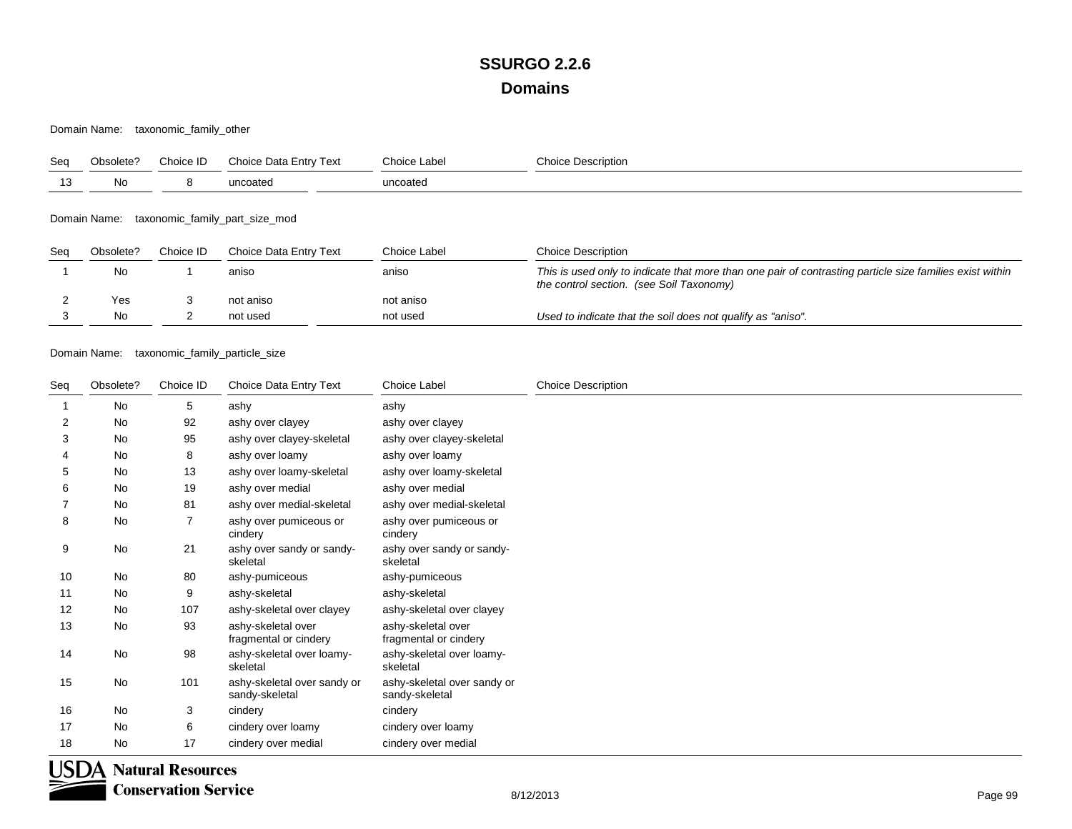Domain Name: taxonomic\_family\_other

| Seq                   | Obsolete | Choice IL | Text<br>Choice<br>∟ntrv<br>∖ Data | Choice Label | Choice Description |
|-----------------------|----------|-----------|-----------------------------------|--------------|--------------------|
| $\overline{A}$<br>⊣ ບ | No       |           | uncoatec                          | uncoated     |                    |
|                       |          |           |                                   |              |                    |

Domain Name: taxonomic\_family\_part\_size\_mod

| Seg | Obsolete? | Choice ID | Choice Data Entry Text | Choice Label | <b>Choice Description</b>                                                                                                                            |
|-----|-----------|-----------|------------------------|--------------|------------------------------------------------------------------------------------------------------------------------------------------------------|
|     | No        |           | aniso                  | aniso        | This is used only to indicate that more than one pair of contrasting particle size families exist within<br>the control section. (see Soil Taxonomy) |
|     | Yes       |           | not aniso              | not aniso    |                                                                                                                                                      |
|     | No.       |           | not used               | not used     | Used to indicate that the soil does not qualify as "aniso".                                                                                          |

Domain Name: taxonomic\_family\_particle\_size

| Seq | Obsolete? | Choice ID | Choice Data Entry Text                        | Choice Label                                  | <b>Choice Description</b> |
|-----|-----------|-----------|-----------------------------------------------|-----------------------------------------------|---------------------------|
|     | <b>No</b> | 5         | ashy                                          | ashy                                          |                           |
| 2   | No        | 92        | ashy over clayey                              | ashy over clayey                              |                           |
| 3   | <b>No</b> | 95        | ashy over clayey-skeletal                     | ashy over clayey-skeletal                     |                           |
|     | No        | 8         | ashy over loamy                               | ashy over loamy                               |                           |
| 5   | <b>No</b> | 13        | ashy over loamy-skeletal                      | ashy over loamy-skeletal                      |                           |
| 6   | No        | 19        | ashy over medial                              | ashy over medial                              |                           |
|     | <b>No</b> | 81        | ashy over medial-skeletal                     | ashy over medial-skeletal                     |                           |
| 8   | No        | 7         | ashy over pumiceous or<br>cindery             | ashy over pumiceous or<br>cindery             |                           |
| 9   | No        | 21        | ashy over sandy or sandy-<br>skeletal         | ashy over sandy or sandy-<br>skeletal         |                           |
| 10  | <b>No</b> | 80        | ashy-pumiceous                                | ashy-pumiceous                                |                           |
| 11  | No        | 9         | ashy-skeletal                                 | ashy-skeletal                                 |                           |
| 12  | No        | 107       | ashy-skeletal over clayey                     | ashy-skeletal over clayey                     |                           |
| 13  | No        | 93        | ashy-skeletal over<br>fragmental or cindery   | ashy-skeletal over<br>fragmental or cindery   |                           |
| 14  | No        | 98        | ashy-skeletal over loamy-<br>skeletal         | ashy-skeletal over loamy-<br>skeletal         |                           |
| 15  | No        | 101       | ashy-skeletal over sandy or<br>sandy-skeletal | ashy-skeletal over sandy or<br>sandy-skeletal |                           |
| 16  | <b>No</b> | 3         | cindery                                       | cindery                                       |                           |
| 17  | No        | 6         | cindery over loamy                            | cindery over loamy                            |                           |
| 18  | No        | 17        | cindery over medial                           | cindery over medial                           |                           |

**USDA Natural Resources Conservation Service**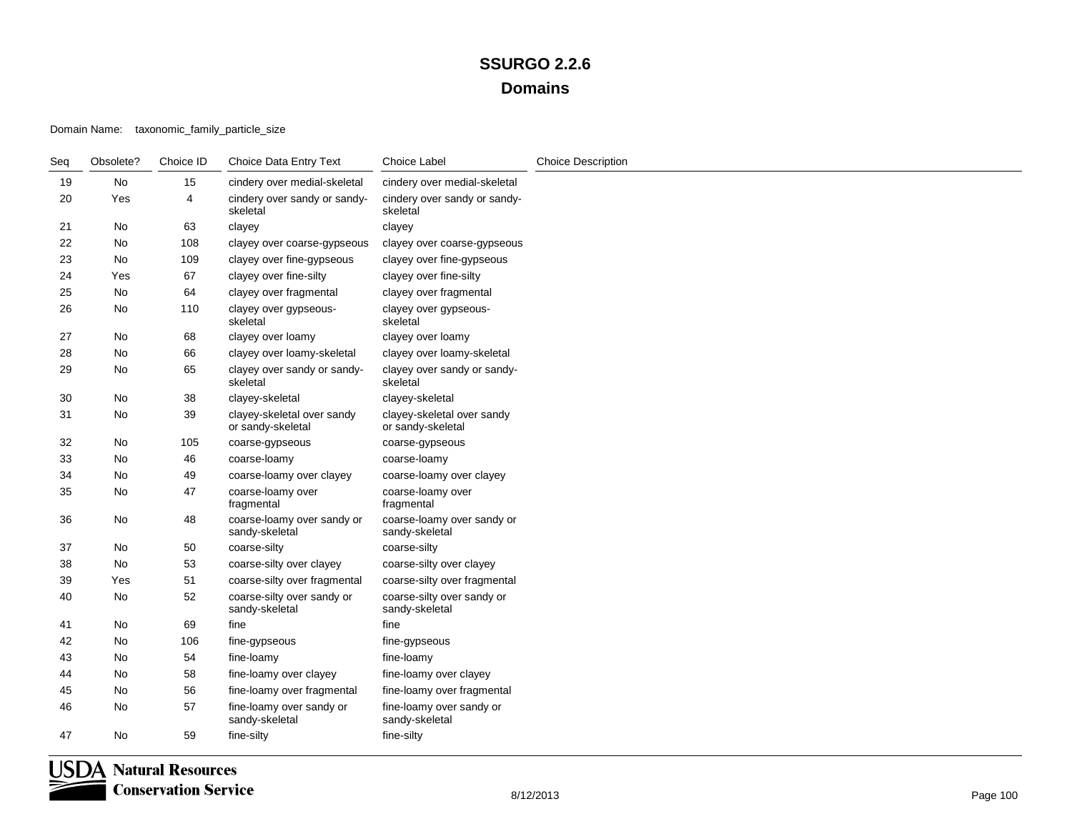Domain Name: taxonomic\_family\_particle\_size

| Seq | Obsolete? | Choice ID      | Choice Data Entry Text                          | Choice Label                                    | <b>Choice Description</b> |
|-----|-----------|----------------|-------------------------------------------------|-------------------------------------------------|---------------------------|
| 19  | No        | 15             | cindery over medial-skeletal                    | cindery over medial-skeletal                    |                           |
| 20  | Yes       | $\overline{4}$ | cindery over sandy or sandy-<br>skeletal        | cindery over sandy or sandy-<br>skeletal        |                           |
| 21  | No        | 63             | clayey                                          | clayey                                          |                           |
| 22  | No        | 108            | clayey over coarse-gypseous                     | clayey over coarse-gypseous                     |                           |
| 23  | No        | 109            | clayey over fine-gypseous                       | clayey over fine-gypseous                       |                           |
| 24  | Yes       | 67             | clayey over fine-silty                          | clayey over fine-silty                          |                           |
| 25  | No        | 64             | clayey over fragmental                          | clayey over fragmental                          |                           |
| 26  | No        | 110            | clayey over gypseous-<br>skeletal               | clayey over gypseous-<br>skeletal               |                           |
| 27  | No        | 68             | clayey over loamy                               | clayey over loamy                               |                           |
| 28  | No.       | 66             | clayey over loamy-skeletal                      | clayey over loamy-skeletal                      |                           |
| 29  | No        | 65             | clayey over sandy or sandy-<br>skeletal         | clayey over sandy or sandy-<br>skeletal         |                           |
| 30  | No        | 38             | clayey-skeletal                                 | clayey-skeletal                                 |                           |
| 31  | No        | 39             | clayey-skeletal over sandy<br>or sandy-skeletal | clayey-skeletal over sandy<br>or sandy-skeletal |                           |
| 32  | No        | 105            | coarse-gypseous                                 | coarse-gypseous                                 |                           |
| 33  | No        | 46             | coarse-loamy                                    | coarse-loamy                                    |                           |
| 34  | No        | 49             | coarse-loamy over clayey                        | coarse-loamy over clayey                        |                           |
| 35  | No        | 47             | coarse-loamy over<br>fragmental                 | coarse-loamy over<br>fragmental                 |                           |
| 36  | No        | 48             | coarse-loamy over sandy or<br>sandy-skeletal    | coarse-loamy over sandy or<br>sandy-skeletal    |                           |
| 37  | No        | 50             | coarse-silty                                    | coarse-silty                                    |                           |
| 38  | <b>No</b> | 53             | coarse-silty over clayey                        | coarse-silty over clayey                        |                           |
| 39  | Yes       | 51             | coarse-silty over fragmental                    | coarse-silty over fragmental                    |                           |
| 40  | No        | 52             | coarse-silty over sandy or<br>sandy-skeletal    | coarse-silty over sandy or<br>sandy-skeletal    |                           |
| 41  | No        | 69             | fine                                            | fine                                            |                           |
| 42  | No        | 106            | fine-gypseous                                   | fine-gypseous                                   |                           |
| 43  | No        | 54             | fine-loamy                                      | fine-loamy                                      |                           |
| 44  | No.       | 58             | fine-loamy over clayey                          | fine-loamy over clayey                          |                           |
| 45  | <b>No</b> | 56             | fine-loamy over fragmental                      | fine-loamy over fragmental                      |                           |
| 46  | No        | 57             | fine-loamy over sandy or<br>sandy-skeletal      | fine-loamy over sandy or<br>sandy-skeletal      |                           |
| 47  | No        | 59             | fine-silty                                      | fine-silty                                      |                           |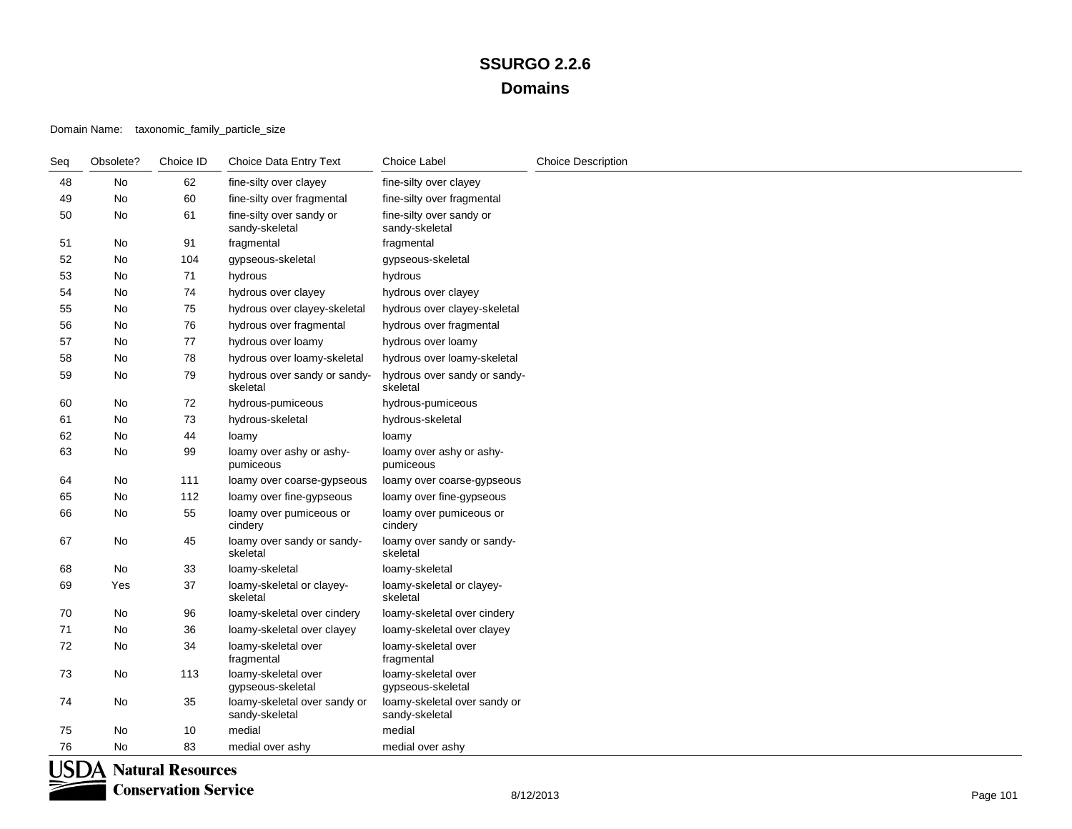Domain Name: taxonomic\_family\_particle\_size

| Seq | Obsolete? | Choice ID | Choice Data Entry Text                         | Choice Label                                   | <b>Choice Description</b> |
|-----|-----------|-----------|------------------------------------------------|------------------------------------------------|---------------------------|
| 48  | No        | 62        | fine-silty over clayey                         | fine-silty over clayey                         |                           |
| 49  | No        | 60        | fine-silty over fragmental                     | fine-silty over fragmental                     |                           |
| 50  | No        | 61        | fine-silty over sandy or<br>sandy-skeletal     | fine-silty over sandy or<br>sandy-skeletal     |                           |
| 51  | No        | 91        | fragmental                                     | fragmental                                     |                           |
| 52  | <b>No</b> | 104       | gypseous-skeletal                              | gypseous-skeletal                              |                           |
| 53  | <b>No</b> | 71        | hydrous                                        | hydrous                                        |                           |
| 54  | <b>No</b> | 74        | hydrous over clayey                            | hydrous over clayey                            |                           |
| 55  | No        | 75        | hydrous over clayey-skeletal                   | hydrous over clayey-skeletal                   |                           |
| 56  | No.       | 76        | hydrous over fragmental                        | hydrous over fragmental                        |                           |
| 57  | No        | 77        | hydrous over loamy                             | hydrous over loamy                             |                           |
| 58  | No        | 78        | hydrous over loamy-skeletal                    | hydrous over loamy-skeletal                    |                           |
| 59  | No        | 79        | hydrous over sandy or sandy-<br>skeletal       | hydrous over sandy or sandy-<br>skeletal       |                           |
| 60  | No        | 72        | hydrous-pumiceous                              | hydrous-pumiceous                              |                           |
| 61  | <b>No</b> | 73        | hydrous-skeletal                               | hydrous-skeletal                               |                           |
| 62  | <b>No</b> | 44        | loamy                                          | loamy                                          |                           |
| 63  | No        | 99        | loamy over ashy or ashy-<br>pumiceous          | loamy over ashy or ashy-<br>pumiceous          |                           |
| 64  | No        | 111       | loamy over coarse-gypseous                     | loamy over coarse-gypseous                     |                           |
| 65  | No        | 112       | loamy over fine-gypseous                       | loamy over fine-gypseous                       |                           |
| 66  | No        | 55        | loamy over pumiceous or<br>cindery             | loamy over pumiceous or<br>cindery             |                           |
| 67  | No        | 45        | loamy over sandy or sandy-<br>skeletal         | loamy over sandy or sandy-<br>skeletal         |                           |
| 68  | No        | 33        | loamy-skeletal                                 | loamy-skeletal                                 |                           |
| 69  | Yes       | 37        | loamy-skeletal or clayey-<br>skeletal          | loamy-skeletal or clayey-<br>skeletal          |                           |
| 70  | No        | 96        | loamy-skeletal over cindery                    | loamy-skeletal over cindery                    |                           |
| 71  | No        | 36        | loamy-skeletal over clayey                     | loamy-skeletal over clayey                     |                           |
| 72  | No        | 34        | loamy-skeletal over<br>fragmental              | loamy-skeletal over<br>fragmental              |                           |
| 73  | No        | 113       | loamy-skeletal over<br>gypseous-skeletal       | loamy-skeletal over<br>gypseous-skeletal       |                           |
| 74  | No        | 35        | loamy-skeletal over sandy or<br>sandy-skeletal | loamy-skeletal over sandy or<br>sandy-skeletal |                           |
| 75  | No        | 10        | medial                                         | medial                                         |                           |
| 76  | <b>No</b> | 83        | medial over ashy                               | medial over ashy                               |                           |

**USDA Natural Resources**<br> **Conservation Services Conservation Service**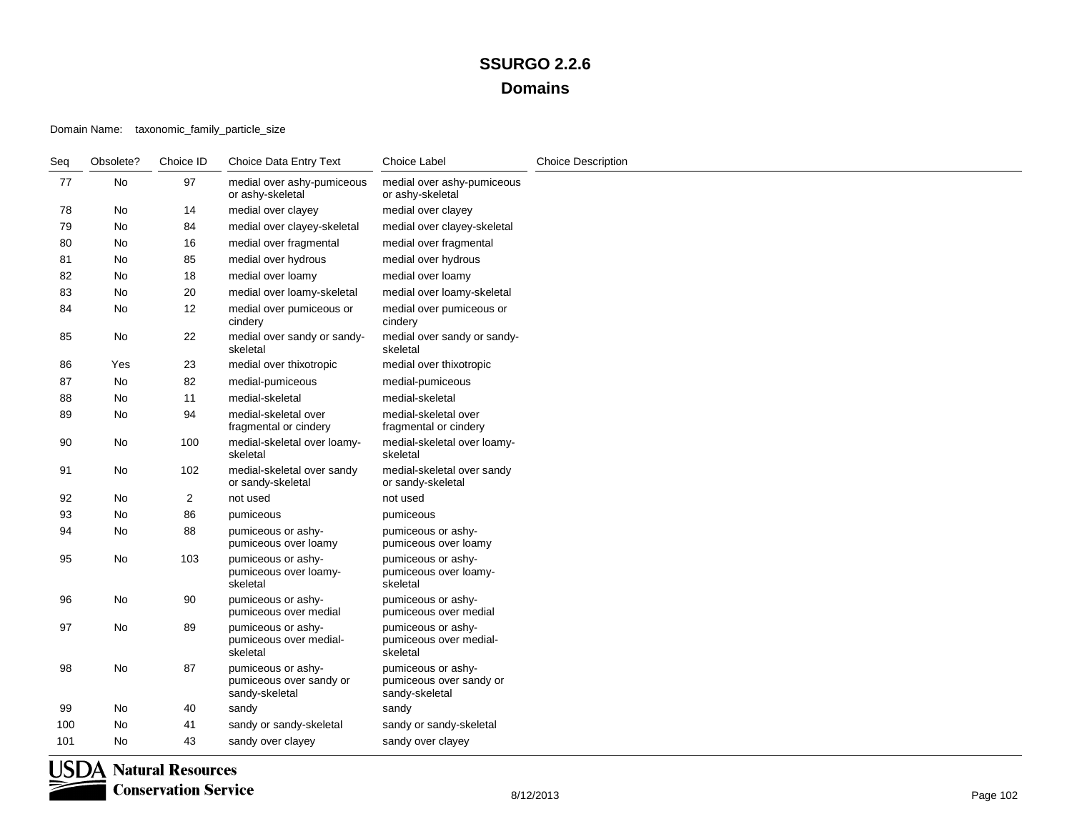Domain Name: taxonomic\_family\_particle\_size

| Seq | Obsolete? | Choice ID               | Choice Data Entry Text                                          | <b>Choice Label</b>                                             | <b>Choice Description</b> |
|-----|-----------|-------------------------|-----------------------------------------------------------------|-----------------------------------------------------------------|---------------------------|
| 77  | No        | 97                      | medial over ashy-pumiceous<br>or ashy-skeletal                  | medial over ashy-pumiceous<br>or ashy-skeletal                  |                           |
| 78  | No        | 14                      | medial over clayey                                              | medial over clayey                                              |                           |
| 79  | No        | 84                      | medial over clayey-skeletal                                     | medial over clayey-skeletal                                     |                           |
| 80  | No        | 16                      | medial over fragmental                                          | medial over fragmental                                          |                           |
| 81  | No        | 85                      | medial over hydrous                                             | medial over hydrous                                             |                           |
| 82  | No        | 18                      | medial over loamy                                               | medial over loamy                                               |                           |
| 83  | No        | 20                      | medial over loamy-skeletal                                      | medial over loamy-skeletal                                      |                           |
| 84  | No        | 12                      | medial over pumiceous or<br>cindery                             | medial over pumiceous or<br>cindery                             |                           |
| 85  | No        | 22                      | medial over sandy or sandy-<br>skeletal                         | medial over sandy or sandy-<br>skeletal                         |                           |
| 86  | Yes       | 23                      | medial over thixotropic                                         | medial over thixotropic                                         |                           |
| 87  | No        | 82                      | medial-pumiceous                                                | medial-pumiceous                                                |                           |
| 88  | No        | 11                      | medial-skeletal                                                 | medial-skeletal                                                 |                           |
| 89  | No        | 94                      | medial-skeletal over<br>fragmental or cindery                   | medial-skeletal over<br>fragmental or cindery                   |                           |
| 90  | No        | 100                     | medial-skeletal over loamy-<br>skeletal                         | medial-skeletal over loamy-<br>skeletal                         |                           |
| 91  | No        | 102                     | medial-skeletal over sandy<br>or sandy-skeletal                 | medial-skeletal over sandy<br>or sandy-skeletal                 |                           |
| 92  | No        | $\overline{\mathbf{c}}$ | not used                                                        | not used                                                        |                           |
| 93  | No        | 86                      | pumiceous                                                       | pumiceous                                                       |                           |
| 94  | No        | 88                      | pumiceous or ashy-<br>pumiceous over loamy                      | pumiceous or ashy-<br>pumiceous over loamy                      |                           |
| 95  | No        | 103                     | pumiceous or ashy-<br>pumiceous over loamy-<br>skeletal         | pumiceous or ashy-<br>pumiceous over loamy-<br>skeletal         |                           |
| 96  | No        | 90                      | pumiceous or ashy-<br>pumiceous over medial                     | pumiceous or ashy-<br>pumiceous over medial                     |                           |
| 97  | No        | 89                      | pumiceous or ashy-<br>pumiceous over medial-<br>skeletal        | pumiceous or ashy-<br>pumiceous over medial-<br>skeletal        |                           |
| 98  | No        | 87                      | pumiceous or ashy-<br>pumiceous over sandy or<br>sandy-skeletal | pumiceous or ashy-<br>pumiceous over sandy or<br>sandy-skeletal |                           |
| 99  | No        | 40                      | sandy                                                           | sandy                                                           |                           |
| 100 | No        | 41                      | sandy or sandy-skeletal                                         | sandy or sandy-skeletal                                         |                           |
| 101 | No        | 43                      | sandy over clayey                                               | sandy over clayey                                               |                           |

**USDA** Natural Resources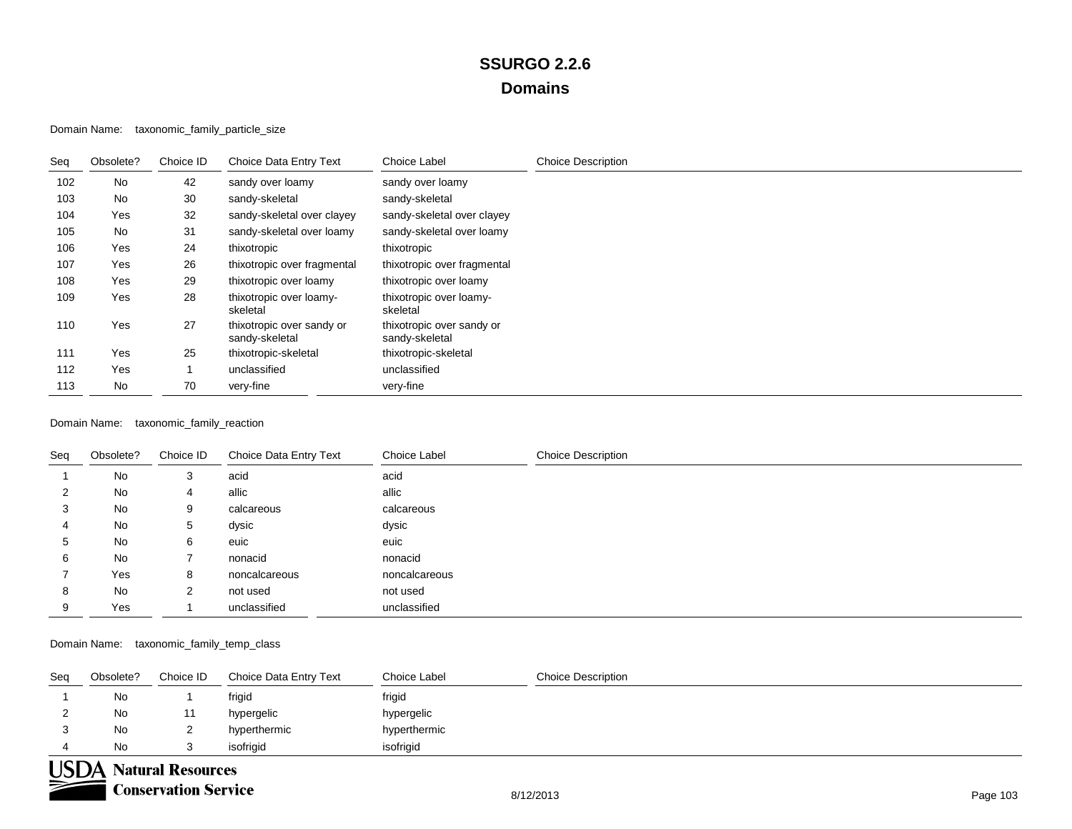Domain Name: taxonomic\_family\_particle\_size

| Seq | Obsolete? | Choice ID | Choice Data Entry Text                      | Choice Label                                | <b>Choice Description</b> |
|-----|-----------|-----------|---------------------------------------------|---------------------------------------------|---------------------------|
| 102 | No        | 42        | sandy over loamy                            | sandy over loamy                            |                           |
| 103 | No        | 30        | sandy-skeletal                              | sandy-skeletal                              |                           |
| 104 | Yes       | 32        | sandy-skeletal over clayey                  | sandy-skeletal over clayey                  |                           |
| 105 | No        | 31        | sandy-skeletal over loamy                   | sandy-skeletal over loamy                   |                           |
| 106 | Yes       | 24        | thixotropic                                 | thixotropic                                 |                           |
| 107 | Yes       | 26        | thixotropic over fragmental                 | thixotropic over fragmental                 |                           |
| 108 | Yes       | 29        | thixotropic over loamy                      | thixotropic over loamy                      |                           |
| 109 | Yes       | 28        | thixotropic over loamy-<br>skeletal         | thixotropic over loamy-<br>skeletal         |                           |
| 110 | Yes       | 27        | thixotropic over sandy or<br>sandy-skeletal | thixotropic over sandy or<br>sandy-skeletal |                           |
| 111 | Yes       | 25        | thixotropic-skeletal                        | thixotropic-skeletal                        |                           |
| 112 | Yes       |           | unclassified                                | unclassified                                |                           |
| 113 | No        | 70        | very-fine                                   | very-fine                                   |                           |

Domain Name: taxonomic\_family\_reaction

| Seq          | Obsolete? | Choice ID      | Choice Data Entry Text | Choice Label  | <b>Choice Description</b> |
|--------------|-----------|----------------|------------------------|---------------|---------------------------|
|              | No        | 3              | acid                   | acid          |                           |
|              | No        | 4              | allic                  | allic         |                           |
| 3            | No        | 9              | calcareous             | calcareous    |                           |
| 4            | No        | 5              | dysic                  | dysic         |                           |
| $\mathbf{b}$ | No        | 6              | euic                   | euic          |                           |
| 6            | No        |                | nonacid                | nonacid       |                           |
|              | Yes       | 8              | noncalcareous          | noncalcareous |                           |
| 8            | No        | $\overline{2}$ | not used               | not used      |                           |
| 9            | Yes       |                | unclassified           | unclassified  |                           |

Domain Name: taxonomic\_family\_temp\_class

| Seg | Obsolete?                               | Choice ID | Choice Data Entry Text | Choice Label | <b>Choice Description</b> |  |  |
|-----|-----------------------------------------|-----------|------------------------|--------------|---------------------------|--|--|
|     | No                                      |           | frigid                 | frigid       |                           |  |  |
|     | No                                      | 11        | hypergelic             | hypergelic   |                           |  |  |
|     | No                                      | <u>_</u>  | hyperthermic           | hyperthermic |                           |  |  |
| 4   | <b>No</b>                               | C.        | isofrigid              | isofrigid    |                           |  |  |
|     | <b>USDA</b><br><b>Natural Resources</b> |           |                        |              |                           |  |  |

**Conservation Service** 

₹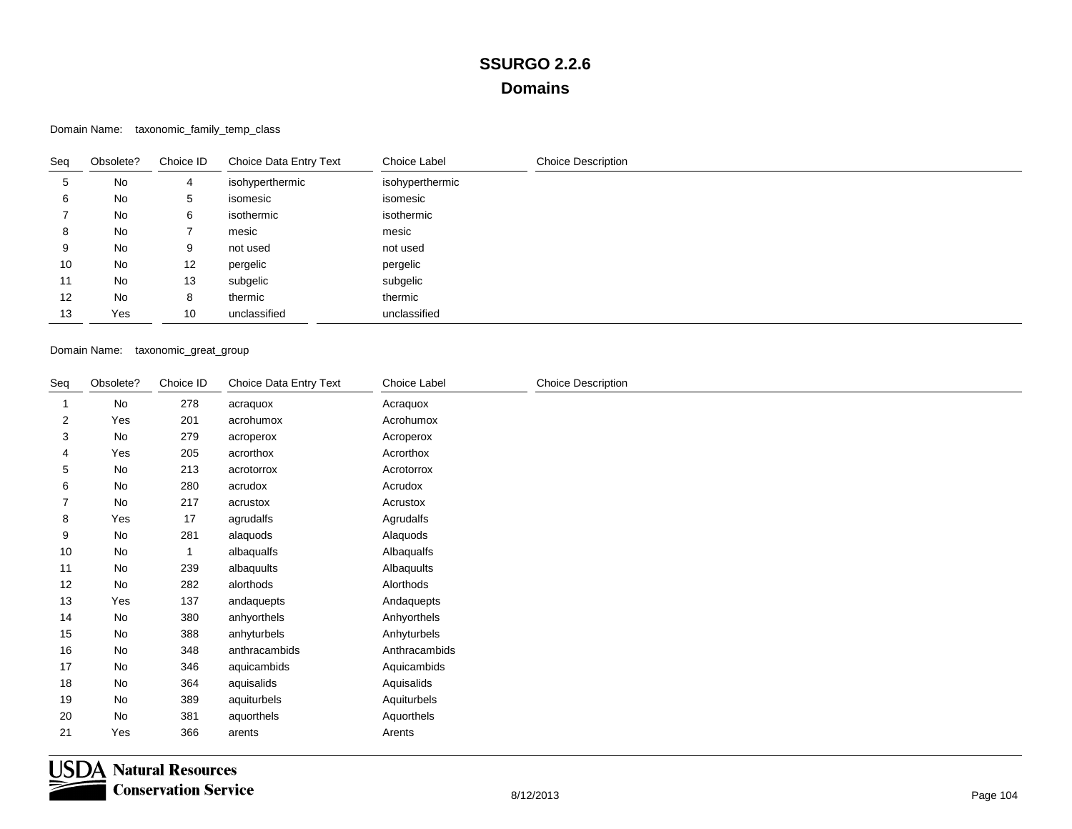Domain Name: taxonomic\_family\_temp\_class

| Seq | Obsolete? | Choice ID | Choice Data Entry Text | Choice Label    | <b>Choice Description</b> |
|-----|-----------|-----------|------------------------|-----------------|---------------------------|
| 5   | No        | 4         | isohyperthermic        | isohyperthermic |                           |
| 6   | No        | 5         | isomesic               | isomesic        |                           |
|     | No        | 6         | isothermic             | isothermic      |                           |
| 8   | No        |           | mesic                  | mesic           |                           |
| 9   | No        | 9         | not used               | not used        |                           |
| 10  | No        | 12        | pergelic               | pergelic        |                           |
| 11  | No        | 13        | subgelic               | subgelic        |                           |
| 12  | No        | 8         | thermic                | thermic         |                           |
| 13  | Yes       | 10        | unclassified           | unclassified    |                           |

Domain Name: taxonomic\_great\_group

| Seq | Obsolete? | Choice ID | Choice Data Entry Text | Choice Label  | <b>Choice Description</b> |
|-----|-----------|-----------|------------------------|---------------|---------------------------|
|     | No        | 278       | acraquox               | Acraquox      |                           |
| 2   | Yes       | 201       | acrohumox              | Acrohumox     |                           |
| 3   | No        | 279       | acroperox              | Acroperox     |                           |
| 4   | Yes       | 205       | acrorthox              | Acrorthox     |                           |
| 5   | No        | 213       | acrotorrox             | Acrotorrox    |                           |
| 6   | No        | 280       | acrudox                | Acrudox       |                           |
| 7   | No        | 217       | acrustox               | Acrustox      |                           |
| 8   | Yes       | 17        | agrudalfs              | Agrudalfs     |                           |
| 9   | No        | 281       | alaquods               | Alaquods      |                           |
| 10  | No        | 1         | albaqualfs             | Albaqualfs    |                           |
| 11  | No        | 239       | albaquults             | Albaquults    |                           |
| 12  | No        | 282       | alorthods              | Alorthods     |                           |
| 13  | Yes       | 137       | andaquepts             | Andaquepts    |                           |
| 14  | <b>No</b> | 380       | anhyorthels            | Anhyorthels   |                           |
| 15  | No        | 388       | anhyturbels            | Anhyturbels   |                           |
| 16  | No        | 348       | anthracambids          | Anthracambids |                           |
| 17  | No        | 346       | aquicambids            | Aquicambids   |                           |
| 18  | No        | 364       | aquisalids             | Aquisalids    |                           |
| 19  | No        | 389       | aquiturbels            | Aquiturbels   |                           |
| 20  | No        | 381       | aquorthels             | Aquorthels    |                           |
| 21  | Yes       | 366       | arents                 | Arents        |                           |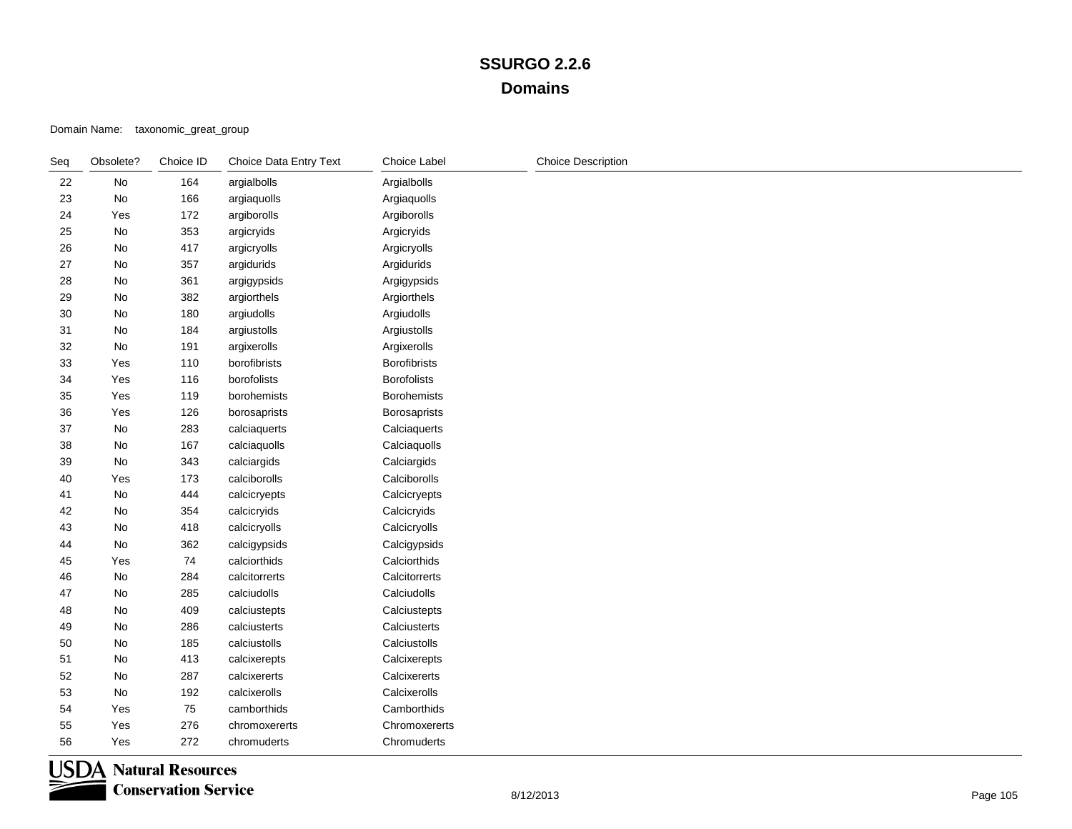Domain Name: taxonomic\_great\_group

| Seq | Obsolete?     | Choice ID | Choice Data Entry Text | Choice Label        | <b>Choice Description</b> |
|-----|---------------|-----------|------------------------|---------------------|---------------------------|
| 22  | No            | 164       | argialbolls            | Argialbolls         |                           |
| 23  | No            | 166       | argiaquolls            | Argiaquolls         |                           |
| 24  | Yes           | 172       | argiborolls            | Argiborolls         |                           |
| 25  | No            | 353       | argicryids             | Argicryids          |                           |
| 26  | No            | 417       | argicryolls            | Argicryolls         |                           |
| 27  | No            | 357       | argidurids             | Argidurids          |                           |
| 28  | No            | 361       | argigypsids            | Argigypsids         |                           |
| 29  | $\mathsf{No}$ | 382       | argiorthels            | Argiorthels         |                           |
| 30  | No            | 180       | argiudolls             | Argiudolls          |                           |
| 31  | No            | 184       | argiustolls            | Argiustolls         |                           |
| 32  | No            | 191       | argixerolls            | Argixerolls         |                           |
| 33  | Yes           | 110       | borofibrists           | <b>Borofibrists</b> |                           |
| 34  | Yes           | 116       | borofolists            | <b>Borofolists</b>  |                           |
| 35  | Yes           | 119       | borohemists            | Borohemists         |                           |
| 36  | Yes           | 126       | borosaprists           | Borosaprists        |                           |
| 37  | No            | 283       | calciaquerts           | Calciaquerts        |                           |
| 38  | No            | 167       | calciaquolls           | Calciaquolls        |                           |
| 39  | No            | 343       | calciargids            | Calciargids         |                           |
| 40  | Yes           | 173       | calciborolls           | Calciborolls        |                           |
| 41  | No            | 444       | calcicryepts           | Calcicryepts        |                           |
| 42  | No            | 354       | calcicryids            | Calcicryids         |                           |
| 43  | No            | 418       | calcicryolls           | Calcicryolls        |                           |
| 44  | No            | 362       | calcigypsids           | Calcigypsids        |                           |
| 45  | Yes           | $74\,$    | calciorthids           | Calciorthids        |                           |
| 46  | No            | 284       | calcitorrerts          | Calcitorrerts       |                           |
| 47  | No            | 285       | calciudolls            | Calciudolls         |                           |
| 48  | No            | 409       | calciustepts           | Calciustepts        |                           |
| 49  | No            | 286       | calciusterts           | Calciusterts        |                           |
| 50  | No            | 185       | calciustolls           | Calciustolls        |                           |
| 51  | No            | 413       | calcixerepts           | Calcixerepts        |                           |
| 52  | No            | 287       | calcixererts           | Calcixererts        |                           |
| 53  | No            | 192       | calcixerolls           | Calcixerolls        |                           |
| 54  | Yes           | 75        | camborthids            | Camborthids         |                           |
| 55  | Yes           | 276       | chromoxererts          | Chromoxererts       |                           |
| 56  | Yes           | 272       | chromuderts            | Chromuderts         |                           |

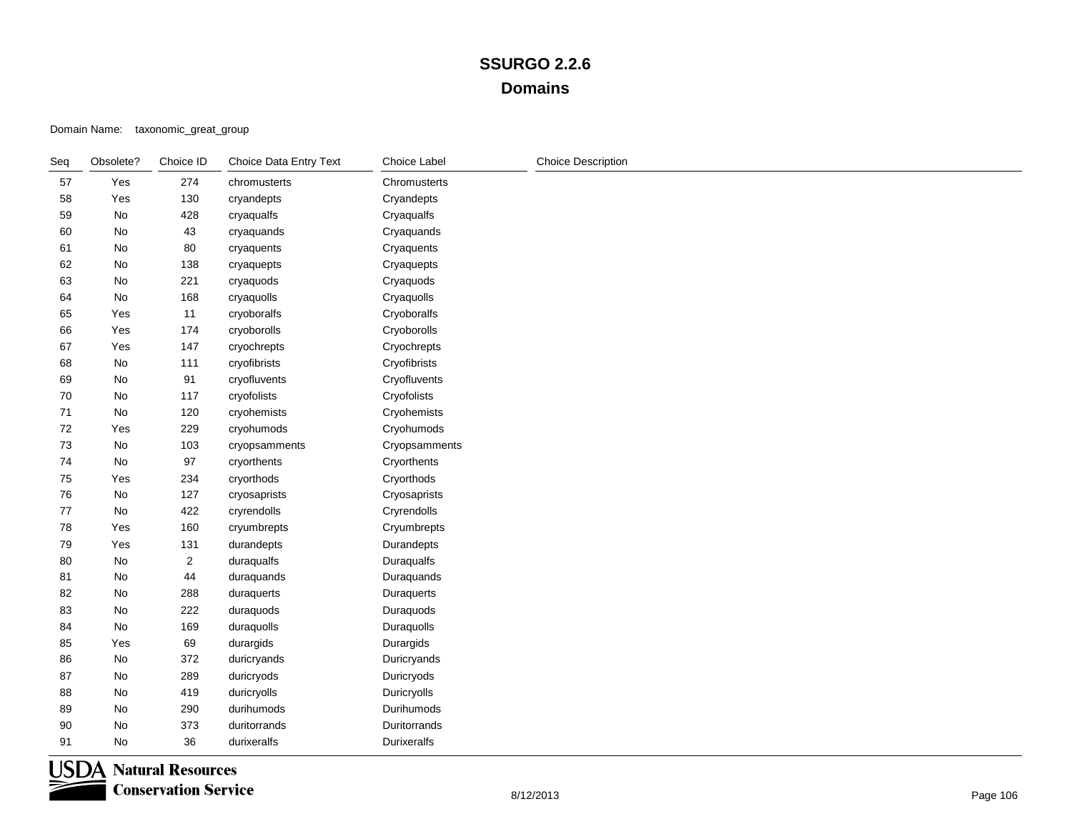Domain Name: taxonomic\_great\_group

| Seq | Obsolete? | Choice ID      | Choice Data Entry Text | Choice Label  | <b>Choice Description</b> |
|-----|-----------|----------------|------------------------|---------------|---------------------------|
| 57  | Yes       | 274            | chromusterts           | Chromusterts  |                           |
| 58  | Yes       | 130            | cryandepts             | Cryandepts    |                           |
| 59  | No        | 428            | cryaqualfs             | Cryaqualfs    |                           |
| 60  | No        | 43             | cryaquands             | Cryaquands    |                           |
| 61  | No        | 80             | cryaquents             | Cryaquents    |                           |
| 62  | No        | 138            | cryaquepts             | Cryaquepts    |                           |
| 63  | No        | 221            | cryaquods              | Cryaquods     |                           |
| 64  | No        | 168            | cryaquolls             | Cryaquolls    |                           |
| 65  | Yes       | 11             | cryoboralfs            | Cryoboralfs   |                           |
| 66  | Yes       | 174            | cryoborolls            | Cryoborolls   |                           |
| 67  | Yes       | 147            | cryochrepts            | Cryochrepts   |                           |
| 68  | No        | 111            | cryofibrists           | Cryofibrists  |                           |
| 69  | No        | 91             | cryofluvents           | Cryofluvents  |                           |
| 70  | No        | 117            | cryofolists            | Cryofolists   |                           |
| 71  | No        | 120            | cryohemists            | Cryohemists   |                           |
| 72  | Yes       | 229            | cryohumods             | Cryohumods    |                           |
| 73  | No        | 103            | cryopsamments          | Cryopsamments |                           |
| 74  | No        | 97             | cryorthents            | Cryorthents   |                           |
| 75  | Yes       | 234            | cryorthods             | Cryorthods    |                           |
| 76  | No        | 127            | cryosaprists           | Cryosaprists  |                           |
| 77  | No        | 422            | cryrendolls            | Cryrendolls   |                           |
| 78  | Yes       | 160            | cryumbrepts            | Cryumbrepts   |                           |
| 79  | Yes       | 131            | durandepts             | Durandepts    |                           |
| 80  | No        | $\overline{c}$ | duraqualfs             | Duraqualfs    |                           |
| 81  | No        | 44             | duraquands             | Duraquands    |                           |
| 82  | No        | 288            | duraquerts             | Duraquerts    |                           |
| 83  | No        | 222            | duraquods              | Duraquods     |                           |
| 84  | No        | 169            | duraquolls             | Duraquolls    |                           |
| 85  | Yes       | 69             | durargids              | Durargids     |                           |
| 86  | No        | 372            | duricryands            | Duricryands   |                           |
| 87  | No        | 289            | duricryods             | Duricryods    |                           |
| 88  | No        | 419            | duricryolls            | Duricryolls   |                           |
| 89  | No        | 290            | durihumods             | Durihumods    |                           |
| 90  | No        | 373            | duritorrands           | Duritorrands  |                           |
| 91  | No        | 36             | durixeralfs            | Durixeralfs   |                           |

**USDA** Natural Resources **Conservation Service**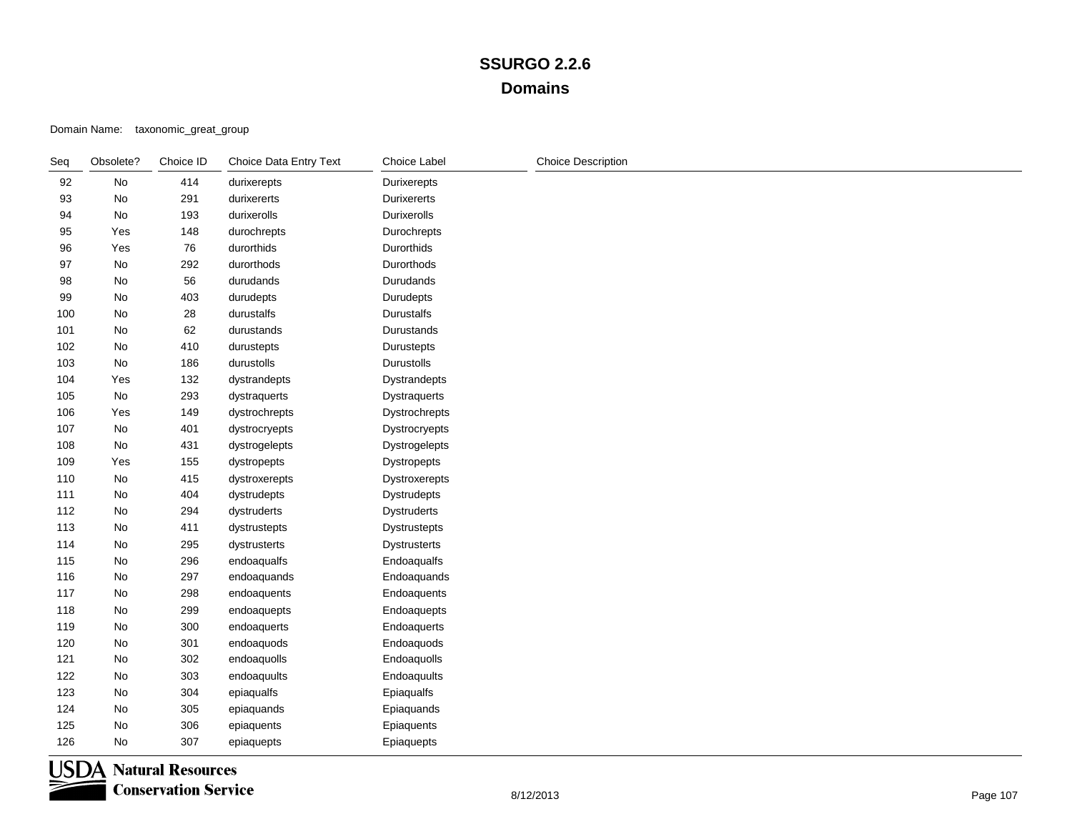Domain Name: taxonomic\_great\_group

| Seq | Obsolete?                    | Choice ID | Choice Data Entry Text | Choice Label       | <b>Choice Description</b> |
|-----|------------------------------|-----------|------------------------|--------------------|---------------------------|
| 92  | No                           | 414       | durixerepts            | Durixerepts        |                           |
| 93  | $\mathsf{No}$                | 291       | durixererts            | Durixererts        |                           |
| 94  | No                           | 193       | durixerolls            | Durixerolls        |                           |
| 95  | Yes                          | 148       | durochrepts            | Durochrepts        |                           |
| 96  | Yes                          | 76        | durorthids             | Durorthids         |                           |
| 97  | $\mathsf{No}$                | 292       | durorthods             | Durorthods         |                           |
| 98  | $\mathsf{No}$                | 56        | durudands              | Durudands          |                           |
| 99  | No                           | 403       | durudepts              | Durudepts          |                           |
| 100 | No                           | 28        | durustalfs             | Durustalfs         |                           |
| 101 | No                           | 62        | durustands             | Durustands         |                           |
| 102 | No                           | 410       | durustepts             | Durustepts         |                           |
| 103 | $\mathsf{No}$                | 186       | durustolls             | Durustolls         |                           |
| 104 | Yes                          | 132       | dystrandepts           | Dystrandepts       |                           |
| 105 | $\mathsf{No}$                | 293       | dystraquerts           | Dystraquerts       |                           |
| 106 | Yes                          | 149       | dystrochrepts          | Dystrochrepts      |                           |
| 107 | No                           | 401       | dystrocryepts          | Dystrocryepts      |                           |
| 108 | No                           | 431       | dystrogelepts          | Dystrogelepts      |                           |
| 109 | Yes                          | 155       | dystropepts            | Dystropepts        |                           |
| 110 | No                           | 415       | dystroxerepts          | Dystroxerepts      |                           |
| 111 | No                           | 404       | dystrudepts            | Dystrudepts        |                           |
| 112 | No                           | 294       | dystruderts            | <b>Dystruderts</b> |                           |
| 113 | No                           | 411       | dystrustepts           | Dystrustepts       |                           |
| 114 | No                           | 295       | dystrusterts           | Dystrusterts       |                           |
| 115 | No                           | 296       | endoaqualfs            | Endoaqualfs        |                           |
| 116 | No                           | 297       | endoaquands            | Endoaquands        |                           |
| 117 | No                           | 298       | endoaquents            | Endoaquents        |                           |
| 118 | No                           | 299       | endoaquepts            | Endoaquepts        |                           |
| 119 | No                           | 300       | endoaquerts            | Endoaquerts        |                           |
| 120 | No                           | 301       | endoaquods             | Endoaquods         |                           |
| 121 | No                           | 302       | endoaquolls            | Endoaquolls        |                           |
| 122 | No                           | 303       | endoaquults            | Endoaquults        |                           |
| 123 | No                           | 304       | epiaqualfs             | Epiaqualfs         |                           |
| 124 | No                           | 305       | epiaquands             | Epiaquands         |                           |
| 125 | $\operatorname{\mathsf{No}}$ | 306       | epiaquents             | Epiaquents         |                           |
| 126 | No                           | 307       | epiaquepts             | Epiaquepts         |                           |

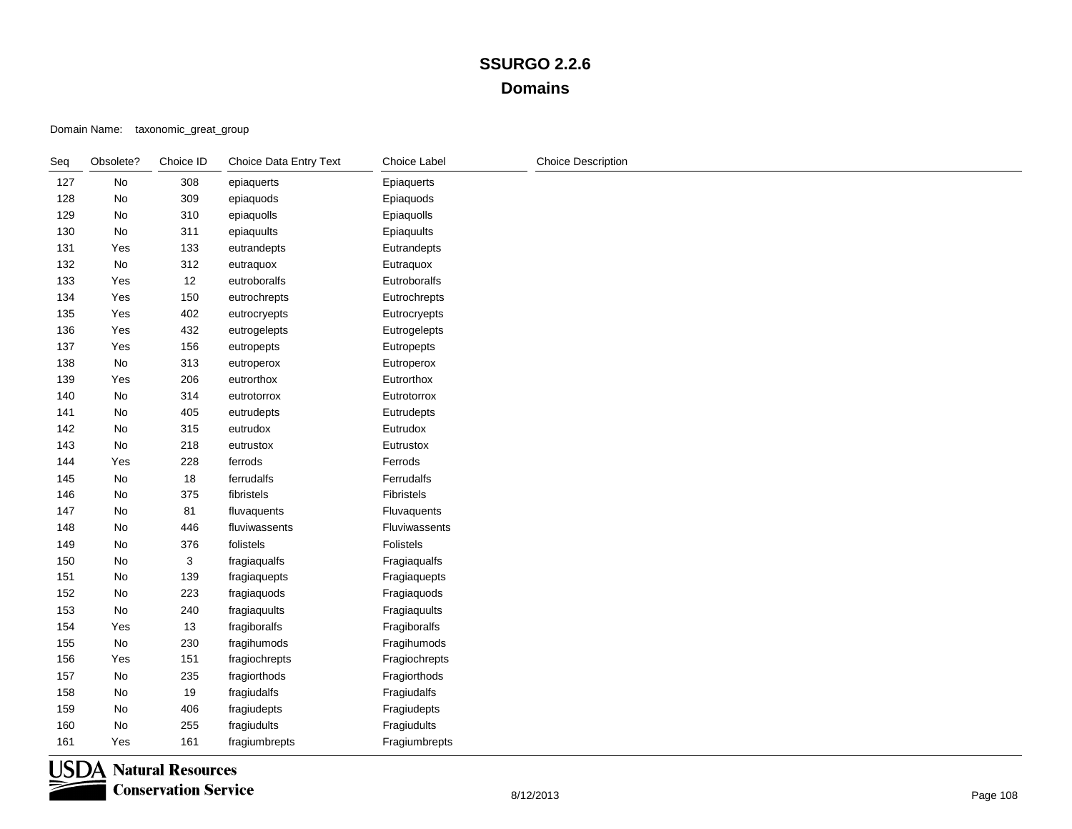Domain Name: taxonomic\_great\_group

| Seq | Obsolete? | Choice ID | Choice Data Entry Text | Choice Label  | <b>Choice Description</b> |
|-----|-----------|-----------|------------------------|---------------|---------------------------|
| 127 | No        | 308       | epiaquerts             | Epiaquerts    |                           |
| 128 | No        | 309       | epiaquods              | Epiaquods     |                           |
| 129 | No        | 310       | epiaquolls             | Epiaquolls    |                           |
| 130 | No        | 311       | epiaquults             | Epiaquults    |                           |
| 131 | Yes       | 133       | eutrandepts            | Eutrandepts   |                           |
| 132 | No        | 312       | eutraquox              | Eutraquox     |                           |
| 133 | Yes       | 12        | eutroboralfs           | Eutroboralfs  |                           |
| 134 | Yes       | 150       | eutrochrepts           | Eutrochrepts  |                           |
| 135 | Yes       | 402       | eutrocryepts           | Eutrocryepts  |                           |
| 136 | Yes       | 432       | eutrogelepts           | Eutrogelepts  |                           |
| 137 | Yes       | 156       | eutropepts             | Eutropepts    |                           |
| 138 | No        | 313       | eutroperox             | Eutroperox    |                           |
| 139 | Yes       | 206       | eutrorthox             | Eutrorthox    |                           |
| 140 | No        | 314       | eutrotorrox            | Eutrotorrox   |                           |
| 141 | No        | 405       | eutrudepts             | Eutrudepts    |                           |
| 142 | No        | 315       | eutrudox               | Eutrudox      |                           |
| 143 | No        | 218       | eutrustox              | Eutrustox     |                           |
| 144 | Yes       | 228       | ferrods                | Ferrods       |                           |
| 145 | No        | 18        | ferrudalfs             | Ferrudalfs    |                           |
| 146 | No        | 375       | fibristels             | Fibristels    |                           |
| 147 | No        | 81        | fluvaquents            | Fluvaquents   |                           |
| 148 | No        | 446       | fluviwassents          | Fluviwassents |                           |
| 149 | No        | 376       | folistels              | Folistels     |                           |
| 150 | No        | 3         | fragiaqualfs           | Fragiaqualfs  |                           |
| 151 | No        | 139       | fragiaquepts           | Fragiaquepts  |                           |
| 152 | No        | 223       | fragiaquods            | Fragiaquods   |                           |
| 153 | No        | 240       | fragiaquults           | Fragiaquults  |                           |
| 154 | Yes       | 13        | fragiboralfs           | Fragiboralfs  |                           |
| 155 | No        | 230       | fragihumods            | Fragihumods   |                           |
| 156 | Yes       | 151       | fragiochrepts          | Fragiochrepts |                           |
| 157 | No        | 235       | fragiorthods           | Fragiorthods  |                           |
| 158 | No        | 19        | fragiudalfs            | Fragiudalfs   |                           |
| 159 | No        | 406       | fragiudepts            | Fragiudepts   |                           |
| 160 | No        | 255       | fragiudults            | Fragiudults   |                           |
| 161 | Yes       | 161       | fragiumbrepts          | Fragiumbrepts |                           |

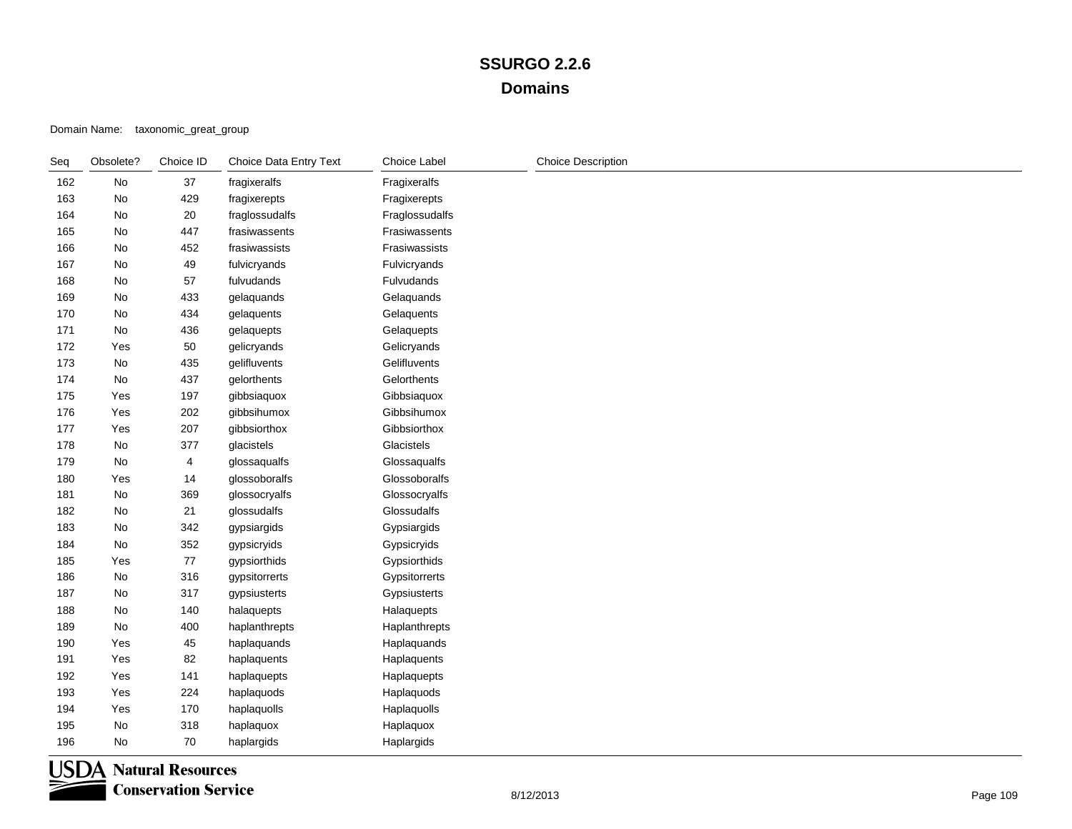| Seq | Obsolete? | Choice ID      | Choice Data Entry Text | Choice Label   | <b>Choice Description</b> |
|-----|-----------|----------------|------------------------|----------------|---------------------------|
| 162 | No        | 37             | fragixeralfs           | Fragixeralfs   |                           |
| 163 | No        | 429            | fragixerepts           | Fragixerepts   |                           |
| 164 | No        | $20\,$         | fraglossudalfs         | Fraglossudalfs |                           |
| 165 | No        | 447            | frasiwassents          | Frasiwassents  |                           |
| 166 | No        | 452            | frasiwassists          | Frasiwassists  |                           |
| 167 | No        | 49             | fulvicryands           | Fulvicryands   |                           |
| 168 | No        | 57             | fulvudands             | Fulvudands     |                           |
| 169 | No        | 433            | gelaquands             | Gelaquands     |                           |
| 170 | No        | 434            | gelaquents             | Gelaquents     |                           |
| 171 | No        | 436            | gelaquepts             | Gelaquepts     |                           |
| 172 | Yes       | 50             | gelicryands            | Gelicryands    |                           |
| 173 | No        | 435            | gelifluvents           | Gelifluvents   |                           |
| 174 | No        | 437            | gelorthents            | Gelorthents    |                           |
| 175 | Yes       | 197            | gibbsiaquox            | Gibbsiaquox    |                           |
| 176 | Yes       | 202            | gibbsihumox            | Gibbsihumox    |                           |
| 177 | Yes       | 207            | gibbsiorthox           | Gibbsiorthox   |                           |
| 178 | No        | 377            | glacistels             | Glacistels     |                           |
| 179 | No        | $\overline{4}$ | glossaqualfs           | Glossaqualfs   |                           |
| 180 | Yes       | 14             | glossoboralfs          | Glossoboralfs  |                           |
| 181 | No        | 369            | glossocryalfs          | Glossocryalfs  |                           |
| 182 | No        | 21             | glossudalfs            | Glossudalfs    |                           |
| 183 | No        | 342            | gypsiargids            | Gypsiargids    |                           |
| 184 | No        | 352            | gypsicryids            | Gypsicryids    |                           |
| 185 | Yes       | $77\,$         | gypsiorthids           | Gypsiorthids   |                           |
| 186 | No        | 316            | gypsitorrerts          | Gypsitorrerts  |                           |
| 187 | No        | 317            | gypsiusterts           | Gypsiusterts   |                           |
| 188 | No        | 140            | halaquepts             | Halaquepts     |                           |
| 189 | No        | 400            | haplanthrepts          | Haplanthrepts  |                           |
| 190 | Yes       | 45             | haplaquands            | Haplaquands    |                           |
| 191 | Yes       | 82             | haplaquents            | Haplaquents    |                           |
| 192 | Yes       | 141            | haplaquepts            | Haplaquepts    |                           |
| 193 | Yes       | 224            | haplaquods             | Haplaquods     |                           |
| 194 | Yes       | 170            | haplaquolls            | Haplaquolls    |                           |
| 195 | No        | 318            | haplaquox              | Haplaquox      |                           |
| 196 | No        | $70\,$         | haplargids             | Haplargids     |                           |

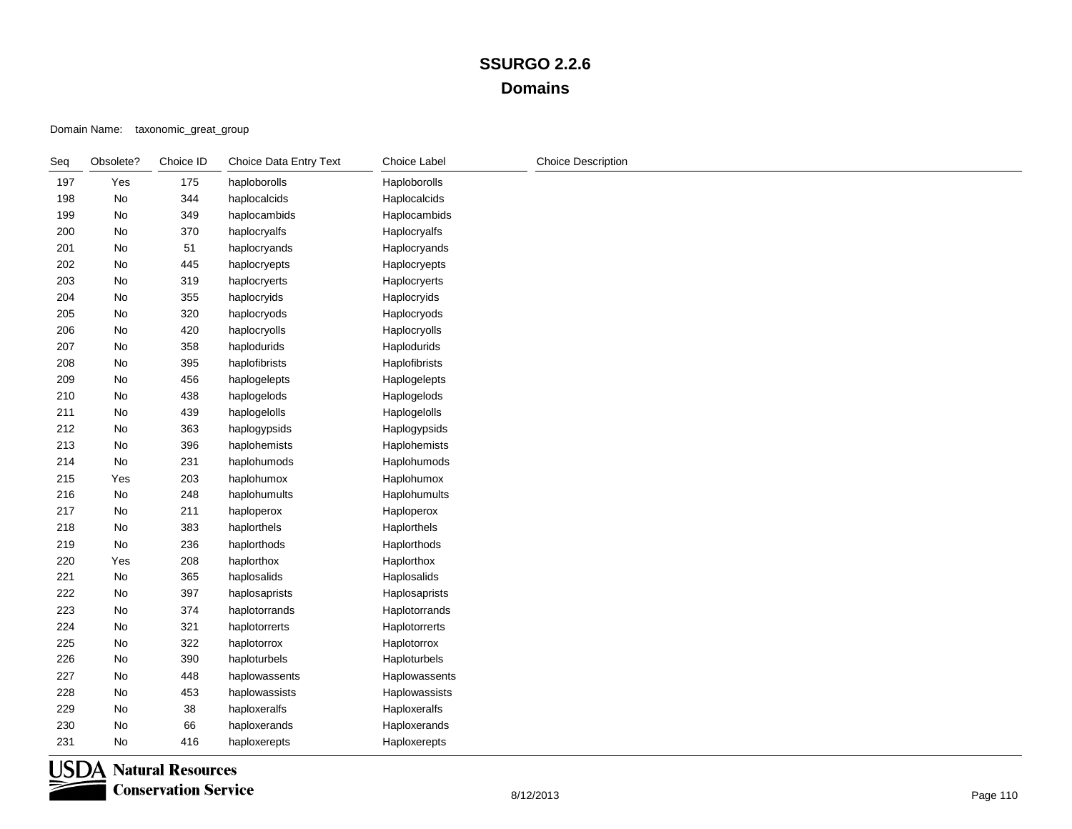| Seq | Obsolete?                    | Choice ID | Choice Data Entry Text | Choice Label  | <b>Choice Description</b> |
|-----|------------------------------|-----------|------------------------|---------------|---------------------------|
| 197 | Yes                          | 175       | haploborolls           | Haploborolls  |                           |
| 198 | No                           | 344       | haplocalcids           | Haplocalcids  |                           |
| 199 | No                           | 349       | haplocambids           | Haplocambids  |                           |
| 200 | No                           | 370       | haplocryalfs           | Haplocryalfs  |                           |
| 201 | No                           | 51        | haplocryands           | Haplocryands  |                           |
| 202 | $\operatorname{\mathsf{No}}$ | 445       | haplocryepts           | Haplocryepts  |                           |
| 203 | $\mathsf{No}$                | 319       | haplocryerts           | Haplocryerts  |                           |
| 204 | No                           | 355       | haplocryids            | Haplocryids   |                           |
| 205 | No                           | 320       | haplocryods            | Haplocryods   |                           |
| 206 | No                           | 420       | haplocryolls           | Haplocryolls  |                           |
| 207 | No                           | 358       | haplodurids            | Haplodurids   |                           |
| 208 | No                           | 395       | haplofibrists          | Haplofibrists |                           |
| 209 | No                           | 456       | haplogelepts           | Haplogelepts  |                           |
| 210 | No                           | 438       | haplogelods            | Haplogelods   |                           |
| 211 | No                           | 439       | haplogelolls           | Haplogelolls  |                           |
| 212 | No                           | 363       | haplogypsids           | Haplogypsids  |                           |
| 213 | No                           | 396       | haplohemists           | Haplohemists  |                           |
| 214 | No                           | 231       | haplohumods            | Haplohumods   |                           |
| 215 | Yes                          | 203       | haplohumox             | Haplohumox    |                           |
| 216 | No                           | 248       | haplohumults           | Haplohumults  |                           |
| 217 | No                           | 211       | haploperox             | Haploperox    |                           |
| 218 | No                           | 383       | haplorthels            | Haplorthels   |                           |
| 219 | $\operatorname{\mathsf{No}}$ | 236       | haplorthods            | Haplorthods   |                           |
| 220 | Yes                          | 208       | haplorthox             | Haplorthox    |                           |
| 221 | No                           | 365       | haplosalids            | Haplosalids   |                           |
| 222 | No                           | 397       | haplosaprists          | Haplosaprists |                           |
| 223 | No                           | 374       | haplotorrands          | Haplotorrands |                           |
| 224 | No                           | 321       | haplotorrerts          | Haplotorrerts |                           |
| 225 | No                           | 322       | haplotorrox            | Haplotorrox   |                           |
| 226 | No                           | 390       | haploturbels           | Haploturbels  |                           |
| 227 | No                           | 448       | haplowassents          | Haplowassents |                           |
| 228 | No                           | 453       | haplowassists          | Haplowassists |                           |
| 229 | No                           | 38        | haploxeralfs           | Haploxeralfs  |                           |
| 230 | No                           | 66        | haploxerands           | Haploxerands  |                           |
| 231 | No                           | 416       | haploxerepts           | Haploxerepts  |                           |

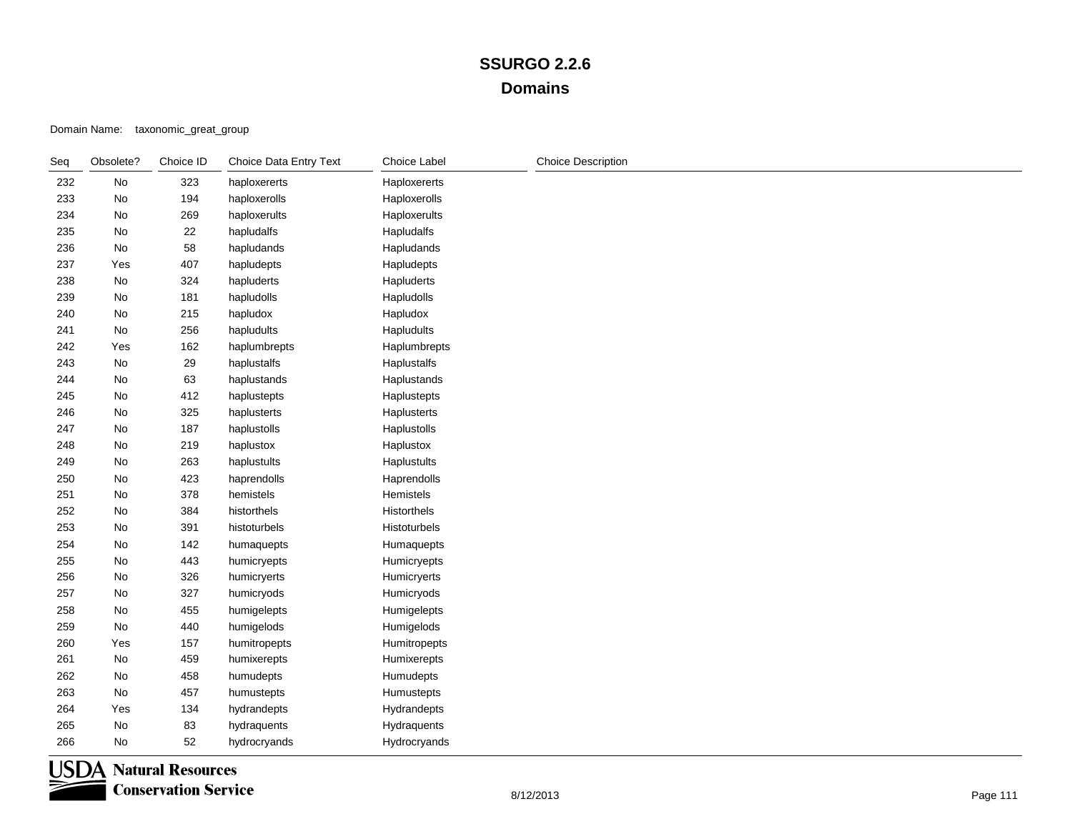| Seq | Obsolete?                    | Choice ID | Choice Data Entry Text | Choice Label | <b>Choice Description</b> |
|-----|------------------------------|-----------|------------------------|--------------|---------------------------|
| 232 | $\operatorname{\mathsf{No}}$ | 323       | haploxererts           | Haploxererts |                           |
| 233 | No                           | 194       | haploxerolls           | Haploxerolls |                           |
| 234 | No                           | 269       | haploxerults           | Haploxerults |                           |
| 235 | No                           | 22        | hapludalfs             | Hapludalfs   |                           |
| 236 | No                           | 58        | hapludands             | Hapludands   |                           |
| 237 | Yes                          | 407       | hapludepts             | Hapludepts   |                           |
| 238 | No                           | 324       | hapluderts             | Hapluderts   |                           |
| 239 | No                           | 181       | hapludolls             | Hapludolls   |                           |
| 240 | No                           | 215       | hapludox               | Hapludox     |                           |
| 241 | No                           | 256       | hapludults             | Hapludults   |                           |
| 242 | Yes                          | 162       | haplumbrepts           | Haplumbrepts |                           |
| 243 | No                           | 29        | haplustalfs            | Haplustalfs  |                           |
| 244 | No                           | 63        | haplustands            | Haplustands  |                           |
| 245 | No                           | 412       | haplustepts            | Haplustepts  |                           |
| 246 | No                           | 325       | haplusterts            | Haplusterts  |                           |
| 247 | No                           | 187       | haplustolls            | Haplustolls  |                           |
| 248 | No                           | 219       | haplustox              | Haplustox    |                           |
| 249 | No                           | 263       | haplustults            | Haplustults  |                           |
| 250 | No                           | 423       | haprendolls            | Haprendolls  |                           |
| 251 | No                           | 378       | hemistels              | Hemistels    |                           |
| 252 | No                           | 384       | historthels            | Historthels  |                           |
| 253 | No                           | 391       | histoturbels           | Histoturbels |                           |
| 254 | No                           | 142       | humaquepts             | Humaquepts   |                           |
| 255 | No                           | 443       | humicryepts            | Humicryepts  |                           |
| 256 | No                           | 326       | humicryerts            | Humicryerts  |                           |
| 257 | No                           | 327       | humicryods             | Humicryods   |                           |
| 258 | No                           | 455       | humigelepts            | Humigelepts  |                           |
| 259 | No                           | 440       | humigelods             | Humigelods   |                           |
| 260 | Yes                          | 157       | humitropepts           | Humitropepts |                           |
| 261 | No                           | 459       | humixerepts            | Humixerepts  |                           |
| 262 | No                           | 458       | humudepts              | Humudepts    |                           |
| 263 | No                           | 457       | humustepts             | Humustepts   |                           |
| 264 | Yes                          | 134       | hydrandepts            | Hydrandepts  |                           |
| 265 | No                           | 83        | hydraquents            | Hydraquents  |                           |
| 266 | No                           | 52        | hydrocryands           | Hydrocryands |                           |

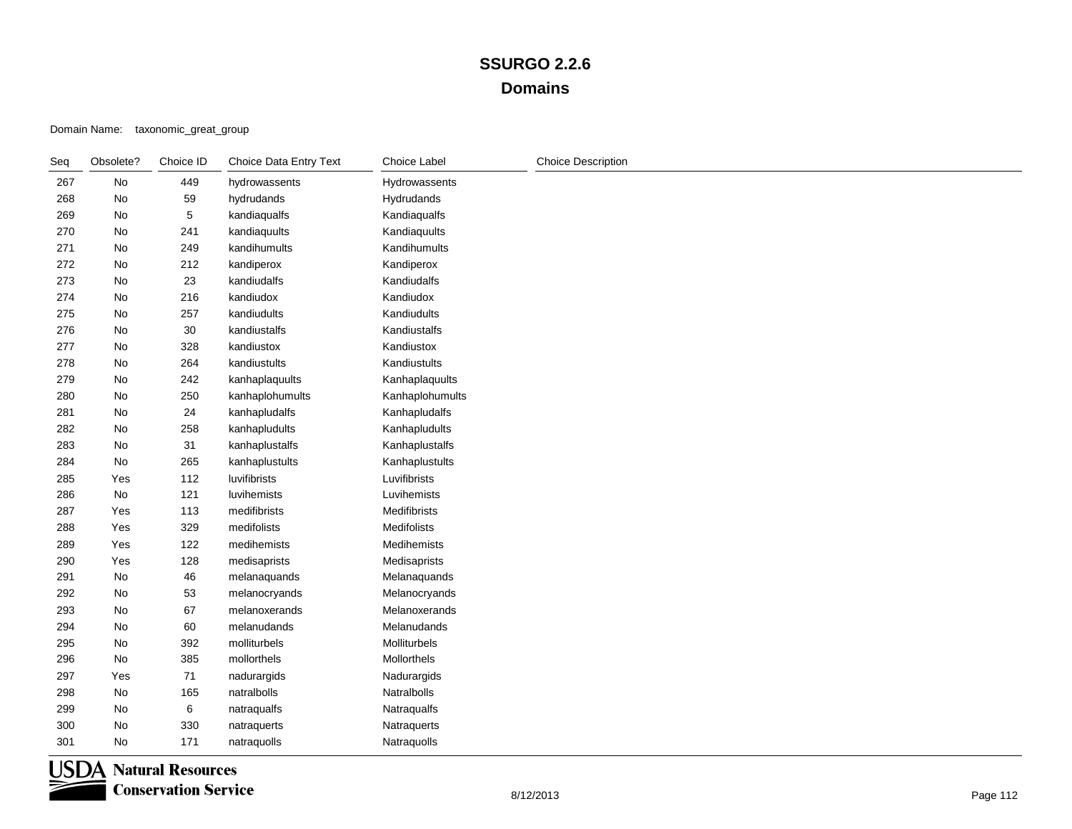Domain Name: taxonomic\_great\_group

| Seq | Obsolete? | Choice ID | Choice Data Entry Text | Choice Label       | <b>Choice Description</b> |
|-----|-----------|-----------|------------------------|--------------------|---------------------------|
| 267 | No        | 449       | hydrowassents          | Hydrowassents      |                           |
| 268 | No        | 59        | hydrudands             | Hydrudands         |                           |
| 269 | No        | 5         | kandiaqualfs           | Kandiaqualfs       |                           |
| 270 | No        | 241       | kandiaquults           | Kandiaquults       |                           |
| 271 | No        | 249       | kandihumults           | Kandihumults       |                           |
| 272 | No        | 212       | kandiperox             | Kandiperox         |                           |
| 273 | No        | 23        | kandiudalfs            | Kandiudalfs        |                           |
| 274 | No        | 216       | kandiudox              | Kandiudox          |                           |
| 275 | No        | 257       | kandiudults            | Kandiudults        |                           |
| 276 | No        | $30\,$    | kandiustalfs           | Kandiustalfs       |                           |
| 277 | No        | 328       | kandiustox             | Kandiustox         |                           |
| 278 | No        | 264       | kandiustults           | Kandiustults       |                           |
| 279 | No        | 242       | kanhaplaquults         | Kanhaplaquults     |                           |
| 280 | No        | 250       | kanhaplohumults        | Kanhaplohumults    |                           |
| 281 | No        | 24        | kanhapludalfs          | Kanhapludalfs      |                           |
| 282 | No        | 258       | kanhapludults          | Kanhapludults      |                           |
| 283 | No        | 31        | kanhaplustalfs         | Kanhaplustalfs     |                           |
| 284 | No        | 265       | kanhaplustults         | Kanhaplustults     |                           |
| 285 | Yes       | 112       | luvifibrists           | Luvifibrists       |                           |
| 286 | No        | 121       | luvihemists            | Luvihemists        |                           |
| 287 | Yes       | 113       | medifibrists           | Medifibrists       |                           |
| 288 | Yes       | 329       | medifolists            | <b>Medifolists</b> |                           |
| 289 | Yes       | 122       | medihemists            | Medihemists        |                           |
| 290 | Yes       | 128       | medisaprists           | Medisaprists       |                           |
| 291 | No        | 46        | melanaquands           | Melanaquands       |                           |
| 292 | No        | 53        | melanocryands          | Melanocryands      |                           |
| 293 | No        | 67        | melanoxerands          | Melanoxerands      |                           |
| 294 | No        | 60        | melanudands            | Melanudands        |                           |
| 295 | No        | 392       | molliturbels           | Molliturbels       |                           |
| 296 | No        | 385       | mollorthels            | Mollorthels        |                           |
| 297 | Yes       | 71        | nadurargids            | Nadurargids        |                           |
| 298 | No        | 165       | natralbolls            | Natralbolls        |                           |
| 299 | No        | 6         | natraqualfs            | Natraqualfs        |                           |
| 300 | No        | 330       | natraquerts            | Natraquerts        |                           |
| 301 | No        | 171       | natraquolls            | Natraquolls        |                           |

**USDA** Natural Resources **Conservation Service**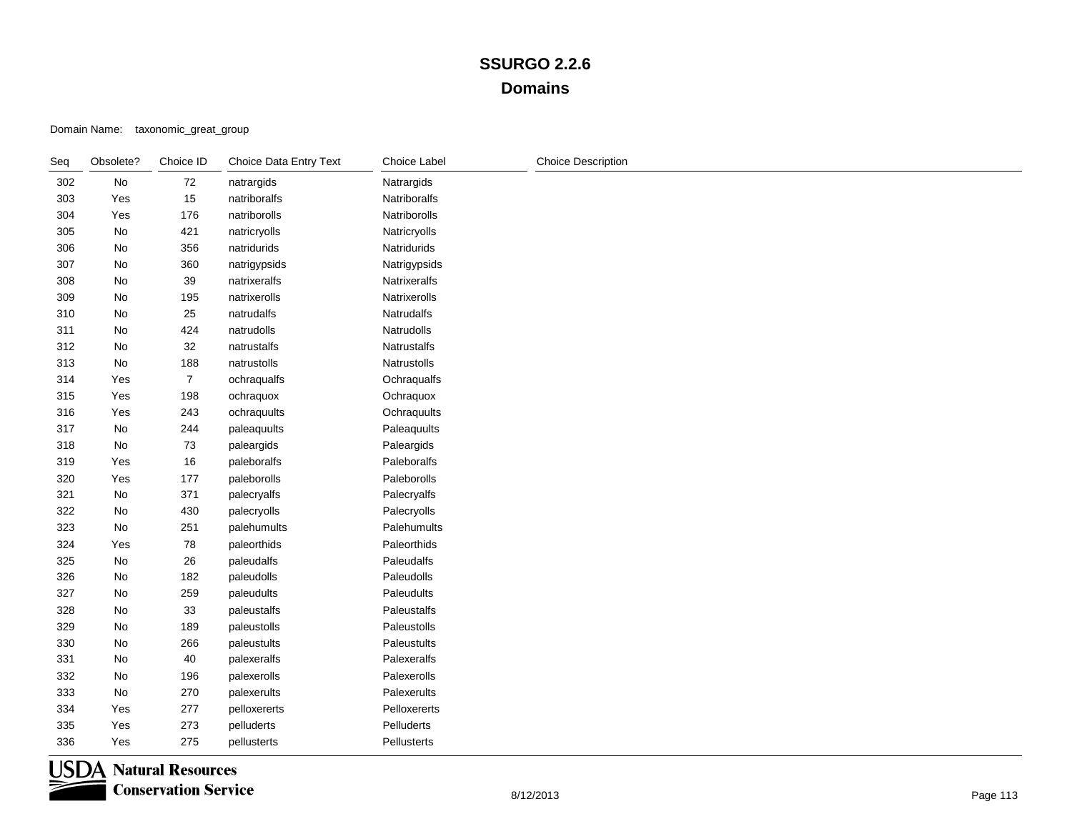| Seq | Obsolete? | Choice ID      | Choice Data Entry Text | Choice Label | <b>Choice Description</b> |
|-----|-----------|----------------|------------------------|--------------|---------------------------|
| 302 | No        | 72             | natrargids             | Natrargids   |                           |
| 303 | Yes       | 15             | natriboralfs           | Natriboralfs |                           |
| 304 | Yes       | 176            | natriborolls           | Natriborolls |                           |
| 305 | No        | 421            | natricryolls           | Natricryolls |                           |
| 306 | No        | 356            | natridurids            | Natridurids  |                           |
| 307 | No        | 360            | natrigypsids           | Natrigypsids |                           |
| 308 | No        | 39             | natrixeralfs           | Natrixeralfs |                           |
| 309 | No        | 195            | natrixerolls           | Natrixerolls |                           |
| 310 | No        | $25\,$         | natrudalfs             | Natrudalfs   |                           |
| 311 | No        | 424            | natrudolls             | Natrudolls   |                           |
| 312 | No        | 32             | natrustalfs            | Natrustalfs  |                           |
| 313 | No        | 188            | natrustolls            | Natrustolls  |                           |
| 314 | Yes       | $\overline{7}$ | ochraqualfs            | Ochraqualfs  |                           |
| 315 | Yes       | 198            | ochraquox              | Ochraquox    |                           |
| 316 | Yes       | 243            | ochraquults            | Ochraquults  |                           |
| 317 | No        | 244            | paleaquults            | Paleaquults  |                           |
| 318 | No        | 73             | paleargids             | Paleargids   |                           |
| 319 | Yes       | 16             | paleboralfs            | Paleboralfs  |                           |
| 320 | Yes       | 177            | paleborolls            | Paleborolls  |                           |
| 321 | No        | 371            | palecryalfs            | Palecryalfs  |                           |
| 322 | No        | 430            | palecryolls            | Palecryolls  |                           |
| 323 | No        | 251            | palehumults            | Palehumults  |                           |
| 324 | Yes       | 78             | paleorthids            | Paleorthids  |                           |
| 325 | No        | 26             | paleudalfs             | Paleudalfs   |                           |
| 326 | No        | 182            | paleudolls             | Paleudolls   |                           |
| 327 | No        | 259            | paleudults             | Paleudults   |                           |
| 328 | No        | 33             | paleustalfs            | Paleustalfs  |                           |
| 329 | No        | 189            | paleustolls            | Paleustolls  |                           |
| 330 | No        | 266            | paleustults            | Paleustults  |                           |
| 331 | No        | 40             | palexeralfs            | Palexeralfs  |                           |
| 332 | No        | 196            | palexerolls            | Palexerolls  |                           |
| 333 | No        | 270            | palexerults            | Palexerults  |                           |
| 334 | Yes       | 277            | pelloxererts           | Pelloxererts |                           |
| 335 | Yes       | 273            | pelluderts             | Pelluderts   |                           |
| 336 | Yes       | 275            | pellusterts            | Pellusterts  |                           |

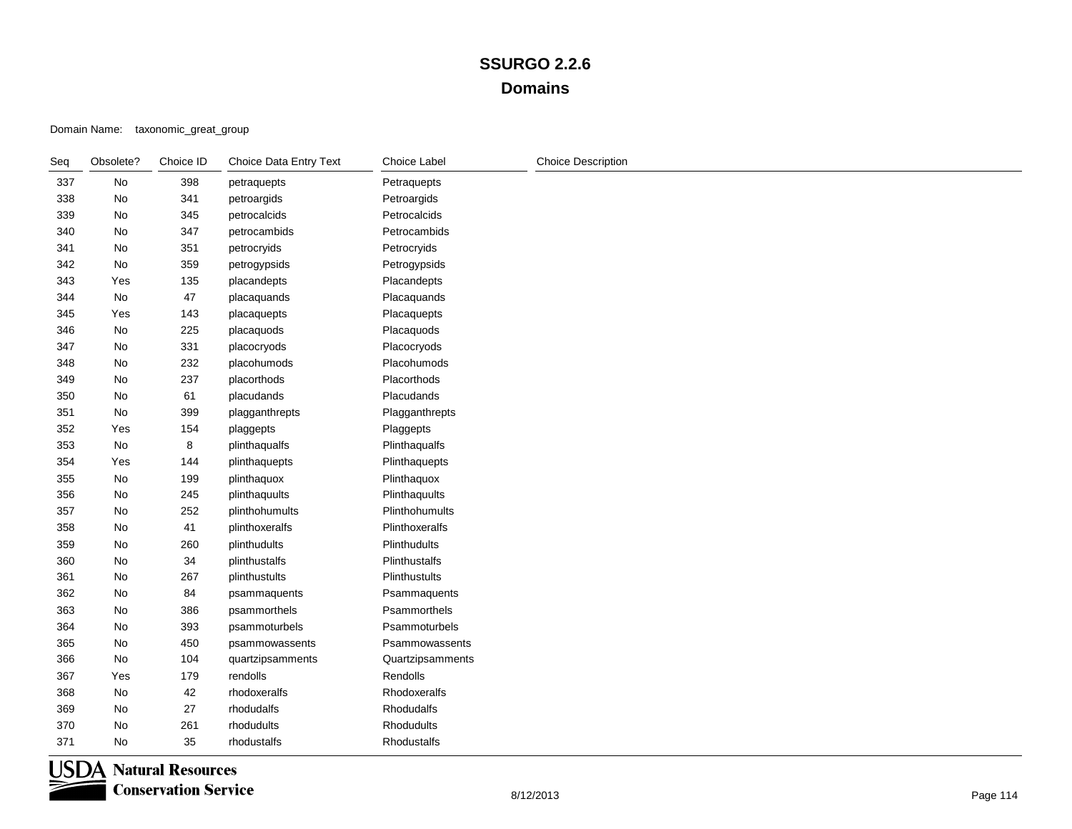| Seq | Obsolete? | Choice ID | Choice Data Entry Text | Choice Label     | <b>Choice Description</b> |
|-----|-----------|-----------|------------------------|------------------|---------------------------|
| 337 | No        | 398       | petraquepts            | Petraquepts      |                           |
| 338 | No        | 341       | petroargids            | Petroargids      |                           |
| 339 | No        | 345       | petrocalcids           | Petrocalcids     |                           |
| 340 | No        | 347       | petrocambids           | Petrocambids     |                           |
| 341 | No        | 351       | petrocryids            | Petrocryids      |                           |
| 342 | No        | 359       | petrogypsids           | Petrogypsids     |                           |
| 343 | Yes       | 135       | placandepts            | Placandepts      |                           |
| 344 | No        | 47        | placaquands            | Placaquands      |                           |
| 345 | Yes       | 143       | placaquepts            | Placaquepts      |                           |
| 346 | No        | 225       | placaquods             | Placaquods       |                           |
| 347 | No        | 331       | placocryods            | Placocryods      |                           |
| 348 | No        | 232       | placohumods            | Placohumods      |                           |
| 349 | No        | 237       | placorthods            | Placorthods      |                           |
| 350 | No        | 61        | placudands             | Placudands       |                           |
| 351 | No        | 399       | plagganthrepts         | Plagganthrepts   |                           |
| 352 | Yes       | 154       | plaggepts              | Plaggepts        |                           |
| 353 | No        | 8         | plinthaqualfs          | Plinthaqualfs    |                           |
| 354 | Yes       | 144       | plinthaquepts          | Plinthaquepts    |                           |
| 355 | No        | 199       | plinthaquox            | Plinthaquox      |                           |
| 356 | No        | 245       | plinthaquults          | Plinthaquults    |                           |
| 357 | No        | 252       | plinthohumults         | Plinthohumults   |                           |
| 358 | No        | 41        | plinthoxeralfs         | Plinthoxeralfs   |                           |
| 359 | No        | 260       | plinthudults           | Plinthudults     |                           |
| 360 | No        | 34        | plinthustalfs          | Plinthustalfs    |                           |
| 361 | No        | 267       | plinthustults          | Plinthustults    |                           |
| 362 | No        | 84        | psammaquents           | Psammaquents     |                           |
| 363 | No        | 386       | psammorthels           | Psammorthels     |                           |
| 364 | No        | 393       | psammoturbels          | Psammoturbels    |                           |
| 365 | No        | 450       | psammowassents         | Psammowassents   |                           |
| 366 | No        | 104       | quartzipsamments       | Quartzipsamments |                           |
| 367 | Yes       | 179       | rendolls               | Rendolls         |                           |
| 368 | No        | 42        | rhodoxeralfs           | Rhodoxeralfs     |                           |
| 369 | No        | 27        | rhodudalfs             | Rhodudalfs       |                           |
| 370 | No        | 261       | rhodudults             | Rhodudults       |                           |
| 371 | No        | 35        | rhodustalfs            | Rhodustalfs      |                           |

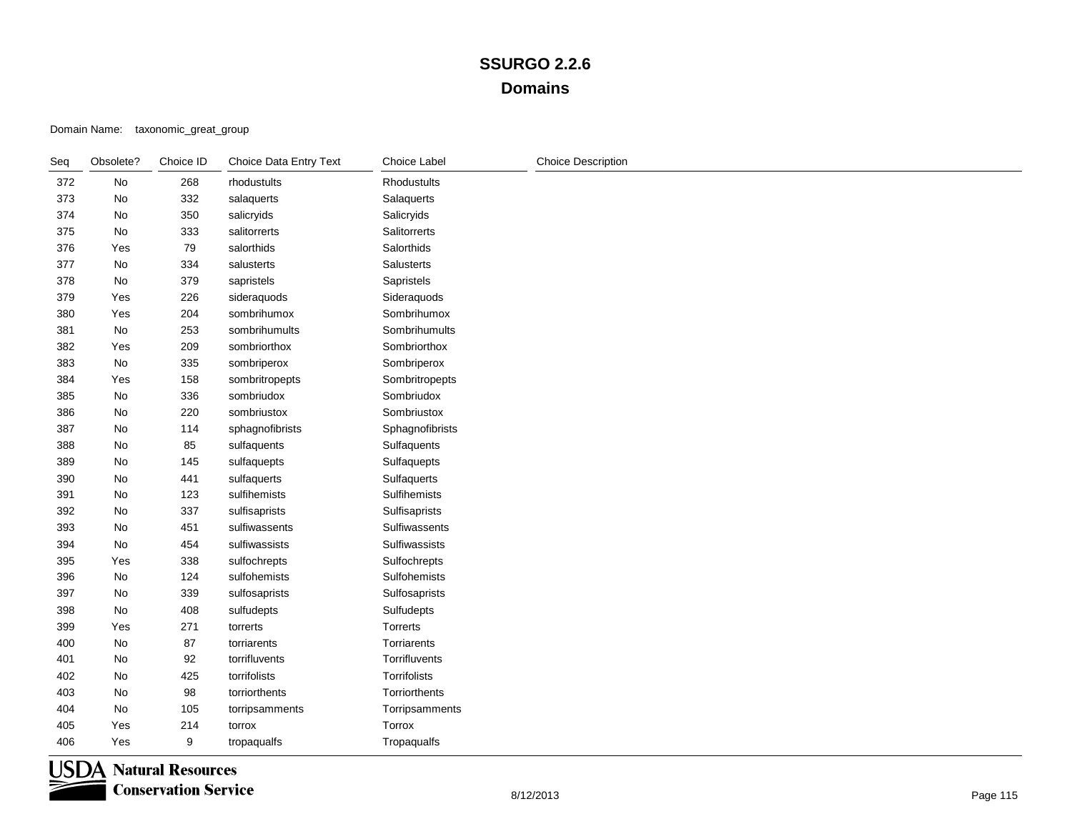| Seq | Obsolete? | Choice ID | Choice Data Entry Text | Choice Label    | <b>Choice Description</b> |
|-----|-----------|-----------|------------------------|-----------------|---------------------------|
| 372 | No        | 268       | rhodustults            | Rhodustults     |                           |
| 373 | No        | 332       | salaquerts             | Salaquerts      |                           |
| 374 | No        | 350       | salicryids             | Salicryids      |                           |
| 375 | No        | 333       | salitorrerts           | Salitorrerts    |                           |
| 376 | Yes       | 79        | salorthids             | Salorthids      |                           |
| 377 | No        | 334       | salusterts             | Salusterts      |                           |
| 378 | No        | 379       | sapristels             | Sapristels      |                           |
| 379 | Yes       | 226       | sideraquods            | Sideraquods     |                           |
| 380 | Yes       | 204       | sombrihumox            | Sombrihumox     |                           |
| 381 | No        | 253       | sombrihumults          | Sombrihumults   |                           |
| 382 | Yes       | 209       | sombriorthox           | Sombriorthox    |                           |
| 383 | No        | 335       | sombriperox            | Sombriperox     |                           |
| 384 | Yes       | 158       | sombritropepts         | Sombritropepts  |                           |
| 385 | No        | 336       | sombriudox             | Sombriudox      |                           |
| 386 | No        | 220       | sombriustox            | Sombriustox     |                           |
| 387 | No        | 114       | sphagnofibrists        | Sphagnofibrists |                           |
| 388 | No        | 85        | sulfaquents            | Sulfaquents     |                           |
| 389 | No        | 145       | sulfaquepts            | Sulfaquepts     |                           |
| 390 | No        | 441       | sulfaquerts            | Sulfaquerts     |                           |
| 391 | No        | 123       | sulfihemists           | Sulfihemists    |                           |
| 392 | No        | 337       | sulfisaprists          | Sulfisaprists   |                           |
| 393 | No        | 451       | sulfiwassents          | Sulfiwassents   |                           |
| 394 | No        | 454       | sulfiwassists          | Sulfiwassists   |                           |
| 395 | Yes       | 338       | sulfochrepts           | Sulfochrepts    |                           |
| 396 | No        | 124       | sulfohemists           | Sulfohemists    |                           |
| 397 | No        | 339       | sulfosaprists          | Sulfosaprists   |                           |
| 398 | No        | 408       | sulfudepts             | Sulfudepts      |                           |
| 399 | Yes       | 271       | torrerts               | Torrerts        |                           |
| 400 | No        | 87        | torriarents            | Torriarents     |                           |
| 401 | No        | 92        | torrifluvents          | Torrifluvents   |                           |
| 402 | No        | 425       | torrifolists           | Torrifolists    |                           |
| 403 | No        | 98        | torriorthents          | Torriorthents   |                           |
| 404 | No        | 105       | torripsamments         | Torripsamments  |                           |
| 405 | Yes       | 214       | torrox                 | Torrox          |                           |
| 406 | Yes       | 9         | tropaqualfs            | Tropaqualfs     |                           |

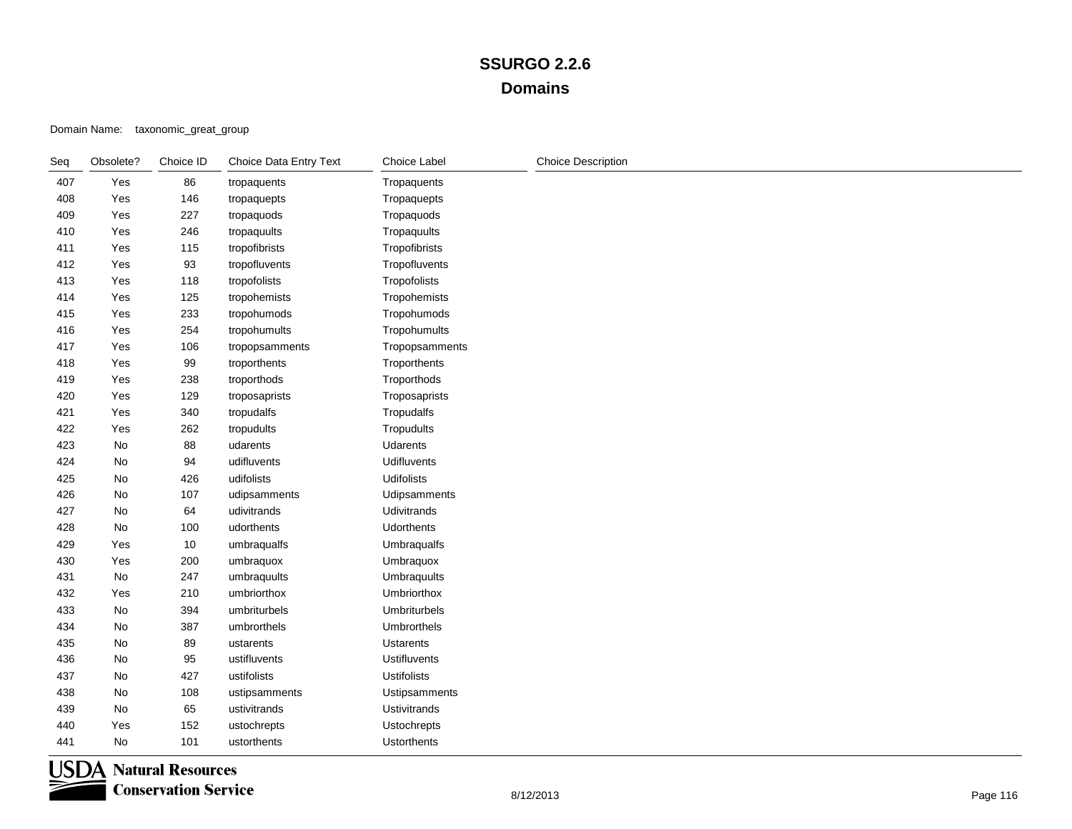| Seq | Obsolete? | Choice ID | Choice Data Entry Text | Choice Label        | <b>Choice Description</b> |
|-----|-----------|-----------|------------------------|---------------------|---------------------------|
| 407 | Yes       | 86        | tropaquents            | Tropaquents         |                           |
| 408 | Yes       | 146       | tropaquepts            | Tropaquepts         |                           |
| 409 | Yes       | 227       | tropaquods             | Tropaquods          |                           |
| 410 | Yes       | 246       | tropaquults            | Tropaquults         |                           |
| 411 | Yes       | 115       | tropofibrists          | Tropofibrists       |                           |
| 412 | Yes       | 93        | tropofluvents          | Tropofluvents       |                           |
| 413 | Yes       | 118       | tropofolists           | Tropofolists        |                           |
| 414 | Yes       | 125       | tropohemists           | Tropohemists        |                           |
| 415 | Yes       | 233       | tropohumods            | Tropohumods         |                           |
| 416 | Yes       | 254       | tropohumults           | Tropohumults        |                           |
| 417 | Yes       | 106       | tropopsamments         | Tropopsamments      |                           |
| 418 | Yes       | 99        | troporthents           | Troporthents        |                           |
| 419 | Yes       | 238       | troporthods            | Troporthods         |                           |
| 420 | Yes       | 129       | troposaprists          | Troposaprists       |                           |
| 421 | Yes       | 340       | tropudalfs             | Tropudalfs          |                           |
| 422 | Yes       | 262       | tropudults             | Tropudults          |                           |
| 423 | No        | 88        | udarents               | Udarents            |                           |
| 424 | No        | 94        | udifluvents            | <b>Udifluvents</b>  |                           |
| 425 | No        | 426       | udifolists             | <b>Udifolists</b>   |                           |
| 426 | No        | 107       | udipsamments           | Udipsamments        |                           |
| 427 | No        | 64        | udivitrands            | <b>Udivitrands</b>  |                           |
| 428 | No        | 100       | udorthents             | <b>Udorthents</b>   |                           |
| 429 | Yes       | $10\,$    | umbraqualfs            | Umbraqualfs         |                           |
| 430 | Yes       | 200       | umbraquox              | Umbraquox           |                           |
| 431 | No        | 247       | umbraquults            | Umbraquults         |                           |
| 432 | Yes       | 210       | umbriorthox            | Umbriorthox         |                           |
| 433 | No        | 394       | umbriturbels           | Umbriturbels        |                           |
| 434 | No        | 387       | umbrorthels            | Umbrorthels         |                           |
| 435 | No        | 89        | ustarents              | Ustarents           |                           |
| 436 | No        | 95        | ustifluvents           | <b>Ustifluvents</b> |                           |
| 437 | No        | 427       | ustifolists            | <b>Ustifolists</b>  |                           |
| 438 | No        | 108       | ustipsamments          | Ustipsamments       |                           |
| 439 | No        | 65        | ustivitrands           | <b>Ustivitrands</b> |                           |
| 440 | Yes       | 152       | ustochrepts            | Ustochrepts         |                           |
| 441 | No        | 101       | ustorthents            | <b>Ustorthents</b>  |                           |

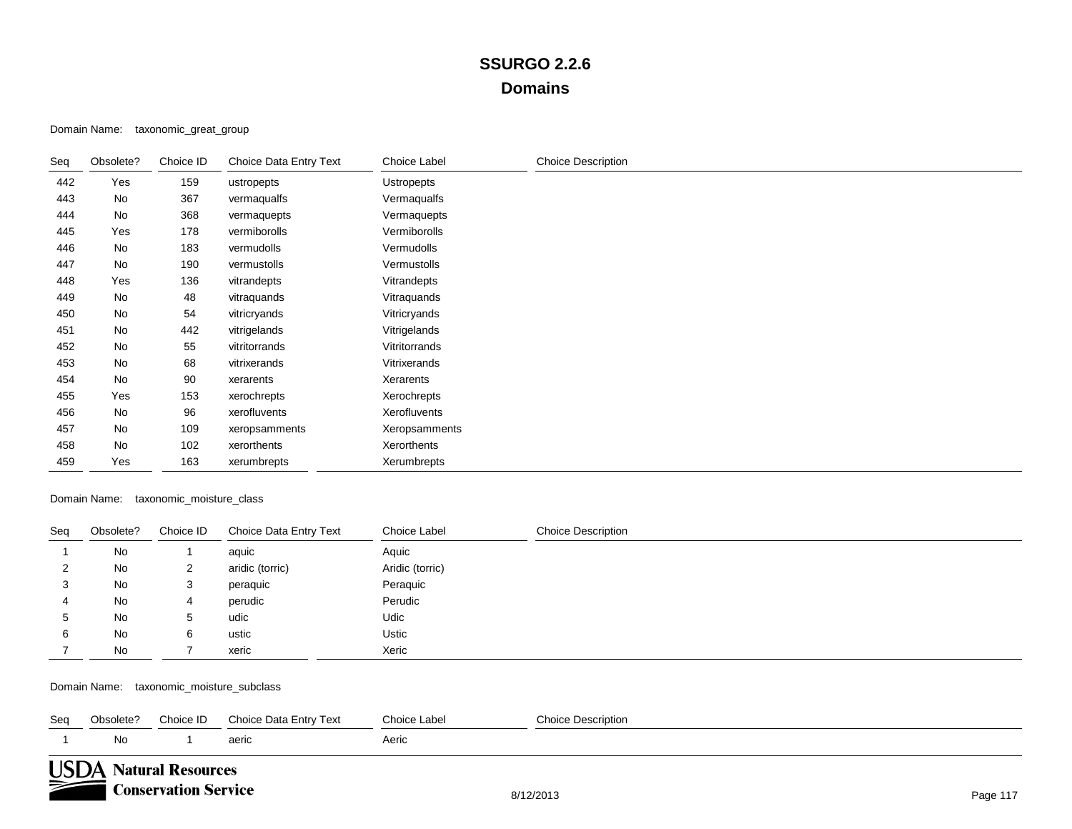Domain Name: taxonomic\_great\_group

| Seq | Obsolete? | Choice ID | Choice Data Entry Text | Choice Label  | <b>Choice Description</b> |
|-----|-----------|-----------|------------------------|---------------|---------------------------|
| 442 | Yes       | 159       | ustropepts             | Ustropepts    |                           |
| 443 | No        | 367       | vermaqualfs            | Vermaqualfs   |                           |
| 444 | No        | 368       | vermaquepts            | Vermaquepts   |                           |
| 445 | Yes       | 178       | vermiborolls           | Vermiborolls  |                           |
| 446 | No        | 183       | vermudolls             | Vermudolls    |                           |
| 447 | No        | 190       | vermustolls            | Vermustolls   |                           |
| 448 | Yes       | 136       | vitrandepts            | Vitrandepts   |                           |
| 449 | No        | 48        | vitraquands            | Vitraquands   |                           |
| 450 | No        | 54        | vitricryands           | Vitricryands  |                           |
| 451 | No        | 442       | vitrigelands           | Vitrigelands  |                           |
| 452 | <b>No</b> | 55        | vitritorrands          | Vitritorrands |                           |
| 453 | No        | 68        | vitrixerands           | Vitrixerands  |                           |
| 454 | No        | 90        | xerarents              | Xerarents     |                           |
| 455 | Yes       | 153       | xerochrepts            | Xerochrepts   |                           |
| 456 | No        | 96        | xerofluvents           | Xerofluvents  |                           |
| 457 | No        | 109       | xeropsamments          | Xeropsamments |                           |
| 458 | No        | 102       | xerorthents            | Xerorthents   |                           |
| 459 | Yes       | 163       | xerumbrepts            | Xerumbrepts   |                           |

Domain Name: taxonomic\_moisture\_class

| Seq          | Obsolete? | Choice ID | Choice Data Entry Text | Choice Label    | <b>Choice Description</b> |
|--------------|-----------|-----------|------------------------|-----------------|---------------------------|
|              | No        |           | aquic                  | Aquic           |                           |
| 2            | No        | 2         | aridic (torric)        | Aridic (torric) |                           |
| 3            | No        | 3         | peraquic               | Peraquic        |                           |
| 4            | No        | 4         | perudic                | Perudic         |                           |
| $\mathbf{b}$ | No        | 5         | udic                   | Udic            |                           |
| 6            | No        | 6         | ustic                  | Ustic           |                           |
|              | No        |           | xeric                  | Xeric           |                           |

Domain Name: taxonomic\_moisture\_subclass

| Seg | Obsolete?                                             | Choice ID | Choice Data Entry Text | Choice Label | <b>Choice Description</b> |  |
|-----|-------------------------------------------------------|-----------|------------------------|--------------|---------------------------|--|
|     | No.                                                   |           | aeric                  | Aeric        |                           |  |
|     | <b>USDA Natural Resources</b><br>Conservation Service |           |                        |              |                           |  |

**Conservation Service**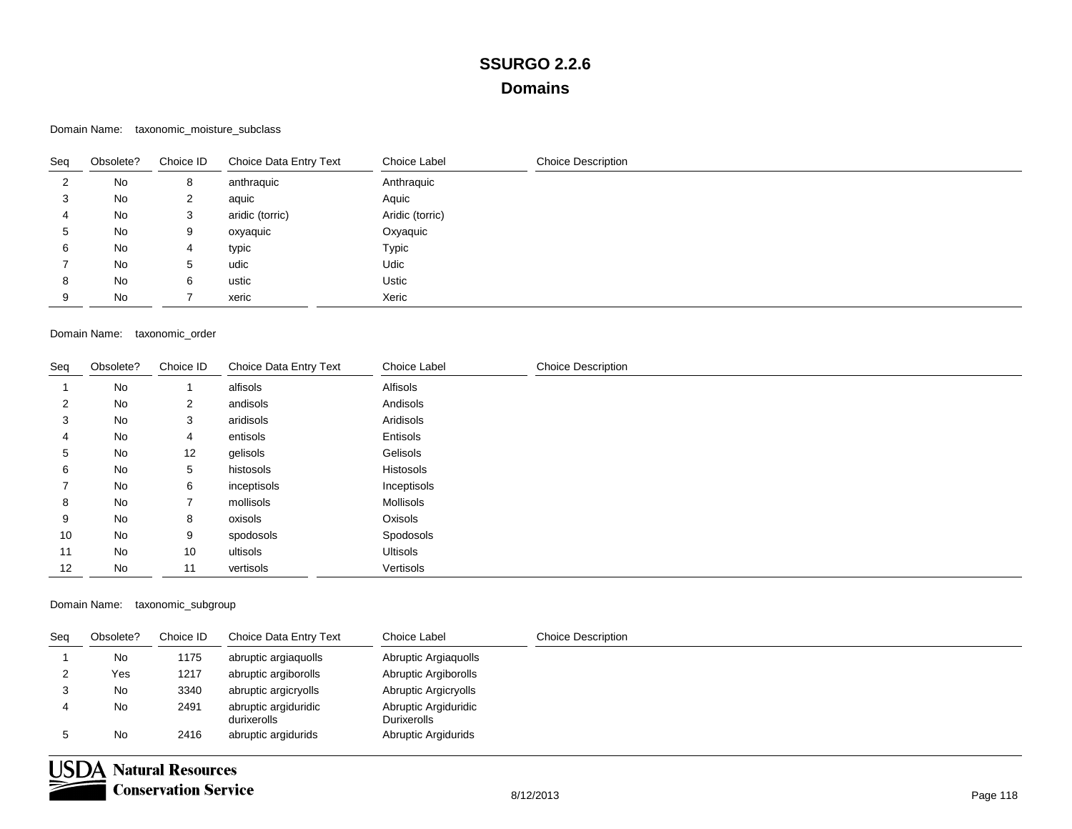### Domain Name: taxonomic\_moisture\_subclass

| Seq | Obsolete? | Choice ID | Choice Data Entry Text | Choice Label    | <b>Choice Description</b> |
|-----|-----------|-----------|------------------------|-----------------|---------------------------|
| 2   | No        | 8         | anthraquic             | Anthraquic      |                           |
| 3   | No        | 2         | aquic                  | Aquic           |                           |
| 4   | No        | 3         | aridic (torric)        | Aridic (torric) |                           |
| G.  | No        | 9         | oxyaquic               | Oxyaquic        |                           |
| 6   | No        | 4         | typic                  | Typic           |                           |
|     | No        | 5         | udic                   | Udic            |                           |
| 8   | No        | 6         | ustic                  | <b>Ustic</b>    |                           |
| 9   | No        |           | xeric                  | Xeric           |                           |

### Domain Name: taxonomic\_order

| Seq | Obsolete? | Choice ID      | Choice Data Entry Text | Choice Label    | <b>Choice Description</b> |
|-----|-----------|----------------|------------------------|-----------------|---------------------------|
|     | No        |                | alfisols               | Alfisols        |                           |
| 2   | No        | $\overline{2}$ | andisols               | Andisols        |                           |
| 3   | No        | 3              | aridisols              | Aridisols       |                           |
| 4   | No        | $\overline{4}$ | entisols               | Entisols        |                           |
| 5   | No        | 12             | gelisols               | Gelisols        |                           |
| 6   | No        | 5              | histosols              | Histosols       |                           |
|     | No        | 6              | inceptisols            | Inceptisols     |                           |
| 8   | No        | 7              | mollisols              | Mollisols       |                           |
| 9   | No        | 8              | oxisols                | Oxisols         |                           |
| 10  | No        | 9              | spodosols              | Spodosols       |                           |
| 11  | No        | 10             | ultisols               | <b>Ultisols</b> |                           |
| 12  | No        | 11             | vertisols              | Vertisols       |                           |

#### Domain Name: taxonomic\_subgroup

| Seg | Obsolete? | Choice ID | Choice Data Entry Text              | Choice Label                        | <b>Choice Description</b> |
|-----|-----------|-----------|-------------------------------------|-------------------------------------|---------------------------|
|     | No        | 1175      | abruptic argiaquolls                | Abruptic Argiaquolls                |                           |
| ∠   | Yes       | 1217      | abruptic argiborolls                | Abruptic Argiborolls                |                           |
| 3   | No        | 3340      | abruptic argicryolls                | Abruptic Argicryolls                |                           |
|     | No        | 2491      | abruptic argiduridic<br>durixerolls | Abruptic Argiduridic<br>Durixerolls |                           |
|     | No        | 2416      | abruptic argidurids                 | Abruptic Argidurids                 |                           |

**USDA** Natural Resources **Conservation Service**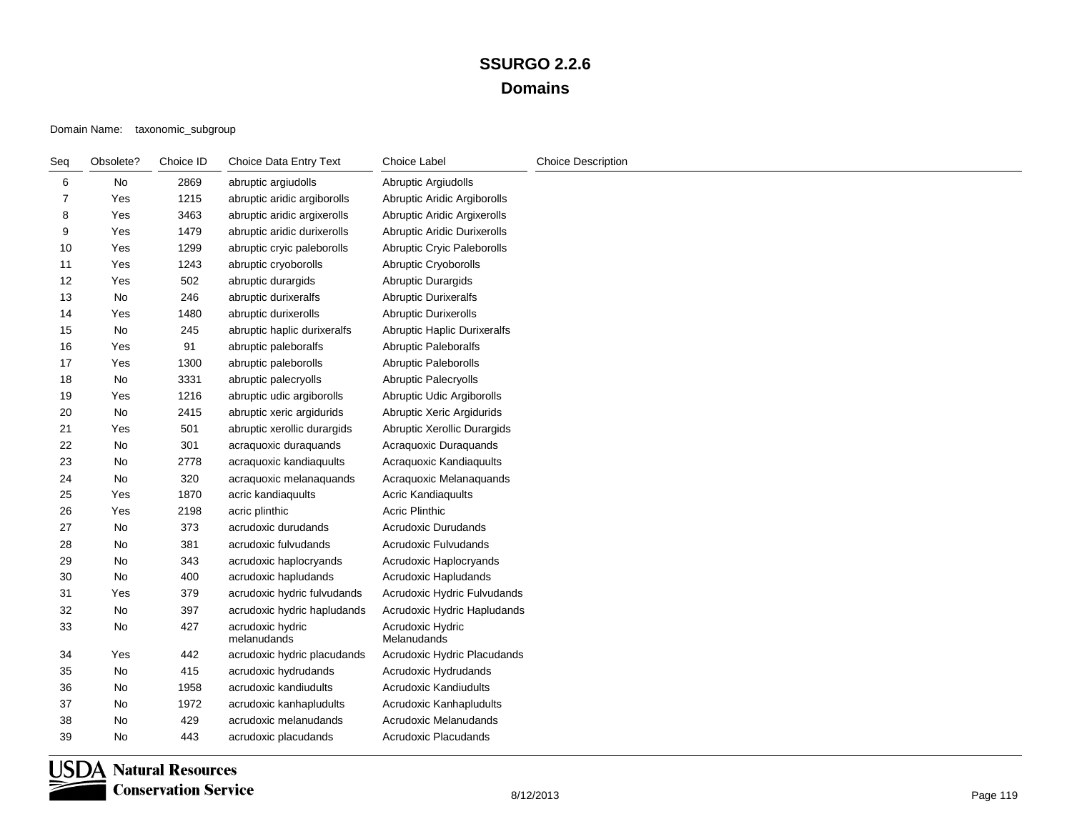### Domain Name: taxonomic\_subgroup

| Seq | Obsolete? | Choice ID | Choice Data Entry Text          | Choice Label                    | <b>Choice Description</b> |
|-----|-----------|-----------|---------------------------------|---------------------------------|---------------------------|
| 6   | No        | 2869      | abruptic argiudolls             | Abruptic Argiudolls             |                           |
| 7   | Yes       | 1215      | abruptic aridic argiborolls     | Abruptic Aridic Argiborolls     |                           |
| 8   | Yes       | 3463      | abruptic aridic argixerolls     | Abruptic Aridic Argixerolls     |                           |
| 9   | Yes       | 1479      | abruptic aridic durixerolls     | Abruptic Aridic Durixerolls     |                           |
| 10  | Yes       | 1299      | abruptic cryic paleborolls      | Abruptic Cryic Paleborolls      |                           |
| 11  | Yes       | 1243      | abruptic cryoborolls            | <b>Abruptic Cryoborolls</b>     |                           |
| 12  | Yes       | 502       | abruptic durargids              | Abruptic Durargids              |                           |
| 13  | No        | 246       | abruptic durixeralfs            | <b>Abruptic Durixeralfs</b>     |                           |
| 14  | Yes       | 1480      | abruptic durixerolls            | <b>Abruptic Durixerolls</b>     |                           |
| 15  | No        | 245       | abruptic haplic durixeralfs     | Abruptic Haplic Durixeralfs     |                           |
| 16  | Yes       | 91        | abruptic paleboralfs            | <b>Abruptic Paleboralfs</b>     |                           |
| 17  | Yes       | 1300      | abruptic paleborolls            | Abruptic Paleborolls            |                           |
| 18  | No        | 3331      | abruptic palecryolls            | Abruptic Palecryolls            |                           |
| 19  | Yes       | 1216      | abruptic udic argiborolls       | Abruptic Udic Argiborolls       |                           |
| 20  | No        | 2415      | abruptic xeric argidurids       | Abruptic Xeric Argidurids       |                           |
| 21  | Yes       | 501       | abruptic xerollic durargids     | Abruptic Xerollic Durargids     |                           |
| 22  | No        | 301       | acraquoxic duraquands           | Acraquoxic Duraquands           |                           |
| 23  | No        | 2778      | acraquoxic kandiaquults         | Acraquoxic Kandiaguults         |                           |
| 24  | No        | 320       | acraquoxic melanaquands         | Acraquoxic Melanaquands         |                           |
| 25  | Yes       | 1870      | acric kandiaquults              | <b>Acric Kandiaguults</b>       |                           |
| 26  | Yes       | 2198      | acric plinthic                  | <b>Acric Plinthic</b>           |                           |
| 27  | No        | 373       | acrudoxic durudands             | Acrudoxic Durudands             |                           |
| 28  | No        | 381       | acrudoxic fulvudands            | Acrudoxic Fulvudands            |                           |
| 29  | No        | 343       | acrudoxic haplocryands          | Acrudoxic Haplocryands          |                           |
| 30  | No        | 400       | acrudoxic hapludands            | Acrudoxic Hapludands            |                           |
| 31  | Yes       | 379       | acrudoxic hydric fulvudands     | Acrudoxic Hydric Fulvudands     |                           |
| 32  | No        | 397       | acrudoxic hydric hapludands     | Acrudoxic Hydric Hapludands     |                           |
| 33  | No        | 427       | acrudoxic hydric<br>melanudands | Acrudoxic Hydric<br>Melanudands |                           |
| 34  | Yes       | 442       | acrudoxic hydric placudands     | Acrudoxic Hydric Placudands     |                           |
| 35  | No        | 415       | acrudoxic hydrudands            | Acrudoxic Hydrudands            |                           |
| 36  | No        | 1958      | acrudoxic kandiudults           | <b>Acrudoxic Kandiudults</b>    |                           |
| 37  | No        | 1972      | acrudoxic kanhapludults         | Acrudoxic Kanhapludults         |                           |
| 38  | No        | 429       | acrudoxic melanudands           | Acrudoxic Melanudands           |                           |
| 39  | No        | 443       | acrudoxic placudands            | <b>Acrudoxic Placudands</b>     |                           |

**USDA** Natural Resources **Conservation Service**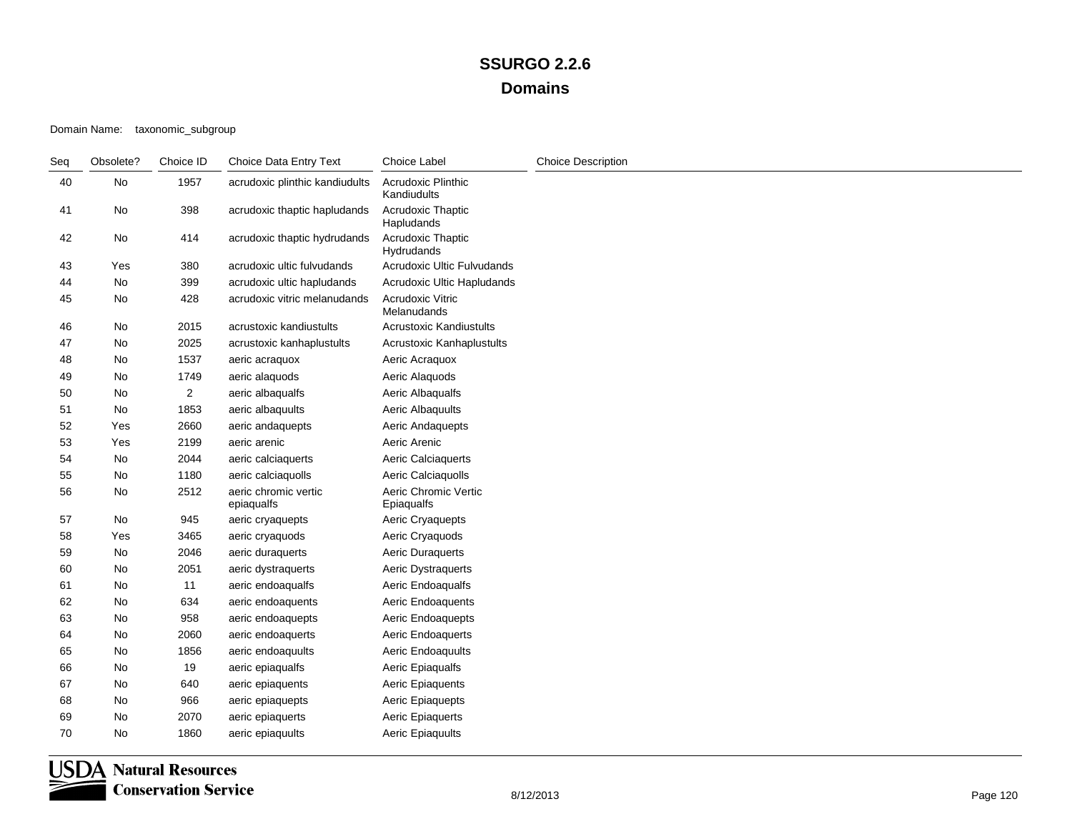| Seq | Obsolete? | Choice ID      | Choice Data Entry Text             | <b>Choice Label</b>                    | <b>Choice Description</b> |
|-----|-----------|----------------|------------------------------------|----------------------------------------|---------------------------|
| 40  | No        | 1957           | acrudoxic plinthic kandiudults     | Acrudoxic Plinthic<br>Kandiudults      |                           |
| 41  | No        | 398            | acrudoxic thaptic hapludands       | Acrudoxic Thaptic<br>Hapludands        |                           |
| 42  | No        | 414            | acrudoxic thaptic hydrudands       | Acrudoxic Thaptic<br>Hydrudands        |                           |
| 43  | Yes       | 380            | acrudoxic ultic fulvudands         | Acrudoxic Ultic Fulvudands             |                           |
| 44  | No        | 399            | acrudoxic ultic hapludands         | Acrudoxic Ultic Hapludands             |                           |
| 45  | No        | 428            | acrudoxic vitric melanudands       | <b>Acrudoxic Vitric</b><br>Melanudands |                           |
| 46  | No        | 2015           | acrustoxic kandiustults            | <b>Acrustoxic Kandiustults</b>         |                           |
| 47  | No        | 2025           | acrustoxic kanhaplustults          | Acrustoxic Kanhaplustults              |                           |
| 48  | No        | 1537           | aeric acraquox                     | Aeric Acraquox                         |                           |
| 49  | No        | 1749           | aeric alaquods                     | Aeric Alaquods                         |                           |
| 50  | No        | $\overline{c}$ | aeric albaqualfs                   | Aeric Albaqualfs                       |                           |
| 51  | No        | 1853           | aeric albaquults                   | Aeric Albaquults                       |                           |
| 52  | Yes       | 2660           | aeric andaquepts                   | Aeric Andaquepts                       |                           |
| 53  | Yes       | 2199           | aeric arenic                       | Aeric Arenic                           |                           |
| 54  | No        | 2044           | aeric calciaguerts                 | Aeric Calciaguerts                     |                           |
| 55  | No        | 1180           | aeric calciaquolls                 | Aeric Calciaquolls                     |                           |
| 56  | No        | 2512           | aeric chromic vertic<br>epiaqualfs | Aeric Chromic Vertic<br>Epiaqualfs     |                           |
| 57  | No        | 945            | aeric cryaquepts                   | Aeric Cryaquepts                       |                           |
| 58  | Yes       | 3465           | aeric cryaquods                    | Aeric Cryaquods                        |                           |
| 59  | No        | 2046           | aeric duraquerts                   | <b>Aeric Duraquerts</b>                |                           |
| 60  | No        | 2051           | aeric dystraquerts                 | Aeric Dystraquerts                     |                           |
| 61  | No        | 11             | aeric endoaqualfs                  | Aeric Endoaqualfs                      |                           |
| 62  | No        | 634            | aeric endoaquents                  | Aeric Endoaquents                      |                           |
| 63  | <b>No</b> | 958            | aeric endoaquepts                  | Aeric Endoaquepts                      |                           |
| 64  | No        | 2060           | aeric endoaquerts                  | Aeric Endoaquerts                      |                           |
| 65  | No        | 1856           | aeric endoaquults                  | Aeric Endoaquults                      |                           |
| 66  | <b>No</b> | 19             | aeric epiaqualfs                   | Aeric Epiaqualfs                       |                           |
| 67  | No        | 640            | aeric epiaquents                   | Aeric Epiaquents                       |                           |
| 68  | No        | 966            | aeric epiaquepts                   | Aeric Epiaquepts                       |                           |
| 69  | No        | 2070           | aeric epiaquerts                   | Aeric Epiaquerts                       |                           |
| 70  | No        | 1860           | aeric epiaquults                   | Aeric Epiaquults                       |                           |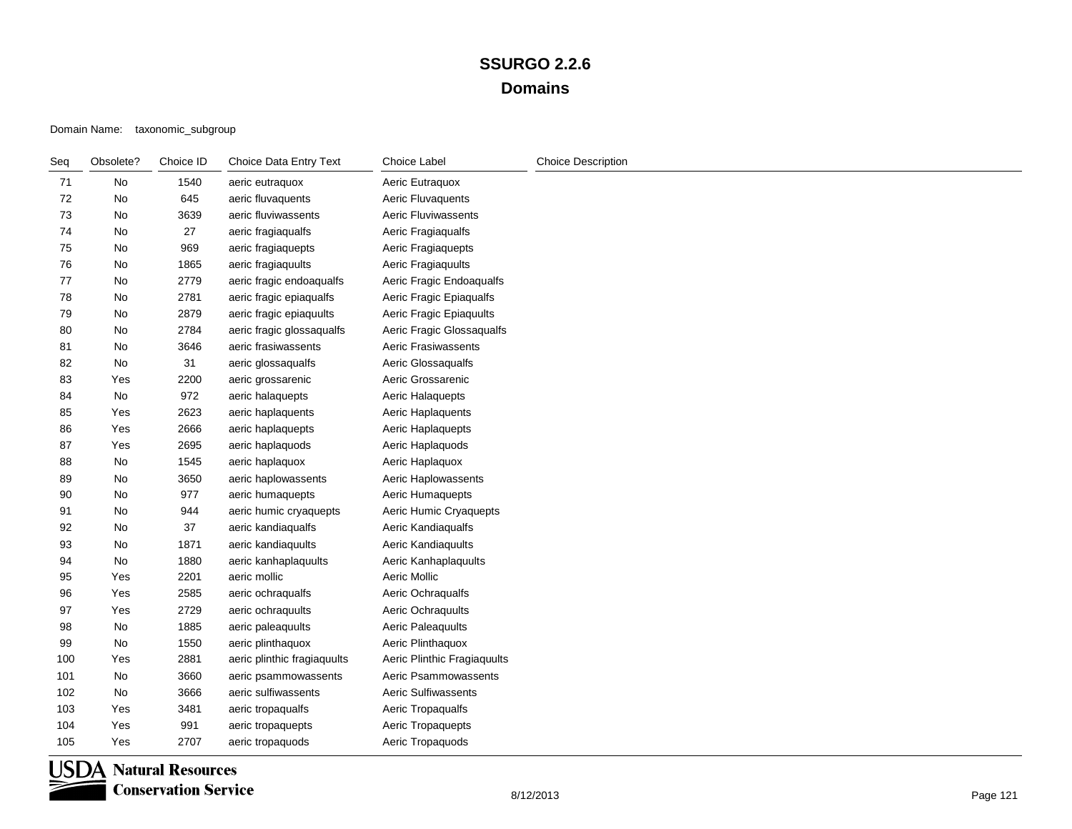| Seq | Obsolete? | Choice ID | Choice Data Entry Text      | Choice Label                | <b>Choice Description</b> |
|-----|-----------|-----------|-----------------------------|-----------------------------|---------------------------|
| 71  | No        | 1540      | aeric eutraquox             | Aeric Eutraquox             |                           |
| 72  | No        | 645       | aeric fluvaquents           | Aeric Fluvaquents           |                           |
| 73  | No        | 3639      | aeric fluviwassents         | Aeric Fluviwassents         |                           |
| 74  | No        | 27        | aeric fragiaqualfs          | Aeric Fragiaqualfs          |                           |
| 75  | No        | 969       | aeric fragiaquepts          | Aeric Fragiaquepts          |                           |
| 76  | <b>No</b> | 1865      | aeric fragiaquults          | Aeric Fragiaquults          |                           |
| 77  | No        | 2779      | aeric fragic endoaqualfs    | Aeric Fragic Endoaqualfs    |                           |
| 78  | No        | 2781      | aeric fragic epiaqualfs     | Aeric Fragic Epiaqualfs     |                           |
| 79  | No        | 2879      | aeric fragic epiaquults     | Aeric Fragic Epiaquults     |                           |
| 80  | No        | 2784      | aeric fragic glossaqualfs   | Aeric Fragic Glossaqualfs   |                           |
| 81  | No        | 3646      | aeric frasiwassents         | <b>Aeric Frasiwassents</b>  |                           |
| 82  | No        | 31        | aeric glossaqualfs          | Aeric Glossaqualfs          |                           |
| 83  | Yes       | 2200      | aeric grossarenic           | Aeric Grossarenic           |                           |
| 84  | No        | 972       | aeric halaquepts            | Aeric Halaquepts            |                           |
| 85  | Yes       | 2623      | aeric haplaquents           | Aeric Haplaquents           |                           |
| 86  | Yes       | 2666      | aeric haplaquepts           | Aeric Haplaquepts           |                           |
| 87  | Yes       | 2695      | aeric haplaquods            | Aeric Haplaquods            |                           |
| 88  | No        | 1545      | aeric haplaquox             | Aeric Haplaquox             |                           |
| 89  | No        | 3650      | aeric haplowassents         | Aeric Haplowassents         |                           |
| 90  | No        | 977       | aeric humaquepts            | Aeric Humaquepts            |                           |
| 91  | No        | 944       | aeric humic cryaquepts      | Aeric Humic Cryaquepts      |                           |
| 92  | No        | 37        | aeric kandiaqualfs          | Aeric Kandiaqualfs          |                           |
| 93  | No        | 1871      | aeric kandiaquults          | Aeric Kandiaquults          |                           |
| 94  | No        | 1880      | aeric kanhaplaquults        | Aeric Kanhaplaquults        |                           |
| 95  | Yes       | 2201      | aeric mollic                | Aeric Mollic                |                           |
| 96  | Yes       | 2585      | aeric ochraqualfs           | Aeric Ochraqualfs           |                           |
| 97  | Yes       | 2729      | aeric ochraquults           | Aeric Ochraquults           |                           |
| 98  | No        | 1885      | aeric paleaquults           | Aeric Paleaquults           |                           |
| 99  | No        | 1550      | aeric plinthaquox           | Aeric Plinthaquox           |                           |
| 100 | Yes       | 2881      | aeric plinthic fragiaquults | Aeric Plinthic Fragiaquults |                           |
| 101 | No        | 3660      | aeric psammowassents        | Aeric Psammowassents        |                           |
| 102 | No        | 3666      | aeric sulfiwassents         | <b>Aeric Sulfiwassents</b>  |                           |
| 103 | Yes       | 3481      | aeric tropaqualfs           | Aeric Tropaqualfs           |                           |
| 104 | Yes       | 991       | aeric tropaquepts           | Aeric Tropaquepts           |                           |
| 105 | Yes       | 2707      | aeric tropaquods            | Aeric Tropaquods            |                           |

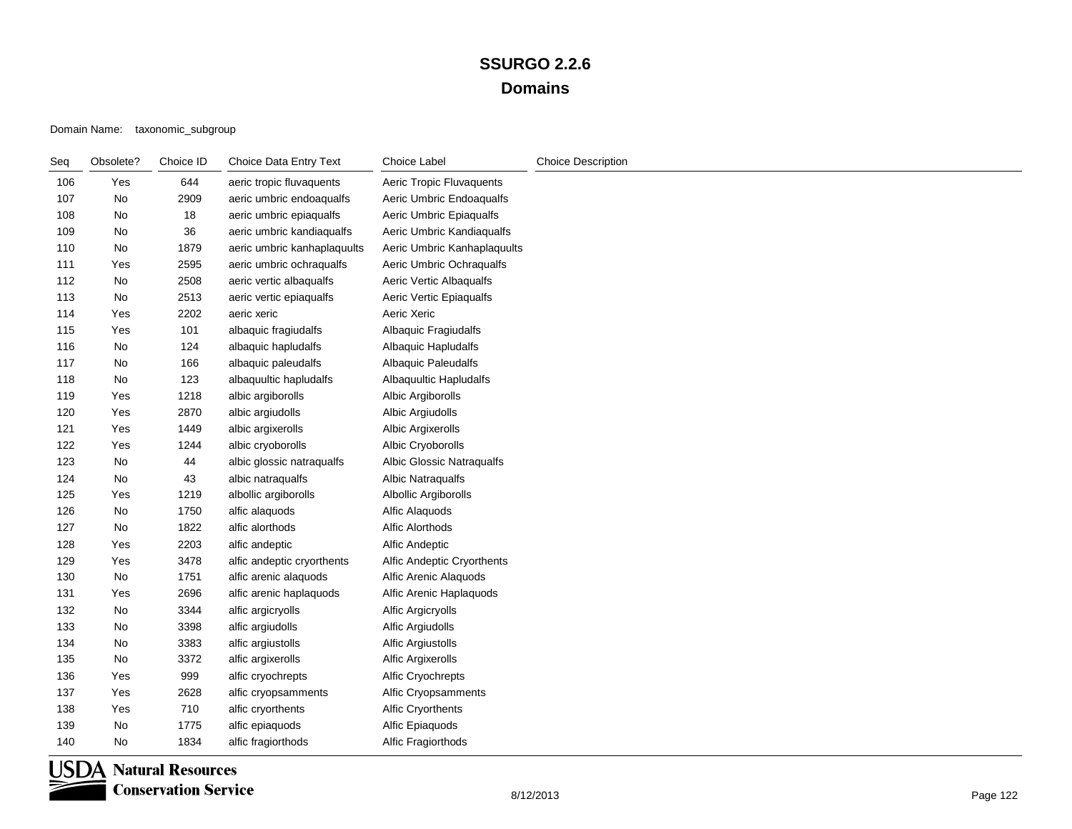| Seq | Obsolete? | Choice ID | Choice Data Entry Text      | <b>Choice Label</b>              | <b>Choice Description</b> |
|-----|-----------|-----------|-----------------------------|----------------------------------|---------------------------|
| 106 | Yes       | 644       | aeric tropic fluvaquents    | Aeric Tropic Fluvaquents         |                           |
| 107 | No        | 2909      | aeric umbric endoaqualfs    | Aeric Umbric Endoaqualfs         |                           |
| 108 | No        | 18        | aeric umbric epiaqualfs     | Aeric Umbric Epiaqualfs          |                           |
| 109 | No        | 36        | aeric umbric kandiaqualfs   | Aeric Umbric Kandiaqualfs        |                           |
| 110 | No        | 1879      | aeric umbric kanhaplaquults | Aeric Umbric Kanhaplaquults      |                           |
| 111 | Yes       | 2595      | aeric umbric ochraqualfs    | Aeric Umbric Ochraqualfs         |                           |
| 112 | No        | 2508      | aeric vertic albaqualfs     | Aeric Vertic Albaqualfs          |                           |
| 113 | No        | 2513      | aeric vertic epiaqualfs     | Aeric Vertic Epiaqualfs          |                           |
| 114 | Yes       | 2202      | aeric xeric                 | Aeric Xeric                      |                           |
| 115 | Yes       | 101       | albaquic fragiudalfs        | Albaquic Fragiudalfs             |                           |
| 116 | No        | 124       | albaquic hapludalfs         | Albaquic Hapludalfs              |                           |
| 117 | No        | 166       | albaquic paleudalfs         | <b>Albaquic Paleudalfs</b>       |                           |
| 118 | No        | 123       | albaquultic hapludalfs      | Albaquultic Hapludalfs           |                           |
| 119 | Yes       | 1218      | albic argiborolls           | Albic Argiborolls                |                           |
| 120 | Yes       | 2870      | albic argiudolls            | Albic Argiudolls                 |                           |
| 121 | Yes       | 1449      | albic argixerolls           | Albic Argixerolls                |                           |
| 122 | Yes       | 1244      | albic cryoborolls           | Albic Cryoborolls                |                           |
| 123 | No        | 44        | albic glossic natraqualfs   | <b>Albic Glossic Natraqualfs</b> |                           |
| 124 | No        | 43        | albic natraqualfs           | Albic Natraqualfs                |                           |
| 125 | Yes       | 1219      | albollic argiborolls        | Albollic Argiborolls             |                           |
| 126 | No        | 1750      | alfic alaquods              | Alfic Alaquods                   |                           |
| 127 | No        | 1822      | alfic alorthods             | <b>Alfic Alorthods</b>           |                           |
| 128 | Yes       | 2203      | alfic andeptic              | Alfic Andeptic                   |                           |
| 129 | Yes       | 3478      | alfic andeptic cryorthents  | Alfic Andeptic Cryorthents       |                           |
| 130 | No        | 1751      | alfic arenic alaquods       | Alfic Arenic Alaquods            |                           |
| 131 | Yes       | 2696      | alfic arenic haplaquods     | Alfic Arenic Haplaquods          |                           |
| 132 | No        | 3344      | alfic argicryolls           | Alfic Argicryolls                |                           |
| 133 | No        | 3398      | alfic argiudolls            | Alfic Argiudolls                 |                           |
| 134 | No        | 3383      | alfic argiustolls           | Alfic Argiustolls                |                           |
| 135 | No        | 3372      | alfic argixerolls           | Alfic Argixerolls                |                           |
| 136 | Yes       | 999       | alfic cryochrepts           | Alfic Cryochrepts                |                           |
| 137 | Yes       | 2628      | alfic cryopsamments         | Alfic Cryopsamments              |                           |
| 138 | Yes       | 710       | alfic cryorthents           | <b>Alfic Cryorthents</b>         |                           |
| 139 | No        | 1775      | alfic epiaquods             | Alfic Epiaquods                  |                           |
| 140 | No        | 1834      | alfic fragiorthods          | Alfic Fragiorthods               |                           |

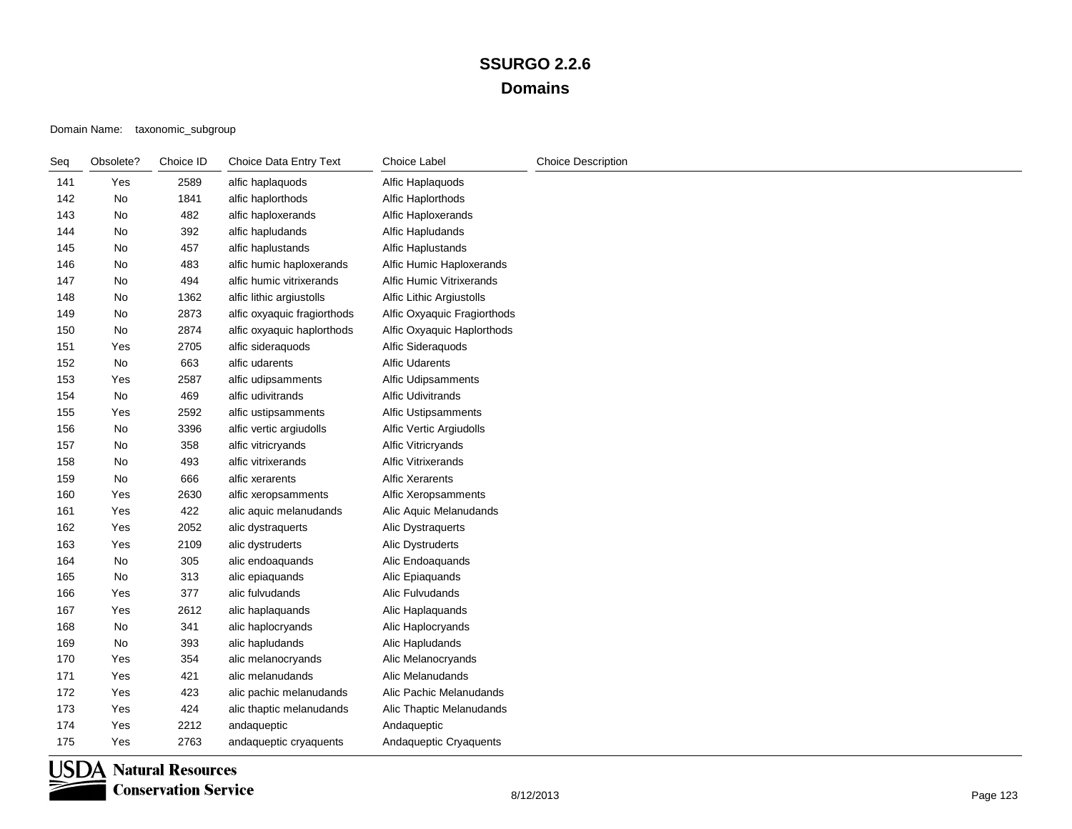Domain Name: taxonomic\_subgroup

| Seq | Obsolete? | Choice ID | Choice Data Entry Text      | Choice Label                | <b>Choice Description</b> |
|-----|-----------|-----------|-----------------------------|-----------------------------|---------------------------|
| 141 | Yes       | 2589      | alfic haplaquods            | Alfic Haplaquods            |                           |
| 142 | No        | 1841      | alfic haplorthods           | Alfic Haplorthods           |                           |
| 143 | No        | 482       | alfic haploxerands          | Alfic Haploxerands          |                           |
| 144 | No        | 392       | alfic hapludands            | Alfic Hapludands            |                           |
| 145 | No        | 457       | alfic haplustands           | Alfic Haplustands           |                           |
| 146 | No        | 483       | alfic humic haploxerands    | Alfic Humic Haploxerands    |                           |
| 147 | No        | 494       | alfic humic vitrixerands    | Alfic Humic Vitrixerands    |                           |
| 148 | No        | 1362      | alfic lithic argiustolls    | Alfic Lithic Argiustolls    |                           |
| 149 | No        | 2873      | alfic oxyaquic fragiorthods | Alfic Oxyaquic Fragiorthods |                           |
| 150 | No        | 2874      | alfic oxyaquic haplorthods  | Alfic Oxyaquic Haplorthods  |                           |
| 151 | Yes       | 2705      | alfic sideraquods           | Alfic Sideraquods           |                           |
| 152 | No        | 663       | alfic udarents              | <b>Alfic Udarents</b>       |                           |
| 153 | Yes       | 2587      | alfic udipsamments          | Alfic Udipsamments          |                           |
| 154 | No        | 469       | alfic udivitrands           | <b>Alfic Udivitrands</b>    |                           |
| 155 | Yes       | 2592      | alfic ustipsamments         | Alfic Ustipsamments         |                           |
| 156 | No        | 3396      | alfic vertic argiudolls     | Alfic Vertic Argiudolls     |                           |
| 157 | No        | 358       | alfic vitricryands          | Alfic Vitricryands          |                           |
| 158 | No        | 493       | alfic vitrixerands          | <b>Alfic Vitrixerands</b>   |                           |
| 159 | No        | 666       | alfic xerarents             | <b>Alfic Xerarents</b>      |                           |
| 160 | Yes       | 2630      | alfic xeropsamments         | Alfic Xeropsamments         |                           |
| 161 | Yes       | 422       | alic aquic melanudands      | Alic Aquic Melanudands      |                           |
| 162 | Yes       | 2052      | alic dystraquerts           | Alic Dystraquerts           |                           |
| 163 | Yes       | 2109      | alic dystruderts            | Alic Dystruderts            |                           |
| 164 | No        | 305       | alic endoaquands            | Alic Endoaquands            |                           |
| 165 | No        | 313       | alic epiaquands             | Alic Epiaquands             |                           |
| 166 | Yes       | 377       | alic fulvudands             | Alic Fulvudands             |                           |
| 167 | Yes       | 2612      | alic haplaquands            | Alic Haplaquands            |                           |
| 168 | No        | 341       | alic haplocryands           | Alic Haplocryands           |                           |
| 169 | No        | 393       | alic hapludands             | Alic Hapludands             |                           |
| 170 | Yes       | 354       | alic melanocryands          | Alic Melanocryands          |                           |
| 171 | Yes       | 421       | alic melanudands            | Alic Melanudands            |                           |
| 172 | Yes       | 423       | alic pachic melanudands     | Alic Pachic Melanudands     |                           |
| 173 | Yes       | 424       | alic thaptic melanudands    | Alic Thaptic Melanudands    |                           |
| 174 | Yes       | 2212      | andaqueptic                 | Andaqueptic                 |                           |
| 175 | Yes       | 2763      | andaqueptic cryaquents      | Andaqueptic Cryaquents      |                           |

**USDA** Natural Resources **Conservation Service**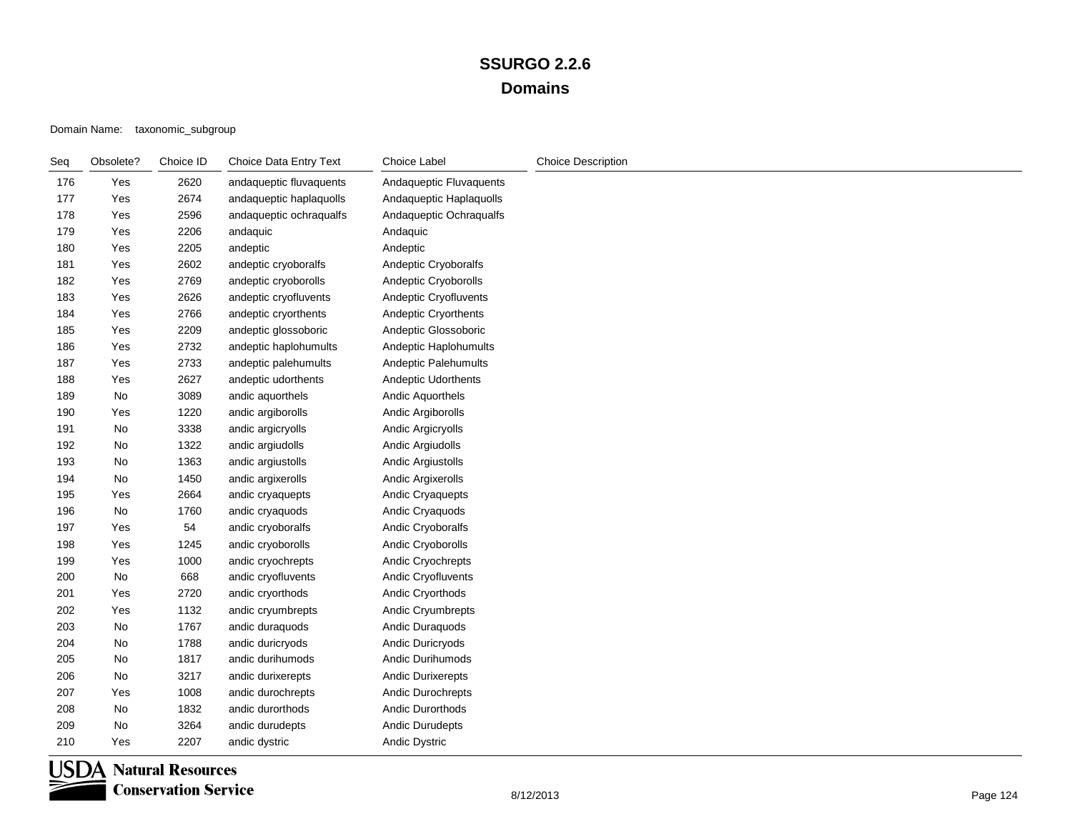| Seq | Obsolete? | Choice ID | Choice Data Entry Text  | <b>Choice Label</b>      | <b>Choice Description</b> |
|-----|-----------|-----------|-------------------------|--------------------------|---------------------------|
| 176 | Yes       | 2620      | andaqueptic fluvaquents | Andaqueptic Fluvaquents  |                           |
| 177 | Yes       | 2674      | andaqueptic haplaquolls | Andaqueptic Haplaquolls  |                           |
| 178 | Yes       | 2596      | andaqueptic ochraqualfs | Andaqueptic Ochraqualfs  |                           |
| 179 | Yes       | 2206      | andaquic                | Andaquic                 |                           |
| 180 | Yes       | 2205      | andeptic                | Andeptic                 |                           |
| 181 | Yes       | 2602      | andeptic cryoboralfs    | Andeptic Cryoboralfs     |                           |
| 182 | Yes       | 2769      | andeptic cryoborolls    | Andeptic Cryoborolls     |                           |
| 183 | Yes       | 2626      | andeptic cryofluvents   | Andeptic Cryofluvents    |                           |
| 184 | Yes       | 2766      | andeptic cryorthents    | Andeptic Cryorthents     |                           |
| 185 | Yes       | 2209      | andeptic glossoboric    | Andeptic Glossoboric     |                           |
| 186 | Yes       | 2732      | andeptic haplohumults   | Andeptic Haplohumults    |                           |
| 187 | Yes       | 2733      | andeptic palehumults    | Andeptic Palehumults     |                           |
| 188 | Yes       | 2627      | andeptic udorthents     | Andeptic Udorthents      |                           |
| 189 | No        | 3089      | andic aquorthels        | <b>Andic Aquorthels</b>  |                           |
| 190 | Yes       | 1220      | andic argiborolls       | Andic Argiborolls        |                           |
| 191 | No        | 3338      | andic argicryolls       | Andic Argicryolls        |                           |
| 192 | No        | 1322      | andic argiudolls        | Andic Argiudolls         |                           |
| 193 | No        | 1363      | andic argiustolls       | Andic Argiustolls        |                           |
| 194 | No        | 1450      | andic argixerolls       | Andic Argixerolls        |                           |
| 195 | Yes       | 2664      | andic cryaquepts        | Andic Cryaquepts         |                           |
| 196 | No        | 1760      | andic cryaquods         | Andic Cryaquods          |                           |
| 197 | Yes       | 54        | andic cryoboralfs       | Andic Cryoboralfs        |                           |
| 198 | Yes       | 1245      | andic cryoborolls       | Andic Cryoborolls        |                           |
| 199 | Yes       | 1000      | andic cryochrepts       | Andic Cryochrepts        |                           |
| 200 | No        | 668       | andic cryofluvents      | Andic Cryofluvents       |                           |
| 201 | Yes       | 2720      | andic cryorthods        | Andic Cryorthods         |                           |
| 202 | Yes       | 1132      | andic cryumbrepts       | Andic Cryumbrepts        |                           |
| 203 | No        | 1767      | andic duraquods         | Andic Duraquods          |                           |
| 204 | No        | 1788      | andic duricryods        | Andic Duricryods         |                           |
| 205 | No        | 1817      | andic durihumods        | Andic Durihumods         |                           |
| 206 | No        | 3217      | andic durixerepts       | <b>Andic Durixerepts</b> |                           |
| 207 | Yes       | 1008      | andic durochrepts       | Andic Durochrepts        |                           |
| 208 | No        | 1832      | andic durorthods        | Andic Durorthods         |                           |
| 209 | No        | 3264      | andic durudepts         | Andic Durudepts          |                           |
| 210 | Yes       | 2207      | andic dystric           | Andic Dystric            |                           |

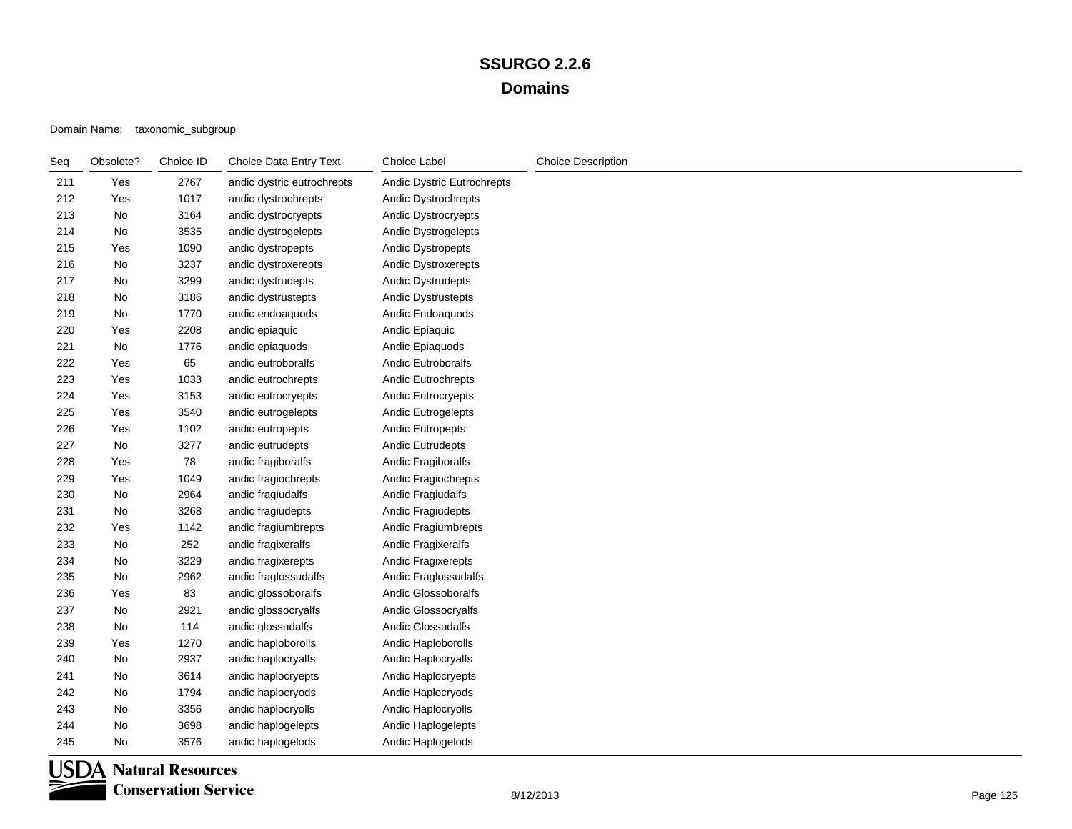| Seq | Obsolete? | Choice ID | Choice Data Entry Text     | Choice Label               | <b>Choice Description</b> |
|-----|-----------|-----------|----------------------------|----------------------------|---------------------------|
| 211 | Yes       | 2767      | andic dystric eutrochrepts | Andic Dystric Eutrochrepts |                           |
| 212 | Yes       | 1017      | andic dystrochrepts        | Andic Dystrochrepts        |                           |
| 213 | No        | 3164      | andic dystrocryepts        | Andic Dystrocryepts        |                           |
| 214 | No        | 3535      | andic dystrogelepts        | Andic Dystrogelepts        |                           |
| 215 | Yes       | 1090      | andic dystropepts          | Andic Dystropepts          |                           |
| 216 | No        | 3237      | andic dystroxerepts        | <b>Andic Dystroxerepts</b> |                           |
| 217 | No        | 3299      | andic dystrudepts          | Andic Dystrudepts          |                           |
| 218 | No        | 3186      | andic dystrustepts         | Andic Dystrustepts         |                           |
| 219 | No        | 1770      | andic endoaquods           | Andic Endoaquods           |                           |
| 220 | Yes       | 2208      | andic epiaquic             | Andic Epiaquic             |                           |
| 221 | No        | 1776      | andic epiaquods            | Andic Epiaquods            |                           |
| 222 | Yes       | 65        | andic eutroboralfs         | <b>Andic Eutroboralfs</b>  |                           |
| 223 | Yes       | 1033      | andic eutrochrepts         | Andic Eutrochrepts         |                           |
| 224 | Yes       | 3153      | andic eutrocryepts         | Andic Eutrocryepts         |                           |
| 225 | Yes       | 3540      | andic eutrogelepts         | Andic Eutrogelepts         |                           |
| 226 | Yes       | 1102      | andic eutropepts           | Andic Eutropepts           |                           |
| 227 | No        | 3277      | andic eutrudepts           | <b>Andic Eutrudepts</b>    |                           |
| 228 | Yes       | 78        | andic fragiboralfs         | Andic Fragiboralfs         |                           |
| 229 | Yes       | 1049      | andic fragiochrepts        | Andic Fragiochrepts        |                           |
| 230 | No        | 2964      | andic fragiudalfs          | Andic Fragiudalfs          |                           |
| 231 | No        | 3268      | andic fragiudepts          | Andic Fragiudepts          |                           |
| 232 | Yes       | 1142      | andic fragiumbrepts        | Andic Fragiumbrepts        |                           |
| 233 | No        | 252       | andic fragixeralfs         | <b>Andic Fragixeralfs</b>  |                           |
| 234 | No        | 3229      | andic fragixerepts         | Andic Fragixerepts         |                           |
| 235 | No        | 2962      | andic fraglossudalfs       | Andic Fraglossudalfs       |                           |
| 236 | Yes       | 83        | andic glossoboralfs        | Andic Glossoboralfs        |                           |
| 237 | No        | 2921      | andic glossocryalfs        | Andic Glossocryalfs        |                           |
| 238 | No        | 114       | andic glossudalfs          | Andic Glossudalfs          |                           |
| 239 | Yes       | 1270      | andic haploborolls         | Andic Haploborolls         |                           |
| 240 | No        | 2937      | andic haplocryalfs         | Andic Haplocryalfs         |                           |
| 241 | No        | 3614      | andic haplocryepts         | Andic Haplocryepts         |                           |
| 242 | No        | 1794      | andic haplocryods          | Andic Haplocryods          |                           |
| 243 | No        | 3356      | andic haplocryolls         | Andic Haplocryolls         |                           |
| 244 | No        | 3698      | andic haplogelepts         | Andic Haplogelepts         |                           |
| 245 | No        | 3576      | andic haplogelods          | Andic Haplogelods          |                           |

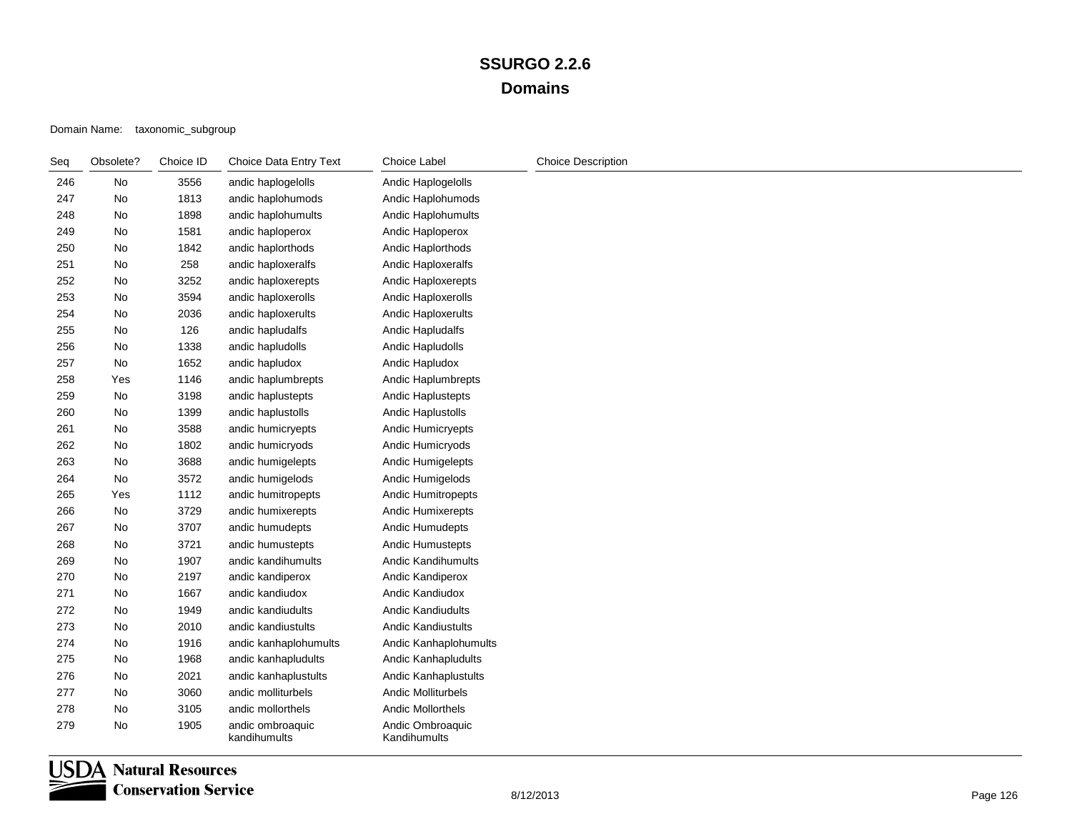| Seq | Obsolete? | Choice ID | Choice Data Entry Text           | <b>Choice Label</b>              | <b>Choice Description</b> |
|-----|-----------|-----------|----------------------------------|----------------------------------|---------------------------|
| 246 | No        | 3556      | andic haplogelolls               | Andic Haplogelolls               |                           |
| 247 | No        | 1813      | andic haplohumods                | Andic Haplohumods                |                           |
| 248 | No        | 1898      | andic haplohumults               | Andic Haplohumults               |                           |
| 249 | No        | 1581      | andic haploperox                 | Andic Haploperox                 |                           |
| 250 | No        | 1842      | andic haplorthods                | Andic Haplorthods                |                           |
| 251 | No        | 258       | andic haploxeralfs               | Andic Haploxeralfs               |                           |
| 252 | No        | 3252      | andic haploxerepts               | Andic Haploxerepts               |                           |
| 253 | No        | 3594      | andic haploxerolls               | Andic Haploxerolls               |                           |
| 254 | No        | 2036      | andic haploxerults               | Andic Haploxerults               |                           |
| 255 | No        | 126       | andic hapludalfs                 | Andic Hapludalfs                 |                           |
| 256 | No        | 1338      | andic hapludolls                 | Andic Hapludolls                 |                           |
| 257 | No        | 1652      | andic hapludox                   | Andic Hapludox                   |                           |
| 258 | Yes       | 1146      | andic haplumbrepts               | Andic Haplumbrepts               |                           |
| 259 | No        | 3198      | andic haplustepts                | Andic Haplustepts                |                           |
| 260 | No        | 1399      | andic haplustolls                | Andic Haplustolls                |                           |
| 261 | No        | 3588      | andic humicryepts                | Andic Humicryepts                |                           |
| 262 | No        | 1802      | andic humicryods                 | Andic Humicryods                 |                           |
| 263 | No        | 3688      | andic humigelepts                | Andic Humigelepts                |                           |
| 264 | No        | 3572      | andic humigelods                 | Andic Humigelods                 |                           |
| 265 | Yes       | 1112      | andic humitropepts               | Andic Humitropepts               |                           |
| 266 | No        | 3729      | andic humixerepts                | <b>Andic Humixerepts</b>         |                           |
| 267 | No        | 3707      | andic humudepts                  | Andic Humudepts                  |                           |
| 268 | No        | 3721      | andic humustepts                 | Andic Humustepts                 |                           |
| 269 | No        | 1907      | andic kandihumults               | Andic Kandihumults               |                           |
| 270 | No        | 2197      | andic kandiperox                 | Andic Kandiperox                 |                           |
| 271 | No        | 1667      | andic kandiudox                  | Andic Kandiudox                  |                           |
| 272 | No        | 1949      | andic kandiudults                | <b>Andic Kandiudults</b>         |                           |
| 273 | No        | 2010      | andic kandiustults               | Andic Kandiustults               |                           |
| 274 | No        | 1916      | andic kanhaplohumults            | Andic Kanhaplohumults            |                           |
| 275 | No        | 1968      | andic kanhapludults              | Andic Kanhapludults              |                           |
| 276 | No        | 2021      | andic kanhaplustults             | Andic Kanhaplustults             |                           |
| 277 | No        | 3060      | andic molliturbels               | <b>Andic Molliturbels</b>        |                           |
| 278 | No        | 3105      | andic mollorthels                | <b>Andic Mollorthels</b>         |                           |
| 279 | No        | 1905      | andic ombroaquic<br>kandihumults | Andic Ombroaquic<br>Kandihumults |                           |

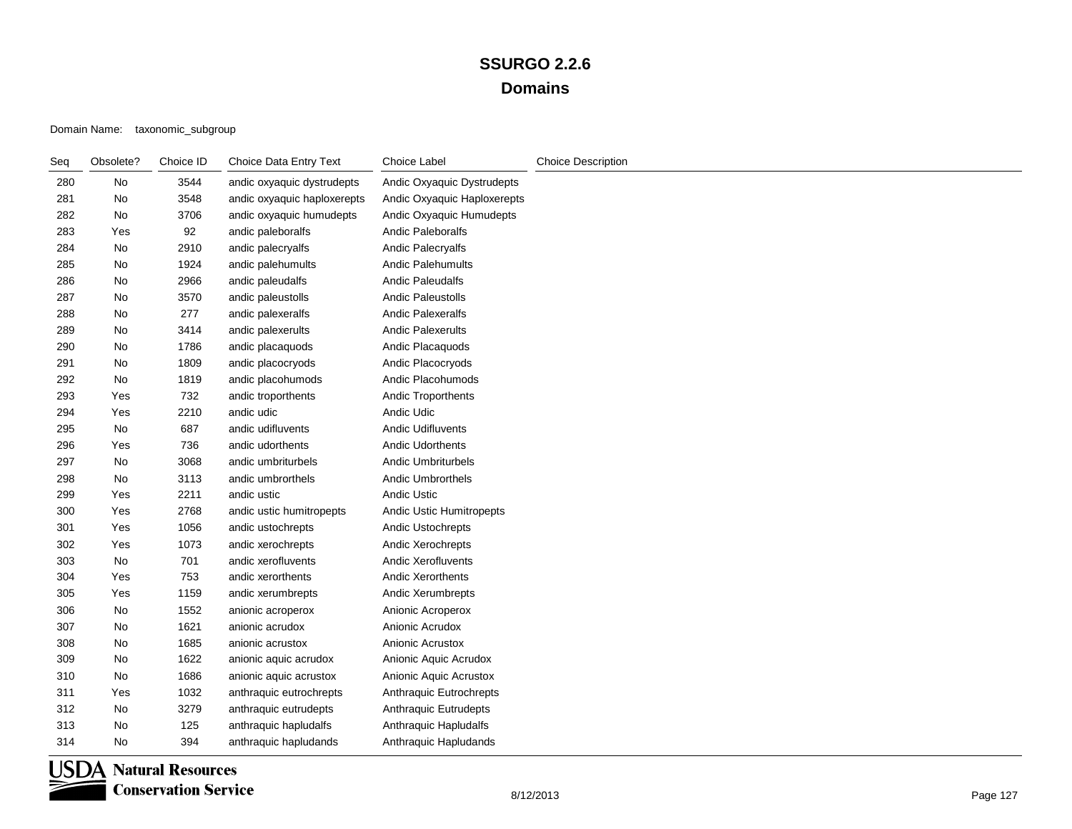| Seq | Obsolete? | Choice ID | Choice Data Entry Text      | Choice Label                 | <b>Choice Description</b> |
|-----|-----------|-----------|-----------------------------|------------------------------|---------------------------|
| 280 | No        | 3544      | andic oxyaquic dystrudepts  | Andic Oxyaquic Dystrudepts   |                           |
| 281 | No        | 3548      | andic oxyaquic haploxerepts | Andic Oxyaquic Haploxerepts  |                           |
| 282 | No        | 3706      | andic oxyaquic humudepts    | Andic Oxyaquic Humudepts     |                           |
| 283 | Yes       | 92        | andic paleboralfs           | Andic Paleboralfs            |                           |
| 284 | No        | 2910      | andic palecryalfs           | Andic Palecryalfs            |                           |
| 285 | No        | 1924      | andic palehumults           | <b>Andic Palehumults</b>     |                           |
| 286 | No        | 2966      | andic paleudalfs            | Andic Paleudalfs             |                           |
| 287 | No        | 3570      | andic paleustolls           | <b>Andic Paleustolls</b>     |                           |
| 288 | No        | 277       | andic palexeralfs           | <b>Andic Palexeralfs</b>     |                           |
| 289 | No        | 3414      | andic palexerults           | <b>Andic Palexerults</b>     |                           |
| 290 | No        | 1786      | andic placaquods            | Andic Placaquods             |                           |
| 291 | No        | 1809      | andic placocryods           | Andic Placocryods            |                           |
| 292 | No        | 1819      | andic placohumods           | Andic Placohumods            |                           |
| 293 | Yes       | 732       | andic troporthents          | Andic Troporthents           |                           |
| 294 | Yes       | 2210      | andic udic                  | Andic Udic                   |                           |
| 295 | No        | 687       | andic udifluvents           | Andic Udifluvents            |                           |
| 296 | Yes       | 736       | andic udorthents            | Andic Udorthents             |                           |
| 297 | No        | 3068      | andic umbriturbels          | <b>Andic Umbriturbels</b>    |                           |
| 298 | No        | 3113      | andic umbrorthels           | <b>Andic Umbrorthels</b>     |                           |
| 299 | Yes       | 2211      | andic ustic                 | Andic Ustic                  |                           |
| 300 | Yes       | 2768      | andic ustic humitropepts    | Andic Ustic Humitropepts     |                           |
| 301 | Yes       | 1056      | andic ustochrepts           | Andic Ustochrepts            |                           |
| 302 | Yes       | 1073      | andic xerochrepts           | Andic Xerochrepts            |                           |
| 303 | No        | 701       | andic xerofluvents          | <b>Andic Xerofluvents</b>    |                           |
| 304 | Yes       | 753       | andic xerorthents           | Andic Xerorthents            |                           |
| 305 | Yes       | 1159      | andic xerumbrepts           | Andic Xerumbrepts            |                           |
| 306 | No        | 1552      | anionic acroperox           | Anionic Acroperox            |                           |
| 307 | No        | 1621      | anionic acrudox             | Anionic Acrudox              |                           |
| 308 | No        | 1685      | anionic acrustox            | Anionic Acrustox             |                           |
| 309 | No        | 1622      | anionic aquic acrudox       | Anionic Aquic Acrudox        |                           |
| 310 | No        | 1686      | anionic aquic acrustox      | Anionic Aquic Acrustox       |                           |
| 311 | Yes       | 1032      | anthraquic eutrochrepts     | Anthraquic Eutrochrepts      |                           |
| 312 | No        | 3279      | anthraquic eutrudepts       | <b>Anthraquic Eutrudepts</b> |                           |
| 313 | No        | 125       | anthraquic hapludalfs       | Anthraquic Hapludalfs        |                           |
| 314 | No        | 394       | anthraquic hapludands       | Anthraquic Hapludands        |                           |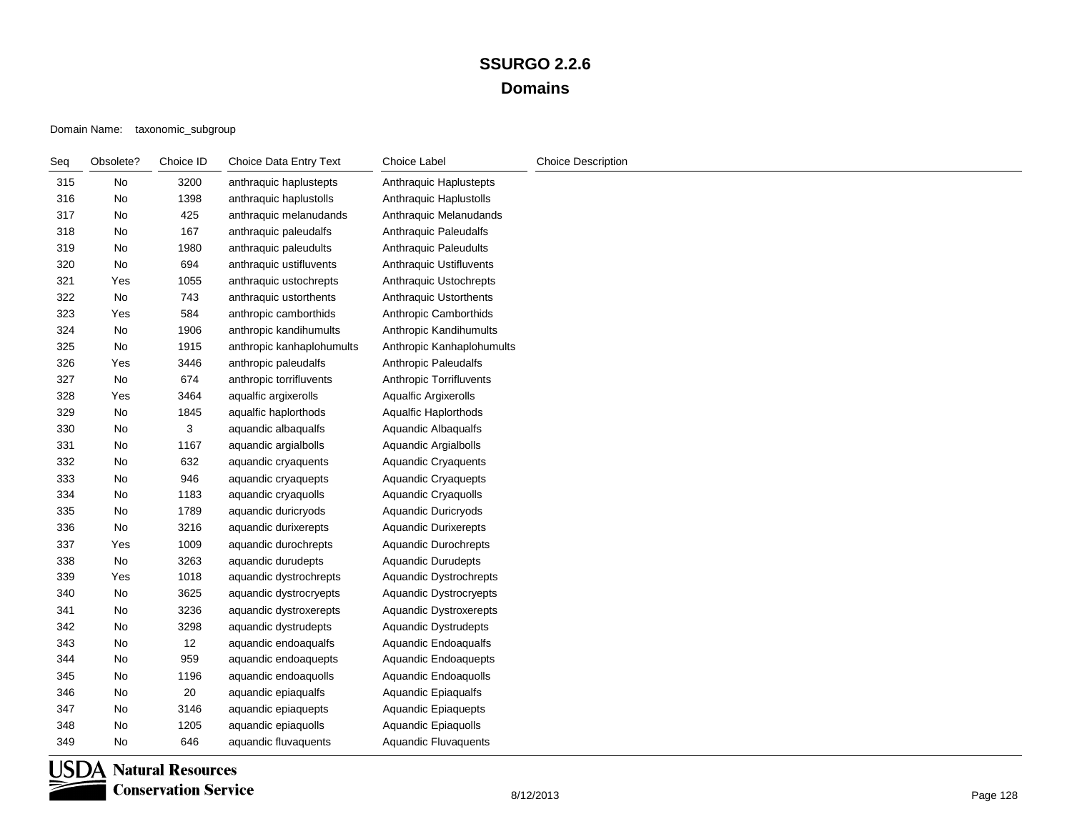| Seq | Obsolete? | Choice ID | Choice Data Entry Text    | <b>Choice Label</b>         | <b>Choice Description</b> |
|-----|-----------|-----------|---------------------------|-----------------------------|---------------------------|
| 315 | No        | 3200      | anthraquic haplustepts    | Anthraquic Haplustepts      |                           |
| 316 | No        | 1398      | anthraquic haplustolls    | Anthraquic Haplustolls      |                           |
| 317 | No        | 425       | anthraquic melanudands    | Anthraquic Melanudands      |                           |
| 318 | No        | 167       | anthraquic paleudalfs     | Anthraquic Paleudalfs       |                           |
| 319 | No        | 1980      | anthraquic paleudults     | Anthraquic Paleudults       |                           |
| 320 | No        | 694       | anthraquic ustifluvents   | Anthraquic Ustifluvents     |                           |
| 321 | Yes       | 1055      | anthraquic ustochrepts    | Anthraquic Ustochrepts      |                           |
| 322 | No        | 743       | anthraquic ustorthents    | Anthraquic Ustorthents      |                           |
| 323 | Yes       | 584       | anthropic camborthids     | Anthropic Camborthids       |                           |
| 324 | No        | 1906      | anthropic kandihumults    | Anthropic Kandihumults      |                           |
| 325 | No        | 1915      | anthropic kanhaplohumults | Anthropic Kanhaplohumults   |                           |
| 326 | Yes       | 3446      | anthropic paleudalfs      | Anthropic Paleudalfs        |                           |
| 327 | No        | 674       | anthropic torrifluvents   | Anthropic Torrifluvents     |                           |
| 328 | Yes       | 3464      | aqualfic argixerolls      | Aqualfic Argixerolls        |                           |
| 329 | No        | 1845      | aqualfic haplorthods      | Aqualfic Haplorthods        |                           |
| 330 | No        | 3         | aquandic albaqualfs       | Aquandic Albaqualfs         |                           |
| 331 | No        | 1167      | aquandic argialbolls      | Aquandic Argialbolls        |                           |
| 332 | No        | 632       | aquandic cryaquents       | Aquandic Cryaquents         |                           |
| 333 | No        | 946       | aquandic cryaquepts       | Aquandic Cryaquepts         |                           |
| 334 | No        | 1183      | aquandic cryaquolls       | Aquandic Cryaquolls         |                           |
| 335 | No        | 1789      | aquandic duricryods       | Aquandic Duricryods         |                           |
| 336 | No        | 3216      | aquandic durixerepts      | <b>Aquandic Durixerepts</b> |                           |
| 337 | Yes       | 1009      | aquandic durochrepts      | Aquandic Durochrepts        |                           |
| 338 | No        | 3263      | aquandic durudepts        | <b>Aquandic Durudepts</b>   |                           |
| 339 | Yes       | 1018      | aquandic dystrochrepts    | Aquandic Dystrochrepts      |                           |
| 340 | No        | 3625      | aquandic dystrocryepts    | Aquandic Dystrocryepts      |                           |
| 341 | No        | 3236      | aquandic dystroxerepts    | Aquandic Dystroxerepts      |                           |
| 342 | No        | 3298      | aquandic dystrudepts      | Aquandic Dystrudepts        |                           |
| 343 | No        | 12        | aquandic endoaqualfs      | Aquandic Endoaqualfs        |                           |
| 344 | No        | 959       | aquandic endoaquepts      | Aquandic Endoaquepts        |                           |
| 345 | No        | 1196      | aquandic endoaquolls      | Aquandic Endoaquolls        |                           |
| 346 | No        | 20        | aquandic epiaqualfs       | Aquandic Epiaqualfs         |                           |
| 347 | No        | 3146      | aquandic epiaquepts       | Aquandic Epiaquepts         |                           |
| 348 | No        | 1205      | aquandic epiaquolls       | Aquandic Epiaquolls         |                           |
| 349 | No        | 646       | aquandic fluvaquents      | <b>Aquandic Fluvaquents</b> |                           |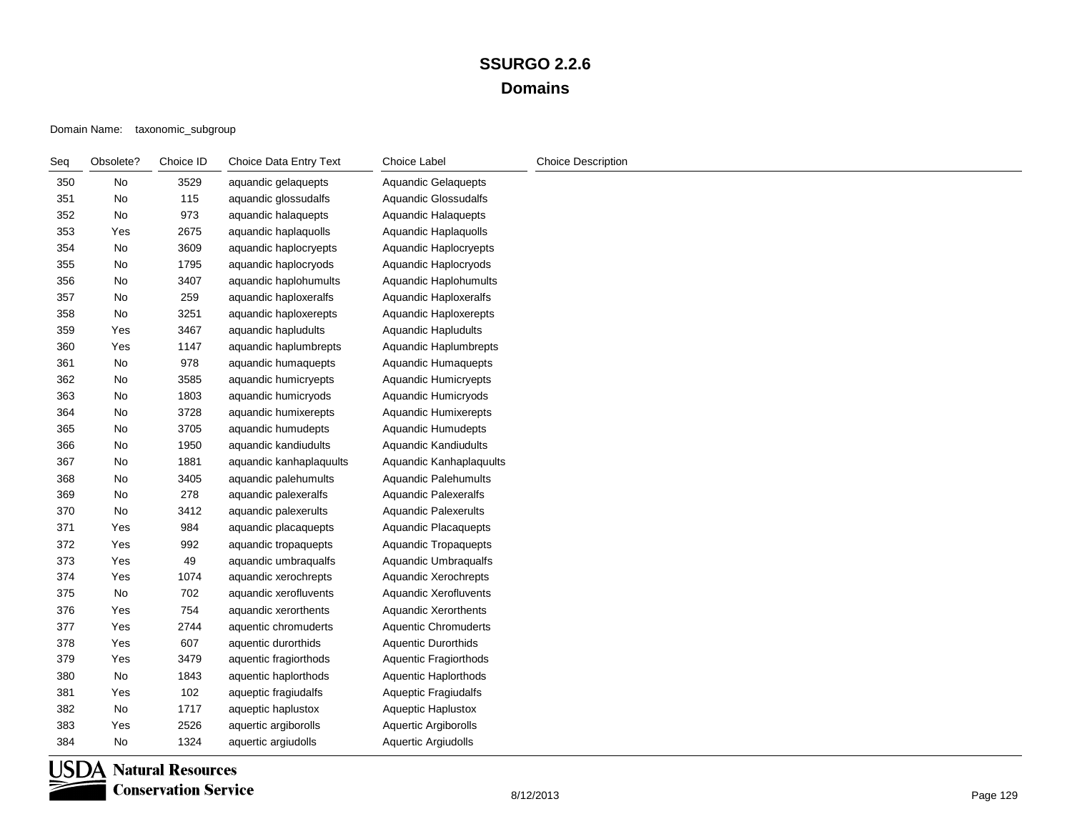| Seq | Obsolete? | Choice ID | Choice Data Entry Text  | Choice Label                | <b>Choice Description</b> |
|-----|-----------|-----------|-------------------------|-----------------------------|---------------------------|
| 350 | No        | 3529      | aquandic gelaquepts     | Aquandic Gelaquepts         |                           |
| 351 | No        | 115       | aquandic glossudalfs    | Aquandic Glossudalfs        |                           |
| 352 | No        | 973       | aquandic halaquepts     | Aquandic Halaquepts         |                           |
| 353 | Yes       | 2675      | aquandic haplaquolls    | Aquandic Haplaquolls        |                           |
| 354 | No        | 3609      | aquandic haplocryepts   | Aquandic Haplocryepts       |                           |
| 355 | No        | 1795      | aquandic haplocryods    | Aquandic Haplocryods        |                           |
| 356 | No        | 3407      | aquandic haplohumults   | Aquandic Haplohumults       |                           |
| 357 | No        | 259       | aquandic haploxeralfs   | Aquandic Haploxeralfs       |                           |
| 358 | No        | 3251      | aquandic haploxerepts   | Aquandic Haploxerepts       |                           |
| 359 | Yes       | 3467      | aquandic hapludults     | Aquandic Hapludults         |                           |
| 360 | Yes       | 1147      | aquandic haplumbrepts   | Aquandic Haplumbrepts       |                           |
| 361 | No        | 978       | aquandic humaquepts     | <b>Aquandic Humaquepts</b>  |                           |
| 362 | No        | 3585      | aquandic humicryepts    | <b>Aquandic Humicryepts</b> |                           |
| 363 | No        | 1803      | aquandic humicryods     | Aquandic Humicryods         |                           |
| 364 | No        | 3728      | aquandic humixerepts    | Aquandic Humixerepts        |                           |
| 365 | No        | 3705      | aquandic humudepts      | <b>Aquandic Humudepts</b>   |                           |
| 366 | No        | 1950      | aquandic kandiudults    | Aquandic Kandiudults        |                           |
| 367 | No        | 1881      | aquandic kanhaplaquults | Aquandic Kanhaplaquults     |                           |
| 368 | No        | 3405      | aquandic palehumults    | Aquandic Palehumults        |                           |
| 369 | No        | 278       | aquandic palexeralfs    | <b>Aquandic Palexeralfs</b> |                           |
| 370 | No        | 3412      | aquandic palexerults    | <b>Aquandic Palexerults</b> |                           |
| 371 | Yes       | 984       | aquandic placaquepts    | Aquandic Placaquepts        |                           |
| 372 | Yes       | 992       | aquandic tropaquepts    | <b>Aquandic Tropaquepts</b> |                           |
| 373 | Yes       | 49        | aquandic umbraqualfs    | Aquandic Umbraqualfs        |                           |
| 374 | Yes       | 1074      | aquandic xerochrepts    | Aquandic Xerochrepts        |                           |
| 375 | No        | 702       | aquandic xerofluvents   | Aquandic Xerofluvents       |                           |
| 376 | Yes       | 754       | aquandic xerorthents    | <b>Aquandic Xerorthents</b> |                           |
| 377 | Yes       | 2744      | aquentic chromuderts    | <b>Aquentic Chromuderts</b> |                           |
| 378 | Yes       | 607       | aquentic durorthids     | <b>Aquentic Durorthids</b>  |                           |
| 379 | Yes       | 3479      | aquentic fragiorthods   | Aquentic Fragiorthods       |                           |
| 380 | No        | 1843      | aquentic haplorthods    | Aquentic Haplorthods        |                           |
| 381 | Yes       | 102       | aqueptic fragiudalfs    | Aqueptic Fragiudalfs        |                           |
| 382 | No        | 1717      | aqueptic haplustox      | Aqueptic Haplustox          |                           |
| 383 | Yes       | 2526      | aquertic argiborolls    | Aquertic Argiborolls        |                           |
| 384 | No        | 1324      | aquertic argiudolls     | Aquertic Argiudolls         |                           |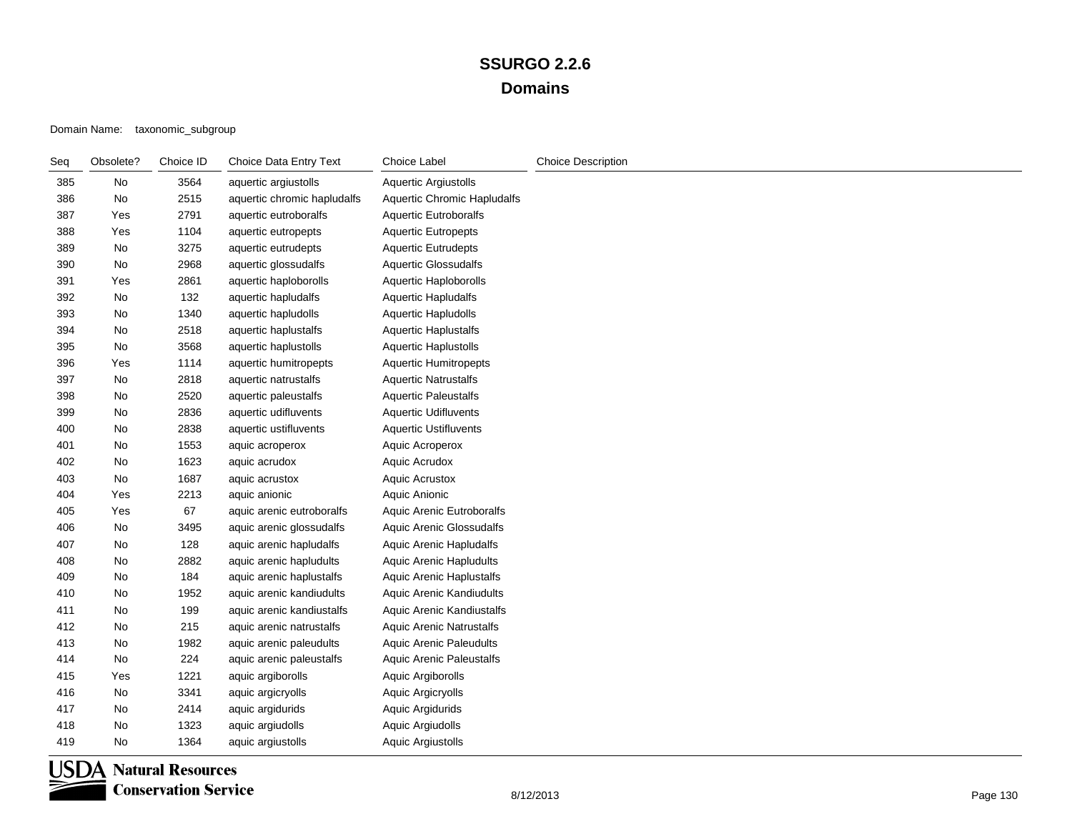| Seq | Obsolete? | Choice ID | Choice Data Entry Text      | Choice Label                       | <b>Choice Description</b> |
|-----|-----------|-----------|-----------------------------|------------------------------------|---------------------------|
| 385 | No        | 3564      | aquertic argiustolls        | Aquertic Argiustolls               |                           |
| 386 | No        | 2515      | aquertic chromic hapludalfs | <b>Aquertic Chromic Hapludalfs</b> |                           |
| 387 | Yes       | 2791      | aquertic eutroboralfs       | <b>Aquertic Eutroboralfs</b>       |                           |
| 388 | Yes       | 1104      | aquertic eutropepts         | <b>Aquertic Eutropepts</b>         |                           |
| 389 | No        | 3275      | aquertic eutrudepts         | <b>Aquertic Eutrudepts</b>         |                           |
| 390 | No        | 2968      | aquertic glossudalfs        | Aquertic Glossudalfs               |                           |
| 391 | Yes       | 2861      | aquertic haploborolls       | Aquertic Haploborolls              |                           |
| 392 | No        | 132       | aquertic hapludalfs         | Aquertic Hapludalfs                |                           |
| 393 | No        | 1340      | aquertic hapludolls         | Aquertic Hapludolls                |                           |
| 394 | No        | 2518      | aquertic haplustalfs        | <b>Aquertic Haplustalfs</b>        |                           |
| 395 | No        | 3568      | aquertic haplustolls        | Aquertic Haplustolls               |                           |
| 396 | Yes       | 1114      | aquertic humitropepts       | <b>Aquertic Humitropepts</b>       |                           |
| 397 | No        | 2818      | aquertic natrustalfs        | <b>Aquertic Natrustalfs</b>        |                           |
| 398 | No        | 2520      | aquertic paleustalfs        | <b>Aquertic Paleustalfs</b>        |                           |
| 399 | No        | 2836      | aquertic udifluvents        | <b>Aquertic Udifluvents</b>        |                           |
| 400 | No        | 2838      | aquertic ustifluvents       | <b>Aquertic Ustifluvents</b>       |                           |
| 401 | No        | 1553      | aquic acroperox             | Aquic Acroperox                    |                           |
| 402 | No        | 1623      | aquic acrudox               | Aquic Acrudox                      |                           |
| 403 | No        | 1687      | aquic acrustox              | Aquic Acrustox                     |                           |
| 404 | Yes       | 2213      | aquic anionic               | Aquic Anionic                      |                           |
| 405 | Yes       | 67        | aquic arenic eutroboralfs   | <b>Aquic Arenic Eutroboralfs</b>   |                           |
| 406 | No        | 3495      | aquic arenic glossudalfs    | <b>Aquic Arenic Glossudalfs</b>    |                           |
| 407 | No        | 128       | aquic arenic hapludalfs     | Aquic Arenic Hapludalfs            |                           |
| 408 | No        | 2882      | aquic arenic hapludults     | Aquic Arenic Hapludults            |                           |
| 409 | No        | 184       | aquic arenic haplustalfs    | Aquic Arenic Haplustalfs           |                           |
| 410 | No        | 1952      | aquic arenic kandiudults    | Aquic Arenic Kandiudults           |                           |
| 411 | No        | 199       | aquic arenic kandiustalfs   | Aquic Arenic Kandiustalfs          |                           |
| 412 | No        | 215       | aquic arenic natrustalfs    | <b>Aquic Arenic Natrustalfs</b>    |                           |
| 413 | No        | 1982      | aquic arenic paleudults     | Aquic Arenic Paleudults            |                           |
| 414 | No        | 224       | aquic arenic paleustalfs    | <b>Aquic Arenic Paleustalfs</b>    |                           |
| 415 | Yes       | 1221      | aquic argiborolls           | Aquic Argiborolls                  |                           |
| 416 | No        | 3341      | aquic argicryolls           | Aquic Argicryolls                  |                           |
| 417 | No        | 2414      | aquic argidurids            | Aquic Argidurids                   |                           |
| 418 | No        | 1323      | aquic argiudolls            | Aquic Argiudolls                   |                           |
| 419 | No        | 1364      | aquic argiustolls           | <b>Aquic Argiustolls</b>           |                           |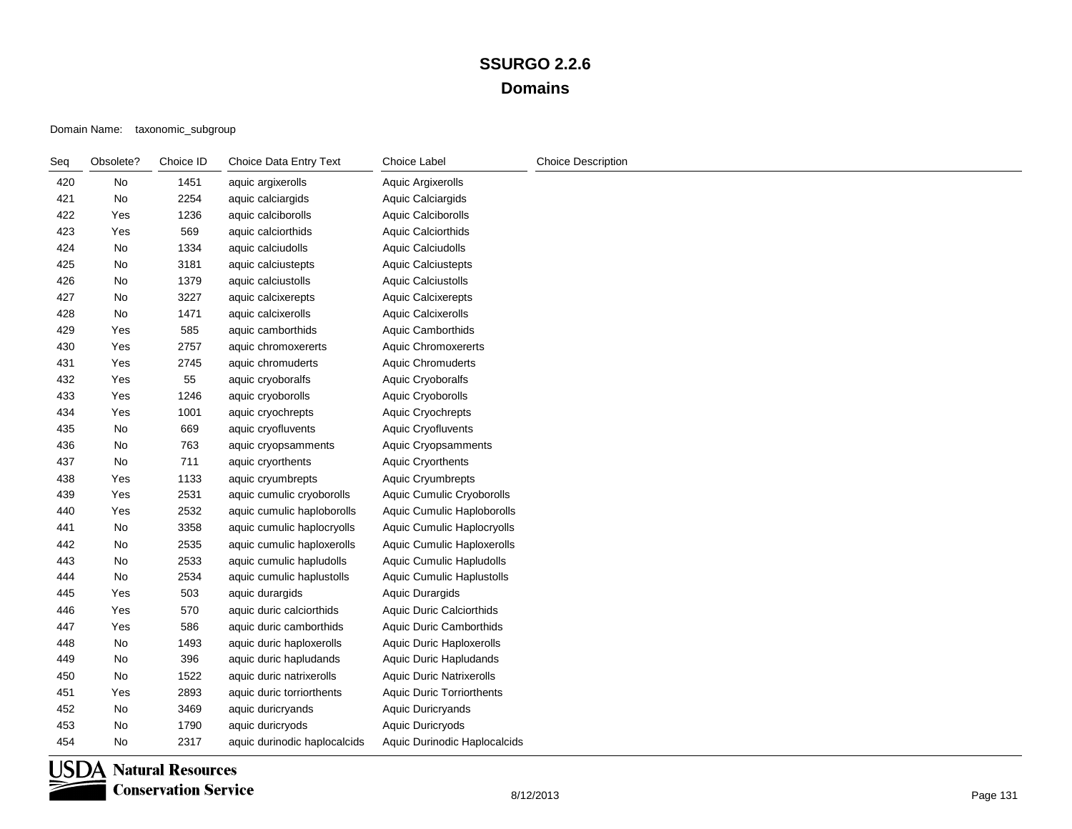| Seq | Obsolete? | Choice ID | Choice Data Entry Text       | <b>Choice Label</b>              | <b>Choice Description</b> |
|-----|-----------|-----------|------------------------------|----------------------------------|---------------------------|
| 420 | No        | 1451      | aquic argixerolls            | Aquic Argixerolls                |                           |
| 421 | No        | 2254      | aquic calciargids            | Aquic Calciargids                |                           |
| 422 | Yes       | 1236      | aquic calciborolls           | Aquic Calciborolls               |                           |
| 423 | Yes       | 569       | aquic calciorthids           | Aquic Calciorthids               |                           |
| 424 | No        | 1334      | aquic calciudolls            | Aquic Calciudolls                |                           |
| 425 | No        | 3181      | aquic calciustepts           | Aquic Calciustepts               |                           |
| 426 | No        | 1379      | aquic calciustolls           | <b>Aquic Calciustolls</b>        |                           |
| 427 | No        | 3227      | aquic calcixerepts           | <b>Aquic Calcixerepts</b>        |                           |
| 428 | No        | 1471      | aquic calcixerolls           | Aquic Calcixerolls               |                           |
| 429 | Yes       | 585       | aquic camborthids            | Aquic Camborthids                |                           |
| 430 | Yes       | 2757      | aquic chromoxererts          | <b>Aquic Chromoxererts</b>       |                           |
| 431 | Yes       | 2745      | aquic chromuderts            | Aquic Chromuderts                |                           |
| 432 | Yes       | 55        | aquic cryoboralfs            | Aquic Cryoboralfs                |                           |
| 433 | Yes       | 1246      | aquic cryoborolls            | Aquic Cryoborolls                |                           |
| 434 | Yes       | 1001      | aquic cryochrepts            | Aquic Cryochrepts                |                           |
| 435 | No        | 669       | aquic cryofluvents           | <b>Aquic Cryofluvents</b>        |                           |
| 436 | No        | 763       | aquic cryopsamments          | Aquic Cryopsamments              |                           |
| 437 | No        | 711       | aquic cryorthents            | <b>Aquic Cryorthents</b>         |                           |
| 438 | Yes       | 1133      | aquic cryumbrepts            | Aquic Cryumbrepts                |                           |
| 439 | Yes       | 2531      | aquic cumulic cryoborolls    | Aquic Cumulic Cryoborolls        |                           |
| 440 | Yes       | 2532      | aquic cumulic haploborolls   | Aquic Cumulic Haploborolls       |                           |
| 441 | No        | 3358      | aquic cumulic haplocryolls   | Aquic Cumulic Haplocryolls       |                           |
| 442 | No        | 2535      | aquic cumulic haploxerolls   | Aquic Cumulic Haploxerolls       |                           |
| 443 | No        | 2533      | aquic cumulic hapludolls     | Aquic Cumulic Hapludolls         |                           |
| 444 | No        | 2534      | aquic cumulic haplustolls    | Aquic Cumulic Haplustolls        |                           |
| 445 | Yes       | 503       | aquic durargids              | Aquic Durargids                  |                           |
| 446 | Yes       | 570       | aquic duric calciorthids     | Aquic Duric Calciorthids         |                           |
| 447 | Yes       | 586       | aquic duric camborthids      | Aquic Duric Camborthids          |                           |
| 448 | No        | 1493      | aquic duric haploxerolls     | Aquic Duric Haploxerolls         |                           |
| 449 | No        | 396       | aquic duric hapludands       | Aquic Duric Hapludands           |                           |
| 450 | No        | 1522      | aquic duric natrixerolls     | <b>Aquic Duric Natrixerolls</b>  |                           |
| 451 | Yes       | 2893      | aquic duric torriorthents    | <b>Aquic Duric Torriorthents</b> |                           |
| 452 | No        | 3469      | aquic duricryands            | Aquic Duricryands                |                           |
| 453 | No        | 1790      | aquic duricryods             | Aquic Duricryods                 |                           |
| 454 | No        | 2317      | aquic durinodic haplocalcids | Aquic Durinodic Haplocalcids     |                           |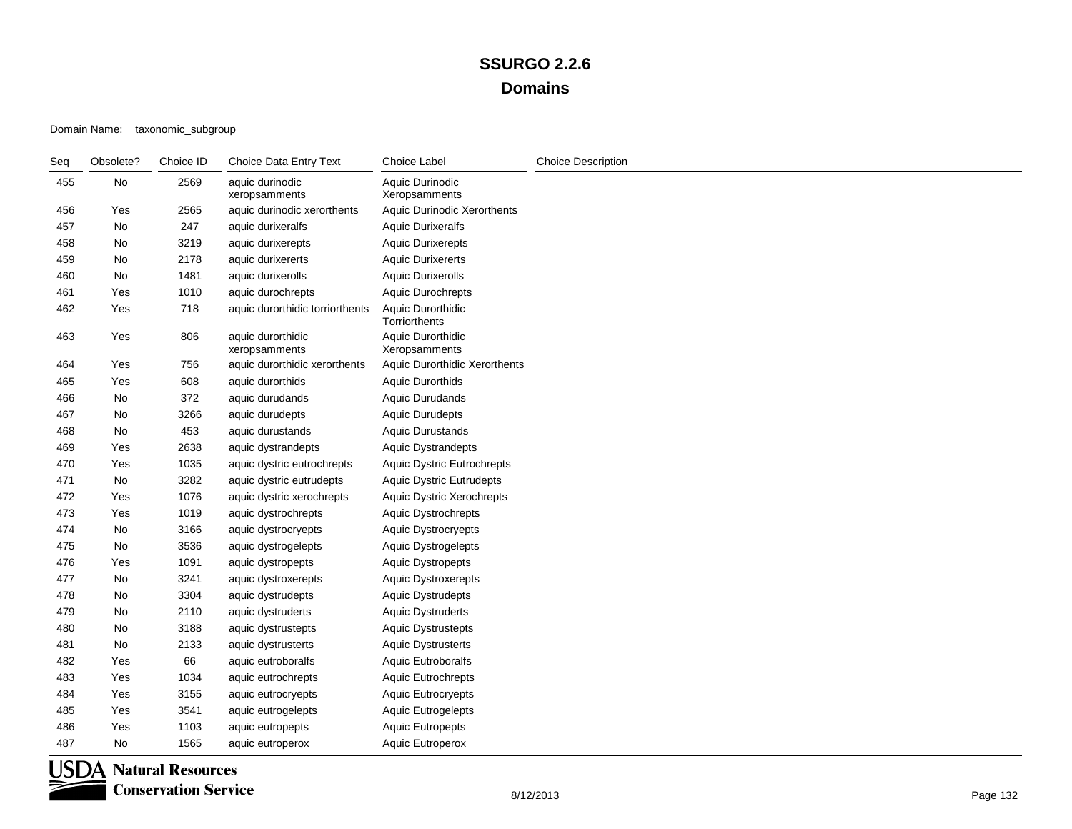### Domain Name: taxonomic\_subgroup

| Seq | Obsolete? | Choice ID | Choice Data Entry Text             | Choice Label                       | <b>Choice Description</b> |
|-----|-----------|-----------|------------------------------------|------------------------------------|---------------------------|
| 455 | No        | 2569      | aquic durinodic<br>xeropsamments   | Aquic Durinodic<br>Xeropsamments   |                           |
| 456 | Yes       | 2565      | aquic durinodic xerorthents        | <b>Aquic Durinodic Xerorthents</b> |                           |
| 457 | No        | 247       | aquic durixeralfs                  | <b>Aquic Durixeralfs</b>           |                           |
| 458 | No        | 3219      | aquic durixerepts                  | <b>Aquic Durixerepts</b>           |                           |
| 459 | No        | 2178      | aquic durixererts                  | <b>Aquic Durixererts</b>           |                           |
| 460 | No        | 1481      | aquic durixerolls                  | <b>Aquic Durixerolls</b>           |                           |
| 461 | Yes       | 1010      | aquic durochrepts                  | Aquic Durochrepts                  |                           |
| 462 | Yes       | 718       | aquic durorthidic torriorthents    | Aquic Durorthidic<br>Torriorthents |                           |
| 463 | Yes       | 806       | aquic durorthidic<br>xeropsamments | Aquic Durorthidic<br>Xeropsamments |                           |
| 464 | Yes       | 756       | aquic durorthidic xerorthents      | Aquic Durorthidic Xerorthents      |                           |
| 465 | Yes       | 608       | aquic durorthids                   | <b>Aquic Durorthids</b>            |                           |
| 466 | No        | 372       | aquic durudands                    | Aquic Durudands                    |                           |
| 467 | No        | 3266      | aquic durudepts                    | <b>Aquic Durudepts</b>             |                           |
| 468 | No        | 453       | aquic durustands                   | <b>Aquic Durustands</b>            |                           |
| 469 | Yes       | 2638      | aquic dystrandepts                 | <b>Aquic Dystrandepts</b>          |                           |
| 470 | Yes       | 1035      | aquic dystric eutrochrepts         | Aquic Dystric Eutrochrepts         |                           |
| 471 | No        | 3282      | aquic dystric eutrudepts           | <b>Aquic Dystric Eutrudepts</b>    |                           |
| 472 | Yes       | 1076      | aquic dystric xerochrepts          | Aquic Dystric Xerochrepts          |                           |
| 473 | Yes       | 1019      | aquic dystrochrepts                | <b>Aquic Dystrochrepts</b>         |                           |
| 474 | No        | 3166      | aquic dystrocryepts                | Aquic Dystrocryepts                |                           |
| 475 | No        | 3536      | aquic dystrogelepts                | Aquic Dystrogelepts                |                           |
| 476 | Yes       | 1091      | aquic dystropepts                  | <b>Aquic Dystropepts</b>           |                           |
| 477 | No        | 3241      | aquic dystroxerepts                | Aquic Dystroxerepts                |                           |
| 478 | No        | 3304      | aquic dystrudepts                  | Aquic Dystrudepts                  |                           |
| 479 | No        | 2110      | aquic dystruderts                  | Aquic Dystruderts                  |                           |
| 480 | No        | 3188      | aquic dystrustepts                 | <b>Aquic Dystrustepts</b>          |                           |
| 481 | No        | 2133      | aquic dystrusterts                 | <b>Aquic Dystrusterts</b>          |                           |
| 482 | Yes       | 66        | aquic eutroboralfs                 | Aquic Eutroboralfs                 |                           |
| 483 | Yes       | 1034      | aquic eutrochrepts                 | <b>Aquic Eutrochrepts</b>          |                           |
| 484 | Yes       | 3155      | aquic eutrocryepts                 | <b>Aquic Eutrocryepts</b>          |                           |
| 485 | Yes       | 3541      | aquic eutrogelepts                 | <b>Aquic Eutrogelepts</b>          |                           |
| 486 | Yes       | 1103      | aquic eutropepts                   | <b>Aquic Eutropepts</b>            |                           |
| 487 | No        | 1565      | aquic eutroperox                   | Aquic Eutroperox                   |                           |

**USDA** Natural Resources **Conservation Service**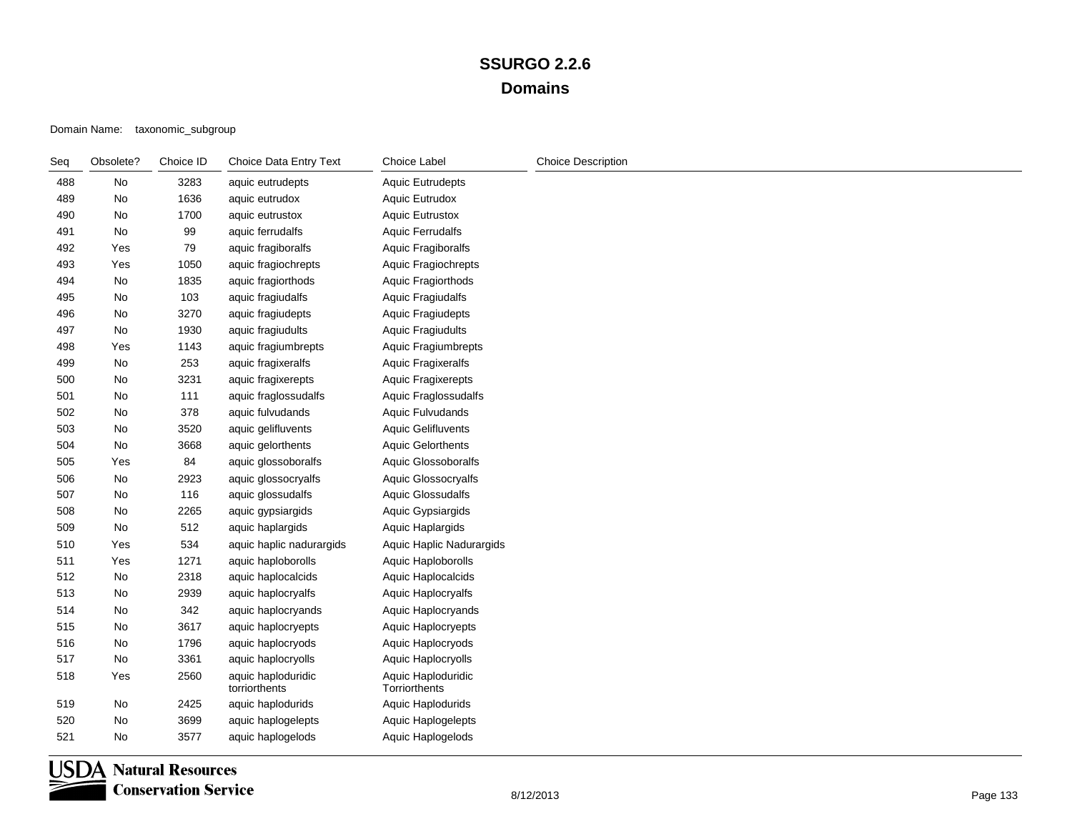### Domain Name: taxonomic\_subgroup

| Seq | Obsolete? | Choice ID | Choice Data Entry Text              | <b>Choice Label</b>                 | <b>Choice Description</b> |
|-----|-----------|-----------|-------------------------------------|-------------------------------------|---------------------------|
| 488 | No        | 3283      | aquic eutrudepts                    | <b>Aquic Eutrudepts</b>             |                           |
| 489 | No        | 1636      | aquic eutrudox                      | Aquic Eutrudox                      |                           |
| 490 | No        | 1700      | aquic eutrustox                     | <b>Aquic Eutrustox</b>              |                           |
| 491 | No        | 99        | aquic ferrudalfs                    | <b>Aquic Ferrudalfs</b>             |                           |
| 492 | Yes       | 79        | aquic fragiboralfs                  | Aquic Fragiboralfs                  |                           |
| 493 | Yes       | 1050      | aquic fragiochrepts                 | Aquic Fragiochrepts                 |                           |
| 494 | No        | 1835      | aquic fragiorthods                  | Aquic Fragiorthods                  |                           |
| 495 | No        | 103       | aquic fragiudalfs                   | <b>Aquic Fragiudalfs</b>            |                           |
| 496 | No        | 3270      | aquic fragiudepts                   | <b>Aquic Fragiudepts</b>            |                           |
| 497 | No        | 1930      | aquic fragiudults                   | <b>Aquic Fragiudults</b>            |                           |
| 498 | Yes       | 1143      | aquic fragiumbrepts                 | Aquic Fragiumbrepts                 |                           |
| 499 | No        | 253       | aquic fragixeralfs                  | <b>Aquic Fragixeralfs</b>           |                           |
| 500 | No        | 3231      | aquic fragixerepts                  | <b>Aquic Fragixerepts</b>           |                           |
| 501 | No        | 111       | aquic fraglossudalfs                | <b>Aquic Fraglossudalfs</b>         |                           |
| 502 | No        | 378       | aquic fulvudands                    | Aquic Fulvudands                    |                           |
| 503 | No        | 3520      | aquic gelifluvents                  | <b>Aquic Gelifluvents</b>           |                           |
| 504 | No        | 3668      | aquic gelorthents                   | <b>Aquic Gelorthents</b>            |                           |
| 505 | Yes       | 84        | aquic glossoboralfs                 | <b>Aquic Glossoboralfs</b>          |                           |
| 506 | No        | 2923      | aquic glossocryalfs                 | Aquic Glossocryalfs                 |                           |
| 507 | No        | 116       | aquic glossudalfs                   | <b>Aquic Glossudalfs</b>            |                           |
| 508 | No        | 2265      | aquic gypsiargids                   | Aquic Gypsiargids                   |                           |
| 509 | No        | 512       | aquic haplargids                    | Aquic Haplargids                    |                           |
| 510 | Yes       | 534       | aquic haplic nadurargids            | Aquic Haplic Nadurargids            |                           |
| 511 | Yes       | 1271      | aquic haploborolls                  | Aquic Haploborolls                  |                           |
| 512 | No        | 2318      | aquic haplocalcids                  | Aquic Haplocalcids                  |                           |
| 513 | No        | 2939      | aquic haplocryalfs                  | Aquic Haplocryalfs                  |                           |
| 514 | No        | 342       | aquic haplocryands                  | Aquic Haplocryands                  |                           |
| 515 | No        | 3617      | aquic haplocryepts                  | Aquic Haplocryepts                  |                           |
| 516 | No        | 1796      | aquic haplocryods                   | Aquic Haplocryods                   |                           |
| 517 | No        | 3361      | aquic haplocryolls                  | Aquic Haplocryolls                  |                           |
| 518 | Yes       | 2560      | aquic haploduridic<br>torriorthents | Aquic Haploduridic<br>Torriorthents |                           |
| 519 | No        | 2425      | aquic haplodurids                   | Aquic Haplodurids                   |                           |
| 520 | No        | 3699      | aquic haplogelepts                  | <b>Aquic Haplogelepts</b>           |                           |
| 521 | No        | 3577      | aquic haplogelods                   | Aquic Haplogelods                   |                           |

**USDA** Natural Resources **Conservation Service**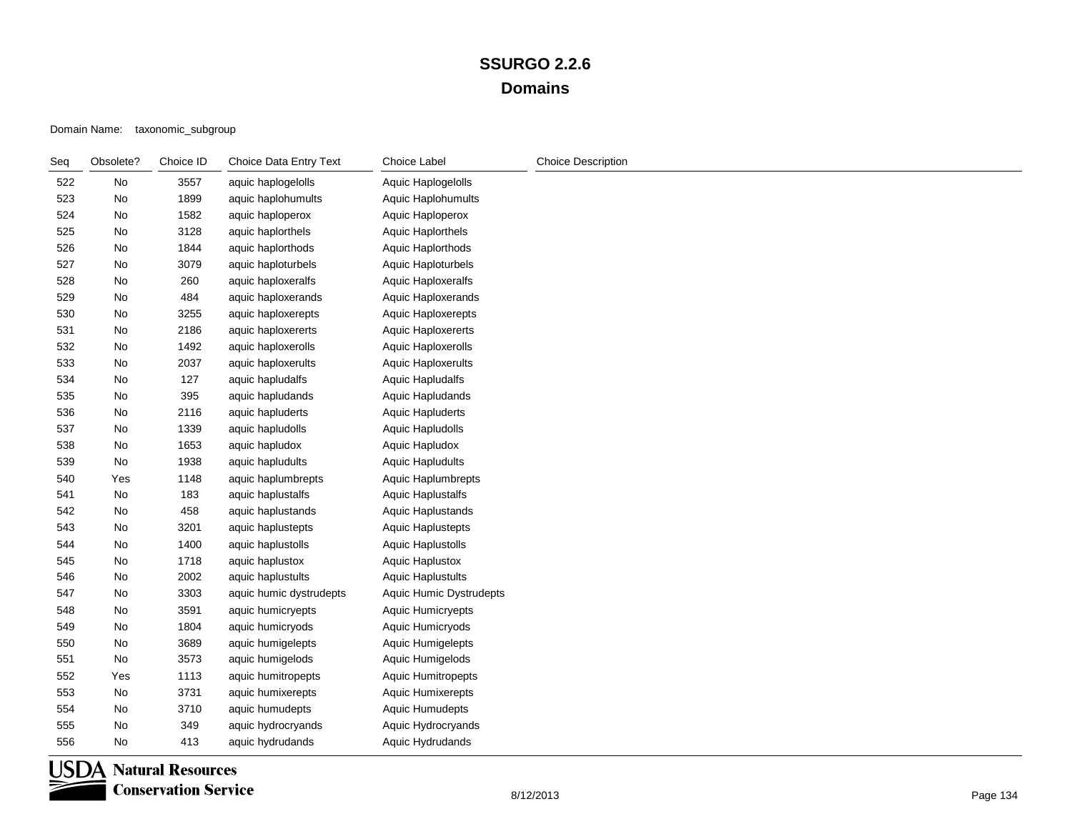| Seq | Obsolete? | Choice ID | Choice Data Entry Text  | Choice Label              | <b>Choice Description</b> |
|-----|-----------|-----------|-------------------------|---------------------------|---------------------------|
| 522 | No        | 3557      | aquic haplogelolls      | Aquic Haplogelolls        |                           |
| 523 | No        | 1899      | aquic haplohumults      | Aquic Haplohumults        |                           |
| 524 | No        | 1582      | aquic haploperox        | Aquic Haploperox          |                           |
| 525 | No        | 3128      | aquic haplorthels       | Aquic Haplorthels         |                           |
| 526 | No        | 1844      | aquic haplorthods       | Aquic Haplorthods         |                           |
| 527 | No        | 3079      | aquic haploturbels      | Aquic Haploturbels        |                           |
| 528 | No        | 260       | aquic haploxeralfs      | Aquic Haploxeralfs        |                           |
| 529 | No        | 484       | aquic haploxerands      | Aquic Haploxerands        |                           |
| 530 | No        | 3255      | aquic haploxerepts      | Aquic Haploxerepts        |                           |
| 531 | No        | 2186      | aquic haploxererts      | Aquic Haploxererts        |                           |
| 532 | No        | 1492      | aquic haploxerolls      | Aquic Haploxerolls        |                           |
| 533 | No        | 2037      | aquic haploxerults      | <b>Aquic Haploxerults</b> |                           |
| 534 | No        | 127       | aquic hapludalfs        | Aquic Hapludalfs          |                           |
| 535 | No        | 395       | aquic hapludands        | Aquic Hapludands          |                           |
| 536 | No        | 2116      | aquic hapluderts        | <b>Aquic Hapluderts</b>   |                           |
| 537 | No        | 1339      | aquic hapludolls        | Aquic Hapludolls          |                           |
| 538 | No        | 1653      | aquic hapludox          | Aquic Hapludox            |                           |
| 539 | No        | 1938      | aquic hapludults        | <b>Aquic Hapludults</b>   |                           |
| 540 | Yes       | 1148      | aquic haplumbrepts      | Aquic Haplumbrepts        |                           |
| 541 | No        | 183       | aquic haplustalfs       | <b>Aquic Haplustalfs</b>  |                           |
| 542 | No        | 458       | aquic haplustands       | Aquic Haplustands         |                           |
| 543 | No        | 3201      | aquic haplustepts       | <b>Aquic Haplustepts</b>  |                           |
| 544 | No        | 1400      | aquic haplustolls       | <b>Aquic Haplustolls</b>  |                           |
| 545 | No        | 1718      | aquic haplustox         | Aquic Haplustox           |                           |
| 546 | No        | 2002      | aquic haplustults       | <b>Aquic Haplustults</b>  |                           |
| 547 | No        | 3303      | aquic humic dystrudepts | Aquic Humic Dystrudepts   |                           |
| 548 | No        | 3591      | aquic humicryepts       | Aquic Humicryepts         |                           |
| 549 | No        | 1804      | aquic humicryods        | Aquic Humicryods          |                           |
| 550 | No        | 3689      | aquic humigelepts       | Aquic Humigelepts         |                           |
| 551 | No        | 3573      | aquic humigelods        | Aquic Humigelods          |                           |
| 552 | Yes       | 1113      | aquic humitropepts      | <b>Aquic Humitropepts</b> |                           |
| 553 | No        | 3731      | aquic humixerepts       | <b>Aquic Humixerepts</b>  |                           |
| 554 | No        | 3710      | aquic humudepts         | Aquic Humudepts           |                           |
| 555 | No        | 349       | aquic hydrocryands      | Aquic Hydrocryands        |                           |
| 556 | No        | 413       | aquic hydrudands        | Aquic Hydrudands          |                           |

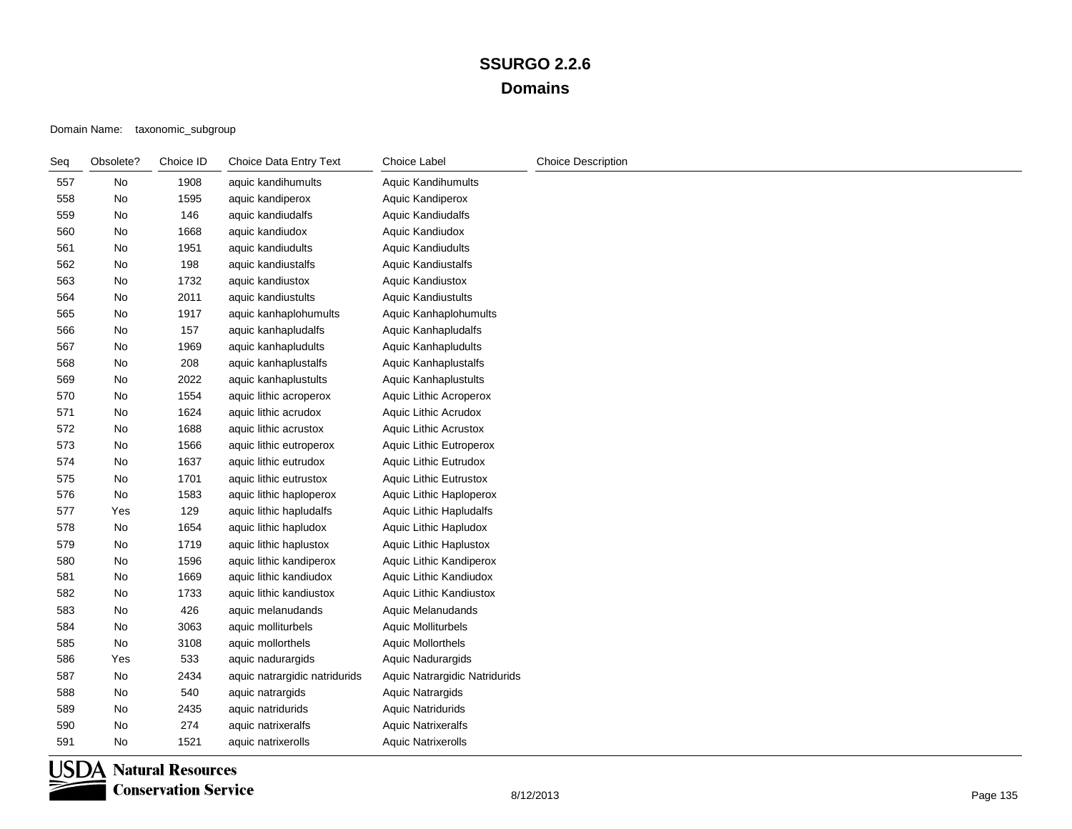| Seq | Obsolete? | Choice ID | Choice Data Entry Text        | Choice Label                  | <b>Choice Description</b> |
|-----|-----------|-----------|-------------------------------|-------------------------------|---------------------------|
| 557 | No        | 1908      | aquic kandihumults            | Aquic Kandihumults            |                           |
| 558 | No        | 1595      | aquic kandiperox              | Aquic Kandiperox              |                           |
| 559 | No        | 146       | aquic kandiudalfs             | <b>Aquic Kandiudalfs</b>      |                           |
| 560 | No        | 1668      | aquic kandiudox               | Aquic Kandiudox               |                           |
| 561 | No        | 1951      | aquic kandiudults             | <b>Aquic Kandiudults</b>      |                           |
| 562 | No        | 198       | aquic kandiustalfs            | <b>Aquic Kandiustalfs</b>     |                           |
| 563 | No        | 1732      | aquic kandiustox              | Aquic Kandiustox              |                           |
| 564 | No        | 2011      | aquic kandiustults            | <b>Aquic Kandiustults</b>     |                           |
| 565 | No        | 1917      | aquic kanhaplohumults         | Aquic Kanhaplohumults         |                           |
| 566 | No        | 157       | aquic kanhapludalfs           | Aquic Kanhapludalfs           |                           |
| 567 | No        | 1969      | aquic kanhapludults           | Aquic Kanhapludults           |                           |
| 568 | No        | 208       | aquic kanhaplustalfs          | Aquic Kanhaplustalfs          |                           |
| 569 | No        | 2022      | aquic kanhaplustults          | Aquic Kanhaplustults          |                           |
| 570 | No        | 1554      | aquic lithic acroperox        | Aquic Lithic Acroperox        |                           |
| 571 | No        | 1624      | aquic lithic acrudox          | Aquic Lithic Acrudox          |                           |
| 572 | No        | 1688      | aquic lithic acrustox         | <b>Aquic Lithic Acrustox</b>  |                           |
| 573 | No        | 1566      | aquic lithic eutroperox       | Aquic Lithic Eutroperox       |                           |
| 574 | No        | 1637      | aquic lithic eutrudox         | Aquic Lithic Eutrudox         |                           |
| 575 | No        | 1701      | aquic lithic eutrustox        | <b>Aquic Lithic Eutrustox</b> |                           |
| 576 | No        | 1583      | aquic lithic haploperox       | Aquic Lithic Haploperox       |                           |
| 577 | Yes       | 129       | aquic lithic hapludalfs       | Aquic Lithic Hapludalfs       |                           |
| 578 | No        | 1654      | aquic lithic hapludox         | Aquic Lithic Hapludox         |                           |
| 579 | No        | 1719      | aquic lithic haplustox        | Aquic Lithic Haplustox        |                           |
| 580 | No        | 1596      | aquic lithic kandiperox       | Aquic Lithic Kandiperox       |                           |
| 581 | No        | 1669      | aquic lithic kandiudox        | Aquic Lithic Kandiudox        |                           |
| 582 | No        | 1733      | aquic lithic kandiustox       | Aquic Lithic Kandiustox       |                           |
| 583 | No        | 426       | aquic melanudands             | Aquic Melanudands             |                           |
| 584 | No        | 3063      | aquic molliturbels            | <b>Aquic Molliturbels</b>     |                           |
| 585 | No        | 3108      | aquic mollorthels             | <b>Aquic Mollorthels</b>      |                           |
| 586 | Yes       | 533       | aquic nadurargids             | <b>Aquic Nadurargids</b>      |                           |
| 587 | No        | 2434      | aquic natrargidic natridurids | Aquic Natrargidic Natridurids |                           |
| 588 | No        | 540       | aquic natrargids              | <b>Aquic Natrargids</b>       |                           |
| 589 | No        | 2435      | aquic natridurids             | <b>Aquic Natridurids</b>      |                           |
| 590 | No        | 274       | aquic natrixeralfs            | <b>Aquic Natrixeralfs</b>     |                           |
| 591 | No        | 1521      | aquic natrixerolls            | <b>Aquic Natrixerolls</b>     |                           |

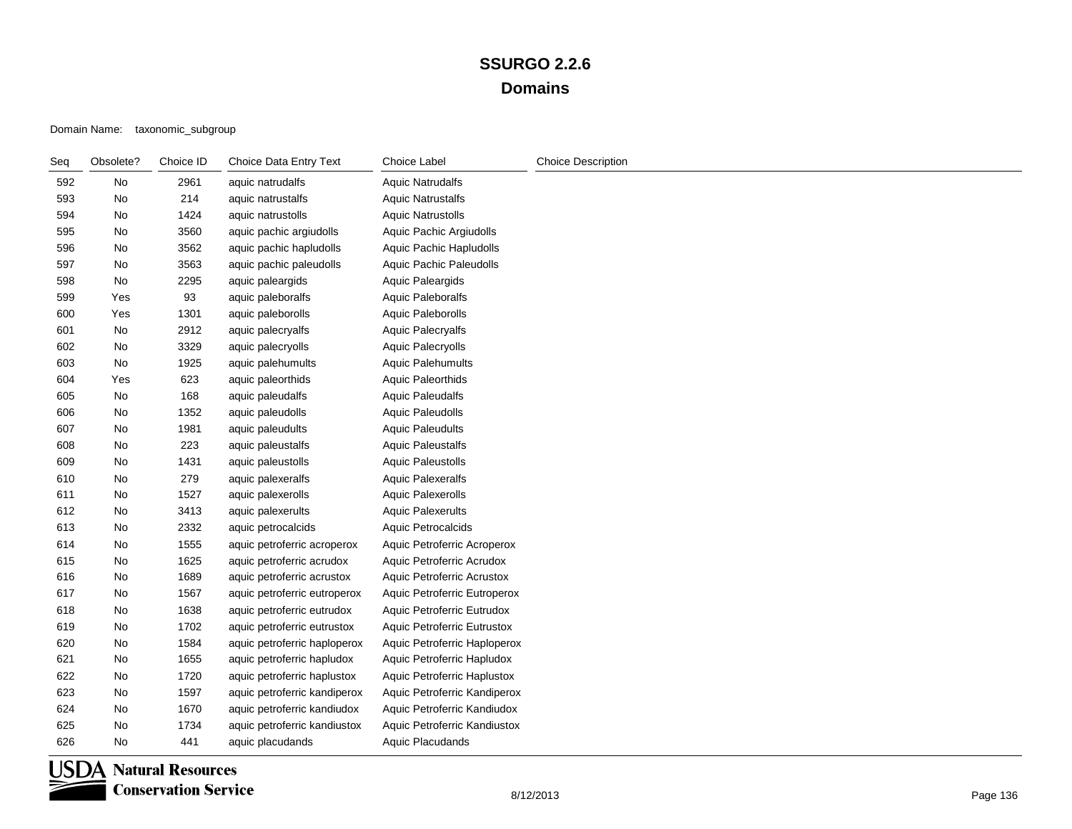| Seq | Obsolete? | Choice ID | Choice Data Entry Text       | <b>Choice Label</b>          | <b>Choice Description</b> |
|-----|-----------|-----------|------------------------------|------------------------------|---------------------------|
| 592 | No        | 2961      | aquic natrudalfs             | <b>Aquic Natrudalfs</b>      |                           |
| 593 | No        | 214       | aquic natrustalfs            | <b>Aquic Natrustalfs</b>     |                           |
| 594 | No        | 1424      | aquic natrustolls            | <b>Aquic Natrustolls</b>     |                           |
| 595 | No        | 3560      | aquic pachic argiudolls      | Aquic Pachic Argiudolls      |                           |
| 596 | No        | 3562      | aquic pachic hapludolls      | Aquic Pachic Hapludolls      |                           |
| 597 | No        | 3563      | aquic pachic paleudolls      | Aquic Pachic Paleudolls      |                           |
| 598 | No        | 2295      | aquic paleargids             | Aquic Paleargids             |                           |
| 599 | Yes       | 93        | aquic paleboralfs            | <b>Aquic Paleboralfs</b>     |                           |
| 600 | Yes       | 1301      | aquic paleborolls            | Aquic Paleborolls            |                           |
| 601 | No        | 2912      | aquic palecryalfs            | Aquic Palecryalfs            |                           |
| 602 | No        | 3329      | aquic palecryolls            | Aquic Palecryolls            |                           |
| 603 | No        | 1925      | aquic palehumults            | Aquic Palehumults            |                           |
| 604 | Yes       | 623       | aquic paleorthids            | Aquic Paleorthids            |                           |
| 605 | No        | 168       | aquic paleudalfs             | <b>Aquic Paleudalfs</b>      |                           |
| 606 | No        | 1352      | aquic paleudolls             | <b>Aquic Paleudolls</b>      |                           |
| 607 | No        | 1981      | aquic paleudults             | <b>Aquic Paleudults</b>      |                           |
| 608 | No        | 223       | aquic paleustalfs            | <b>Aquic Paleustalfs</b>     |                           |
| 609 | No        | 1431      | aquic paleustolls            | <b>Aquic Paleustolls</b>     |                           |
| 610 | No        | 279       | aquic palexeralfs            | <b>Aquic Palexeralfs</b>     |                           |
| 611 | No        | 1527      | aquic palexerolls            | Aquic Palexerolls            |                           |
| 612 | No        | 3413      | aquic palexerults            | <b>Aquic Palexerults</b>     |                           |
| 613 | No        | 2332      | aquic petrocalcids           | <b>Aquic Petrocalcids</b>    |                           |
| 614 | No        | 1555      | aquic petroferric acroperox  | Aquic Petroferric Acroperox  |                           |
| 615 | No        | 1625      | aquic petroferric acrudox    | Aquic Petroferric Acrudox    |                           |
| 616 | No        | 1689      | aquic petroferric acrustox   | Aquic Petroferric Acrustox   |                           |
| 617 | No        | 1567      | aquic petroferric eutroperox | Aquic Petroferric Eutroperox |                           |
| 618 | No        | 1638      | aquic petroferric eutrudox   | Aquic Petroferric Eutrudox   |                           |
| 619 | No        | 1702      | aquic petroferric eutrustox  | Aquic Petroferric Eutrustox  |                           |
| 620 | No        | 1584      | aquic petroferric haploperox | Aquic Petroferric Haploperox |                           |
| 621 | No        | 1655      | aquic petroferric hapludox   | Aquic Petroferric Hapludox   |                           |
| 622 | No        | 1720      | aquic petroferric haplustox  | Aquic Petroferric Haplustox  |                           |
| 623 | No        | 1597      | aquic petroferric kandiperox | Aquic Petroferric Kandiperox |                           |
| 624 | No        | 1670      | aquic petroferric kandiudox  | Aquic Petroferric Kandiudox  |                           |
| 625 | No        | 1734      | aquic petroferric kandiustox | Aquic Petroferric Kandiustox |                           |
| 626 | No        | 441       | aquic placudands             | Aquic Placudands             |                           |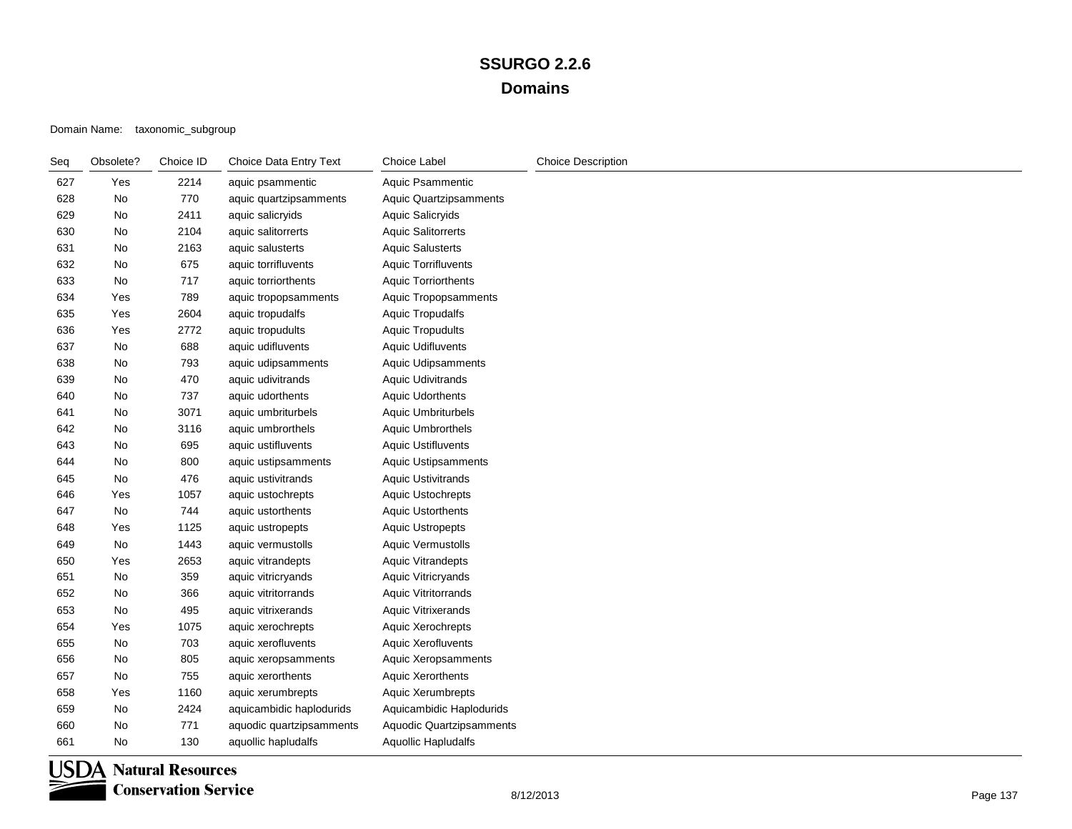| Seq | Obsolete? | Choice ID | Choice Data Entry Text   | Choice Label                  | <b>Choice Description</b> |
|-----|-----------|-----------|--------------------------|-------------------------------|---------------------------|
| 627 | Yes       | 2214      | aquic psammentic         | Aquic Psammentic              |                           |
| 628 | No        | 770       | aquic quartzipsamments   | <b>Aquic Quartzipsamments</b> |                           |
| 629 | No        | 2411      | aquic salicryids         | Aquic Salicryids              |                           |
| 630 | No        | 2104      | aquic salitorrerts       | <b>Aquic Salitorrerts</b>     |                           |
| 631 | No        | 2163      | aquic salusterts         | <b>Aquic Salusterts</b>       |                           |
| 632 | No        | 675       | aquic torrifluvents      | <b>Aquic Torrifluvents</b>    |                           |
| 633 | No        | 717       | aquic torriorthents      | <b>Aquic Torriorthents</b>    |                           |
| 634 | Yes       | 789       | aquic tropopsamments     | Aquic Tropopsamments          |                           |
| 635 | Yes       | 2604      | aquic tropudalfs         | <b>Aquic Tropudalfs</b>       |                           |
| 636 | Yes       | 2772      | aquic tropudults         | <b>Aquic Tropudults</b>       |                           |
| 637 | No        | 688       | aquic udifluvents        | <b>Aquic Udifluvents</b>      |                           |
| 638 | No        | 793       | aquic udipsamments       | Aquic Udipsamments            |                           |
| 639 | No        | 470       | aquic udivitrands        | <b>Aquic Udivitrands</b>      |                           |
| 640 | No        | 737       | aquic udorthents         | <b>Aquic Udorthents</b>       |                           |
| 641 | No        | 3071      | aquic umbriturbels       | <b>Aquic Umbriturbels</b>     |                           |
| 642 | No        | 3116      | aquic umbrorthels        | Aquic Umbrorthels             |                           |
| 643 | No        | 695       | aquic ustifluvents       | <b>Aquic Ustifluvents</b>     |                           |
| 644 | No        | 800       | aquic ustipsamments      | <b>Aquic Ustipsamments</b>    |                           |
| 645 | No        | 476       | aquic ustivitrands       | <b>Aquic Ustivitrands</b>     |                           |
| 646 | Yes       | 1057      | aquic ustochrepts        | <b>Aquic Ustochrepts</b>      |                           |
| 647 | No        | 744       | aquic ustorthents        | <b>Aquic Ustorthents</b>      |                           |
| 648 | Yes       | 1125      | aquic ustropepts         | <b>Aquic Ustropepts</b>       |                           |
| 649 | No        | 1443      | aquic vermustolls        | Aquic Vermustolls             |                           |
| 650 | Yes       | 2653      | aquic vitrandepts        | Aquic Vitrandepts             |                           |
| 651 | No        | 359       | aquic vitricryands       | Aquic Vitricryands            |                           |
| 652 | No        | 366       | aquic vitritorrands      | <b>Aquic Vitritorrands</b>    |                           |
| 653 | No        | 495       | aquic vitrixerands       | Aquic Vitrixerands            |                           |
| 654 | Yes       | 1075      | aquic xerochrepts        | Aquic Xerochrepts             |                           |
| 655 | No        | 703       | aquic xerofluvents       | Aquic Xerofluvents            |                           |
| 656 | No        | 805       | aquic xeropsamments      | Aquic Xeropsamments           |                           |
| 657 | No        | 755       | aquic xerorthents        | Aquic Xerorthents             |                           |
| 658 | Yes       | 1160      | aquic xerumbrepts        | Aquic Xerumbrepts             |                           |
| 659 | No        | 2424      | aquicambidic haplodurids | Aquicambidic Haplodurids      |                           |
| 660 | No        | 771       | aquodic quartzipsamments | Aquodic Quartzipsamments      |                           |
| 661 | No        | 130       | aquollic hapludalfs      | Aquollic Hapludalfs           |                           |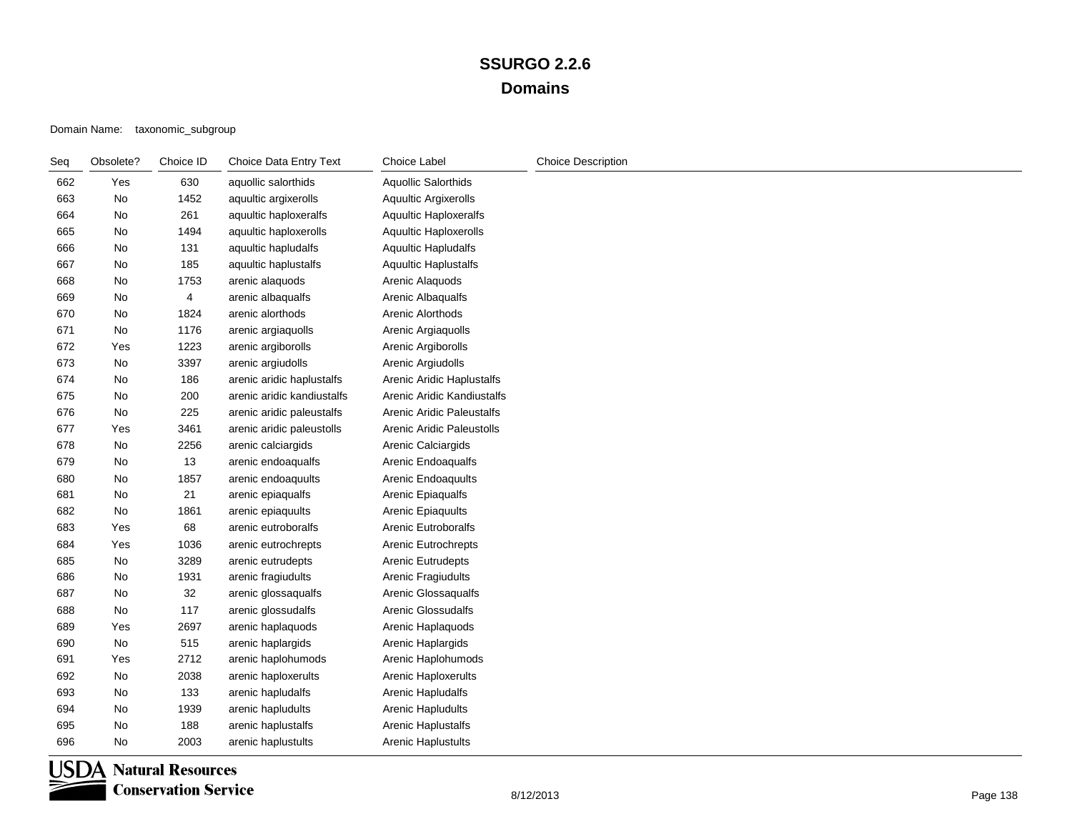| Seq | Obsolete? | Choice ID | Choice Data Entry Text     | Choice Label                | <b>Choice Description</b> |
|-----|-----------|-----------|----------------------------|-----------------------------|---------------------------|
| 662 | Yes       | 630       | aquollic salorthids        | <b>Aquollic Salorthids</b>  |                           |
| 663 | No        | 1452      | aquultic argixerolls       | <b>Aquultic Argixerolls</b> |                           |
| 664 | No        | 261       | aquultic haploxeralfs      | Aquultic Haploxeralfs       |                           |
| 665 | No        | 1494      | aquultic haploxerolls      | Aquultic Haploxerolls       |                           |
| 666 | No        | 131       | aquultic hapludalfs        | Aquultic Hapludalfs         |                           |
| 667 | No        | 185       | aquultic haplustalfs       | <b>Aquultic Haplustalfs</b> |                           |
| 668 | No        | 1753      | arenic alaquods            | Arenic Alaquods             |                           |
| 669 | No        | 4         | arenic albaqualfs          | Arenic Albaqualfs           |                           |
| 670 | No        | 1824      | arenic alorthods           | Arenic Alorthods            |                           |
| 671 | No        | 1176      | arenic argiaquolls         | Arenic Argiaquolls          |                           |
| 672 | Yes       | 1223      | arenic argiborolls         | Arenic Argiborolls          |                           |
| 673 | No        | 3397      | arenic argiudolls          | Arenic Argiudolls           |                           |
| 674 | No        | 186       | arenic aridic haplustalfs  | Arenic Aridic Haplustalfs   |                           |
| 675 | No        | 200       | arenic aridic kandiustalfs | Arenic Aridic Kandiustalfs  |                           |
| 676 | No        | 225       | arenic aridic paleustalfs  | Arenic Aridic Paleustalfs   |                           |
| 677 | Yes       | 3461      | arenic aridic paleustolls  | Arenic Aridic Paleustolls   |                           |
| 678 | No        | 2256      | arenic calciargids         | Arenic Calciargids          |                           |
| 679 | No        | 13        | arenic endoaqualfs         | Arenic Endoaqualfs          |                           |
| 680 | No        | 1857      | arenic endoaquults         | Arenic Endoaquults          |                           |
| 681 | No        | 21        | arenic epiaqualfs          | Arenic Epiaqualfs           |                           |
| 682 | No        | 1861      | arenic epiaquults          | Arenic Epiaquults           |                           |
| 683 | Yes       | 68        | arenic eutroboralfs        | <b>Arenic Eutroboralfs</b>  |                           |
| 684 | Yes       | 1036      | arenic eutrochrepts        | Arenic Eutrochrepts         |                           |
| 685 | No        | 3289      | arenic eutrudepts          | <b>Arenic Eutrudepts</b>    |                           |
| 686 | No        | 1931      | arenic fragiudults         | Arenic Fragiudults          |                           |
| 687 | No        | 32        | arenic glossaqualfs        | Arenic Glossaqualfs         |                           |
| 688 | No        | 117       | arenic glossudalfs         | <b>Arenic Glossudalfs</b>   |                           |
| 689 | Yes       | 2697      | arenic haplaquods          | Arenic Haplaquods           |                           |
| 690 | No        | 515       | arenic haplargids          | Arenic Haplargids           |                           |
| 691 | Yes       | 2712      | arenic haplohumods         | Arenic Haplohumods          |                           |
| 692 | No        | 2038      | arenic haploxerults        | Arenic Haploxerults         |                           |
| 693 | No        | 133       | arenic hapludalfs          | Arenic Hapludalfs           |                           |
| 694 | No        | 1939      | arenic hapludults          | Arenic Hapludults           |                           |
| 695 | No        | 188       | arenic haplustalfs         | Arenic Haplustalfs          |                           |
| 696 | No        | 2003      | arenic haplustults         | <b>Arenic Haplustults</b>   |                           |

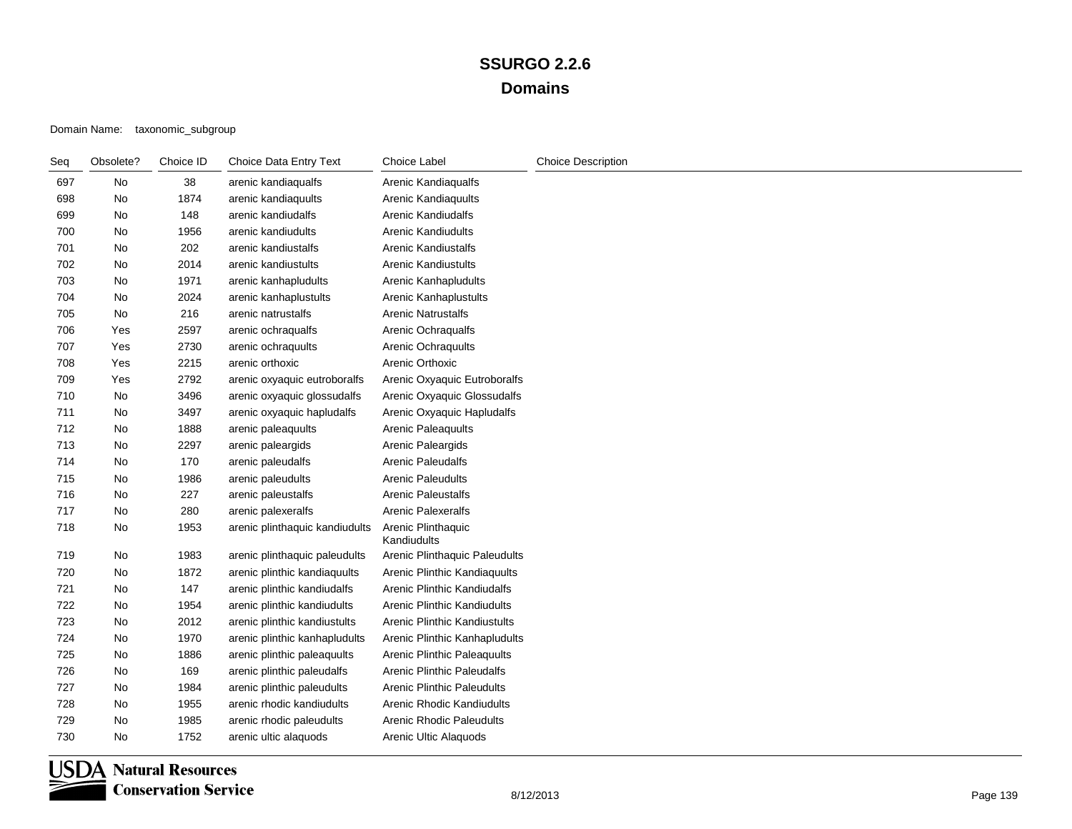| Seq | Obsolete? | Choice ID | Choice Data Entry Text         | Choice Label                      | <b>Choice Description</b> |
|-----|-----------|-----------|--------------------------------|-----------------------------------|---------------------------|
| 697 | No        | 38        | arenic kandiaqualfs            | Arenic Kandiagualfs               |                           |
| 698 | No        | 1874      | arenic kandiaquults            | Arenic Kandiaquults               |                           |
| 699 | No        | 148       | arenic kandiudalfs             | <b>Arenic Kandiudalfs</b>         |                           |
| 700 | No        | 1956      | arenic kandiudults             | <b>Arenic Kandiudults</b>         |                           |
| 701 | No        | 202       | arenic kandiustalfs            | <b>Arenic Kandiustalfs</b>        |                           |
| 702 | No        | 2014      | arenic kandiustults            | <b>Arenic Kandiustults</b>        |                           |
| 703 | No        | 1971      | arenic kanhapludults           | Arenic Kanhapludults              |                           |
| 704 | No        | 2024      | arenic kanhaplustults          | Arenic Kanhaplustults             |                           |
| 705 | No        | 216       | arenic natrustalfs             | <b>Arenic Natrustalfs</b>         |                           |
| 706 | Yes       | 2597      | arenic ochraqualfs             | Arenic Ochraqualfs                |                           |
| 707 | Yes       | 2730      | arenic ochraquults             | Arenic Ochraquults                |                           |
| 708 | Yes       | 2215      | arenic orthoxic                | Arenic Orthoxic                   |                           |
| 709 | Yes       | 2792      | arenic oxyaquic eutroboralfs   | Arenic Oxyaquic Eutroboralfs      |                           |
| 710 | No        | 3496      | arenic oxyaquic glossudalfs    | Arenic Oxyaquic Glossudalfs       |                           |
| 711 | No        | 3497      | arenic oxyaquic hapludalfs     | Arenic Oxyaquic Hapludalfs        |                           |
| 712 | No        | 1888      | arenic paleaquults             | <b>Arenic Paleaquults</b>         |                           |
| 713 | No        | 2297      | arenic paleargids              | Arenic Paleargids                 |                           |
| 714 | No        | 170       | arenic paleudalfs              | <b>Arenic Paleudalfs</b>          |                           |
| 715 | No        | 1986      | arenic paleudults              | <b>Arenic Paleudults</b>          |                           |
| 716 | No        | 227       | arenic paleustalfs             | Arenic Paleustalfs                |                           |
| 717 | No        | 280       | arenic palexeralfs             | <b>Arenic Palexeralfs</b>         |                           |
| 718 | No        | 1953      | arenic plinthaquic kandiudults | Arenic Plinthaquic<br>Kandiudults |                           |
| 719 | No        | 1983      | arenic plinthaquic paleudults  | Arenic Plinthaquic Paleudults     |                           |
| 720 | No        | 1872      | arenic plinthic kandiaquults   | Arenic Plinthic Kandiaguults      |                           |
| 721 | No        | 147       | arenic plinthic kandiudalfs    | Arenic Plinthic Kandiudalfs       |                           |
| 722 | No        | 1954      | arenic plinthic kandiudults    | Arenic Plinthic Kandiudults       |                           |
| 723 | No        | 2012      | arenic plinthic kandiustults   | Arenic Plinthic Kandiustults      |                           |
| 724 | No        | 1970      | arenic plinthic kanhapludults  | Arenic Plinthic Kanhapludults     |                           |
| 725 | No        | 1886      | arenic plinthic paleaquults    | Arenic Plinthic Paleaquults       |                           |
| 726 | No        | 169       | arenic plinthic paleudalfs     | Arenic Plinthic Paleudalfs        |                           |
| 727 | No        | 1984      | arenic plinthic paleudults     | <b>Arenic Plinthic Paleudults</b> |                           |
| 728 | No        | 1955      | arenic rhodic kandiudults      | Arenic Rhodic Kandiudults         |                           |
| 729 | No        | 1985      | arenic rhodic paleudults       | <b>Arenic Rhodic Paleudults</b>   |                           |
| 730 | No        | 1752      | arenic ultic alaquods          | Arenic Ultic Alaquods             |                           |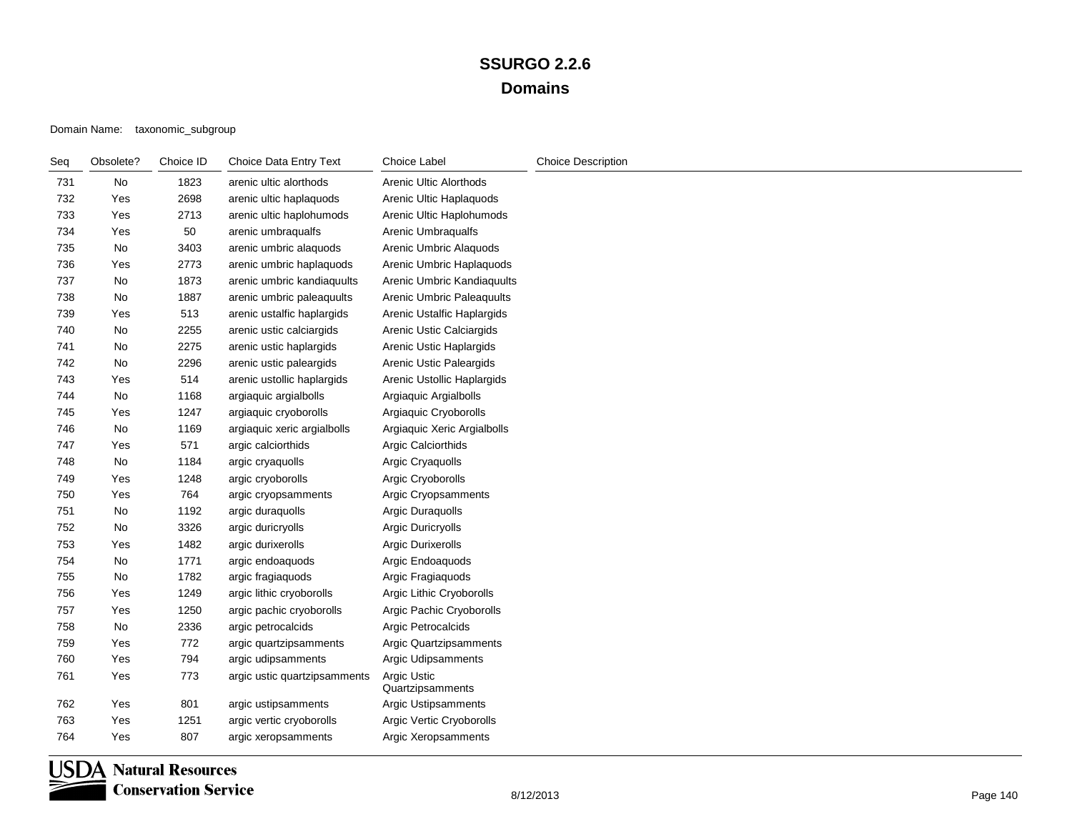### Domain Name: taxonomic\_subgroup

| Seq | Obsolete? | Choice ID | Choice Data Entry Text       | <b>Choice Label</b>              | <b>Choice Description</b> |
|-----|-----------|-----------|------------------------------|----------------------------------|---------------------------|
| 731 | No        | 1823      | arenic ultic alorthods       | Arenic Ultic Alorthods           |                           |
| 732 | Yes       | 2698      | arenic ultic haplaquods      | Arenic Ultic Haplaquods          |                           |
| 733 | Yes       | 2713      | arenic ultic haplohumods     | Arenic Ultic Haplohumods         |                           |
| 734 | Yes       | $50\,$    | arenic umbraqualfs           | Arenic Umbraqualfs               |                           |
| 735 | No        | 3403      | arenic umbric alaquods       | Arenic Umbric Alaquods           |                           |
| 736 | Yes       | 2773      | arenic umbric haplaquods     | Arenic Umbric Haplaquods         |                           |
| 737 | No        | 1873      | arenic umbric kandiaquults   | Arenic Umbric Kandiaquults       |                           |
| 738 | No        | 1887      | arenic umbric paleaquults    | <b>Arenic Umbric Paleaquults</b> |                           |
| 739 | Yes       | 513       | arenic ustalfic haplargids   | Arenic Ustalfic Haplargids       |                           |
| 740 | No        | 2255      | arenic ustic calciargids     | Arenic Ustic Calciargids         |                           |
| 741 | No        | 2275      | arenic ustic haplargids      | Arenic Ustic Haplargids          |                           |
| 742 | No        | 2296      | arenic ustic paleargids      | Arenic Ustic Paleargids          |                           |
| 743 | Yes       | 514       | arenic ustollic haplargids   | Arenic Ustollic Haplargids       |                           |
| 744 | No        | 1168      | argiaquic argialbolls        | Argiaquic Argialbolls            |                           |
| 745 | Yes       | 1247      | argiaquic cryoborolls        | Argiaquic Cryoborolls            |                           |
| 746 | No        | 1169      | argiaquic xeric argialbolls  | Argiaquic Xeric Argialbolls      |                           |
| 747 | Yes       | 571       | argic calciorthids           | Argic Calciorthids               |                           |
| 748 | No        | 1184      | argic cryaquolls             | Argic Cryaquolls                 |                           |
| 749 | Yes       | 1248      | argic cryoborolls            | Argic Cryoborolls                |                           |
| 750 | Yes       | 764       | argic cryopsamments          | Argic Cryopsamments              |                           |
| 751 | No        | 1192      | argic duraquolls             | Argic Duraquolls                 |                           |
| 752 | No        | 3326      | argic duricryolls            | Argic Duricryolls                |                           |
| 753 | Yes       | 1482      | argic durixerolls            | <b>Argic Durixerolls</b>         |                           |
| 754 | No        | 1771      | argic endoaquods             | Argic Endoaquods                 |                           |
| 755 | No        | 1782      | argic fragiaquods            | Argic Fragiaquods                |                           |
| 756 | Yes       | 1249      | argic lithic cryoborolls     | Argic Lithic Cryoborolls         |                           |
| 757 | Yes       | 1250      | argic pachic cryoborolls     | Argic Pachic Cryoborolls         |                           |
| 758 | No        | 2336      | argic petrocalcids           | Argic Petrocalcids               |                           |
| 759 | Yes       | 772       | argic quartzipsamments       | Argic Quartzipsamments           |                           |
| 760 | Yes       | 794       | argic udipsamments           | Argic Udipsamments               |                           |
| 761 | Yes       | 773       | argic ustic quartzipsamments | Argic Ustic<br>Quartzipsamments  |                           |
| 762 | Yes       | 801       | argic ustipsamments          | Argic Ustipsamments              |                           |
| 763 | Yes       | 1251      | argic vertic cryoborolls     | Argic Vertic Cryoborolls         |                           |
| 764 | Yes       | 807       | argic xeropsamments          | Argic Xeropsamments              |                           |

**USDA** Natural Resources **Conservation Service**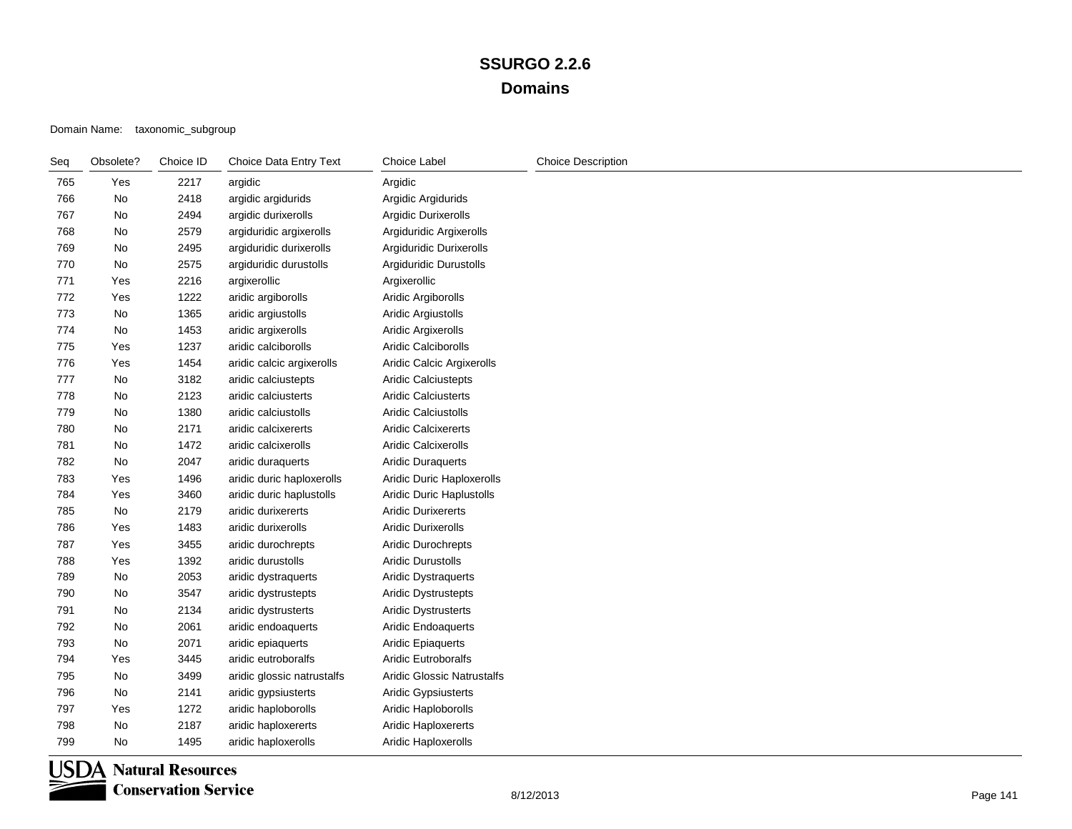| Seq | Obsolete? | Choice ID | Choice Data Entry Text     | <b>Choice Label</b>               | <b>Choice Description</b> |
|-----|-----------|-----------|----------------------------|-----------------------------------|---------------------------|
| 765 | Yes       | 2217      | argidic                    | Argidic                           |                           |
| 766 | No        | 2418      | argidic argidurids         | Argidic Argidurids                |                           |
| 767 | No        | 2494      | argidic durixerolls        | Argidic Durixerolls               |                           |
| 768 | No        | 2579      | argiduridic argixerolls    | Argiduridic Argixerolls           |                           |
| 769 | No        | 2495      | argiduridic durixerolls    | Argiduridic Durixerolls           |                           |
| 770 | No        | 2575      | argiduridic durustolls     | Argiduridic Durustolls            |                           |
| 771 | Yes       | 2216      | argixerollic               | Argixerollic                      |                           |
| 772 | Yes       | 1222      | aridic argiborolls         | Aridic Argiborolls                |                           |
| 773 | No        | 1365      | aridic argiustolls         | Aridic Argiustolls                |                           |
| 774 | No        | 1453      | aridic argixerolls         | Aridic Argixerolls                |                           |
| 775 | Yes       | 1237      | aridic calciborolls        | Aridic Calciborolls               |                           |
| 776 | Yes       | 1454      | aridic calcic argixerolls  | Aridic Calcic Argixerolls         |                           |
| 777 | No        | 3182      | aridic calciustepts        | <b>Aridic Calciustepts</b>        |                           |
| 778 | No        | 2123      | aridic calciusterts        | <b>Aridic Calciusterts</b>        |                           |
| 779 | No        | 1380      | aridic calciustolls        | Aridic Calciustolls               |                           |
| 780 | No        | 2171      | aridic calcixererts        | <b>Aridic Calcixererts</b>        |                           |
| 781 | No        | 1472      | aridic calcixerolls        | Aridic Calcixerolls               |                           |
| 782 | No        | 2047      | aridic duraquerts          | <b>Aridic Duraquerts</b>          |                           |
| 783 | Yes       | 1496      | aridic duric haploxerolls  | Aridic Duric Haploxerolls         |                           |
| 784 | Yes       | 3460      | aridic duric haplustolls   | Aridic Duric Haplustolls          |                           |
| 785 | No        | 2179      | aridic durixererts         | <b>Aridic Durixererts</b>         |                           |
| 786 | Yes       | 1483      | aridic durixerolls         | <b>Aridic Durixerolls</b>         |                           |
| 787 | Yes       | 3455      | aridic durochrepts         | Aridic Durochrepts                |                           |
| 788 | Yes       | 1392      | aridic durustolls          | Aridic Durustolls                 |                           |
| 789 | No        | 2053      | aridic dystraquerts        | Aridic Dystraquerts               |                           |
| 790 | No        | 3547      | aridic dystrustepts        | Aridic Dystrustepts               |                           |
| 791 | No        | 2134      | aridic dystrusterts        | <b>Aridic Dystrusterts</b>        |                           |
| 792 | No        | 2061      | aridic endoaquerts         | Aridic Endoaquerts                |                           |
| 793 | No        | 2071      | aridic epiaquerts          | <b>Aridic Epiaquerts</b>          |                           |
| 794 | Yes       | 3445      | aridic eutroboralfs        | <b>Aridic Eutroboralfs</b>        |                           |
| 795 | No        | 3499      | aridic glossic natrustalfs | <b>Aridic Glossic Natrustalfs</b> |                           |
| 796 | No        | 2141      | aridic gypsiusterts        | <b>Aridic Gypsiusterts</b>        |                           |
| 797 | Yes       | 1272      | aridic haploborolls        | Aridic Haploborolls               |                           |
| 798 | No        | 2187      | aridic haploxererts        | Aridic Haploxererts               |                           |
| 799 | No        | 1495      | aridic haploxerolls        | Aridic Haploxerolls               |                           |

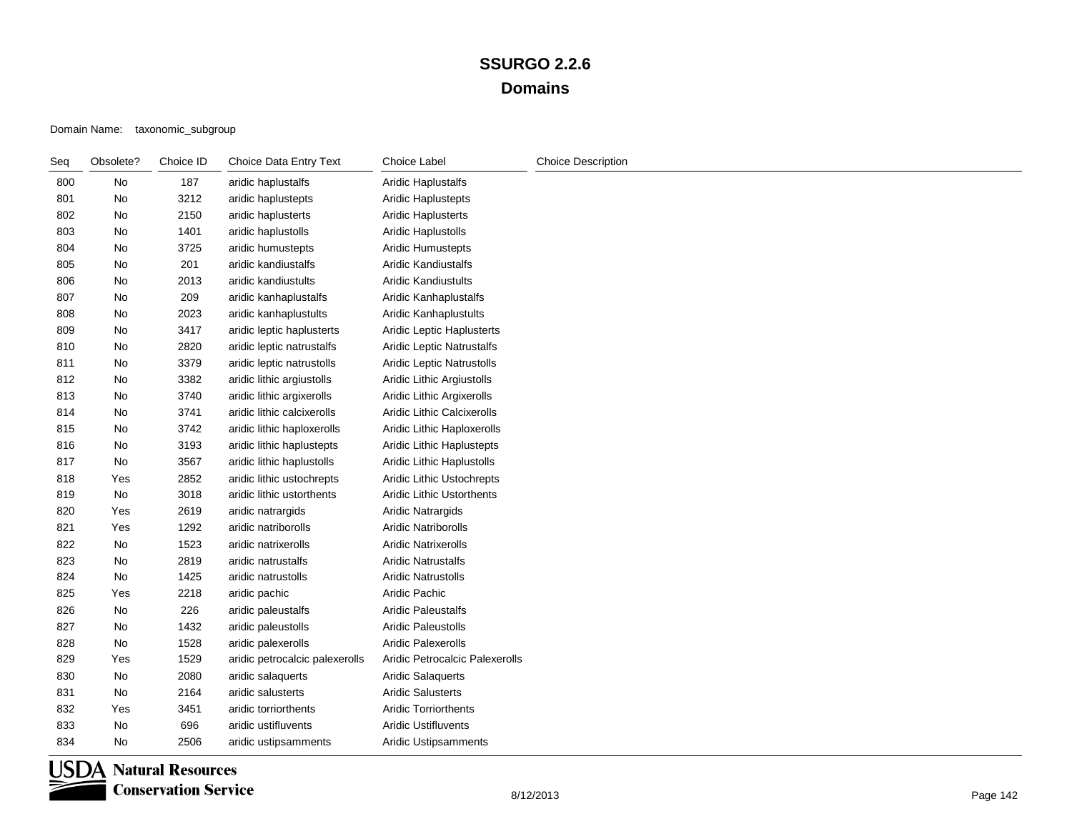| Seq | Obsolete? | Choice ID | Choice Data Entry Text         | <b>Choice Label</b>              | <b>Choice Description</b> |
|-----|-----------|-----------|--------------------------------|----------------------------------|---------------------------|
| 800 | No        | 187       | aridic haplustalfs             | <b>Aridic Haplustalfs</b>        |                           |
| 801 | No        | 3212      | aridic haplustepts             | Aridic Haplustepts               |                           |
| 802 | No        | 2150      | aridic haplusterts             | Aridic Haplusterts               |                           |
| 803 | No        | 1401      | aridic haplustolls             | Aridic Haplustolls               |                           |
| 804 | No        | 3725      | aridic humustepts              | Aridic Humustepts                |                           |
| 805 | No        | 201       | aridic kandiustalfs            | <b>Aridic Kandiustalfs</b>       |                           |
| 806 | No        | 2013      | aridic kandiustults            | <b>Aridic Kandiustults</b>       |                           |
| 807 | No        | 209       | aridic kanhaplustalfs          | Aridic Kanhaplustalfs            |                           |
| 808 | No        | 2023      | aridic kanhaplustults          | Aridic Kanhaplustults            |                           |
| 809 | No        | 3417      | aridic leptic haplusterts      | Aridic Leptic Haplusterts        |                           |
| 810 | No        | 2820      | aridic leptic natrustalfs      | Aridic Leptic Natrustalfs        |                           |
| 811 | No        | 3379      | aridic leptic natrustolls      | Aridic Leptic Natrustolls        |                           |
| 812 | No        | 3382      | aridic lithic argiustolls      | Aridic Lithic Argiustolls        |                           |
| 813 | No        | 3740      | aridic lithic argixerolls      | Aridic Lithic Argixerolls        |                           |
| 814 | No        | 3741      | aridic lithic calcixerolls     | Aridic Lithic Calcixerolls       |                           |
| 815 | No        | 3742      | aridic lithic haploxerolls     | Aridic Lithic Haploxerolls       |                           |
| 816 | No        | 3193      | aridic lithic haplustepts      | Aridic Lithic Haplustepts        |                           |
| 817 | No        | 3567      | aridic lithic haplustolls      | Aridic Lithic Haplustolls        |                           |
| 818 | Yes       | 2852      | aridic lithic ustochrepts      | Aridic Lithic Ustochrepts        |                           |
| 819 | No        | 3018      | aridic lithic ustorthents      | <b>Aridic Lithic Ustorthents</b> |                           |
| 820 | Yes       | 2619      | aridic natrargids              | Aridic Natrargids                |                           |
| 821 | Yes       | 1292      | aridic natriborolls            | Aridic Natriborolls              |                           |
| 822 | No        | 1523      | aridic natrixerolls            | <b>Aridic Natrixerolls</b>       |                           |
| 823 | No        | 2819      | aridic natrustalfs             | <b>Aridic Natrustalfs</b>        |                           |
| 824 | No        | 1425      | aridic natrustolls             | <b>Aridic Natrustolls</b>        |                           |
| 825 | Yes       | 2218      | aridic pachic                  | Aridic Pachic                    |                           |
| 826 | No        | 226       | aridic paleustalfs             | <b>Aridic Paleustalfs</b>        |                           |
| 827 | No        | 1432      | aridic paleustolls             | Aridic Paleustolls               |                           |
| 828 | No        | 1528      | aridic palexerolls             | <b>Aridic Palexerolls</b>        |                           |
| 829 | Yes       | 1529      | aridic petrocalcic palexerolls | Aridic Petrocalcic Palexerolls   |                           |
| 830 | No        | 2080      | aridic salaquerts              | <b>Aridic Salaquerts</b>         |                           |
| 831 | No        | 2164      | aridic salusterts              | <b>Aridic Salusterts</b>         |                           |
| 832 | Yes       | 3451      | aridic torriorthents           | <b>Aridic Torriorthents</b>      |                           |
| 833 | No        | 696       | aridic ustifluvents            | <b>Aridic Ustifluvents</b>       |                           |
| 834 | No        | 2506      | aridic ustipsamments           | Aridic Ustipsamments             |                           |

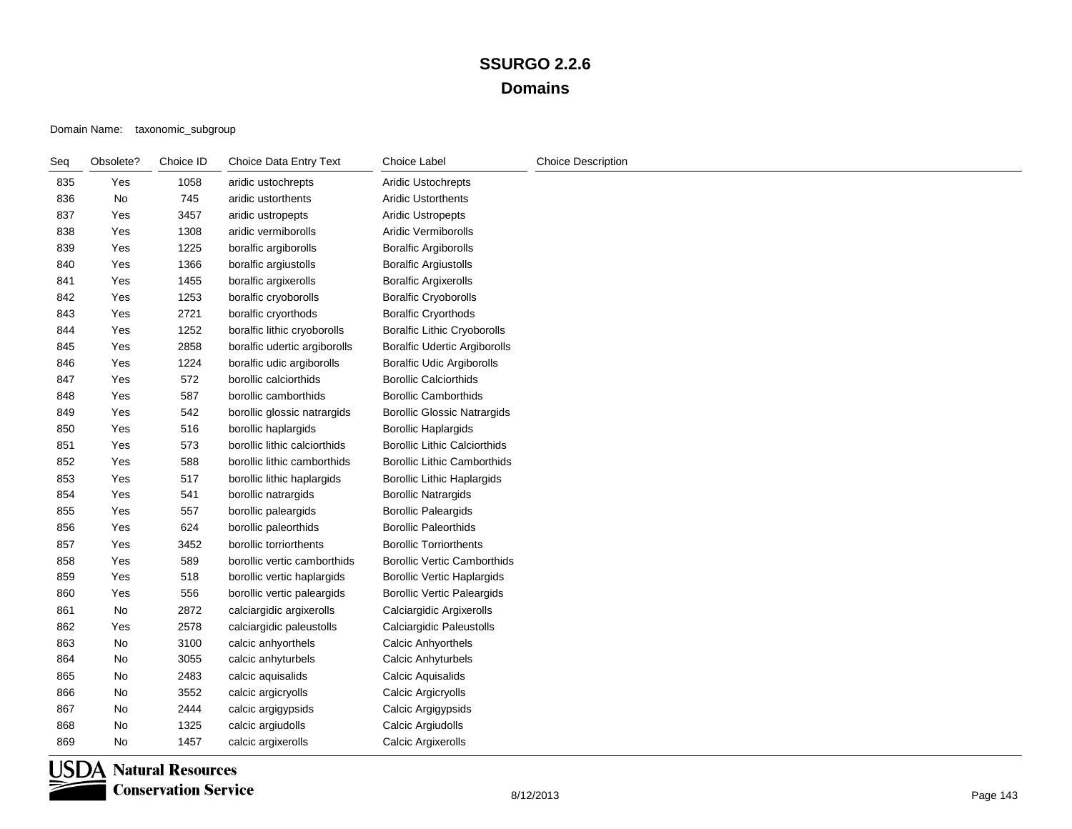| Seq | Obsolete? | Choice ID | Choice Data Entry Text       | <b>Choice Label</b>                 | <b>Choice Description</b> |
|-----|-----------|-----------|------------------------------|-------------------------------------|---------------------------|
| 835 | Yes       | 1058      | aridic ustochrepts           | Aridic Ustochrepts                  |                           |
| 836 | No        | 745       | aridic ustorthents           | <b>Aridic Ustorthents</b>           |                           |
| 837 | Yes       | 3457      | aridic ustropepts            | <b>Aridic Ustropepts</b>            |                           |
| 838 | Yes       | 1308      | aridic vermiborolls          | Aridic Vermiborolls                 |                           |
| 839 | Yes       | 1225      | boralfic argiborolls         | <b>Boralfic Argiborolls</b>         |                           |
| 840 | Yes       | 1366      | boralfic argiustolls         | <b>Boralfic Argiustolls</b>         |                           |
| 841 | Yes       | 1455      | boralfic argixerolls         | <b>Boralfic Argixerolls</b>         |                           |
| 842 | Yes       | 1253      | boralfic cryoborolls         | <b>Boralfic Cryoborolls</b>         |                           |
| 843 | Yes       | 2721      | boralfic cryorthods          | <b>Boralfic Cryorthods</b>          |                           |
| 844 | Yes       | 1252      | boralfic lithic cryoborolls  | <b>Boralfic Lithic Cryoborolls</b>  |                           |
| 845 | Yes       | 2858      | boralfic udertic argiborolls | <b>Boralfic Udertic Argiborolls</b> |                           |
| 846 | Yes       | 1224      | boralfic udic argiborolls    | <b>Boralfic Udic Argiborolls</b>    |                           |
| 847 | Yes       | 572       | borollic calciorthids        | <b>Borollic Calciorthids</b>        |                           |
| 848 | Yes       | 587       | borollic camborthids         | <b>Borollic Camborthids</b>         |                           |
| 849 | Yes       | 542       | borollic glossic natrargids  | <b>Borollic Glossic Natrargids</b>  |                           |
| 850 | Yes       | 516       | borollic haplargids          | <b>Borollic Haplargids</b>          |                           |
| 851 | Yes       | 573       | borollic lithic calciorthids | <b>Borollic Lithic Calciorthids</b> |                           |
| 852 | Yes       | 588       | borollic lithic camborthids  | <b>Borollic Lithic Camborthids</b>  |                           |
| 853 | Yes       | 517       | borollic lithic haplargids   | <b>Borollic Lithic Haplargids</b>   |                           |
| 854 | Yes       | 541       | borollic natrargids          | <b>Borollic Natrargids</b>          |                           |
| 855 | Yes       | 557       | borollic paleargids          | <b>Borollic Paleargids</b>          |                           |
| 856 | Yes       | 624       | borollic paleorthids         | <b>Borollic Paleorthids</b>         |                           |
| 857 | Yes       | 3452      | borollic torriorthents       | <b>Borollic Torriorthents</b>       |                           |
| 858 | Yes       | 589       | borollic vertic camborthids  | <b>Borollic Vertic Camborthids</b>  |                           |
| 859 | Yes       | 518       | borollic vertic haplargids   | <b>Borollic Vertic Haplargids</b>   |                           |
| 860 | Yes       | 556       | borollic vertic paleargids   | <b>Borollic Vertic Paleargids</b>   |                           |
| 861 | No        | 2872      | calciargidic argixerolls     | Calciargidic Argixerolls            |                           |
| 862 | Yes       | 2578      | calciargidic paleustolls     | Calciargidic Paleustolls            |                           |
| 863 | No        | 3100      | calcic anhyorthels           | <b>Calcic Anhyorthels</b>           |                           |
| 864 | No.       | 3055      | calcic anhyturbels           | <b>Calcic Anhyturbels</b>           |                           |
| 865 | No        | 2483      | calcic aquisalids            | <b>Calcic Aquisalids</b>            |                           |
| 866 | No        | 3552      | calcic argicryolls           | Calcic Argicryolls                  |                           |
| 867 | No        | 2444      | calcic argigypsids           | Calcic Argigypsids                  |                           |
| 868 | No        | 1325      | calcic argiudolls            | Calcic Argiudolls                   |                           |
| 869 | No        | 1457      | calcic argixerolls           | Calcic Argixerolls                  |                           |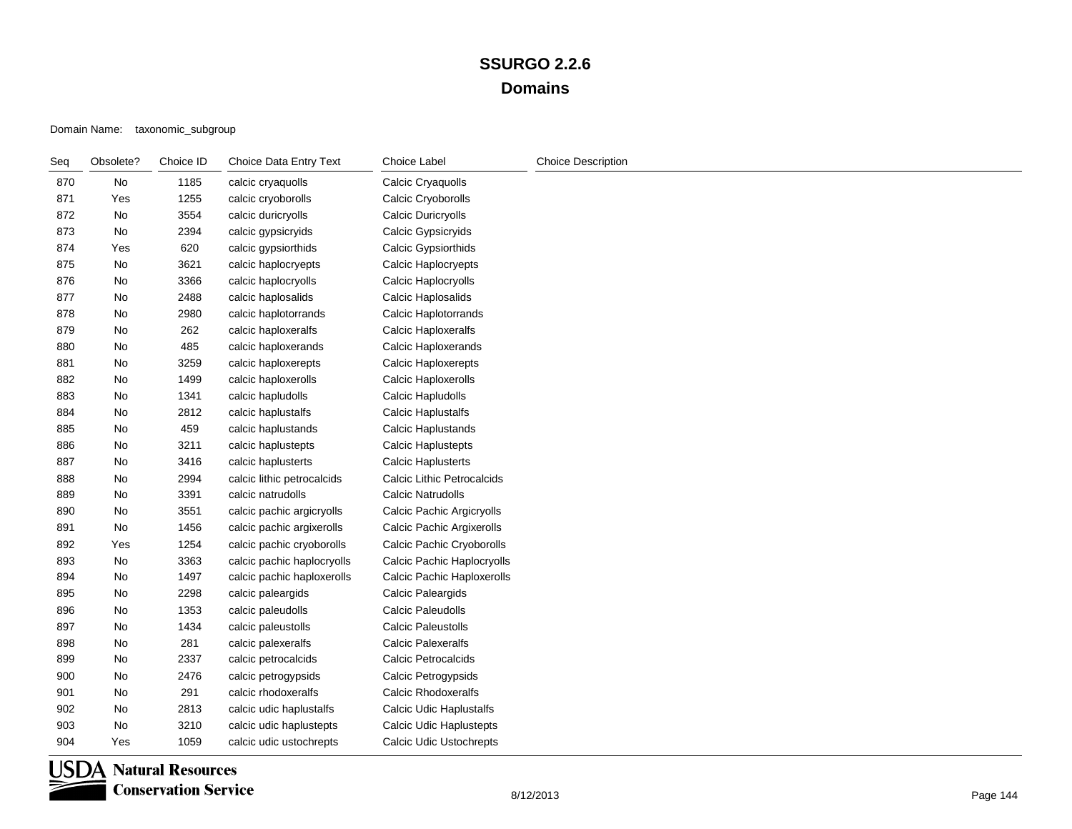| Seq | Obsolete? | Choice ID | Choice Data Entry Text     | <b>Choice Label</b>               | <b>Choice Description</b> |
|-----|-----------|-----------|----------------------------|-----------------------------------|---------------------------|
| 870 | No        | 1185      | calcic cryaquolls          | Calcic Cryaquolls                 |                           |
| 871 | Yes       | 1255      | calcic cryoborolls         | Calcic Cryoborolls                |                           |
| 872 | No        | 3554      | calcic duricryolls         | <b>Calcic Duricryolls</b>         |                           |
| 873 | No        | 2394      | calcic gypsicryids         | Calcic Gypsicryids                |                           |
| 874 | Yes       | 620       | calcic gypsiorthids        | Calcic Gypsiorthids               |                           |
| 875 | No        | 3621      | calcic haplocryepts        | Calcic Haplocryepts               |                           |
| 876 | No        | 3366      | calcic haplocryolls        | Calcic Haplocryolls               |                           |
| 877 | No        | 2488      | calcic haplosalids         | Calcic Haplosalids                |                           |
| 878 | No        | 2980      | calcic haplotorrands       | Calcic Haplotorrands              |                           |
| 879 | No        | 262       | calcic haploxeralfs        | <b>Calcic Haploxeralfs</b>        |                           |
| 880 | No        | 485       | calcic haploxerands        | <b>Calcic Haploxerands</b>        |                           |
| 881 | No        | 3259      | calcic haploxerepts        | <b>Calcic Haploxerepts</b>        |                           |
| 882 | No        | 1499      | calcic haploxerolls        | Calcic Haploxerolls               |                           |
| 883 | No        | 1341      | calcic hapludolls          | Calcic Hapludolls                 |                           |
| 884 | No        | 2812      | calcic haplustalfs         | <b>Calcic Haplustalfs</b>         |                           |
| 885 | No        | 459       | calcic haplustands         | <b>Calcic Haplustands</b>         |                           |
| 886 | No        | 3211      | calcic haplustepts         | Calcic Haplustepts                |                           |
| 887 | No        | 3416      | calcic haplusterts         | <b>Calcic Haplusterts</b>         |                           |
| 888 | No        | 2994      | calcic lithic petrocalcids | <b>Calcic Lithic Petrocalcids</b> |                           |
| 889 | No        | 3391      | calcic natrudolls          | <b>Calcic Natrudolls</b>          |                           |
| 890 | No        | 3551      | calcic pachic argicryolls  | Calcic Pachic Argicryolls         |                           |
| 891 | No        | 1456      | calcic pachic argixerolls  | Calcic Pachic Argixerolls         |                           |
| 892 | Yes       | 1254      | calcic pachic cryoborolls  | Calcic Pachic Cryoborolls         |                           |
| 893 | No        | 3363      | calcic pachic haplocryolls | Calcic Pachic Haplocryolls        |                           |
| 894 | No        | 1497      | calcic pachic haploxerolls | Calcic Pachic Haploxerolls        |                           |
| 895 | No        | 2298      | calcic paleargids          | Calcic Paleargids                 |                           |
| 896 | No        | 1353      | calcic paleudolls          | <b>Calcic Paleudolls</b>          |                           |
| 897 | No        | 1434      | calcic paleustolls         | <b>Calcic Paleustolls</b>         |                           |
| 898 | No        | 281       | calcic palexeralfs         | <b>Calcic Palexeralfs</b>         |                           |
| 899 | No        | 2337      | calcic petrocalcids        | <b>Calcic Petrocalcids</b>        |                           |
| 900 | No        | 2476      | calcic petrogypsids        | Calcic Petrogypsids               |                           |
| 901 | No        | 291       | calcic rhodoxeralfs        | <b>Calcic Rhodoxeralfs</b>        |                           |
| 902 | No        | 2813      | calcic udic haplustalfs    | Calcic Udic Haplustalfs           |                           |
| 903 | No        | 3210      | calcic udic haplustepts    | Calcic Udic Haplustepts           |                           |
| 904 | Yes       | 1059      | calcic udic ustochrepts    | Calcic Udic Ustochrepts           |                           |

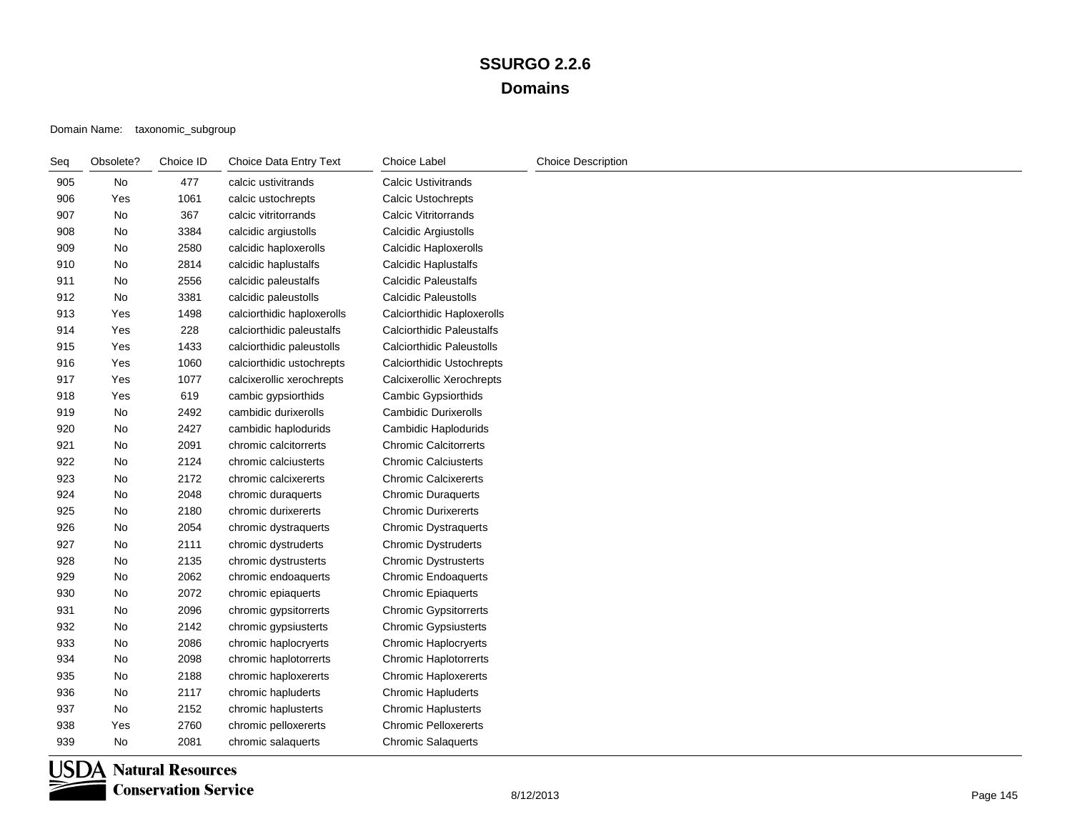#### Domain Name: taxonomic\_subgroup

| Seq | Obsolete? | Choice ID | Choice Data Entry Text     | <b>Choice Label</b>              | <b>Choice Description</b> |
|-----|-----------|-----------|----------------------------|----------------------------------|---------------------------|
| 905 | No        | 477       | calcic ustivitrands        | Calcic Ustivitrands              |                           |
| 906 | Yes       | 1061      | calcic ustochrepts         | Calcic Ustochrepts               |                           |
| 907 | No        | 367       | calcic vitritorrands       | Calcic Vitritorrands             |                           |
| 908 | No        | 3384      | calcidic argiustolls       | Calcidic Argiustolls             |                           |
| 909 | No        | 2580      | calcidic haploxerolls      | Calcidic Haploxerolls            |                           |
| 910 | No        | 2814      | calcidic haplustalfs       | Calcidic Haplustalfs             |                           |
| 911 | No        | 2556      | calcidic paleustalfs       | Calcidic Paleustalfs             |                           |
| 912 | No        | 3381      | calcidic paleustolls       | <b>Calcidic Paleustolls</b>      |                           |
| 913 | Yes       | 1498      | calciorthidic haploxerolls | Calciorthidic Haploxerolls       |                           |
| 914 | Yes       | 228       | calciorthidic paleustalfs  | <b>Calciorthidic Paleustalfs</b> |                           |
| 915 | Yes       | 1433      | calciorthidic paleustolls  | <b>Calciorthidic Paleustolls</b> |                           |
| 916 | Yes       | 1060      | calciorthidic ustochrepts  | Calciorthidic Ustochrepts        |                           |
| 917 | Yes       | 1077      | calcixerollic xerochrepts  | Calcixerollic Xerochrepts        |                           |
| 918 | Yes       | 619       | cambic gypsiorthids        | Cambic Gypsiorthids              |                           |
| 919 | No        | 2492      | cambidic durixerolls       | <b>Cambidic Durixerolls</b>      |                           |
| 920 | No        | 2427      | cambidic haplodurids       | Cambidic Haplodurids             |                           |
| 921 | No        | 2091      | chromic calcitorrerts      | <b>Chromic Calcitorrerts</b>     |                           |
| 922 | No        | 2124      | chromic calciusterts       | <b>Chromic Calciusterts</b>      |                           |
| 923 | No        | 2172      | chromic calcixererts       | <b>Chromic Calcixererts</b>      |                           |
| 924 | No        | 2048      | chromic duraquerts         | <b>Chromic Duraquerts</b>        |                           |
| 925 | No        | 2180      | chromic durixererts        | <b>Chromic Durixererts</b>       |                           |
| 926 | No        | 2054      | chromic dystraquerts       | <b>Chromic Dystraquerts</b>      |                           |
| 927 | No        | 2111      | chromic dystruderts        | Chromic Dystruderts              |                           |
| 928 | No        | 2135      | chromic dystrusterts       | <b>Chromic Dystrusterts</b>      |                           |
| 929 | No        | 2062      | chromic endoaquerts        | Chromic Endoaquerts              |                           |
| 930 | No        | 2072      | chromic epiaquerts         | <b>Chromic Epiaquerts</b>        |                           |
| 931 | No        | 2096      | chromic gypsitorrerts      | <b>Chromic Gypsitorrerts</b>     |                           |
| 932 | No        | 2142      | chromic gypsiusterts       | <b>Chromic Gypsiusterts</b>      |                           |
| 933 | No        | 2086      | chromic haplocryerts       | Chromic Haplocryerts             |                           |
| 934 | No        | 2098      | chromic haplotorrerts      | <b>Chromic Haplotorrerts</b>     |                           |
| 935 | No        | 2188      | chromic haploxererts       | <b>Chromic Haploxererts</b>      |                           |
| 936 | No        | 2117      | chromic hapluderts         | Chromic Hapluderts               |                           |
| 937 | No        | 2152      | chromic haplusterts        | <b>Chromic Haplusterts</b>       |                           |
| 938 | Yes       | 2760      | chromic pelloxererts       | <b>Chromic Pelloxererts</b>      |                           |
| 939 | No        | 2081      | chromic salaquerts         | <b>Chromic Salaquerts</b>        |                           |

**USDA** Natural Resources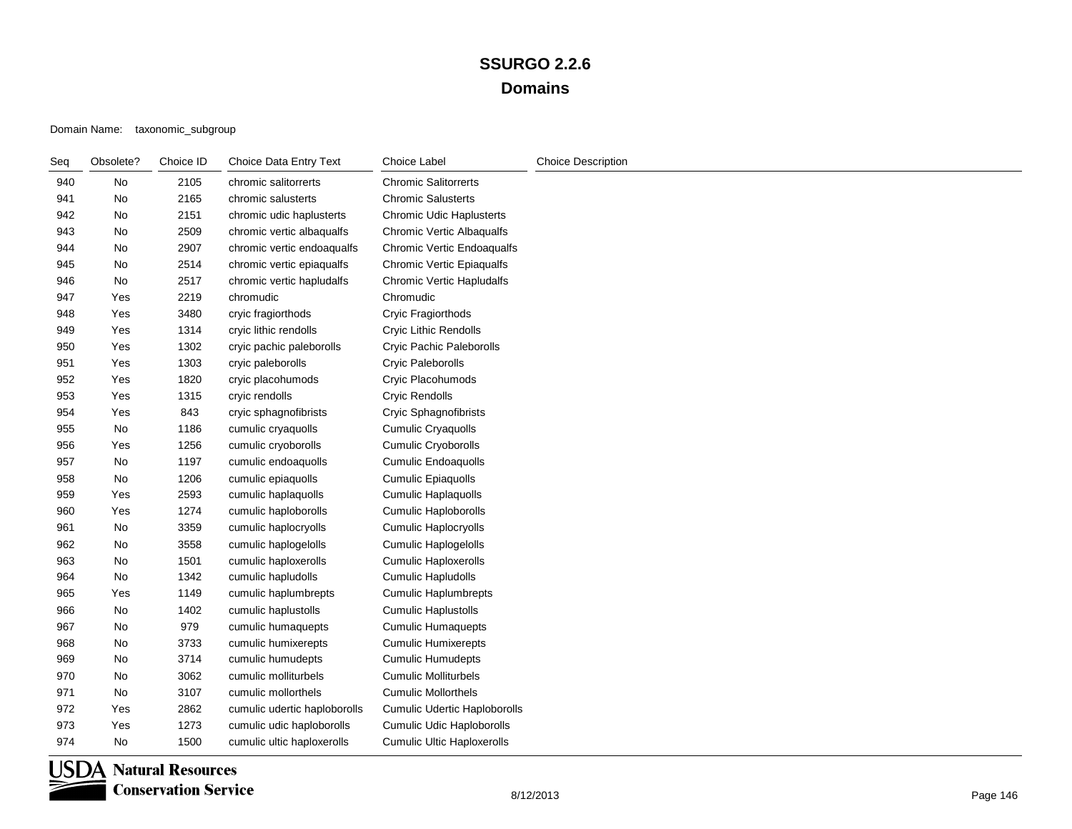| Seq | Obsolete? | Choice ID | Choice Data Entry Text       | Choice Label                        | <b>Choice Description</b> |
|-----|-----------|-----------|------------------------------|-------------------------------------|---------------------------|
| 940 | No        | 2105      | chromic salitorrerts         | <b>Chromic Salitorrerts</b>         |                           |
| 941 | No        | 2165      | chromic salusterts           | <b>Chromic Salusterts</b>           |                           |
| 942 | No        | 2151      | chromic udic haplusterts     | <b>Chromic Udic Haplusterts</b>     |                           |
| 943 | No        | 2509      | chromic vertic albaqualfs    | Chromic Vertic Albaqualfs           |                           |
| 944 | No        | 2907      | chromic vertic endoaqualfs   | Chromic Vertic Endoaqualfs          |                           |
| 945 | No        | 2514      | chromic vertic epiaqualfs    | <b>Chromic Vertic Epiaqualfs</b>    |                           |
| 946 | No        | 2517      | chromic vertic hapludalfs    | Chromic Vertic Hapludalfs           |                           |
| 947 | Yes       | 2219      | chromudic                    | Chromudic                           |                           |
| 948 | Yes       | 3480      | cryic fragiorthods           | Cryic Fragiorthods                  |                           |
| 949 | Yes       | 1314      | cryic lithic rendolls        | Cryic Lithic Rendolls               |                           |
| 950 | Yes       | 1302      | cryic pachic paleborolls     | Cryic Pachic Paleborolls            |                           |
| 951 | Yes       | 1303      | cryic paleborolls            | Cryic Paleborolls                   |                           |
| 952 | Yes       | 1820      | cryic placohumods            | Cryic Placohumods                   |                           |
| 953 | Yes       | 1315      | cryic rendolls               | Cryic Rendolls                      |                           |
| 954 | Yes       | 843       | cryic sphagnofibrists        | Cryic Sphagnofibrists               |                           |
| 955 | No        | 1186      | cumulic cryaquolls           | <b>Cumulic Cryaquolls</b>           |                           |
| 956 | Yes       | 1256      | cumulic cryoborolls          | <b>Cumulic Cryoborolls</b>          |                           |
| 957 | No        | 1197      | cumulic endoaquolls          | <b>Cumulic Endoaquolls</b>          |                           |
| 958 | No        | 1206      | cumulic epiaquolls           | <b>Cumulic Epiaquolls</b>           |                           |
| 959 | Yes       | 2593      | cumulic haplaquolls          | <b>Cumulic Haplaquolls</b>          |                           |
| 960 | Yes       | 1274      | cumulic haploborolls         | Cumulic Haploborolls                |                           |
| 961 | No        | 3359      | cumulic haplocryolls         | Cumulic Haplocryolls                |                           |
| 962 | No        | 3558      | cumulic haplogelolls         | Cumulic Haplogelolls                |                           |
| 963 | No        | 1501      | cumulic haploxerolls         | <b>Cumulic Haploxerolls</b>         |                           |
| 964 | No        | 1342      | cumulic hapludolls           | <b>Cumulic Hapludolls</b>           |                           |
| 965 | Yes       | 1149      | cumulic haplumbrepts         | <b>Cumulic Haplumbrepts</b>         |                           |
| 966 | <b>No</b> | 1402      | cumulic haplustolls          | <b>Cumulic Haplustolls</b>          |                           |
| 967 | No        | 979       | cumulic humaquepts           | <b>Cumulic Humaquepts</b>           |                           |
| 968 | No        | 3733      | cumulic humixerepts          | <b>Cumulic Humixerepts</b>          |                           |
| 969 | No        | 3714      | cumulic humudepts            | <b>Cumulic Humudepts</b>            |                           |
| 970 | No        | 3062      | cumulic molliturbels         | <b>Cumulic Molliturbels</b>         |                           |
| 971 | No        | 3107      | cumulic mollorthels          | <b>Cumulic Mollorthels</b>          |                           |
| 972 | Yes       | 2862      | cumulic udertic haploborolls | <b>Cumulic Udertic Haploborolls</b> |                           |
| 973 | Yes       | 1273      | cumulic udic haploborolls    | Cumulic Udic Haploborolls           |                           |
| 974 | No        | 1500      | cumulic ultic haploxerolls   | <b>Cumulic Ultic Haploxerolls</b>   |                           |

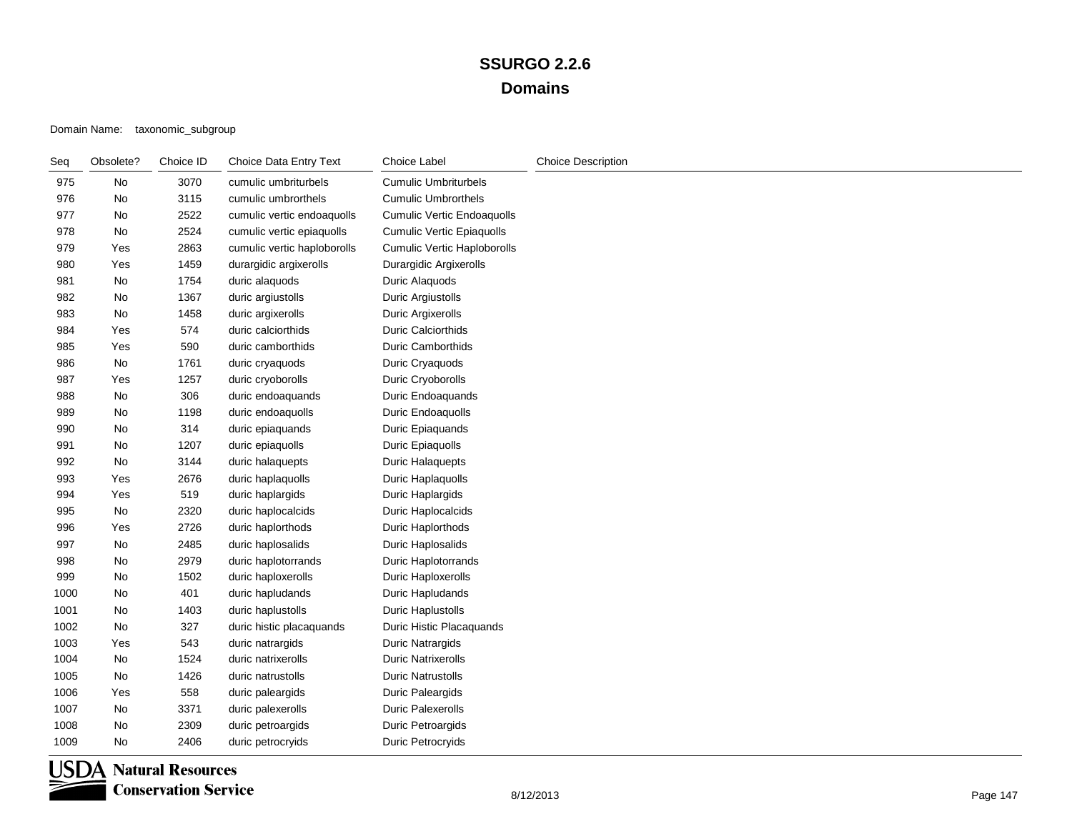### Domain Name: taxonomic\_subgroup

| Seq  | Obsolete? | Choice ID | Choice Data Entry Text      | Choice Label                      | <b>Choice Description</b> |
|------|-----------|-----------|-----------------------------|-----------------------------------|---------------------------|
| 975  | No        | 3070      | cumulic umbriturbels        | <b>Cumulic Umbriturbels</b>       |                           |
| 976  | No        | 3115      | cumulic umbrorthels         | <b>Cumulic Umbrorthels</b>        |                           |
| 977  | No        | 2522      | cumulic vertic endoaquolls  | <b>Cumulic Vertic Endoaquolls</b> |                           |
| 978  | No        | 2524      | cumulic vertic epiaquolls   | <b>Cumulic Vertic Epiaquolls</b>  |                           |
| 979  | Yes       | 2863      | cumulic vertic haploborolls | Cumulic Vertic Haploborolls       |                           |
| 980  | Yes       | 1459      | durargidic argixerolls      | Durargidic Argixerolls            |                           |
| 981  | No        | 1754      | duric alaquods              | Duric Alaquods                    |                           |
| 982  | No        | 1367      | duric argiustolls           | Duric Argiustolls                 |                           |
| 983  | No        | 1458      | duric argixerolls           | Duric Argixerolls                 |                           |
| 984  | Yes       | 574       | duric calciorthids          | Duric Calciorthids                |                           |
| 985  | Yes       | 590       | duric camborthids           | <b>Duric Camborthids</b>          |                           |
| 986  | No        | 1761      | duric cryaquods             | Duric Cryaquods                   |                           |
| 987  | Yes       | 1257      | duric cryoborolls           | Duric Cryoborolls                 |                           |
| 988  | No        | 306       | duric endoaquands           | Duric Endoaquands                 |                           |
| 989  | No        | 1198      | duric endoaquolls           | Duric Endoaquolls                 |                           |
| 990  | No        | 314       | duric epiaquands            | Duric Epiaquands                  |                           |
| 991  | No        | 1207      | duric epiaquolls            | Duric Epiaquolls                  |                           |
| 992  | No        | 3144      | duric halaquepts            | Duric Halaquepts                  |                           |
| 993  | Yes       | 2676      | duric haplaquolls           | Duric Haplaquolls                 |                           |
| 994  | Yes       | 519       | duric haplargids            | Duric Haplargids                  |                           |
| 995  | No        | 2320      | duric haplocalcids          | Duric Haplocalcids                |                           |
| 996  | Yes       | 2726      | duric haplorthods           | Duric Haplorthods                 |                           |
| 997  | No        | 2485      | duric haplosalids           | Duric Haplosalids                 |                           |
| 998  | No        | 2979      | duric haplotorrands         | Duric Haplotorrands               |                           |
| 999  | No        | 1502      | duric haploxerolls          | Duric Haploxerolls                |                           |
| 1000 | No        | 401       | duric hapludands            | Duric Hapludands                  |                           |
| 1001 | No        | 1403      | duric haplustolls           | Duric Haplustolls                 |                           |
| 1002 | No        | 327       | duric histic placaquands    | Duric Histic Placaquands          |                           |
| 1003 | Yes       | 543       | duric natrargids            | Duric Natrargids                  |                           |
| 1004 | No        | 1524      | duric natrixerolls          | <b>Duric Natrixerolls</b>         |                           |
| 1005 | No        | 1426      | duric natrustolls           | <b>Duric Natrustolls</b>          |                           |
| 1006 | Yes       | 558       | duric paleargids            | Duric Paleargids                  |                           |
| 1007 | No        | 3371      | duric palexerolls           | <b>Duric Palexerolls</b>          |                           |
| 1008 | No        | 2309      | duric petroargids           | Duric Petroargids                 |                           |
| 1009 | No        | 2406      | duric petrocryids           | <b>Duric Petrocryids</b>          |                           |

**USDA** Natural Resources **Conservation Service**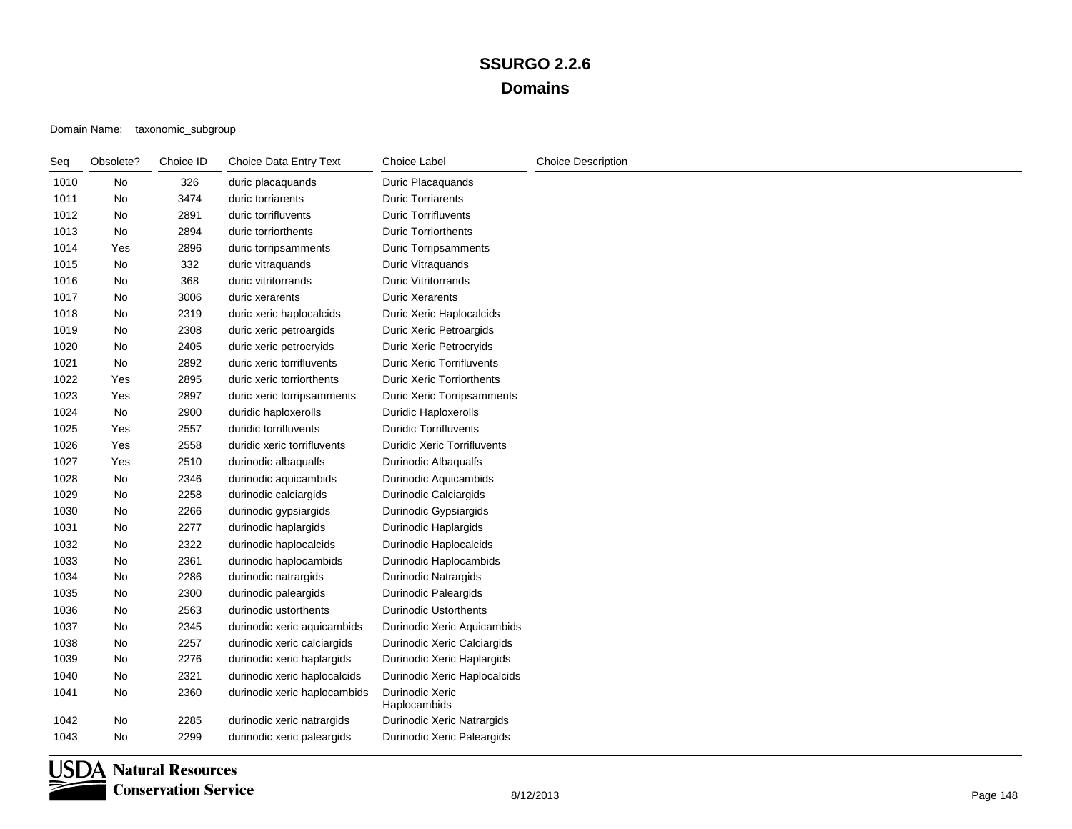### Domain Name: taxonomic\_subgroup

| Seq  | Obsolete? | Choice ID | Choice Data Entry Text       | <b>Choice Label</b>                | <b>Choice Description</b> |
|------|-----------|-----------|------------------------------|------------------------------------|---------------------------|
| 1010 | No        | 326       | duric placaquands            | Duric Placaquands                  |                           |
| 1011 | No        | 3474      | duric torriarents            | <b>Duric Torriarents</b>           |                           |
| 1012 | No        | 2891      | duric torrifluvents          | <b>Duric Torrifluvents</b>         |                           |
| 1013 | No        | 2894      | duric torriorthents          | <b>Duric Torriorthents</b>         |                           |
| 1014 | Yes       | 2896      | duric torripsamments         | <b>Duric Torripsamments</b>        |                           |
| 1015 | No        | 332       | duric vitraquands            | Duric Vitraquands                  |                           |
| 1016 | No        | 368       | duric vitritorrands          | <b>Duric Vitritorrands</b>         |                           |
| 1017 | No        | 3006      | duric xerarents              | <b>Duric Xerarents</b>             |                           |
| 1018 | No        | 2319      | duric xeric haplocalcids     | Duric Xeric Haplocalcids           |                           |
| 1019 | No        | 2308      | duric xeric petroargids      | Duric Xeric Petroargids            |                           |
| 1020 | No        | 2405      | duric xeric petrocryids      | <b>Duric Xeric Petrocryids</b>     |                           |
| 1021 | No        | 2892      | duric xeric torrifluvents    | <b>Duric Xeric Torrifluvents</b>   |                           |
| 1022 | Yes       | 2895      | duric xeric torriorthents    | <b>Duric Xeric Torriorthents</b>   |                           |
| 1023 | Yes       | 2897      | duric xeric torripsamments   | Duric Xeric Torripsamments         |                           |
| 1024 | No        | 2900      | duridic haploxerolls         | Duridic Haploxerolls               |                           |
| 1025 | Yes       | 2557      | duridic torrifluvents        | <b>Duridic Torrifluvents</b>       |                           |
| 1026 | Yes       | 2558      | duridic xeric torrifluvents  | <b>Duridic Xeric Torrifluvents</b> |                           |
| 1027 | Yes       | 2510      | durinodic albaqualfs         | <b>Durinodic Albaqualfs</b>        |                           |
| 1028 | No        | 2346      | durinodic aquicambids        | Durinodic Aquicambids              |                           |
| 1029 | No        | 2258      | durinodic calciargids        | Durinodic Calciargids              |                           |
| 1030 | No        | 2266      | durinodic gypsiargids        | Durinodic Gypsiargids              |                           |
| 1031 | No        | 2277      | durinodic haplargids         | Durinodic Haplargids               |                           |
| 1032 | No        | 2322      | durinodic haplocalcids       | <b>Durinodic Haplocalcids</b>      |                           |
| 1033 | No        | 2361      | durinodic haplocambids       | Durinodic Haplocambids             |                           |
| 1034 | No        | 2286      | durinodic natrargids         | <b>Durinodic Natrargids</b>        |                           |
| 1035 | No        | 2300      | durinodic paleargids         | <b>Durinodic Paleargids</b>        |                           |
| 1036 | No        | 2563      | durinodic ustorthents        | <b>Durinodic Ustorthents</b>       |                           |
| 1037 | No        | 2345      | durinodic xeric aquicambids  | Durinodic Xeric Aquicambids        |                           |
| 1038 | No        | 2257      | durinodic xeric calciargids  | Durinodic Xeric Calciargids        |                           |
| 1039 | No        | 2276      | durinodic xeric haplargids   | Durinodic Xeric Haplargids         |                           |
| 1040 | No        | 2321      | durinodic xeric haplocalcids | Durinodic Xeric Haplocalcids       |                           |
| 1041 | No        | 2360      | durinodic xeric haplocambids | Durinodic Xeric<br>Haplocambids    |                           |
| 1042 | No        | 2285      | durinodic xeric natrargids   | Durinodic Xeric Natrargids         |                           |
| 1043 | No        | 2299      | durinodic xeric paleargids   | Durinodic Xeric Paleargids         |                           |

**USDA** Natural Resources **Conservation Service**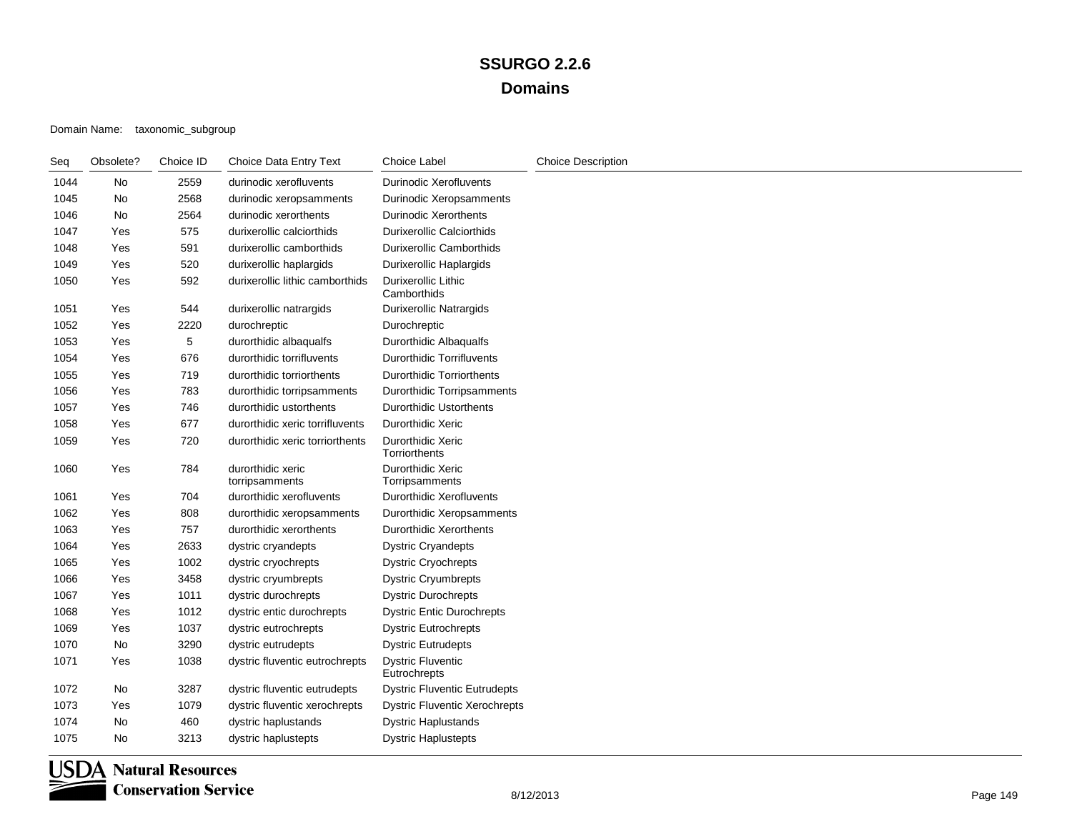| Seq  | Obsolete? | Choice ID | Choice Data Entry Text              | Choice Label                             | <b>Choice Description</b> |
|------|-----------|-----------|-------------------------------------|------------------------------------------|---------------------------|
| 1044 | No        | 2559      | durinodic xerofluvents              | <b>Durinodic Xerofluvents</b>            |                           |
| 1045 | No        | 2568      | durinodic xeropsamments             | Durinodic Xeropsamments                  |                           |
| 1046 | No        | 2564      | durinodic xerorthents               | <b>Durinodic Xerorthents</b>             |                           |
| 1047 | Yes       | 575       | durixerollic calciorthids           | <b>Durixerollic Calciorthids</b>         |                           |
| 1048 | Yes       | 591       | durixerollic camborthids            | <b>Durixerollic Camborthids</b>          |                           |
| 1049 | Yes       | 520       | durixerollic haplargids             | <b>Durixerollic Haplargids</b>           |                           |
| 1050 | Yes       | 592       | durixerollic lithic camborthids     | Durixerollic Lithic<br>Camborthids       |                           |
| 1051 | Yes       | 544       | durixerollic natrargids             | <b>Durixerollic Natrargids</b>           |                           |
| 1052 | Yes       | 2220      | durochreptic                        | Durochreptic                             |                           |
| 1053 | Yes       | 5         | durorthidic albaqualfs              | Durorthidic Albaqualfs                   |                           |
| 1054 | Yes       | 676       | durorthidic torrifluvents           | <b>Durorthidic Torrifluvents</b>         |                           |
| 1055 | Yes       | 719       | durorthidic torriorthents           | <b>Durorthidic Torriorthents</b>         |                           |
| 1056 | Yes       | 783       | durorthidic torripsamments          | <b>Durorthidic Torripsamments</b>        |                           |
| 1057 | Yes       | 746       | durorthidic ustorthents             | <b>Durorthidic Ustorthents</b>           |                           |
| 1058 | Yes       | 677       | durorthidic xeric torrifluvents     | Durorthidic Xeric                        |                           |
| 1059 | Yes       | 720       | durorthidic xeric torriorthents     | Durorthidic Xeric<br>Torriorthents       |                           |
| 1060 | Yes       | 784       | durorthidic xeric<br>torripsamments | Durorthidic Xeric<br>Torripsamments      |                           |
| 1061 | Yes       | 704       | durorthidic xerofluvents            | <b>Durorthidic Xerofluvents</b>          |                           |
| 1062 | Yes       | 808       | durorthidic xeropsamments           | Durorthidic Xeropsamments                |                           |
| 1063 | Yes       | 757       | durorthidic xerorthents             | Durorthidic Xerorthents                  |                           |
| 1064 | Yes       | 2633      | dystric cryandepts                  | <b>Dystric Cryandepts</b>                |                           |
| 1065 | Yes       | 1002      | dystric cryochrepts                 | <b>Dystric Cryochrepts</b>               |                           |
| 1066 | Yes       | 3458      | dystric cryumbrepts                 | <b>Dystric Cryumbrepts</b>               |                           |
| 1067 | Yes       | 1011      | dystric durochrepts                 | <b>Dystric Durochrepts</b>               |                           |
| 1068 | Yes       | 1012      | dystric entic durochrepts           | <b>Dystric Entic Durochrepts</b>         |                           |
| 1069 | Yes       | 1037      | dystric eutrochrepts                | <b>Dystric Eutrochrepts</b>              |                           |
| 1070 | No        | 3290      | dystric eutrudepts                  | <b>Dystric Eutrudepts</b>                |                           |
| 1071 | Yes       | 1038      | dystric fluventic eutrochrepts      | <b>Dystric Fluventic</b><br>Eutrochrepts |                           |
| 1072 | No        | 3287      | dystric fluventic eutrudepts        | <b>Dystric Fluventic Eutrudepts</b>      |                           |
| 1073 | Yes       | 1079      | dystric fluventic xerochrepts       | <b>Dystric Fluventic Xerochrepts</b>     |                           |
| 1074 | <b>No</b> | 460       | dystric haplustands                 | <b>Dystric Haplustands</b>               |                           |
| 1075 | No        | 3213      | dystric haplustepts                 | <b>Dystric Haplustepts</b>               |                           |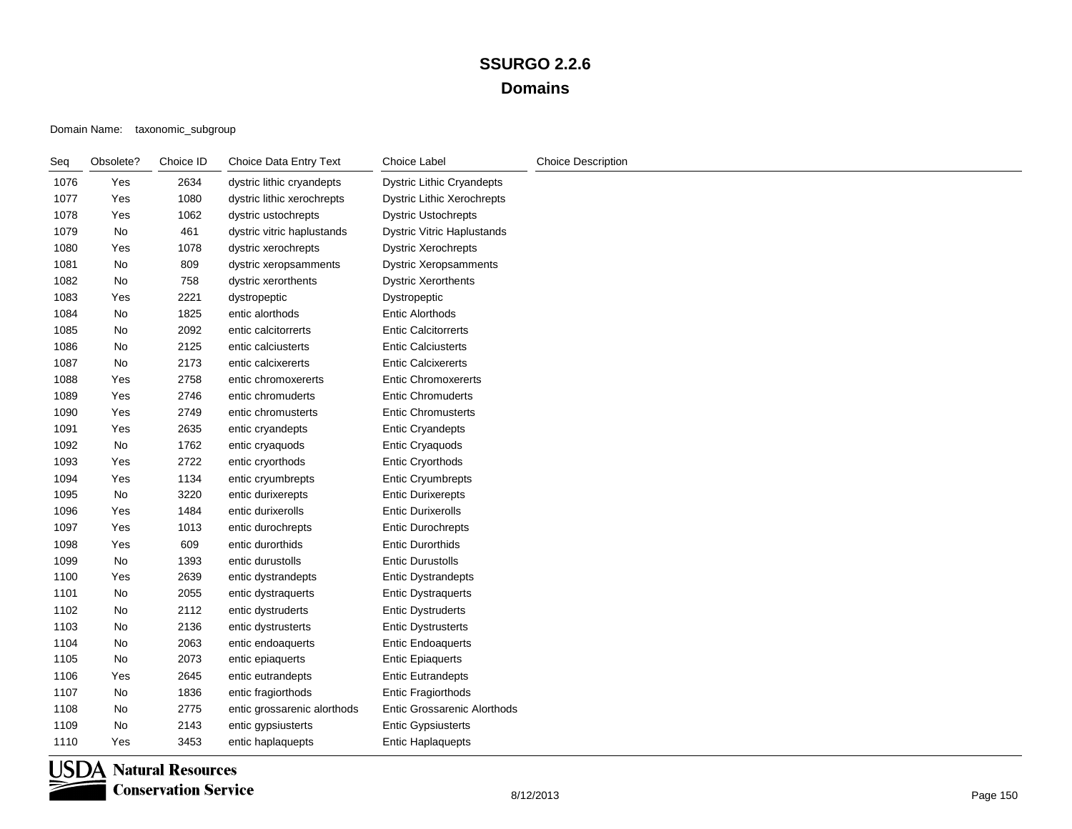### Domain Name: taxonomic\_subgroup

| Seq  | Obsolete? | Choice ID | Choice Data Entry Text      | Choice Label                       | <b>Choice Description</b> |
|------|-----------|-----------|-----------------------------|------------------------------------|---------------------------|
| 1076 | Yes       | 2634      | dystric lithic cryandepts   | <b>Dystric Lithic Cryandepts</b>   |                           |
| 1077 | Yes       | 1080      | dystric lithic xerochrepts  | <b>Dystric Lithic Xerochrepts</b>  |                           |
| 1078 | Yes       | 1062      | dystric ustochrepts         | <b>Dystric Ustochrepts</b>         |                           |
| 1079 | No        | 461       | dystric vitric haplustands  | <b>Dystric Vitric Haplustands</b>  |                           |
| 1080 | Yes       | 1078      | dystric xerochrepts         | <b>Dystric Xerochrepts</b>         |                           |
| 1081 | No        | 809       | dystric xeropsamments       | <b>Dystric Xeropsamments</b>       |                           |
| 1082 | No        | 758       | dystric xerorthents         | <b>Dystric Xerorthents</b>         |                           |
| 1083 | Yes       | 2221      | dystropeptic                | Dystropeptic                       |                           |
| 1084 | No        | 1825      | entic alorthods             | <b>Entic Alorthods</b>             |                           |
| 1085 | No        | 2092      | entic calcitorrerts         | <b>Entic Calcitorrents</b>         |                           |
| 1086 | No        | 2125      | entic calciusterts          | <b>Entic Calciusterts</b>          |                           |
| 1087 | No        | 2173      | entic calcixererts          | <b>Entic Calcixererts</b>          |                           |
| 1088 | Yes       | 2758      | entic chromoxererts         | <b>Entic Chromoxererts</b>         |                           |
| 1089 | Yes       | 2746      | entic chromuderts           | <b>Entic Chromuderts</b>           |                           |
| 1090 | Yes       | 2749      | entic chromusterts          | <b>Entic Chromusterts</b>          |                           |
| 1091 | Yes       | 2635      | entic cryandepts            | <b>Entic Cryandepts</b>            |                           |
| 1092 | No        | 1762      | entic cryaquods             | Entic Cryaquods                    |                           |
| 1093 | Yes       | 2722      | entic cryorthods            | <b>Entic Cryorthods</b>            |                           |
| 1094 | Yes       | 1134      | entic cryumbrepts           | <b>Entic Cryumbrepts</b>           |                           |
| 1095 | No        | 3220      | entic durixerepts           | <b>Entic Durixerepts</b>           |                           |
| 1096 | Yes       | 1484      | entic durixerolls           | <b>Entic Durixerolls</b>           |                           |
| 1097 | Yes       | 1013      | entic durochrepts           | <b>Entic Durochrepts</b>           |                           |
| 1098 | Yes       | 609       | entic durorthids            | <b>Entic Durorthids</b>            |                           |
| 1099 | No        | 1393      | entic durustolls            | <b>Entic Durustolls</b>            |                           |
| 1100 | Yes       | 2639      | entic dystrandepts          | <b>Entic Dystrandepts</b>          |                           |
| 1101 | No        | 2055      | entic dystraquerts          | <b>Entic Dystraquerts</b>          |                           |
| 1102 | No        | 2112      | entic dystruderts           | <b>Entic Dystruderts</b>           |                           |
| 1103 | No        | 2136      | entic dystrusterts          | <b>Entic Dystrusterts</b>          |                           |
| 1104 | No        | 2063      | entic endoaquerts           | <b>Entic Endoaquerts</b>           |                           |
| 1105 | No        | 2073      | entic epiaquerts            | <b>Entic Epiaquerts</b>            |                           |
| 1106 | Yes       | 2645      | entic eutrandepts           | <b>Entic Eutrandepts</b>           |                           |
| 1107 | No        | 1836      | entic fragiorthods          | <b>Entic Fragiorthods</b>          |                           |
| 1108 | No        | 2775      | entic grossarenic alorthods | <b>Entic Grossarenic Alorthods</b> |                           |
| 1109 | No        | 2143      | entic gypsiusterts          | <b>Entic Gypsiusterts</b>          |                           |
| 1110 | Yes       | 3453      | entic haplaquepts           | <b>Entic Haplaquepts</b>           |                           |

**USDA** Natural Resources **Conservation Service** 

₹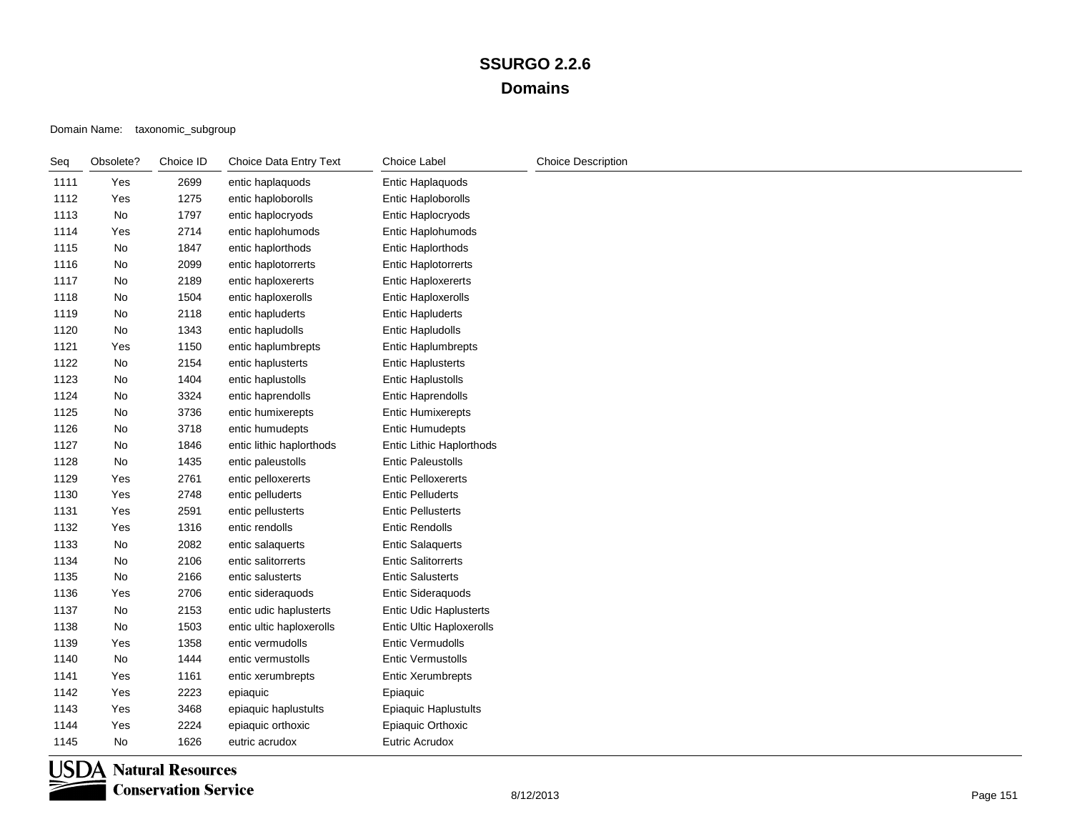| Seq  | Obsolete? | Choice ID | Choice Data Entry Text   | Choice Label                    | <b>Choice Description</b> |
|------|-----------|-----------|--------------------------|---------------------------------|---------------------------|
| 1111 | Yes       | 2699      | entic haplaquods         | Entic Haplaquods                |                           |
| 1112 | Yes       | 1275      | entic haploborolls       | Entic Haploborolls              |                           |
| 1113 | No        | 1797      | entic haplocryods        | Entic Haplocryods               |                           |
| 1114 | Yes       | 2714      | entic haplohumods        | Entic Haplohumods               |                           |
| 1115 | No        | 1847      | entic haplorthods        | Entic Haplorthods               |                           |
| 1116 | No        | 2099      | entic haplotorrerts      | <b>Entic Haplotorrerts</b>      |                           |
| 1117 | No        | 2189      | entic haploxererts       | <b>Entic Haploxererts</b>       |                           |
| 1118 | No        | 1504      | entic haploxerolls       | <b>Entic Haploxerolls</b>       |                           |
| 1119 | No        | 2118      | entic hapluderts         | <b>Entic Hapluderts</b>         |                           |
| 1120 | No        | 1343      | entic hapludolls         | Entic Hapludolls                |                           |
| 1121 | Yes       | 1150      | entic haplumbrepts       | <b>Entic Haplumbrepts</b>       |                           |
| 1122 | No        | 2154      | entic haplusterts        | <b>Entic Haplusterts</b>        |                           |
| 1123 | No        | 1404      | entic haplustolls        | <b>Entic Haplustolls</b>        |                           |
| 1124 | No        | 3324      | entic haprendolls        | Entic Haprendolls               |                           |
| 1125 | No        | 3736      | entic humixerepts        | <b>Entic Humixerepts</b>        |                           |
| 1126 | No        | 3718      | entic humudepts          | <b>Entic Humudepts</b>          |                           |
| 1127 | No        | 1846      | entic lithic haplorthods | Entic Lithic Haplorthods        |                           |
| 1128 | No        | 1435      | entic paleustolls        | <b>Entic Paleustolls</b>        |                           |
| 1129 | Yes       | 2761      | entic pelloxererts       | <b>Entic Pelloxererts</b>       |                           |
| 1130 | Yes       | 2748      | entic pelluderts         | <b>Entic Pelluderts</b>         |                           |
| 1131 | Yes       | 2591      | entic pellusterts        | <b>Entic Pellusterts</b>        |                           |
| 1132 | Yes       | 1316      | entic rendolls           | <b>Entic Rendolls</b>           |                           |
| 1133 | No        | 2082      | entic salaquerts         | <b>Entic Salaquerts</b>         |                           |
| 1134 | No        | 2106      | entic salitorrerts       | <b>Entic Salitorrerts</b>       |                           |
| 1135 | No        | 2166      | entic salusterts         | <b>Entic Salusterts</b>         |                           |
| 1136 | Yes       | 2706      | entic sideraquods        | Entic Sideraquods               |                           |
| 1137 | No        | 2153      | entic udic haplusterts   | <b>Entic Udic Haplusterts</b>   |                           |
| 1138 | No        | 1503      | entic ultic haploxerolls | <b>Entic Ultic Haploxerolls</b> |                           |
| 1139 | Yes       | 1358      | entic vermudolls         | <b>Entic Vermudolls</b>         |                           |
| 1140 | No        | 1444      | entic vermustolls        | <b>Entic Vermustolls</b>        |                           |
| 1141 | Yes       | 1161      | entic xerumbrepts        | <b>Entic Xerumbrepts</b>        |                           |
| 1142 | Yes       | 2223      | epiaquic                 | Epiaquic                        |                           |
| 1143 | Yes       | 3468      | epiaquic haplustults     | <b>Epiaquic Haplustults</b>     |                           |
| 1144 | Yes       | 2224      | epiaquic orthoxic        | Epiaquic Orthoxic               |                           |
| 1145 | No        | 1626      | eutric acrudox           | <b>Eutric Acrudox</b>           |                           |

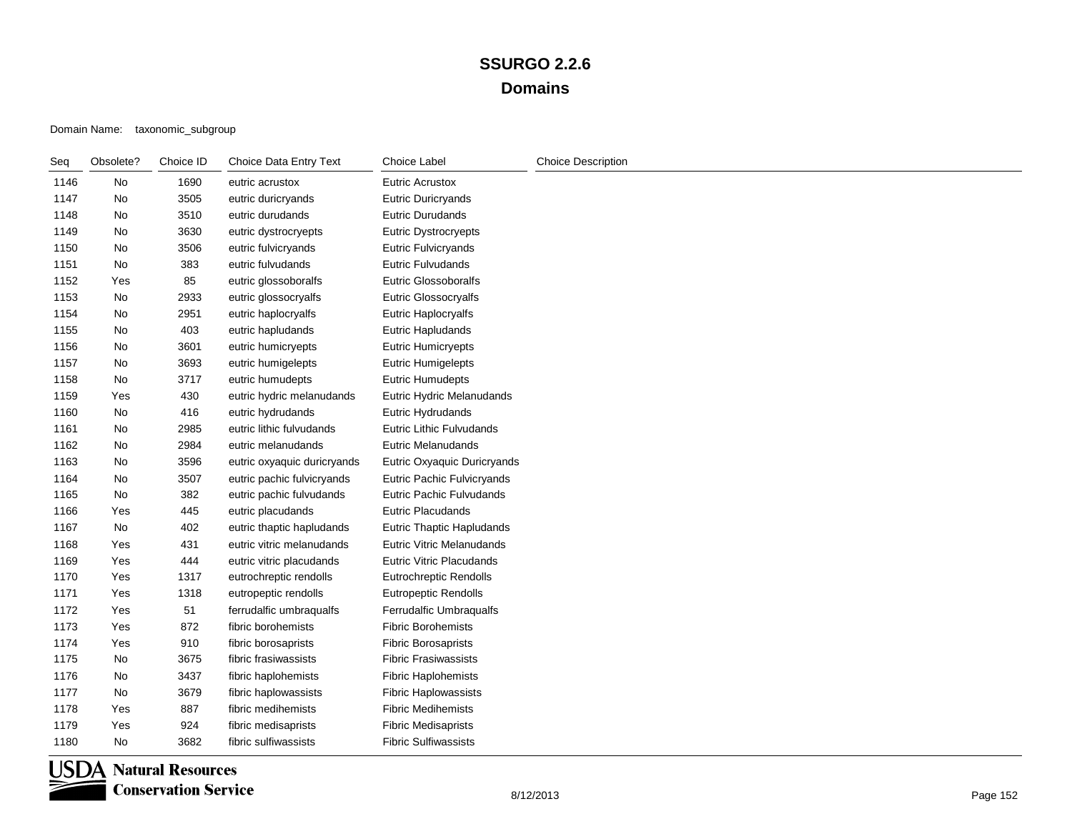| Seq  | Obsolete? | Choice ID | Choice Data Entry Text      | Choice Label                    | <b>Choice Description</b> |
|------|-----------|-----------|-----------------------------|---------------------------------|---------------------------|
| 1146 | No        | 1690      | eutric acrustox             | Eutric Acrustox                 |                           |
| 1147 | No        | 3505      | eutric duricryands          | Eutric Duricryands              |                           |
| 1148 | No        | 3510      | eutric durudands            | <b>Eutric Durudands</b>         |                           |
| 1149 | No        | 3630      | eutric dystrocryepts        | Eutric Dystrocryepts            |                           |
| 1150 | No        | 3506      | eutric fulvicryands         | Eutric Fulvicryands             |                           |
| 1151 | No        | 383       | eutric fulvudands           | Eutric Fulvudands               |                           |
| 1152 | Yes       | 85        | eutric glossoboralfs        | <b>Eutric Glossoboralfs</b>     |                           |
| 1153 | No        | 2933      | eutric glossocryalfs        | <b>Eutric Glossocryalfs</b>     |                           |
| 1154 | No        | 2951      | eutric haplocryalfs         | Eutric Haplocryalfs             |                           |
| 1155 | No        | 403       | eutric hapludands           | Eutric Hapludands               |                           |
| 1156 | No        | 3601      | eutric humicryepts          | <b>Eutric Humicryepts</b>       |                           |
| 1157 | No        | 3693      | eutric humigelepts          | <b>Eutric Humigelepts</b>       |                           |
| 1158 | No        | 3717      | eutric humudepts            | <b>Eutric Humudepts</b>         |                           |
| 1159 | Yes       | 430       | eutric hydric melanudands   | Eutric Hydric Melanudands       |                           |
| 1160 | No        | 416       | eutric hydrudands           | Eutric Hydrudands               |                           |
| 1161 | No        | 2985      | eutric lithic fulvudands    | Eutric Lithic Fulvudands        |                           |
| 1162 | No        | 2984      | eutric melanudands          | Eutric Melanudands              |                           |
| 1163 | No        | 3596      | eutric oxyaquic duricryands | Eutric Oxyaquic Duricryands     |                           |
| 1164 | No        | 3507      | eutric pachic fulvicryands  | Eutric Pachic Fulvicryands      |                           |
| 1165 | No        | 382       | eutric pachic fulvudands    | <b>Eutric Pachic Fulvudands</b> |                           |
| 1166 | Yes       | 445       | eutric placudands           | <b>Eutric Placudands</b>        |                           |
| 1167 | No        | 402       | eutric thaptic hapludands   | Eutric Thaptic Hapludands       |                           |
| 1168 | Yes       | 431       | eutric vitric melanudands   | Eutric Vitric Melanudands       |                           |
| 1169 | Yes       | 444       | eutric vitric placudands    | <b>Eutric Vitric Placudands</b> |                           |
| 1170 | Yes       | 1317      | eutrochreptic rendolls      | Eutrochreptic Rendolls          |                           |
| 1171 | Yes       | 1318      | eutropeptic rendolls        | <b>Eutropeptic Rendolls</b>     |                           |
| 1172 | Yes       | 51        | ferrudalfic umbraqualfs     | Ferrudalfic Umbraqualfs         |                           |
| 1173 | Yes       | 872       | fibric borohemists          | <b>Fibric Borohemists</b>       |                           |
| 1174 | Yes       | 910       | fibric borosaprists         | <b>Fibric Borosaprists</b>      |                           |
| 1175 | No        | 3675      | fibric frasiwassists        | <b>Fibric Frasiwassists</b>     |                           |
| 1176 | No        | 3437      | fibric haplohemists         | <b>Fibric Haplohemists</b>      |                           |
| 1177 | No        | 3679      | fibric haplowassists        | <b>Fibric Haplowassists</b>     |                           |
| 1178 | Yes       | 887       | fibric medihemists          | <b>Fibric Medihemists</b>       |                           |
| 1179 | Yes       | 924       | fibric medisaprists         | <b>Fibric Medisaprists</b>      |                           |
| 1180 | No        | 3682      | fibric sulfiwassists        | <b>Fibric Sulfiwassists</b>     |                           |

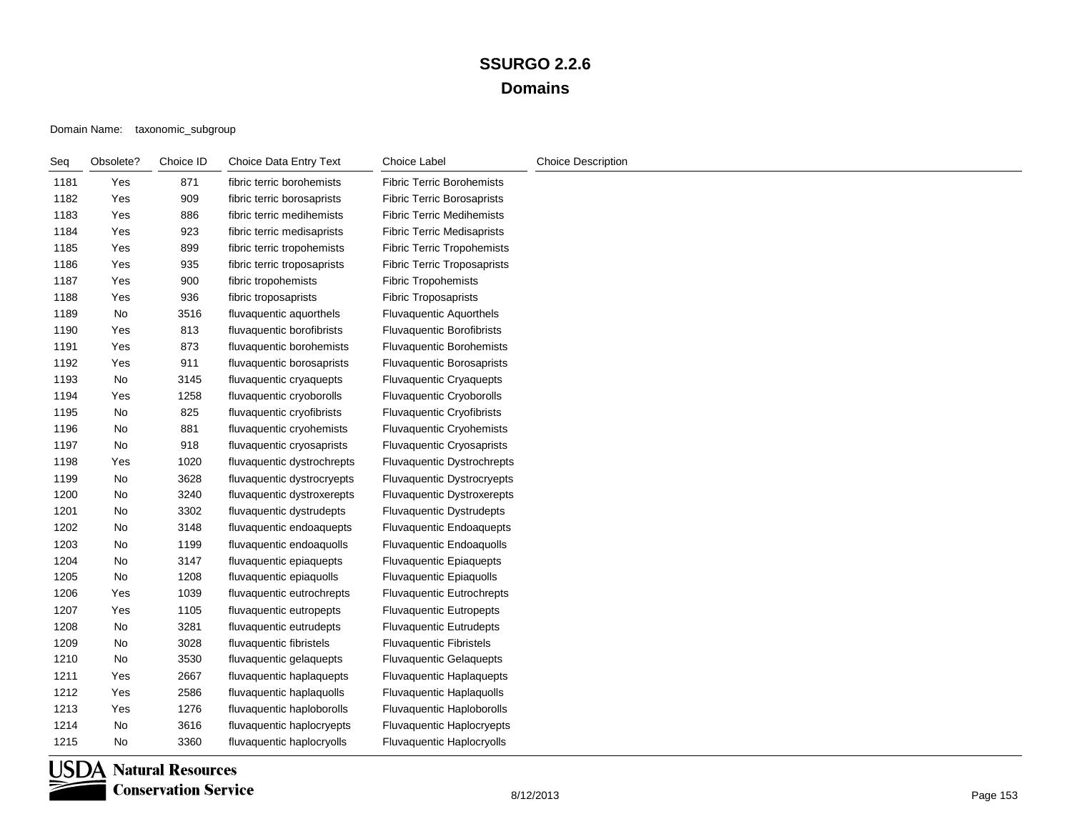#### Domain Name: taxonomic\_subgroup

| Seq  | Obsolete? | Choice ID | Choice Data Entry Text      | <b>Choice Label</b>                | <b>Choice Description</b> |
|------|-----------|-----------|-----------------------------|------------------------------------|---------------------------|
| 1181 | Yes       | 871       | fibric terric borohemists   | <b>Fibric Terric Borohemists</b>   |                           |
| 1182 | Yes       | 909       | fibric terric borosaprists  | <b>Fibric Terric Borosaprists</b>  |                           |
| 1183 | Yes       | 886       | fibric terric medihemists   | <b>Fibric Terric Medihemists</b>   |                           |
| 1184 | Yes       | 923       | fibric terric medisaprists  | <b>Fibric Terric Medisaprists</b>  |                           |
| 1185 | Yes       | 899       | fibric terric tropohemists  | <b>Fibric Terric Tropohemists</b>  |                           |
| 1186 | Yes       | 935       | fibric terric troposaprists | <b>Fibric Terric Troposaprists</b> |                           |
| 1187 | Yes       | 900       | fibric tropohemists         | <b>Fibric Tropohemists</b>         |                           |
| 1188 | Yes       | 936       | fibric troposaprists        | <b>Fibric Troposaprists</b>        |                           |
| 1189 | No        | 3516      | fluvaquentic aquorthels     | <b>Fluvaquentic Aquorthels</b>     |                           |
| 1190 | Yes       | 813       | fluvaquentic borofibrists   | <b>Fluvaquentic Borofibrists</b>   |                           |
| 1191 | Yes       | 873       | fluvaquentic borohemists    | <b>Fluvaquentic Borohemists</b>    |                           |
| 1192 | Yes       | 911       | fluvaquentic borosaprists   | Fluvaquentic Borosaprists          |                           |
| 1193 | No        | 3145      | fluvaquentic cryaquepts     | <b>Fluvaquentic Cryaquepts</b>     |                           |
| 1194 | Yes       | 1258      | fluvaquentic cryoborolls    | Fluvaquentic Cryoborolls           |                           |
| 1195 | No        | 825       | fluvaquentic cryofibrists   | Fluvaquentic Cryofibrists          |                           |
| 1196 | No        | 881       | fluvaquentic cryohemists    | <b>Fluvaquentic Cryohemists</b>    |                           |
| 1197 | No        | 918       | fluvaquentic cryosaprists   | Fluvaquentic Cryosaprists          |                           |
| 1198 | Yes       | 1020      | fluvaquentic dystrochrepts  | Fluvaquentic Dystrochrepts         |                           |
| 1199 | <b>No</b> | 3628      | fluvaquentic dystrocryepts  | Fluvaquentic Dystrocryepts         |                           |
| 1200 | No        | 3240      | fluvaquentic dystroxerepts  | Fluvaquentic Dystroxerepts         |                           |
| 1201 | No        | 3302      | fluvaquentic dystrudepts    | Fluvaquentic Dystrudepts           |                           |
| 1202 | No        | 3148      | fluvaquentic endoaquepts    | Fluvaquentic Endoaquepts           |                           |
| 1203 | No        | 1199      | fluvaquentic endoaquolls    | Fluvaquentic Endoaquolls           |                           |
| 1204 | No        | 3147      | fluvaquentic epiaquepts     | Fluvaquentic Epiaquepts            |                           |
| 1205 | No        | 1208      | fluvaquentic epiaquolls     | Fluvaquentic Epiaquolls            |                           |
| 1206 | Yes       | 1039      | fluvaquentic eutrochrepts   | <b>Fluvaquentic Eutrochrepts</b>   |                           |
| 1207 | Yes       | 1105      | fluvaquentic eutropepts     | Fluvaquentic Eutropepts            |                           |
| 1208 | No        | 3281      | fluvaquentic eutrudepts     | Fluvaquentic Eutrudepts            |                           |
| 1209 | No        | 3028      | fluvaquentic fibristels     | Fluvaquentic Fibristels            |                           |
| 1210 | No        | 3530      | fluvaquentic gelaquepts     | <b>Fluvaquentic Gelaquepts</b>     |                           |
| 1211 | Yes       | 2667      | fluvaquentic haplaquepts    | Fluvaquentic Haplaquepts           |                           |
| 1212 | Yes       | 2586      | fluvaquentic haplaquolls    | Fluvaquentic Haplaquolls           |                           |
| 1213 | Yes       | 1276      | fluvaquentic haploborolls   | Fluvaquentic Haploborolls          |                           |
| 1214 | No        | 3616      | fluvaquentic haplocryepts   | Fluvaquentic Haplocryepts          |                           |
| 1215 | No        | 3360      | fluvaquentic haplocryolls   | Fluvaquentic Haplocryolls          |                           |

**USDA** Natural Resources **Conservation Service**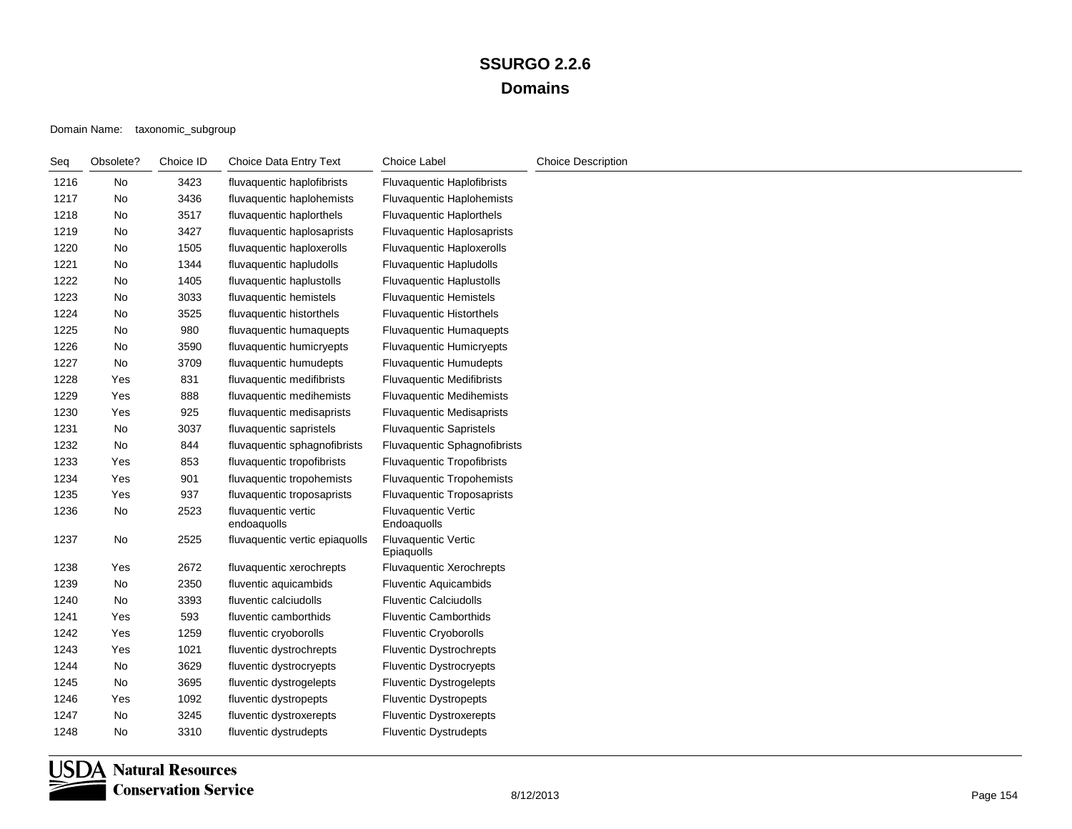| Seq  | Obsolete? | Choice ID | Choice Data Entry Text             | <b>Choice Label</b>                       | <b>Choice Description</b> |
|------|-----------|-----------|------------------------------------|-------------------------------------------|---------------------------|
| 1216 | No        | 3423      | fluvaquentic haplofibrists         | <b>Fluvaquentic Haplofibrists</b>         |                           |
| 1217 | No        | 3436      | fluvaquentic haplohemists          | Fluvaquentic Haplohemists                 |                           |
| 1218 | No        | 3517      | fluvaquentic haplorthels           | <b>Fluvaquentic Haplorthels</b>           |                           |
| 1219 | No        | 3427      | fluvaquentic haplosaprists         | Fluvaquentic Haplosaprists                |                           |
| 1220 | No        | 1505      | fluvaquentic haploxerolls          | Fluvaquentic Haploxerolls                 |                           |
| 1221 | No        | 1344      | fluvaquentic hapludolls            | Fluvaquentic Hapludolls                   |                           |
| 1222 | No        | 1405      | fluvaquentic haplustolls           | <b>Fluvaquentic Haplustolls</b>           |                           |
| 1223 | No        | 3033      | fluvaquentic hemistels             | <b>Fluvaquentic Hemistels</b>             |                           |
| 1224 | No        | 3525      | fluvaquentic historthels           | <b>Fluvaquentic Historthels</b>           |                           |
| 1225 | No        | 980       | fluvaquentic humaquepts            | <b>Fluvaquentic Humaquepts</b>            |                           |
| 1226 | No        | 3590      | fluvaquentic humicryepts           | <b>Fluvaquentic Humicryepts</b>           |                           |
| 1227 | No        | 3709      | fluvaquentic humudepts             | Fluvaquentic Humudepts                    |                           |
| 1228 | Yes       | 831       | fluvaquentic medifibrists          | <b>Fluvaquentic Medifibrists</b>          |                           |
| 1229 | Yes       | 888       | fluvaquentic medihemists           | <b>Fluvaquentic Medihemists</b>           |                           |
| 1230 | Yes       | 925       | fluvaquentic medisaprists          | <b>Fluvaquentic Medisaprists</b>          |                           |
| 1231 | No        | 3037      | fluvaquentic sapristels            | <b>Fluvaquentic Sapristels</b>            |                           |
| 1232 | No        | 844       | fluvaquentic sphagnofibrists       | Fluvaquentic Sphagnofibrists              |                           |
| 1233 | Yes       | 853       | fluvaquentic tropofibrists         | <b>Fluvaquentic Tropofibrists</b>         |                           |
| 1234 | Yes       | 901       | fluvaquentic tropohemists          | <b>Fluvaquentic Tropohemists</b>          |                           |
| 1235 | Yes       | 937       | fluvaquentic troposaprists         | <b>Fluvaquentic Troposaprists</b>         |                           |
| 1236 | No        | 2523      | fluvaquentic vertic<br>endoaquolls | <b>Fluvaquentic Vertic</b><br>Endoaquolls |                           |
| 1237 | No        | 2525      | fluvaquentic vertic epiaquolls     | <b>Fluvaquentic Vertic</b><br>Epiaquolls  |                           |
| 1238 | Yes       | 2672      | fluvaquentic xerochrepts           | Fluvaquentic Xerochrepts                  |                           |
| 1239 | No        | 2350      | fluventic aquicambids              | Fluventic Aquicambids                     |                           |
| 1240 | No        | 3393      | fluventic calciudolls              | <b>Fluventic Calciudolls</b>              |                           |
| 1241 | Yes       | 593       | fluventic camborthids              | <b>Fluventic Camborthids</b>              |                           |
| 1242 | Yes       | 1259      | fluventic cryoborolls              | Fluventic Cryoborolls                     |                           |
| 1243 | Yes       | 1021      | fluventic dystrochrepts            | <b>Fluventic Dystrochrepts</b>            |                           |
| 1244 | No        | 3629      | fluventic dystrocryepts            | Fluventic Dystrocryepts                   |                           |
| 1245 | No        | 3695      | fluventic dystrogelepts            | <b>Fluventic Dystrogelepts</b>            |                           |
| 1246 | Yes       | 1092      | fluventic dystropepts              | <b>Fluventic Dystropepts</b>              |                           |
| 1247 | No        | 3245      | fluventic dystroxerepts            | <b>Fluventic Dystroxerepts</b>            |                           |
| 1248 | No        | 3310      | fluventic dystrudepts              | <b>Fluventic Dystrudepts</b>              |                           |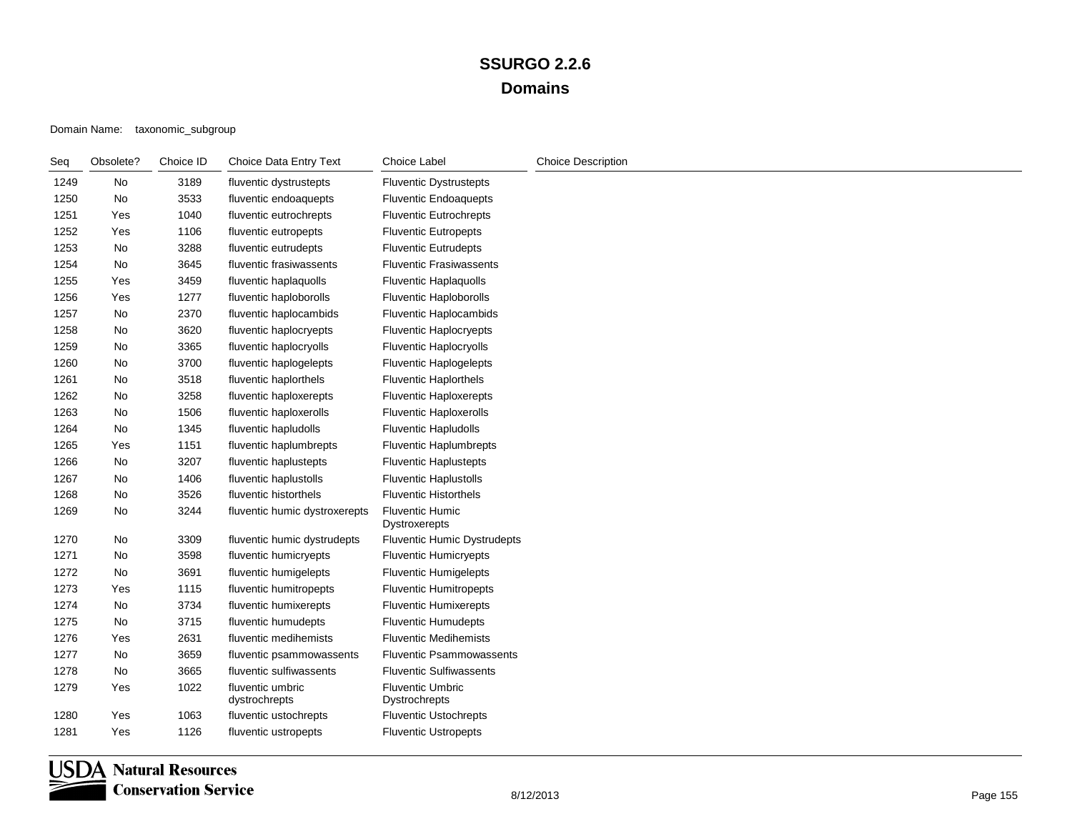| Seq  | Obsolete? | Choice ID | Choice Data Entry Text            | Choice Label                                   | <b>Choice Description</b> |
|------|-----------|-----------|-----------------------------------|------------------------------------------------|---------------------------|
| 1249 | No        | 3189      | fluventic dystrustepts            | <b>Fluventic Dystrustepts</b>                  |                           |
| 1250 | No        | 3533      | fluventic endoaquepts             | <b>Fluventic Endoaquepts</b>                   |                           |
| 1251 | Yes       | 1040      | fluventic eutrochrepts            | <b>Fluventic Eutrochrepts</b>                  |                           |
| 1252 | Yes       | 1106      | fluventic eutropepts              | <b>Fluventic Eutropepts</b>                    |                           |
| 1253 | No        | 3288      | fluventic eutrudepts              | <b>Fluventic Eutrudepts</b>                    |                           |
| 1254 | No        | 3645      | fluventic frasiwassents           | <b>Fluventic Frasiwassents</b>                 |                           |
| 1255 | Yes       | 3459      | fluventic haplaquolls             | Fluventic Haplaquolls                          |                           |
| 1256 | Yes       | 1277      | fluventic haploborolls            | Fluventic Haploborolls                         |                           |
| 1257 | No        | 2370      | fluventic haplocambids            | Fluventic Haplocambids                         |                           |
| 1258 | No        | 3620      | fluventic haplocryepts            | <b>Fluventic Haplocryepts</b>                  |                           |
| 1259 | No        | 3365      | fluventic haplocryolls            | <b>Fluventic Haplocryolls</b>                  |                           |
| 1260 | No        | 3700      | fluventic haplogelepts            | <b>Fluventic Haplogelepts</b>                  |                           |
| 1261 | No        | 3518      | fluventic haplorthels             | <b>Fluventic Haplorthels</b>                   |                           |
| 1262 | No        | 3258      | fluventic haploxerepts            | <b>Fluventic Haploxerepts</b>                  |                           |
| 1263 | No        | 1506      | fluventic haploxerolls            | <b>Fluventic Haploxerolls</b>                  |                           |
| 1264 | No        | 1345      | fluventic hapludolls              | <b>Fluventic Hapludolls</b>                    |                           |
| 1265 | Yes       | 1151      | fluventic haplumbrepts            | <b>Fluventic Haplumbrepts</b>                  |                           |
| 1266 | No        | 3207      | fluventic haplustepts             | <b>Fluventic Haplustepts</b>                   |                           |
| 1267 | No        | 1406      | fluventic haplustolls             | <b>Fluventic Haplustolls</b>                   |                           |
| 1268 | No        | 3526      | fluventic historthels             | <b>Fluventic Historthels</b>                   |                           |
| 1269 | No        | 3244      | fluventic humic dystroxerepts     | <b>Fluventic Humic</b><br><b>Dystroxerepts</b> |                           |
| 1270 | No        | 3309      | fluventic humic dystrudepts       | <b>Fluventic Humic Dystrudepts</b>             |                           |
| 1271 | No        | 3598      | fluventic humicryepts             | <b>Fluventic Humicryepts</b>                   |                           |
| 1272 | No        | 3691      | fluventic humigelepts             | <b>Fluventic Humigelepts</b>                   |                           |
| 1273 | Yes       | 1115      | fluventic humitropepts            | <b>Fluventic Humitropepts</b>                  |                           |
| 1274 | No        | 3734      | fluventic humixerepts             | <b>Fluventic Humixerepts</b>                   |                           |
| 1275 | No        | 3715      | fluventic humudepts               | <b>Fluventic Humudepts</b>                     |                           |
| 1276 | Yes       | 2631      | fluventic medihemists             | <b>Fluventic Medihemists</b>                   |                           |
| 1277 | No        | 3659      | fluventic psammowassents          | <b>Fluventic Psammowassents</b>                |                           |
| 1278 | No        | 3665      | fluventic sulfiwassents           | <b>Fluventic Sulfiwassents</b>                 |                           |
| 1279 | Yes       | 1022      | fluventic umbric<br>dystrochrepts | <b>Fluventic Umbric</b><br>Dystrochrepts       |                           |
| 1280 | Yes       | 1063      | fluventic ustochrepts             | <b>Fluventic Ustochrepts</b>                   |                           |
| 1281 | Yes       | 1126      | fluventic ustropepts              | <b>Fluventic Ustropepts</b>                    |                           |

**USDA** Natural Resources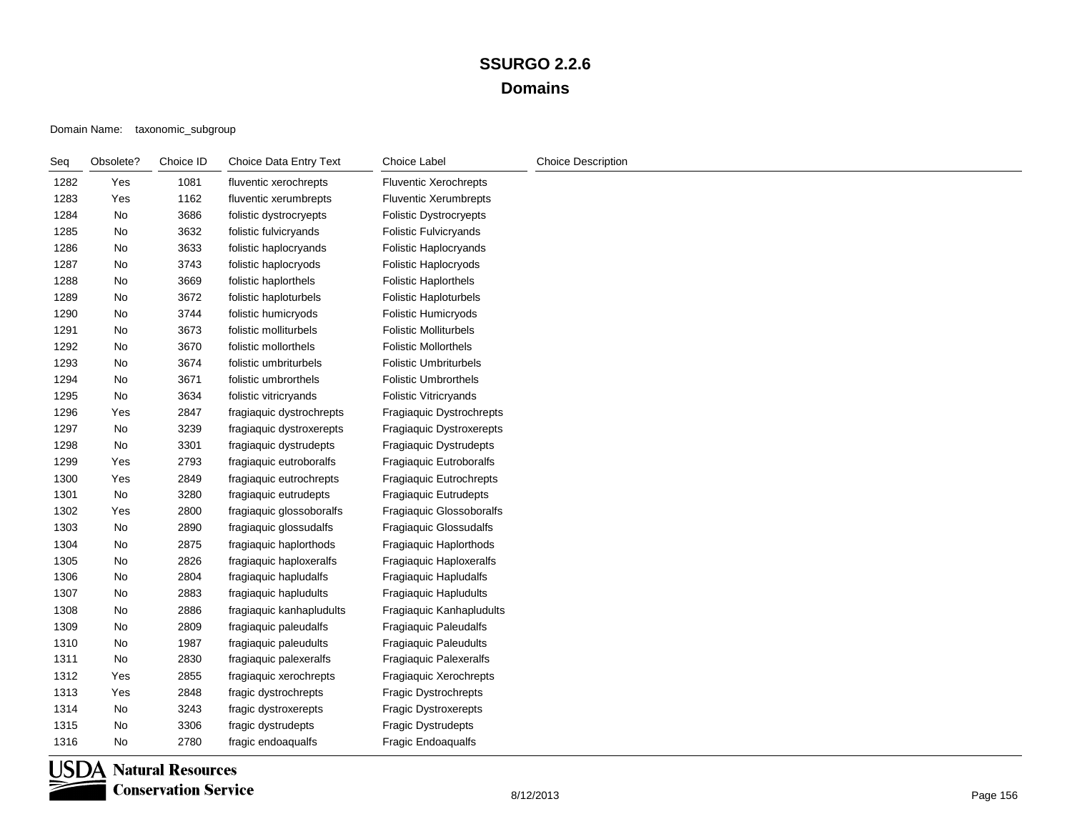| Seq  | Obsolete? | Choice ID | Choice Data Entry Text   | <b>Choice Label</b>          | <b>Choice Description</b> |
|------|-----------|-----------|--------------------------|------------------------------|---------------------------|
| 1282 | Yes       | 1081      | fluventic xerochrepts    | <b>Fluventic Xerochrepts</b> |                           |
| 1283 | Yes       | 1162      | fluventic xerumbrepts    | <b>Fluventic Xerumbrepts</b> |                           |
| 1284 | No        | 3686      | folistic dystrocryepts   | Folistic Dystrocryepts       |                           |
| 1285 | No        | 3632      | folistic fulvicryands    | <b>Folistic Fulvicryands</b> |                           |
| 1286 | No        | 3633      | folistic haplocryands    | Folistic Haplocryands        |                           |
| 1287 | No        | 3743      | folistic haplocryods     | Folistic Haplocryods         |                           |
| 1288 | No        | 3669      | folistic haplorthels     | <b>Folistic Haplorthels</b>  |                           |
| 1289 | No        | 3672      | folistic haploturbels    | Folistic Haploturbels        |                           |
| 1290 | No        | 3744      | folistic humicryods      | Folistic Humicryods          |                           |
| 1291 | No        | 3673      | folistic molliturbels    | <b>Folistic Molliturbels</b> |                           |
| 1292 | No        | 3670      | folistic mollorthels     | <b>Folistic Mollorthels</b>  |                           |
| 1293 | No        | 3674      | folistic umbriturbels    | <b>Folistic Umbriturbels</b> |                           |
| 1294 | No        | 3671      | folistic umbrorthels     | <b>Folistic Umbrorthels</b>  |                           |
| 1295 | No        | 3634      | folistic vitricryands    | <b>Folistic Vitricryands</b> |                           |
| 1296 | Yes       | 2847      | fragiaquic dystrochrepts | Fragiaquic Dystrochrepts     |                           |
| 1297 | No        | 3239      | fragiaquic dystroxerepts | Fragiaquic Dystroxerepts     |                           |
| 1298 | No        | 3301      | fragiaquic dystrudepts   | Fragiaquic Dystrudepts       |                           |
| 1299 | Yes       | 2793      | fragiaquic eutroboralfs  | Fragiaquic Eutroboralfs      |                           |
| 1300 | Yes       | 2849      | fragiaquic eutrochrepts  | Fragiaquic Eutrochrepts      |                           |
| 1301 | No        | 3280      | fragiaquic eutrudepts    | Fragiaquic Eutrudepts        |                           |
| 1302 | Yes       | 2800      | fragiaquic glossoboralfs | Fragiaquic Glossoboralfs     |                           |
| 1303 | No        | 2890      | fragiaquic glossudalfs   | Fragiaquic Glossudalfs       |                           |
| 1304 | No        | 2875      | fragiaquic haplorthods   | Fragiaquic Haplorthods       |                           |
| 1305 | No        | 2826      | fragiaquic haploxeralfs  | Fragiaquic Haploxeralfs      |                           |
| 1306 | No        | 2804      | fragiaquic hapludalfs    | Fragiaquic Hapludalfs        |                           |
| 1307 | No        | 2883      | fragiaquic hapludults    | Fragiaquic Hapludults        |                           |
| 1308 | No        | 2886      | fragiaquic kanhapludults | Fragiaquic Kanhapludults     |                           |
| 1309 | No        | 2809      | fragiaquic paleudalfs    | Fragiaquic Paleudalfs        |                           |
| 1310 | No        | 1987      | fragiaquic paleudults    | <b>Fragiaquic Paleudults</b> |                           |
| 1311 | No        | 2830      | fragiaquic palexeralfs   | Fragiaquic Palexeralfs       |                           |
| 1312 | Yes       | 2855      | fragiaquic xerochrepts   | Fragiaquic Xerochrepts       |                           |
| 1313 | Yes       | 2848      | fragic dystrochrepts     | <b>Fragic Dystrochrepts</b>  |                           |
| 1314 | No        | 3243      | fragic dystroxerepts     | <b>Fragic Dystroxerepts</b>  |                           |
| 1315 | No        | 3306      | fragic dystrudepts       | Fragic Dystrudepts           |                           |
| 1316 | No        | 2780      | fragic endoaqualfs       | Fragic Endoaqualfs           |                           |

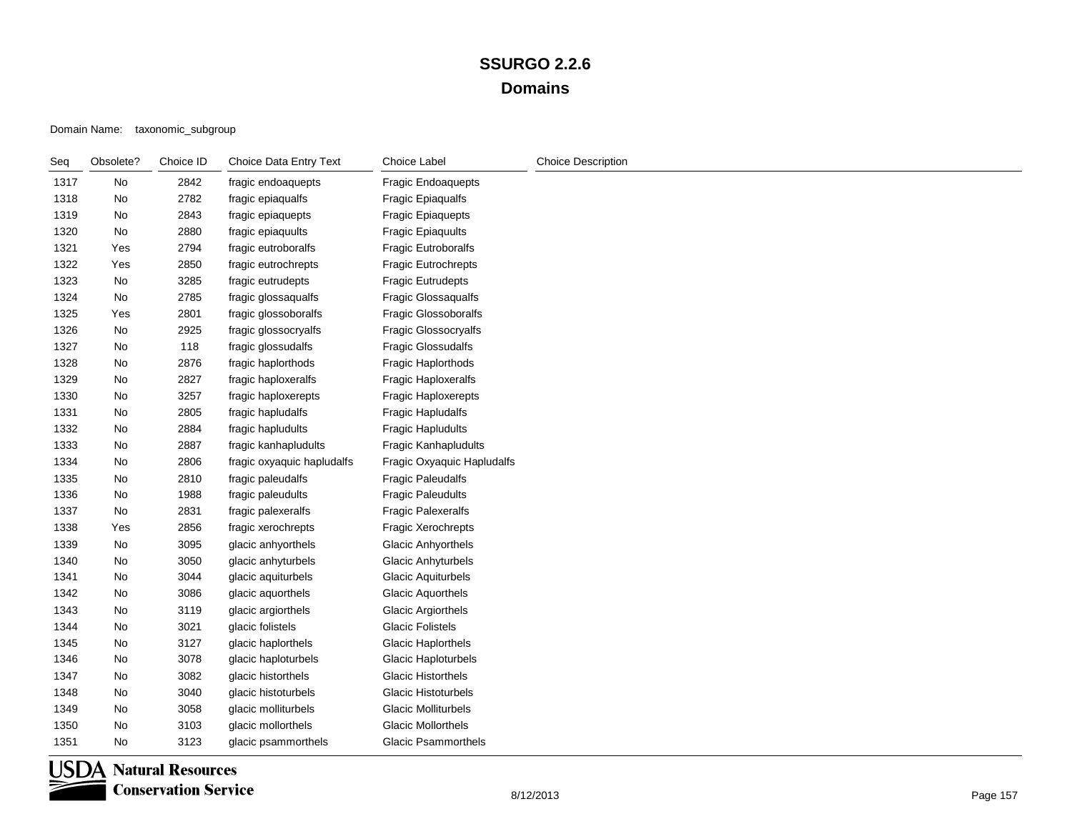| Seq  | Obsolete? | Choice ID | Choice Data Entry Text     | Choice Label                | <b>Choice Description</b> |
|------|-----------|-----------|----------------------------|-----------------------------|---------------------------|
| 1317 | No        | 2842      | fragic endoaquepts         | Fragic Endoaquepts          |                           |
| 1318 | No        | 2782      | fragic epiaqualfs          | <b>Fragic Epiaqualfs</b>    |                           |
| 1319 | No        | 2843      | fragic epiaquepts          | <b>Fragic Epiaquepts</b>    |                           |
| 1320 | No        | 2880      | fragic epiaquults          | <b>Fragic Epiaquults</b>    |                           |
| 1321 | Yes       | 2794      | fragic eutroboralfs        | <b>Fragic Eutroboralfs</b>  |                           |
| 1322 | Yes       | 2850      | fragic eutrochrepts        | Fragic Eutrochrepts         |                           |
| 1323 | No        | 3285      | fragic eutrudepts          | <b>Fragic Eutrudepts</b>    |                           |
| 1324 | No        | 2785      | fragic glossaqualfs        | Fragic Glossaqualfs         |                           |
| 1325 | Yes       | 2801      | fragic glossoboralfs       | Fragic Glossoboralfs        |                           |
| 1326 | No        | 2925      | fragic glossocryalfs       | <b>Fragic Glossocryalfs</b> |                           |
| 1327 | No        | 118       | fragic glossudalfs         | <b>Fragic Glossudalfs</b>   |                           |
| 1328 | No        | 2876      | fragic haplorthods         | Fragic Haplorthods          |                           |
| 1329 | No        | 2827      | fragic haploxeralfs        | <b>Fragic Haploxeralfs</b>  |                           |
| 1330 | No        | 3257      | fragic haploxerepts        | Fragic Haploxerepts         |                           |
| 1331 | No        | 2805      | fragic hapludalfs          | Fragic Hapludalfs           |                           |
| 1332 | No        | 2884      | fragic hapludults          | <b>Fragic Hapludults</b>    |                           |
| 1333 | No        | 2887      | fragic kanhapludults       | Fragic Kanhapludults        |                           |
| 1334 | No        | 2806      | fragic oxyaquic hapludalfs | Fragic Oxyaquic Hapludalfs  |                           |
| 1335 | No        | 2810      | fragic paleudalfs          | <b>Fragic Paleudalfs</b>    |                           |
| 1336 | No        | 1988      | fragic paleudults          | <b>Fragic Paleudults</b>    |                           |
| 1337 | No        | 2831      | fragic palexeralfs         | <b>Fragic Palexeralfs</b>   |                           |
| 1338 | Yes       | 2856      | fragic xerochrepts         | Fragic Xerochrepts          |                           |
| 1339 | No        | 3095      | glacic anhyorthels         | <b>Glacic Anhyorthels</b>   |                           |
| 1340 | No        | 3050      | glacic anhyturbels         | <b>Glacic Anhyturbels</b>   |                           |
| 1341 | No        | 3044      | glacic aquiturbels         | <b>Glacic Aquiturbels</b>   |                           |
| 1342 | No        | 3086      | glacic aquorthels          | <b>Glacic Aquorthels</b>    |                           |
| 1343 | No        | 3119      | glacic argiorthels         | <b>Glacic Argiorthels</b>   |                           |
| 1344 | No        | 3021      | glacic folistels           | <b>Glacic Folistels</b>     |                           |
| 1345 | No        | 3127      | glacic haplorthels         | Glacic Haplorthels          |                           |
| 1346 | No        | 3078      | glacic haploturbels        | <b>Glacic Haploturbels</b>  |                           |
| 1347 | No        | 3082      | glacic historthels         | <b>Glacic Historthels</b>   |                           |
| 1348 | No        | 3040      | glacic histoturbels        | <b>Glacic Histoturbels</b>  |                           |
| 1349 | No        | 3058      | glacic molliturbels        | <b>Glacic Molliturbels</b>  |                           |
| 1350 | No        | 3103      | glacic mollorthels         | <b>Glacic Mollorthels</b>   |                           |
| 1351 | No        | 3123      | glacic psammorthels        | <b>Glacic Psammorthels</b>  |                           |

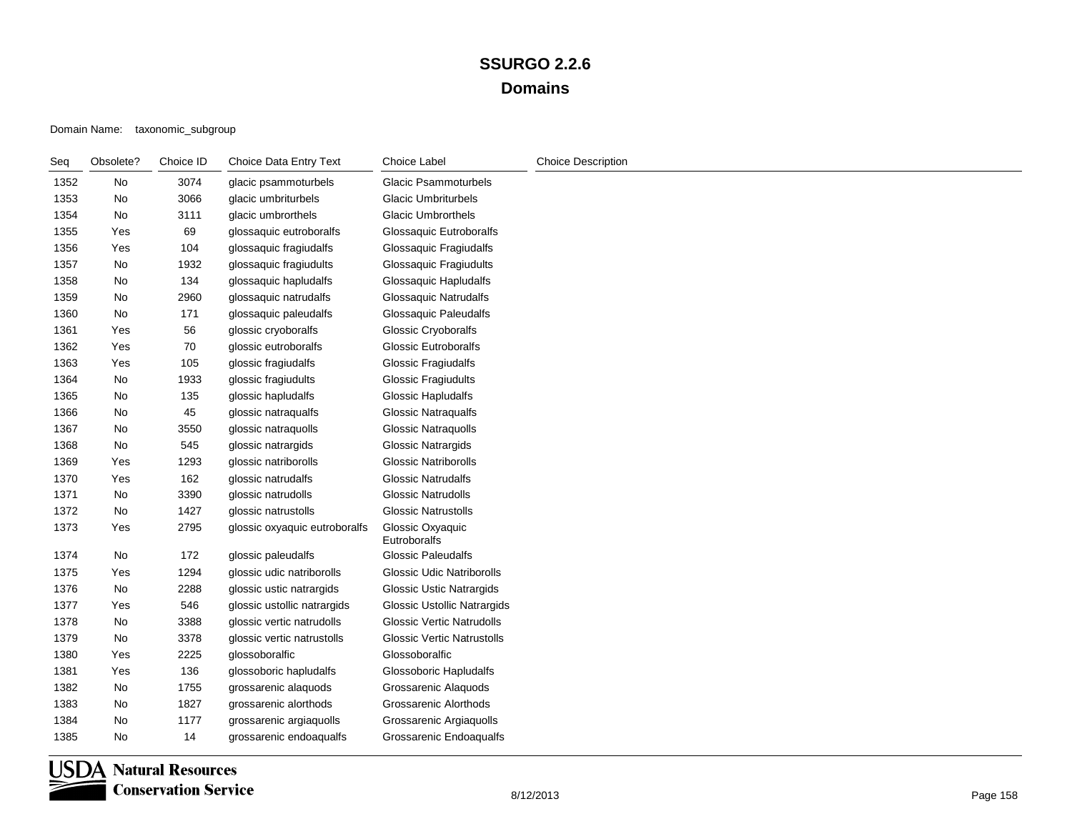| Seq  | Obsolete? | Choice ID | Choice Data Entry Text        | <b>Choice Label</b>               | <b>Choice Description</b> |
|------|-----------|-----------|-------------------------------|-----------------------------------|---------------------------|
| 1352 | No        | 3074      | glacic psammoturbels          | <b>Glacic Psammoturbels</b>       |                           |
| 1353 | No        | 3066      | glacic umbriturbels           | <b>Glacic Umbriturbels</b>        |                           |
| 1354 | No        | 3111      | glacic umbrorthels            | <b>Glacic Umbrorthels</b>         |                           |
| 1355 | Yes       | 69        | glossaquic eutroboralfs       | Glossaquic Eutroboralfs           |                           |
| 1356 | Yes       | 104       | glossaquic fragiudalfs        | Glossaquic Fragiudalfs            |                           |
| 1357 | No        | 1932      | glossaquic fragiudults        | Glossaquic Fragiudults            |                           |
| 1358 | No        | 134       | glossaquic hapludalfs         | Glossaquic Hapludalfs             |                           |
| 1359 | No        | 2960      | glossaquic natrudalfs         | Glossaquic Natrudalfs             |                           |
| 1360 | No        | 171       | glossaquic paleudalfs         | Glossaquic Paleudalfs             |                           |
| 1361 | Yes       | 56        | glossic cryoboralfs           | Glossic Cryoboralfs               |                           |
| 1362 | Yes       | 70        | glossic eutroboralfs          | <b>Glossic Eutroboralfs</b>       |                           |
| 1363 | Yes       | 105       | glossic fragiudalfs           | <b>Glossic Fragiudalfs</b>        |                           |
| 1364 | No        | 1933      | glossic fragiudults           | <b>Glossic Fragiudults</b>        |                           |
| 1365 | No        | 135       | glossic hapludalfs            | Glossic Hapludalfs                |                           |
| 1366 | No        | 45        | glossic natraqualfs           | <b>Glossic Natraqualfs</b>        |                           |
| 1367 | No        | 3550      | glossic natraquolls           | <b>Glossic Natraquolls</b>        |                           |
| 1368 | No        | 545       | glossic natrargids            | <b>Glossic Natrargids</b>         |                           |
| 1369 | Yes       | 1293      | glossic natriborolls          | <b>Glossic Natriborolls</b>       |                           |
| 1370 | Yes       | 162       | glossic natrudalfs            | <b>Glossic Natrudalfs</b>         |                           |
| 1371 | No        | 3390      | glossic natrudolls            | <b>Glossic Natrudolls</b>         |                           |
| 1372 | No        | 1427      | glossic natrustolls           | <b>Glossic Natrustolls</b>        |                           |
| 1373 | Yes       | 2795      | glossic oxyaquic eutroboralfs | Glossic Oxyaquic<br>Eutroboralfs  |                           |
| 1374 | No        | 172       | glossic paleudalfs            | <b>Glossic Paleudalfs</b>         |                           |
| 1375 | Yes       | 1294      | glossic udic natriborolls     | <b>Glossic Udic Natriborolls</b>  |                           |
| 1376 | No        | 2288      | glossic ustic natrargids      | <b>Glossic Ustic Natrargids</b>   |                           |
| 1377 | Yes       | 546       | glossic ustollic natrargids   | Glossic Ustollic Natrargids       |                           |
| 1378 | No        | 3388      | glossic vertic natrudolls     | <b>Glossic Vertic Natrudolls</b>  |                           |
| 1379 | No        | 3378      | glossic vertic natrustolls    | <b>Glossic Vertic Natrustolls</b> |                           |
| 1380 | Yes       | 2225      | glossoboralfic                | Glossoboralfic                    |                           |
| 1381 | Yes       | 136       | glossoboric hapludalfs        | Glossoboric Hapludalfs            |                           |
| 1382 | No        | 1755      | grossarenic alaquods          | Grossarenic Alaquods              |                           |
| 1383 | No        | 1827      | grossarenic alorthods         | Grossarenic Alorthods             |                           |
| 1384 | No        | 1177      | grossarenic argiaquolls       | Grossarenic Argiaquolls           |                           |
| 1385 | No        | 14        | grossarenic endoaqualfs       | Grossarenic Endoaqualfs           |                           |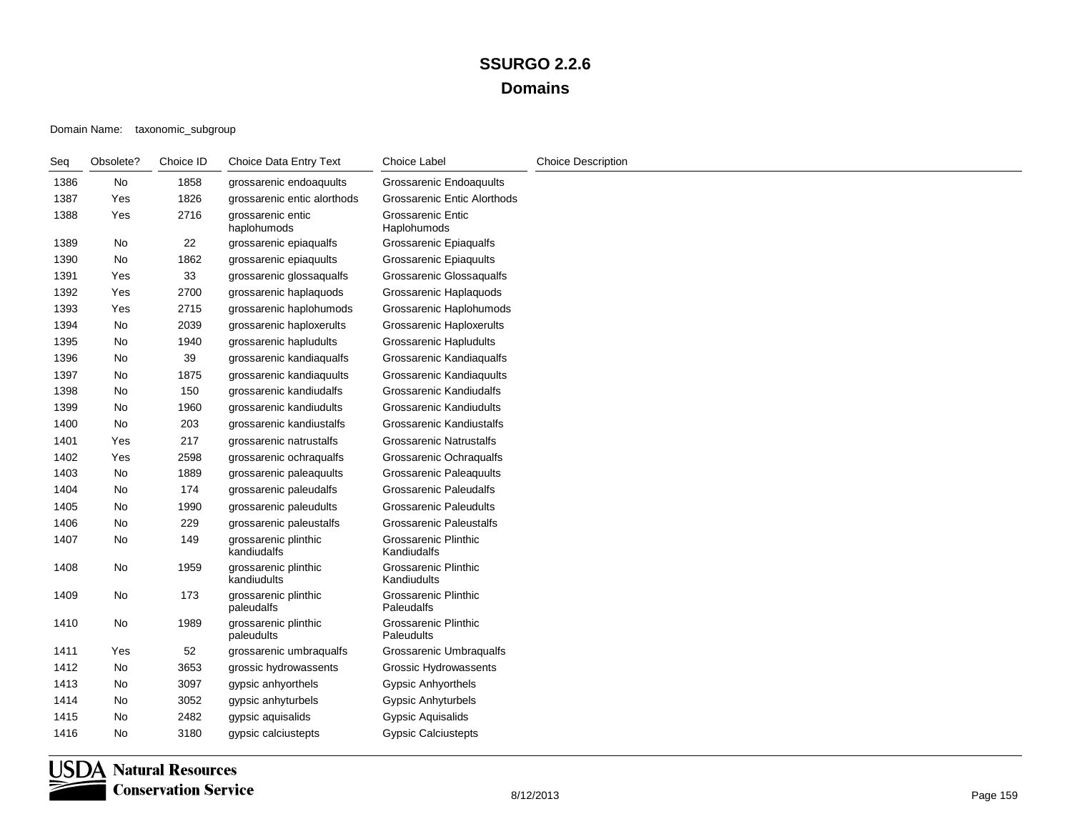| Seq  | Obsolete? | Choice ID | Choice Data Entry Text              | Choice Label                        | <b>Choice Description</b> |
|------|-----------|-----------|-------------------------------------|-------------------------------------|---------------------------|
| 1386 | No        | 1858      | grossarenic endoaquults             | Grossarenic Endoaquults             |                           |
| 1387 | Yes       | 1826      | grossarenic entic alorthods         | Grossarenic Entic Alorthods         |                           |
| 1388 | Yes       | 2716      | grossarenic entic<br>haplohumods    | Grossarenic Entic<br>Haplohumods    |                           |
| 1389 | No        | 22        | grossarenic epiaqualfs              | Grossarenic Epiaqualfs              |                           |
| 1390 | No        | 1862      | grossarenic epiaquults              | <b>Grossarenic Epiaquults</b>       |                           |
| 1391 | Yes       | 33        | grossarenic glossaqualfs            | Grossarenic Glossaqualfs            |                           |
| 1392 | Yes       | 2700      | grossarenic haplaquods              | Grossarenic Haplaquods              |                           |
| 1393 | Yes       | 2715      | grossarenic haplohumods             | Grossarenic Haplohumods             |                           |
| 1394 | No        | 2039      | grossarenic haploxerults            | Grossarenic Haploxerults            |                           |
| 1395 | No.       | 1940      | grossarenic hapludults              | <b>Grossarenic Hapludults</b>       |                           |
| 1396 | No        | 39        | grossarenic kandiagualfs            | Grossarenic Kandiaqualfs            |                           |
| 1397 | No        | 1875      | grossarenic kandiaguults            | Grossarenic Kandiaguults            |                           |
| 1398 | No        | 150       | grossarenic kandiudalfs             | Grossarenic Kandiudalfs             |                           |
| 1399 | No        | 1960      | grossarenic kandiudults             | <b>Grossarenic Kandiudults</b>      |                           |
| 1400 | No.       | 203       | grossarenic kandiustalfs            | Grossarenic Kandiustalfs            |                           |
| 1401 | Yes       | 217       | grossarenic natrustalfs             | <b>Grossarenic Natrustalfs</b>      |                           |
| 1402 | Yes       | 2598      | grossarenic ochraqualfs             | Grossarenic Ochraqualfs             |                           |
| 1403 | No        | 1889      | grossarenic paleaquults             | Grossarenic Paleaquults             |                           |
| 1404 | No        | 174       | grossarenic paleudalfs              | <b>Grossarenic Paleudalfs</b>       |                           |
| 1405 | No        | 1990      | grossarenic paleudults              | <b>Grossarenic Paleudults</b>       |                           |
| 1406 | No        | 229       | grossarenic paleustalfs             | <b>Grossarenic Paleustalfs</b>      |                           |
| 1407 | No        | 149       | grossarenic plinthic<br>kandiudalfs | Grossarenic Plinthic<br>Kandiudalfs |                           |
| 1408 | No        | 1959      | grossarenic plinthic<br>kandiudults | Grossarenic Plinthic<br>Kandiudults |                           |
| 1409 | No        | 173       | grossarenic plinthic<br>paleudalfs  | Grossarenic Plinthic<br>Paleudalfs  |                           |
| 1410 | No        | 1989      | grossarenic plinthic<br>paleudults  | Grossarenic Plinthic<br>Paleudults  |                           |
| 1411 | Yes       | 52        | grossarenic umbraqualfs             | Grossarenic Umbraqualfs             |                           |
| 1412 | No        | 3653      | grossic hydrowassents               | <b>Grossic Hydrowassents</b>        |                           |
| 1413 | No        | 3097      | gypsic anhyorthels                  | <b>Gypsic Anhyorthels</b>           |                           |
| 1414 | No        | 3052      | gypsic anhyturbels                  | <b>Gypsic Anhyturbels</b>           |                           |
| 1415 | No        | 2482      | gypsic aquisalids                   | Gypsic Aquisalids                   |                           |
| 1416 | No        | 3180      | gypsic calciustepts                 | <b>Gypsic Calciustepts</b>          |                           |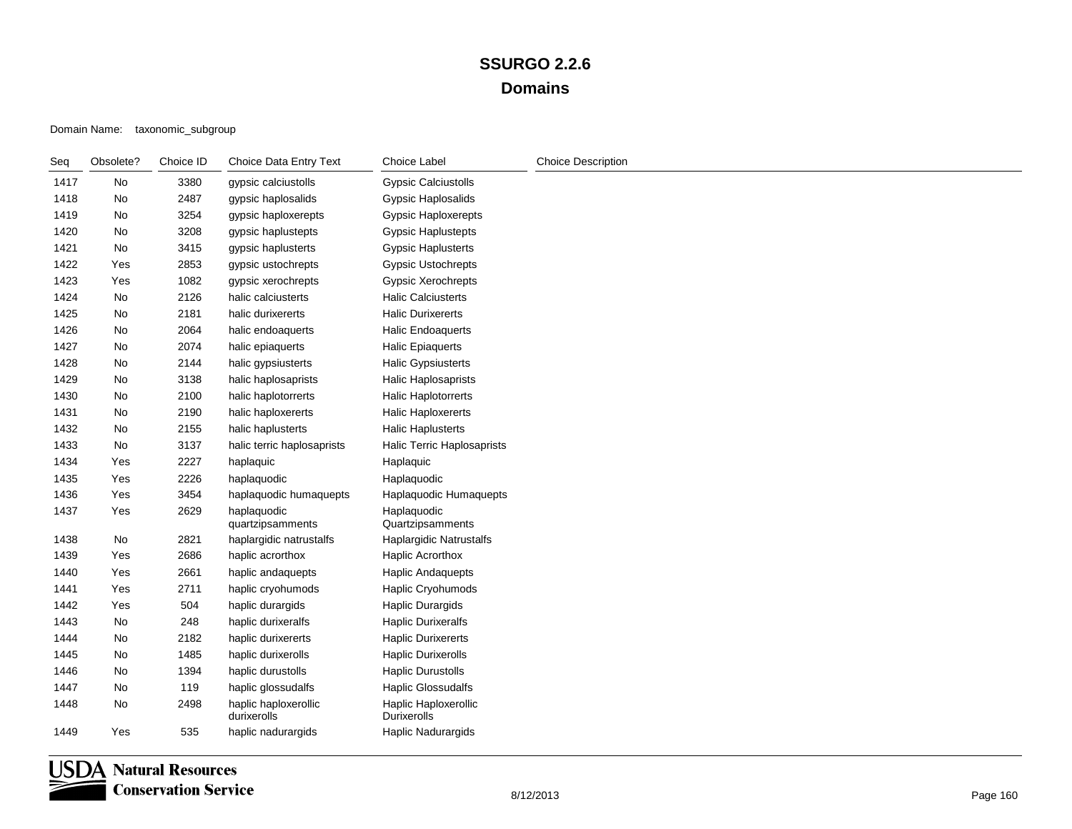| Seq  | Obsolete? | Choice ID | Choice Data Entry Text              | <b>Choice Label</b>                 | <b>Choice Description</b> |
|------|-----------|-----------|-------------------------------------|-------------------------------------|---------------------------|
| 1417 | No        | 3380      | gypsic calciustolls                 | <b>Gypsic Calciustolls</b>          |                           |
| 1418 | No        | 2487      | gypsic haplosalids                  | <b>Gypsic Haplosalids</b>           |                           |
| 1419 | No        | 3254      | gypsic haploxerepts                 | Gypsic Haploxerepts                 |                           |
| 1420 | No        | 3208      | gypsic haplustepts                  | <b>Gypsic Haplustepts</b>           |                           |
| 1421 | No        | 3415      | gypsic haplusterts                  | <b>Gypsic Haplusterts</b>           |                           |
| 1422 | Yes       | 2853      | gypsic ustochrepts                  | <b>Gypsic Ustochrepts</b>           |                           |
| 1423 | Yes       | 1082      | gypsic xerochrepts                  | <b>Gypsic Xerochrepts</b>           |                           |
| 1424 | No        | 2126      | halic calciusterts                  | <b>Halic Calciusterts</b>           |                           |
| 1425 | No        | 2181      | halic durixererts                   | <b>Halic Durixererts</b>            |                           |
| 1426 | No        | 2064      | halic endoaquerts                   | <b>Halic Endoaquerts</b>            |                           |
| 1427 | No        | 2074      | halic epiaquerts                    | <b>Halic Epiaquerts</b>             |                           |
| 1428 | No        | 2144      | halic gypsiusterts                  | <b>Halic Gypsiusterts</b>           |                           |
| 1429 | No        | 3138      | halic haplosaprists                 | <b>Halic Haplosaprists</b>          |                           |
| 1430 | No        | 2100      | halic haplotorrerts                 | <b>Halic Haplotorrerts</b>          |                           |
| 1431 | No        | 2190      | halic haploxererts                  | <b>Halic Haploxererts</b>           |                           |
| 1432 | No        | 2155      | halic haplusterts                   | <b>Halic Haplusterts</b>            |                           |
| 1433 | No        | 3137      | halic terric haplosaprists          | <b>Halic Terric Haplosaprists</b>   |                           |
| 1434 | Yes       | 2227      | haplaquic                           | Haplaquic                           |                           |
| 1435 | Yes       | 2226      | haplaquodic                         | Haplaquodic                         |                           |
| 1436 | Yes       | 3454      | haplaquodic humaquepts              | Haplaquodic Humaquepts              |                           |
| 1437 | Yes       | 2629      | haplaquodic<br>quartzipsamments     | Haplaquodic<br>Quartzipsamments     |                           |
| 1438 | No        | 2821      | haplargidic natrustalfs             | Haplargidic Natrustalfs             |                           |
| 1439 | Yes       | 2686      | haplic acrorthox                    | Haplic Acrorthox                    |                           |
| 1440 | Yes       | 2661      | haplic andaquepts                   | <b>Haplic Andaquepts</b>            |                           |
| 1441 | Yes       | 2711      | haplic cryohumods                   | Haplic Cryohumods                   |                           |
| 1442 | Yes       | 504       | haplic durargids                    | Haplic Durargids                    |                           |
| 1443 | No        | 248       | haplic durixeralfs                  | <b>Haplic Durixeralfs</b>           |                           |
| 1444 | No        | 2182      | haplic durixererts                  | <b>Haplic Durixererts</b>           |                           |
| 1445 | No        | 1485      | haplic durixerolls                  | <b>Haplic Durixerolls</b>           |                           |
| 1446 | No        | 1394      | haplic durustolls                   | <b>Haplic Durustolls</b>            |                           |
| 1447 | No        | 119       | haplic glossudalfs                  | <b>Haplic Glossudalfs</b>           |                           |
| 1448 | No        | 2498      | haplic haploxerollic<br>durixerolls | Haplic Haploxerollic<br>Durixerolls |                           |
| 1449 | Yes       | 535       | haplic nadurargids                  | Haplic Nadurargids                  |                           |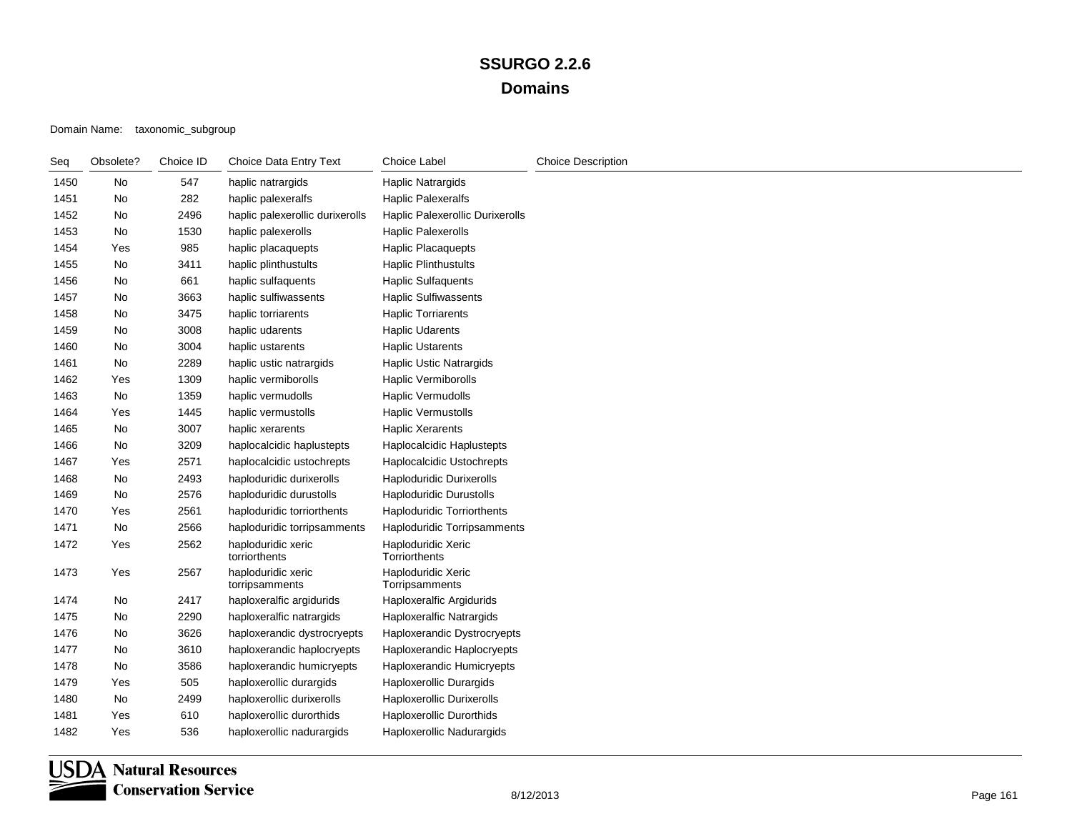| Seq  | Obsolete? | Choice ID | Choice Data Entry Text               | Choice Label                         | <b>Choice Description</b> |
|------|-----------|-----------|--------------------------------------|--------------------------------------|---------------------------|
| 1450 | No        | 547       | haplic natrargids                    | <b>Haplic Natrargids</b>             |                           |
| 1451 | No        | 282       | haplic palexeralfs                   | <b>Haplic Palexeralfs</b>            |                           |
| 1452 | No        | 2496      | haplic palexerollic durixerolls      | Haplic Palexerollic Durixerolls      |                           |
| 1453 | No        | 1530      | haplic palexerolls                   | <b>Haplic Palexerolls</b>            |                           |
| 1454 | Yes       | 985       | haplic placaquepts                   | Haplic Placaquepts                   |                           |
| 1455 | No        | 3411      | haplic plinthustults                 | Haplic Plinthustults                 |                           |
| 1456 | No        | 661       | haplic sulfaquents                   | <b>Haplic Sulfaquents</b>            |                           |
| 1457 | No        | 3663      | haplic sulfiwassents                 | <b>Haplic Sulfiwassents</b>          |                           |
| 1458 | No        | 3475      | haplic torriarents                   | <b>Haplic Torriarents</b>            |                           |
| 1459 | No        | 3008      | haplic udarents                      | <b>Haplic Udarents</b>               |                           |
| 1460 | No        | 3004      | haplic ustarents                     | <b>Haplic Ustarents</b>              |                           |
| 1461 | No        | 2289      | haplic ustic natrargids              | <b>Haplic Ustic Natrargids</b>       |                           |
| 1462 | Yes       | 1309      | haplic vermiborolls                  | <b>Haplic Vermiborolls</b>           |                           |
| 1463 | No        | 1359      | haplic vermudolls                    | <b>Haplic Vermudolls</b>             |                           |
| 1464 | Yes       | 1445      | haplic vermustolls                   | <b>Haplic Vermustolls</b>            |                           |
| 1465 | No        | 3007      | haplic xerarents                     | <b>Haplic Xerarents</b>              |                           |
| 1466 | No        | 3209      | haplocalcidic haplustepts            | Haplocalcidic Haplustepts            |                           |
| 1467 | Yes       | 2571      | haplocalcidic ustochrepts            | Haplocalcidic Ustochrepts            |                           |
| 1468 | No        | 2493      | haploduridic durixerolls             | <b>Haploduridic Durixerolls</b>      |                           |
| 1469 | No        | 2576      | haploduridic durustolls              | <b>Haploduridic Durustolls</b>       |                           |
| 1470 | Yes       | 2561      | haploduridic torriorthents           | <b>Haploduridic Torriorthents</b>    |                           |
| 1471 | No        | 2566      | haploduridic torripsamments          | <b>Haploduridic Torripsamments</b>   |                           |
| 1472 | Yes       | 2562      | haploduridic xeric<br>torriorthents  | Haploduridic Xeric<br>Torriorthents  |                           |
| 1473 | Yes       | 2567      | haploduridic xeric<br>torripsamments | Haploduridic Xeric<br>Torripsamments |                           |
| 1474 | No        | 2417      | haploxeralfic argidurids             | <b>Haploxeralfic Argidurids</b>      |                           |
| 1475 | No        | 2290      | haploxeralfic natrargids             | <b>Haploxeralfic Natrargids</b>      |                           |
| 1476 | No        | 3626      | haploxerandic dystrocryepts          | Haploxerandic Dystrocryepts          |                           |
| 1477 | No        | 3610      | haploxerandic haplocryepts           | Haploxerandic Haplocryepts           |                           |
| 1478 | No        | 3586      | haploxerandic humicryepts            | Haploxerandic Humicryepts            |                           |
| 1479 | Yes       | 505       | haploxerollic durargids              | Haploxerollic Durargids              |                           |
| 1480 | No        | 2499      | haploxerollic durixerolls            | Haploxerollic Durixerolls            |                           |
| 1481 | Yes       | 610       | haploxerollic durorthids             | Haploxerollic Durorthids             |                           |
| 1482 | Yes       | 536       | haploxerollic nadurargids            | Haploxerollic Nadurargids            |                           |

**USDA** Natural Resources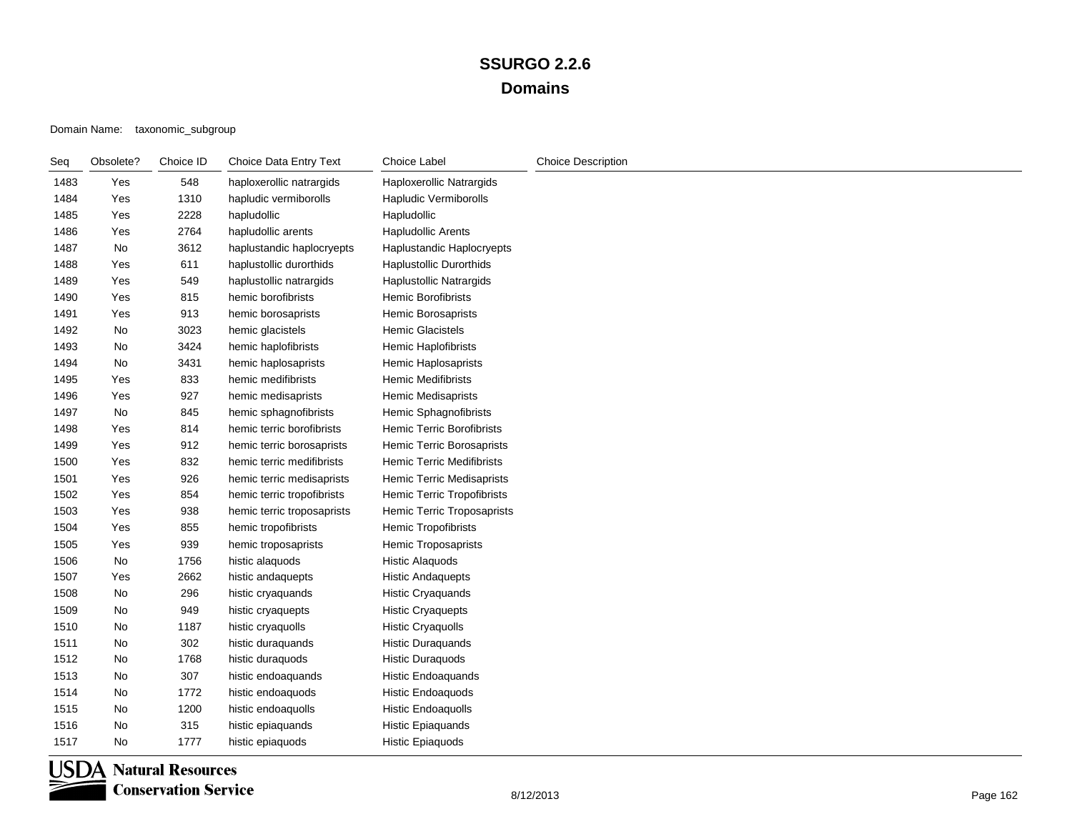| Seq  | Obsolete? | Choice ID | Choice Data Entry Text     | <b>Choice Label</b>              | <b>Choice Description</b> |
|------|-----------|-----------|----------------------------|----------------------------------|---------------------------|
| 1483 | Yes       | 548       | haploxerollic natrargids   | Haploxerollic Natrargids         |                           |
| 1484 | Yes       | 1310      | hapludic vermiborolls      | <b>Hapludic Vermiborolls</b>     |                           |
| 1485 | Yes       | 2228      | hapludollic                | Hapludollic                      |                           |
| 1486 | Yes       | 2764      | hapludollic arents         | <b>Hapludollic Arents</b>        |                           |
| 1487 | No        | 3612      | haplustandic haplocryepts  | Haplustandic Haplocryepts        |                           |
| 1488 | Yes       | 611       | haplustollic durorthids    | <b>Haplustollic Durorthids</b>   |                           |
| 1489 | Yes       | 549       | haplustollic natrargids    | Haplustollic Natrargids          |                           |
| 1490 | Yes       | 815       | hemic borofibrists         | <b>Hemic Borofibrists</b>        |                           |
| 1491 | Yes       | 913       | hemic borosaprists         | Hemic Borosaprists               |                           |
| 1492 | No        | 3023      | hemic glacistels           | <b>Hemic Glacistels</b>          |                           |
| 1493 | No        | 3424      | hemic haplofibrists        | Hemic Haplofibrists              |                           |
| 1494 | No        | 3431      | hemic haplosaprists        | Hemic Haplosaprists              |                           |
| 1495 | Yes       | 833       | hemic medifibrists         | <b>Hemic Medifibrists</b>        |                           |
| 1496 | Yes       | 927       | hemic medisaprists         | <b>Hemic Medisaprists</b>        |                           |
| 1497 | No        | 845       | hemic sphagnofibrists      | Hemic Sphagnofibrists            |                           |
| 1498 | Yes       | 814       | hemic terric borofibrists  | <b>Hemic Terric Borofibrists</b> |                           |
| 1499 | Yes       | 912       | hemic terric borosaprists  | Hemic Terric Borosaprists        |                           |
| 1500 | Yes       | 832       | hemic terric medifibrists  | <b>Hemic Terric Medifibrists</b> |                           |
| 1501 | Yes       | 926       | hemic terric medisaprists  | Hemic Terric Medisaprists        |                           |
| 1502 | Yes       | 854       | hemic terric tropofibrists | Hemic Terric Tropofibrists       |                           |
| 1503 | Yes       | 938       | hemic terric troposaprists | Hemic Terric Troposaprists       |                           |
| 1504 | Yes       | 855       | hemic tropofibrists        | Hemic Tropofibrists              |                           |
| 1505 | Yes       | 939       | hemic troposaprists        | Hemic Troposaprists              |                           |
| 1506 | No        | 1756      | histic alaquods            | Histic Alaquods                  |                           |
| 1507 | Yes       | 2662      | histic andaquepts          | <b>Histic Andaquepts</b>         |                           |
| 1508 | No        | 296       | histic cryaquands          | <b>Histic Cryaquands</b>         |                           |
| 1509 | No        | 949       | histic cryaquepts          | <b>Histic Cryaquepts</b>         |                           |
| 1510 | No        | 1187      | histic cryaquolls          | <b>Histic Cryaquolls</b>         |                           |
| 1511 | No        | 302       | histic duraquands          | <b>Histic Duraquands</b>         |                           |
| 1512 | No        | 1768      | histic duraquods           | <b>Histic Duraquods</b>          |                           |
| 1513 | No        | 307       | histic endoaquands         | <b>Histic Endoaquands</b>        |                           |
| 1514 | No        | 1772      | histic endoaquods          | Histic Endoaquods                |                           |
| 1515 | No        | 1200      | histic endoaquolls         | <b>Histic Endoaquolls</b>        |                           |
| 1516 | No        | 315       | histic epiaquands          | <b>Histic Epiaquands</b>         |                           |
| 1517 | No        | 1777      | histic epiaquods           | <b>Histic Epiaquods</b>          |                           |

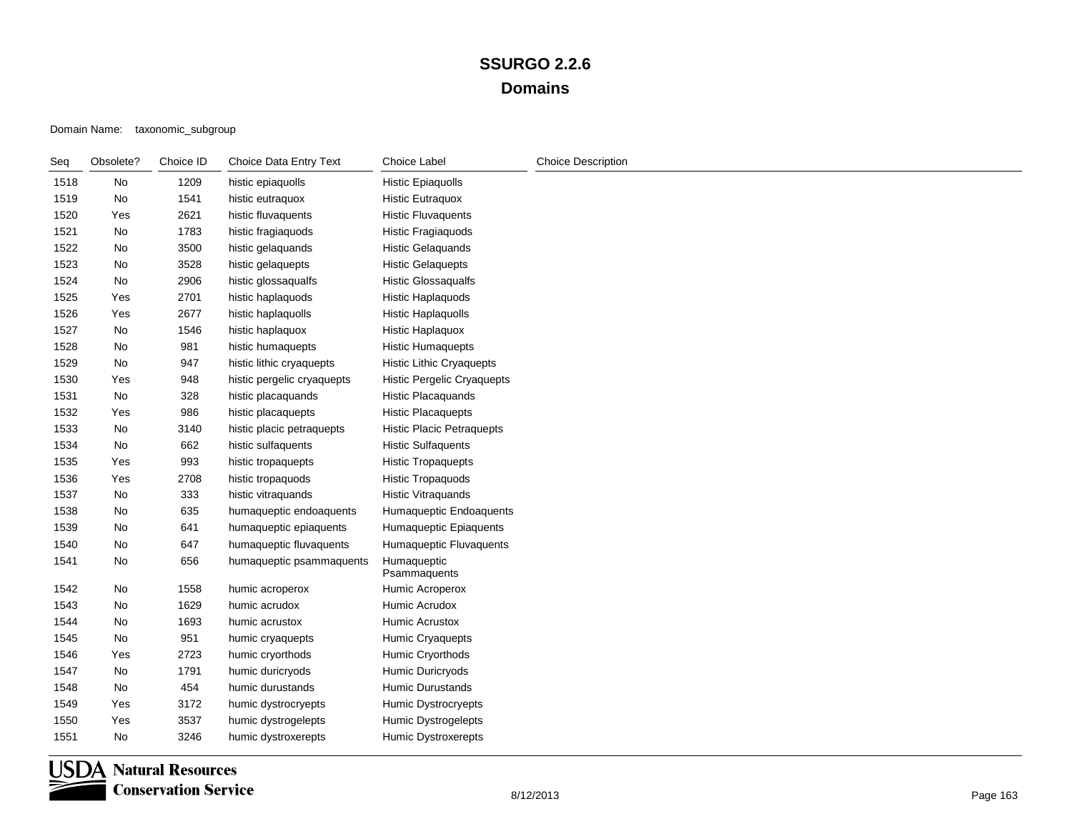| Seq  | Obsolete? | Choice ID | Choice Data Entry Text     | Choice Label                      | <b>Choice Description</b> |
|------|-----------|-----------|----------------------------|-----------------------------------|---------------------------|
| 1518 | No        | 1209      | histic epiaquolls          | <b>Histic Epiaquolls</b>          |                           |
| 1519 | No        | 1541      | histic eutraquox           | <b>Histic Eutraquox</b>           |                           |
| 1520 | Yes       | 2621      | histic fluvaquents         | <b>Histic Fluvaquents</b>         |                           |
| 1521 | No        | 1783      | histic fragiaquods         | <b>Histic Fragiaguods</b>         |                           |
| 1522 | No        | 3500      | histic gelaquands          | <b>Histic Gelaquands</b>          |                           |
| 1523 | No        | 3528      | histic gelaquepts          | <b>Histic Gelaquepts</b>          |                           |
| 1524 | No        | 2906      | histic glossaqualfs        | <b>Histic Glossaqualfs</b>        |                           |
| 1525 | Yes       | 2701      | histic haplaquods          | Histic Haplaquods                 |                           |
| 1526 | Yes       | 2677      | histic haplaquolls         | <b>Histic Haplaquolls</b>         |                           |
| 1527 | No        | 1546      | histic haplaquox           | Histic Haplaquox                  |                           |
| 1528 | No        | 981       | histic humaquepts          | <b>Histic Humaquepts</b>          |                           |
| 1529 | No        | 947       | histic lithic cryaquepts   | <b>Histic Lithic Cryaquepts</b>   |                           |
| 1530 | Yes       | 948       | histic pergelic cryaquepts | <b>Histic Pergelic Cryaquepts</b> |                           |
| 1531 | No        | 328       | histic placaquands         | Histic Placaquands                |                           |
| 1532 | Yes       | 986       | histic placaquepts         | <b>Histic Placaquepts</b>         |                           |
| 1533 | No        | 3140      | histic placic petraquepts  | <b>Histic Placic Petraquepts</b>  |                           |
| 1534 | No        | 662       | histic sulfaquents         | <b>Histic Sulfaquents</b>         |                           |
| 1535 | Yes       | 993       | histic tropaquepts         | <b>Histic Tropaquepts</b>         |                           |
| 1536 | Yes       | 2708      | histic tropaquods          | <b>Histic Tropaquods</b>          |                           |
| 1537 | No        | 333       | histic vitraquands         | <b>Histic Vitraquands</b>         |                           |
| 1538 | No        | 635       | humaqueptic endoaquents    | Humaqueptic Endoaquents           |                           |
| 1539 | No        | 641       | humaqueptic epiaquents     | Humaqueptic Epiaquents            |                           |
| 1540 | No        | 647       | humaqueptic fluvaquents    | Humaqueptic Fluvaquents           |                           |
| 1541 | No        | 656       | humaqueptic psammaquents   | Humaqueptic<br>Psammaquents       |                           |
| 1542 | No        | 1558      | humic acroperox            | Humic Acroperox                   |                           |
| 1543 | No        | 1629      | humic acrudox              | Humic Acrudox                     |                           |
| 1544 | No        | 1693      | humic acrustox             | Humic Acrustox                    |                           |
| 1545 | No        | 951       | humic cryaquepts           | Humic Cryaquepts                  |                           |
| 1546 | Yes       | 2723      | humic cryorthods           | Humic Cryorthods                  |                           |
| 1547 | No        | 1791      | humic duricryods           | Humic Duricryods                  |                           |
| 1548 | No        | 454       | humic durustands           | <b>Humic Durustands</b>           |                           |
| 1549 | Yes       | 3172      | humic dystrocryepts        | Humic Dystrocryepts               |                           |
| 1550 | Yes       | 3537      | humic dystrogelepts        | <b>Humic Dystrogelepts</b>        |                           |
| 1551 | No        | 3246      | humic dystroxerepts        | Humic Dystroxerepts               |                           |

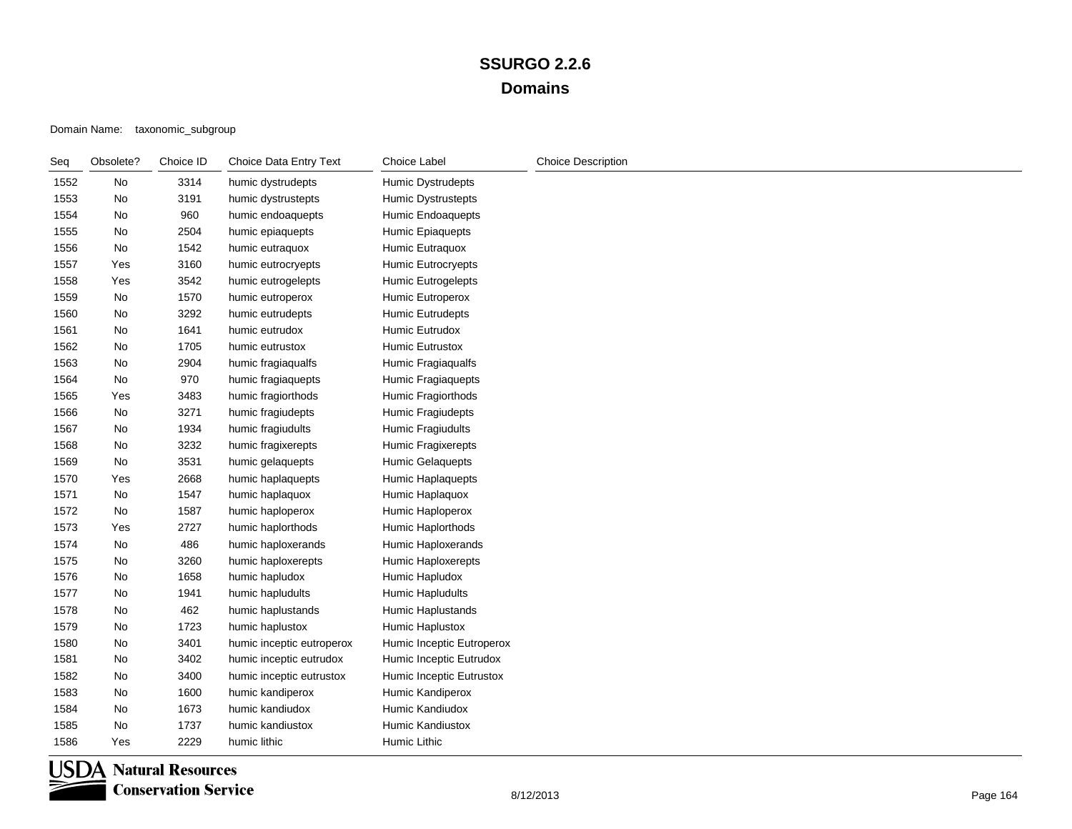| Seq  | Obsolete? | Choice ID | Choice Data Entry Text    | Choice Label              | <b>Choice Description</b> |
|------|-----------|-----------|---------------------------|---------------------------|---------------------------|
| 1552 | No        | 3314      | humic dystrudepts         | Humic Dystrudepts         |                           |
| 1553 | No        | 3191      | humic dystrustepts        | Humic Dystrustepts        |                           |
| 1554 | No        | 960       | humic endoaquepts         | Humic Endoaquepts         |                           |
| 1555 | No        | 2504      | humic epiaquepts          | Humic Epiaquepts          |                           |
| 1556 | No        | 1542      | humic eutraquox           | Humic Eutraquox           |                           |
| 1557 | Yes       | 3160      | humic eutrocryepts        | Humic Eutrocryepts        |                           |
| 1558 | Yes       | 3542      | humic eutrogelepts        | Humic Eutrogelepts        |                           |
| 1559 | No        | 1570      | humic eutroperox          | Humic Eutroperox          |                           |
| 1560 | No        | 3292      | humic eutrudepts          | <b>Humic Eutrudepts</b>   |                           |
| 1561 | No        | 1641      | humic eutrudox            | Humic Eutrudox            |                           |
| 1562 | No        | 1705      | humic eutrustox           | Humic Eutrustox           |                           |
| 1563 | No        | 2904      | humic fragiaqualfs        | Humic Fragiaqualfs        |                           |
| 1564 | No        | 970       | humic fragiaquepts        | Humic Fragiaquepts        |                           |
| 1565 | Yes       | 3483      | humic fragiorthods        | Humic Fragiorthods        |                           |
| 1566 | No        | 3271      | humic fragiudepts         | Humic Fragiudepts         |                           |
| 1567 | No        | 1934      | humic fragiudults         | Humic Fragiudults         |                           |
| 1568 | No        | 3232      | humic fragixerepts        | Humic Fragixerepts        |                           |
| 1569 | No        | 3531      | humic gelaquepts          | Humic Gelaquepts          |                           |
| 1570 | Yes       | 2668      | humic haplaquepts         | Humic Haplaquepts         |                           |
| 1571 | No        | 1547      | humic haplaquox           | Humic Haplaquox           |                           |
| 1572 | No        | 1587      | humic haploperox          | Humic Haploperox          |                           |
| 1573 | Yes       | 2727      | humic haplorthods         | Humic Haplorthods         |                           |
| 1574 | No        | 486       | humic haploxerands        | Humic Haploxerands        |                           |
| 1575 | No        | 3260      | humic haploxerepts        | Humic Haploxerepts        |                           |
| 1576 | No        | 1658      | humic hapludox            | Humic Hapludox            |                           |
| 1577 | No        | 1941      | humic hapludults          | Humic Hapludults          |                           |
| 1578 | No        | 462       | humic haplustands         | Humic Haplustands         |                           |
| 1579 | No        | 1723      | humic haplustox           | Humic Haplustox           |                           |
| 1580 | No        | 3401      | humic inceptic eutroperox | Humic Inceptic Eutroperox |                           |
| 1581 | No        | 3402      | humic inceptic eutrudox   | Humic Inceptic Eutrudox   |                           |
| 1582 | No        | 3400      | humic inceptic eutrustox  | Humic Inceptic Eutrustox  |                           |
| 1583 | No        | 1600      | humic kandiperox          | Humic Kandiperox          |                           |
| 1584 | No        | 1673      | humic kandiudox           | Humic Kandiudox           |                           |
| 1585 | No        | 1737      | humic kandiustox          | Humic Kandiustox          |                           |
| 1586 | Yes       | 2229      | humic lithic              | Humic Lithic              |                           |

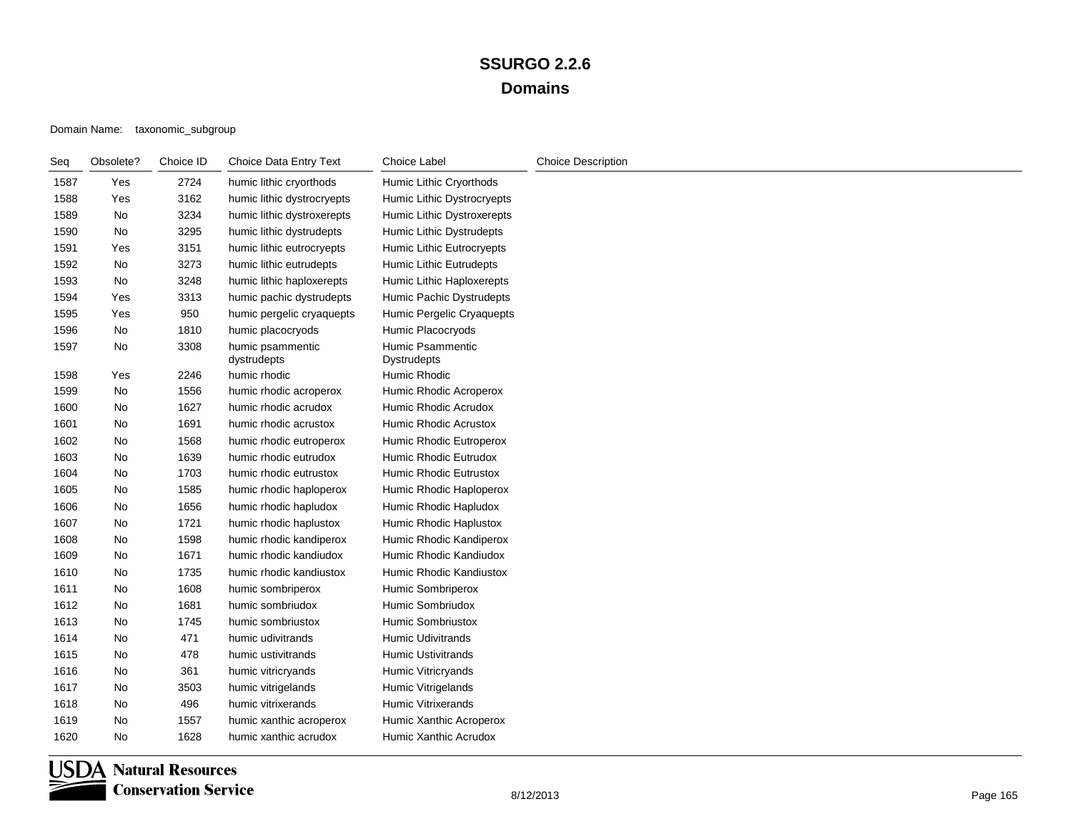#### Domain Name: taxonomic\_subgroup

| Seq  | Obsolete? | Choice ID | Choice Data Entry Text          | Choice Label                           | <b>Choice Description</b> |
|------|-----------|-----------|---------------------------------|----------------------------------------|---------------------------|
| 1587 | Yes       | 2724      | humic lithic cryorthods         | Humic Lithic Cryorthods                |                           |
| 1588 | Yes       | 3162      | humic lithic dystrocryepts      | Humic Lithic Dystrocryepts             |                           |
| 1589 | No        | 3234      | humic lithic dystroxerepts      | Humic Lithic Dystroxerepts             |                           |
| 1590 | No        | 3295      | humic lithic dystrudepts        | Humic Lithic Dystrudepts               |                           |
| 1591 | Yes       | 3151      | humic lithic eutrocryepts       | <b>Humic Lithic Eutrocryepts</b>       |                           |
| 1592 | No        | 3273      | humic lithic eutrudepts         | <b>Humic Lithic Eutrudepts</b>         |                           |
| 1593 | No        | 3248      | humic lithic haploxerepts       | Humic Lithic Haploxerepts              |                           |
| 1594 | Yes       | 3313      | humic pachic dystrudepts        | Humic Pachic Dystrudepts               |                           |
| 1595 | Yes       | 950       | humic pergelic cryaquepts       | Humic Pergelic Cryaquepts              |                           |
| 1596 | No        | 1810      | humic placocryods               | Humic Placocryods                      |                           |
| 1597 | No        | 3308      | humic psammentic<br>dystrudepts | Humic Psammentic<br><b>Dystrudepts</b> |                           |
| 1598 | Yes       | 2246      | humic rhodic                    | Humic Rhodic                           |                           |
| 1599 | No        | 1556      | humic rhodic acroperox          | Humic Rhodic Acroperox                 |                           |
| 1600 | No        | 1627      | humic rhodic acrudox            | Humic Rhodic Acrudox                   |                           |
| 1601 | No        | 1691      | humic rhodic acrustox           | Humic Rhodic Acrustox                  |                           |
| 1602 | No        | 1568      | humic rhodic eutroperox         | Humic Rhodic Eutroperox                |                           |
| 1603 | No        | 1639      | humic rhodic eutrudox           | Humic Rhodic Eutrudox                  |                           |
| 1604 | No        | 1703      | humic rhodic eutrustox          | Humic Rhodic Eutrustox                 |                           |
| 1605 | No        | 1585      | humic rhodic haploperox         | Humic Rhodic Haploperox                |                           |
| 1606 | No        | 1656      | humic rhodic hapludox           | Humic Rhodic Hapludox                  |                           |
| 1607 | No        | 1721      | humic rhodic haplustox          | Humic Rhodic Haplustox                 |                           |
| 1608 | No        | 1598      | humic rhodic kandiperox         | Humic Rhodic Kandiperox                |                           |
| 1609 | No        | 1671      | humic rhodic kandiudox          | Humic Rhodic Kandiudox                 |                           |
| 1610 | No        | 1735      | humic rhodic kandiustox         | Humic Rhodic Kandiustox                |                           |
| 1611 | No        | 1608      | humic sombriperox               | Humic Sombriperox                      |                           |
| 1612 | No        | 1681      | humic sombriudox                | Humic Sombriudox                       |                           |
| 1613 | No        | 1745      | humic sombriustox               | Humic Sombriustox                      |                           |
| 1614 | No        | 471       | humic udivitrands               | <b>Humic Udivitrands</b>               |                           |
| 1615 | No        | 478       | humic ustivitrands              | <b>Humic Ustivitrands</b>              |                           |
| 1616 | No        | 361       | humic vitricryands              | Humic Vitricryands                     |                           |
| 1617 | No        | 3503      | humic vitrigelands              | Humic Vitrigelands                     |                           |
| 1618 | No        | 496       | humic vitrixerands              | <b>Humic Vitrixerands</b>              |                           |
| 1619 | No        | 1557      | humic xanthic acroperox         | Humic Xanthic Acroperox                |                           |
| 1620 | No        | 1628      | humic xanthic acrudox           | Humic Xanthic Acrudox                  |                           |

**USDA** Natural Resources **Conservation Service**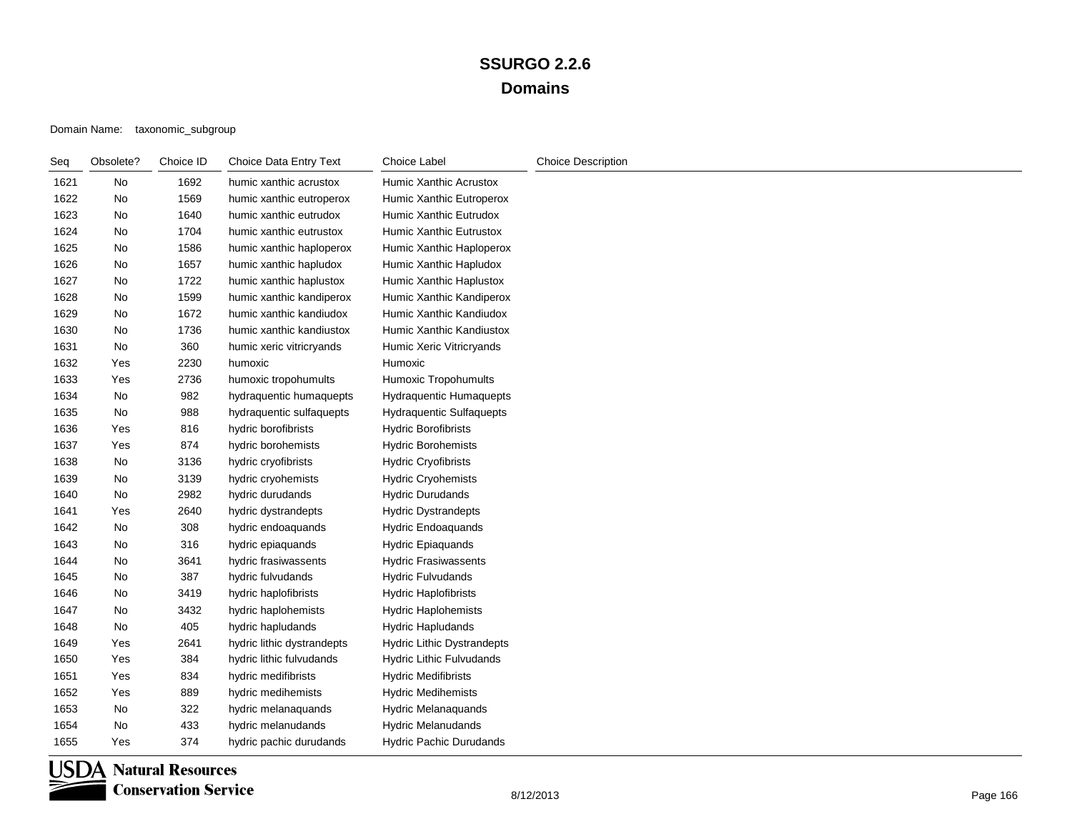| Seq  | Obsolete? | Choice ID | Choice Data Entry Text     | <b>Choice Label</b>               | <b>Choice Description</b> |
|------|-----------|-----------|----------------------------|-----------------------------------|---------------------------|
| 1621 | No        | 1692      | humic xanthic acrustox     | Humic Xanthic Acrustox            |                           |
| 1622 | No        | 1569      | humic xanthic eutroperox   | Humic Xanthic Eutroperox          |                           |
| 1623 | No        | 1640      | humic xanthic eutrudox     | Humic Xanthic Eutrudox            |                           |
| 1624 | No        | 1704      | humic xanthic eutrustox    | Humic Xanthic Eutrustox           |                           |
| 1625 | No        | 1586      | humic xanthic haploperox   | Humic Xanthic Haploperox          |                           |
| 1626 | No        | 1657      | humic xanthic hapludox     | Humic Xanthic Hapludox            |                           |
| 1627 | No        | 1722      | humic xanthic haplustox    | Humic Xanthic Haplustox           |                           |
| 1628 | No        | 1599      | humic xanthic kandiperox   | Humic Xanthic Kandiperox          |                           |
| 1629 | No        | 1672      | humic xanthic kandiudox    | Humic Xanthic Kandiudox           |                           |
| 1630 | No        | 1736      | humic xanthic kandiustox   | Humic Xanthic Kandiustox          |                           |
| 1631 | No        | 360       | humic xeric vitricryands   | Humic Xeric Vitricryands          |                           |
| 1632 | Yes       | 2230      | humoxic                    | Humoxic                           |                           |
| 1633 | Yes       | 2736      | humoxic tropohumults       | Humoxic Tropohumults              |                           |
| 1634 | No        | 982       | hydraquentic humaquepts    | Hydraquentic Humaquepts           |                           |
| 1635 | No        | 988       | hydraquentic sulfaquepts   | <b>Hydraquentic Sulfaquepts</b>   |                           |
| 1636 | Yes       | 816       | hydric borofibrists        | <b>Hydric Borofibrists</b>        |                           |
| 1637 | Yes       | 874       | hydric borohemists         | <b>Hydric Borohemists</b>         |                           |
| 1638 | No        | 3136      | hydric cryofibrists        | <b>Hydric Cryofibrists</b>        |                           |
| 1639 | No        | 3139      | hydric cryohemists         | <b>Hydric Cryohemists</b>         |                           |
| 1640 | No        | 2982      | hydric durudands           | <b>Hydric Durudands</b>           |                           |
| 1641 | Yes       | 2640      | hydric dystrandepts        | <b>Hydric Dystrandepts</b>        |                           |
| 1642 | No        | 308       | hydric endoaquands         | <b>Hydric Endoaquands</b>         |                           |
| 1643 | No        | 316       | hydric epiaquands          | <b>Hydric Epiaquands</b>          |                           |
| 1644 | No        | 3641      | hydric frasiwassents       | <b>Hydric Frasiwassents</b>       |                           |
| 1645 | No        | 387       | hydric fulvudands          | <b>Hydric Fulvudands</b>          |                           |
| 1646 | No        | 3419      | hydric haplofibrists       | <b>Hydric Haplofibrists</b>       |                           |
| 1647 | No        | 3432      | hydric haplohemists        | <b>Hydric Haplohemists</b>        |                           |
| 1648 | No        | 405       | hydric hapludands          | <b>Hydric Hapludands</b>          |                           |
| 1649 | Yes       | 2641      | hydric lithic dystrandepts | <b>Hydric Lithic Dystrandepts</b> |                           |
| 1650 | Yes       | 384       | hydric lithic fulvudands   | <b>Hydric Lithic Fulvudands</b>   |                           |
| 1651 | Yes       | 834       | hydric medifibrists        | <b>Hydric Medifibrists</b>        |                           |
| 1652 | Yes       | 889       | hydric medihemists         | <b>Hydric Medihemists</b>         |                           |
| 1653 | No        | 322       | hydric melanaquands        | Hydric Melanaquands               |                           |
| 1654 | No        | 433       | hydric melanudands         | <b>Hydric Melanudands</b>         |                           |
| 1655 | Yes       | 374       | hydric pachic durudands    | <b>Hydric Pachic Durudands</b>    |                           |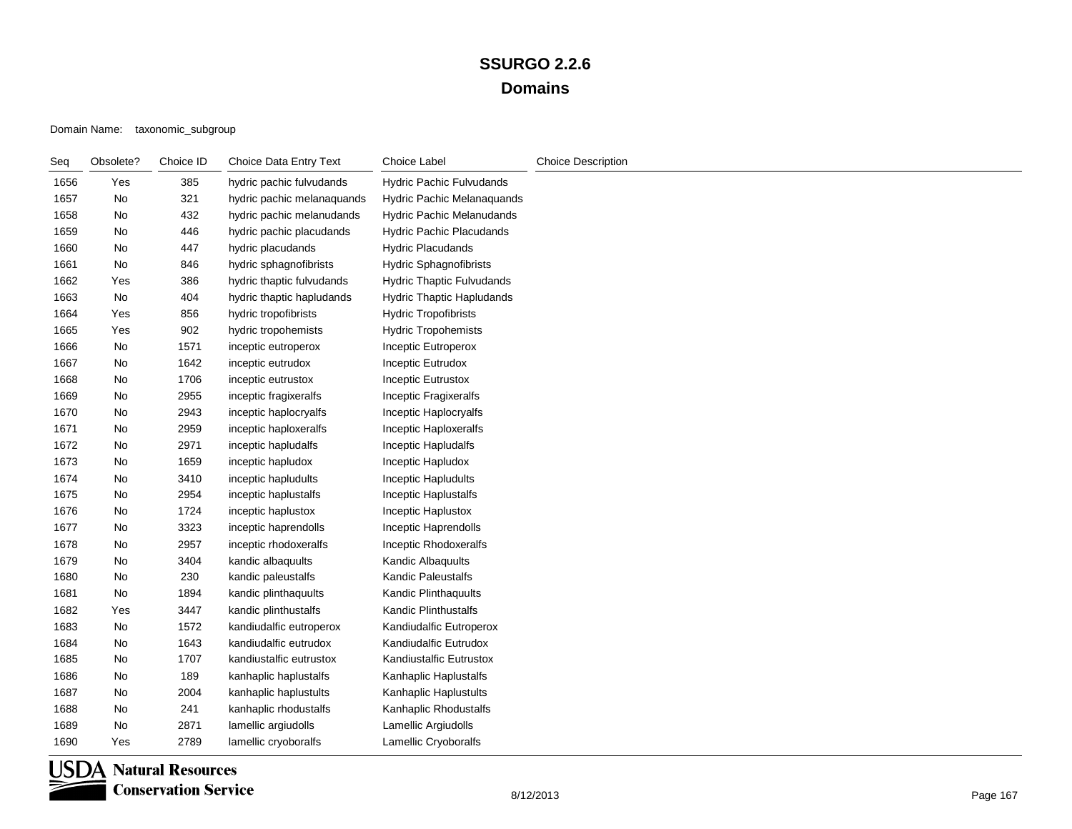| Seq  | Obsolete? | Choice ID | Choice Data Entry Text     | <b>Choice Label</b>               | <b>Choice Description</b> |
|------|-----------|-----------|----------------------------|-----------------------------------|---------------------------|
| 1656 | Yes       | 385       | hydric pachic fulvudands   | Hydric Pachic Fulvudands          |                           |
| 1657 | No        | 321       | hydric pachic melanaquands | <b>Hydric Pachic Melanaquands</b> |                           |
| 1658 | No        | 432       | hydric pachic melanudands  | <b>Hydric Pachic Melanudands</b>  |                           |
| 1659 | No        | 446       | hydric pachic placudands   | Hydric Pachic Placudands          |                           |
| 1660 | No        | 447       | hydric placudands          | Hydric Placudands                 |                           |
| 1661 | No        | 846       | hydric sphagnofibrists     | <b>Hydric Sphagnofibrists</b>     |                           |
| 1662 | Yes       | 386       | hydric thaptic fulvudands  | Hydric Thaptic Fulvudands         |                           |
| 1663 | No        | 404       | hydric thaptic hapludands  | <b>Hydric Thaptic Hapludands</b>  |                           |
| 1664 | Yes       | 856       | hydric tropofibrists       | <b>Hydric Tropofibrists</b>       |                           |
| 1665 | Yes       | 902       | hydric tropohemists        | <b>Hydric Tropohemists</b>        |                           |
| 1666 | No        | 1571      | inceptic eutroperox        | Inceptic Eutroperox               |                           |
| 1667 | No        | 1642      | inceptic eutrudox          | Inceptic Eutrudox                 |                           |
| 1668 | No        | 1706      | inceptic eutrustox         | <b>Inceptic Eutrustox</b>         |                           |
| 1669 | No        | 2955      | inceptic fragixeralfs      | Inceptic Fragixeralfs             |                           |
| 1670 | No        | 2943      | inceptic haplocryalfs      | Inceptic Haplocryalfs             |                           |
| 1671 | No        | 2959      | inceptic haploxeralfs      | Inceptic Haploxeralfs             |                           |
| 1672 | No        | 2971      | inceptic hapludalfs        | Inceptic Hapludalfs               |                           |
| 1673 | No        | 1659      | inceptic hapludox          | Inceptic Hapludox                 |                           |
| 1674 | No        | 3410      | inceptic hapludults        | Inceptic Hapludults               |                           |
| 1675 | No        | 2954      | inceptic haplustalfs       | Inceptic Haplustalfs              |                           |
| 1676 | No        | 1724      | inceptic haplustox         | Inceptic Haplustox                |                           |
| 1677 | No        | 3323      | inceptic haprendolls       | Inceptic Haprendolls              |                           |
| 1678 | No        | 2957      | inceptic rhodoxeralfs      | Inceptic Rhodoxeralfs             |                           |
| 1679 | No        | 3404      | kandic albaquults          | Kandic Albaquults                 |                           |
| 1680 | No        | 230       | kandic paleustalfs         | Kandic Paleustalfs                |                           |
| 1681 | No        | 1894      | kandic plinthaquults       | Kandic Plinthaquults              |                           |
| 1682 | Yes       | 3447      | kandic plinthustalfs       | Kandic Plinthustalfs              |                           |
| 1683 | No        | 1572      | kandiudalfic eutroperox    | Kandiudalfic Eutroperox           |                           |
| 1684 | No        | 1643      | kandiudalfic eutrudox      | Kandiudalfic Eutrudox             |                           |
| 1685 | No        | 1707      | kandiustalfic eutrustox    | Kandiustalfic Eutrustox           |                           |
| 1686 | No        | 189       | kanhaplic haplustalfs      | Kanhaplic Haplustalfs             |                           |
| 1687 | No        | 2004      | kanhaplic haplustults      | Kanhaplic Haplustults             |                           |
| 1688 | No        | 241       | kanhaplic rhodustalfs      | Kanhaplic Rhodustalfs             |                           |
| 1689 | No        | 2871      | lamellic argiudolls        | Lamellic Argiudolls               |                           |
| 1690 | Yes       | 2789      | lamellic cryoboralfs       | Lamellic Cryoboralfs              |                           |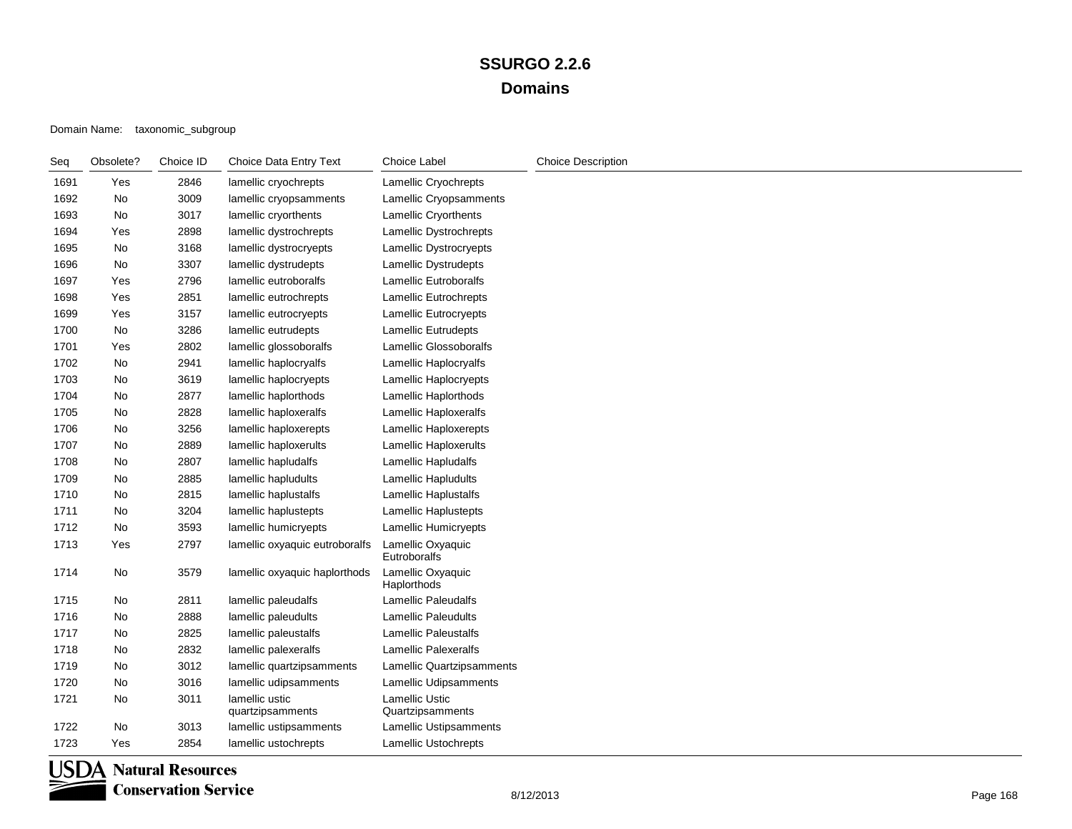Domain Name: taxonomic\_subgroup

| Seq  | Obsolete? | Choice ID | Choice Data Entry Text             | <b>Choice Label</b>                       | <b>Choice Description</b> |
|------|-----------|-----------|------------------------------------|-------------------------------------------|---------------------------|
| 1691 | Yes       | 2846      | lamellic cryochrepts               | Lamellic Cryochrepts                      |                           |
| 1692 | No        | 3009      | lamellic cryopsamments             | Lamellic Cryopsamments                    |                           |
| 1693 | No        | 3017      | lamellic cryorthents               | <b>Lamellic Cryorthents</b>               |                           |
| 1694 | Yes       | 2898      | lamellic dystrochrepts             | Lamellic Dystrochrepts                    |                           |
| 1695 | No        | 3168      | lamellic dystrocryepts             | Lamellic Dystrocryepts                    |                           |
| 1696 | No        | 3307      | lamellic dystrudepts               | Lamellic Dystrudepts                      |                           |
| 1697 | Yes       | 2796      | lamellic eutroboralfs              | <b>Lamellic Eutroboralfs</b>              |                           |
| 1698 | Yes       | 2851      | lamellic eutrochrepts              | <b>Lamellic Eutrochrepts</b>              |                           |
| 1699 | Yes       | 3157      | lamellic eutrocryepts              | Lamellic Eutrocryepts                     |                           |
| 1700 | No        | 3286      | lamellic eutrudepts                | Lamellic Eutrudepts                       |                           |
| 1701 | Yes       | 2802      | lamellic glossoboralfs             | Lamellic Glossoboralfs                    |                           |
| 1702 | No        | 2941      | lamellic haplocryalfs              | Lamellic Haplocryalfs                     |                           |
| 1703 | No        | 3619      | lamellic haplocryepts              | Lamellic Haplocryepts                     |                           |
| 1704 | No        | 2877      | lamellic haplorthods               | Lamellic Haplorthods                      |                           |
| 1705 | No        | 2828      | lamellic haploxeralfs              | Lamellic Haploxeralfs                     |                           |
| 1706 | No        | 3256      | lamellic haploxerepts              | Lamellic Haploxerepts                     |                           |
| 1707 | No        | 2889      | lamellic haploxerults              | Lamellic Haploxerults                     |                           |
| 1708 | No        | 2807      | lamellic hapludalfs                | Lamellic Hapludalfs                       |                           |
| 1709 | No        | 2885      | lamellic hapludults                | Lamellic Hapludults                       |                           |
| 1710 | No        | 2815      | lamellic haplustalfs               | Lamellic Haplustalfs                      |                           |
| 1711 | No        | 3204      | lamellic haplustepts               | Lamellic Haplustepts                      |                           |
| 1712 | No        | 3593      | lamellic humicryepts               | Lamellic Humicryepts                      |                           |
| 1713 | Yes       | 2797      | lamellic oxyaquic eutroboralfs     | Lamellic Oxyaquic<br>Eutroboralfs         |                           |
| 1714 | No        | 3579      | lamellic oxyaquic haplorthods      | Lamellic Oxyaquic<br>Haplorthods          |                           |
| 1715 | No        | 2811      | lamellic paleudalfs                | <b>Lamellic Paleudalfs</b>                |                           |
| 1716 | No        | 2888      | lamellic paleudults                | <b>Lamellic Paleudults</b>                |                           |
| 1717 | No        | 2825      | lamellic paleustalfs               | <b>Lamellic Paleustalfs</b>               |                           |
| 1718 | No        | 2832      | lamellic palexeralfs               | Lamellic Palexeralfs                      |                           |
| 1719 | No        | 3012      | lamellic quartzipsamments          | Lamellic Quartzipsamments                 |                           |
| 1720 | No        | 3016      | lamellic udipsamments              | Lamellic Udipsamments                     |                           |
| 1721 | No        | 3011      | lamellic ustic<br>quartzipsamments | <b>Lamellic Ustic</b><br>Quartzipsamments |                           |
| 1722 | No        | 3013      | lamellic ustipsamments             | Lamellic Ustipsamments                    |                           |
| 1723 | Yes       | 2854      | lamellic ustochrepts               | Lamellic Ustochrepts                      |                           |

**USDA Natural Resources**<br>Conservation Service **Conservation Service**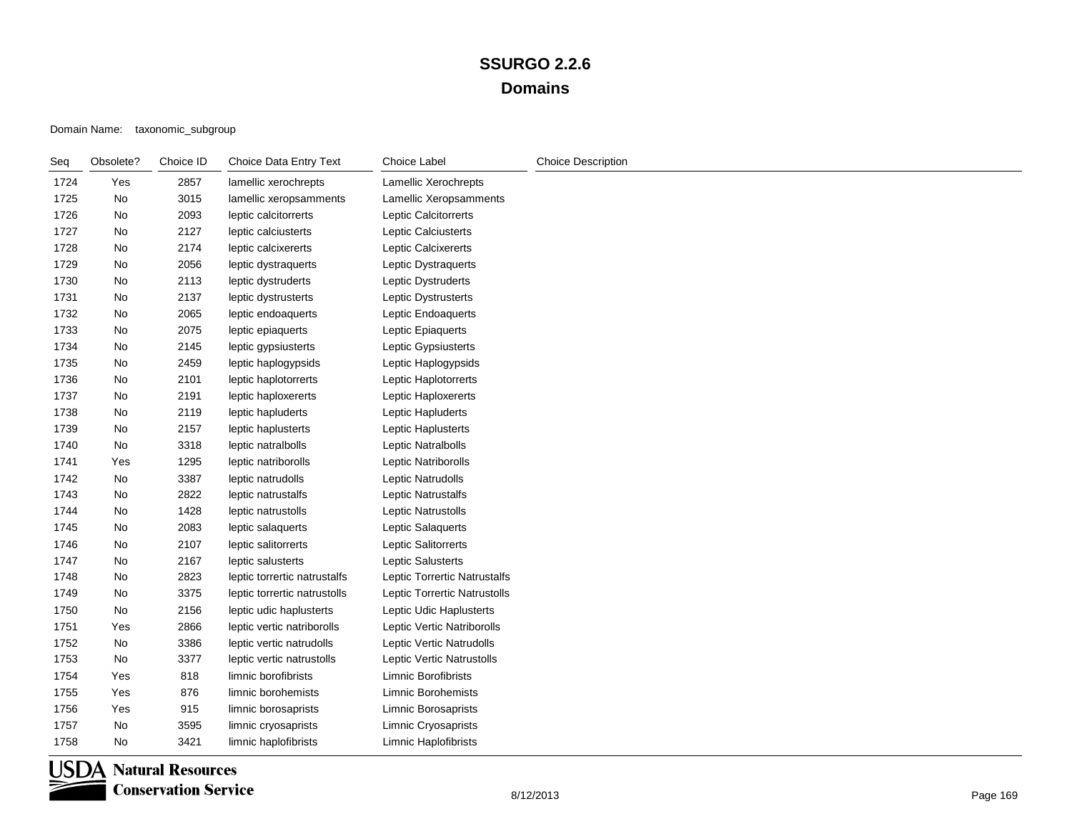| Seq  | Obsolete? | Choice ID | Choice Data Entry Text       | Choice Label                 | <b>Choice Description</b> |
|------|-----------|-----------|------------------------------|------------------------------|---------------------------|
| 1724 | Yes       | 2857      | lamellic xerochrepts         | Lamellic Xerochrepts         |                           |
| 1725 | No        | 3015      | lamellic xeropsamments       | Lamellic Xeropsamments       |                           |
| 1726 | No        | 2093      | leptic calcitorrerts         | Leptic Calcitorrerts         |                           |
| 1727 | No        | 2127      | leptic calciusterts          | Leptic Calciusterts          |                           |
| 1728 | No        | 2174      | leptic calcixererts          | Leptic Calcixererts          |                           |
| 1729 | No        | 2056      | leptic dystraquerts          | Leptic Dystraquerts          |                           |
| 1730 | No        | 2113      | leptic dystruderts           | Leptic Dystruderts           |                           |
| 1731 | No        | 2137      | leptic dystrusterts          | Leptic Dystrusterts          |                           |
| 1732 | No        | 2065      | leptic endoaquerts           | Leptic Endoaquerts           |                           |
| 1733 | No        | 2075      | leptic epiaquerts            | Leptic Epiaquerts            |                           |
| 1734 | No        | 2145      | leptic gypsiusterts          | Leptic Gypsiusterts          |                           |
| 1735 | No        | 2459      | leptic haplogypsids          | Leptic Haplogypsids          |                           |
| 1736 | No        | 2101      | leptic haplotorrerts         | Leptic Haplotorrerts         |                           |
| 1737 | No        | 2191      | leptic haploxererts          | Leptic Haploxererts          |                           |
| 1738 | No        | 2119      | leptic hapluderts            | Leptic Hapluderts            |                           |
| 1739 | No        | 2157      | leptic haplusterts           | Leptic Haplusterts           |                           |
| 1740 | No        | 3318      | leptic natralbolls           | Leptic Natralbolls           |                           |
| 1741 | Yes       | 1295      | leptic natriborolls          | Leptic Natriborolls          |                           |
| 1742 | No        | 3387      | leptic natrudolls            | Leptic Natrudolls            |                           |
| 1743 | No        | 2822      | leptic natrustalfs           | Leptic Natrustalfs           |                           |
| 1744 | No        | 1428      | leptic natrustolls           | Leptic Natrustolls           |                           |
| 1745 | No        | 2083      | leptic salaquerts            | Leptic Salaquerts            |                           |
| 1746 | No        | 2107      | leptic salitorrerts          | Leptic Salitorrerts          |                           |
| 1747 | No        | 2167      | leptic salusterts            | Leptic Salusterts            |                           |
| 1748 | No        | 2823      | leptic torrertic natrustalfs | Leptic Torrertic Natrustalfs |                           |
| 1749 | No        | 3375      | leptic torrertic natrustolls | Leptic Torrertic Natrustolls |                           |
| 1750 | No        | 2156      | leptic udic haplusterts      | Leptic Udic Haplusterts      |                           |
| 1751 | Yes       | 2866      | leptic vertic natriborolls   | Leptic Vertic Natriborolls   |                           |
| 1752 | No        | 3386      | leptic vertic natrudolls     | Leptic Vertic Natrudolls     |                           |
| 1753 | No        | 3377      | leptic vertic natrustolls    | Leptic Vertic Natrustolls    |                           |
| 1754 | Yes       | 818       | limnic borofibrists          | Limnic Borofibrists          |                           |
| 1755 | Yes       | 876       | limnic borohemists           | <b>Limnic Borohemists</b>    |                           |
| 1756 | Yes       | 915       | limnic borosaprists          | Limnic Borosaprists          |                           |
| 1757 | No        | 3595      | limnic cryosaprists          | Limnic Cryosaprists          |                           |
| 1758 | No        | 3421      | limnic haplofibrists         | Limnic Haplofibrists         |                           |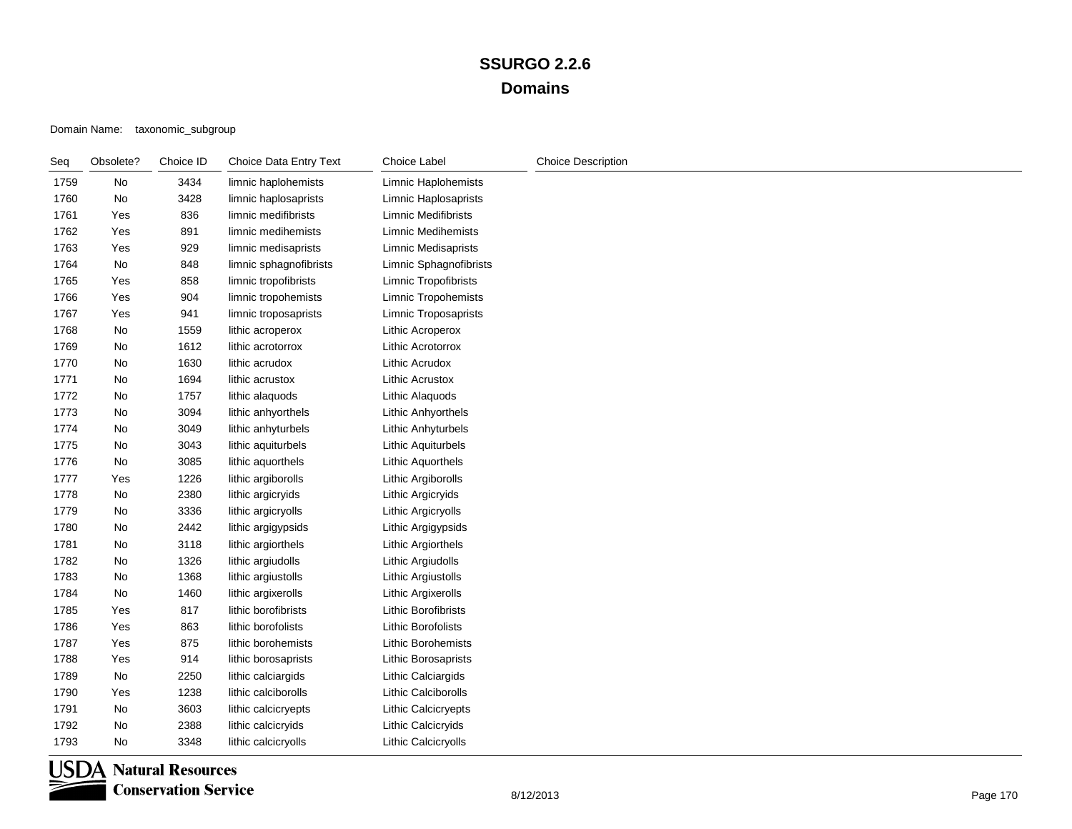| Seq  | Obsolete? | Choice ID | Choice Data Entry Text | Choice Label                | <b>Choice Description</b> |
|------|-----------|-----------|------------------------|-----------------------------|---------------------------|
| 1759 | No        | 3434      | limnic haplohemists    | Limnic Haplohemists         |                           |
| 1760 | No        | 3428      | limnic haplosaprists   | Limnic Haplosaprists        |                           |
| 1761 | Yes       | 836       | limnic medifibrists    | Limnic Medifibrists         |                           |
| 1762 | Yes       | 891       | limnic medihemists     | <b>Limnic Medihemists</b>   |                           |
| 1763 | Yes       | 929       | limnic medisaprists    | Limnic Medisaprists         |                           |
| 1764 | No        | 848       | limnic sphagnofibrists | Limnic Sphagnofibrists      |                           |
| 1765 | Yes       | 858       | limnic tropofibrists   | <b>Limnic Tropofibrists</b> |                           |
| 1766 | Yes       | 904       | limnic tropohemists    | Limnic Tropohemists         |                           |
| 1767 | Yes       | 941       | limnic troposaprists   | Limnic Troposaprists        |                           |
| 1768 | No        | 1559      | lithic acroperox       | Lithic Acroperox            |                           |
| 1769 | No        | 1612      | lithic acrotorrox      | Lithic Acrotorrox           |                           |
| 1770 | No        | 1630      | lithic acrudox         | Lithic Acrudox              |                           |
| 1771 | No        | 1694      | lithic acrustox        | <b>Lithic Acrustox</b>      |                           |
| 1772 | No        | 1757      | lithic alaquods        | Lithic Alaquods             |                           |
| 1773 | No        | 3094      | lithic anhyorthels     | Lithic Anhyorthels          |                           |
| 1774 | No        | 3049      | lithic anhyturbels     | Lithic Anhyturbels          |                           |
| 1775 | No        | 3043      | lithic aquiturbels     | Lithic Aquiturbels          |                           |
| 1776 | No        | 3085      | lithic aquorthels      | Lithic Aquorthels           |                           |
| 1777 | Yes       | 1226      | lithic argiborolls     | Lithic Argiborolls          |                           |
| 1778 | No        | 2380      | lithic argicryids      | Lithic Argicryids           |                           |
| 1779 | No        | 3336      | lithic argicryolls     | Lithic Argicryolls          |                           |
| 1780 | No        | 2442      | lithic argigypsids     | Lithic Argigypsids          |                           |
| 1781 | No        | 3118      | lithic argiorthels     | <b>Lithic Argiorthels</b>   |                           |
| 1782 | No        | 1326      | lithic argiudolls      | Lithic Argiudolls           |                           |
| 1783 | No        | 1368      | lithic argiustolls     | <b>Lithic Argiustolls</b>   |                           |
| 1784 | No        | 1460      | lithic argixerolls     | <b>Lithic Argixerolls</b>   |                           |
| 1785 | Yes       | 817       | lithic borofibrists    | <b>Lithic Borofibrists</b>  |                           |
| 1786 | Yes       | 863       | lithic borofolists     | <b>Lithic Borofolists</b>   |                           |
| 1787 | Yes       | 875       | lithic borohemists     | <b>Lithic Borohemists</b>   |                           |
| 1788 | Yes       | 914       | lithic borosaprists    | <b>Lithic Borosaprists</b>  |                           |
| 1789 | No        | 2250      | lithic calciargids     | <b>Lithic Calciargids</b>   |                           |
| 1790 | Yes       | 1238      | lithic calciborolls    | Lithic Calciborolls         |                           |
| 1791 | No        | 3603      | lithic calcicryepts    | <b>Lithic Calcicryepts</b>  |                           |
| 1792 | No        | 2388      | lithic calcicryids     | Lithic Calcicryids          |                           |
| 1793 | No        | 3348      | lithic calcicryolls    | Lithic Calcicryolls         |                           |

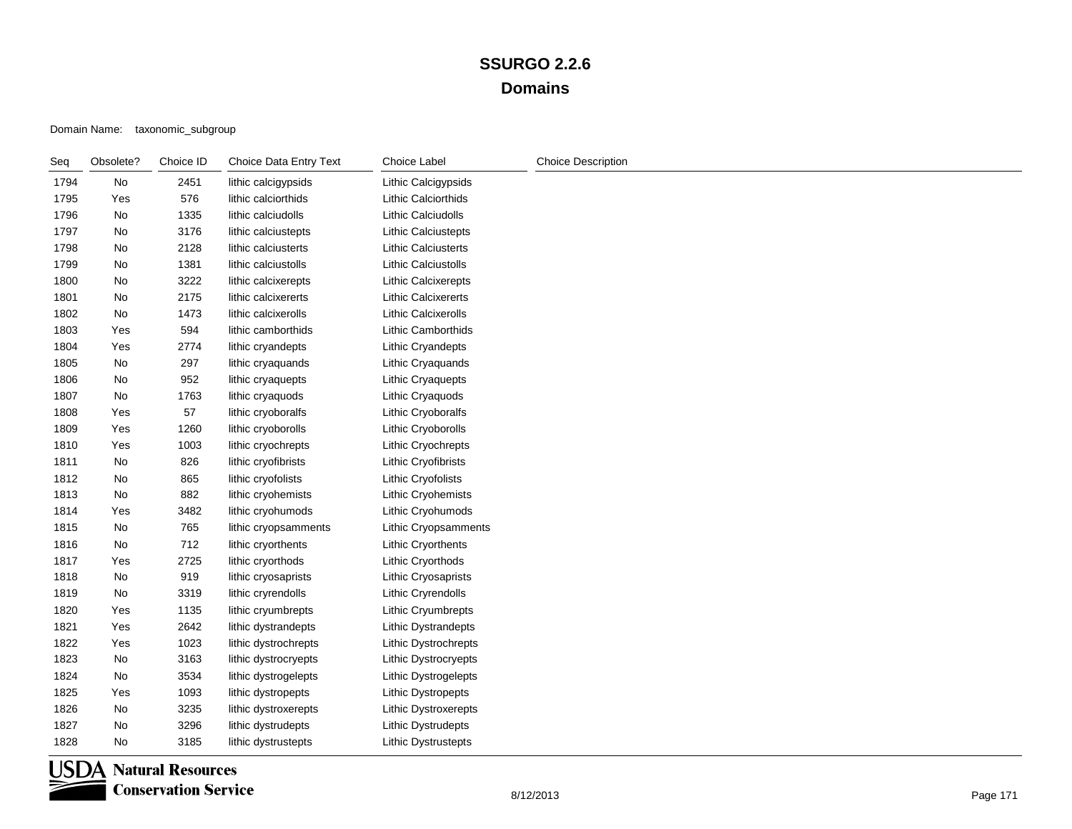| Seq  | Obsolete? | Choice ID | Choice Data Entry Text | Choice Label                | <b>Choice Description</b> |
|------|-----------|-----------|------------------------|-----------------------------|---------------------------|
| 1794 | No        | 2451      | lithic calcigypsids    | Lithic Calcigypsids         |                           |
| 1795 | Yes       | 576       | lithic calciorthids    | Lithic Calciorthids         |                           |
| 1796 | No        | 1335      | lithic calciudolls     | Lithic Calciudolls          |                           |
| 1797 | No        | 3176      | lithic calciustepts    | <b>Lithic Calciustepts</b>  |                           |
| 1798 | No        | 2128      | lithic calciusterts    | <b>Lithic Calciusterts</b>  |                           |
| 1799 | No        | 1381      | lithic calciustolls    | <b>Lithic Calciustolls</b>  |                           |
| 1800 | No        | 3222      | lithic calcixerepts    | <b>Lithic Calcixerepts</b>  |                           |
| 1801 | No        | 2175      | lithic calcixererts    | <b>Lithic Calcixererts</b>  |                           |
| 1802 | No        | 1473      | lithic calcixerolls    | Lithic Calcixerolls         |                           |
| 1803 | Yes       | 594       | lithic camborthids     | <b>Lithic Camborthids</b>   |                           |
| 1804 | Yes       | 2774      | lithic cryandepts      | Lithic Cryandepts           |                           |
| 1805 | No        | 297       | lithic cryaquands      | Lithic Cryaquands           |                           |
| 1806 | No        | 952       | lithic cryaquepts      | Lithic Cryaquepts           |                           |
| 1807 | No        | 1763      | lithic cryaquods       | Lithic Cryaquods            |                           |
| 1808 | Yes       | 57        | lithic cryoboralfs     | Lithic Cryoboralfs          |                           |
| 1809 | Yes       | 1260      | lithic cryoborolls     | Lithic Cryoborolls          |                           |
| 1810 | Yes       | 1003      | lithic cryochrepts     | Lithic Cryochrepts          |                           |
| 1811 | No        | 826       | lithic cryofibrists    | Lithic Cryofibrists         |                           |
| 1812 | No        | 865       | lithic cryofolists     | Lithic Cryofolists          |                           |
| 1813 | No        | 882       | lithic cryohemists     | Lithic Cryohemists          |                           |
| 1814 | Yes       | 3482      | lithic cryohumods      | Lithic Cryohumods           |                           |
| 1815 | No        | 765       | lithic cryopsamments   | Lithic Cryopsamments        |                           |
| 1816 | No        | 712       | lithic cryorthents     | Lithic Cryorthents          |                           |
| 1817 | Yes       | 2725      | lithic cryorthods      | Lithic Cryorthods           |                           |
| 1818 | No        | 919       | lithic cryosaprists    | <b>Lithic Cryosaprists</b>  |                           |
| 1819 | No        | 3319      | lithic cryrendolls     | Lithic Cryrendolls          |                           |
| 1820 | Yes       | 1135      | lithic cryumbrepts     | Lithic Cryumbrepts          |                           |
| 1821 | Yes       | 2642      | lithic dystrandepts    | Lithic Dystrandepts         |                           |
| 1822 | Yes       | 1023      | lithic dystrochrepts   | Lithic Dystrochrepts        |                           |
| 1823 | No        | 3163      | lithic dystrocryepts   | Lithic Dystrocryepts        |                           |
| 1824 | No        | 3534      | lithic dystrogelepts   | Lithic Dystrogelepts        |                           |
| 1825 | Yes       | 1093      | lithic dystropepts     | <b>Lithic Dystropepts</b>   |                           |
| 1826 | No        | 3235      | lithic dystroxerepts   | <b>Lithic Dystroxerepts</b> |                           |
| 1827 | No        | 3296      | lithic dystrudepts     | Lithic Dystrudepts          |                           |
| 1828 | No        | 3185      | lithic dystrustepts    | <b>Lithic Dystrustepts</b>  |                           |

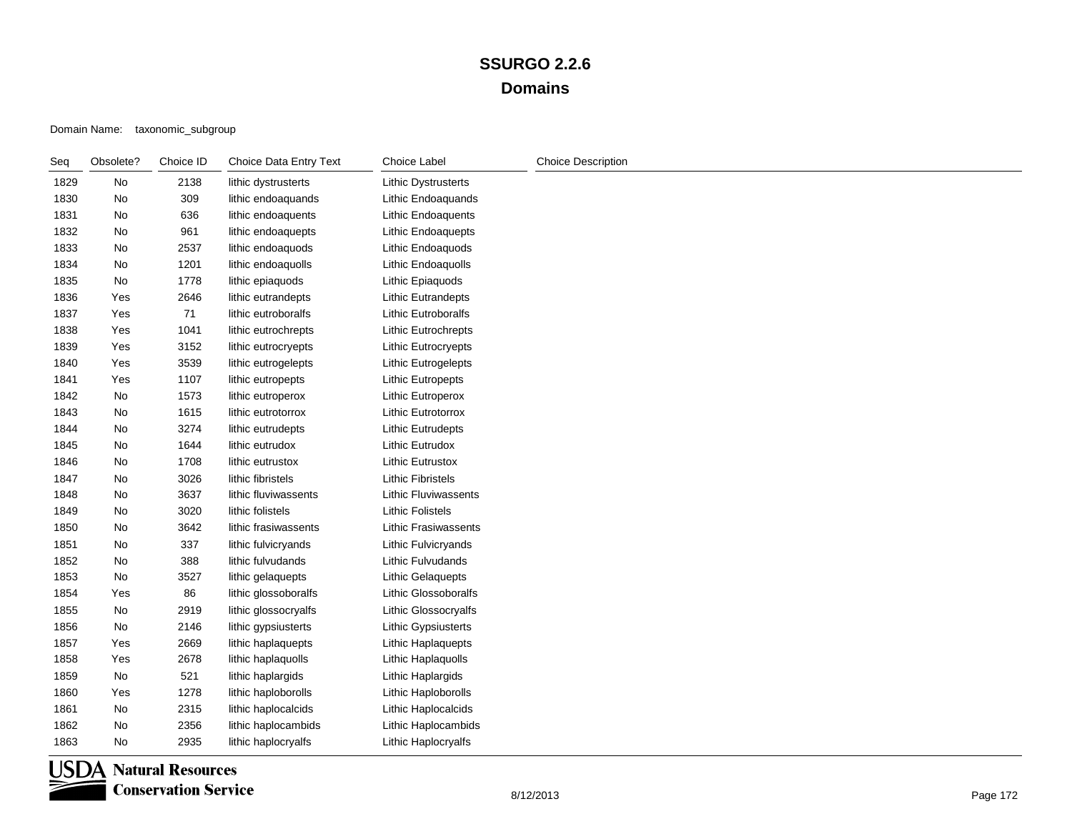#### Domain Name: taxonomic\_subgroup

| Seq  | Obsolete? | Choice ID | Choice Data Entry Text | Choice Label                | <b>Choice Description</b> |
|------|-----------|-----------|------------------------|-----------------------------|---------------------------|
| 1829 | No        | 2138      | lithic dystrusterts    | <b>Lithic Dystrusterts</b>  |                           |
| 1830 | No        | 309       | lithic endoaquands     | Lithic Endoaquands          |                           |
| 1831 | No        | 636       | lithic endoaquents     | Lithic Endoaquents          |                           |
| 1832 | No        | 961       | lithic endoaquepts     | Lithic Endoaquepts          |                           |
| 1833 | No        | 2537      | lithic endoaquods      | Lithic Endoaquods           |                           |
| 1834 | No        | 1201      | lithic endoaquolls     | Lithic Endoaquolls          |                           |
| 1835 | No        | 1778      | lithic epiaquods       | Lithic Epiaquods            |                           |
| 1836 | Yes       | 2646      | lithic eutrandepts     | <b>Lithic Eutrandepts</b>   |                           |
| 1837 | Yes       | 71        | lithic eutroboralfs    | <b>Lithic Eutroboralfs</b>  |                           |
| 1838 | Yes       | 1041      | lithic eutrochrepts    | Lithic Eutrochrepts         |                           |
| 1839 | Yes       | 3152      | lithic eutrocryepts    | <b>Lithic Eutrocryepts</b>  |                           |
| 1840 | Yes       | 3539      | lithic eutrogelepts    | <b>Lithic Eutrogelepts</b>  |                           |
| 1841 | Yes       | 1107      | lithic eutropepts      | <b>Lithic Eutropepts</b>    |                           |
| 1842 | No        | 1573      | lithic eutroperox      | Lithic Eutroperox           |                           |
| 1843 | No        | 1615      | lithic eutrotorrox     | Lithic Eutrotorrox          |                           |
| 1844 | No        | 3274      | lithic eutrudepts      | <b>Lithic Eutrudepts</b>    |                           |
| 1845 | No        | 1644      | lithic eutrudox        | Lithic Eutrudox             |                           |
| 1846 | No        | 1708      | lithic eutrustox       | Lithic Eutrustox            |                           |
| 1847 | No        | 3026      | lithic fibristels      | <b>Lithic Fibristels</b>    |                           |
| 1848 | No        | 3637      | lithic fluviwassents   | <b>Lithic Fluviwassents</b> |                           |
| 1849 | No        | 3020      | lithic folistels       | <b>Lithic Folistels</b>     |                           |
| 1850 | No        | 3642      | lithic frasiwassents   | <b>Lithic Frasiwassents</b> |                           |
| 1851 | No        | 337       | lithic fulvicryands    | Lithic Fulvicryands         |                           |
| 1852 | No        | 388       | lithic fulvudands      | Lithic Fulvudands           |                           |
| 1853 | No        | 3527      | lithic gelaquepts      | <b>Lithic Gelaquepts</b>    |                           |
| 1854 | Yes       | 86        | lithic glossoboralfs   | Lithic Glossoboralfs        |                           |
| 1855 | No        | 2919      | lithic glossocryalfs   | Lithic Glossocryalfs        |                           |
| 1856 | No        | 2146      | lithic gypsiusterts    | <b>Lithic Gypsiusterts</b>  |                           |
| 1857 | Yes       | 2669      | lithic haplaquepts     | Lithic Haplaquepts          |                           |
| 1858 | Yes       | 2678      | lithic haplaquolls     | Lithic Haplaquolls          |                           |
| 1859 | No        | 521       | lithic haplargids      | Lithic Haplargids           |                           |
| 1860 | Yes       | 1278      | lithic haploborolls    | Lithic Haploborolls         |                           |
| 1861 | No        | 2315      | lithic haplocalcids    | Lithic Haplocalcids         |                           |
| 1862 | No        | 2356      | lithic haplocambids    | Lithic Haplocambids         |                           |
| 1863 | No        | 2935      | lithic haplocryalfs    | Lithic Haplocryalfs         |                           |

**USDA** Natural Resources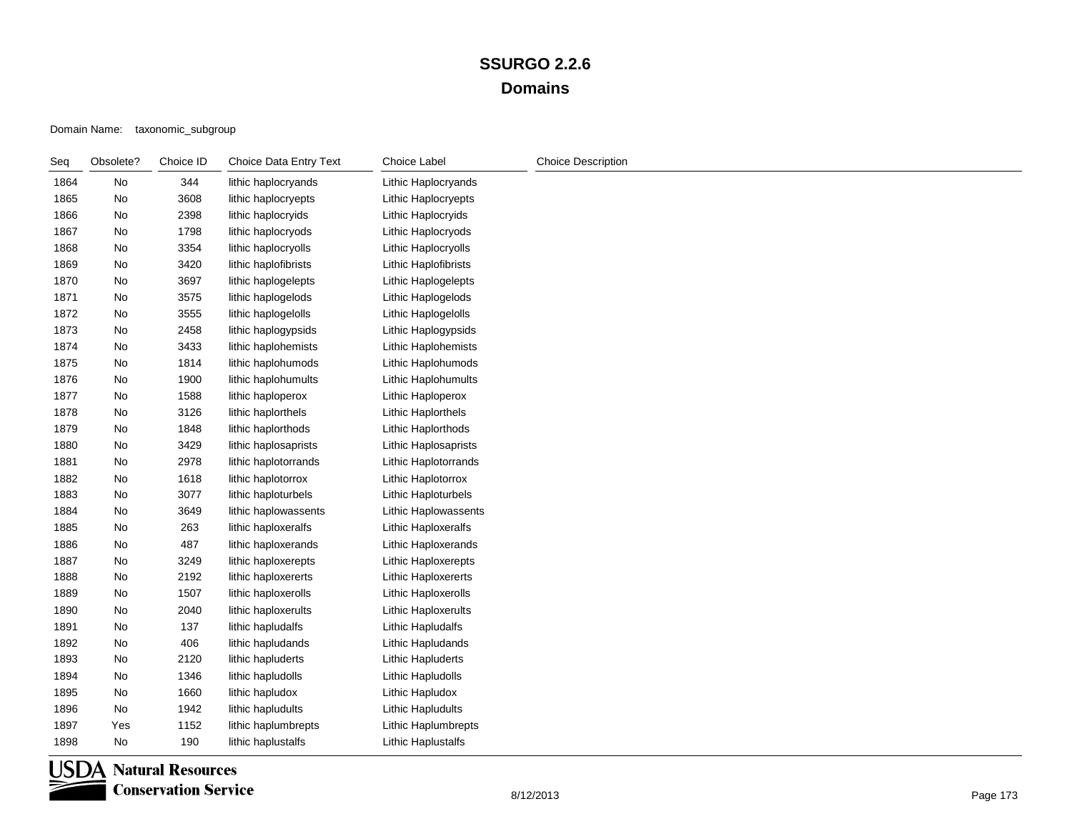| Seq  | Obsolete? | Choice ID | Choice Data Entry Text | Choice Label                | <b>Choice Description</b> |
|------|-----------|-----------|------------------------|-----------------------------|---------------------------|
| 1864 | No        | 344       | lithic haplocryands    | Lithic Haplocryands         |                           |
| 1865 | No        | 3608      | lithic haplocryepts    | Lithic Haplocryepts         |                           |
| 1866 | No        | 2398      | lithic haplocryids     | Lithic Haplocryids          |                           |
| 1867 | No        | 1798      | lithic haplocryods     | Lithic Haplocryods          |                           |
| 1868 | No        | 3354      | lithic haplocryolls    | Lithic Haplocryolls         |                           |
| 1869 | No        | 3420      | lithic haplofibrists   | Lithic Haplofibrists        |                           |
| 1870 | No        | 3697      | lithic haplogelepts    | Lithic Haplogelepts         |                           |
| 1871 | No        | 3575      | lithic haplogelods     | Lithic Haplogelods          |                           |
| 1872 | No        | 3555      | lithic haplogelolls    | Lithic Haplogelolls         |                           |
| 1873 | No        | 2458      | lithic haplogypsids    | Lithic Haplogypsids         |                           |
| 1874 | No        | 3433      | lithic haplohemists    | Lithic Haplohemists         |                           |
| 1875 | No        | 1814      | lithic haplohumods     | Lithic Haplohumods          |                           |
| 1876 | No        | 1900      | lithic haplohumults    | Lithic Haplohumults         |                           |
| 1877 | No        | 1588      | lithic haploperox      | Lithic Haploperox           |                           |
| 1878 | No        | 3126      | lithic haplorthels     | Lithic Haplorthels          |                           |
| 1879 | No        | 1848      | lithic haplorthods     | Lithic Haplorthods          |                           |
| 1880 | No        | 3429      | lithic haplosaprists   | Lithic Haplosaprists        |                           |
| 1881 | No        | 2978      | lithic haplotorrands   | <b>Lithic Haplotorrands</b> |                           |
| 1882 | No        | 1618      | lithic haplotorrox     | Lithic Haplotorrox          |                           |
| 1883 | No        | 3077      | lithic haploturbels    | Lithic Haploturbels         |                           |
| 1884 | No        | 3649      | lithic haplowassents   | <b>Lithic Haplowassents</b> |                           |
| 1885 | No        | 263       | lithic haploxeralfs    | Lithic Haploxeralfs         |                           |
| 1886 | No        | 487       | lithic haploxerands    | Lithic Haploxerands         |                           |
| 1887 | No        | 3249      | lithic haploxerepts    | Lithic Haploxerepts         |                           |
| 1888 | No        | 2192      | lithic haploxererts    | Lithic Haploxererts         |                           |
| 1889 | No        | 1507      | lithic haploxerolls    | <b>Lithic Haploxerolls</b>  |                           |
| 1890 | No        | 2040      | lithic haploxerults    | Lithic Haploxerults         |                           |
| 1891 | No        | 137       | lithic hapludalfs      | Lithic Hapludalfs           |                           |
| 1892 | No        | 406       | lithic hapludands      | Lithic Hapludands           |                           |
| 1893 | No        | 2120      | lithic hapluderts      | Lithic Hapluderts           |                           |
| 1894 | No        | 1346      | lithic hapludolls      | Lithic Hapludolls           |                           |
| 1895 | No        | 1660      | lithic hapludox        | Lithic Hapludox             |                           |
| 1896 | No        | 1942      | lithic hapludults      | <b>Lithic Hapludults</b>    |                           |
| 1897 | Yes       | 1152      | lithic haplumbrepts    | Lithic Haplumbrepts         |                           |
| 1898 | No        | 190       | lithic haplustalfs     | <b>Lithic Haplustalfs</b>   |                           |

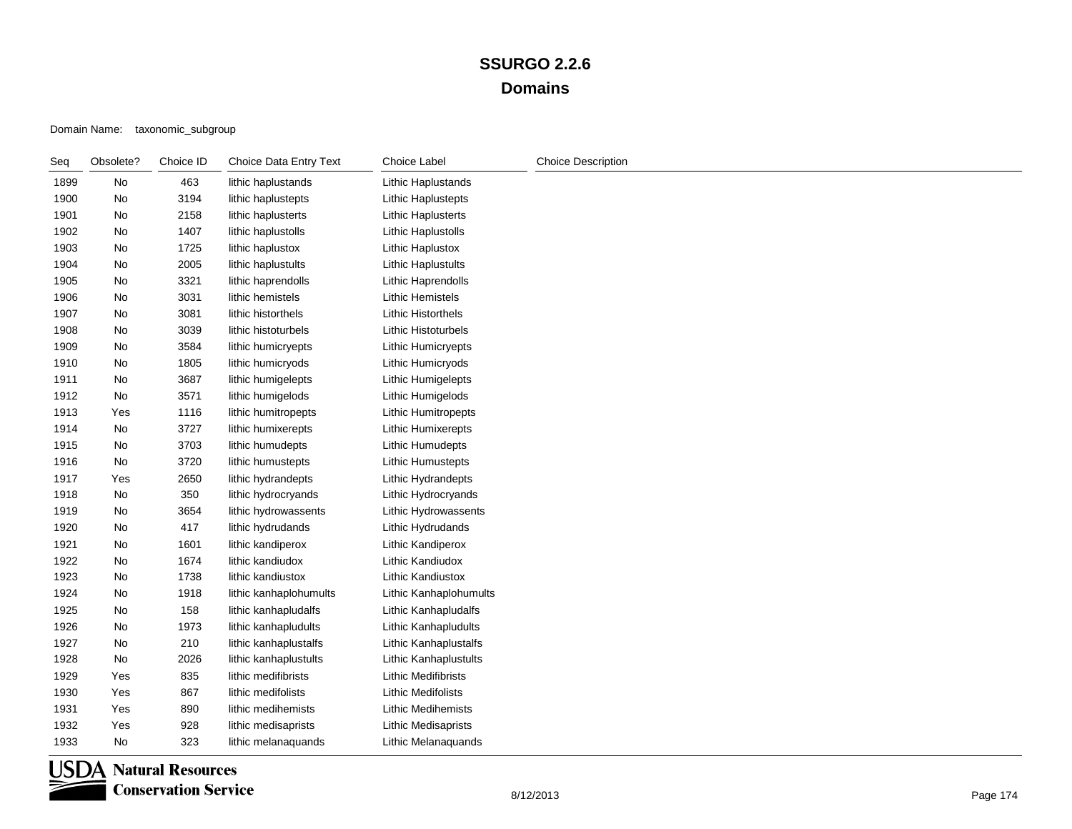| Seq  | Obsolete? | Choice ID | Choice Data Entry Text | Choice Label               | <b>Choice Description</b> |
|------|-----------|-----------|------------------------|----------------------------|---------------------------|
| 1899 | No        | 463       | lithic haplustands     | Lithic Haplustands         |                           |
| 1900 | No        | 3194      | lithic haplustepts     | Lithic Haplustepts         |                           |
| 1901 | No        | 2158      | lithic haplusterts     | <b>Lithic Haplusterts</b>  |                           |
| 1902 | No        | 1407      | lithic haplustolls     | Lithic Haplustolls         |                           |
| 1903 | No        | 1725      | lithic haplustox       | Lithic Haplustox           |                           |
| 1904 | No        | 2005      | lithic haplustults     | <b>Lithic Haplustults</b>  |                           |
| 1905 | No        | 3321      | lithic haprendolls     | Lithic Haprendolls         |                           |
| 1906 | No        | 3031      | lithic hemistels       | <b>Lithic Hemistels</b>    |                           |
| 1907 | No        | 3081      | lithic historthels     | Lithic Historthels         |                           |
| 1908 | No        | 3039      | lithic histoturbels    | Lithic Histoturbels        |                           |
| 1909 | No        | 3584      | lithic humicryepts     | <b>Lithic Humicryepts</b>  |                           |
| 1910 | No        | 1805      | lithic humicryods      | Lithic Humicryods          |                           |
| 1911 | No        | 3687      | lithic humigelepts     | <b>Lithic Humigelepts</b>  |                           |
| 1912 | No        | 3571      | lithic humigelods      | Lithic Humigelods          |                           |
| 1913 | Yes       | 1116      | lithic humitropepts    | <b>Lithic Humitropepts</b> |                           |
| 1914 | No        | 3727      | lithic humixerepts     | Lithic Humixerepts         |                           |
| 1915 | No        | 3703      | lithic humudepts       | Lithic Humudepts           |                           |
| 1916 | No        | 3720      | lithic humustepts      | <b>Lithic Humustepts</b>   |                           |
| 1917 | Yes       | 2650      | lithic hydrandepts     | Lithic Hydrandepts         |                           |
| 1918 | No        | 350       | lithic hydrocryands    | Lithic Hydrocryands        |                           |
| 1919 | No        | 3654      | lithic hydrowassents   | Lithic Hydrowassents       |                           |
| 1920 | No        | 417       | lithic hydrudands      | Lithic Hydrudands          |                           |
| 1921 | No        | 1601      | lithic kandiperox      | Lithic Kandiperox          |                           |
| 1922 | No        | 1674      | lithic kandiudox       | Lithic Kandiudox           |                           |
| 1923 | No        | 1738      | lithic kandiustox      | Lithic Kandiustox          |                           |
| 1924 | No        | 1918      | lithic kanhaplohumults | Lithic Kanhaplohumults     |                           |
| 1925 | No        | 158       | lithic kanhapludalfs   | Lithic Kanhapludalfs       |                           |
| 1926 | No        | 1973      | lithic kanhapludults   | Lithic Kanhapludults       |                           |
| 1927 | No        | 210       | lithic kanhaplustalfs  | Lithic Kanhaplustalfs      |                           |
| 1928 | No        | 2026      | lithic kanhaplustults  | Lithic Kanhaplustults      |                           |
| 1929 | Yes       | 835       | lithic medifibrists    | <b>Lithic Medifibrists</b> |                           |
| 1930 | Yes       | 867       | lithic medifolists     | <b>Lithic Medifolists</b>  |                           |
| 1931 | Yes       | 890       | lithic medihemists     | <b>Lithic Medihemists</b>  |                           |
| 1932 | Yes       | 928       | lithic medisaprists    | <b>Lithic Medisaprists</b> |                           |
| 1933 | No        | 323       | lithic melanaquands    | Lithic Melanaquands        |                           |

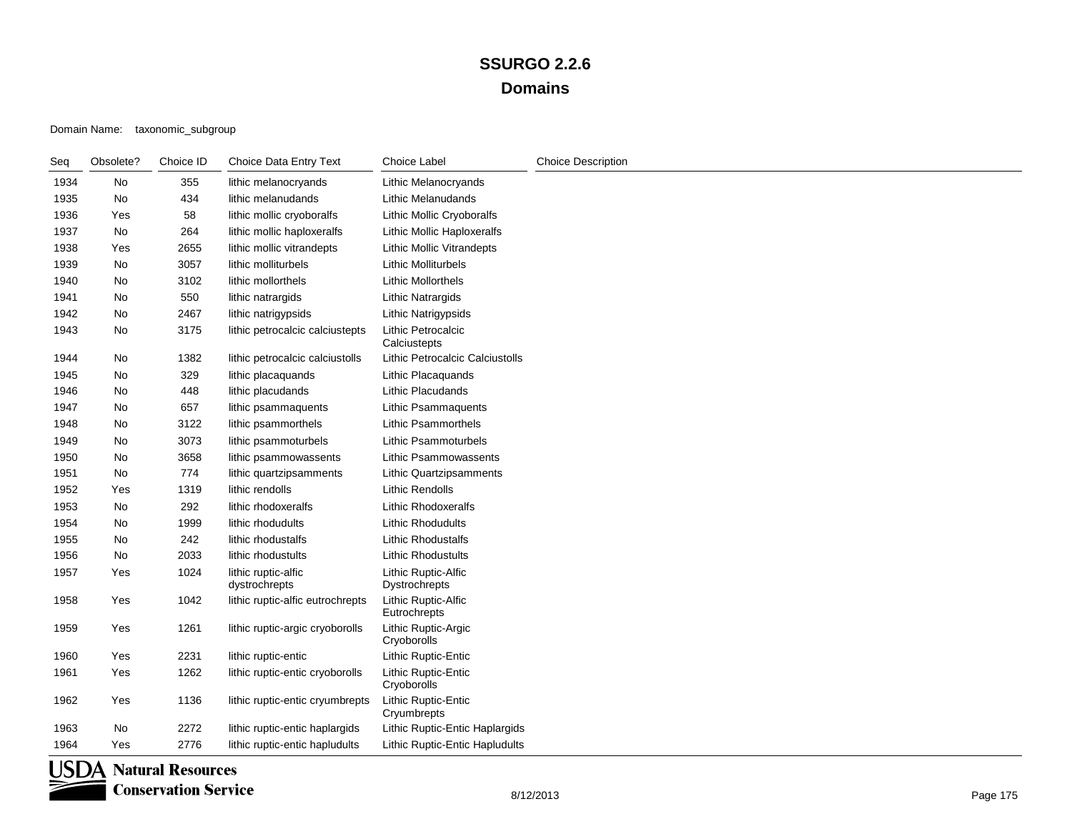### Domain Name: taxonomic\_subgroup

| Seq  | Obsolete? | Choice ID | Choice Data Entry Text               | Choice Label                           | <b>Choice Description</b> |
|------|-----------|-----------|--------------------------------------|----------------------------------------|---------------------------|
| 1934 | No        | 355       | lithic melanocryands                 | Lithic Melanocryands                   |                           |
| 1935 | No        | 434       | lithic melanudands                   | Lithic Melanudands                     |                           |
| 1936 | Yes       | 58        | lithic mollic cryoboralfs            | Lithic Mollic Cryoboralfs              |                           |
| 1937 | No        | 264       | lithic mollic haploxeralfs           | Lithic Mollic Haploxeralfs             |                           |
| 1938 | Yes       | 2655      | lithic mollic vitrandepts            | <b>Lithic Mollic Vitrandepts</b>       |                           |
| 1939 | No        | 3057      | lithic molliturbels                  | Lithic Molliturbels                    |                           |
| 1940 | No        | 3102      | lithic mollorthels                   | <b>Lithic Mollorthels</b>              |                           |
| 1941 | No        | 550       | lithic natrargids                    | <b>Lithic Natrargids</b>               |                           |
| 1942 | <b>No</b> | 2467      | lithic natrigypsids                  | <b>Lithic Natrigypsids</b>             |                           |
| 1943 | No        | 3175      | lithic petrocalcic calciustepts      | Lithic Petrocalcic<br>Calciustepts     |                           |
| 1944 | No        | 1382      | lithic petrocalcic calciustolls      | <b>Lithic Petrocalcic Calciustolls</b> |                           |
| 1945 | No        | 329       | lithic placaquands                   | Lithic Placaquands                     |                           |
| 1946 | No        | 448       | lithic placudands                    | Lithic Placudands                      |                           |
| 1947 | No        | 657       | lithic psammaquents                  | <b>Lithic Psammaquents</b>             |                           |
| 1948 | No        | 3122      | lithic psammorthels                  | Lithic Psammorthels                    |                           |
| 1949 | No        | 3073      | lithic psammoturbels                 | <b>Lithic Psammoturbels</b>            |                           |
| 1950 | No        | 3658      | lithic psammowassents                | Lithic Psammowassents                  |                           |
| 1951 | No        | 774       | lithic quartzipsamments              | <b>Lithic Quartzipsamments</b>         |                           |
| 1952 | Yes       | 1319      | lithic rendolls                      | <b>Lithic Rendolls</b>                 |                           |
| 1953 | No        | 292       | lithic rhodoxeralfs                  | <b>Lithic Rhodoxeralfs</b>             |                           |
| 1954 | No        | 1999      | lithic rhodudults                    | <b>Lithic Rhodudults</b>               |                           |
| 1955 | No        | 242       | lithic rhodustalfs                   | <b>Lithic Rhodustalfs</b>              |                           |
| 1956 | No        | 2033      | lithic rhodustults                   | <b>Lithic Rhodustults</b>              |                           |
| 1957 | Yes       | 1024      | lithic ruptic-alfic<br>dystrochrepts | Lithic Ruptic-Alfic<br>Dystrochrepts   |                           |
| 1958 | Yes       | 1042      | lithic ruptic-alfic eutrochrepts     | Lithic Ruptic-Alfic<br>Eutrochrepts    |                           |
| 1959 | Yes       | 1261      | lithic ruptic-argic cryoborolls      | Lithic Ruptic-Argic<br>Cryoborolls     |                           |
| 1960 | Yes       | 2231      | lithic ruptic-entic                  | Lithic Ruptic-Entic                    |                           |
| 1961 | Yes       | 1262      | lithic ruptic-entic cryoborolls      | Lithic Ruptic-Entic<br>Cryoborolls     |                           |
| 1962 | Yes       | 1136      | lithic ruptic-entic cryumbrepts      | Lithic Ruptic-Entic<br>Cryumbrepts     |                           |
| 1963 | No        | 2272      | lithic ruptic-entic haplargids       | Lithic Ruptic-Entic Haplargids         |                           |
| 1964 | Yes       | 2776      | lithic ruptic-entic hapludults       | Lithic Ruptic-Entic Hapludults         |                           |

**USDA Natural Resources**<br>Conservation Service **Conservation Service**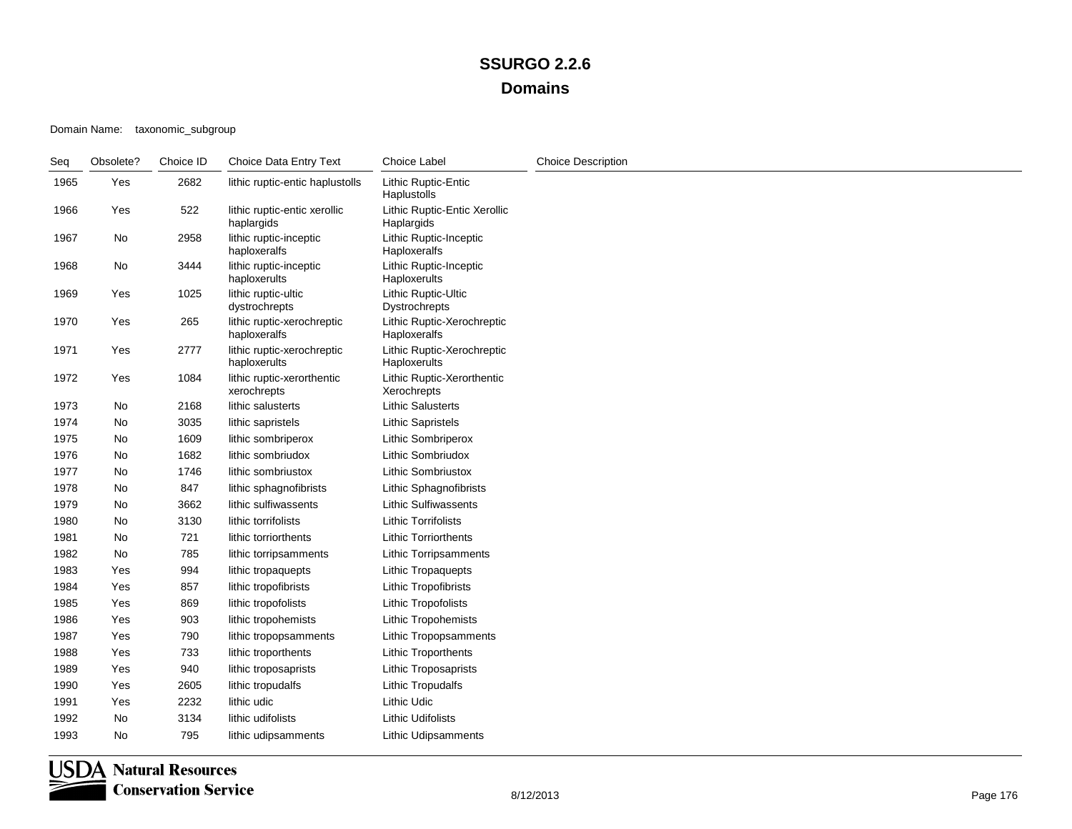### Domain Name: taxonomic\_subgroup

| Seq  | Obsolete? | Choice ID | Choice Data Entry Text                     | Choice Label                               | <b>Choice Description</b> |
|------|-----------|-----------|--------------------------------------------|--------------------------------------------|---------------------------|
| 1965 | Yes       | 2682      | lithic ruptic-entic haplustolls            | <b>Lithic Ruptic-Entic</b><br>Haplustolls  |                           |
| 1966 | Yes       | 522       | lithic ruptic-entic xerollic<br>haplargids | Lithic Ruptic-Entic Xerollic<br>Haplargids |                           |
| 1967 | No        | 2958      | lithic ruptic-inceptic<br>haploxeralfs     | Lithic Ruptic-Inceptic<br>Haploxeralfs     |                           |
| 1968 | No        | 3444      | lithic ruptic-inceptic<br>haploxerults     | Lithic Ruptic-Inceptic<br>Haploxerults     |                           |
| 1969 | Yes       | 1025      | lithic ruptic-ultic<br>dystrochrepts       | Lithic Ruptic-Ultic<br>Dystrochrepts       |                           |
| 1970 | Yes       | 265       | lithic ruptic-xerochreptic<br>haploxeralfs | Lithic Ruptic-Xerochreptic<br>Haploxeralfs |                           |
| 1971 | Yes       | 2777      | lithic ruptic-xerochreptic<br>haploxerults | Lithic Ruptic-Xerochreptic<br>Haploxerults |                           |
| 1972 | Yes       | 1084      | lithic ruptic-xerorthentic<br>xerochrepts  | Lithic Ruptic-Xerorthentic<br>Xerochrepts  |                           |
| 1973 | No        | 2168      | lithic salusterts                          | <b>Lithic Salusterts</b>                   |                           |
| 1974 | No        | 3035      | lithic sapristels                          | <b>Lithic Sapristels</b>                   |                           |
| 1975 | No        | 1609      | lithic sombriperox                         | <b>Lithic Sombriperox</b>                  |                           |
| 1976 | No        | 1682      | lithic sombriudox                          | <b>Lithic Sombriudox</b>                   |                           |
| 1977 | <b>No</b> | 1746      | lithic sombriustox                         | <b>Lithic Sombriustox</b>                  |                           |
| 1978 | No        | 847       | lithic sphagnofibrists                     | Lithic Sphagnofibrists                     |                           |
| 1979 | No        | 3662      | lithic sulfiwassents                       | <b>Lithic Sulfiwassents</b>                |                           |
| 1980 | No        | 3130      | lithic torrifolists                        | <b>Lithic Torrifolists</b>                 |                           |
| 1981 | No        | 721       | lithic torriorthents                       | <b>Lithic Torriorthents</b>                |                           |
| 1982 | No        | 785       | lithic torripsamments                      | <b>Lithic Torripsamments</b>               |                           |
| 1983 | Yes       | 994       | lithic tropaquepts                         | <b>Lithic Tropaquepts</b>                  |                           |
| 1984 | Yes       | 857       | lithic tropofibrists                       | Lithic Tropofibrists                       |                           |
| 1985 | Yes       | 869       | lithic tropofolists                        | Lithic Tropofolists                        |                           |
| 1986 | Yes       | 903       | lithic tropohemists                        | Lithic Tropohemists                        |                           |
| 1987 | Yes       | 790       | lithic tropopsamments                      | <b>Lithic Tropopsamments</b>               |                           |
| 1988 | Yes       | 733       | lithic troporthents                        | <b>Lithic Troporthents</b>                 |                           |
| 1989 | Yes       | 940       | lithic troposaprists                       | <b>Lithic Troposaprists</b>                |                           |
| 1990 | Yes       | 2605      | lithic tropudalfs                          | Lithic Tropudalfs                          |                           |
| 1991 | Yes       | 2232      | lithic udic                                | <b>Lithic Udic</b>                         |                           |
| 1992 | No        | 3134      | lithic udifolists                          | <b>Lithic Udifolists</b>                   |                           |
| 1993 | No        | 795       | lithic udipsamments                        | <b>Lithic Udipsamments</b>                 |                           |

**USDA** Natural Resources **Conservation Service**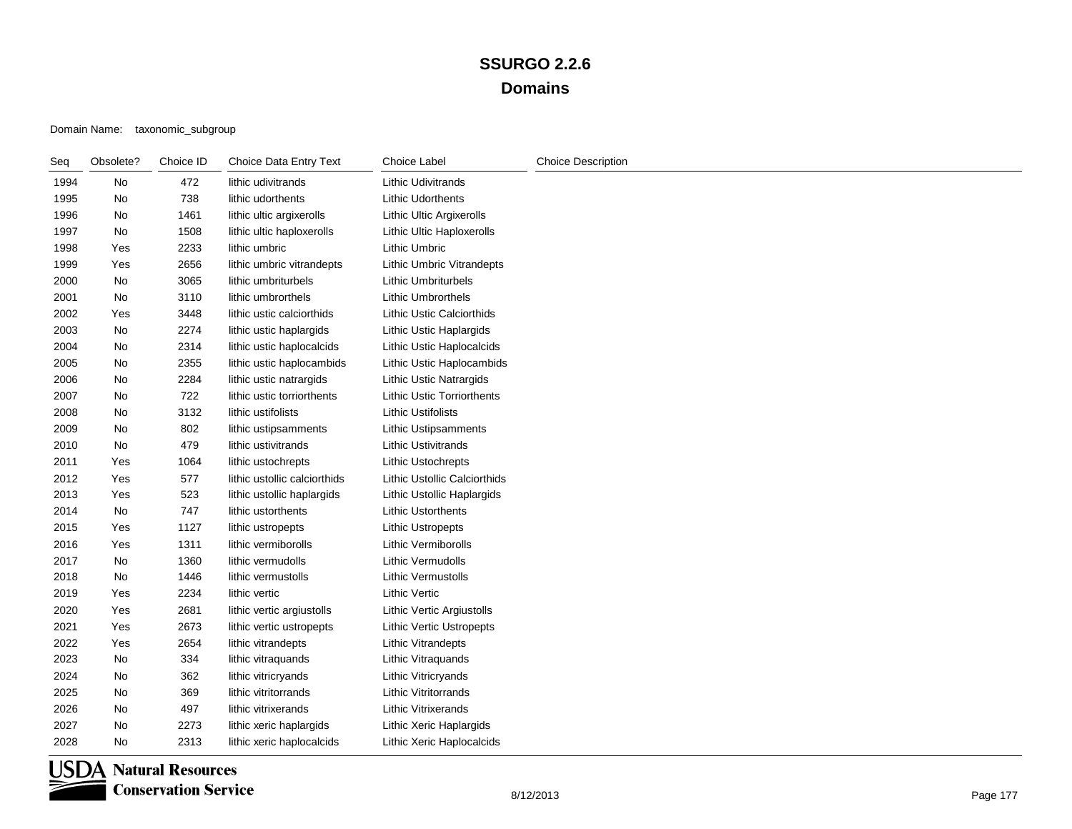### Domain Name: taxonomic\_subgroup

| Seq  | Obsolete? | Choice ID | Choice Data Entry Text       | Choice Label                      | <b>Choice Description</b> |
|------|-----------|-----------|------------------------------|-----------------------------------|---------------------------|
| 1994 | No        | 472       | lithic udivitrands           | <b>Lithic Udivitrands</b>         |                           |
| 1995 | No        | 738       | lithic udorthents            | Lithic Udorthents                 |                           |
| 1996 | No        | 1461      | lithic ultic argixerolls     | <b>Lithic Ultic Argixerolls</b>   |                           |
| 1997 | No        | 1508      | lithic ultic haploxerolls    | <b>Lithic Ultic Haploxerolls</b>  |                           |
| 1998 | Yes       | 2233      | lithic umbric                | Lithic Umbric                     |                           |
| 1999 | Yes       | 2656      | lithic umbric vitrandepts    | Lithic Umbric Vitrandepts         |                           |
| 2000 | No        | 3065      | lithic umbriturbels          | <b>Lithic Umbriturbels</b>        |                           |
| 2001 | No        | 3110      | lithic umbrorthels           | <b>Lithic Umbrorthels</b>         |                           |
| 2002 | Yes       | 3448      | lithic ustic calciorthids    | <b>Lithic Ustic Calciorthids</b>  |                           |
| 2003 | No        | 2274      | lithic ustic haplargids      | Lithic Ustic Haplargids           |                           |
| 2004 | No        | 2314      | lithic ustic haplocalcids    | Lithic Ustic Haplocalcids         |                           |
| 2005 | No        | 2355      | lithic ustic haplocambids    | Lithic Ustic Haplocambids         |                           |
| 2006 | No        | 2284      | lithic ustic natrargids      | <b>Lithic Ustic Natrargids</b>    |                           |
| 2007 | No        | 722       | lithic ustic torriorthents   | <b>Lithic Ustic Torriorthents</b> |                           |
| 2008 | No        | 3132      | lithic ustifolists           | <b>Lithic Ustifolists</b>         |                           |
| 2009 | No        | 802       | lithic ustipsamments         | <b>Lithic Ustipsamments</b>       |                           |
| 2010 | No        | 479       | lithic ustivitrands          | <b>Lithic Ustivitrands</b>        |                           |
| 2011 | Yes       | 1064      | lithic ustochrepts           | <b>Lithic Ustochrepts</b>         |                           |
| 2012 | Yes       | 577       | lithic ustollic calciorthids | Lithic Ustollic Calciorthids      |                           |
| 2013 | Yes       | 523       | lithic ustollic haplargids   | Lithic Ustollic Haplargids        |                           |
| 2014 | No        | 747       | lithic ustorthents           | <b>Lithic Ustorthents</b>         |                           |
| 2015 | Yes       | 1127      | lithic ustropepts            | <b>Lithic Ustropepts</b>          |                           |
| 2016 | Yes       | 1311      | lithic vermiborolls          | <b>Lithic Vermiborolls</b>        |                           |
| 2017 | No        | 1360      | lithic vermudolls            | <b>Lithic Vermudolls</b>          |                           |
| 2018 | No        | 1446      | lithic vermustolls           | <b>Lithic Vermustolls</b>         |                           |
| 2019 | Yes       | 2234      | lithic vertic                | <b>Lithic Vertic</b>              |                           |
| 2020 | Yes       | 2681      | lithic vertic argiustolls    | <b>Lithic Vertic Argiustolls</b>  |                           |
| 2021 | Yes       | 2673      | lithic vertic ustropepts     | <b>Lithic Vertic Ustropepts</b>   |                           |
| 2022 | Yes       | 2654      | lithic vitrandepts           | <b>Lithic Vitrandepts</b>         |                           |
| 2023 | No        | 334       | lithic vitraquands           | Lithic Vitraquands                |                           |
| 2024 | No        | 362       | lithic vitricryands          | Lithic Vitricryands               |                           |
| 2025 | No        | 369       | lithic vitritorrands         | <b>Lithic Vitritorrands</b>       |                           |
| 2026 | No        | 497       | lithic vitrixerands          | <b>Lithic Vitrixerands</b>        |                           |
| 2027 | No        | 2273      | lithic xeric haplargids      | Lithic Xeric Haplargids           |                           |
| 2028 | No        | 2313      | lithic xeric haplocalcids    | Lithic Xeric Haplocalcids         |                           |

**USDA** Natural Resources **Conservation Service**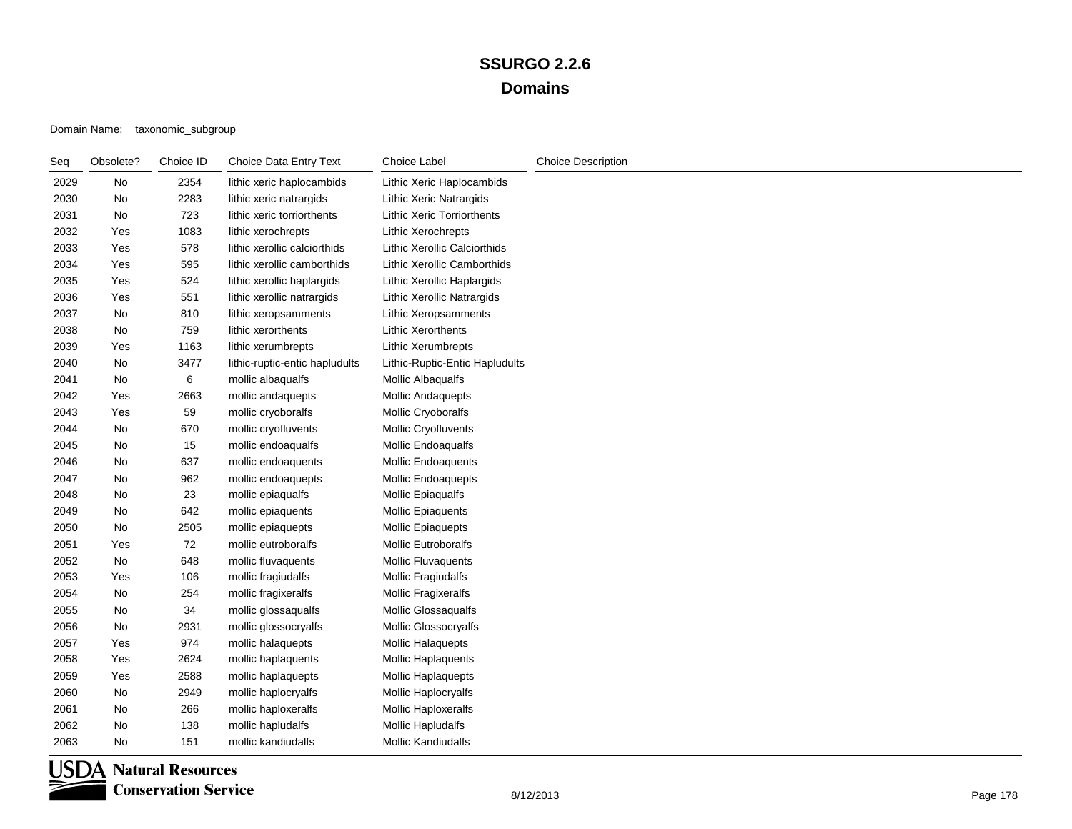| Seq  | Obsolete? | Choice ID | Choice Data Entry Text         | <b>Choice Label</b>               | <b>Choice Description</b> |
|------|-----------|-----------|--------------------------------|-----------------------------------|---------------------------|
| 2029 | No        | 2354      | lithic xeric haplocambids      | Lithic Xeric Haplocambids         |                           |
| 2030 | No        | 2283      | lithic xeric natrargids        | Lithic Xeric Natrargids           |                           |
| 2031 | No        | 723       | lithic xeric torriorthents     | <b>Lithic Xeric Torriorthents</b> |                           |
| 2032 | Yes       | 1083      | lithic xerochrepts             | Lithic Xerochrepts                |                           |
| 2033 | Yes       | 578       | lithic xerollic calciorthids   | Lithic Xerollic Calciorthids      |                           |
| 2034 | Yes       | 595       | lithic xerollic camborthids    | Lithic Xerollic Camborthids       |                           |
| 2035 | Yes       | 524       | lithic xerollic haplargids     | Lithic Xerollic Haplargids        |                           |
| 2036 | Yes       | 551       | lithic xerollic natrargids     | Lithic Xerollic Natrargids        |                           |
| 2037 | No        | 810       | lithic xeropsamments           | Lithic Xeropsamments              |                           |
| 2038 | No        | 759       | lithic xerorthents             | <b>Lithic Xerorthents</b>         |                           |
| 2039 | Yes       | 1163      | lithic xerumbrepts             | Lithic Xerumbrepts                |                           |
| 2040 | No        | 3477      | lithic-ruptic-entic hapludults | Lithic-Ruptic-Entic Hapludults    |                           |
| 2041 | No        | 6         | mollic albaqualfs              | <b>Mollic Albaqualfs</b>          |                           |
| 2042 | Yes       | 2663      | mollic andaquepts              | <b>Mollic Andaquepts</b>          |                           |
| 2043 | Yes       | 59        | mollic cryoboralfs             | Mollic Cryoboralfs                |                           |
| 2044 | No        | 670       | mollic cryofluvents            | <b>Mollic Cryofluvents</b>        |                           |
| 2045 | No        | 15        | mollic endoaqualfs             | Mollic Endoaqualfs                |                           |
| 2046 | No        | 637       | mollic endoaquents             | Mollic Endoaquents                |                           |
| 2047 | No        | 962       | mollic endoaquepts             | Mollic Endoaquepts                |                           |
| 2048 | No        | 23        | mollic epiaqualfs              | Mollic Epiaqualfs                 |                           |
| 2049 | No        | 642       | mollic epiaquents              | <b>Mollic Epiaquents</b>          |                           |
| 2050 | No        | 2505      | mollic epiaquepts              | <b>Mollic Epiaquepts</b>          |                           |
| 2051 | Yes       | 72        | mollic eutroboralfs            | Mollic Eutroboralfs               |                           |
| 2052 | No        | 648       | mollic fluvaquents             | Mollic Fluvaquents                |                           |
| 2053 | Yes       | 106       | mollic fragiudalfs             | Mollic Fragiudalfs                |                           |
| 2054 | No        | 254       | mollic fragixeralfs            | <b>Mollic Fragixeralfs</b>        |                           |
| 2055 | No        | 34        | mollic glossaqualfs            | <b>Mollic Glossaqualfs</b>        |                           |
| 2056 | No        | 2931      | mollic glossocryalfs           | Mollic Glossocryalfs              |                           |
| 2057 | Yes       | 974       | mollic halaquepts              | <b>Mollic Halaquepts</b>          |                           |
| 2058 | Yes       | 2624      | mollic haplaquents             | <b>Mollic Haplaquents</b>         |                           |
| 2059 | Yes       | 2588      | mollic haplaquepts             | Mollic Haplaquepts                |                           |
| 2060 | No        | 2949      | mollic haplocryalfs            | Mollic Haplocryalfs               |                           |
| 2061 | No        | 266       | mollic haploxeralfs            | Mollic Haploxeralfs               |                           |
| 2062 | No        | 138       | mollic hapludalfs              | <b>Mollic Hapludalfs</b>          |                           |
| 2063 | No        | 151       | mollic kandiudalfs             | <b>Mollic Kandiudalfs</b>         |                           |

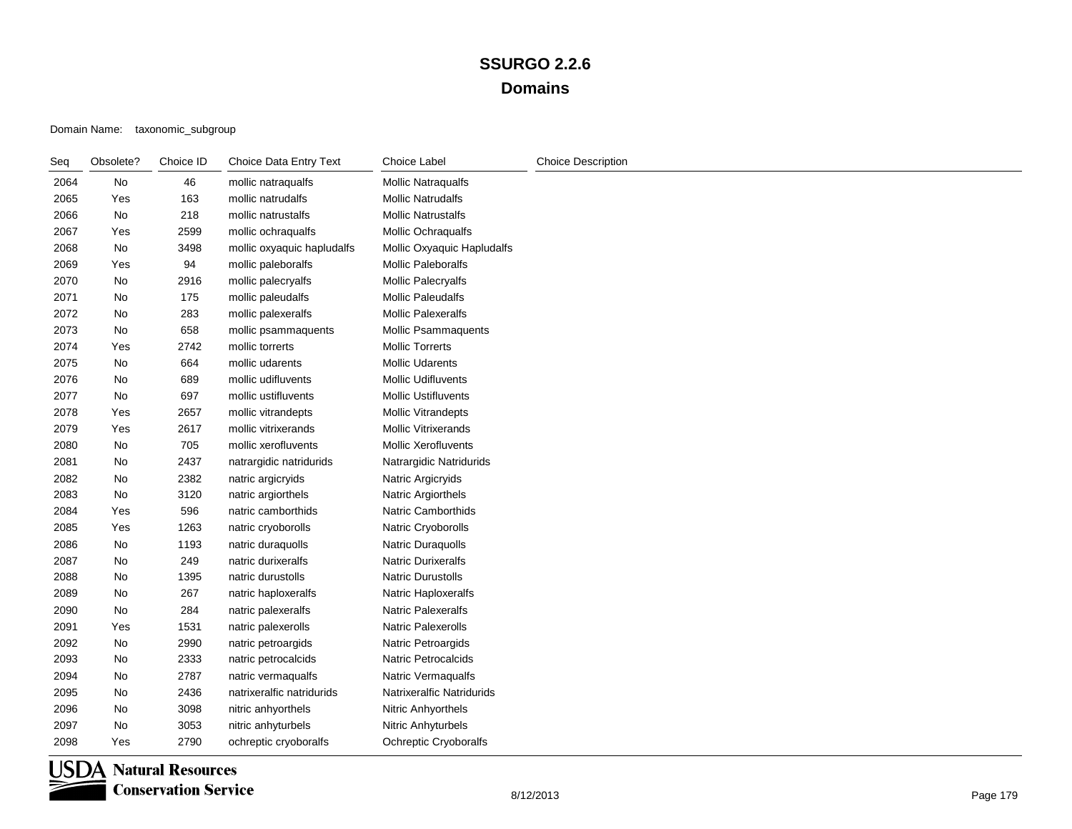### Domain Name: taxonomic\_subgroup

| Seq  | Obsolete? | Choice ID | Choice Data Entry Text     | <b>Choice Label</b>        | <b>Choice Description</b> |
|------|-----------|-----------|----------------------------|----------------------------|---------------------------|
| 2064 | No        | 46        | mollic natraqualfs         | <b>Mollic Natraqualfs</b>  |                           |
| 2065 | Yes       | 163       | mollic natrudalfs          | <b>Mollic Natrudalfs</b>   |                           |
| 2066 | No        | 218       | mollic natrustalfs         | <b>Mollic Natrustalfs</b>  |                           |
| 2067 | Yes       | 2599      | mollic ochraqualfs         | Mollic Ochraqualfs         |                           |
| 2068 | No        | 3498      | mollic oxyaquic hapludalfs | Mollic Oxyaquic Hapludalfs |                           |
| 2069 | Yes       | 94        | mollic paleboralfs         | Mollic Paleboralfs         |                           |
| 2070 | No        | 2916      | mollic palecryalfs         | Mollic Palecryalfs         |                           |
| 2071 | No        | 175       | mollic paleudalfs          | <b>Mollic Paleudalfs</b>   |                           |
| 2072 | No        | 283       | mollic palexeralfs         | <b>Mollic Palexeralfs</b>  |                           |
| 2073 | No        | 658       | mollic psammaquents        | Mollic Psammaquents        |                           |
| 2074 | Yes       | 2742      | mollic torrerts            | <b>Mollic Torrerts</b>     |                           |
| 2075 | No        | 664       | mollic udarents            | <b>Mollic Udarents</b>     |                           |
| 2076 | No        | 689       | mollic udifluvents         | <b>Mollic Udifluvents</b>  |                           |
| 2077 | No        | 697       | mollic ustifluvents        | <b>Mollic Ustifluvents</b> |                           |
| 2078 | Yes       | 2657      | mollic vitrandepts         | <b>Mollic Vitrandepts</b>  |                           |
| 2079 | Yes       | 2617      | mollic vitrixerands        | <b>Mollic Vitrixerands</b> |                           |
| 2080 | No        | 705       | mollic xerofluvents        | <b>Mollic Xerofluvents</b> |                           |
| 2081 | No        | 2437      | natrargidic natridurids    | Natrargidic Natridurids    |                           |
| 2082 | No        | 2382      | natric argicryids          | Natric Argicryids          |                           |
| 2083 | No        | 3120      | natric argiorthels         | Natric Argiorthels         |                           |
| 2084 | Yes       | 596       | natric camborthids         | Natric Camborthids         |                           |
| 2085 | Yes       | 1263      | natric cryoborolls         | Natric Cryoborolls         |                           |
| 2086 | No        | 1193      | natric duraquolls          | Natric Duraquolls          |                           |
| 2087 | No        | 249       | natric durixeralfs         | <b>Natric Durixeralfs</b>  |                           |
| 2088 | No        | 1395      | natric durustolls          | Natric Durustolls          |                           |
| 2089 | No        | 267       | natric haploxeralfs        | Natric Haploxeralfs        |                           |
| 2090 | No        | 284       | natric palexeralfs         | Natric Palexeralfs         |                           |
| 2091 | Yes       | 1531      | natric palexerolls         | Natric Palexerolls         |                           |
| 2092 | No        | 2990      | natric petroargids         | Natric Petroargids         |                           |
| 2093 | No        | 2333      | natric petrocalcids        | <b>Natric Petrocalcids</b> |                           |
| 2094 | No        | 2787      | natric vermaqualfs         | Natric Vermaqualfs         |                           |
| 2095 | No        | 2436      | natrixeralfic natridurids  | Natrixeralfic Natridurids  |                           |
| 2096 | No        | 3098      | nitric anhyorthels         | Nitric Anhyorthels         |                           |
| 2097 | No        | 3053      | nitric anhyturbels         | Nitric Anhyturbels         |                           |
| 2098 | Yes       | 2790      | ochreptic cryoboralfs      | Ochreptic Cryoboralfs      |                           |

**USDA** Natural Resources **Conservation Service**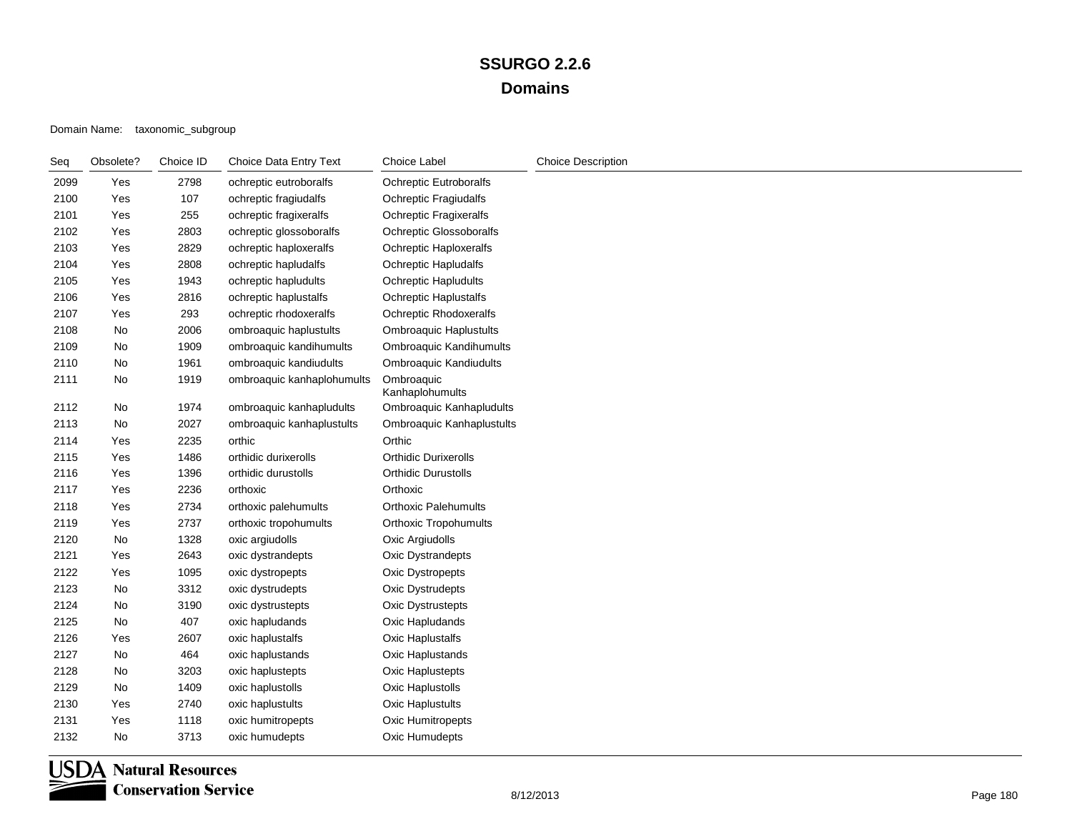| Seq  | Obsolete? | Choice ID | Choice Data Entry Text     | Choice Label                   | <b>Choice Description</b> |
|------|-----------|-----------|----------------------------|--------------------------------|---------------------------|
| 2099 | Yes       | 2798      | ochreptic eutroboralfs     | Ochreptic Eutroboralfs         |                           |
| 2100 | Yes       | 107       | ochreptic fragiudalfs      | Ochreptic Fragiudalfs          |                           |
| 2101 | Yes       | 255       | ochreptic fragixeralfs     | Ochreptic Fragixeralfs         |                           |
| 2102 | Yes       | 2803      | ochreptic glossoboralfs    | Ochreptic Glossoboralfs        |                           |
| 2103 | Yes       | 2829      | ochreptic haploxeralfs     | Ochreptic Haploxeralfs         |                           |
| 2104 | Yes       | 2808      | ochreptic hapludalfs       | <b>Ochreptic Hapludalfs</b>    |                           |
| 2105 | Yes       | 1943      | ochreptic hapludults       | <b>Ochreptic Hapludults</b>    |                           |
| 2106 | Yes       | 2816      | ochreptic haplustalfs      | Ochreptic Haplustalfs          |                           |
| 2107 | Yes       | 293       | ochreptic rhodoxeralfs     | Ochreptic Rhodoxeralfs         |                           |
| 2108 | No        | 2006      | ombroaquic haplustults     | <b>Ombroaquic Haplustults</b>  |                           |
| 2109 | No        | 1909      | ombroaquic kandihumults    | <b>Ombroaquic Kandihumults</b> |                           |
| 2110 | No        | 1961      | ombroaquic kandiudults     | Ombroaquic Kandiudults         |                           |
| 2111 | No        | 1919      | ombroaquic kanhaplohumults | Ombroaquic<br>Kanhaplohumults  |                           |
| 2112 | No        | 1974      | ombroaquic kanhapludults   | Ombroaquic Kanhapludults       |                           |
| 2113 | No        | 2027      | ombroaquic kanhaplustults  | Ombroaquic Kanhaplustults      |                           |
| 2114 | Yes       | 2235      | orthic                     | Orthic                         |                           |
| 2115 | Yes       | 1486      | orthidic durixerolls       | <b>Orthidic Durixerolls</b>    |                           |
| 2116 | Yes       | 1396      | orthidic durustolls        | <b>Orthidic Durustolls</b>     |                           |
| 2117 | Yes       | 2236      | orthoxic                   | Orthoxic                       |                           |
| 2118 | Yes       | 2734      | orthoxic palehumults       | <b>Orthoxic Palehumults</b>    |                           |
| 2119 | Yes       | 2737      | orthoxic tropohumults      | <b>Orthoxic Tropohumults</b>   |                           |
| 2120 | No        | 1328      | oxic argiudolls            | Oxic Argiudolls                |                           |
| 2121 | Yes       | 2643      | oxic dystrandepts          | Oxic Dystrandepts              |                           |
| 2122 | Yes       | 1095      | oxic dystropepts           | Oxic Dystropepts               |                           |
| 2123 | No        | 3312      | oxic dystrudepts           | Oxic Dystrudepts               |                           |
| 2124 | No        | 3190      | oxic dystrustepts          | <b>Oxic Dystrustepts</b>       |                           |
| 2125 | No        | 407       | oxic hapludands            | Oxic Hapludands                |                           |
| 2126 | Yes       | 2607      | oxic haplustalfs           | Oxic Haplustalfs               |                           |
| 2127 | No        | 464       | oxic haplustands           | Oxic Haplustands               |                           |
| 2128 | No        | 3203      | oxic haplustepts           | Oxic Haplustepts               |                           |
| 2129 | No        | 1409      | oxic haplustolls           | Oxic Haplustolls               |                           |
| 2130 | Yes       | 2740      | oxic haplustults           | <b>Oxic Haplustults</b>        |                           |
| 2131 | Yes       | 1118      | oxic humitropepts          | <b>Oxic Humitropepts</b>       |                           |
| 2132 | No        | 3713      | oxic humudepts             | Oxic Humudepts                 |                           |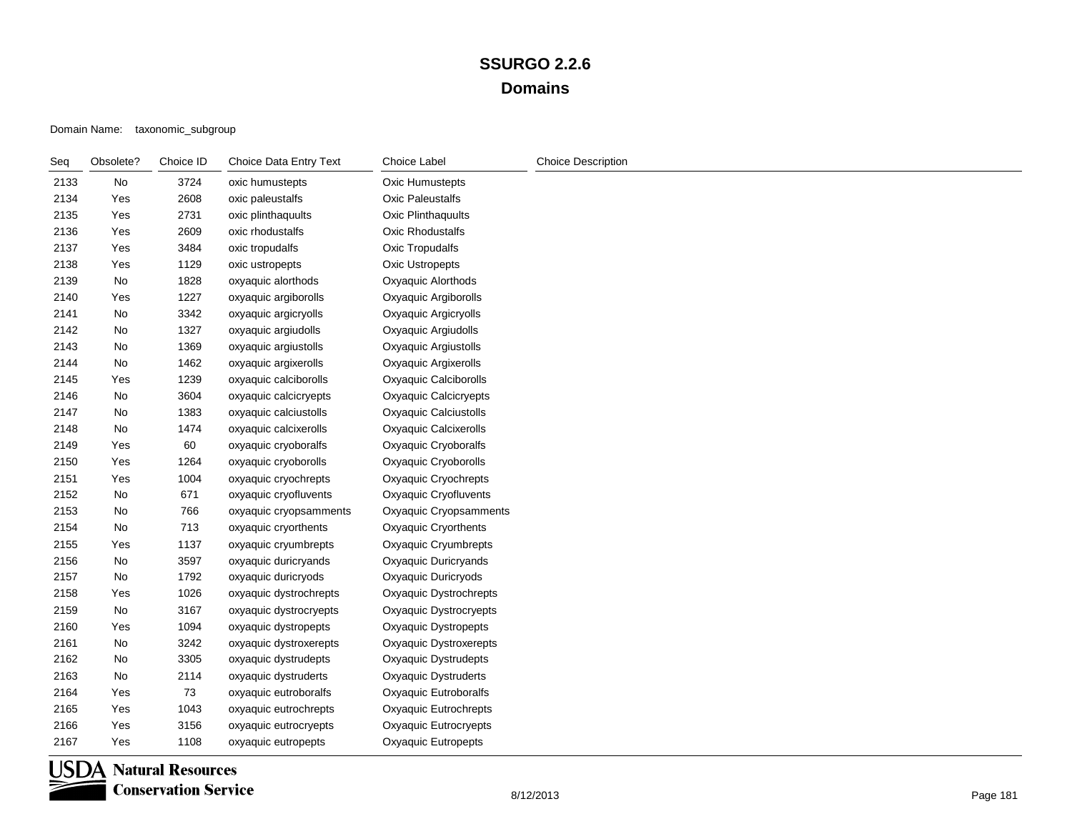| Seq  | Obsolete? | Choice ID | Choice Data Entry Text | Choice Label            | <b>Choice Description</b> |
|------|-----------|-----------|------------------------|-------------------------|---------------------------|
| 2133 | No        | 3724      | oxic humustepts        | Oxic Humustepts         |                           |
| 2134 | Yes       | 2608      | oxic paleustalfs       | Oxic Paleustalfs        |                           |
| 2135 | Yes       | 2731      | oxic plinthaquults     | Oxic Plinthaquults      |                           |
| 2136 | Yes       | 2609      | oxic rhodustalfs       | <b>Oxic Rhodustalfs</b> |                           |
| 2137 | Yes       | 3484      | oxic tropudalfs        | <b>Oxic Tropudalfs</b>  |                           |
| 2138 | Yes       | 1129      | oxic ustropepts        | Oxic Ustropepts         |                           |
| 2139 | No        | 1828      | oxyaquic alorthods     | Oxyaquic Alorthods      |                           |
| 2140 | Yes       | 1227      | oxyaquic argiborolls   | Oxyaquic Argiborolls    |                           |
| 2141 | No        | 3342      | oxyaquic argicryolls   | Oxyaquic Argicryolls    |                           |
| 2142 | No        | 1327      | oxyaquic argiudolls    | Oxyaquic Argiudolls     |                           |
| 2143 | No        | 1369      | oxyaquic argiustolls   | Oxyaquic Argiustolls    |                           |
| 2144 | No        | 1462      | oxyaquic argixerolls   | Oxyaquic Argixerolls    |                           |
| 2145 | Yes       | 1239      | oxyaquic calciborolls  | Oxyaquic Calciborolls   |                           |
| 2146 | No        | 3604      | oxyaquic calcicryepts  | Oxyaquic Calcicryepts   |                           |
| 2147 | No        | 1383      | oxyaquic calciustolls  | Oxyaquic Calciustolls   |                           |
| 2148 | No        | 1474      | oxyaquic calcixerolls  | Oxyaquic Calcixerolls   |                           |
| 2149 | Yes       | 60        | oxyaquic cryoboralfs   | Oxyaquic Cryoboralfs    |                           |
| 2150 | Yes       | 1264      | oxyaquic cryoborolls   | Oxyaquic Cryoborolls    |                           |
| 2151 | Yes       | 1004      | oxyaquic cryochrepts   | Oxyaquic Cryochrepts    |                           |
| 2152 | No        | 671       | oxyaquic cryofluvents  | Oxyaquic Cryofluvents   |                           |
| 2153 | No        | 766       | oxyaquic cryopsamments | Oxyaquic Cryopsamments  |                           |
| 2154 | No        | 713       | oxyaquic cryorthents   | Oxyaquic Cryorthents    |                           |
| 2155 | Yes       | 1137      | oxyaquic cryumbrepts   | Oxyaquic Cryumbrepts    |                           |
| 2156 | No        | 3597      | oxyaquic duricryands   | Oxyaquic Duricryands    |                           |
| 2157 | No        | 1792      | oxyaquic duricryods    | Oxyaquic Duricryods     |                           |
| 2158 | Yes       | 1026      | oxyaquic dystrochrepts | Oxyaquic Dystrochrepts  |                           |
| 2159 | <b>No</b> | 3167      | oxyaquic dystrocryepts | Oxyaquic Dystrocryepts  |                           |
| 2160 | Yes       | 1094      | oxyaquic dystropepts   | Oxyaquic Dystropepts    |                           |
| 2161 | No        | 3242      | oxyaquic dystroxerepts | Oxyaquic Dystroxerepts  |                           |
| 2162 | No        | 3305      | oxyaquic dystrudepts   | Oxyaquic Dystrudepts    |                           |
| 2163 | No        | 2114      | oxyaquic dystruderts   | Oxyaquic Dystruderts    |                           |
| 2164 | Yes       | 73        | oxyaquic eutroboralfs  | Oxyaquic Eutroboralfs   |                           |
| 2165 | Yes       | 1043      | oxyaquic eutrochrepts  | Oxyaquic Eutrochrepts   |                           |
| 2166 | Yes       | 3156      | oxyaquic eutrocryepts  | Oxyaquic Eutrocryepts   |                           |
| 2167 | Yes       | 1108      | oxyaquic eutropepts    | Oxyaquic Eutropepts     |                           |

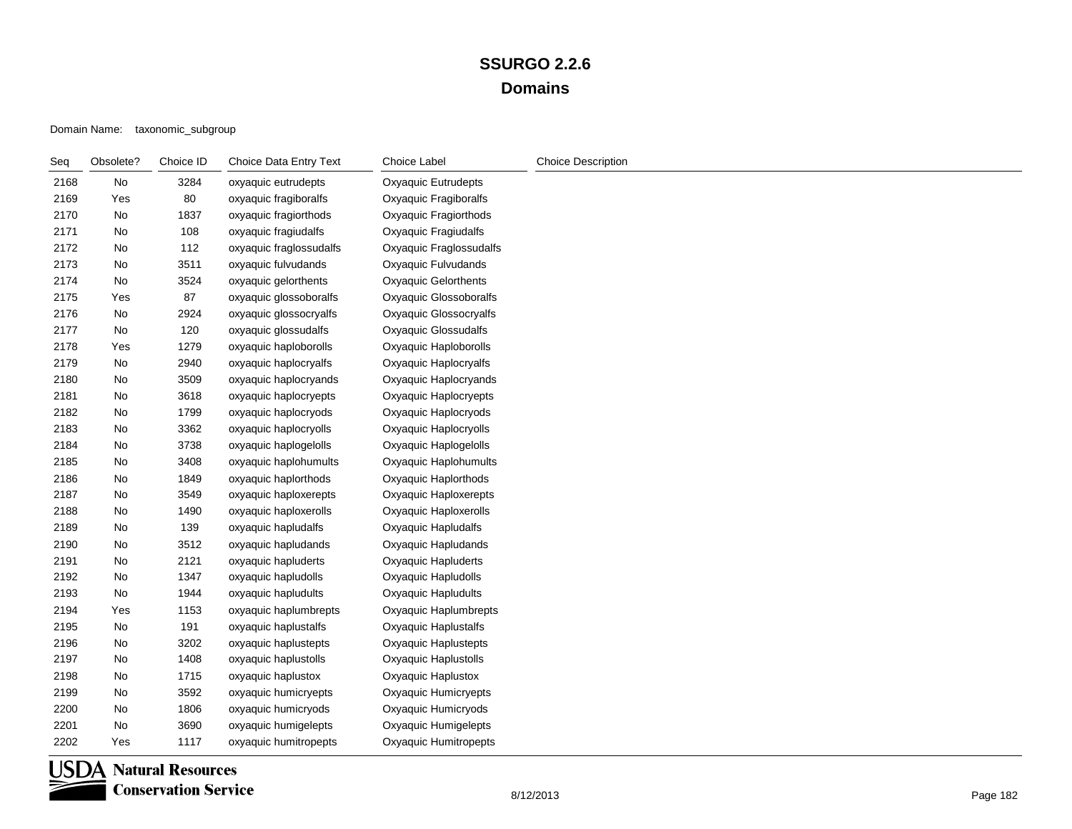| Seq  | Obsolete? | Choice ID | Choice Data Entry Text  | <b>Choice Label</b>     | <b>Choice Description</b> |
|------|-----------|-----------|-------------------------|-------------------------|---------------------------|
| 2168 | No        | 3284      | oxyaquic eutrudepts     | Oxyaquic Eutrudepts     |                           |
| 2169 | Yes       | 80        | oxyaquic fragiboralfs   | Oxyaquic Fragiboralfs   |                           |
| 2170 | No        | 1837      | oxyaquic fragiorthods   | Oxyaquic Fragiorthods   |                           |
| 2171 | No        | 108       | oxyaquic fragiudalfs    | Oxyaquic Fragiudalfs    |                           |
| 2172 | No        | 112       | oxyaquic fraglossudalfs | Oxyaquic Fraglossudalfs |                           |
| 2173 | No        | 3511      | oxyaquic fulvudands     | Oxyaquic Fulvudands     |                           |
| 2174 | No        | 3524      | oxyaquic gelorthents    | Oxyaquic Gelorthents    |                           |
| 2175 | Yes       | 87        | oxyaquic glossoboralfs  | Oxyaquic Glossoboralfs  |                           |
| 2176 | No        | 2924      | oxyaquic glossocryalfs  | Oxyaquic Glossocryalfs  |                           |
| 2177 | No        | 120       | oxyaquic glossudalfs    | Oxyaquic Glossudalfs    |                           |
| 2178 | Yes       | 1279      | oxyaquic haploborolls   | Oxyaquic Haploborolls   |                           |
| 2179 | No        | 2940      | oxyaquic haplocryalfs   | Oxyaquic Haplocryalfs   |                           |
| 2180 | No        | 3509      | oxyaquic haplocryands   | Oxyaquic Haplocryands   |                           |
| 2181 | No        | 3618      | oxyaquic haplocryepts   | Oxyaquic Haplocryepts   |                           |
| 2182 | No        | 1799      | oxyaquic haplocryods    | Oxyaquic Haplocryods    |                           |
| 2183 | No        | 3362      | oxyaquic haplocryolls   | Oxyaquic Haplocryolls   |                           |
| 2184 | No        | 3738      | oxyaquic haplogelolls   | Oxyaquic Haplogelolls   |                           |
| 2185 | No        | 3408      | oxyaquic haplohumults   | Oxyaquic Haplohumults   |                           |
| 2186 | No        | 1849      | oxyaquic haplorthods    | Oxyaquic Haplorthods    |                           |
| 2187 | No        | 3549      | oxyaquic haploxerepts   | Oxyaquic Haploxerepts   |                           |
| 2188 | No        | 1490      | oxyaquic haploxerolls   | Oxyaquic Haploxerolls   |                           |
| 2189 | No        | 139       | oxyaquic hapludalfs     | Oxyaquic Hapludalfs     |                           |
| 2190 | No        | 3512      | oxyaquic hapludands     | Oxyaquic Hapludands     |                           |
| 2191 | No        | 2121      | oxyaquic hapluderts     | Oxyaquic Hapluderts     |                           |
| 2192 | No        | 1347      | oxyaquic hapludolls     | Oxyaquic Hapludolls     |                           |
| 2193 | No        | 1944      | oxyaquic hapludults     | Oxyaquic Hapludults     |                           |
| 2194 | Yes       | 1153      | oxyaquic haplumbrepts   | Oxyaquic Haplumbrepts   |                           |
| 2195 | No        | 191       | oxyaquic haplustalfs    | Oxyaquic Haplustalfs    |                           |
| 2196 | No        | 3202      | oxyaquic haplustepts    | Oxyaquic Haplustepts    |                           |
| 2197 | No        | 1408      | oxyaquic haplustolls    | Oxyaquic Haplustolls    |                           |
| 2198 | No        | 1715      | oxyaquic haplustox      | Oxyaquic Haplustox      |                           |
| 2199 | No        | 3592      | oxyaquic humicryepts    | Oxyaquic Humicryepts    |                           |
| 2200 | No        | 1806      | oxyaquic humicryods     | Oxyaquic Humicryods     |                           |
| 2201 | No        | 3690      | oxyaquic humigelepts    | Oxyaquic Humigelepts    |                           |
| 2202 | Yes       | 1117      | oxyaquic humitropepts   | Oxyaquic Humitropepts   |                           |

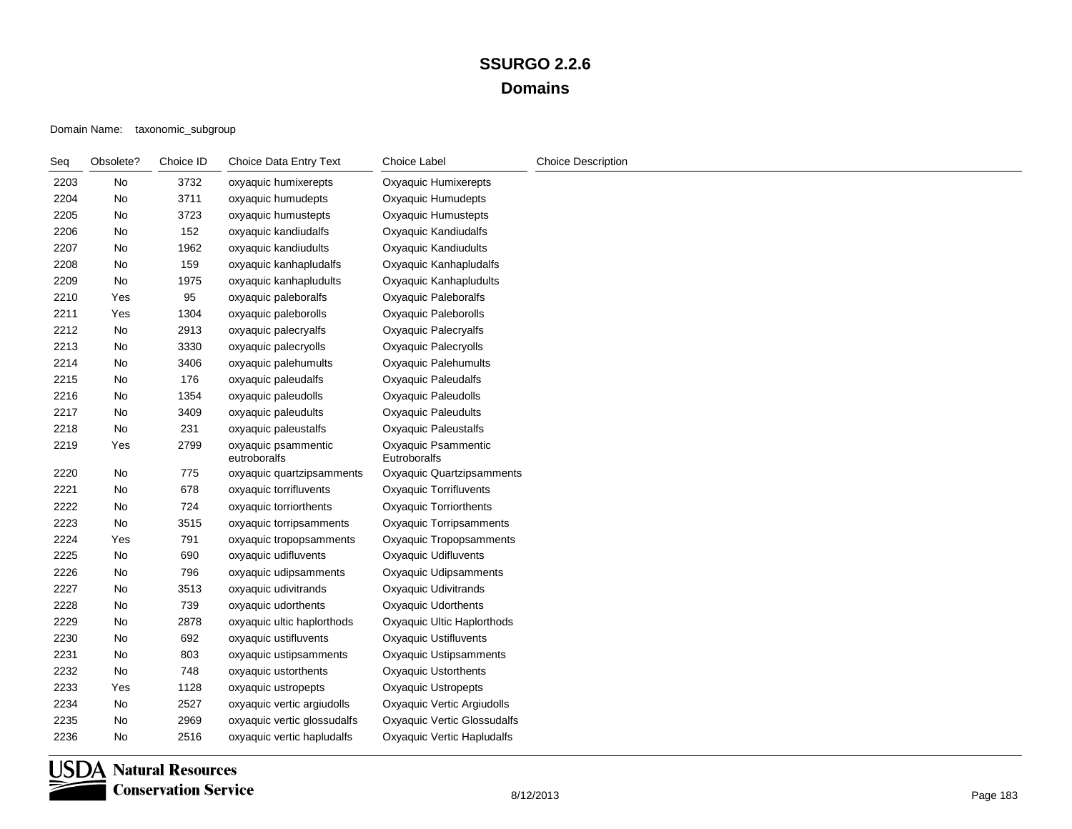| Seq  | Obsolete? | Choice ID | Choice Data Entry Text              | <b>Choice Label</b>                 | <b>Choice Description</b> |
|------|-----------|-----------|-------------------------------------|-------------------------------------|---------------------------|
| 2203 | No        | 3732      | oxyaquic humixerepts                | Oxyaquic Humixerepts                |                           |
| 2204 | No        | 3711      | oxyaquic humudepts                  | Oxyaquic Humudepts                  |                           |
| 2205 | No        | 3723      | oxyaquic humustepts                 | Oxyaquic Humustepts                 |                           |
| 2206 | No        | 152       | oxyaquic kandiudalfs                | Oxyaquic Kandiudalfs                |                           |
| 2207 | No        | 1962      | oxyaquic kandiudults                | Oxyaquic Kandiudults                |                           |
| 2208 | No        | 159       | oxyaquic kanhapludalfs              | Oxyaquic Kanhapludalfs              |                           |
| 2209 | No        | 1975      | oxyaquic kanhapludults              | Oxyaquic Kanhapludults              |                           |
| 2210 | Yes       | 95        | oxyaquic paleboralfs                | Oxyaquic Paleboralfs                |                           |
| 2211 | Yes       | 1304      | oxyaquic paleborolls                | Oxyaquic Paleborolls                |                           |
| 2212 | No        | 2913      | oxyaquic palecryalfs                | Oxyaquic Palecryalfs                |                           |
| 2213 | No        | 3330      | oxyaquic palecryolls                | Oxyaquic Palecryolls                |                           |
| 2214 | No        | 3406      | oxyaquic palehumults                | Oxyaquic Palehumults                |                           |
| 2215 | No        | 176       | oxyaquic paleudalfs                 | Oxyaquic Paleudalfs                 |                           |
| 2216 | No        | 1354      | oxyaquic paleudolls                 | Oxyaquic Paleudolls                 |                           |
| 2217 | No        | 3409      | oxyaquic paleudults                 | <b>Oxyaquic Paleudults</b>          |                           |
| 2218 | No        | 231       | oxyaquic paleustalfs                | Oxyaquic Paleustalfs                |                           |
| 2219 | Yes       | 2799      | oxyaquic psammentic<br>eutroboralfs | Oxyaquic Psammentic<br>Eutroboralfs |                           |
| 2220 | No        | 775       | oxyaquic quartzipsamments           | Oxyaquic Quartzipsamments           |                           |
| 2221 | No        | 678       | oxyaquic torrifluvents              | <b>Oxyaquic Torrifluvents</b>       |                           |
| 2222 | No        | 724       | oxyaquic torriorthents              | <b>Oxyaquic Torriorthents</b>       |                           |
| 2223 | No        | 3515      | oxyaquic torripsamments             | Oxyaquic Torripsamments             |                           |
| 2224 | Yes       | 791       | oxyaquic tropopsamments             | Oxyaquic Tropopsamments             |                           |
| 2225 | No        | 690       | oxyaquic udifluvents                | <b>Oxyaquic Udifluvents</b>         |                           |
| 2226 | No        | 796       | oxyaquic udipsamments               | Oxyaquic Udipsamments               |                           |
| 2227 | No        | 3513      | oxyaquic udivitrands                | Oxyaquic Udivitrands                |                           |
| 2228 | No        | 739       | oxyaquic udorthents                 | <b>Oxyaquic Udorthents</b>          |                           |
| 2229 | No        | 2878      | oxyaquic ultic haplorthods          | Oxyaquic Ultic Haplorthods          |                           |
| 2230 | No        | 692       | oxyaquic ustifluvents               | Oxyaquic Ustifluvents               |                           |
| 2231 | No        | 803       | oxyaquic ustipsamments              | Oxyaquic Ustipsamments              |                           |
| 2232 | No        | 748       | oxyaquic ustorthents                | <b>Oxyaquic Ustorthents</b>         |                           |
| 2233 | Yes       | 1128      | oxyaquic ustropepts                 | Oxyaquic Ustropepts                 |                           |
| 2234 | No        | 2527      | oxyaquic vertic argiudolls          | Oxyaquic Vertic Argiudolls          |                           |
| 2235 | No        | 2969      | oxyaquic vertic glossudalfs         | Oxyaquic Vertic Glossudalfs         |                           |
| 2236 | No        | 2516      | oxyaquic vertic hapludalfs          | Oxyaquic Vertic Hapludalfs          |                           |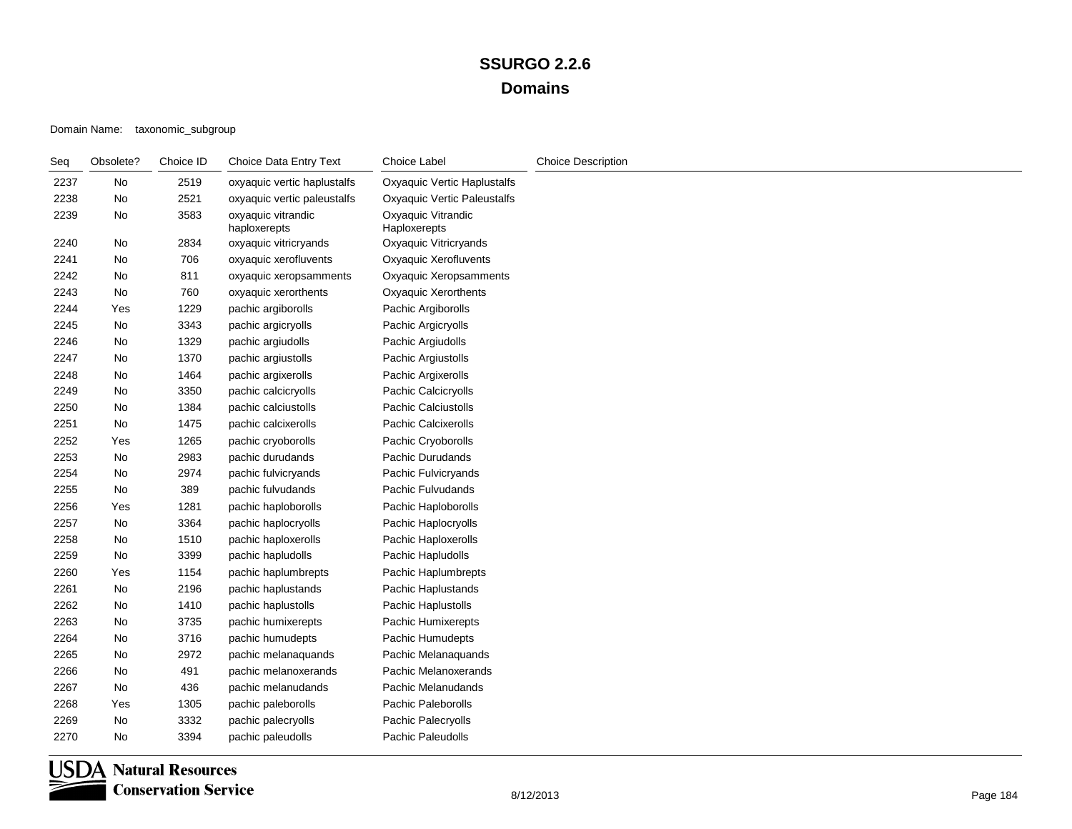| Seq  | Obsolete? | Choice ID | Choice Data Entry Text             | Choice Label                       | <b>Choice Description</b> |
|------|-----------|-----------|------------------------------------|------------------------------------|---------------------------|
| 2237 | No        | 2519      | oxyaquic vertic haplustalfs        | Oxyaquic Vertic Haplustalfs        |                           |
| 2238 | No        | 2521      | oxyaquic vertic paleustalfs        | Oxyaquic Vertic Paleustalfs        |                           |
| 2239 | No        | 3583      | oxyaquic vitrandic<br>haploxerepts | Oxyaquic Vitrandic<br>Haploxerepts |                           |
| 2240 | No        | 2834      | oxyaquic vitricryands              | Oxyaquic Vitricryands              |                           |
| 2241 | No        | 706       | oxyaquic xerofluvents              | Oxyaquic Xerofluvents              |                           |
| 2242 | No        | 811       | oxyaquic xeropsamments             | Oxyaquic Xeropsamments             |                           |
| 2243 | No        | 760       | oxyaquic xerorthents               | Oxyaquic Xerorthents               |                           |
| 2244 | Yes       | 1229      | pachic argiborolls                 | Pachic Argiborolls                 |                           |
| 2245 | No        | 3343      | pachic argicryolls                 | Pachic Argicryolls                 |                           |
| 2246 | No        | 1329      | pachic argiudolls                  | Pachic Argiudolls                  |                           |
| 2247 | No        | 1370      | pachic argiustolls                 | Pachic Argiustolls                 |                           |
| 2248 | No        | 1464      | pachic argixerolls                 | Pachic Argixerolls                 |                           |
| 2249 | No        | 3350      | pachic calcicryolls                | Pachic Calcicryolls                |                           |
| 2250 | No        | 1384      | pachic calciustolls                | <b>Pachic Calciustolls</b>         |                           |
| 2251 | No        | 1475      | pachic calcixerolls                | Pachic Calcixerolls                |                           |
| 2252 | Yes       | 1265      | pachic cryoborolls                 | Pachic Cryoborolls                 |                           |
| 2253 | No        | 2983      | pachic durudands                   | Pachic Durudands                   |                           |
| 2254 | No        | 2974      | pachic fulvicryands                | Pachic Fulvicryands                |                           |
| 2255 | No        | 389       | pachic fulvudands                  | Pachic Fulvudands                  |                           |
| 2256 | Yes       | 1281      | pachic haploborolls                | Pachic Haploborolls                |                           |
| 2257 | No        | 3364      | pachic haplocryolls                | Pachic Haplocryolls                |                           |
| 2258 | No        | 1510      | pachic haploxerolls                | Pachic Haploxerolls                |                           |
| 2259 | No        | 3399      | pachic hapludolls                  | Pachic Hapludolls                  |                           |
| 2260 | Yes       | 1154      | pachic haplumbrepts                | Pachic Haplumbrepts                |                           |
| 2261 | No        | 2196      | pachic haplustands                 | Pachic Haplustands                 |                           |
| 2262 | No        | 1410      | pachic haplustolls                 | Pachic Haplustolls                 |                           |
| 2263 | No        | 3735      | pachic humixerepts                 | Pachic Humixerepts                 |                           |
| 2264 | No        | 3716      | pachic humudepts                   | Pachic Humudepts                   |                           |
| 2265 | No        | 2972      | pachic melanaquands                | Pachic Melanaquands                |                           |
| 2266 | No        | 491       | pachic melanoxerands               | Pachic Melanoxerands               |                           |
| 2267 | No        | 436       | pachic melanudands                 | Pachic Melanudands                 |                           |
| 2268 | Yes       | 1305      | pachic paleborolls                 | Pachic Paleborolls                 |                           |
| 2269 | No        | 3332      | pachic palecryolls                 | Pachic Palecryolls                 |                           |
| 2270 | No        | 3394      | pachic paleudolls                  | Pachic Paleudolls                  |                           |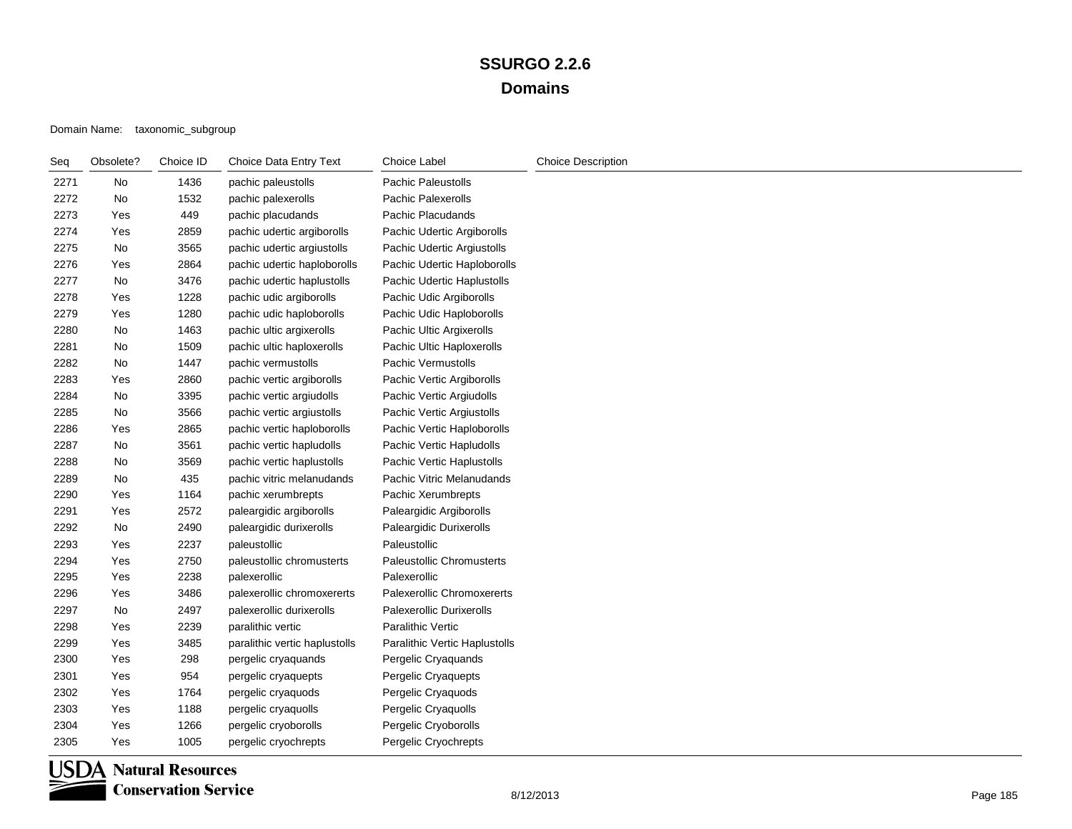| Seq  | Obsolete? | Choice ID | Choice Data Entry Text        | <b>Choice Label</b>              | <b>Choice Description</b> |
|------|-----------|-----------|-------------------------------|----------------------------------|---------------------------|
| 2271 | No        | 1436      | pachic paleustolls            | <b>Pachic Paleustolls</b>        |                           |
| 2272 | No        | 1532      | pachic palexerolls            | Pachic Palexerolls               |                           |
| 2273 | Yes       | 449       | pachic placudands             | Pachic Placudands                |                           |
| 2274 | Yes       | 2859      | pachic udertic argiborolls    | Pachic Udertic Argiborolls       |                           |
| 2275 | No        | 3565      | pachic udertic argiustolls    | Pachic Udertic Argiustolls       |                           |
| 2276 | Yes       | 2864      | pachic udertic haploborolls   | Pachic Udertic Haploborolls      |                           |
| 2277 | No        | 3476      | pachic udertic haplustolls    | Pachic Udertic Haplustolls       |                           |
| 2278 | Yes       | 1228      | pachic udic argiborolls       | Pachic Udic Argiborolls          |                           |
| 2279 | Yes       | 1280      | pachic udic haploborolls      | Pachic Udic Haploborolls         |                           |
| 2280 | No        | 1463      | pachic ultic argixerolls      | Pachic Ultic Argixerolls         |                           |
| 2281 | No        | 1509      | pachic ultic haploxerolls     | Pachic Ultic Haploxerolls        |                           |
| 2282 | No        | 1447      | pachic vermustolls            | Pachic Vermustolls               |                           |
| 2283 | Yes       | 2860      | pachic vertic argiborolls     | Pachic Vertic Argiborolls        |                           |
| 2284 | No        | 3395      | pachic vertic argiudolls      | Pachic Vertic Argiudolls         |                           |
| 2285 | No        | 3566      | pachic vertic argiustolls     | Pachic Vertic Argiustolls        |                           |
| 2286 | Yes       | 2865      | pachic vertic haploborolls    | Pachic Vertic Haploborolls       |                           |
| 2287 | No        | 3561      | pachic vertic hapludolls      | Pachic Vertic Hapludolls         |                           |
| 2288 | No        | 3569      | pachic vertic haplustolls     | Pachic Vertic Haplustolls        |                           |
| 2289 | No        | 435       | pachic vitric melanudands     | Pachic Vitric Melanudands        |                           |
| 2290 | Yes       | 1164      | pachic xerumbrepts            | Pachic Xerumbrepts               |                           |
| 2291 | Yes       | 2572      | paleargidic argiborolls       | Paleargidic Argiborolls          |                           |
| 2292 | No        | 2490      | paleargidic durixerolls       | Paleargidic Durixerolls          |                           |
| 2293 | Yes       | 2237      | paleustollic                  | Paleustollic                     |                           |
| 2294 | Yes       | 2750      | paleustollic chromusterts     | <b>Paleustollic Chromusterts</b> |                           |
| 2295 | Yes       | 2238      | palexerollic                  | Palexerollic                     |                           |
| 2296 | Yes       | 3486      | palexerollic chromoxererts    | Palexerollic Chromoxererts       |                           |
| 2297 | No        | 2497      | palexerollic durixerolls      | Palexerollic Durixerolls         |                           |
| 2298 | Yes       | 2239      | paralithic vertic             | Paralithic Vertic                |                           |
| 2299 | Yes       | 3485      | paralithic vertic haplustolls | Paralithic Vertic Haplustolls    |                           |
| 2300 | Yes       | 298       | pergelic cryaquands           | Pergelic Cryaquands              |                           |
| 2301 | Yes       | 954       | pergelic cryaquepts           | Pergelic Cryaquepts              |                           |
| 2302 | Yes       | 1764      | pergelic cryaquods            | Pergelic Cryaquods               |                           |
| 2303 | Yes       | 1188      | pergelic cryaquolls           | Pergelic Cryaquolls              |                           |
| 2304 | Yes       | 1266      | pergelic cryoborolls          | Pergelic Cryoborolls             |                           |
| 2305 | Yes       | 1005      | pergelic cryochrepts          | Pergelic Cryochrepts             |                           |

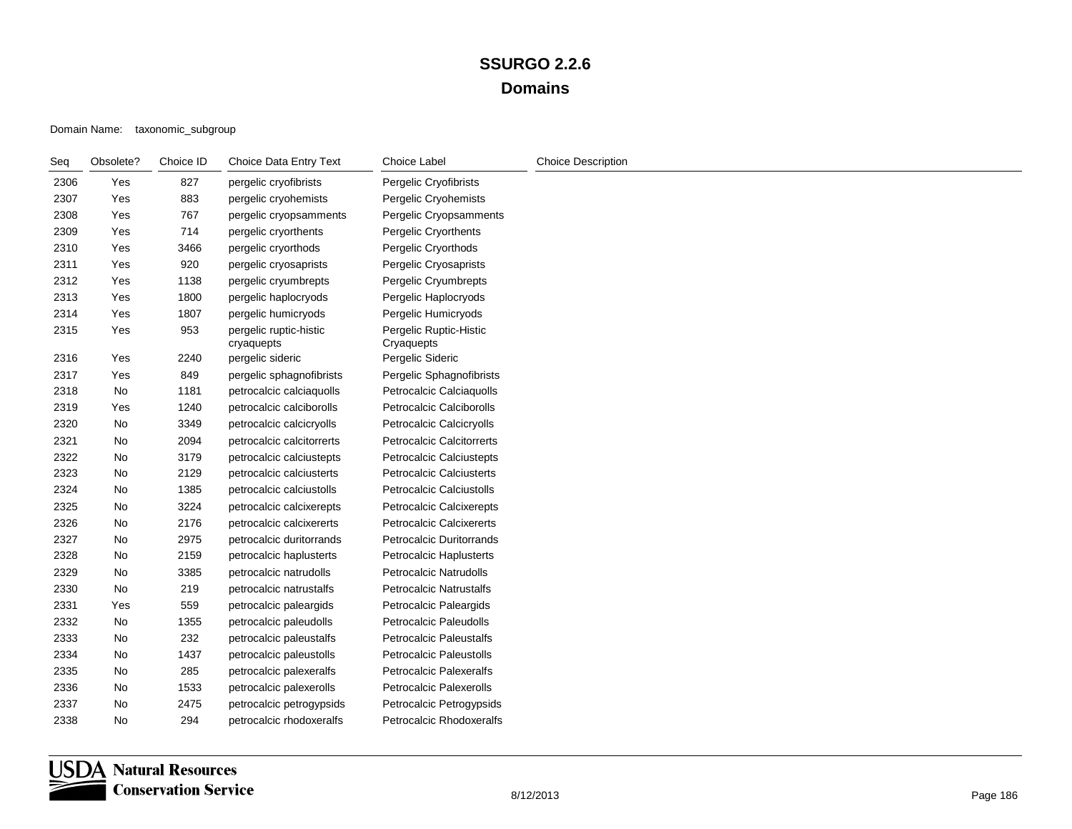| Seq  | Obsolete? | Choice ID | Choice Data Entry Text               | Choice Label                         | <b>Choice Description</b> |
|------|-----------|-----------|--------------------------------------|--------------------------------------|---------------------------|
| 2306 | Yes       | 827       | pergelic cryofibrists                | Pergelic Cryofibrists                |                           |
| 2307 | Yes       | 883       | pergelic cryohemists                 | Pergelic Cryohemists                 |                           |
| 2308 | Yes       | 767       | pergelic cryopsamments               | Pergelic Cryopsamments               |                           |
| 2309 | Yes       | 714       | pergelic cryorthents                 | Pergelic Cryorthents                 |                           |
| 2310 | Yes       | 3466      | pergelic cryorthods                  | Pergelic Cryorthods                  |                           |
| 2311 | Yes       | 920       | pergelic cryosaprists                | Pergelic Cryosaprists                |                           |
| 2312 | Yes       | 1138      | pergelic cryumbrepts                 | Pergelic Cryumbrepts                 |                           |
| 2313 | Yes       | 1800      | pergelic haplocryods                 | Pergelic Haplocryods                 |                           |
| 2314 | Yes       | 1807      | pergelic humicryods                  | Pergelic Humicryods                  |                           |
| 2315 | Yes       | 953       | pergelic ruptic-histic<br>cryaquepts | Pergelic Ruptic-Histic<br>Cryaquepts |                           |
| 2316 | Yes       | 2240      | pergelic sideric                     | Pergelic Sideric                     |                           |
| 2317 | Yes       | 849       | pergelic sphagnofibrists             | Pergelic Sphagnofibrists             |                           |
| 2318 | No        | 1181      | petrocalcic calciaquolls             | Petrocalcic Calciaquolls             |                           |
| 2319 | Yes       | 1240      | petrocalcic calciborolls             | Petrocalcic Calciborolls             |                           |
| 2320 | No        | 3349      | petrocalcic calcicryolls             | Petrocalcic Calcicryolls             |                           |
| 2321 | No        | 2094      | petrocalcic calcitorrerts            | <b>Petrocalcic Calcitorrerts</b>     |                           |
| 2322 | No        | 3179      | petrocalcic calciustepts             | <b>Petrocalcic Calciustepts</b>      |                           |
| 2323 | No        | 2129      | petrocalcic calciusterts             | <b>Petrocalcic Calciusterts</b>      |                           |
| 2324 | No        | 1385      | petrocalcic calciustolls             | <b>Petrocalcic Calciustolls</b>      |                           |
| 2325 | No        | 3224      | petrocalcic calcixerepts             | Petrocalcic Calcixerepts             |                           |
| 2326 | No        | 2176      | petrocalcic calcixererts             | <b>Petrocalcic Calcixererts</b>      |                           |
| 2327 | No        | 2975      | petrocalcic duritorrands             | <b>Petrocalcic Duritorrands</b>      |                           |
| 2328 | No        | 2159      | petrocalcic haplusterts              | <b>Petrocalcic Haplusterts</b>       |                           |
| 2329 | No        | 3385      | petrocalcic natrudolls               | <b>Petrocalcic Natrudolls</b>        |                           |
| 2330 | No        | 219       | petrocalcic natrustalfs              | <b>Petrocalcic Natrustalfs</b>       |                           |
| 2331 | Yes       | 559       | petrocalcic paleargids               | <b>Petrocalcic Paleargids</b>        |                           |
| 2332 | No        | 1355      | petrocalcic paleudolls               | <b>Petrocalcic Paleudolls</b>        |                           |
| 2333 | No        | 232       | petrocalcic paleustalfs              | <b>Petrocalcic Paleustalfs</b>       |                           |
| 2334 | No        | 1437      | petrocalcic paleustolls              | <b>Petrocalcic Paleustolls</b>       |                           |
| 2335 | No        | 285       | petrocalcic palexeralfs              | <b>Petrocalcic Palexeralfs</b>       |                           |
| 2336 | No        | 1533      | petrocalcic palexerolls              | <b>Petrocalcic Palexerolls</b>       |                           |
| 2337 | No        | 2475      | petrocalcic petrogypsids             | Petrocalcic Petrogypsids             |                           |
| 2338 | No.       | 294       | petrocalcic rhodoxeralfs             | Petrocalcic Rhodoxeralfs             |                           |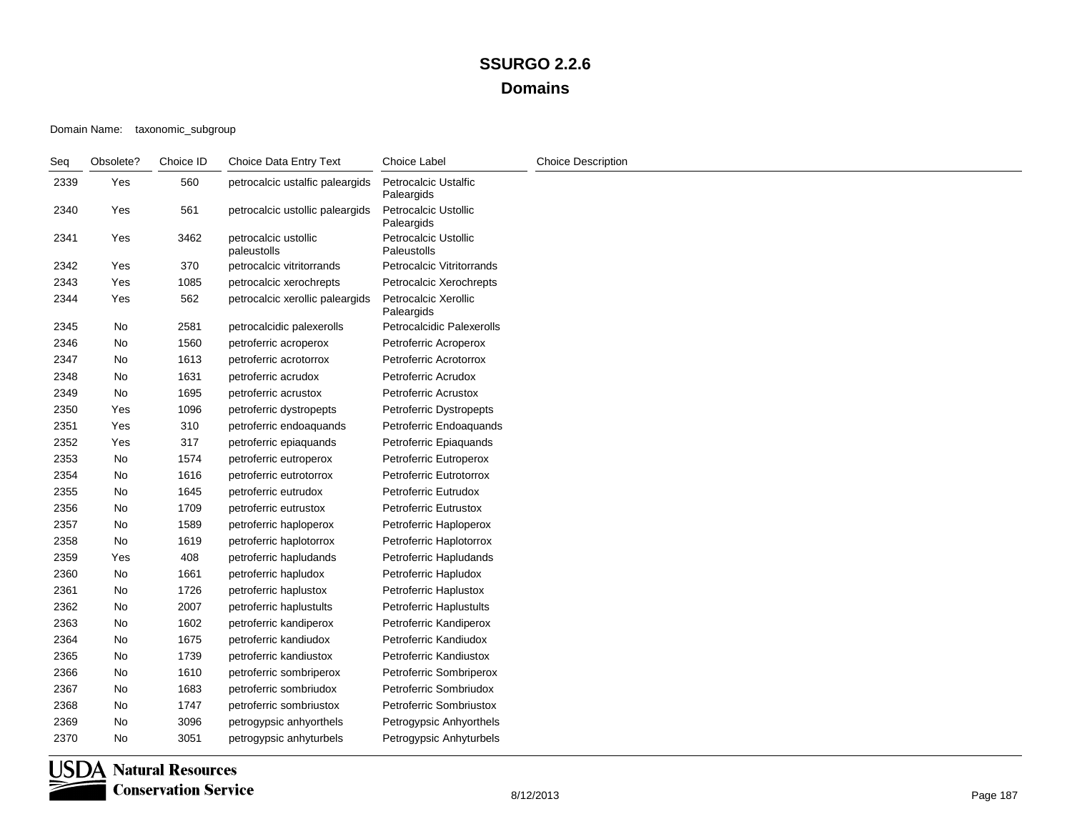| Seq  | Obsolete? | Choice ID | Choice Data Entry Text              | <b>Choice Label</b>                       | <b>Choice Description</b> |
|------|-----------|-----------|-------------------------------------|-------------------------------------------|---------------------------|
| 2339 | Yes       | 560       | petrocalcic ustalfic paleargids     | <b>Petrocalcic Ustalfic</b><br>Paleargids |                           |
| 2340 | Yes       | 561       | petrocalcic ustollic paleargids     | Petrocalcic Ustollic<br>Paleargids        |                           |
| 2341 | Yes       | 3462      | petrocalcic ustollic<br>paleustolls | Petrocalcic Ustollic<br>Paleustolls       |                           |
| 2342 | Yes       | 370       | petrocalcic vitritorrands           | <b>Petrocalcic Vitritorrands</b>          |                           |
| 2343 | Yes       | 1085      | petrocalcic xerochrepts             | Petrocalcic Xerochrepts                   |                           |
| 2344 | Yes       | 562       | petrocalcic xerollic paleargids     | Petrocalcic Xerollic<br>Paleargids        |                           |
| 2345 | No        | 2581      | petrocalcidic palexerolls           | Petrocalcidic Palexerolls                 |                           |
| 2346 | No        | 1560      | petroferric acroperox               | Petroferric Acroperox                     |                           |
| 2347 | No        | 1613      | petroferric acrotorrox              | Petroferric Acrotorrox                    |                           |
| 2348 | No        | 1631      | petroferric acrudox                 | Petroferric Acrudox                       |                           |
| 2349 | No        | 1695      | petroferric acrustox                | <b>Petroferric Acrustox</b>               |                           |
| 2350 | Yes       | 1096      | petroferric dystropepts             | Petroferric Dystropepts                   |                           |
| 2351 | Yes       | 310       | petroferric endoaquands             | Petroferric Endoaquands                   |                           |
| 2352 | Yes       | 317       | petroferric epiaquands              | Petroferric Epiaquands                    |                           |
| 2353 | No        | 1574      | petroferric eutroperox              | Petroferric Eutroperox                    |                           |
| 2354 | No        | 1616      | petroferric eutrotorrox             | <b>Petroferric Eutrotorrox</b>            |                           |
| 2355 | No        | 1645      | petroferric eutrudox                | Petroferric Eutrudox                      |                           |
| 2356 | No        | 1709      | petroferric eutrustox               | <b>Petroferric Eutrustox</b>              |                           |
| 2357 | No        | 1589      | petroferric haploperox              | Petroferric Haploperox                    |                           |
| 2358 | No        | 1619      | petroferric haplotorrox             | Petroferric Haplotorrox                   |                           |
| 2359 | Yes       | 408       | petroferric hapludands              | Petroferric Hapludands                    |                           |
| 2360 | No        | 1661      | petroferric hapludox                | Petroferric Hapludox                      |                           |
| 2361 | No        | 1726      | petroferric haplustox               | Petroferric Haplustox                     |                           |
| 2362 | No        | 2007      | petroferric haplustults             | Petroferric Haplustults                   |                           |
| 2363 | No        | 1602      | petroferric kandiperox              | Petroferric Kandiperox                    |                           |
| 2364 | No        | 1675      | petroferric kandiudox               | Petroferric Kandiudox                     |                           |
| 2365 | No        | 1739      | petroferric kandiustox              | Petroferric Kandiustox                    |                           |
| 2366 | No        | 1610      | petroferric sombriperox             | Petroferric Sombriperox                   |                           |
| 2367 | No        | 1683      | petroferric sombriudox              | Petroferric Sombriudox                    |                           |
| 2368 | No        | 1747      | petroferric sombriustox             | Petroferric Sombriustox                   |                           |
| 2369 | No        | 3096      | petrogypsic anhyorthels             | Petrogypsic Anhyorthels                   |                           |
| 2370 | No        | 3051      | petrogypsic anhyturbels             | Petrogypsic Anhyturbels                   |                           |

**USDA** Natural Resources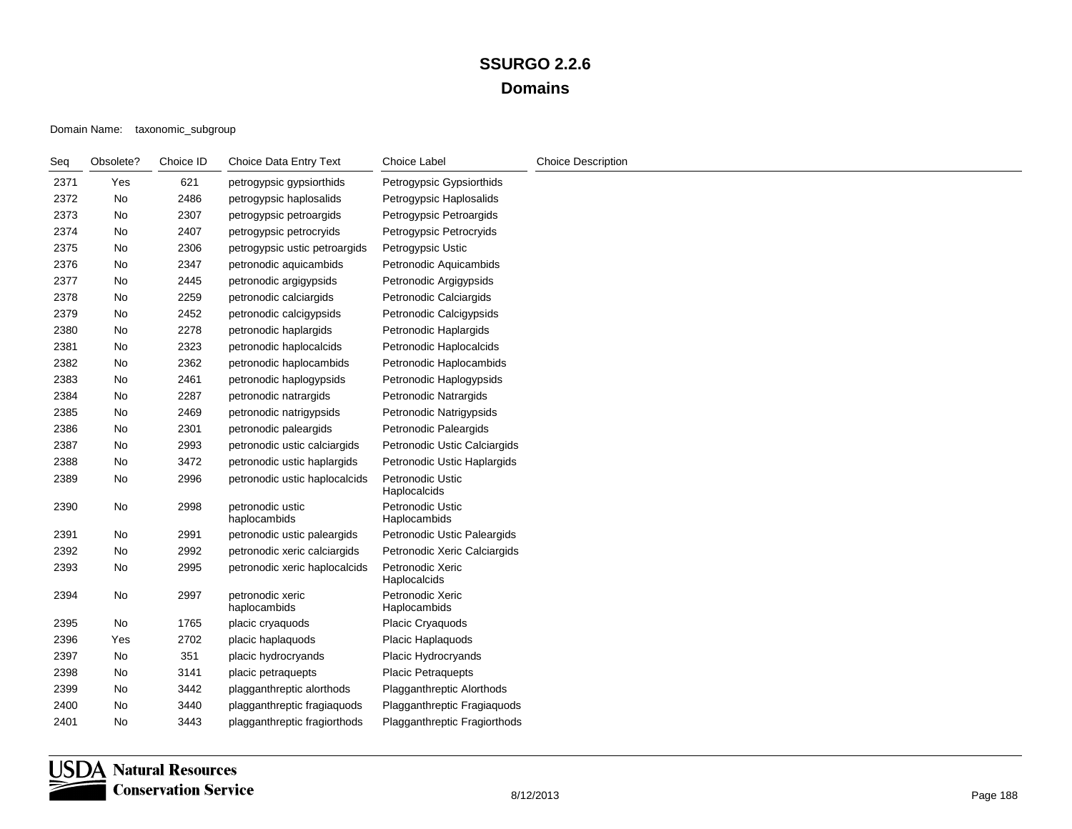| Seq  | Obsolete? | Choice ID | Choice Data Entry Text           | Choice Label                            | <b>Choice Description</b> |
|------|-----------|-----------|----------------------------------|-----------------------------------------|---------------------------|
| 2371 | Yes       | 621       | petrogypsic gypsiorthids         | Petrogypsic Gypsiorthids                |                           |
| 2372 | No        | 2486      | petrogypsic haplosalids          | Petrogypsic Haplosalids                 |                           |
| 2373 | No        | 2307      | petrogypsic petroargids          | Petrogypsic Petroargids                 |                           |
| 2374 | No        | 2407      | petrogypsic petrocryids          | Petrogypsic Petrocryids                 |                           |
| 2375 | No        | 2306      | petrogypsic ustic petroargids    | Petrogypsic Ustic                       |                           |
| 2376 | No        | 2347      | petronodic aquicambids           | Petronodic Aquicambids                  |                           |
| 2377 | No        | 2445      | petronodic argigypsids           | Petronodic Argigypsids                  |                           |
| 2378 | No        | 2259      | petronodic calciargids           | Petronodic Calciargids                  |                           |
| 2379 | No        | 2452      | petronodic calcigypsids          | Petronodic Calcigypsids                 |                           |
| 2380 | No        | 2278      | petronodic haplargids            | Petronodic Haplargids                   |                           |
| 2381 | No        | 2323      | petronodic haplocalcids          | Petronodic Haplocalcids                 |                           |
| 2382 | No        | 2362      | petronodic haplocambids          | Petronodic Haplocambids                 |                           |
| 2383 | No        | 2461      | petronodic haplogypsids          | Petronodic Haplogypsids                 |                           |
| 2384 | No        | 2287      | petronodic natrargids            | Petronodic Natrargids                   |                           |
| 2385 | No        | 2469      | petronodic natrigypsids          | Petronodic Natrigypsids                 |                           |
| 2386 | No        | 2301      | petronodic paleargids            | Petronodic Paleargids                   |                           |
| 2387 | No        | 2993      | petronodic ustic calciargids     | Petronodic Ustic Calciargids            |                           |
| 2388 | No        | 3472      | petronodic ustic haplargids      | Petronodic Ustic Haplargids             |                           |
| 2389 | No        | 2996      | petronodic ustic haplocalcids    | <b>Petronodic Ustic</b><br>Haplocalcids |                           |
| 2390 | No        | 2998      | petronodic ustic<br>haplocambids | <b>Petronodic Ustic</b><br>Haplocambids |                           |
| 2391 | No        | 2991      | petronodic ustic paleargids      | Petronodic Ustic Paleargids             |                           |
| 2392 | No        | 2992      | petronodic xeric calciargids     | Petronodic Xeric Calciargids            |                           |
| 2393 | No        | 2995      | petronodic xeric haplocalcids    | Petronodic Xeric<br>Haplocalcids        |                           |
| 2394 | No        | 2997      | petronodic xeric<br>haplocambids | Petronodic Xeric<br>Haplocambids        |                           |
| 2395 | No        | 1765      | placic cryaquods                 | Placic Cryaquods                        |                           |
| 2396 | Yes       | 2702      | placic haplaquods                | Placic Haplaquods                       |                           |
| 2397 | No        | 351       | placic hydrocryands              | Placic Hydrocryands                     |                           |
| 2398 | No        | 3141      | placic petraquepts               | Placic Petraquepts                      |                           |
| 2399 | No        | 3442      | plagganthreptic alorthods        | Plagganthreptic Alorthods               |                           |
| 2400 | No        | 3440      | plagganthreptic fragiaquods      | Plagganthreptic Fragiaguods             |                           |
| 2401 | No        | 3443      | plagganthreptic fragiorthods     | <b>Plagganthreptic Fragiorthods</b>     |                           |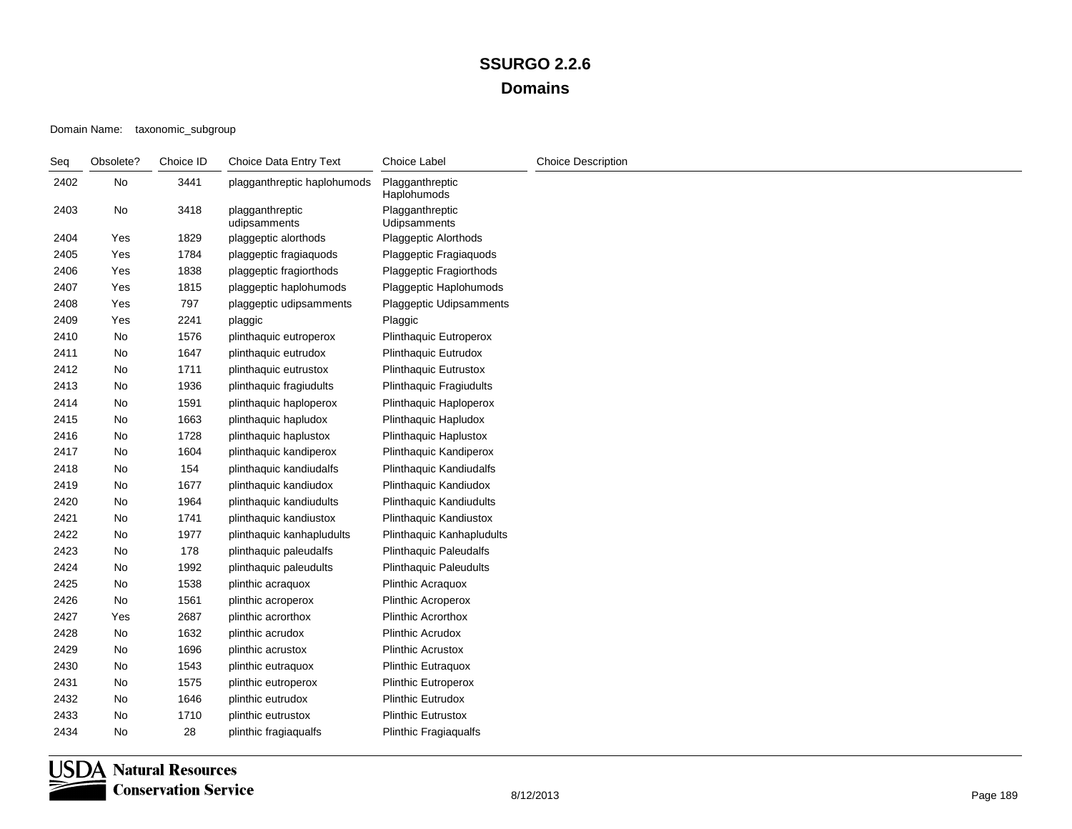| Seq  | Obsolete? | Choice ID | Choice Data Entry Text          | Choice Label                     | <b>Choice Description</b> |
|------|-----------|-----------|---------------------------------|----------------------------------|---------------------------|
| 2402 | No        | 3441      | plagganthreptic haplohumods     | Plagganthreptic<br>Haplohumods   |                           |
| 2403 | No        | 3418      | plagganthreptic<br>udipsamments | Plagganthreptic<br>Udipsamments  |                           |
| 2404 | Yes       | 1829      | plaggeptic alorthods            | Plaggeptic Alorthods             |                           |
| 2405 | Yes       | 1784      | plaggeptic fragiaquods          | Plaggeptic Fragiaquods           |                           |
| 2406 | Yes       | 1838      | plaggeptic fragiorthods         | Plaggeptic Fragiorthods          |                           |
| 2407 | Yes       | 1815      | plaggeptic haplohumods          | Plaggeptic Haplohumods           |                           |
| 2408 | Yes       | 797       | plaggeptic udipsamments         | <b>Plaggeptic Udipsamments</b>   |                           |
| 2409 | Yes       | 2241      | plaggic                         | Plaggic                          |                           |
| 2410 | No        | 1576      | plinthaquic eutroperox          | <b>Plinthaquic Eutroperox</b>    |                           |
| 2411 | No        | 1647      | plinthaquic eutrudox            | <b>Plinthaquic Eutrudox</b>      |                           |
| 2412 | No        | 1711      | plinthaquic eutrustox           | <b>Plinthaquic Eutrustox</b>     |                           |
| 2413 | No        | 1936      | plinthaquic fragiudults         | Plinthaquic Fragiudults          |                           |
| 2414 | No        | 1591      | plinthaquic haploperox          | Plinthaquic Haploperox           |                           |
| 2415 | No        | 1663      | plinthaquic hapludox            | Plinthaquic Hapludox             |                           |
| 2416 | No        | 1728      | plinthaquic haplustox           | <b>Plinthaquic Haplustox</b>     |                           |
| 2417 | No        | 1604      | plinthaquic kandiperox          | Plinthaquic Kandiperox           |                           |
| 2418 | No        | 154       | plinthaquic kandiudalfs         | <b>Plinthaquic Kandiudalfs</b>   |                           |
| 2419 | No        | 1677      | plinthaquic kandiudox           | Plinthaquic Kandiudox            |                           |
| 2420 | No        | 1964      | plinthaquic kandiudults         | <b>Plinthaquic Kandiudults</b>   |                           |
| 2421 | No        | 1741      | plinthaquic kandiustox          | <b>Plinthaquic Kandiustox</b>    |                           |
| 2422 | No        | 1977      | plinthaquic kanhapludults       | <b>Plinthaquic Kanhapludults</b> |                           |
| 2423 | No        | 178       | plinthaquic paleudalfs          | <b>Plinthaquic Paleudalfs</b>    |                           |
| 2424 | No        | 1992      | plinthaquic paleudults          | <b>Plinthaquic Paleudults</b>    |                           |
| 2425 | No        | 1538      | plinthic acraquox               | <b>Plinthic Acraguox</b>         |                           |
| 2426 | No        | 1561      | plinthic acroperox              | <b>Plinthic Acroperox</b>        |                           |
| 2427 | Yes       | 2687      | plinthic acrorthox              | <b>Plinthic Acrorthox</b>        |                           |
| 2428 | No        | 1632      | plinthic acrudox                | <b>Plinthic Acrudox</b>          |                           |
| 2429 | No        | 1696      | plinthic acrustox               | <b>Plinthic Acrustox</b>         |                           |
| 2430 | No        | 1543      | plinthic eutraquox              | Plinthic Eutraquox               |                           |
| 2431 | No        | 1575      | plinthic eutroperox             | <b>Plinthic Eutroperox</b>       |                           |
| 2432 | No        | 1646      | plinthic eutrudox               | <b>Plinthic Eutrudox</b>         |                           |
| 2433 | No        | 1710      | plinthic eutrustox              | <b>Plinthic Eutrustox</b>        |                           |
| 2434 | No        | 28        | plinthic fragiaqualfs           | Plinthic Fragiaqualfs            |                           |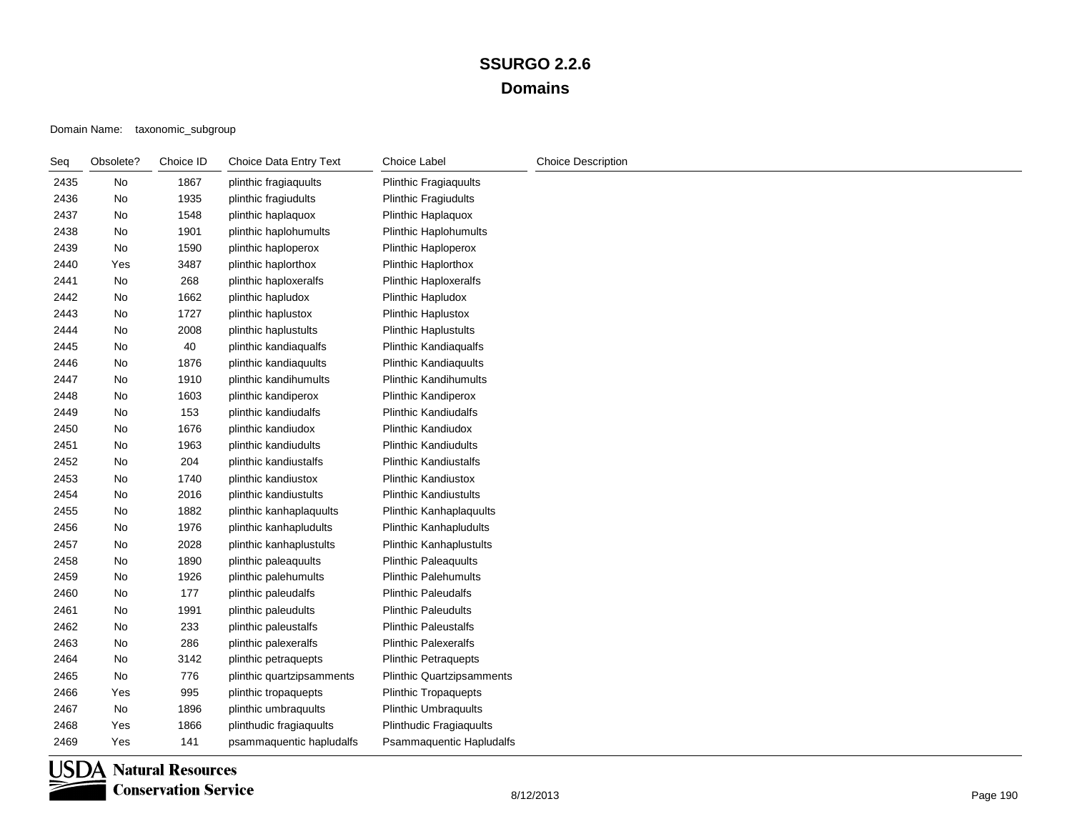| Seq  | Obsolete? | Choice ID | Choice Data Entry Text    | Choice Label                     | <b>Choice Description</b> |
|------|-----------|-----------|---------------------------|----------------------------------|---------------------------|
| 2435 | No        | 1867      | plinthic fragiaquults     | <b>Plinthic Fragiaquults</b>     |                           |
| 2436 | No        | 1935      | plinthic fragiudults      | <b>Plinthic Fragiudults</b>      |                           |
| 2437 | No        | 1548      | plinthic haplaquox        | <b>Plinthic Haplaquox</b>        |                           |
| 2438 | No        | 1901      | plinthic haplohumults     | <b>Plinthic Haplohumults</b>     |                           |
| 2439 | No        | 1590      | plinthic haploperox       | Plinthic Haploperox              |                           |
| 2440 | Yes       | 3487      | plinthic haplorthox       | Plinthic Haplorthox              |                           |
| 2441 | No        | 268       | plinthic haploxeralfs     | <b>Plinthic Haploxeralfs</b>     |                           |
| 2442 | No        | 1662      | plinthic hapludox         | <b>Plinthic Hapludox</b>         |                           |
| 2443 | No        | 1727      | plinthic haplustox        | <b>Plinthic Haplustox</b>        |                           |
| 2444 | No        | 2008      | plinthic haplustults      | <b>Plinthic Haplustults</b>      |                           |
| 2445 | No        | 40        | plinthic kandiaqualfs     | <b>Plinthic Kandiagualfs</b>     |                           |
| 2446 | No        | 1876      | plinthic kandiaquults     | <b>Plinthic Kandiaguults</b>     |                           |
| 2447 | No        | 1910      | plinthic kandihumults     | <b>Plinthic Kandihumults</b>     |                           |
| 2448 | No        | 1603      | plinthic kandiperox       | Plinthic Kandiperox              |                           |
| 2449 | No        | 153       | plinthic kandiudalfs      | <b>Plinthic Kandiudalfs</b>      |                           |
| 2450 | No        | 1676      | plinthic kandiudox        | <b>Plinthic Kandiudox</b>        |                           |
| 2451 | No        | 1963      | plinthic kandiudults      | <b>Plinthic Kandiudults</b>      |                           |
| 2452 | No        | 204       | plinthic kandiustalfs     | <b>Plinthic Kandiustalfs</b>     |                           |
| 2453 | No        | 1740      | plinthic kandiustox       | <b>Plinthic Kandiustox</b>       |                           |
| 2454 | No        | 2016      | plinthic kandiustults     | <b>Plinthic Kandiustults</b>     |                           |
| 2455 | No        | 1882      | plinthic kanhaplaquults   | <b>Plinthic Kanhaplaquults</b>   |                           |
| 2456 | No        | 1976      | plinthic kanhapludults    | <b>Plinthic Kanhapludults</b>    |                           |
| 2457 | No        | 2028      | plinthic kanhaplustults   | <b>Plinthic Kanhaplustults</b>   |                           |
| 2458 | No        | 1890      | plinthic paleaquults      | <b>Plinthic Paleaquults</b>      |                           |
| 2459 | No        | 1926      | plinthic palehumults      | <b>Plinthic Palehumults</b>      |                           |
| 2460 | No        | 177       | plinthic paleudalfs       | <b>Plinthic Paleudalfs</b>       |                           |
| 2461 | No        | 1991      | plinthic paleudults       | <b>Plinthic Paleudults</b>       |                           |
| 2462 | No        | 233       | plinthic paleustalfs      | <b>Plinthic Paleustalfs</b>      |                           |
| 2463 | No        | 286       | plinthic palexeralfs      | <b>Plinthic Palexeralfs</b>      |                           |
| 2464 | No        | 3142      | plinthic petraquepts      | <b>Plinthic Petraquepts</b>      |                           |
| 2465 | No        | 776       | plinthic quartzipsamments | <b>Plinthic Quartzipsamments</b> |                           |
| 2466 | Yes       | 995       | plinthic tropaquepts      | <b>Plinthic Tropaquepts</b>      |                           |
| 2467 | No        | 1896      | plinthic umbraquults      | <b>Plinthic Umbraquults</b>      |                           |
| 2468 | Yes       | 1866      | plinthudic fragiaquults   | <b>Plinthudic Fragiaquults</b>   |                           |
| 2469 | Yes       | 141       | psammaquentic hapludalfs  | Psammaquentic Hapludalfs         |                           |

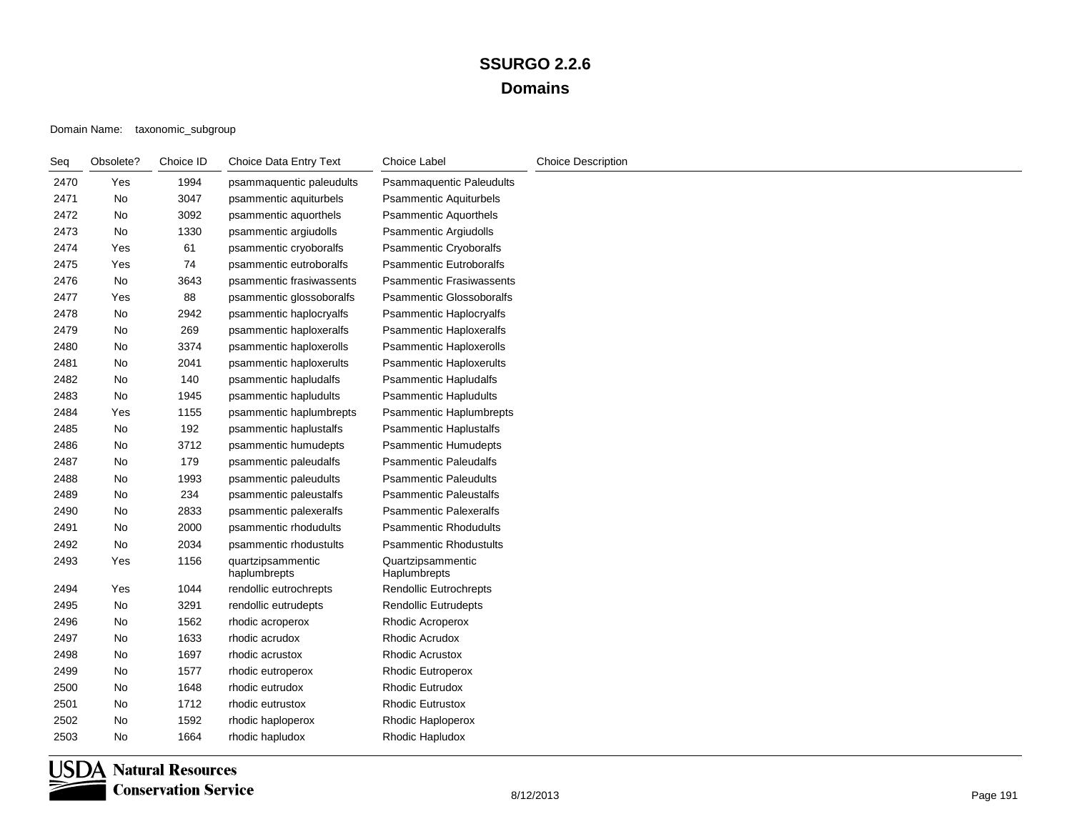| Seq  | Obsolete? | Choice ID | Choice Data Entry Text            | <b>Choice Label</b>               | <b>Choice Description</b> |
|------|-----------|-----------|-----------------------------------|-----------------------------------|---------------------------|
| 2470 | Yes       | 1994      | psammaquentic paleudults          | <b>Psammaquentic Paleudults</b>   |                           |
| 2471 | No        | 3047      | psammentic aquiturbels            | <b>Psammentic Aquiturbels</b>     |                           |
| 2472 | No        | 3092      | psammentic aquorthels             | <b>Psammentic Aquorthels</b>      |                           |
| 2473 | No        | 1330      | psammentic argiudolls             | <b>Psammentic Argiudolls</b>      |                           |
| 2474 | Yes       | 61        | psammentic cryoboralfs            | <b>Psammentic Cryoboralfs</b>     |                           |
| 2475 | Yes       | 74        | psammentic eutroboralfs           | <b>Psammentic Eutroboralfs</b>    |                           |
| 2476 | No        | 3643      | psammentic frasiwassents          | <b>Psammentic Frasiwassents</b>   |                           |
| 2477 | Yes       | 88        | psammentic glossoboralfs          | <b>Psammentic Glossoboralfs</b>   |                           |
| 2478 | No        | 2942      | psammentic haplocryalfs           | Psammentic Haplocryalfs           |                           |
| 2479 | No        | 269       | psammentic haploxeralfs           | <b>Psammentic Haploxeralfs</b>    |                           |
| 2480 | No        | 3374      | psammentic haploxerolls           | <b>Psammentic Haploxerolls</b>    |                           |
| 2481 | No        | 2041      | psammentic haploxerults           | <b>Psammentic Haploxerults</b>    |                           |
| 2482 | No        | 140       | psammentic hapludalfs             | <b>Psammentic Hapludalfs</b>      |                           |
| 2483 | No        | 1945      | psammentic hapludults             | <b>Psammentic Hapludults</b>      |                           |
| 2484 | Yes       | 1155      | psammentic haplumbrepts           | <b>Psammentic Haplumbrepts</b>    |                           |
| 2485 | No        | 192       | psammentic haplustalfs            | <b>Psammentic Haplustalfs</b>     |                           |
| 2486 | No        | 3712      | psammentic humudepts              | <b>Psammentic Humudepts</b>       |                           |
| 2487 | No        | 179       | psammentic paleudalfs             | <b>Psammentic Paleudalfs</b>      |                           |
| 2488 | No        | 1993      | psammentic paleudults             | <b>Psammentic Paleudults</b>      |                           |
| 2489 | No        | 234       | psammentic paleustalfs            | <b>Psammentic Paleustalfs</b>     |                           |
| 2490 | No        | 2833      | psammentic palexeralfs            | <b>Psammentic Palexeralfs</b>     |                           |
| 2491 | No        | 2000      | psammentic rhodudults             | <b>Psammentic Rhodudults</b>      |                           |
| 2492 | No        | 2034      | psammentic rhodustults            | <b>Psammentic Rhodustults</b>     |                           |
| 2493 | Yes       | 1156      | quartzipsammentic<br>haplumbrepts | Quartzipsammentic<br>Haplumbrepts |                           |
| 2494 | Yes       | 1044      | rendollic eutrochrepts            | Rendollic Eutrochrepts            |                           |
| 2495 | No        | 3291      | rendollic eutrudepts              | <b>Rendollic Eutrudepts</b>       |                           |
| 2496 | No        | 1562      | rhodic acroperox                  | Rhodic Acroperox                  |                           |
| 2497 | No        | 1633      | rhodic acrudox                    | <b>Rhodic Acrudox</b>             |                           |
| 2498 | No        | 1697      | rhodic acrustox                   | <b>Rhodic Acrustox</b>            |                           |
| 2499 | No        | 1577      | rhodic eutroperox                 | <b>Rhodic Eutroperox</b>          |                           |
| 2500 | No        | 1648      | rhodic eutrudox                   | <b>Rhodic Eutrudox</b>            |                           |
| 2501 | No        | 1712      | rhodic eutrustox                  | <b>Rhodic Eutrustox</b>           |                           |
| 2502 | No        | 1592      | rhodic haploperox                 | Rhodic Haploperox                 |                           |
| 2503 | No        | 1664      | rhodic hapludox                   | Rhodic Hapludox                   |                           |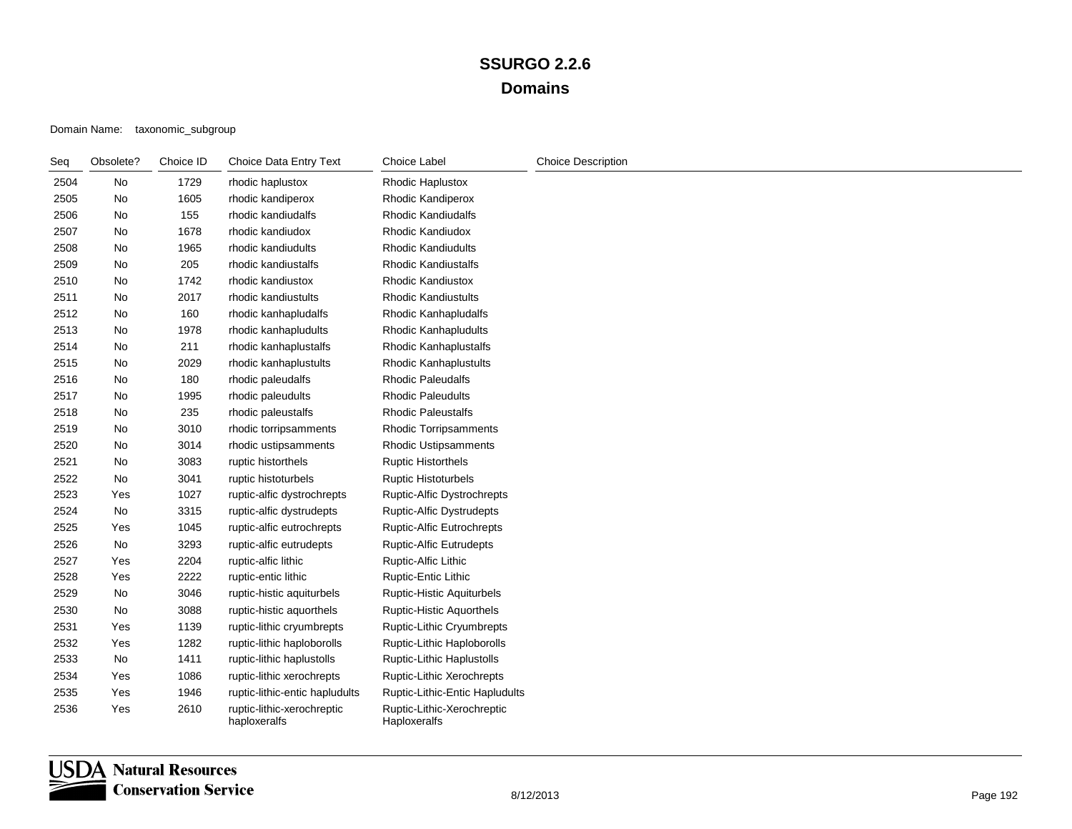| Seq  | Obsolete? | Choice ID | Choice Data Entry Text                     | Choice Label                               | <b>Choice Description</b> |
|------|-----------|-----------|--------------------------------------------|--------------------------------------------|---------------------------|
| 2504 | No        | 1729      | rhodic haplustox                           | Rhodic Haplustox                           |                           |
| 2505 | No        | 1605      | rhodic kandiperox                          | <b>Rhodic Kandiperox</b>                   |                           |
| 2506 | No        | 155       | rhodic kandiudalfs                         | <b>Rhodic Kandiudalfs</b>                  |                           |
| 2507 | No        | 1678      | rhodic kandiudox                           | <b>Rhodic Kandiudox</b>                    |                           |
| 2508 | No        | 1965      | rhodic kandiudults                         | <b>Rhodic Kandiudults</b>                  |                           |
| 2509 | No        | 205       | rhodic kandiustalfs                        | <b>Rhodic Kandiustalfs</b>                 |                           |
| 2510 | No        | 1742      | rhodic kandiustox                          | <b>Rhodic Kandiustox</b>                   |                           |
| 2511 | No        | 2017      | rhodic kandiustults                        | <b>Rhodic Kandiustults</b>                 |                           |
| 2512 | No        | 160       | rhodic kanhapludalfs                       | Rhodic Kanhapludalfs                       |                           |
| 2513 | No        | 1978      | rhodic kanhapludults                       | Rhodic Kanhapludults                       |                           |
| 2514 | No        | 211       | rhodic kanhaplustalfs                      | <b>Rhodic Kanhaplustalfs</b>               |                           |
| 2515 | No        | 2029      | rhodic kanhaplustults                      | <b>Rhodic Kanhaplustults</b>               |                           |
| 2516 | No        | 180       | rhodic paleudalfs                          | <b>Rhodic Paleudalfs</b>                   |                           |
| 2517 | No        | 1995      | rhodic paleudults                          | <b>Rhodic Paleudults</b>                   |                           |
| 2518 | No        | 235       | rhodic paleustalfs                         | <b>Rhodic Paleustalfs</b>                  |                           |
| 2519 | No        | 3010      | rhodic torripsamments                      | <b>Rhodic Torripsamments</b>               |                           |
| 2520 | No        | 3014      | rhodic ustipsamments                       | <b>Rhodic Ustipsamments</b>                |                           |
| 2521 | No        | 3083      | ruptic historthels                         | <b>Ruptic Historthels</b>                  |                           |
| 2522 | No        | 3041      | ruptic histoturbels                        | <b>Ruptic Histoturbels</b>                 |                           |
| 2523 | Yes       | 1027      | ruptic-alfic dystrochrepts                 | Ruptic-Alfic Dystrochrepts                 |                           |
| 2524 | No        | 3315      | ruptic-alfic dystrudepts                   | Ruptic-Alfic Dystrudepts                   |                           |
| 2525 | Yes       | 1045      | ruptic-alfic eutrochrepts                  | Ruptic-Alfic Eutrochrepts                  |                           |
| 2526 | No        | 3293      | ruptic-alfic eutrudepts                    | <b>Ruptic-Alfic Eutrudepts</b>             |                           |
| 2527 | Yes       | 2204      | ruptic-alfic lithic                        | Ruptic-Alfic Lithic                        |                           |
| 2528 | Yes       | 2222      | ruptic-entic lithic                        | Ruptic-Entic Lithic                        |                           |
| 2529 | No        | 3046      | ruptic-histic aquiturbels                  | Ruptic-Histic Aquiturbels                  |                           |
| 2530 | No        | 3088      | ruptic-histic aquorthels                   | Ruptic-Histic Aquorthels                   |                           |
| 2531 | Yes       | 1139      | ruptic-lithic cryumbrepts                  | Ruptic-Lithic Cryumbrepts                  |                           |
| 2532 | Yes       | 1282      | ruptic-lithic haploborolls                 | Ruptic-Lithic Haploborolls                 |                           |
| 2533 | No        | 1411      | ruptic-lithic haplustolls                  | Ruptic-Lithic Haplustolls                  |                           |
| 2534 | Yes       | 1086      | ruptic-lithic xerochrepts                  | Ruptic-Lithic Xerochrepts                  |                           |
| 2535 | Yes       | 1946      | ruptic-lithic-entic hapludults             | Ruptic-Lithic-Entic Hapludults             |                           |
| 2536 | Yes       | 2610      | ruptic-lithic-xerochreptic<br>haploxeralfs | Ruptic-Lithic-Xerochreptic<br>Haploxeralfs |                           |

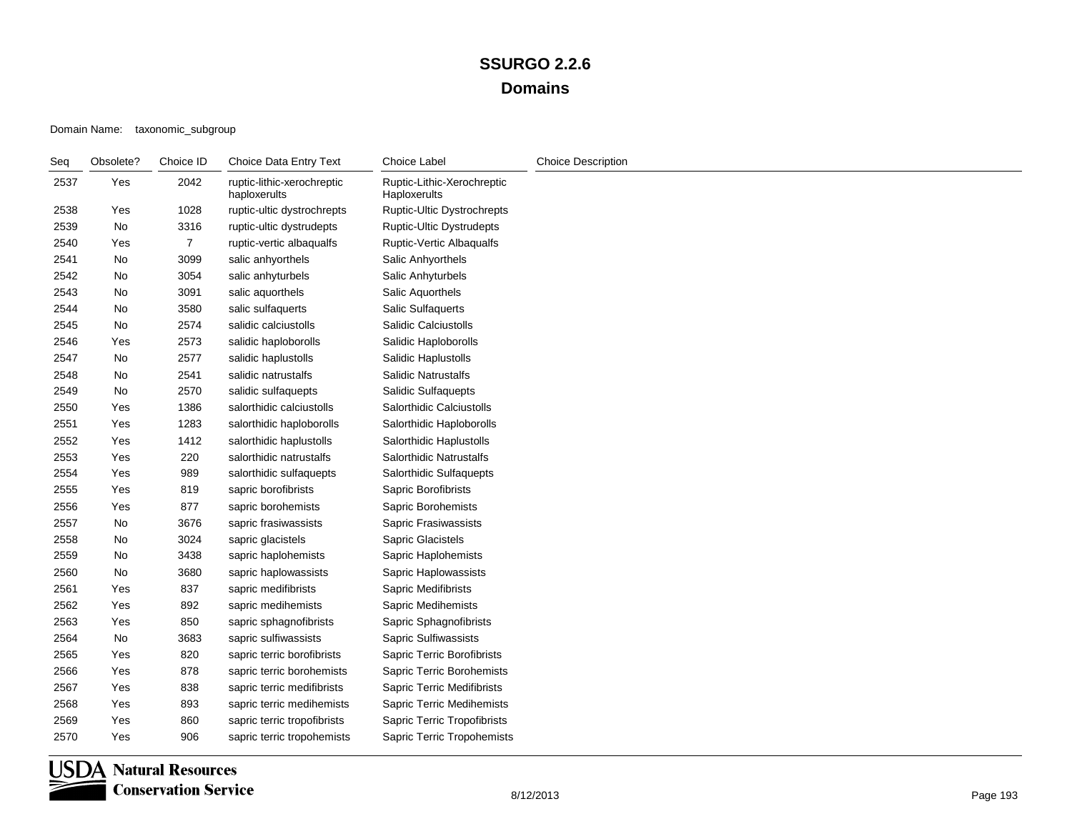### Domain Name: taxonomic\_subgroup

| Seq  | Obsolete? | Choice ID      | Choice Data Entry Text                     | Choice Label                               | <b>Choice Description</b> |
|------|-----------|----------------|--------------------------------------------|--------------------------------------------|---------------------------|
| 2537 | Yes       | 2042           | ruptic-lithic-xerochreptic<br>haploxerults | Ruptic-Lithic-Xerochreptic<br>Haploxerults |                           |
| 2538 | Yes       | 1028           | ruptic-ultic dystrochrepts                 | Ruptic-Ultic Dystrochrepts                 |                           |
| 2539 | No        | 3316           | ruptic-ultic dystrudepts                   | <b>Ruptic-Ultic Dystrudepts</b>            |                           |
| 2540 | Yes       | $\overline{7}$ | ruptic-vertic albaqualfs                   | Ruptic-Vertic Albaqualfs                   |                           |
| 2541 | No        | 3099           | salic anhyorthels                          | Salic Anhyorthels                          |                           |
| 2542 | No        | 3054           | salic anhyturbels                          | Salic Anhyturbels                          |                           |
| 2543 | No        | 3091           | salic aquorthels                           | Salic Aquorthels                           |                           |
| 2544 | No        | 3580           | salic sulfaquerts                          | Salic Sulfaquerts                          |                           |
| 2545 | No        | 2574           | salidic calciustolls                       | Salidic Calciustolls                       |                           |
| 2546 | Yes       | 2573           | salidic haploborolls                       | Salidic Haploborolls                       |                           |
| 2547 | No        | 2577           | salidic haplustolls                        | Salidic Haplustolls                        |                           |
| 2548 | No        | 2541           | salidic natrustalfs                        | <b>Salidic Natrustalfs</b>                 |                           |
| 2549 | No        | 2570           | salidic sulfaquepts                        | <b>Salidic Sulfaquepts</b>                 |                           |
| 2550 | Yes       | 1386           | salorthidic calciustolls                   | Salorthidic Calciustolls                   |                           |
| 2551 | Yes       | 1283           | salorthidic haploborolls                   | Salorthidic Haploborolls                   |                           |
| 2552 | Yes       | 1412           | salorthidic haplustolls                    | Salorthidic Haplustolls                    |                           |
| 2553 | Yes       | 220            | salorthidic natrustalfs                    | <b>Salorthidic Natrustalfs</b>             |                           |
| 2554 | Yes       | 989            | salorthidic sulfaquepts                    | <b>Salorthidic Sulfaquepts</b>             |                           |
| 2555 | Yes       | 819            | sapric borofibrists                        | Sapric Borofibrists                        |                           |
| 2556 | Yes       | 877            | sapric borohemists                         | Sapric Borohemists                         |                           |
| 2557 | No        | 3676           | sapric frasiwassists                       | Sapric Frasiwassists                       |                           |
| 2558 | No        | 3024           | sapric glacistels                          | Sapric Glacistels                          |                           |
| 2559 | No        | 3438           | sapric haplohemists                        | Sapric Haplohemists                        |                           |
| 2560 | No        | 3680           | sapric haplowassists                       | Sapric Haplowassists                       |                           |
| 2561 | Yes       | 837            | sapric medifibrists                        | Sapric Medifibrists                        |                           |
| 2562 | Yes       | 892            | sapric medihemists                         | Sapric Medihemists                         |                           |
| 2563 | Yes       | 850            | sapric sphagnofibrists                     | Sapric Sphagnofibrists                     |                           |
| 2564 | No        | 3683           | sapric sulfiwassists                       | Sapric Sulfiwassists                       |                           |
| 2565 | Yes       | 820            | sapric terric borofibrists                 | Sapric Terric Borofibrists                 |                           |
| 2566 | Yes       | 878            | sapric terric borohemists                  | Sapric Terric Borohemists                  |                           |
| 2567 | Yes       | 838            | sapric terric medifibrists                 | Sapric Terric Medifibrists                 |                           |
| 2568 | Yes       | 893            | sapric terric medihemists                  | Sapric Terric Medihemists                  |                           |
| 2569 | Yes       | 860            | sapric terric tropofibrists                | Sapric Terric Tropofibrists                |                           |
| 2570 | Yes       | 906            | sapric terric tropohemists                 | Sapric Terric Tropohemists                 |                           |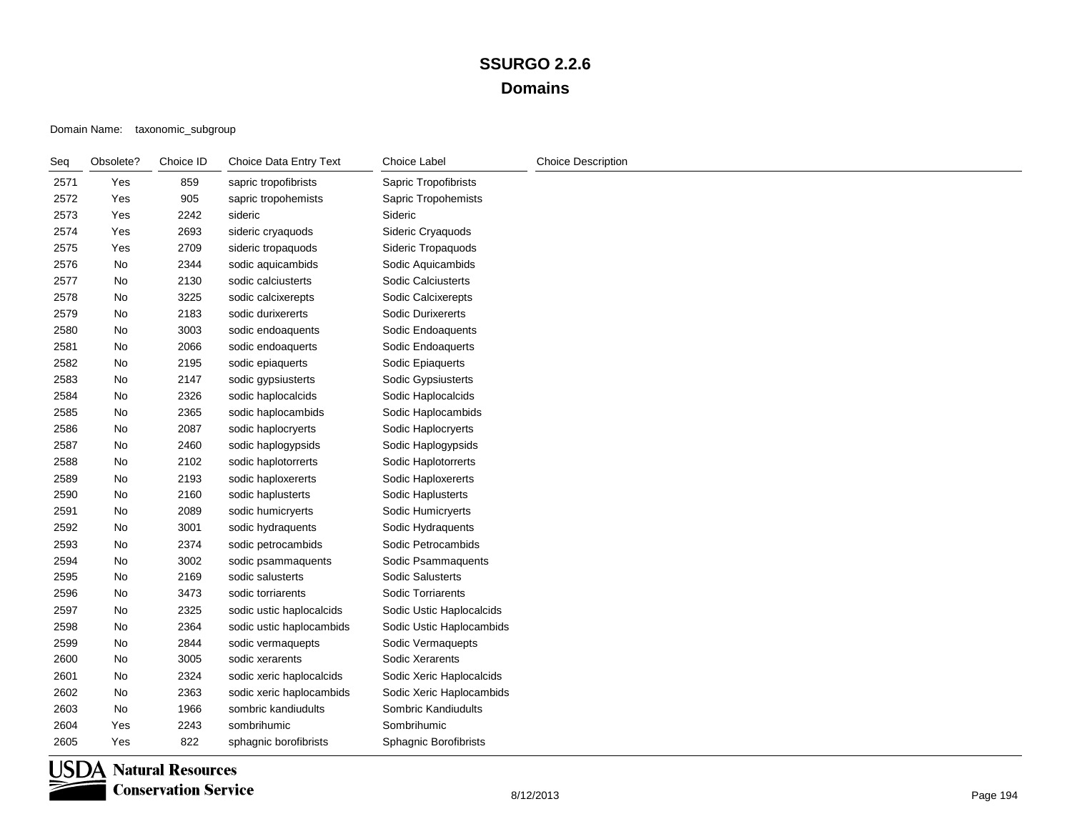| Seg  | Obsolete? | Choice ID | Choice Data Entry Text   | Choice Label             | <b>Choice Description</b> |
|------|-----------|-----------|--------------------------|--------------------------|---------------------------|
| 2571 | Yes       | 859       | sapric tropofibrists     | Sapric Tropofibrists     |                           |
| 2572 | Yes       | 905       | sapric tropohemists      | Sapric Tropohemists      |                           |
| 2573 | Yes       | 2242      | sideric                  | Sideric                  |                           |
| 2574 | Yes       | 2693      | sideric cryaquods        | Sideric Cryaquods        |                           |
| 2575 | Yes       | 2709      | sideric tropaquods       | Sideric Tropaquods       |                           |
| 2576 | No        | 2344      | sodic aquicambids        | Sodic Aquicambids        |                           |
| 2577 | No        | 2130      | sodic calciusterts       | Sodic Calciusterts       |                           |
| 2578 | No        | 3225      | sodic calcixerepts       | Sodic Calcixerepts       |                           |
| 2579 | No        | 2183      | sodic durixererts        | Sodic Durixererts        |                           |
| 2580 | No        | 3003      | sodic endoaquents        | Sodic Endoaquents        |                           |
| 2581 | No        | 2066      | sodic endoaquerts        | Sodic Endoaquerts        |                           |
| 2582 | No        | 2195      | sodic epiaquerts         | Sodic Epiaquerts         |                           |
| 2583 | No        | 2147      | sodic gypsiusterts       | Sodic Gypsiusterts       |                           |
| 2584 | No        | 2326      | sodic haplocalcids       | Sodic Haplocalcids       |                           |
| 2585 | No        | 2365      | sodic haplocambids       | Sodic Haplocambids       |                           |
| 2586 | No        | 2087      | sodic haplocryerts       | Sodic Haplocryerts       |                           |
| 2587 | No        | 2460      | sodic haplogypsids       | Sodic Haplogypsids       |                           |
| 2588 | No        | 2102      | sodic haplotorrerts      | Sodic Haplotorrerts      |                           |
| 2589 | No        | 2193      | sodic haploxererts       | Sodic Haploxererts       |                           |
| 2590 | No        | 2160      | sodic haplusterts        | Sodic Haplusterts        |                           |
| 2591 | No        | 2089      | sodic humicryerts        | Sodic Humicryerts        |                           |
| 2592 | No        | 3001      | sodic hydraquents        | Sodic Hydraquents        |                           |
| 2593 | No        | 2374      | sodic petrocambids       | Sodic Petrocambids       |                           |
| 2594 | No        | 3002      | sodic psammaquents       | Sodic Psammaquents       |                           |
| 2595 | No        | 2169      | sodic salusterts         | Sodic Salusterts         |                           |
| 2596 | No        | 3473      | sodic torriarents        | Sodic Torriarents        |                           |
| 2597 | No        | 2325      | sodic ustic haplocalcids | Sodic Ustic Haplocalcids |                           |
| 2598 | No        | 2364      | sodic ustic haplocambids | Sodic Ustic Haplocambids |                           |
| 2599 | No        | 2844      | sodic vermaquepts        | Sodic Vermaquepts        |                           |
| 2600 | No        | 3005      | sodic xerarents          | Sodic Xerarents          |                           |
| 2601 | No        | 2324      | sodic xeric haplocalcids | Sodic Xeric Haplocalcids |                           |
| 2602 | No        | 2363      | sodic xeric haplocambids | Sodic Xeric Haplocambids |                           |
| 2603 | No        | 1966      | sombric kandiudults      | Sombric Kandiudults      |                           |
| 2604 | Yes       | 2243      | sombrihumic              | Sombrihumic              |                           |
| 2605 | Yes       | 822       | sphagnic borofibrists    | Sphagnic Borofibrists    |                           |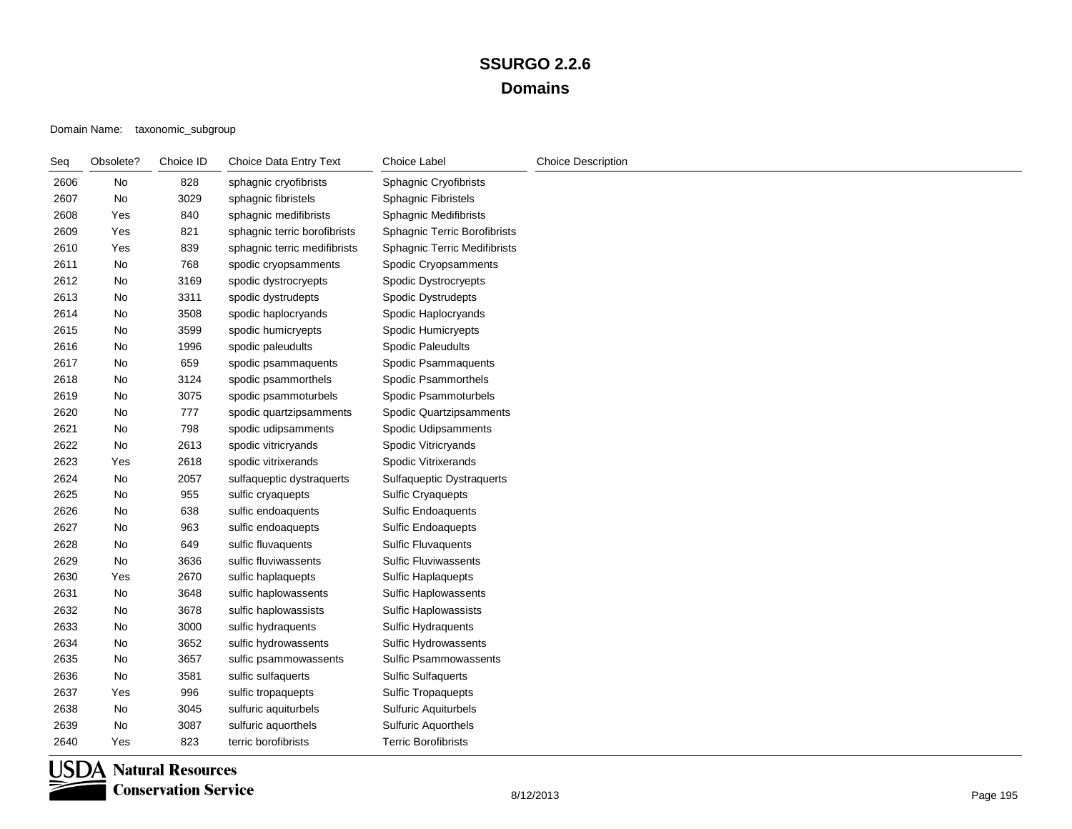### Domain Name: taxonomic\_subgroup

| Seq  | Obsolete? | Choice ID | Choice Data Entry Text       | <b>Choice Label</b>                 | <b>Choice Description</b> |
|------|-----------|-----------|------------------------------|-------------------------------------|---------------------------|
| 2606 | No        | 828       | sphagnic cryofibrists        | Sphagnic Cryofibrists               |                           |
| 2607 | No        | 3029      | sphagnic fibristels          | Sphagnic Fibristels                 |                           |
| 2608 | Yes       | 840       | sphagnic medifibrists        | <b>Sphagnic Medifibrists</b>        |                           |
| 2609 | Yes       | 821       | sphagnic terric borofibrists | <b>Sphagnic Terric Borofibrists</b> |                           |
| 2610 | Yes       | 839       | sphagnic terric medifibrists | Sphagnic Terric Medifibrists        |                           |
| 2611 | No        | 768       | spodic cryopsamments         | Spodic Cryopsamments                |                           |
| 2612 | No        | 3169      | spodic dystrocryepts         | Spodic Dystrocryepts                |                           |
| 2613 | No        | 3311      | spodic dystrudepts           | Spodic Dystrudepts                  |                           |
| 2614 | No        | 3508      | spodic haplocryands          | Spodic Haplocryands                 |                           |
| 2615 | No        | 3599      | spodic humicryepts           | Spodic Humicryepts                  |                           |
| 2616 | No        | 1996      | spodic paleudults            | Spodic Paleudults                   |                           |
| 2617 | No        | 659       | spodic psammaquents          | Spodic Psammaquents                 |                           |
| 2618 | No        | 3124      | spodic psammorthels          | Spodic Psammorthels                 |                           |
| 2619 | No        | 3075      | spodic psammoturbels         | Spodic Psammoturbels                |                           |
| 2620 | No        | 777       | spodic quartzipsamments      | Spodic Quartzipsamments             |                           |
| 2621 | No        | 798       | spodic udipsamments          | Spodic Udipsamments                 |                           |
| 2622 | No        | 2613      | spodic vitricryands          | Spodic Vitricryands                 |                           |
| 2623 | Yes       | 2618      | spodic vitrixerands          | Spodic Vitrixerands                 |                           |
| 2624 | No        | 2057      | sulfaqueptic dystraquerts    | Sulfaqueptic Dystraquerts           |                           |
| 2625 | No        | 955       | sulfic cryaquepts            | <b>Sulfic Cryaquepts</b>            |                           |
| 2626 | No        | 638       | sulfic endoaquents           | Sulfic Endoaquents                  |                           |
| 2627 | No        | 963       | sulfic endoaquepts           | Sulfic Endoaquepts                  |                           |
| 2628 | No        | 649       | sulfic fluvaquents           | <b>Sulfic Fluvaquents</b>           |                           |
| 2629 | No        | 3636      | sulfic fluviwassents         | <b>Sulfic Fluviwassents</b>         |                           |
| 2630 | Yes       | 2670      | sulfic haplaquepts           | <b>Sulfic Haplaquepts</b>           |                           |
| 2631 | No        | 3648      | sulfic haplowassents         | Sulfic Haplowassents                |                           |
| 2632 | No        | 3678      | sulfic haplowassists         | Sulfic Haplowassists                |                           |
| 2633 | No        | 3000      | sulfic hydraquents           | Sulfic Hydraquents                  |                           |
| 2634 | No        | 3652      | sulfic hydrowassents         | Sulfic Hydrowassents                |                           |
| 2635 | No        | 3657      | sulfic psammowassents        | <b>Sulfic Psammowassents</b>        |                           |
| 2636 | No        | 3581      | sulfic sulfaquerts           | <b>Sulfic Sulfaquerts</b>           |                           |
| 2637 | Yes       | 996       | sulfic tropaquepts           | <b>Sulfic Tropaquepts</b>           |                           |
| 2638 | No        | 3045      | sulfuric aquiturbels         | <b>Sulfuric Aquiturbels</b>         |                           |
| 2639 | No        | 3087      | sulfuric aquorthels          | Sulfuric Aquorthels                 |                           |
| 2640 | Yes       | 823       | terric borofibrists          | <b>Terric Borofibrists</b>          |                           |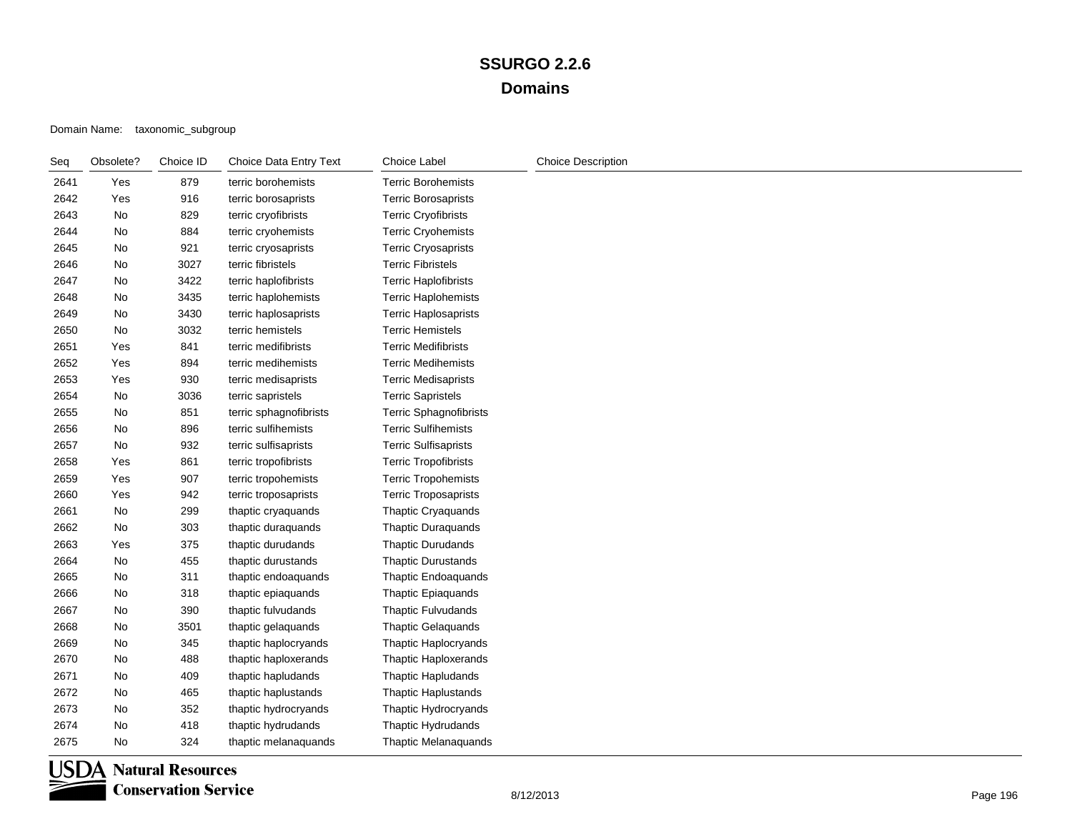#### Domain Name: taxonomic\_subgroup

| Seq  | Obsolete? | Choice ID | Choice Data Entry Text | <b>Choice Label</b>           | <b>Choice Description</b> |
|------|-----------|-----------|------------------------|-------------------------------|---------------------------|
| 2641 | Yes       | 879       | terric borohemists     | <b>Terric Borohemists</b>     |                           |
| 2642 | Yes       | 916       | terric borosaprists    | <b>Terric Borosaprists</b>    |                           |
| 2643 | No        | 829       | terric cryofibrists    | <b>Terric Cryofibrists</b>    |                           |
| 2644 | No        | 884       | terric cryohemists     | <b>Terric Cryohemists</b>     |                           |
| 2645 | No        | 921       | terric cryosaprists    | <b>Terric Cryosaprists</b>    |                           |
| 2646 | No        | 3027      | terric fibristels      | <b>Terric Fibristels</b>      |                           |
| 2647 | No        | 3422      | terric haplofibrists   | <b>Terric Haplofibrists</b>   |                           |
| 2648 | No        | 3435      | terric haplohemists    | <b>Terric Haplohemists</b>    |                           |
| 2649 | No        | 3430      | terric haplosaprists   | Terric Haplosaprists          |                           |
| 2650 | No        | 3032      | terric hemistels       | <b>Terric Hemistels</b>       |                           |
| 2651 | Yes       | 841       | terric medifibrists    | <b>Terric Medifibrists</b>    |                           |
| 2652 | Yes       | 894       | terric medihemists     | <b>Terric Medihemists</b>     |                           |
| 2653 | Yes       | 930       | terric medisaprists    | <b>Terric Medisaprists</b>    |                           |
| 2654 | No        | 3036      | terric sapristels      | <b>Terric Sapristels</b>      |                           |
| 2655 | No        | 851       | terric sphagnofibrists | <b>Terric Sphagnofibrists</b> |                           |
| 2656 | No        | 896       | terric sulfihemists    | <b>Terric Sulfihemists</b>    |                           |
| 2657 | No        | 932       | terric sulfisaprists   | <b>Terric Sulfisaprists</b>   |                           |
| 2658 | Yes       | 861       | terric tropofibrists   | <b>Terric Tropofibrists</b>   |                           |
| 2659 | Yes       | 907       | terric tropohemists    | <b>Terric Tropohemists</b>    |                           |
| 2660 | Yes       | 942       | terric troposaprists   | <b>Terric Troposaprists</b>   |                           |
| 2661 | No        | 299       | thaptic cryaquands     | Thaptic Cryaquands            |                           |
| 2662 | No        | 303       | thaptic duraquands     | <b>Thaptic Duraquands</b>     |                           |
| 2663 | Yes       | 375       | thaptic durudands      | <b>Thaptic Durudands</b>      |                           |
| 2664 | No        | 455       | thaptic durustands     | <b>Thaptic Durustands</b>     |                           |
| 2665 | No        | 311       | thaptic endoaquands    | <b>Thaptic Endoaquands</b>    |                           |
| 2666 | No        | 318       | thaptic epiaquands     | Thaptic Epiaquands            |                           |
| 2667 | No        | 390       | thaptic fulvudands     | <b>Thaptic Fulvudands</b>     |                           |
| 2668 | No        | 3501      | thaptic gelaquands     | <b>Thaptic Gelaquands</b>     |                           |
| 2669 | No        | 345       | thaptic haplocryands   | Thaptic Haplocryands          |                           |
| 2670 | No        | 488       | thaptic haploxerands   | <b>Thaptic Haploxerands</b>   |                           |
| 2671 | No        | 409       | thaptic hapludands     | Thaptic Hapludands            |                           |
| 2672 | No        | 465       | thaptic haplustands    | <b>Thaptic Haplustands</b>    |                           |
| 2673 | No        | 352       | thaptic hydrocryands   | Thaptic Hydrocryands          |                           |
| 2674 | No        | 418       | thaptic hydrudands     | Thaptic Hydrudands            |                           |
| 2675 | No        | 324       | thaptic melanaquands   | <b>Thaptic Melanaquands</b>   |                           |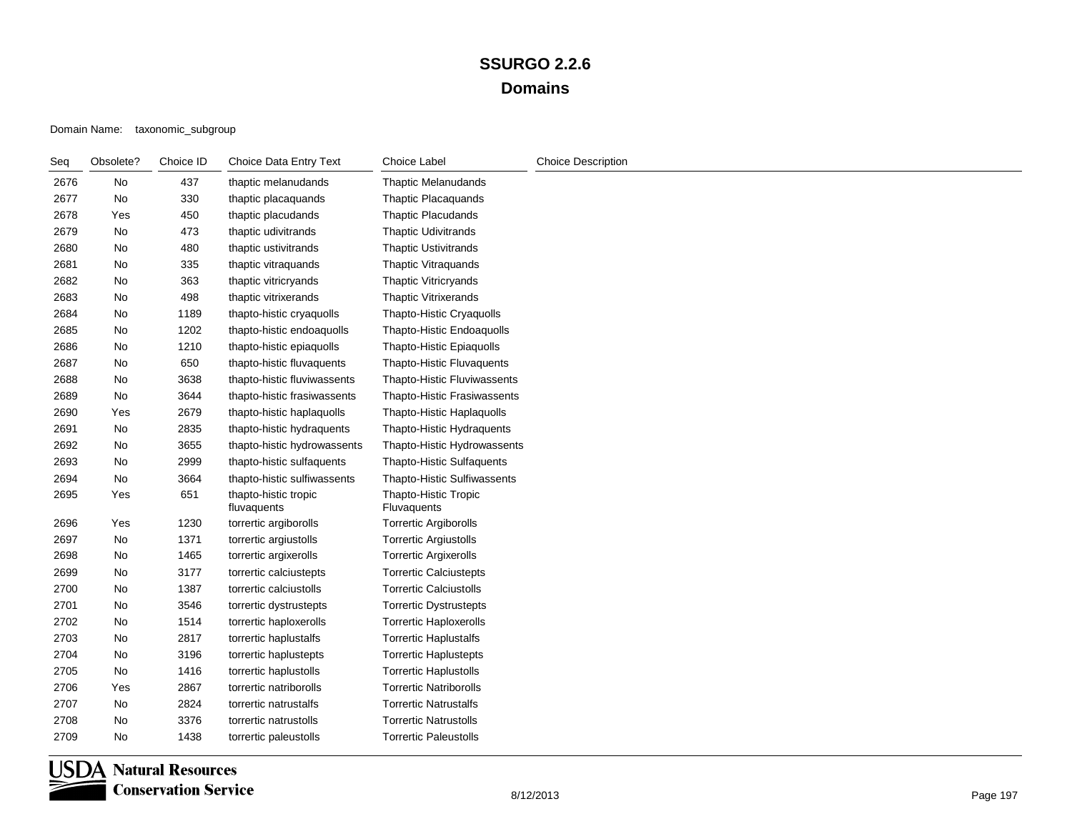| Seq  | Obsolete? | Choice ID | Choice Data Entry Text              | <b>Choice Label</b>                 | <b>Choice Description</b> |
|------|-----------|-----------|-------------------------------------|-------------------------------------|---------------------------|
| 2676 | No        | 437       | thaptic melanudands                 | Thaptic Melanudands                 |                           |
| 2677 | No        | 330       | thaptic placaguands                 | <b>Thaptic Placaquands</b>          |                           |
| 2678 | Yes       | 450       | thaptic placudands                  | <b>Thaptic Placudands</b>           |                           |
| 2679 | No        | 473       | thaptic udivitrands                 | <b>Thaptic Udivitrands</b>          |                           |
| 2680 | No        | 480       | thaptic ustivitrands                | <b>Thaptic Ustivitrands</b>         |                           |
| 2681 | No        | 335       | thaptic vitraquands                 | Thaptic Vitraquands                 |                           |
| 2682 | No        | 363       | thaptic vitricryands                | Thaptic Vitricryands                |                           |
| 2683 | No        | 498       | thaptic vitrixerands                | Thaptic Vitrixerands                |                           |
| 2684 | No        | 1189      | thapto-histic cryaquolls            | Thapto-Histic Cryaquolls            |                           |
| 2685 | No        | 1202      | thapto-histic endoaquolls           | Thapto-Histic Endoaquolls           |                           |
| 2686 | No        | 1210      | thapto-histic epiaquolls            | Thapto-Histic Epiaquolls            |                           |
| 2687 | No        | 650       | thapto-histic fluvaquents           | Thapto-Histic Fluvaquents           |                           |
| 2688 | No        | 3638      | thapto-histic fluviwassents         | Thapto-Histic Fluviwassents         |                           |
| 2689 | No        | 3644      | thapto-histic frasiwassents         | Thapto-Histic Frasiwassents         |                           |
| 2690 | Yes       | 2679      | thapto-histic haplaquolls           | Thapto-Histic Haplaquolls           |                           |
| 2691 | No        | 2835      | thapto-histic hydraquents           | Thapto-Histic Hydraquents           |                           |
| 2692 | No        | 3655      | thapto-histic hydrowassents         | Thapto-Histic Hydrowassents         |                           |
| 2693 | No        | 2999      | thapto-histic sulfaquents           | <b>Thapto-Histic Sulfaquents</b>    |                           |
| 2694 | No        | 3664      | thapto-histic sulfiwassents         | <b>Thapto-Histic Sulfiwassents</b>  |                           |
| 2695 | Yes       | 651       | thapto-histic tropic<br>fluvaquents | Thapto-Histic Tropic<br>Fluvaquents |                           |
| 2696 | Yes       | 1230      | torrertic argiborolls               | <b>Torrertic Argiborolls</b>        |                           |
| 2697 | No        | 1371      | torrertic argiustolls               | <b>Torrertic Argiustolls</b>        |                           |
| 2698 | No        | 1465      | torrertic argixerolls               | <b>Torrertic Argixerolls</b>        |                           |
| 2699 | No        | 3177      | torrertic calciustepts              | <b>Torrertic Calciustepts</b>       |                           |
| 2700 | No        | 1387      | torrertic calciustolls              | <b>Torrertic Calciustolls</b>       |                           |
| 2701 | No        | 3546      | torrertic dystrustepts              | <b>Torrertic Dystrustepts</b>       |                           |
| 2702 | No        | 1514      | torrertic haploxerolls              | <b>Torrertic Haploxerolls</b>       |                           |
| 2703 | No        | 2817      | torrertic haplustalfs               | <b>Torrertic Haplustalfs</b>        |                           |
| 2704 | No        | 3196      | torrertic haplustepts               | <b>Torrertic Haplustepts</b>        |                           |
| 2705 | No        | 1416      | torrertic haplustolls               | <b>Torrertic Haplustolls</b>        |                           |
| 2706 | Yes       | 2867      | torrertic natriborolls              | <b>Torrertic Natriborolls</b>       |                           |
| 2707 | No        | 2824      | torrertic natrustalfs               | <b>Torrertic Natrustalfs</b>        |                           |
| 2708 | No        | 3376      | torrertic natrustolls               | <b>Torrertic Natrustolls</b>        |                           |
| 2709 | No        | 1438      | torrertic paleustolls               | <b>Torrertic Paleustolls</b>        |                           |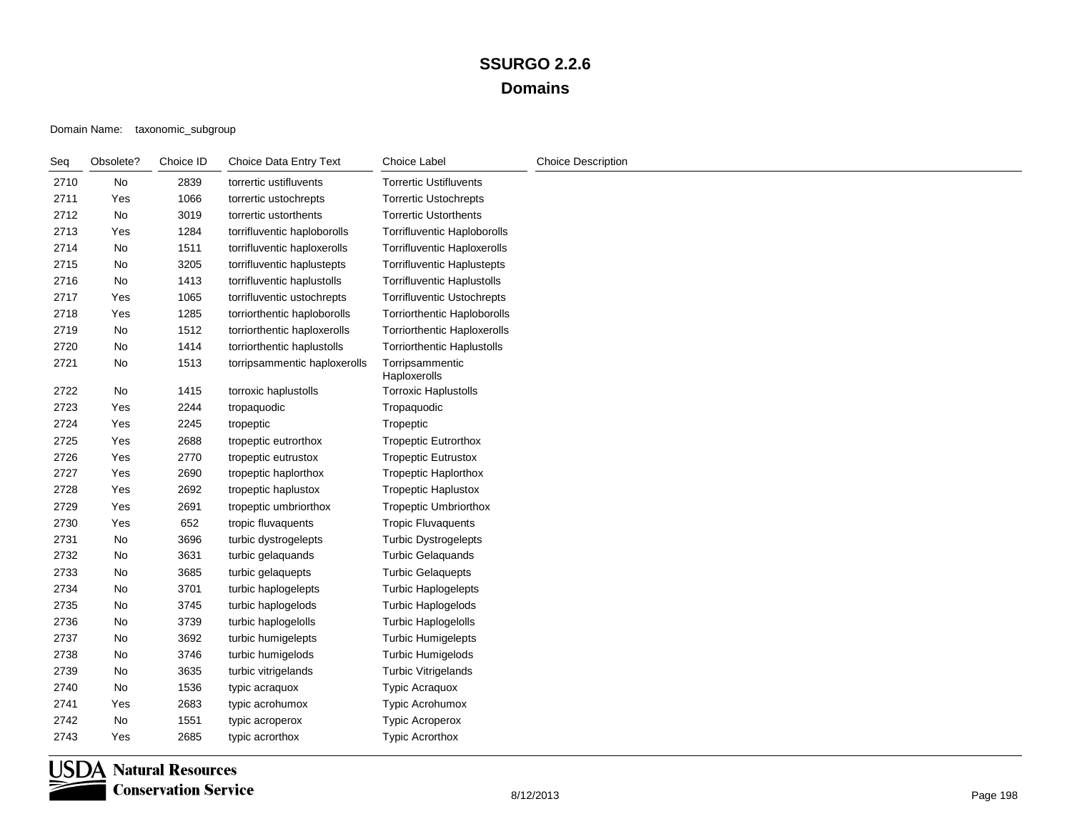| Seq  | Obsolete? | Choice ID | Choice Data Entry Text       | <b>Choice Label</b>                | <b>Choice Description</b> |
|------|-----------|-----------|------------------------------|------------------------------------|---------------------------|
| 2710 | No        | 2839      | torrertic ustifluvents       | <b>Torrertic Ustifluvents</b>      |                           |
| 2711 | Yes       | 1066      | torrertic ustochrepts        | <b>Torrertic Ustochrepts</b>       |                           |
| 2712 | No        | 3019      | torrertic ustorthents        | <b>Torrertic Ustorthents</b>       |                           |
| 2713 | Yes       | 1284      | torrifluventic haploborolls  | <b>Torrifluventic Haploborolls</b> |                           |
| 2714 | No        | 1511      | torrifluventic haploxerolls  | Torrifluventic Haploxerolls        |                           |
| 2715 | No        | 3205      | torrifluventic haplustepts   | <b>Torrifluventic Haplustepts</b>  |                           |
| 2716 | No        | 1413      | torrifluventic haplustolls   | <b>Torrifluventic Haplustolls</b>  |                           |
| 2717 | Yes       | 1065      | torrifluventic ustochrepts   | <b>Torrifluventic Ustochrepts</b>  |                           |
| 2718 | Yes       | 1285      | torriorthentic haploborolls  | <b>Torriorthentic Haploborolls</b> |                           |
| 2719 | No        | 1512      | torriorthentic haploxerolls  | <b>Torriorthentic Haploxerolls</b> |                           |
| 2720 | No        | 1414      | torriorthentic haplustolls   | <b>Torriorthentic Haplustolls</b>  |                           |
| 2721 | No        | 1513      | torripsammentic haploxerolls | Torripsammentic<br>Haploxerolls    |                           |
| 2722 | No        | 1415      | torroxic haplustolls         | <b>Torroxic Haplustolls</b>        |                           |
| 2723 | Yes       | 2244      | tropaquodic                  | Tropaquodic                        |                           |
| 2724 | Yes       | 2245      | tropeptic                    | Tropeptic                          |                           |
| 2725 | Yes       | 2688      | tropeptic eutrorthox         | <b>Tropeptic Eutrorthox</b>        |                           |
| 2726 | Yes       | 2770      | tropeptic eutrustox          | <b>Tropeptic Eutrustox</b>         |                           |
| 2727 | Yes       | 2690      | tropeptic haplorthox         | Tropeptic Haplorthox               |                           |
| 2728 | Yes       | 2692      | tropeptic haplustox          | <b>Tropeptic Haplustox</b>         |                           |
| 2729 | Yes       | 2691      | tropeptic umbriorthox        | <b>Tropeptic Umbriorthox</b>       |                           |
| 2730 | Yes       | 652       | tropic fluvaquents           | <b>Tropic Fluvaquents</b>          |                           |
| 2731 | No        | 3696      | turbic dystrogelepts         | <b>Turbic Dystrogelepts</b>        |                           |
| 2732 | No        | 3631      | turbic gelaquands            | <b>Turbic Gelaquands</b>           |                           |
| 2733 | No        | 3685      | turbic gelaquepts            | <b>Turbic Gelaquepts</b>           |                           |
| 2734 | No        | 3701      | turbic haplogelepts          | Turbic Haplogelepts                |                           |
| 2735 | No        | 3745      | turbic haplogelods           | Turbic Haplogelods                 |                           |
| 2736 | No        | 3739      | turbic haplogelolls          | <b>Turbic Haplogelolls</b>         |                           |
| 2737 | No        | 3692      | turbic humigelepts           | <b>Turbic Humigelepts</b>          |                           |
| 2738 | No        | 3746      | turbic humigelods            | Turbic Humigelods                  |                           |
| 2739 | No        | 3635      | turbic vitrigelands          | <b>Turbic Vitrigelands</b>         |                           |
| 2740 | No        | 1536      | typic acraquox               | Typic Acraquox                     |                           |
| 2741 | Yes       | 2683      | typic acrohumox              | <b>Typic Acrohumox</b>             |                           |
| 2742 | No        | 1551      | typic acroperox              | <b>Typic Acroperox</b>             |                           |
| 2743 | Yes       | 2685      | typic acrorthox              | <b>Typic Acrorthox</b>             |                           |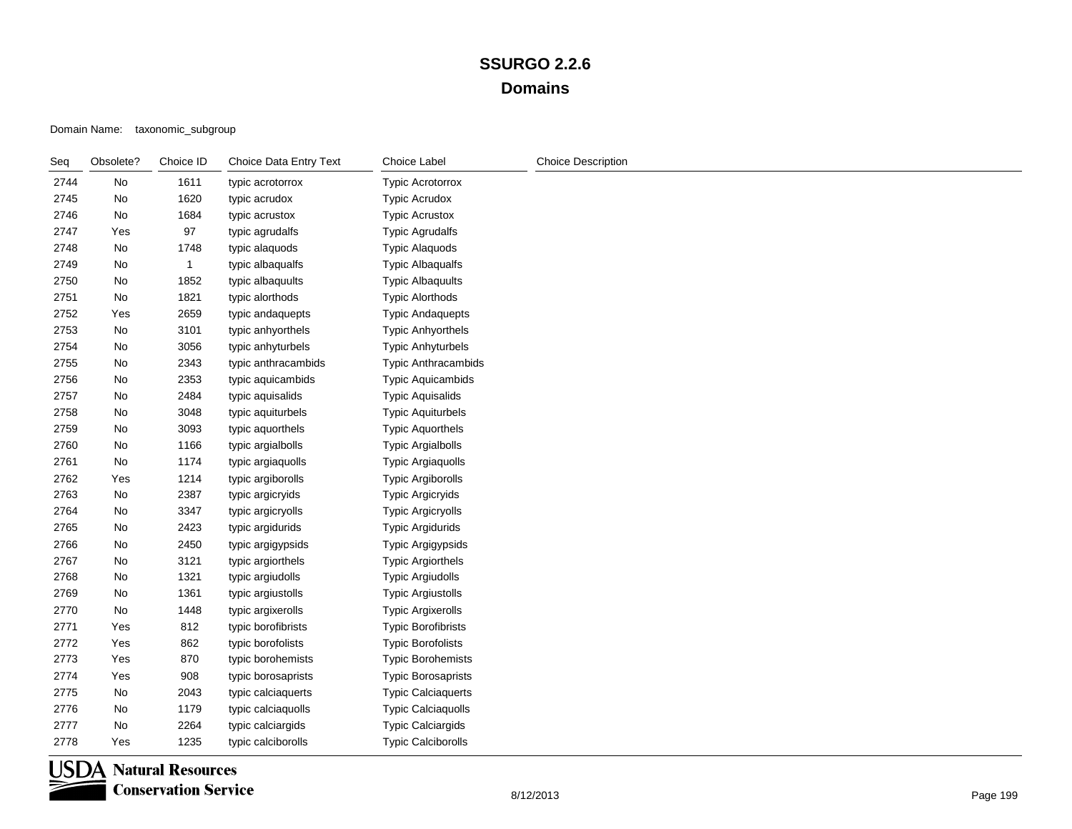| Seq  | Obsolete? | Choice ID    | Choice Data Entry Text | Choice Label              | <b>Choice Description</b> |
|------|-----------|--------------|------------------------|---------------------------|---------------------------|
| 2744 | No        | 1611         | typic acrotorrox       | <b>Typic Acrotorrox</b>   |                           |
| 2745 | No        | 1620         | typic acrudox          | <b>Typic Acrudox</b>      |                           |
| 2746 | No        | 1684         | typic acrustox         | <b>Typic Acrustox</b>     |                           |
| 2747 | Yes       | 97           | typic agrudalfs        | <b>Typic Agrudalfs</b>    |                           |
| 2748 | No        | 1748         | typic alaquods         | <b>Typic Alaquods</b>     |                           |
| 2749 | No        | $\mathbf{1}$ | typic albaqualfs       | <b>Typic Albaqualfs</b>   |                           |
| 2750 | No        | 1852         | typic albaquults       | <b>Typic Albaquults</b>   |                           |
| 2751 | No        | 1821         | typic alorthods        | <b>Typic Alorthods</b>    |                           |
| 2752 | Yes       | 2659         | typic andaquepts       | <b>Typic Andaquepts</b>   |                           |
| 2753 | No        | 3101         | typic anhyorthels      | <b>Typic Anhyorthels</b>  |                           |
| 2754 | No        | 3056         | typic anhyturbels      | <b>Typic Anhyturbels</b>  |                           |
| 2755 | No        | 2343         | typic anthracambids    | Typic Anthracambids       |                           |
| 2756 | No        | 2353         | typic aquicambids      | Typic Aquicambids         |                           |
| 2757 | No        | 2484         | typic aquisalids       | <b>Typic Aquisalids</b>   |                           |
| 2758 | No        | 3048         | typic aquiturbels      | <b>Typic Aquiturbels</b>  |                           |
| 2759 | No        | 3093         | typic aquorthels       | <b>Typic Aquorthels</b>   |                           |
| 2760 | No        | 1166         | typic argialbolls      | <b>Typic Argialbolls</b>  |                           |
| 2761 | No        | 1174         | typic argiaquolls      | <b>Typic Argiaquolls</b>  |                           |
| 2762 | Yes       | 1214         | typic argiborolls      | <b>Typic Argiborolls</b>  |                           |
| 2763 | No        | 2387         | typic argicryids       | Typic Argicryids          |                           |
| 2764 | No        | 3347         | typic argicryolls      | <b>Typic Argicryolls</b>  |                           |
| 2765 | No        | 2423         | typic argidurids       | <b>Typic Argidurids</b>   |                           |
| 2766 | No        | 2450         | typic argigypsids      | Typic Argigypsids         |                           |
| 2767 | No        | 3121         | typic argiorthels      | <b>Typic Argiorthels</b>  |                           |
| 2768 | No        | 1321         | typic argiudolls       | <b>Typic Argiudolls</b>   |                           |
| 2769 | No        | 1361         | typic argiustolls      | <b>Typic Argiustolls</b>  |                           |
| 2770 | No        | 1448         | typic argixerolls      | <b>Typic Argixerolls</b>  |                           |
| 2771 | Yes       | 812          | typic borofibrists     | <b>Typic Borofibrists</b> |                           |
| 2772 | Yes       | 862          | typic borofolists      | <b>Typic Borofolists</b>  |                           |
| 2773 | Yes       | 870          | typic borohemists      | <b>Typic Borohemists</b>  |                           |
| 2774 | Yes       | 908          | typic borosaprists     | <b>Typic Borosaprists</b> |                           |
| 2775 | No        | 2043         | typic calciaquerts     | <b>Typic Calciaquerts</b> |                           |
| 2776 | No        | 1179         | typic calciaquolls     | <b>Typic Calciaquolls</b> |                           |
| 2777 | No        | 2264         | typic calciargids      | <b>Typic Calciargids</b>  |                           |
| 2778 | Yes       | 1235         | typic calciborolls     | <b>Typic Calciborolls</b> |                           |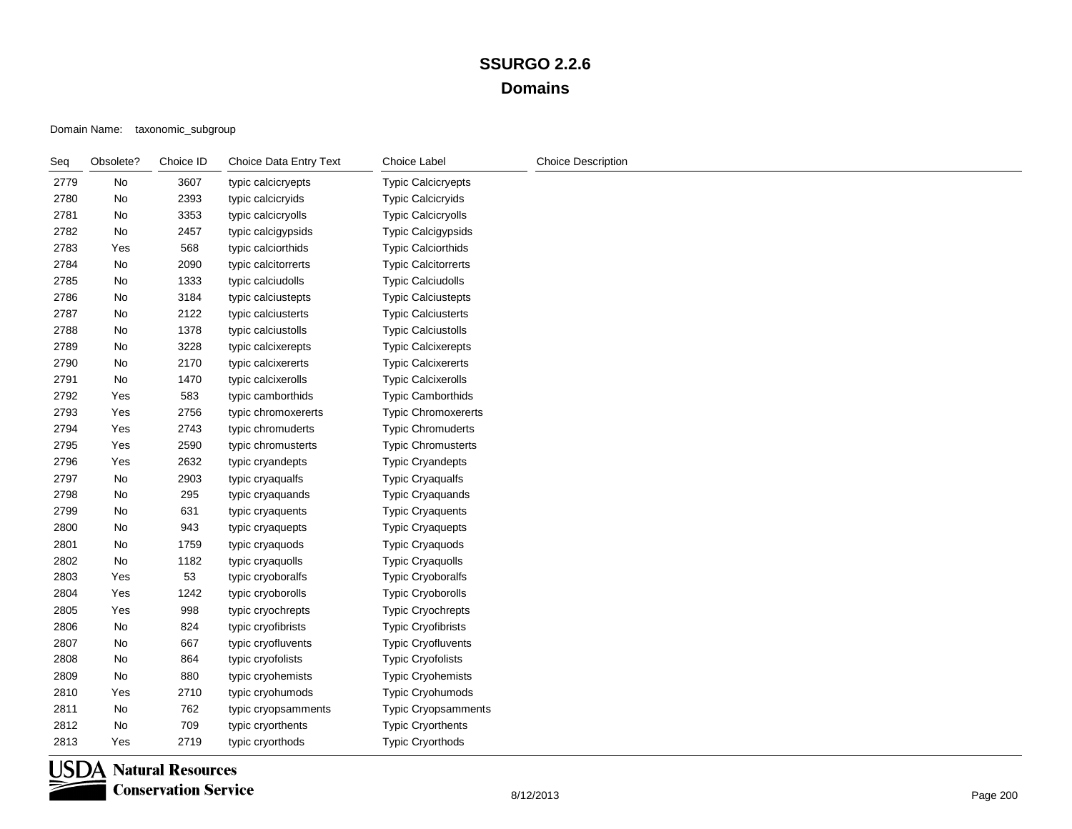| Seq  | Obsolete? | Choice ID | Choice Data Entry Text | <b>Choice Label</b>        | <b>Choice Description</b> |
|------|-----------|-----------|------------------------|----------------------------|---------------------------|
| 2779 | No        | 3607      | typic calcicryepts     | <b>Typic Calcicryepts</b>  |                           |
| 2780 | No        | 2393      | typic calcicryids      | <b>Typic Calcicryids</b>   |                           |
| 2781 | No        | 3353      | typic calcicryolls     | <b>Typic Calcicryolls</b>  |                           |
| 2782 | No        | 2457      | typic calcigypsids     | <b>Typic Calcigypsids</b>  |                           |
| 2783 | Yes       | 568       | typic calciorthids     | <b>Typic Calciorthids</b>  |                           |
| 2784 | No        | 2090      | typic calcitorrerts    | <b>Typic Calcitorrerts</b> |                           |
| 2785 | No        | 1333      | typic calciudolls      | <b>Typic Calciudolls</b>   |                           |
| 2786 | No        | 3184      | typic calciustepts     | <b>Typic Calciustepts</b>  |                           |
| 2787 | No        | 2122      | typic calciusterts     | <b>Typic Calciusterts</b>  |                           |
| 2788 | No        | 1378      | typic calciustolls     | <b>Typic Calciustolls</b>  |                           |
| 2789 | No        | 3228      | typic calcixerepts     | <b>Typic Calcixerepts</b>  |                           |
| 2790 | No        | 2170      | typic calcixererts     | <b>Typic Calcixererts</b>  |                           |
| 2791 | No        | 1470      | typic calcixerolls     | <b>Typic Calcixerolls</b>  |                           |
| 2792 | Yes       | 583       | typic camborthids      | <b>Typic Camborthids</b>   |                           |
| 2793 | Yes       | 2756      | typic chromoxererts    | <b>Typic Chromoxererts</b> |                           |
| 2794 | Yes       | 2743      | typic chromuderts      | <b>Typic Chromuderts</b>   |                           |
| 2795 | Yes       | 2590      | typic chromusterts     | <b>Typic Chromusterts</b>  |                           |
| 2796 | Yes       | 2632      | typic cryandepts       | <b>Typic Cryandepts</b>    |                           |
| 2797 | No        | 2903      | typic cryaqualfs       | <b>Typic Cryaqualfs</b>    |                           |
| 2798 | No        | 295       | typic cryaquands       | Typic Cryaquands           |                           |
| 2799 | No        | 631       | typic cryaquents       | <b>Typic Cryaquents</b>    |                           |
| 2800 | No        | 943       | typic cryaquepts       | <b>Typic Cryaquepts</b>    |                           |
| 2801 | No        | 1759      | typic cryaquods        | <b>Typic Cryaquods</b>     |                           |
| 2802 | No        | 1182      | typic cryaquolls       | <b>Typic Cryaquolls</b>    |                           |
| 2803 | Yes       | 53        | typic cryoboralfs      | <b>Typic Cryoboralfs</b>   |                           |
| 2804 | Yes       | 1242      | typic cryoborolls      | Typic Cryoborolls          |                           |
| 2805 | Yes       | 998       | typic cryochrepts      | <b>Typic Cryochrepts</b>   |                           |
| 2806 | No        | 824       | typic cryofibrists     | <b>Typic Cryofibrists</b>  |                           |
| 2807 | No        | 667       | typic cryofluvents     | <b>Typic Cryofluvents</b>  |                           |
| 2808 | No        | 864       | typic cryofolists      | <b>Typic Cryofolists</b>   |                           |
| 2809 | No        | 880       | typic cryohemists      | <b>Typic Cryohemists</b>   |                           |
| 2810 | Yes       | 2710      | typic cryohumods       | Typic Cryohumods           |                           |
| 2811 | No        | 762       | typic cryopsamments    | <b>Typic Cryopsamments</b> |                           |
| 2812 | No        | 709       | typic cryorthents      | <b>Typic Cryorthents</b>   |                           |
| 2813 | Yes       | 2719      | typic cryorthods       | <b>Typic Cryorthods</b>    |                           |

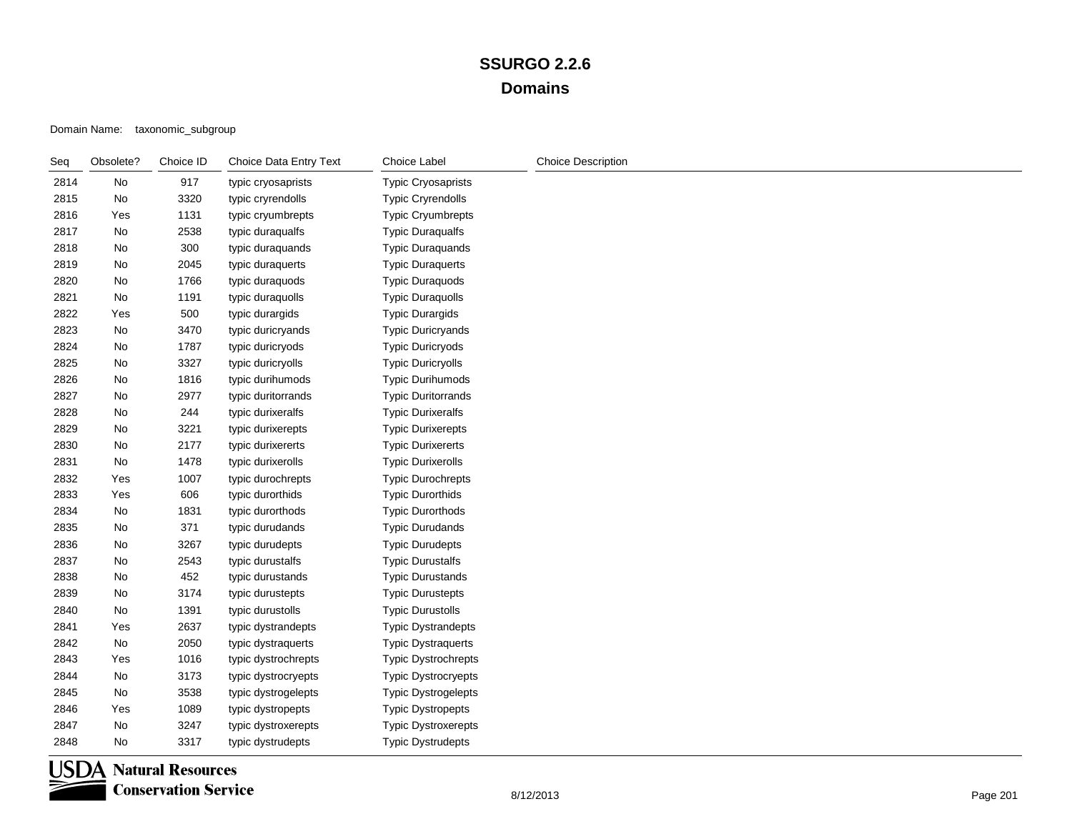| Seq  | Obsolete? | Choice ID | Choice Data Entry Text | <b>Choice Label</b>        | <b>Choice Description</b> |
|------|-----------|-----------|------------------------|----------------------------|---------------------------|
| 2814 | No        | 917       | typic cryosaprists     | <b>Typic Cryosaprists</b>  |                           |
| 2815 | No        | 3320      | typic cryrendolls      | <b>Typic Cryrendolls</b>   |                           |
| 2816 | Yes       | 1131      | typic cryumbrepts      | <b>Typic Cryumbrepts</b>   |                           |
| 2817 | No        | 2538      | typic duraqualfs       | <b>Typic Duraqualfs</b>    |                           |
| 2818 | No        | 300       | typic duraquands       | <b>Typic Duraquands</b>    |                           |
| 2819 | No        | 2045      | typic duraquerts       | <b>Typic Duraquerts</b>    |                           |
| 2820 | No        | 1766      | typic duraquods        | <b>Typic Duraquods</b>     |                           |
| 2821 | No        | 1191      | typic duraquolls       | <b>Typic Duraquolls</b>    |                           |
| 2822 | Yes       | 500       | typic durargids        | <b>Typic Durargids</b>     |                           |
| 2823 | No        | 3470      | typic duricryands      | <b>Typic Duricryands</b>   |                           |
| 2824 | No        | 1787      | typic duricryods       | <b>Typic Duricryods</b>    |                           |
| 2825 | No        | 3327      | typic duricryolls      | <b>Typic Duricryolls</b>   |                           |
| 2826 | No        | 1816      | typic durihumods       | <b>Typic Durihumods</b>    |                           |
| 2827 | No        | 2977      | typic duritorrands     | <b>Typic Duritorrands</b>  |                           |
| 2828 | No        | 244       | typic durixeralfs      | <b>Typic Durixeralfs</b>   |                           |
| 2829 | No        | 3221      | typic durixerepts      | <b>Typic Durixerepts</b>   |                           |
| 2830 | No        | 2177      | typic durixererts      | <b>Typic Durixererts</b>   |                           |
| 2831 | No        | 1478      | typic durixerolls      | <b>Typic Durixerolls</b>   |                           |
| 2832 | Yes       | 1007      | typic durochrepts      | <b>Typic Durochrepts</b>   |                           |
| 2833 | Yes       | 606       | typic durorthids       | <b>Typic Durorthids</b>    |                           |
| 2834 | No        | 1831      | typic durorthods       | <b>Typic Durorthods</b>    |                           |
| 2835 | No        | 371       | typic durudands        | <b>Typic Durudands</b>     |                           |
| 2836 | No        | 3267      | typic durudepts        | <b>Typic Durudepts</b>     |                           |
| 2837 | No        | 2543      | typic durustalfs       | <b>Typic Durustalfs</b>    |                           |
| 2838 | No        | 452       | typic durustands       | <b>Typic Durustands</b>    |                           |
| 2839 | No        | 3174      | typic durustepts       | <b>Typic Durustepts</b>    |                           |
| 2840 | No        | 1391      | typic durustolls       | <b>Typic Durustolls</b>    |                           |
| 2841 | Yes       | 2637      | typic dystrandepts     | <b>Typic Dystrandepts</b>  |                           |
| 2842 | No        | 2050      | typic dystraquerts     | <b>Typic Dystraquerts</b>  |                           |
| 2843 | Yes       | 1016      | typic dystrochrepts    | Typic Dystrochrepts        |                           |
| 2844 | No        | 3173      | typic dystrocryepts    | <b>Typic Dystrocryepts</b> |                           |
| 2845 | No        | 3538      | typic dystrogelepts    | <b>Typic Dystrogelepts</b> |                           |
| 2846 | Yes       | 1089      | typic dystropepts      | <b>Typic Dystropepts</b>   |                           |
| 2847 | No        | 3247      | typic dystroxerepts    | <b>Typic Dystroxerepts</b> |                           |
| 2848 | No        | 3317      | typic dystrudepts      | <b>Typic Dystrudepts</b>   |                           |

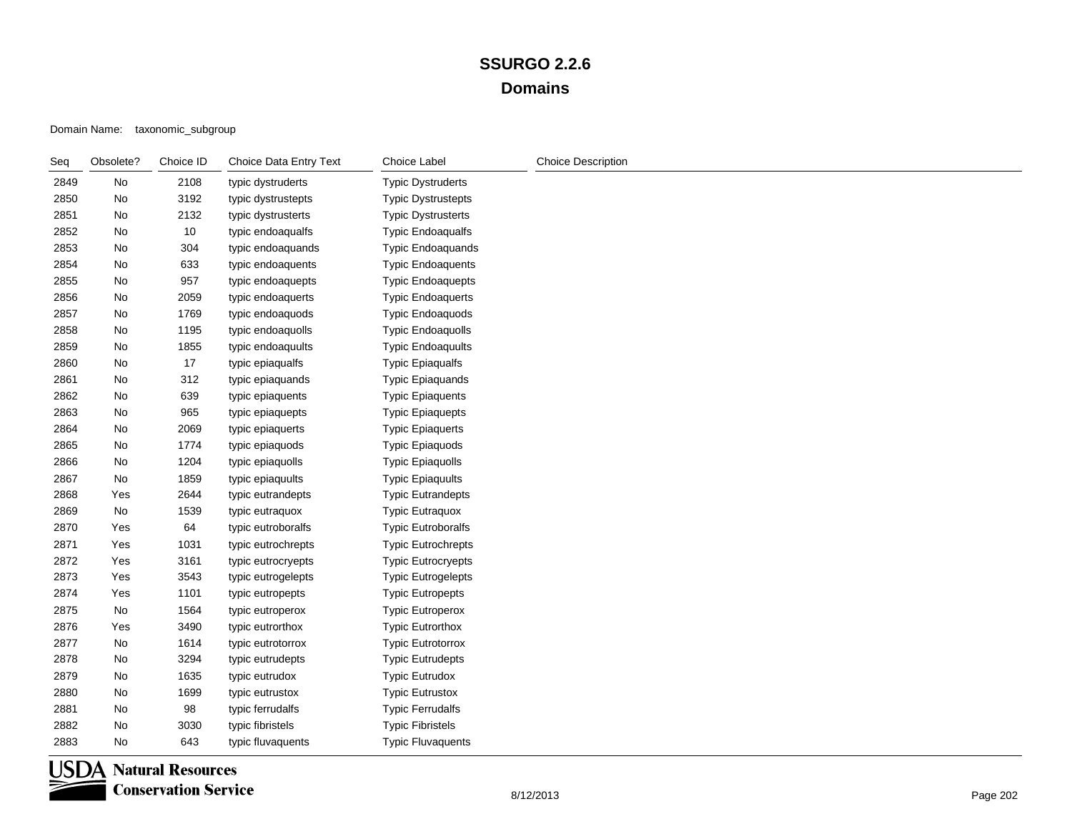Domain Name: taxonomic\_subgroup

| Seq  | Obsolete? | Choice ID | Choice Data Entry Text | Choice Label              | <b>Choice Description</b> |
|------|-----------|-----------|------------------------|---------------------------|---------------------------|
| 2849 | No        | 2108      | typic dystruderts      | <b>Typic Dystruderts</b>  |                           |
| 2850 | No        | 3192      | typic dystrustepts     | Typic Dystrustepts        |                           |
| 2851 | No        | 2132      | typic dystrusterts     | <b>Typic Dystrusterts</b> |                           |
| 2852 | No        | $10$      | typic endoaqualfs      | <b>Typic Endoaqualfs</b>  |                           |
| 2853 | No        | 304       | typic endoaquands      | <b>Typic Endoaquands</b>  |                           |
| 2854 | No        | 633       | typic endoaquents      | <b>Typic Endoaquents</b>  |                           |
| 2855 | No        | 957       | typic endoaquepts      | <b>Typic Endoaquepts</b>  |                           |
| 2856 | No        | 2059      | typic endoaquerts      | <b>Typic Endoaquerts</b>  |                           |
| 2857 | No        | 1769      | typic endoaquods       | Typic Endoaquods          |                           |
| 2858 | No        | 1195      | typic endoaquolls      | <b>Typic Endoaquolls</b>  |                           |
| 2859 | No        | 1855      | typic endoaquults      | <b>Typic Endoaquults</b>  |                           |
| 2860 | No        | $17$      | typic epiaqualfs       | <b>Typic Epiaqualfs</b>   |                           |
| 2861 | No        | 312       | typic epiaquands       | <b>Typic Epiaquands</b>   |                           |
| 2862 | No        | 639       | typic epiaquents       | <b>Typic Epiaquents</b>   |                           |
| 2863 | No        | 965       | typic epiaquepts       | <b>Typic Epiaquepts</b>   |                           |
| 2864 | No        | 2069      | typic epiaquerts       | <b>Typic Epiaquerts</b>   |                           |
| 2865 | No        | 1774      | typic epiaquods        | <b>Typic Epiaquods</b>    |                           |
| 2866 | No        | 1204      | typic epiaquolls       | <b>Typic Epiaquolls</b>   |                           |
| 2867 | No        | 1859      | typic epiaquults       | <b>Typic Epiaquults</b>   |                           |
| 2868 | Yes       | 2644      | typic eutrandepts      | <b>Typic Eutrandepts</b>  |                           |
| 2869 | No        | 1539      | typic eutraquox        | <b>Typic Eutraquox</b>    |                           |
| 2870 | Yes       | 64        | typic eutroboralfs     | <b>Typic Eutroboralfs</b> |                           |
| 2871 | Yes       | 1031      | typic eutrochrepts     | <b>Typic Eutrochrepts</b> |                           |
| 2872 | Yes       | 3161      | typic eutrocryepts     | <b>Typic Eutrocryepts</b> |                           |
| 2873 | Yes       | 3543      | typic eutrogelepts     | <b>Typic Eutrogelepts</b> |                           |
| 2874 | Yes       | 1101      | typic eutropepts       | <b>Typic Eutropepts</b>   |                           |
| 2875 | No        | 1564      | typic eutroperox       | <b>Typic Eutroperox</b>   |                           |
| 2876 | Yes       | 3490      | typic eutrorthox       | <b>Typic Eutrorthox</b>   |                           |
| 2877 | No        | 1614      | typic eutrotorrox      | <b>Typic Eutrotorrox</b>  |                           |
| 2878 | No        | 3294      | typic eutrudepts       | <b>Typic Eutrudepts</b>   |                           |
| 2879 | No        | 1635      | typic eutrudox         | <b>Typic Eutrudox</b>     |                           |
| 2880 | No        | 1699      | typic eutrustox        | <b>Typic Eutrustox</b>    |                           |
| 2881 | No        | 98        | typic ferrudalfs       | <b>Typic Ferrudalfs</b>   |                           |
| 2882 | No        | 3030      | typic fibristels       | <b>Typic Fibristels</b>   |                           |
| 2883 | No        | 643       | typic fluvaquents      | <b>Typic Fluvaquents</b>  |                           |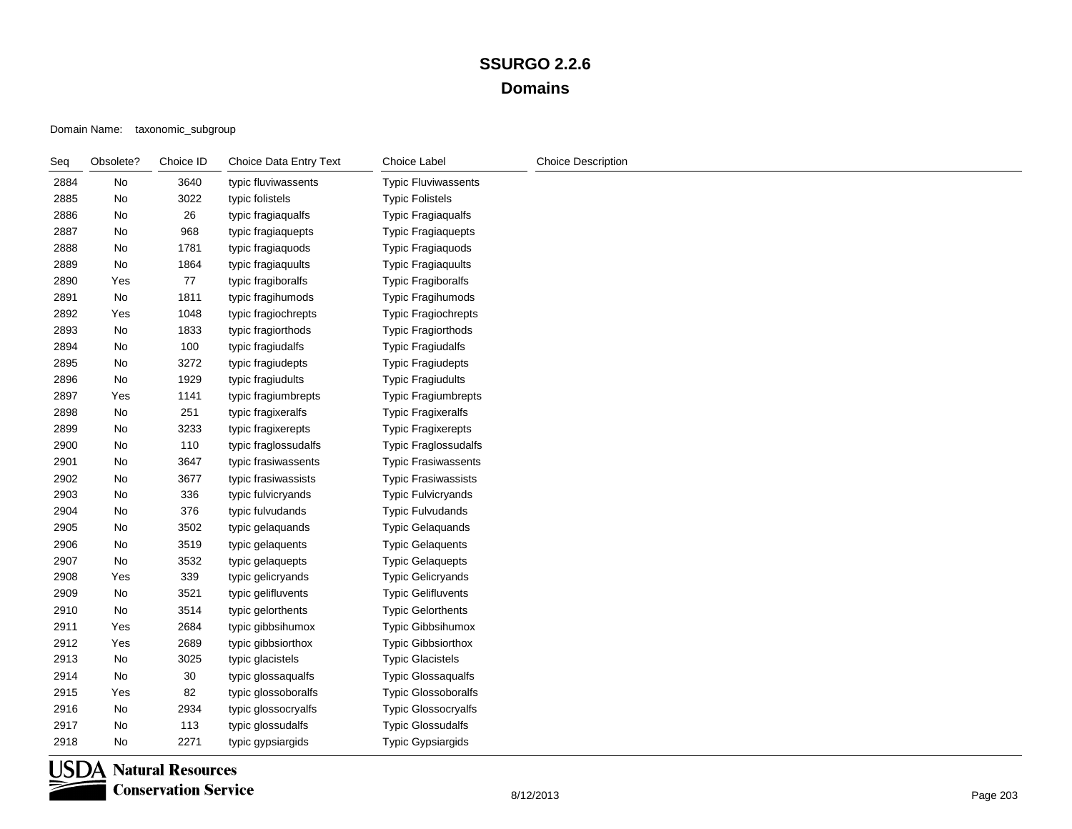Domain Name: taxonomic\_subgroup

| Seq  | Obsolete? | Choice ID | Choice Data Entry Text | Choice Label               | <b>Choice Description</b> |
|------|-----------|-----------|------------------------|----------------------------|---------------------------|
| 2884 | No        | 3640      | typic fluviwassents    | <b>Typic Fluviwassents</b> |                           |
| 2885 | No        | 3022      | typic folistels        | <b>Typic Folistels</b>     |                           |
| 2886 | No        | 26        | typic fragiaqualfs     | <b>Typic Fragiaqualfs</b>  |                           |
| 2887 | No        | 968       | typic fragiaquepts     | <b>Typic Fragiaquepts</b>  |                           |
| 2888 | No        | 1781      | typic fragiaquods      | <b>Typic Fragiaquods</b>   |                           |
| 2889 | No        | 1864      | typic fragiaquults     | <b>Typic Fragiaquults</b>  |                           |
| 2890 | Yes       | 77        | typic fragiboralfs     | <b>Typic Fragiboralfs</b>  |                           |
| 2891 | No        | 1811      | typic fragihumods      | <b>Typic Fragihumods</b>   |                           |
| 2892 | Yes       | 1048      | typic fragiochrepts    | <b>Typic Fragiochrepts</b> |                           |
| 2893 | No        | 1833      | typic fragiorthods     | Typic Fragiorthods         |                           |
| 2894 | No        | 100       | typic fragiudalfs      | <b>Typic Fragiudalfs</b>   |                           |
| 2895 | No        | 3272      | typic fragiudepts      | <b>Typic Fragiudepts</b>   |                           |
| 2896 | No        | 1929      | typic fragiudults      | <b>Typic Fragiudults</b>   |                           |
| 2897 | Yes       | 1141      | typic fragiumbrepts    | <b>Typic Fragiumbrepts</b> |                           |
| 2898 | No        | 251       | typic fragixeralfs     | <b>Typic Fragixeralfs</b>  |                           |
| 2899 | No        | 3233      | typic fragixerepts     | <b>Typic Fragixerepts</b>  |                           |
| 2900 | No        | 110       | typic fraglossudalfs   | Typic Fraglossudalfs       |                           |
| 2901 | No        | 3647      | typic frasiwassents    | <b>Typic Frasiwassents</b> |                           |
| 2902 | No        | 3677      | typic frasiwassists    | <b>Typic Frasiwassists</b> |                           |
| 2903 | No        | 336       | typic fulvicryands     | <b>Typic Fulvicryands</b>  |                           |
| 2904 | No        | 376       | typic fulvudands       | <b>Typic Fulvudands</b>    |                           |
| 2905 | No        | 3502      | typic gelaquands       | <b>Typic Gelaquands</b>    |                           |
| 2906 | No        | 3519      | typic gelaquents       | <b>Typic Gelaquents</b>    |                           |
| 2907 | No        | 3532      | typic gelaquepts       | <b>Typic Gelaquepts</b>    |                           |
| 2908 | Yes       | 339       | typic gelicryands      | <b>Typic Gelicryands</b>   |                           |
| 2909 | No        | 3521      | typic gelifluvents     | <b>Typic Gelifluvents</b>  |                           |
| 2910 | No        | 3514      | typic gelorthents      | <b>Typic Gelorthents</b>   |                           |
| 2911 | Yes       | 2684      | typic gibbsihumox      | Typic Gibbsihumox          |                           |
| 2912 | Yes       | 2689      | typic gibbsiorthox     | <b>Typic Gibbsiorthox</b>  |                           |
| 2913 | No        | 3025      | typic glacistels       | <b>Typic Glacistels</b>    |                           |
| 2914 | No        | $30\,$    | typic glossaqualfs     | <b>Typic Glossaqualfs</b>  |                           |
| 2915 | Yes       | 82        | typic glossoboralfs    | <b>Typic Glossoboralfs</b> |                           |
| 2916 | No        | 2934      | typic glossocryalfs    | <b>Typic Glossocryalfs</b> |                           |
| 2917 | No        | 113       | typic glossudalfs      | <b>Typic Glossudalfs</b>   |                           |
| 2918 | No        | 2271      | typic gypsiargids      | <b>Typic Gypsiargids</b>   |                           |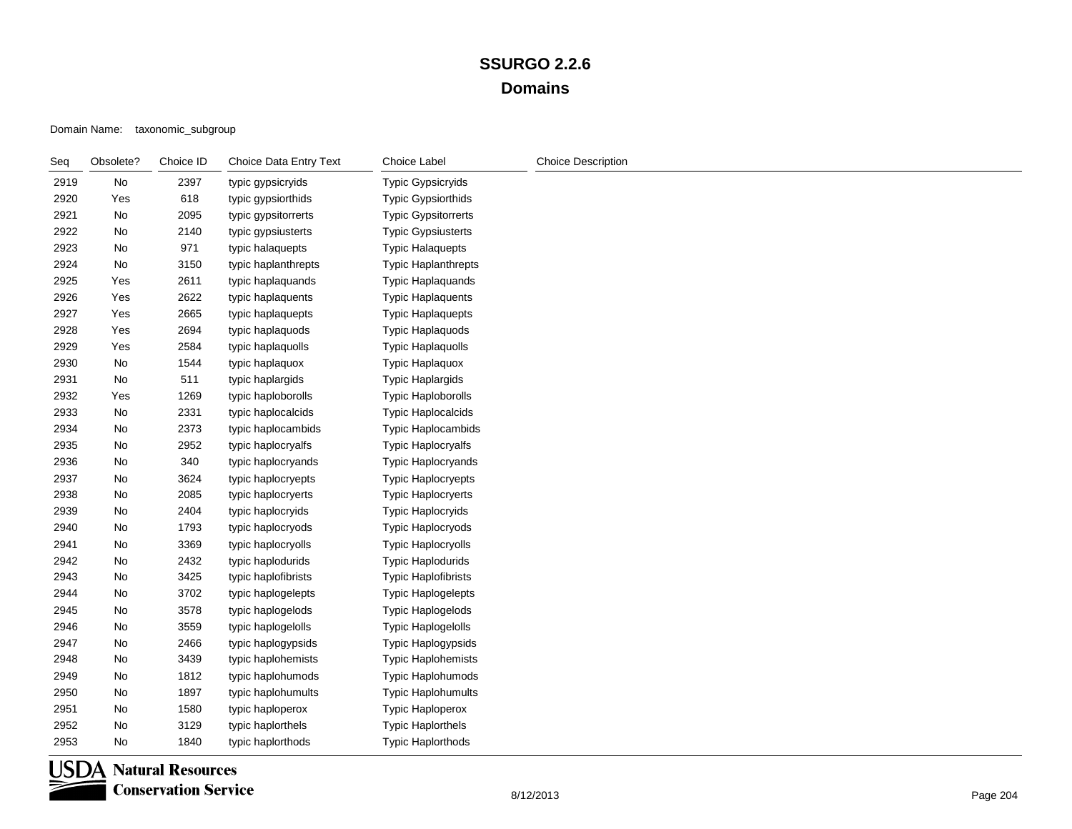### Domain Name: taxonomic\_subgroup

| Seq  | Obsolete? | Choice ID | Choice Data Entry Text | Choice Label               | <b>Choice Description</b> |
|------|-----------|-----------|------------------------|----------------------------|---------------------------|
| 2919 | No        | 2397      | typic gypsicryids      | <b>Typic Gypsicryids</b>   |                           |
| 2920 | Yes       | 618       | typic gypsiorthids     | <b>Typic Gypsiorthids</b>  |                           |
| 2921 | No        | 2095      | typic gypsitorrerts    | <b>Typic Gypsitorrerts</b> |                           |
| 2922 | No        | 2140      | typic gypsiusterts     | <b>Typic Gypsiusterts</b>  |                           |
| 2923 | No        | 971       | typic halaquepts       | <b>Typic Halaquepts</b>    |                           |
| 2924 | No        | 3150      | typic haplanthrepts    | <b>Typic Haplanthrepts</b> |                           |
| 2925 | Yes       | 2611      | typic haplaquands      | Typic Haplaquands          |                           |
| 2926 | Yes       | 2622      | typic haplaquents      | <b>Typic Haplaquents</b>   |                           |
| 2927 | Yes       | 2665      | typic haplaquepts      | <b>Typic Haplaquepts</b>   |                           |
| 2928 | Yes       | 2694      | typic haplaquods       | <b>Typic Haplaquods</b>    |                           |
| 2929 | Yes       | 2584      | typic haplaquolls      | <b>Typic Haplaquolls</b>   |                           |
| 2930 | No        | 1544      | typic haplaquox        | Typic Haplaquox            |                           |
| 2931 | No        | 511       | typic haplargids       | <b>Typic Haplargids</b>    |                           |
| 2932 | Yes       | 1269      | typic haploborolls     | <b>Typic Haploborolls</b>  |                           |
| 2933 | No        | 2331      | typic haplocalcids     | <b>Typic Haplocalcids</b>  |                           |
| 2934 | No        | 2373      | typic haplocambids     | Typic Haplocambids         |                           |
| 2935 | No        | 2952      | typic haplocryalfs     | <b>Typic Haplocryalfs</b>  |                           |
| 2936 | No        | 340       | typic haplocryands     | Typic Haplocryands         |                           |
| 2937 | No        | 3624      | typic haplocryepts     | Typic Haplocryepts         |                           |
| 2938 | No        | 2085      | typic haplocryerts     | <b>Typic Haplocryerts</b>  |                           |
| 2939 | No        | 2404      | typic haplocryids      | Typic Haplocryids          |                           |
| 2940 | No        | 1793      | typic haplocryods      | Typic Haplocryods          |                           |
| 2941 | No        | 3369      | typic haplocryolls     | <b>Typic Haplocryolls</b>  |                           |
| 2942 | No        | 2432      | typic haplodurids      | Typic Haplodurids          |                           |
| 2943 | No        | 3425      | typic haplofibrists    | <b>Typic Haplofibrists</b> |                           |
| 2944 | No        | 3702      | typic haplogelepts     | Typic Haplogelepts         |                           |
| 2945 | No        | 3578      | typic haplogelods      | <b>Typic Haplogelods</b>   |                           |
| 2946 | No        | 3559      | typic haplogelolls     | <b>Typic Haplogelolls</b>  |                           |
| 2947 | No        | 2466      | typic haplogypsids     | Typic Haplogypsids         |                           |
| 2948 | No        | 3439      | typic haplohemists     | <b>Typic Haplohemists</b>  |                           |
| 2949 | No        | 1812      | typic haplohumods      | Typic Haplohumods          |                           |
| 2950 | No        | 1897      | typic haplohumults     | <b>Typic Haplohumults</b>  |                           |
| 2951 | No        | 1580      | typic haploperox       | Typic Haploperox           |                           |
| 2952 | No        | 3129      | typic haplorthels      | <b>Typic Haplorthels</b>   |                           |
| 2953 | No        | 1840      | typic haplorthods      | <b>Typic Haplorthods</b>   |                           |

**USDA** Natural Resources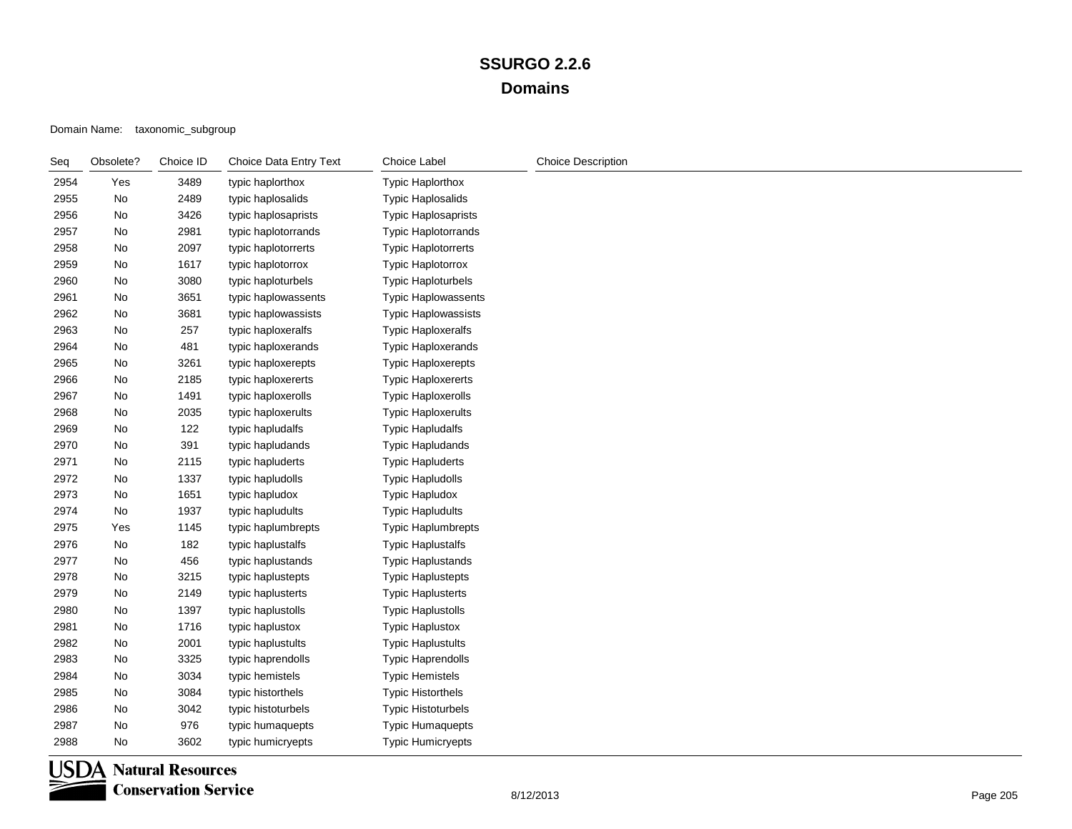### Domain Name: taxonomic\_subgroup

| Seq  | Obsolete? | Choice ID | Choice Data Entry Text | <b>Choice Label</b>        | <b>Choice Description</b> |
|------|-----------|-----------|------------------------|----------------------------|---------------------------|
| 2954 | Yes       | 3489      | typic haplorthox       | <b>Typic Haplorthox</b>    |                           |
| 2955 | No        | 2489      | typic haplosalids      | <b>Typic Haplosalids</b>   |                           |
| 2956 | No        | 3426      | typic haplosaprists    | <b>Typic Haplosaprists</b> |                           |
| 2957 | No        | 2981      | typic haplotorrands    | <b>Typic Haplotorrands</b> |                           |
| 2958 | No        | 2097      | typic haplotorrerts    | <b>Typic Haplotorrerts</b> |                           |
| 2959 | No        | 1617      | typic haplotorrox      | <b>Typic Haplotorrox</b>   |                           |
| 2960 | No        | 3080      | typic haploturbels     | <b>Typic Haploturbels</b>  |                           |
| 2961 | No        | 3651      | typic haplowassents    | <b>Typic Haplowassents</b> |                           |
| 2962 | No        | 3681      | typic haplowassists    | <b>Typic Haplowassists</b> |                           |
| 2963 | No        | 257       | typic haploxeralfs     | <b>Typic Haploxeralfs</b>  |                           |
| 2964 | No        | 481       | typic haploxerands     | <b>Typic Haploxerands</b>  |                           |
| 2965 | No        | 3261      | typic haploxerepts     | <b>Typic Haploxerepts</b>  |                           |
| 2966 | No        | 2185      | typic haploxererts     | <b>Typic Haploxererts</b>  |                           |
| 2967 | No        | 1491      | typic haploxerolls     | <b>Typic Haploxerolls</b>  |                           |
| 2968 | No        | 2035      | typic haploxerults     | <b>Typic Haploxerults</b>  |                           |
| 2969 | No        | 122       | typic hapludalfs       | <b>Typic Hapludalfs</b>    |                           |
| 2970 | No        | 391       | typic hapludands       | <b>Typic Hapludands</b>    |                           |
| 2971 | No        | 2115      | typic hapluderts       | <b>Typic Hapluderts</b>    |                           |
| 2972 | No        | 1337      | typic hapludolls       | <b>Typic Hapludolls</b>    |                           |
| 2973 | No        | 1651      | typic hapludox         | <b>Typic Hapludox</b>      |                           |
| 2974 | No        | 1937      | typic hapludults       | <b>Typic Hapludults</b>    |                           |
| 2975 | Yes       | 1145      | typic haplumbrepts     | <b>Typic Haplumbrepts</b>  |                           |
| 2976 | No        | 182       | typic haplustalfs      | <b>Typic Haplustalfs</b>   |                           |
| 2977 | No        | 456       | typic haplustands      | <b>Typic Haplustands</b>   |                           |
| 2978 | No        | 3215      | typic haplustepts      | <b>Typic Haplustepts</b>   |                           |
| 2979 | No        | 2149      | typic haplusterts      | <b>Typic Haplusterts</b>   |                           |
| 2980 | No        | 1397      | typic haplustolls      | <b>Typic Haplustolls</b>   |                           |
| 2981 | No        | 1716      | typic haplustox        | <b>Typic Haplustox</b>     |                           |
| 2982 | No        | 2001      | typic haplustults      | <b>Typic Haplustults</b>   |                           |
| 2983 | No        | 3325      | typic haprendolls      | <b>Typic Haprendolls</b>   |                           |
| 2984 | No        | 3034      | typic hemistels        | <b>Typic Hemistels</b>     |                           |
| 2985 | No        | 3084      | typic historthels      | <b>Typic Historthels</b>   |                           |
| 2986 | No        | 3042      | typic histoturbels     | <b>Typic Histoturbels</b>  |                           |
| 2987 | No        | 976       | typic humaquepts       | <b>Typic Humaquepts</b>    |                           |
| 2988 | No        | 3602      | typic humicryepts      | <b>Typic Humicryepts</b>   |                           |

**USDA** Natural Resources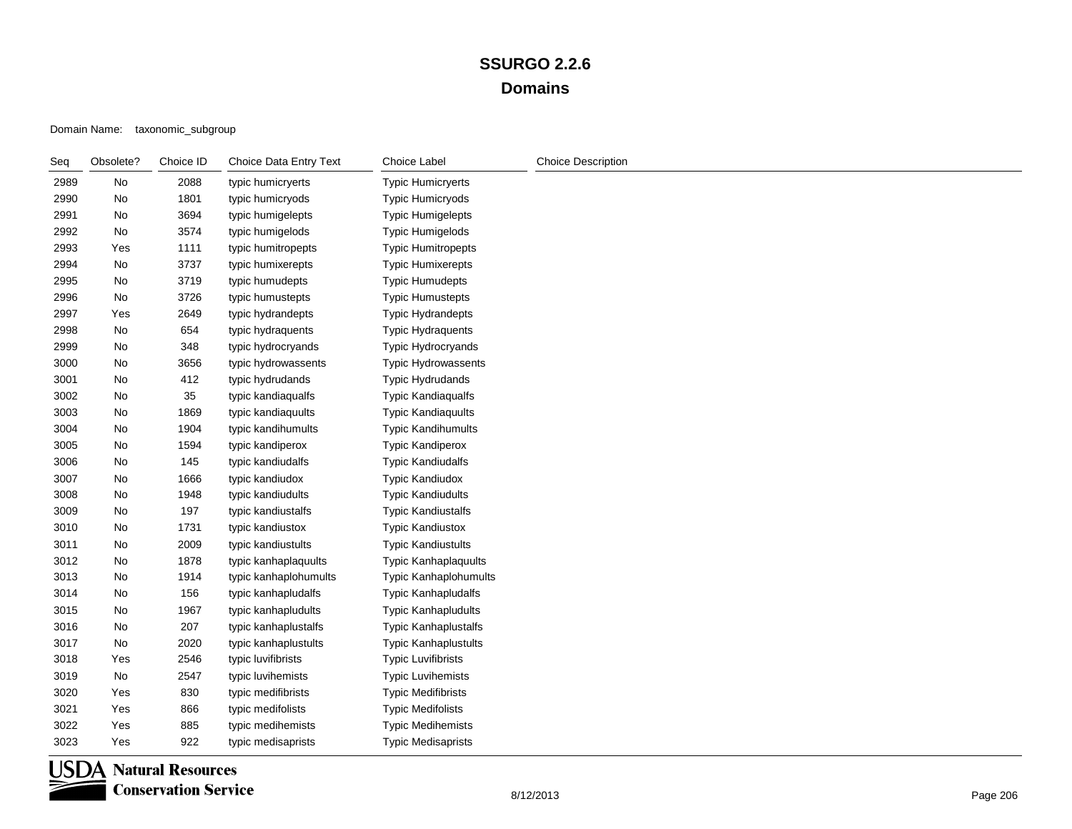| Seq  | Obsolete? | Choice ID | Choice Data Entry Text | Choice Label                 | <b>Choice Description</b> |
|------|-----------|-----------|------------------------|------------------------------|---------------------------|
| 2989 | No        | 2088      | typic humicryerts      | <b>Typic Humicryerts</b>     |                           |
| 2990 | No        | 1801      | typic humicryods       | Typic Humicryods             |                           |
| 2991 | No        | 3694      | typic humigelepts      | <b>Typic Humigelepts</b>     |                           |
| 2992 | No        | 3574      | typic humigelods       | <b>Typic Humigelods</b>      |                           |
| 2993 | Yes       | 1111      | typic humitropepts     | <b>Typic Humitropepts</b>    |                           |
| 2994 | No        | 3737      | typic humixerepts      | <b>Typic Humixerepts</b>     |                           |
| 2995 | No        | 3719      | typic humudepts        | <b>Typic Humudepts</b>       |                           |
| 2996 | No        | 3726      | typic humustepts       | <b>Typic Humustepts</b>      |                           |
| 2997 | Yes       | 2649      | typic hydrandepts      | Typic Hydrandepts            |                           |
| 2998 | No        | 654       | typic hydraquents      | <b>Typic Hydraquents</b>     |                           |
| 2999 | No        | 348       | typic hydrocryands     | Typic Hydrocryands           |                           |
| 3000 | No        | 3656      | typic hydrowassents    | Typic Hydrowassents          |                           |
| 3001 | No        | 412       | typic hydrudands       | Typic Hydrudands             |                           |
| 3002 | No        | 35        | typic kandiaqualfs     | <b>Typic Kandiaqualfs</b>    |                           |
| 3003 | No        | 1869      | typic kandiaquults     | <b>Typic Kandiaquults</b>    |                           |
| 3004 | No        | 1904      | typic kandihumults     | <b>Typic Kandihumults</b>    |                           |
| 3005 | No        | 1594      | typic kandiperox       | <b>Typic Kandiperox</b>      |                           |
| 3006 | No        | 145       | typic kandiudalfs      | <b>Typic Kandiudalfs</b>     |                           |
| 3007 | No        | 1666      | typic kandiudox        | <b>Typic Kandiudox</b>       |                           |
| 3008 | No        | 1948      | typic kandiudults      | <b>Typic Kandiudults</b>     |                           |
| 3009 | No        | 197       | typic kandiustalfs     | <b>Typic Kandiustalfs</b>    |                           |
| 3010 | No        | 1731      | typic kandiustox       | <b>Typic Kandiustox</b>      |                           |
| 3011 | No        | 2009      | typic kandiustults     | <b>Typic Kandiustults</b>    |                           |
| 3012 | No        | 1878      | typic kanhaplaquults   | Typic Kanhaplaquults         |                           |
| 3013 | No        | 1914      | typic kanhaplohumults  | <b>Typic Kanhaplohumults</b> |                           |
| 3014 | No        | 156       | typic kanhapludalfs    | <b>Typic Kanhapludalfs</b>   |                           |
| 3015 | No        | 1967      | typic kanhapludults    | <b>Typic Kanhapludults</b>   |                           |
| 3016 | No        | 207       | typic kanhaplustalfs   | Typic Kanhaplustalfs         |                           |
| 3017 | No        | 2020      | typic kanhaplustults   | Typic Kanhaplustults         |                           |
| 3018 | Yes       | 2546      | typic luvifibrists     | <b>Typic Luvifibrists</b>    |                           |
| 3019 | No        | 2547      | typic luvihemists      | <b>Typic Luvihemists</b>     |                           |
| 3020 | Yes       | 830       | typic medifibrists     | <b>Typic Medifibrists</b>    |                           |
| 3021 | Yes       | 866       | typic medifolists      | <b>Typic Medifolists</b>     |                           |
| 3022 | Yes       | 885       | typic medihemists      | <b>Typic Medihemists</b>     |                           |
| 3023 | Yes       | 922       | typic medisaprists     | <b>Typic Medisaprists</b>    |                           |

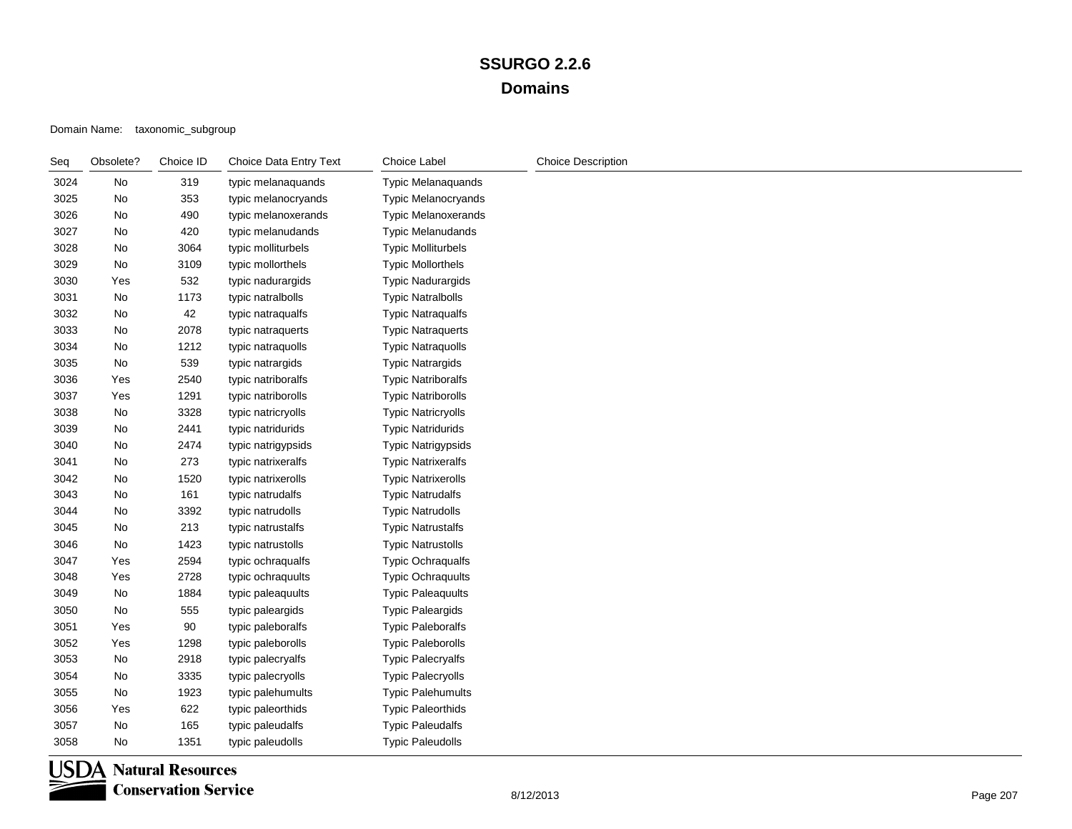Domain Name: taxonomic\_subgroup

| Seq  | Obsolete?     | Choice ID | Choice Data Entry Text | Choice Label               | <b>Choice Description</b> |
|------|---------------|-----------|------------------------|----------------------------|---------------------------|
| 3024 | No            | 319       | typic melanaquands     | Typic Melanaquands         |                           |
| 3025 | No            | 353       | typic melanocryands    | Typic Melanocryands        |                           |
| 3026 | No            | 490       | typic melanoxerands    | <b>Typic Melanoxerands</b> |                           |
| 3027 | No            | 420       | typic melanudands      | Typic Melanudands          |                           |
| 3028 | No            | 3064      | typic molliturbels     | <b>Typic Molliturbels</b>  |                           |
| 3029 | No            | 3109      | typic mollorthels      | <b>Typic Mollorthels</b>   |                           |
| 3030 | Yes           | 532       | typic nadurargids      | <b>Typic Nadurargids</b>   |                           |
| 3031 | No            | 1173      | typic natralbolls      | <b>Typic Natralbolls</b>   |                           |
| 3032 | No            | 42        | typic natraqualfs      | <b>Typic Natraqualfs</b>   |                           |
| 3033 | No            | 2078      | typic natraquerts      | <b>Typic Natraquerts</b>   |                           |
| 3034 | No            | 1212      | typic natraquolls      | <b>Typic Natraquolls</b>   |                           |
| 3035 | No            | 539       | typic natrargids       | <b>Typic Natrargids</b>    |                           |
| 3036 | Yes           | 2540      | typic natriboralfs     | <b>Typic Natriboralfs</b>  |                           |
| 3037 | Yes           | 1291      | typic natriborolls     | <b>Typic Natriborolls</b>  |                           |
| 3038 | No            | 3328      | typic natricryolls     | <b>Typic Natricryolls</b>  |                           |
| 3039 | No            | 2441      | typic natridurids      | <b>Typic Natridurids</b>   |                           |
| 3040 | No            | 2474      | typic natrigypsids     | <b>Typic Natrigypsids</b>  |                           |
| 3041 | No            | 273       | typic natrixeralfs     | <b>Typic Natrixeralfs</b>  |                           |
| 3042 | No            | 1520      | typic natrixerolls     | <b>Typic Natrixerolls</b>  |                           |
| 3043 | No            | 161       | typic natrudalfs       | <b>Typic Natrudalfs</b>    |                           |
| 3044 | No            | 3392      | typic natrudolls       | <b>Typic Natrudolls</b>    |                           |
| 3045 | $\mathsf{No}$ | 213       | typic natrustalfs      | <b>Typic Natrustalfs</b>   |                           |
| 3046 | No            | 1423      | typic natrustolls      | <b>Typic Natrustolls</b>   |                           |
| 3047 | Yes           | 2594      | typic ochraqualfs      | <b>Typic Ochraqualfs</b>   |                           |
| 3048 | Yes           | 2728      | typic ochraquults      | <b>Typic Ochraquults</b>   |                           |
| 3049 | No            | 1884      | typic paleaquults      | <b>Typic Paleaquults</b>   |                           |
| 3050 | No            | 555       | typic paleargids       | <b>Typic Paleargids</b>    |                           |
| 3051 | Yes           | 90        | typic paleboralfs      | <b>Typic Paleboralfs</b>   |                           |
| 3052 | Yes           | 1298      | typic paleborolls      | <b>Typic Paleborolls</b>   |                           |
| 3053 | No            | 2918      | typic palecryalfs      | <b>Typic Palecryalfs</b>   |                           |
| 3054 | No            | 3335      | typic palecryolls      | <b>Typic Palecryolls</b>   |                           |
| 3055 | No            | 1923      | typic palehumults      | <b>Typic Palehumults</b>   |                           |
| 3056 | Yes           | 622       | typic paleorthids      | <b>Typic Paleorthids</b>   |                           |
| 3057 | No            | 165       | typic paleudalfs       | <b>Typic Paleudalfs</b>    |                           |
| 3058 | No            | 1351      | typic paleudolls       | <b>Typic Paleudolls</b>    |                           |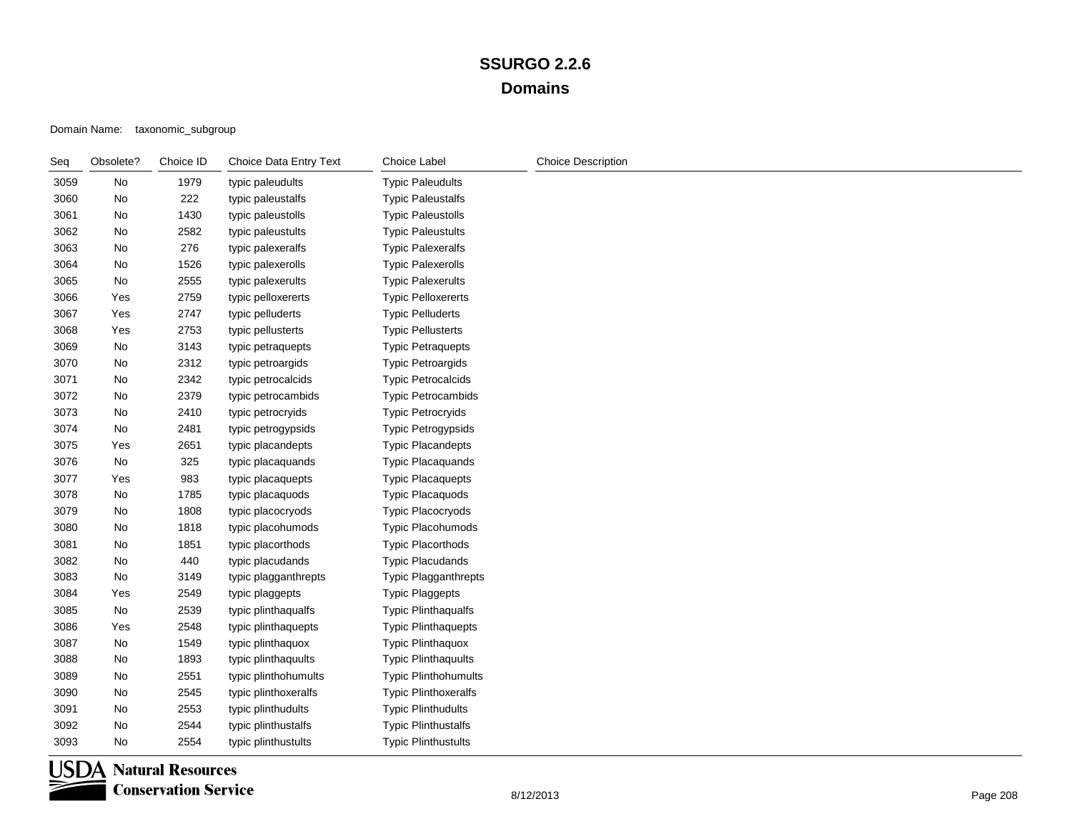Domain Name: taxonomic\_subgroup

| Seq  | Obsolete? | Choice ID | Choice Data Entry Text | <b>Choice Label</b>         | <b>Choice Description</b> |
|------|-----------|-----------|------------------------|-----------------------------|---------------------------|
| 3059 | No        | 1979      | typic paleudults       | <b>Typic Paleudults</b>     |                           |
| 3060 | No        | 222       | typic paleustalfs      | <b>Typic Paleustalfs</b>    |                           |
| 3061 | No        | 1430      | typic paleustolls      | <b>Typic Paleustolls</b>    |                           |
| 3062 | No        | 2582      | typic paleustults      | <b>Typic Paleustults</b>    |                           |
| 3063 | No        | 276       | typic palexeralfs      | <b>Typic Palexeralfs</b>    |                           |
| 3064 | No        | 1526      | typic palexerolls      | <b>Typic Palexerolls</b>    |                           |
| 3065 | No        | 2555      | typic palexerults      | <b>Typic Palexerults</b>    |                           |
| 3066 | Yes       | 2759      | typic pelloxererts     | <b>Typic Pelloxererts</b>   |                           |
| 3067 | Yes       | 2747      | typic pelluderts       | <b>Typic Pelluderts</b>     |                           |
| 3068 | Yes       | 2753      | typic pellusterts      | <b>Typic Pellusterts</b>    |                           |
| 3069 | No        | 3143      | typic petraquepts      | <b>Typic Petraquepts</b>    |                           |
| 3070 | No        | 2312      | typic petroargids      | <b>Typic Petroargids</b>    |                           |
| 3071 | No        | 2342      | typic petrocalcids     | <b>Typic Petrocalcids</b>   |                           |
| 3072 | No        | 2379      | typic petrocambids     | <b>Typic Petrocambids</b>   |                           |
| 3073 | No        | 2410      | typic petrocryids      | <b>Typic Petrocryids</b>    |                           |
| 3074 | No        | 2481      | typic petrogypsids     | <b>Typic Petrogypsids</b>   |                           |
| 3075 | Yes       | 2651      | typic placandepts      | <b>Typic Placandepts</b>    |                           |
| 3076 | No        | 325       | typic placaquands      | Typic Placaquands           |                           |
| 3077 | Yes       | 983       | typic placaquepts      | <b>Typic Placaquepts</b>    |                           |
| 3078 | No        | 1785      | typic placaquods       | Typic Placaquods            |                           |
| 3079 | No        | 1808      | typic placocryods      | Typic Placocryods           |                           |
| 3080 | No        | 1818      | typic placohumods      | Typic Placohumods           |                           |
| 3081 | No        | 1851      | typic placorthods      | <b>Typic Placorthods</b>    |                           |
| 3082 | No        | 440       | typic placudands       | <b>Typic Placudands</b>     |                           |
| 3083 | No        | 3149      | typic plagganthrepts   | Typic Plagganthrepts        |                           |
| 3084 | Yes       | 2549      | typic plaggepts        | <b>Typic Plaggepts</b>      |                           |
| 3085 | No        | 2539      | typic plinthaqualfs    | <b>Typic Plinthaqualfs</b>  |                           |
| 3086 | Yes       | 2548      | typic plinthaquepts    | <b>Typic Plinthaquepts</b>  |                           |
| 3087 | No        | 1549      | typic plinthaquox      | <b>Typic Plinthaquox</b>    |                           |
| 3088 | No        | 1893      | typic plinthaquults    | <b>Typic Plinthaquults</b>  |                           |
| 3089 | No        | 2551      | typic plinthohumults   | <b>Typic Plinthohumults</b> |                           |
| 3090 | No        | 2545      | typic plinthoxeralfs   | <b>Typic Plinthoxeralfs</b> |                           |
| 3091 | No        | 2553      | typic plinthudults     | <b>Typic Plinthudults</b>   |                           |
| 3092 | No        | 2544      | typic plinthustalfs    | <b>Typic Plinthustalfs</b>  |                           |
| 3093 | No        | 2554      | typic plinthustults    | <b>Typic Plinthustults</b>  |                           |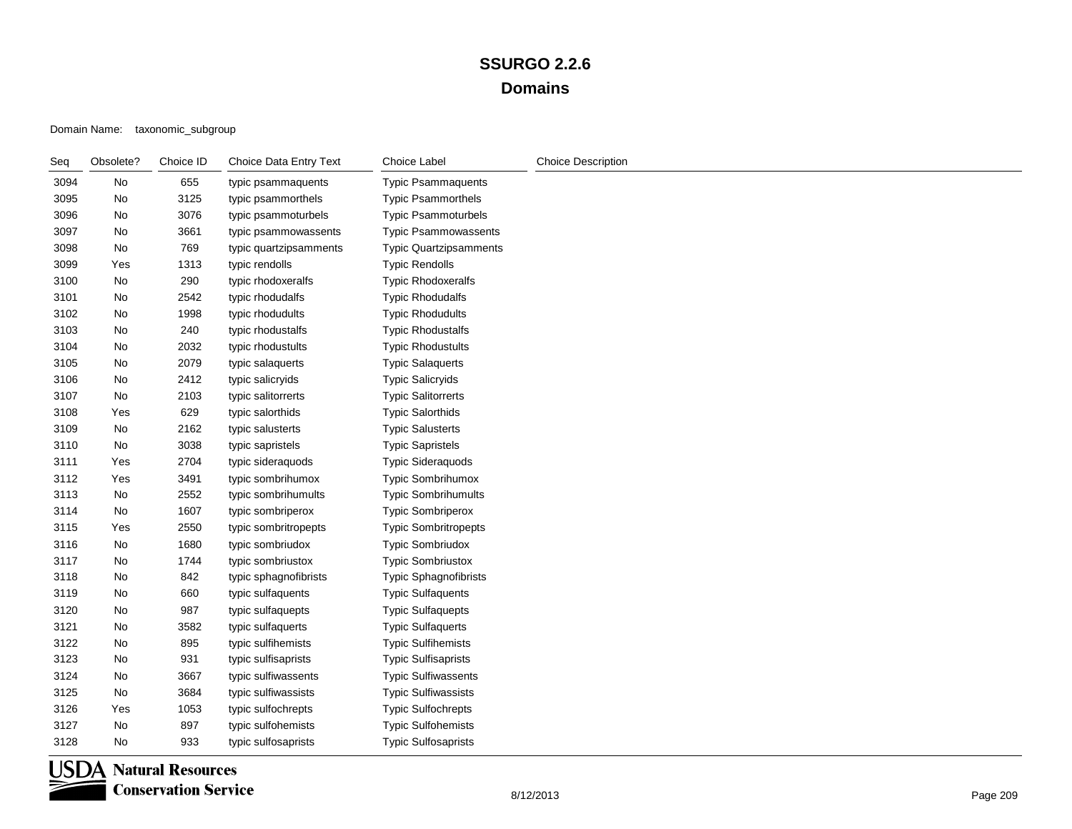### Domain Name: taxonomic\_subgroup

| Seq  | Obsolete?                    | Choice ID | Choice Data Entry Text | Choice Label                  | <b>Choice Description</b> |
|------|------------------------------|-----------|------------------------|-------------------------------|---------------------------|
| 3094 | No                           | 655       | typic psammaquents     | <b>Typic Psammaquents</b>     |                           |
| 3095 | $\operatorname{\mathsf{No}}$ | 3125      | typic psammorthels     | <b>Typic Psammorthels</b>     |                           |
| 3096 | No                           | 3076      | typic psammoturbels    | Typic Psammoturbels           |                           |
| 3097 | No                           | 3661      | typic psammowassents   | <b>Typic Psammowassents</b>   |                           |
| 3098 | No                           | 769       | typic quartzipsamments | <b>Typic Quartzipsamments</b> |                           |
| 3099 | Yes                          | 1313      | typic rendolls         | <b>Typic Rendolls</b>         |                           |
| 3100 | No                           | 290       | typic rhodoxeralfs     | <b>Typic Rhodoxeralfs</b>     |                           |
| 3101 | No                           | 2542      | typic rhodudalfs       | <b>Typic Rhodudalfs</b>       |                           |
| 3102 | No                           | 1998      | typic rhodudults       | <b>Typic Rhodudults</b>       |                           |
| 3103 | No                           | 240       | typic rhodustalfs      | <b>Typic Rhodustalfs</b>      |                           |
| 3104 | No                           | 2032      | typic rhodustults      | <b>Typic Rhodustults</b>      |                           |
| 3105 | No                           | 2079      | typic salaquerts       | <b>Typic Salaquerts</b>       |                           |
| 3106 | No                           | 2412      | typic salicryids       | <b>Typic Salicryids</b>       |                           |
| 3107 | No                           | 2103      | typic salitorrerts     | <b>Typic Salitorrerts</b>     |                           |
| 3108 | Yes                          | 629       | typic salorthids       | <b>Typic Salorthids</b>       |                           |
| 3109 | No                           | 2162      | typic salusterts       | <b>Typic Salusterts</b>       |                           |
| 3110 | No                           | 3038      | typic sapristels       | <b>Typic Sapristels</b>       |                           |
| 3111 | Yes                          | 2704      | typic sideraquods      | <b>Typic Sideraquods</b>      |                           |
| 3112 | Yes                          | 3491      | typic sombrihumox      | Typic Sombrihumox             |                           |
| 3113 | No                           | 2552      | typic sombrihumults    | <b>Typic Sombrihumults</b>    |                           |
| 3114 | No                           | 1607      | typic sombriperox      | <b>Typic Sombriperox</b>      |                           |
| 3115 | Yes                          | 2550      | typic sombritropepts   | <b>Typic Sombritropepts</b>   |                           |
| 3116 | No                           | 1680      | typic sombriudox       | <b>Typic Sombriudox</b>       |                           |
| 3117 | No                           | 1744      | typic sombriustox      | <b>Typic Sombriustox</b>      |                           |
| 3118 | No                           | 842       | typic sphagnofibrists  | <b>Typic Sphagnofibrists</b>  |                           |
| 3119 | No                           | 660       | typic sulfaquents      | <b>Typic Sulfaquents</b>      |                           |
| 3120 | No                           | 987       | typic sulfaquepts      | <b>Typic Sulfaquepts</b>      |                           |
| 3121 | No                           | 3582      | typic sulfaquerts      | <b>Typic Sulfaquerts</b>      |                           |
| 3122 | No                           | 895       | typic sulfihemists     | <b>Typic Sulfihemists</b>     |                           |
| 3123 | No                           | 931       | typic sulfisaprists    | <b>Typic Sulfisaprists</b>    |                           |
| 3124 | No                           | 3667      | typic sulfiwassents    | <b>Typic Sulfiwassents</b>    |                           |
| 3125 | No                           | 3684      | typic sulfiwassists    | <b>Typic Sulfiwassists</b>    |                           |
| 3126 | Yes                          | 1053      | typic sulfochrepts     | <b>Typic Sulfochrepts</b>     |                           |
| 3127 | No                           | 897       | typic sulfohemists     | <b>Typic Sulfohemists</b>     |                           |
| 3128 | No                           | 933       | typic sulfosaprists    | <b>Typic Sulfosaprists</b>    |                           |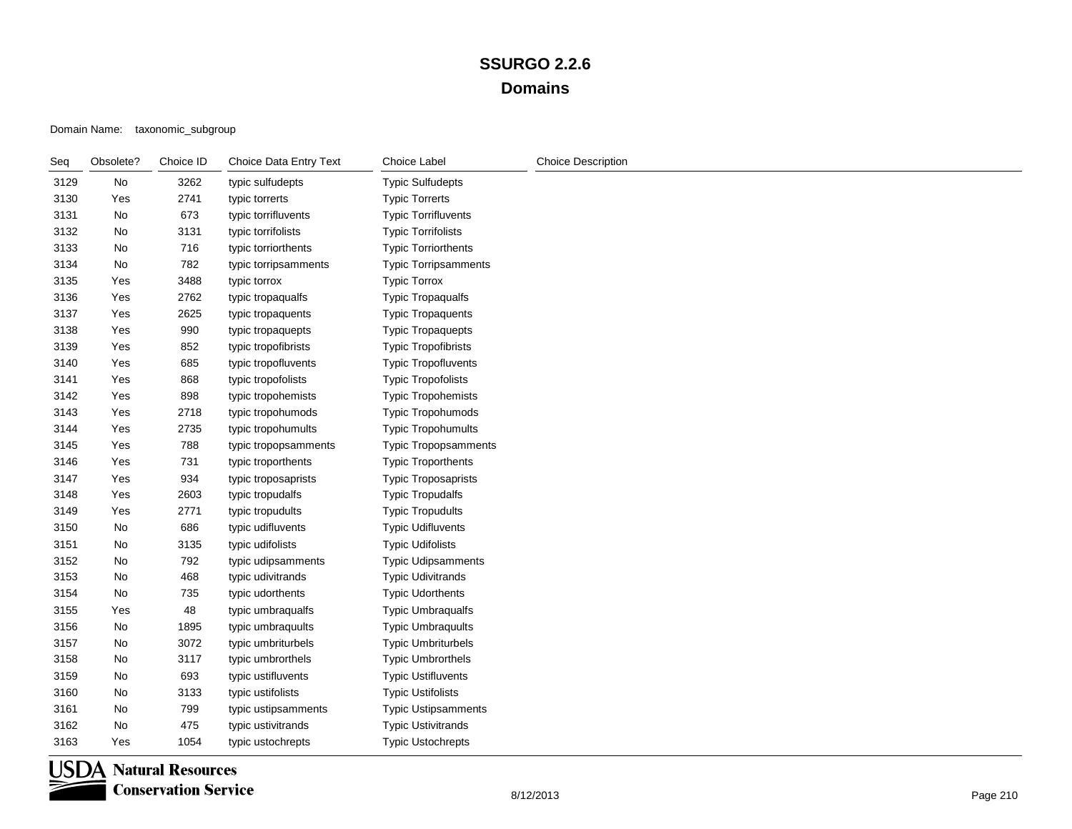### Domain Name: taxonomic\_subgroup

| Seq  | Obsolete? | Choice ID | Choice Data Entry Text | Choice Label                | <b>Choice Description</b> |
|------|-----------|-----------|------------------------|-----------------------------|---------------------------|
| 3129 | No        | 3262      | typic sulfudepts       | <b>Typic Sulfudepts</b>     |                           |
| 3130 | Yes       | 2741      | typic torrerts         | <b>Typic Torrerts</b>       |                           |
| 3131 | No        | 673       | typic torrifluvents    | <b>Typic Torrifluvents</b>  |                           |
| 3132 | No        | 3131      | typic torrifolists     | <b>Typic Torrifolists</b>   |                           |
| 3133 | No        | 716       | typic torriorthents    | <b>Typic Torriorthents</b>  |                           |
| 3134 | No        | 782       | typic torripsamments   | <b>Typic Torripsamments</b> |                           |
| 3135 | Yes       | 3488      | typic torrox           | <b>Typic Torrox</b>         |                           |
| 3136 | Yes       | 2762      | typic tropaqualfs      | <b>Typic Tropaqualfs</b>    |                           |
| 3137 | Yes       | 2625      | typic tropaquents      | <b>Typic Tropaquents</b>    |                           |
| 3138 | Yes       | 990       | typic tropaquepts      | <b>Typic Tropaquepts</b>    |                           |
| 3139 | Yes       | 852       | typic tropofibrists    | <b>Typic Tropofibrists</b>  |                           |
| 3140 | Yes       | 685       | typic tropofluvents    | <b>Typic Tropofluvents</b>  |                           |
| 3141 | Yes       | 868       | typic tropofolists     | <b>Typic Tropofolists</b>   |                           |
| 3142 | Yes       | 898       | typic tropohemists     | <b>Typic Tropohemists</b>   |                           |
| 3143 | Yes       | 2718      | typic tropohumods      | <b>Typic Tropohumods</b>    |                           |
| 3144 | Yes       | 2735      | typic tropohumults     | <b>Typic Tropohumults</b>   |                           |
| 3145 | Yes       | 788       | typic tropopsamments   | <b>Typic Tropopsamments</b> |                           |
| 3146 | Yes       | 731       | typic troporthents     | <b>Typic Troporthents</b>   |                           |
| 3147 | Yes       | 934       | typic troposaprists    | <b>Typic Troposaprists</b>  |                           |
| 3148 | Yes       | 2603      | typic tropudalfs       | <b>Typic Tropudalfs</b>     |                           |
| 3149 | Yes       | 2771      | typic tropudults       | <b>Typic Tropudults</b>     |                           |
| 3150 | No        | 686       | typic udifluvents      | <b>Typic Udifluvents</b>    |                           |
| 3151 | No        | 3135      | typic udifolists       | <b>Typic Udifolists</b>     |                           |
| 3152 | No        | 792       | typic udipsamments     | <b>Typic Udipsamments</b>   |                           |
| 3153 | No        | 468       | typic udivitrands      | <b>Typic Udivitrands</b>    |                           |
| 3154 | No        | 735       | typic udorthents       | <b>Typic Udorthents</b>     |                           |
| 3155 | Yes       | 48        | typic umbraqualfs      | <b>Typic Umbraqualfs</b>    |                           |
| 3156 | No        | 1895      | typic umbraquults      | <b>Typic Umbraquults</b>    |                           |
| 3157 | No        | 3072      | typic umbriturbels     | <b>Typic Umbriturbels</b>   |                           |
| 3158 | No        | 3117      | typic umbrorthels      | <b>Typic Umbrorthels</b>    |                           |
| 3159 | No        | 693       | typic ustifluvents     | <b>Typic Ustifluvents</b>   |                           |
| 3160 | No        | 3133      | typic ustifolists      | <b>Typic Ustifolists</b>    |                           |
| 3161 | No        | 799       | typic ustipsamments    | <b>Typic Ustipsamments</b>  |                           |
| 3162 | No        | 475       | typic ustivitrands     | <b>Typic Ustivitrands</b>   |                           |
| 3163 | Yes       | 1054      | typic ustochrepts      | <b>Typic Ustochrepts</b>    |                           |

**USDA** Natural Resources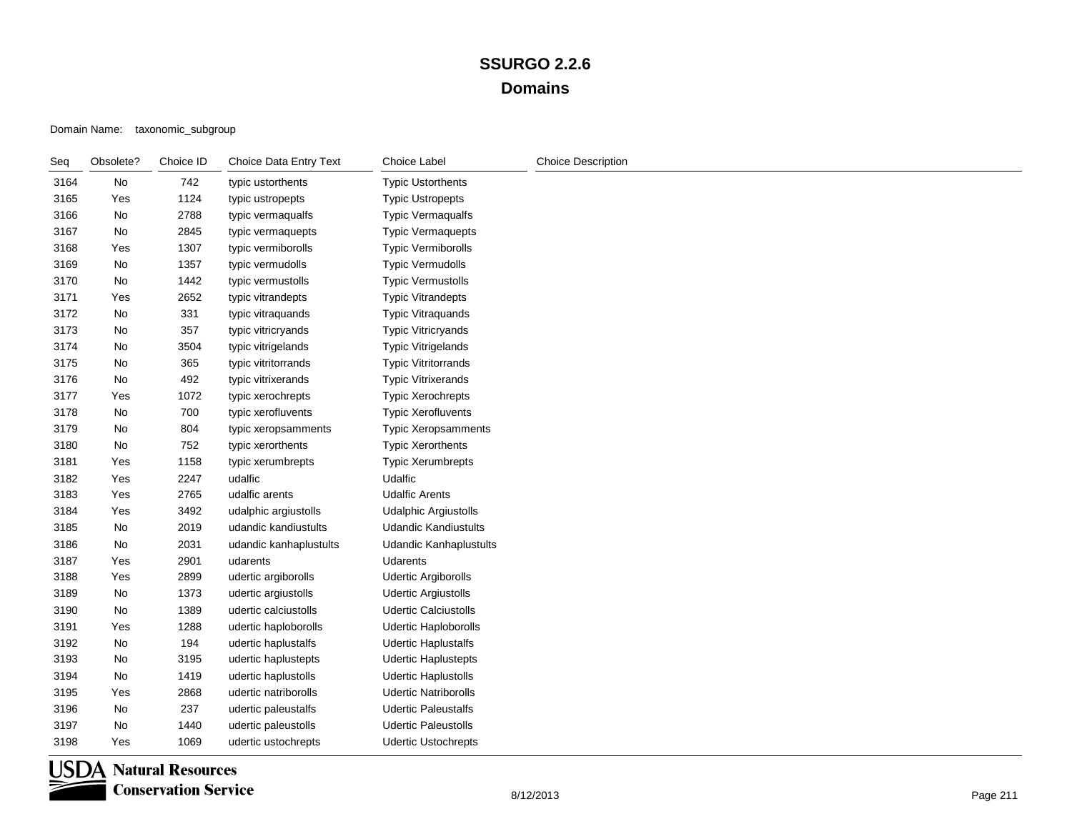### Domain Name: taxonomic\_subgroup

| Seq  | Obsolete? | Choice ID | Choice Data Entry Text | Choice Label                  | <b>Choice Description</b> |
|------|-----------|-----------|------------------------|-------------------------------|---------------------------|
| 3164 | No        | 742       | typic ustorthents      | <b>Typic Ustorthents</b>      |                           |
| 3165 | Yes       | 1124      | typic ustropepts       | <b>Typic Ustropepts</b>       |                           |
| 3166 | No        | 2788      | typic vermaqualfs      | <b>Typic Vermaqualfs</b>      |                           |
| 3167 | No        | 2845      | typic vermaquepts      | <b>Typic Vermaquepts</b>      |                           |
| 3168 | Yes       | 1307      | typic vermiborolls     | <b>Typic Vermiborolls</b>     |                           |
| 3169 | No        | 1357      | typic vermudolls       | <b>Typic Vermudolls</b>       |                           |
| 3170 | No        | 1442      | typic vermustolls      | <b>Typic Vermustolls</b>      |                           |
| 3171 | Yes       | 2652      | typic vitrandepts      | <b>Typic Vitrandepts</b>      |                           |
| 3172 | No        | 331       | typic vitraquands      | <b>Typic Vitraquands</b>      |                           |
| 3173 | No        | 357       | typic vitricryands     | <b>Typic Vitricryands</b>     |                           |
| 3174 | No        | 3504      | typic vitrigelands     | <b>Typic Vitrigelands</b>     |                           |
| 3175 | No        | 365       | typic vitritorrands    | <b>Typic Vitritorrands</b>    |                           |
| 3176 | No        | 492       | typic vitrixerands     | <b>Typic Vitrixerands</b>     |                           |
| 3177 | Yes       | 1072      | typic xerochrepts      | <b>Typic Xerochrepts</b>      |                           |
| 3178 | No        | 700       | typic xerofluvents     | <b>Typic Xerofluvents</b>     |                           |
| 3179 | No        | 804       | typic xeropsamments    | <b>Typic Xeropsamments</b>    |                           |
| 3180 | No        | 752       | typic xerorthents      | <b>Typic Xerorthents</b>      |                           |
| 3181 | Yes       | 1158      | typic xerumbrepts      | <b>Typic Xerumbrepts</b>      |                           |
| 3182 | Yes       | 2247      | udalfic                | Udalfic                       |                           |
| 3183 | Yes       | 2765      | udalfic arents         | <b>Udalfic Arents</b>         |                           |
| 3184 | Yes       | 3492      | udalphic argiustolls   | <b>Udalphic Argiustolls</b>   |                           |
| 3185 | No        | 2019      | udandic kandiustults   | <b>Udandic Kandiustults</b>   |                           |
| 3186 | No        | 2031      | udandic kanhaplustults | <b>Udandic Kanhaplustults</b> |                           |
| 3187 | Yes       | 2901      | udarents               | Udarents                      |                           |
| 3188 | Yes       | 2899      | udertic argiborolls    | <b>Udertic Argiborolls</b>    |                           |
| 3189 | No        | 1373      | udertic argiustolls    | <b>Udertic Argiustolls</b>    |                           |
| 3190 | No        | 1389      | udertic calciustolls   | <b>Udertic Calciustolls</b>   |                           |
| 3191 | Yes       | 1288      | udertic haploborolls   | Udertic Haploborolls          |                           |
| 3192 | No        | 194       | udertic haplustalfs    | <b>Udertic Haplustalfs</b>    |                           |
| 3193 | No        | 3195      | udertic haplustepts    | <b>Udertic Haplustepts</b>    |                           |
| 3194 | No        | 1419      | udertic haplustolls    | <b>Udertic Haplustolls</b>    |                           |
| 3195 | Yes       | 2868      | udertic natriborolls   | <b>Udertic Natriborolls</b>   |                           |
| 3196 | No        | 237       | udertic paleustalfs    | <b>Udertic Paleustalfs</b>    |                           |
| 3197 | No        | 1440      | udertic paleustolls    | <b>Udertic Paleustolls</b>    |                           |
| 3198 | Yes       | 1069      | udertic ustochrepts    | <b>Udertic Ustochrepts</b>    |                           |

**USDA** Natural Resources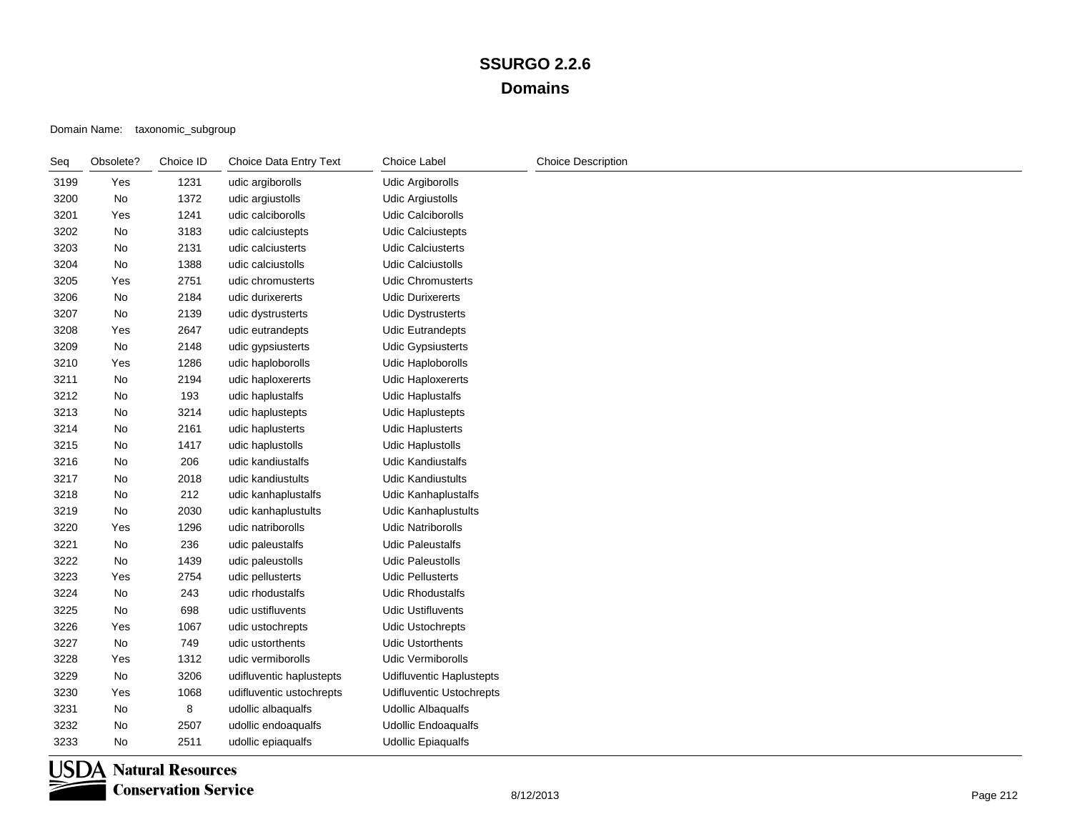| Seq  | Obsolete? | Choice ID | Choice Data Entry Text   | Choice Label                    | <b>Choice Description</b> |
|------|-----------|-----------|--------------------------|---------------------------------|---------------------------|
| 3199 | Yes       | 1231      | udic argiborolls         | Udic Argiborolls                |                           |
| 3200 | No        | 1372      | udic argiustolls         | Udic Argiustolls                |                           |
| 3201 | Yes       | 1241      | udic calciborolls        | Udic Calciborolls               |                           |
| 3202 | No        | 3183      | udic calciustepts        | <b>Udic Calciustepts</b>        |                           |
| 3203 | No        | 2131      | udic calciusterts        | <b>Udic Calciusterts</b>        |                           |
| 3204 | No        | 1388      | udic calciustolls        | <b>Udic Calciustolls</b>        |                           |
| 3205 | Yes       | 2751      | udic chromusterts        | <b>Udic Chromusterts</b>        |                           |
| 3206 | No        | 2184      | udic durixererts         | <b>Udic Durixererts</b>         |                           |
| 3207 | No        | 2139      | udic dystrusterts        | <b>Udic Dystrusterts</b>        |                           |
| 3208 | Yes       | 2647      | udic eutrandepts         | <b>Udic Eutrandepts</b>         |                           |
| 3209 | No        | 2148      | udic gypsiusterts        | <b>Udic Gypsiusterts</b>        |                           |
| 3210 | Yes       | 1286      | udic haploborolls        | Udic Haploborolls               |                           |
| 3211 | No        | 2194      | udic haploxererts        | Udic Haploxererts               |                           |
| 3212 | No        | 193       | udic haplustalfs         | <b>Udic Haplustalfs</b>         |                           |
| 3213 | No        | 3214      | udic haplustepts         | <b>Udic Haplustepts</b>         |                           |
| 3214 | No        | 2161      | udic haplusterts         | <b>Udic Haplusterts</b>         |                           |
| 3215 | No        | 1417      | udic haplustolls         | Udic Haplustolls                |                           |
| 3216 | No        | 206       | udic kandiustalfs        | <b>Udic Kandiustalfs</b>        |                           |
| 3217 | No        | 2018      | udic kandiustults        | <b>Udic Kandiustults</b>        |                           |
| 3218 | No        | 212       | udic kanhaplustalfs      | Udic Kanhaplustalfs             |                           |
| 3219 | No        | 2030      | udic kanhaplustults      | Udic Kanhaplustults             |                           |
| 3220 | Yes       | 1296      | udic natriborolls        | <b>Udic Natriborolls</b>        |                           |
| 3221 | No        | 236       | udic paleustalfs         | <b>Udic Paleustalfs</b>         |                           |
| 3222 | No        | 1439      | udic paleustolls         | <b>Udic Paleustolls</b>         |                           |
| 3223 | Yes       | 2754      | udic pellusterts         | <b>Udic Pellusterts</b>         |                           |
| 3224 | No        | 243       | udic rhodustalfs         | <b>Udic Rhodustalfs</b>         |                           |
| 3225 | No        | 698       | udic ustifluvents        | <b>Udic Ustifluvents</b>        |                           |
| 3226 | Yes       | 1067      | udic ustochrepts         | Udic Ustochrepts                |                           |
| 3227 | No        | 749       | udic ustorthents         | <b>Udic Ustorthents</b>         |                           |
| 3228 | Yes       | 1312      | udic vermiborolls        | Udic Vermiborolls               |                           |
| 3229 | No        | 3206      | udifluventic haplustepts | Udifluventic Haplustepts        |                           |
| 3230 | Yes       | 1068      | udifluventic ustochrepts | <b>Udifluventic Ustochrepts</b> |                           |
| 3231 | No        | 8         | udollic albaqualfs       | <b>Udollic Albaqualfs</b>       |                           |
| 3232 | No        | 2507      | udollic endoaqualfs      | <b>Udollic Endoaqualfs</b>      |                           |
| 3233 | No        | 2511      | udollic epiaqualfs       | <b>Udollic Epiaqualfs</b>       |                           |

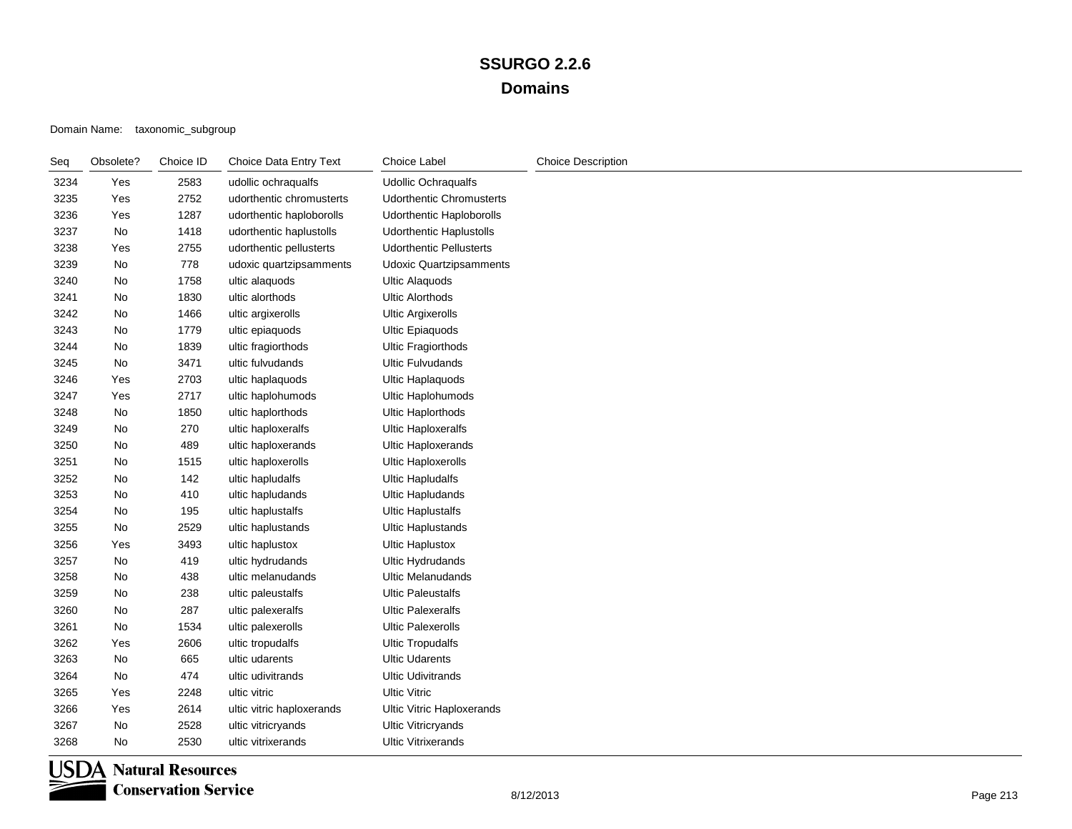| Seq  | Obsolete? | Choice ID | Choice Data Entry Text    | Choice Label                     | <b>Choice Description</b> |
|------|-----------|-----------|---------------------------|----------------------------------|---------------------------|
| 3234 | Yes       | 2583      | udollic ochraqualfs       | <b>Udollic Ochraqualfs</b>       |                           |
| 3235 | Yes       | 2752      | udorthentic chromusterts  | <b>Udorthentic Chromusterts</b>  |                           |
| 3236 | Yes       | 1287      | udorthentic haploborolls  | <b>Udorthentic Haploborolls</b>  |                           |
| 3237 | No        | 1418      | udorthentic haplustolls   | <b>Udorthentic Haplustolls</b>   |                           |
| 3238 | Yes       | 2755      | udorthentic pellusterts   | <b>Udorthentic Pellusterts</b>   |                           |
| 3239 | No        | 778       | udoxic quartzipsamments   | <b>Udoxic Quartzipsamments</b>   |                           |
| 3240 | No        | 1758      | ultic alaquods            | <b>Ultic Alaquods</b>            |                           |
| 3241 | No        | 1830      | ultic alorthods           | <b>Ultic Alorthods</b>           |                           |
| 3242 | No        | 1466      | ultic argixerolls         | <b>Ultic Argixerolls</b>         |                           |
| 3243 | No        | 1779      | ultic epiaquods           | <b>Ultic Epiaquods</b>           |                           |
| 3244 | No        | 1839      | ultic fragiorthods        | Ultic Fragiorthods               |                           |
| 3245 | No        | 3471      | ultic fulvudands          | <b>Ultic Fulvudands</b>          |                           |
| 3246 | Yes       | 2703      | ultic haplaquods          | Ultic Haplaquods                 |                           |
| 3247 | Yes       | 2717      | ultic haplohumods         | Ultic Haplohumods                |                           |
| 3248 | No        | 1850      | ultic haplorthods         | Ultic Haplorthods                |                           |
| 3249 | No        | 270       | ultic haploxeralfs        | <b>Ultic Haploxeralfs</b>        |                           |
| 3250 | No        | 489       | ultic haploxerands        | Ultic Haploxerands               |                           |
| 3251 | No        | 1515      | ultic haploxerolls        | <b>Ultic Haploxerolls</b>        |                           |
| 3252 | No        | 142       | ultic hapludalfs          | <b>Ultic Hapludalfs</b>          |                           |
| 3253 | No        | 410       | ultic hapludands          | Ultic Hapludands                 |                           |
| 3254 | No        | 195       | ultic haplustalfs         | <b>Ultic Haplustalfs</b>         |                           |
| 3255 | No        | 2529      | ultic haplustands         | <b>Ultic Haplustands</b>         |                           |
| 3256 | Yes       | 3493      | ultic haplustox           | <b>Ultic Haplustox</b>           |                           |
| 3257 | No        | 419       | ultic hydrudands          | Ultic Hydrudands                 |                           |
| 3258 | No        | 438       | ultic melanudands         | <b>Ultic Melanudands</b>         |                           |
| 3259 | No        | 238       | ultic paleustalfs         | <b>Ultic Paleustalfs</b>         |                           |
| 3260 | No        | 287       | ultic palexeralfs         | <b>Ultic Palexeralfs</b>         |                           |
| 3261 | No        | 1534      | ultic palexerolls         | <b>Ultic Palexerolls</b>         |                           |
| 3262 | Yes       | 2606      | ultic tropudalfs          | <b>Ultic Tropudalfs</b>          |                           |
| 3263 | No        | 665       | ultic udarents            | <b>Ultic Udarents</b>            |                           |
| 3264 | No        | 474       | ultic udivitrands         | <b>Ultic Udivitrands</b>         |                           |
| 3265 | Yes       | 2248      | ultic vitric              | <b>Ultic Vitric</b>              |                           |
| 3266 | Yes       | 2614      | ultic vitric haploxerands | <b>Ultic Vitric Haploxerands</b> |                           |
| 3267 | No        | 2528      | ultic vitricryands        | <b>Ultic Vitricryands</b>        |                           |
| 3268 | No        | 2530      | ultic vitrixerands        | <b>Ultic Vitrixerands</b>        |                           |

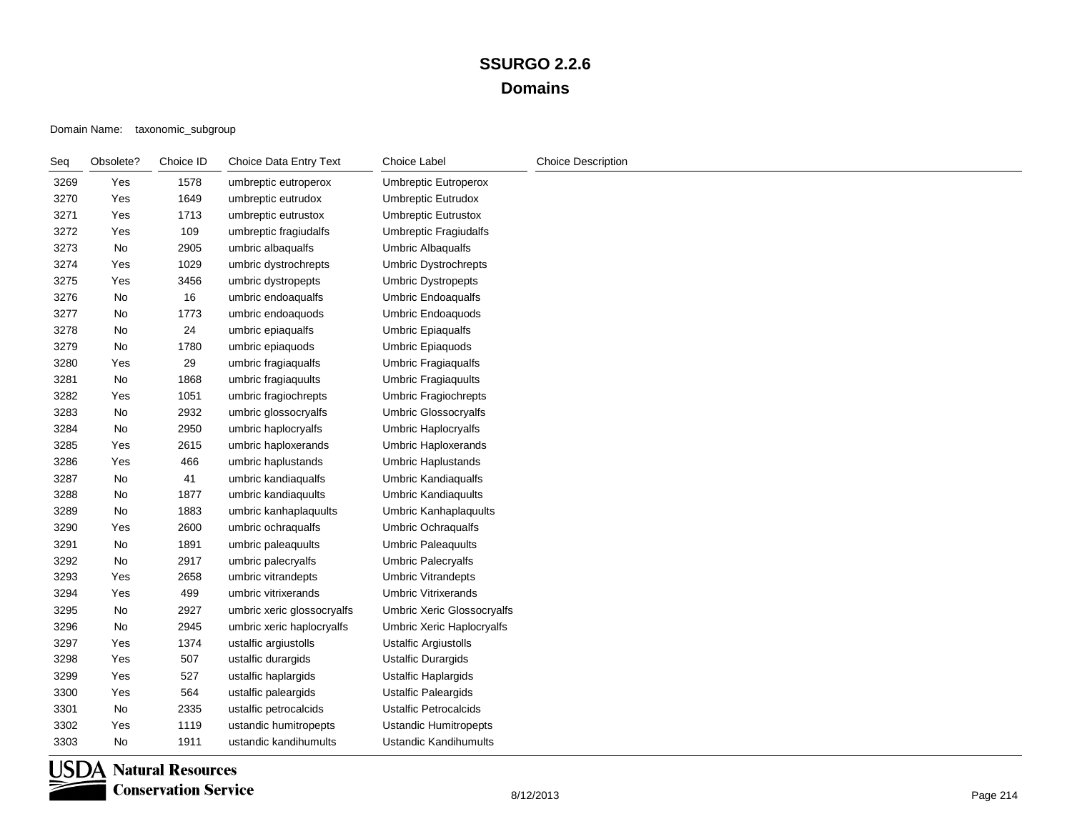#### Domain Name: taxonomic\_subgroup

| Seq  | Obsolete? | Choice ID | Choice Data Entry Text     | <b>Choice Label</b>          | <b>Choice Description</b> |
|------|-----------|-----------|----------------------------|------------------------------|---------------------------|
| 3269 | Yes       | 1578      | umbreptic eutroperox       | <b>Umbreptic Eutroperox</b>  |                           |
| 3270 | Yes       | 1649      | umbreptic eutrudox         | Umbreptic Eutrudox           |                           |
| 3271 | Yes       | 1713      | umbreptic eutrustox        | <b>Umbreptic Eutrustox</b>   |                           |
| 3272 | Yes       | 109       | umbreptic fragiudalfs      | Umbreptic Fragiudalfs        |                           |
| 3273 | No        | 2905      | umbric albaqualfs          | <b>Umbric Albaqualfs</b>     |                           |
| 3274 | Yes       | 1029      | umbric dystrochrepts       | <b>Umbric Dystrochrepts</b>  |                           |
| 3275 | Yes       | 3456      | umbric dystropepts         | <b>Umbric Dystropepts</b>    |                           |
| 3276 | No        | 16        | umbric endoaqualfs         | <b>Umbric Endoaqualfs</b>    |                           |
| 3277 | No        | 1773      | umbric endoaquods          | Umbric Endoaquods            |                           |
| 3278 | No        | 24        | umbric epiaqualfs          | <b>Umbric Epiaqualfs</b>     |                           |
| 3279 | No        | 1780      | umbric epiaquods           | Umbric Epiaquods             |                           |
| 3280 | Yes       | 29        | umbric fragiaqualfs        | <b>Umbric Fragiaqualfs</b>   |                           |
| 3281 | No        | 1868      | umbric fragiaquults        | <b>Umbric Fragiaquults</b>   |                           |
| 3282 | Yes       | 1051      | umbric fragiochrepts       | Umbric Fragiochrepts         |                           |
| 3283 | No        | 2932      | umbric glossocryalfs       | Umbric Glossocryalfs         |                           |
| 3284 | No        | 2950      | umbric haplocryalfs        | <b>Umbric Haplocryalfs</b>   |                           |
| 3285 | Yes       | 2615      | umbric haploxerands        | <b>Umbric Haploxerands</b>   |                           |
| 3286 | Yes       | 466       | umbric haplustands         | <b>Umbric Haplustands</b>    |                           |
| 3287 | No        | 41        | umbric kandiaqualfs        | Umbric Kandiaqualfs          |                           |
| 3288 | No        | 1877      | umbric kandiaquults        | <b>Umbric Kandiaquults</b>   |                           |
| 3289 | No        | 1883      | umbric kanhaplaquults      | Umbric Kanhaplaquults        |                           |
| 3290 | Yes       | 2600      | umbric ochraqualfs         | <b>Umbric Ochraqualfs</b>    |                           |
| 3291 | No        | 1891      | umbric paleaquults         | <b>Umbric Paleaquults</b>    |                           |
| 3292 | No        | 2917      | umbric palecryalfs         | <b>Umbric Palecryalfs</b>    |                           |
| 3293 | Yes       | 2658      | umbric vitrandepts         | <b>Umbric Vitrandepts</b>    |                           |
| 3294 | Yes       | 499       | umbric vitrixerands        | <b>Umbric Vitrixerands</b>   |                           |
| 3295 | No        | 2927      | umbric xeric glossocryalfs | Umbric Xeric Glossocryalfs   |                           |
| 3296 | No        | 2945      | umbric xeric haplocryalfs  | Umbric Xeric Haplocryalfs    |                           |
| 3297 | Yes       | 1374      | ustalfic argiustolls       | <b>Ustalfic Argiustolls</b>  |                           |
| 3298 | Yes       | 507       | ustalfic durargids         | <b>Ustalfic Durargids</b>    |                           |
| 3299 | Yes       | 527       | ustalfic haplargids        | <b>Ustalfic Haplargids</b>   |                           |
| 3300 | Yes       | 564       | ustalfic paleargids        | <b>Ustalfic Paleargids</b>   |                           |
| 3301 | No        | 2335      | ustalfic petrocalcids      | <b>Ustalfic Petrocalcids</b> |                           |
| 3302 | Yes       | 1119      | ustandic humitropepts      | <b>Ustandic Humitropepts</b> |                           |
| 3303 | No        | 1911      | ustandic kandihumults      | Ustandic Kandihumults        |                           |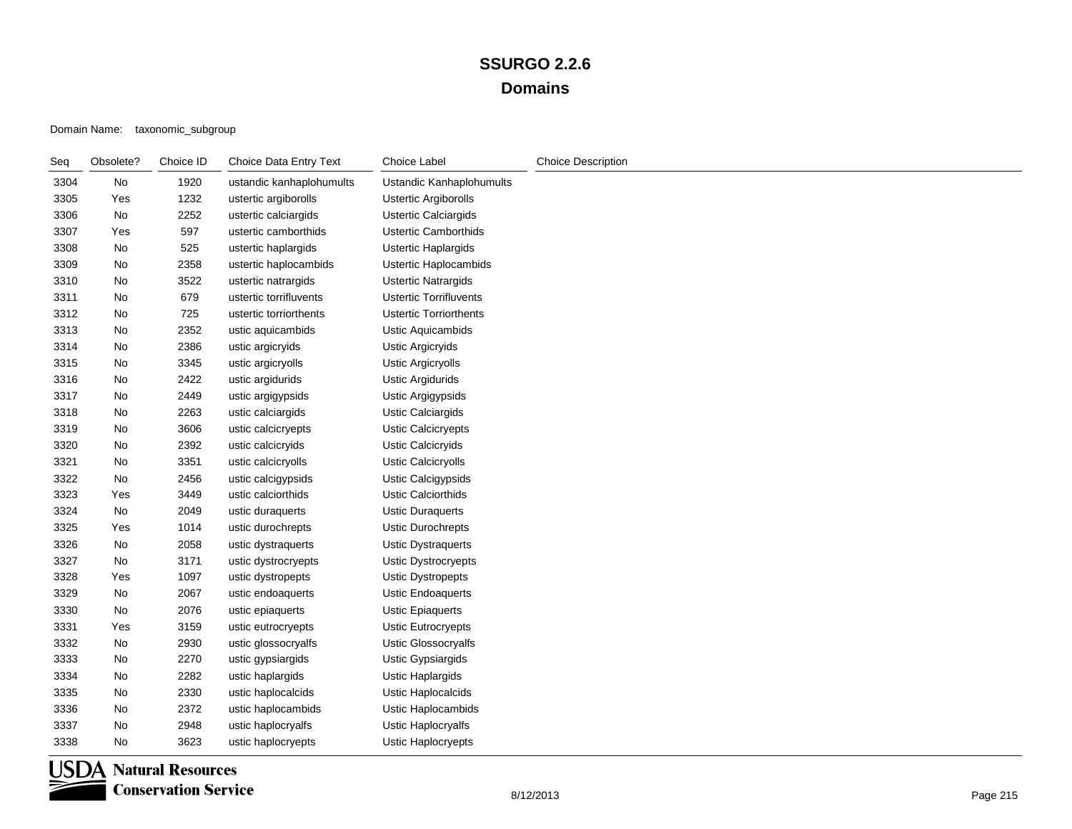Domain Name: taxonomic\_subgroup

| Seq  | Obsolete? | Choice ID | Choice Data Entry Text   | <b>Choice Label</b>           | <b>Choice Description</b> |
|------|-----------|-----------|--------------------------|-------------------------------|---------------------------|
| 3304 | No        | 1920      | ustandic kanhaplohumults | Ustandic Kanhaplohumults      |                           |
| 3305 | Yes       | 1232      | ustertic argiborolls     | Ustertic Argiborolls          |                           |
| 3306 | No        | 2252      | ustertic calciargids     | <b>Ustertic Calciargids</b>   |                           |
| 3307 | Yes       | 597       | ustertic camborthids     | <b>Ustertic Camborthids</b>   |                           |
| 3308 | No        | 525       | ustertic haplargids      | Ustertic Haplargids           |                           |
| 3309 | No        | 2358      | ustertic haplocambids    | Ustertic Haplocambids         |                           |
| 3310 | No        | 3522      | ustertic natrargids      | <b>Ustertic Natrargids</b>    |                           |
| 3311 | No        | 679       | ustertic torrifluvents   | <b>Ustertic Torrifluvents</b> |                           |
| 3312 | No        | 725       | ustertic torriorthents   | <b>Ustertic Torriorthents</b> |                           |
| 3313 | No        | 2352      | ustic aquicambids        | Ustic Aquicambids             |                           |
| 3314 | No        | 2386      | ustic argicryids         | <b>Ustic Argicryids</b>       |                           |
| 3315 | No        | 3345      | ustic argicryolls        | Ustic Argicryolls             |                           |
| 3316 | No        | 2422      | ustic argidurids         | <b>Ustic Argidurids</b>       |                           |
| 3317 | No        | 2449      | ustic argigypsids        | Ustic Argigypsids             |                           |
| 3318 | No        | 2263      | ustic calciargids        | Ustic Calciargids             |                           |
| 3319 | No        | 3606      | ustic calcicryepts       | Ustic Calcicryepts            |                           |
| 3320 | No        | 2392      | ustic calcicryids        | Ustic Calcicryids             |                           |
| 3321 | No        | 3351      | ustic calcicryolls       | <b>Ustic Calcicryolls</b>     |                           |
| 3322 | No        | 2456      | ustic calcigypsids       | Ustic Calcigypsids            |                           |
| 3323 | Yes       | 3449      | ustic calciorthids       | <b>Ustic Calciorthids</b>     |                           |
| 3324 | No        | 2049      | ustic duraquerts         | <b>Ustic Duraquerts</b>       |                           |
| 3325 | Yes       | 1014      | ustic durochrepts        | Ustic Durochrepts             |                           |
| 3326 | No        | 2058      | ustic dystraquerts       | <b>Ustic Dystraquerts</b>     |                           |
| 3327 | No        | 3171      | ustic dystrocryepts      | Ustic Dystrocryepts           |                           |
| 3328 | Yes       | 1097      | ustic dystropepts        | <b>Ustic Dystropepts</b>      |                           |
| 3329 | No        | 2067      | ustic endoaquerts        | <b>Ustic Endoaquerts</b>      |                           |
| 3330 | No        | 2076      | ustic epiaquerts         | <b>Ustic Epiaquerts</b>       |                           |
| 3331 | Yes       | 3159      | ustic eutrocryepts       | Ustic Eutrocryepts            |                           |
| 3332 | No        | 2930      | ustic glossocryalfs      | Ustic Glossocryalfs           |                           |
| 3333 | No        | 2270      | ustic gypsiargids        | Ustic Gypsiargids             |                           |
| 3334 | No        | 2282      | ustic haplargids         | Ustic Haplargids              |                           |
| 3335 | No        | 2330      | ustic haplocalcids       | Ustic Haplocalcids            |                           |
| 3336 | No        | 2372      | ustic haplocambids       | Ustic Haplocambids            |                           |
| 3337 | No        | 2948      | ustic haplocryalfs       | Ustic Haplocryalfs            |                           |
| 3338 | No        | 3623      | ustic haplocryepts       | Ustic Haplocryepts            |                           |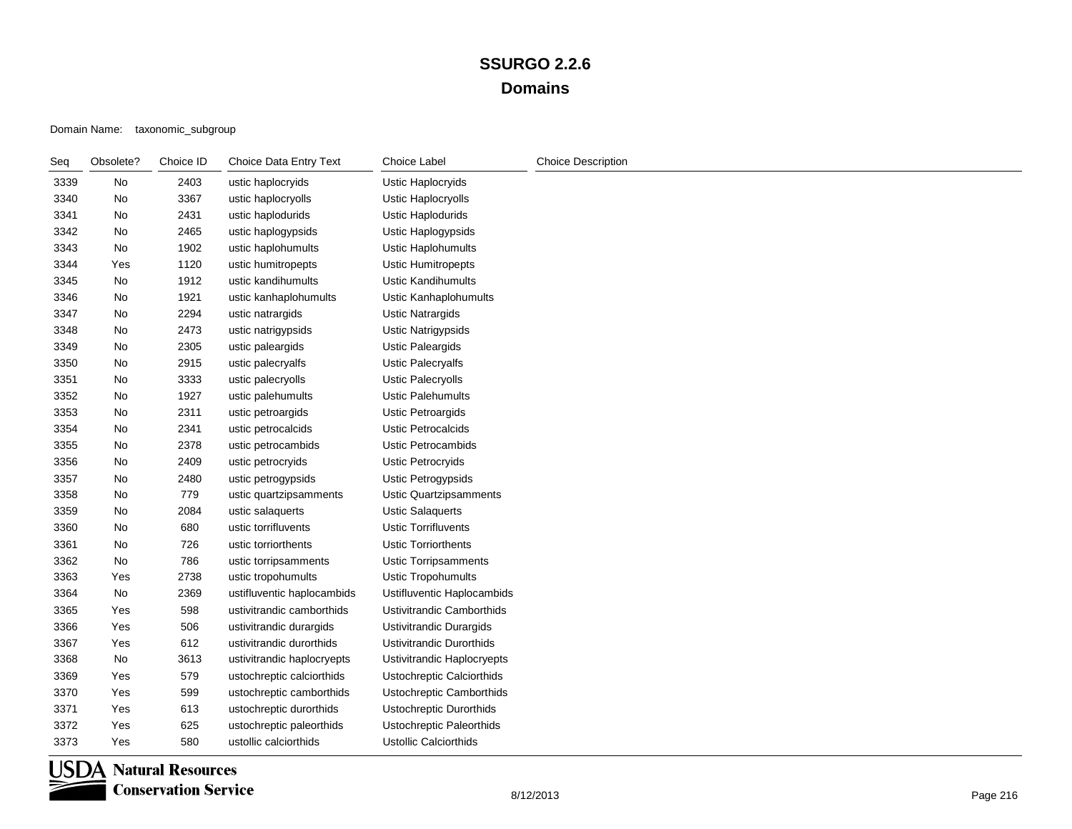| Seg  | Obsolete? | Choice ID | Choice Data Entry Text     | Choice Label                   | <b>Choice Description</b> |
|------|-----------|-----------|----------------------------|--------------------------------|---------------------------|
| 3339 | No        | 2403      | ustic haplocryids          | Ustic Haplocryids              |                           |
| 3340 | No        | 3367      | ustic haplocryolls         | Ustic Haplocryolls             |                           |
| 3341 | No        | 2431      | ustic haplodurids          | Ustic Haplodurids              |                           |
| 3342 | No        | 2465      | ustic haplogypsids         | Ustic Haplogypsids             |                           |
| 3343 | No        | 1902      | ustic haplohumults         | Ustic Haplohumults             |                           |
| 3344 | Yes       | 1120      | ustic humitropepts         | Ustic Humitropepts             |                           |
| 3345 | No        | 1912      | ustic kandihumults         | Ustic Kandihumults             |                           |
| 3346 | No        | 1921      | ustic kanhaplohumults      | Ustic Kanhaplohumults          |                           |
| 3347 | No        | 2294      | ustic natrargids           | <b>Ustic Natrargids</b>        |                           |
| 3348 | No        | 2473      | ustic natrigypsids         | <b>Ustic Natrigypsids</b>      |                           |
| 3349 | No        | 2305      | ustic paleargids           | <b>Ustic Paleargids</b>        |                           |
| 3350 | No        | 2915      | ustic palecryalfs          | Ustic Palecryalfs              |                           |
| 3351 | No        | 3333      | ustic palecryolls          | Ustic Palecryolls              |                           |
| 3352 | No        | 1927      | ustic palehumults          | <b>Ustic Palehumults</b>       |                           |
| 3353 | No        | 2311      | ustic petroargids          | Ustic Petroargids              |                           |
| 3354 | No        | 2341      | ustic petrocalcids         | <b>Ustic Petrocalcids</b>      |                           |
| 3355 | No        | 2378      | ustic petrocambids         | Ustic Petrocambids             |                           |
| 3356 | No        | 2409      | ustic petrocryids          | Ustic Petrocryids              |                           |
| 3357 | No        | 2480      | ustic petrogypsids         | Ustic Petrogypsids             |                           |
| 3358 | No        | 779       | ustic quartzipsamments     | Ustic Quartzipsamments         |                           |
| 3359 | No        | 2084      | ustic salaquerts           | <b>Ustic Salaquerts</b>        |                           |
| 3360 | No        | 680       | ustic torrifluvents        | <b>Ustic Torrifluvents</b>     |                           |
| 3361 | No        | 726       | ustic torriorthents        | <b>Ustic Torriorthents</b>     |                           |
| 3362 | No        | 786       | ustic torripsamments       | <b>Ustic Torripsamments</b>    |                           |
| 3363 | Yes       | 2738      | ustic tropohumults         | Ustic Tropohumults             |                           |
| 3364 | No        | 2369      | ustifluventic haplocambids | Ustifluventic Haplocambids     |                           |
| 3365 | Yes       | 598       | ustivitrandic camborthids  | Ustivitrandic Camborthids      |                           |
| 3366 | Yes       | 506       | ustivitrandic durargids    | Ustivitrandic Durargids        |                           |
| 3367 | Yes       | 612       | ustivitrandic durorthids   | Ustivitrandic Durorthids       |                           |
| 3368 | No        | 3613      | ustivitrandic haplocryepts | Ustivitrandic Haplocryepts     |                           |
| 3369 | Yes       | 579       | ustochreptic calciorthids  | Ustochreptic Calciorthids      |                           |
| 3370 | Yes       | 599       | ustochreptic camborthids   | Ustochreptic Camborthids       |                           |
| 3371 | Yes       | 613       | ustochreptic durorthids    | <b>Ustochreptic Durorthids</b> |                           |
| 3372 | Yes       | 625       | ustochreptic paleorthids   | Ustochreptic Paleorthids       |                           |
| 3373 | Yes       | 580       | ustollic calciorthids      | <b>Ustollic Calciorthids</b>   |                           |

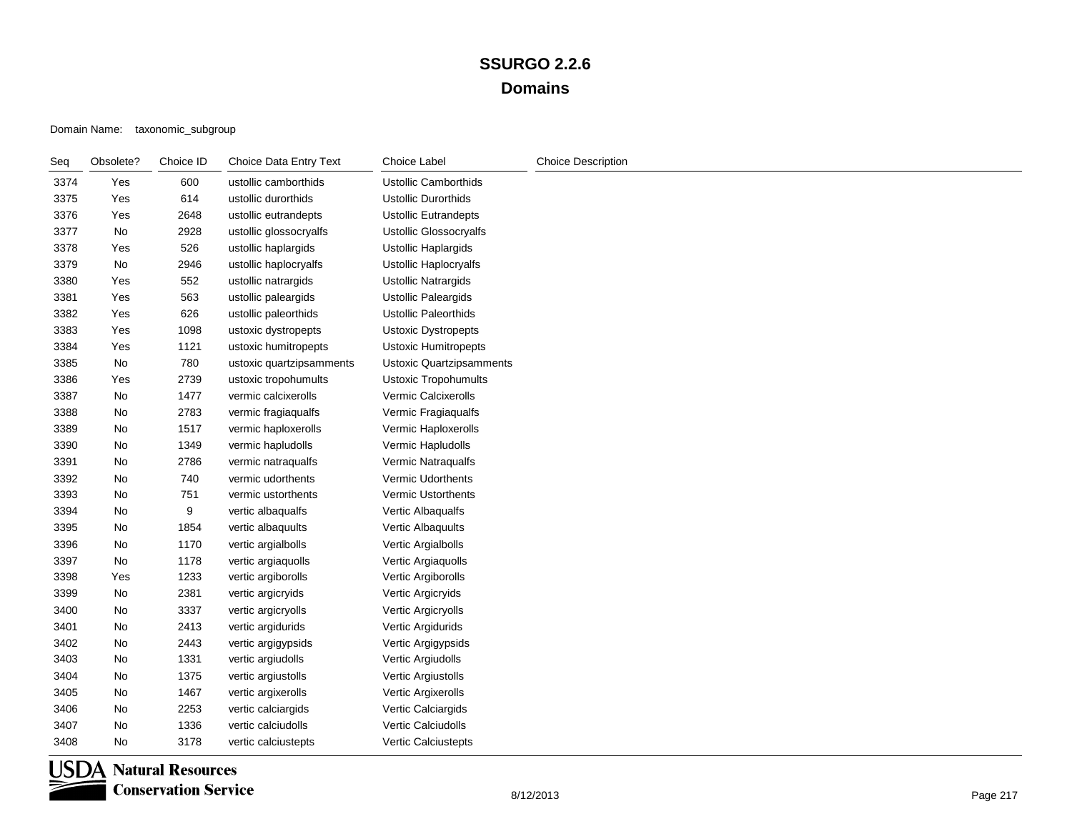#### Domain Name: taxonomic\_subgroup

| Seq  | Obsolete? | Choice ID | Choice Data Entry Text   | <b>Choice Label</b>             | <b>Choice Description</b> |
|------|-----------|-----------|--------------------------|---------------------------------|---------------------------|
| 3374 | Yes       | 600       | ustollic camborthids     | <b>Ustollic Camborthids</b>     |                           |
| 3375 | Yes       | 614       | ustollic durorthids      | <b>Ustollic Durorthids</b>      |                           |
| 3376 | Yes       | 2648      | ustollic eutrandepts     | <b>Ustollic Eutrandepts</b>     |                           |
| 3377 | No        | 2928      | ustollic glossocryalfs   | <b>Ustollic Glossocryalfs</b>   |                           |
| 3378 | Yes       | 526       | ustollic haplargids      | Ustollic Haplargids             |                           |
| 3379 | No        | 2946      | ustollic haplocryalfs    | Ustollic Haplocryalfs           |                           |
| 3380 | Yes       | 552       | ustollic natrargids      | <b>Ustollic Natrargids</b>      |                           |
| 3381 | Yes       | 563       | ustollic paleargids      | <b>Ustollic Paleargids</b>      |                           |
| 3382 | Yes       | 626       | ustollic paleorthids     | <b>Ustollic Paleorthids</b>     |                           |
| 3383 | Yes       | 1098      | ustoxic dystropepts      | <b>Ustoxic Dystropepts</b>      |                           |
| 3384 | Yes       | 1121      | ustoxic humitropepts     | <b>Ustoxic Humitropepts</b>     |                           |
| 3385 | No        | 780       | ustoxic quartzipsamments | <b>Ustoxic Quartzipsamments</b> |                           |
| 3386 | Yes       | 2739      | ustoxic tropohumults     | <b>Ustoxic Tropohumults</b>     |                           |
| 3387 | No        | 1477      | vermic calcixerolls      | Vermic Calcixerolls             |                           |
| 3388 | No        | 2783      | vermic fragiaqualfs      | Vermic Fragiaqualfs             |                           |
| 3389 | No        | 1517      | vermic haploxerolls      | Vermic Haploxerolls             |                           |
| 3390 | No        | 1349      | vermic hapludolls        | Vermic Hapludolls               |                           |
| 3391 | No        | 2786      | vermic natraqualfs       | Vermic Natraqualfs              |                           |
| 3392 | No        | 740       | vermic udorthents        | Vermic Udorthents               |                           |
| 3393 | No        | 751       | vermic ustorthents       | <b>Vermic Ustorthents</b>       |                           |
| 3394 | No        | 9         | vertic albaqualfs        | Vertic Albaqualfs               |                           |
| 3395 | No        | 1854      | vertic albaquults        | Vertic Albaquults               |                           |
| 3396 | No        | 1170      | vertic argialbolls       | Vertic Argialbolls              |                           |
| 3397 | No        | 1178      | vertic argiaquolls       | Vertic Argiaquolls              |                           |
| 3398 | Yes       | 1233      | vertic argiborolls       | Vertic Argiborolls              |                           |
| 3399 | No        | 2381      | vertic argicryids        | Vertic Argicryids               |                           |
| 3400 | No        | 3337      | vertic argicryolls       | Vertic Argicryolls              |                           |
| 3401 | No        | 2413      | vertic argidurids        | Vertic Argidurids               |                           |
| 3402 | No        | 2443      | vertic argigypsids       | Vertic Argigypsids              |                           |
| 3403 | No        | 1331      | vertic argiudolls        | Vertic Argiudolls               |                           |
| 3404 | No        | 1375      | vertic argiustolls       | Vertic Argiustolls              |                           |
| 3405 | No        | 1467      | vertic argixerolls       | Vertic Argixerolls              |                           |
| 3406 | No        | 2253      | vertic calciargids       | Vertic Calciargids              |                           |
| 3407 | No        | 1336      | vertic calciudolls       | Vertic Calciudolls              |                           |
| 3408 | No        | 3178      | vertic calciustepts      | Vertic Calciustepts             |                           |

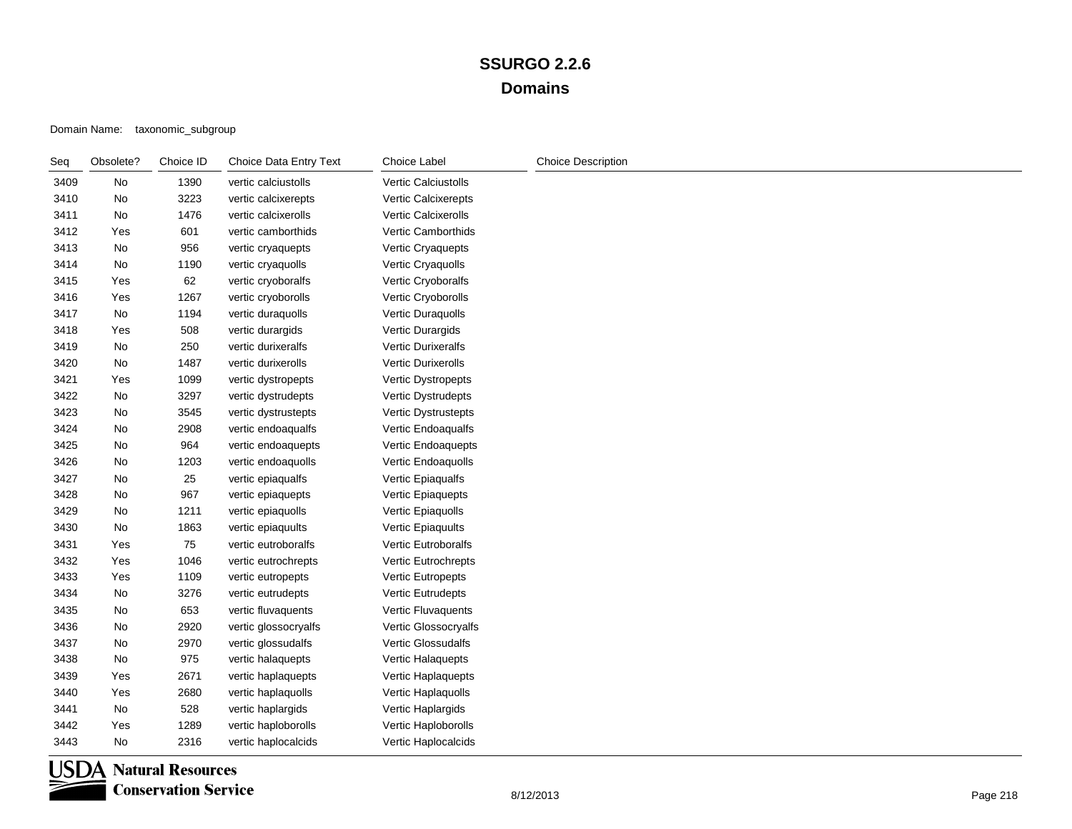#### Domain Name: taxonomic\_subgroup

| Seq  | Obsolete? | Choice ID | Choice Data Entry Text | Choice Label         | <b>Choice Description</b> |
|------|-----------|-----------|------------------------|----------------------|---------------------------|
| 3409 | No        | 1390      | vertic calciustolls    | Vertic Calciustolls  |                           |
| 3410 | No        | 3223      | vertic calcixerepts    | Vertic Calcixerepts  |                           |
| 3411 | No        | 1476      | vertic calcixerolls    | Vertic Calcixerolls  |                           |
| 3412 | Yes       | 601       | vertic camborthids     | Vertic Camborthids   |                           |
| 3413 | No        | 956       | vertic cryaquepts      | Vertic Cryaquepts    |                           |
| 3414 | No        | 1190      | vertic cryaquolls      | Vertic Cryaquolls    |                           |
| 3415 | Yes       | 62        | vertic cryoboralfs     | Vertic Cryoboralfs   |                           |
| 3416 | Yes       | 1267      | vertic cryoborolls     | Vertic Cryoborolls   |                           |
| 3417 | No        | 1194      | vertic duraquolls      | Vertic Duraquolls    |                           |
| 3418 | Yes       | 508       | vertic durargids       | Vertic Durargids     |                           |
| 3419 | No        | 250       | vertic durixeralfs     | Vertic Durixeralfs   |                           |
| 3420 | No        | 1487      | vertic durixerolls     | Vertic Durixerolls   |                           |
| 3421 | Yes       | 1099      | vertic dystropepts     | Vertic Dystropepts   |                           |
| 3422 | No        | 3297      | vertic dystrudepts     | Vertic Dystrudepts   |                           |
| 3423 | No        | 3545      | vertic dystrustepts    | Vertic Dystrustepts  |                           |
| 3424 | No        | 2908      | vertic endoaqualfs     | Vertic Endoaqualfs   |                           |
| 3425 | No        | 964       | vertic endoaquepts     | Vertic Endoaquepts   |                           |
| 3426 | No        | 1203      | vertic endoaquolls     | Vertic Endoaquolls   |                           |
| 3427 | No        | 25        | vertic epiaqualfs      | Vertic Epiaqualfs    |                           |
| 3428 | No        | 967       | vertic epiaquepts      | Vertic Epiaquepts    |                           |
| 3429 | No        | 1211      | vertic epiaquolls      | Vertic Epiaquolls    |                           |
| 3430 | No        | 1863      | vertic epiaquults      | Vertic Epiaquults    |                           |
| 3431 | Yes       | 75        | vertic eutroboralfs    | Vertic Eutroboralfs  |                           |
| 3432 | Yes       | 1046      | vertic eutrochrepts    | Vertic Eutrochrepts  |                           |
| 3433 | Yes       | 1109      | vertic eutropepts      | Vertic Eutropepts    |                           |
| 3434 | No        | 3276      | vertic eutrudepts      | Vertic Eutrudepts    |                           |
| 3435 | No        | 653       | vertic fluvaquents     | Vertic Fluvaquents   |                           |
| 3436 | No        | 2920      | vertic glossocryalfs   | Vertic Glossocryalfs |                           |
| 3437 | No        | 2970      | vertic glossudalfs     | Vertic Glossudalfs   |                           |
| 3438 | No        | 975       | vertic halaquepts      | Vertic Halaquepts    |                           |
| 3439 | Yes       | 2671      | vertic haplaquepts     | Vertic Haplaquepts   |                           |
| 3440 | Yes       | 2680      | vertic haplaquolls     | Vertic Haplaquolls   |                           |
| 3441 | No        | 528       | vertic haplargids      | Vertic Haplargids    |                           |
| 3442 | Yes       | 1289      | vertic haploborolls    | Vertic Haploborolls  |                           |
| 3443 | No        | 2316      | vertic haplocalcids    | Vertic Haplocalcids  |                           |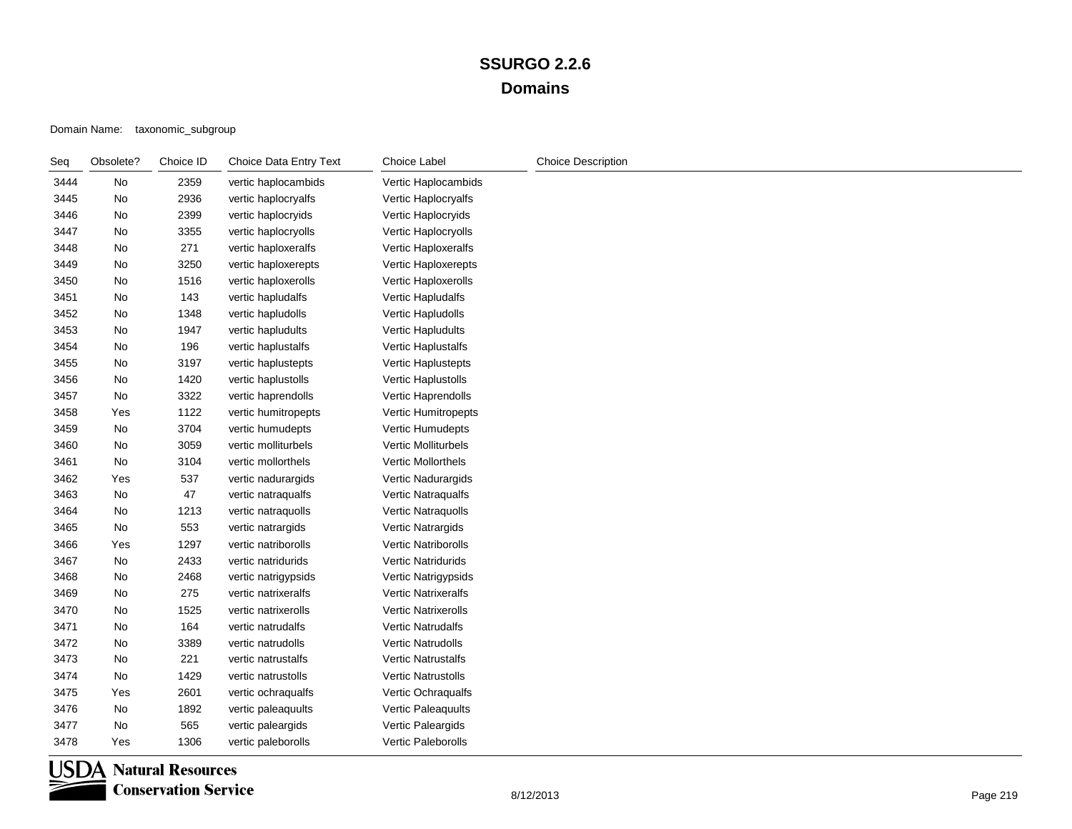Domain Name: taxonomic\_subgroup

| Seq  | Obsolete? | Choice ID | Choice Data Entry Text | Choice Label               | <b>Choice Description</b> |
|------|-----------|-----------|------------------------|----------------------------|---------------------------|
| 3444 | No        | 2359      | vertic haplocambids    | Vertic Haplocambids        |                           |
| 3445 | No        | 2936      | vertic haplocryalfs    | Vertic Haplocryalfs        |                           |
| 3446 | No        | 2399      | vertic haplocryids     | Vertic Haplocryids         |                           |
| 3447 | No        | 3355      | vertic haplocryolls    | Vertic Haplocryolls        |                           |
| 3448 | No        | 271       | vertic haploxeralfs    | Vertic Haploxeralfs        |                           |
| 3449 | No        | 3250      | vertic haploxerepts    | Vertic Haploxerepts        |                           |
| 3450 | No        | 1516      | vertic haploxerolls    | Vertic Haploxerolls        |                           |
| 3451 | No        | 143       | vertic hapludalfs      | Vertic Hapludalfs          |                           |
| 3452 | No        | 1348      | vertic hapludolls      | Vertic Hapludolls          |                           |
| 3453 | No        | 1947      | vertic hapludults      | Vertic Hapludults          |                           |
| 3454 | No        | 196       | vertic haplustalfs     | Vertic Haplustalfs         |                           |
| 3455 | No        | 3197      | vertic haplustepts     | Vertic Haplustepts         |                           |
| 3456 | No        | 1420      | vertic haplustolls     | Vertic Haplustolls         |                           |
| 3457 | No        | 3322      | vertic haprendolls     | Vertic Haprendolls         |                           |
| 3458 | Yes       | 1122      | vertic humitropepts    | Vertic Humitropepts        |                           |
| 3459 | No        | 3704      | vertic humudepts       | Vertic Humudepts           |                           |
| 3460 | No        | 3059      | vertic molliturbels    | Vertic Molliturbels        |                           |
| 3461 | No        | 3104      | vertic mollorthels     | Vertic Mollorthels         |                           |
| 3462 | Yes       | 537       | vertic nadurargids     | Vertic Nadurargids         |                           |
| 3463 | No        | 47        | vertic natraqualfs     | Vertic Natraqualfs         |                           |
| 3464 | No        | 1213      | vertic natraquolls     | Vertic Natraquolls         |                           |
| 3465 | No        | 553       | vertic natrargids      | Vertic Natrargids          |                           |
| 3466 | Yes       | 1297      | vertic natriborolls    | Vertic Natriborolls        |                           |
| 3467 | No        | 2433      | vertic natridurids     | <b>Vertic Natridurids</b>  |                           |
| 3468 | No        | 2468      | vertic natrigypsids    | Vertic Natrigypsids        |                           |
| 3469 | No        | 275       | vertic natrixeralfs    | <b>Vertic Natrixeralfs</b> |                           |
| 3470 | No        | 1525      | vertic natrixerolls    | Vertic Natrixerolls        |                           |
| 3471 | No        | 164       | vertic natrudalfs      | <b>Vertic Natrudalfs</b>   |                           |
| 3472 | No        | 3389      | vertic natrudolls      | <b>Vertic Natrudolls</b>   |                           |
| 3473 | No        | 221       | vertic natrustalfs     | <b>Vertic Natrustalfs</b>  |                           |
| 3474 | No        | 1429      | vertic natrustolls     | Vertic Natrustolls         |                           |
| 3475 | Yes       | 2601      | vertic ochraqualfs     | Vertic Ochraqualfs         |                           |
| 3476 | No        | 1892      | vertic paleaquults     | Vertic Paleaquults         |                           |
| 3477 | No        | 565       | vertic paleargids      | Vertic Paleargids          |                           |
| 3478 | Yes       | 1306      | vertic paleborolls     | Vertic Paleborolls         |                           |

**USDA** Natural Resources **Conservation Service**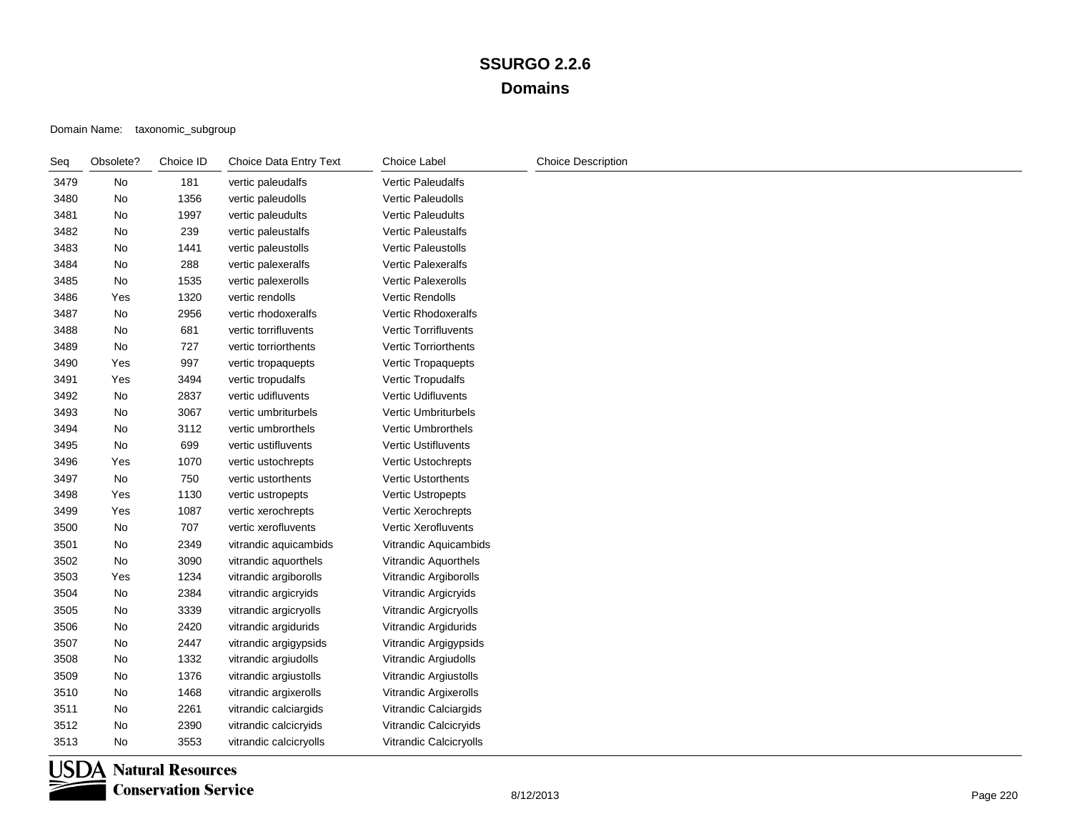#### Domain Name: taxonomic\_subgroup

| Seq  | Obsolete? | Choice ID | Choice Data Entry Text | Choice Label                | <b>Choice Description</b> |
|------|-----------|-----------|------------------------|-----------------------------|---------------------------|
| 3479 | No        | 181       | vertic paleudalfs      | Vertic Paleudalfs           |                           |
| 3480 | No        | 1356      | vertic paleudolls      | Vertic Paleudolls           |                           |
| 3481 | No        | 1997      | vertic paleudults      | Vertic Paleudults           |                           |
| 3482 | No        | 239       | vertic paleustalfs     | Vertic Paleustalfs          |                           |
| 3483 | No        | 1441      | vertic paleustolls     | Vertic Paleustolls          |                           |
| 3484 | No        | 288       | vertic palexeralfs     | Vertic Palexeralfs          |                           |
| 3485 | No        | 1535      | vertic palexerolls     | Vertic Palexerolls          |                           |
| 3486 | Yes       | 1320      | vertic rendolls        | Vertic Rendolls             |                           |
| 3487 | No        | 2956      | vertic rhodoxeralfs    | Vertic Rhodoxeralfs         |                           |
| 3488 | No        | 681       | vertic torrifluvents   | Vertic Torrifluvents        |                           |
| 3489 | No        | 727       | vertic torriorthents   | <b>Vertic Torriorthents</b> |                           |
| 3490 | Yes       | 997       | vertic tropaquepts     | Vertic Tropaquepts          |                           |
| 3491 | Yes       | 3494      | vertic tropudalfs      | Vertic Tropudalfs           |                           |
| 3492 | No        | 2837      | vertic udifluvents     | Vertic Udifluvents          |                           |
| 3493 | No        | 3067      | vertic umbriturbels    | Vertic Umbriturbels         |                           |
| 3494 | No        | 3112      | vertic umbrorthels     | Vertic Umbrorthels          |                           |
| 3495 | No        | 699       | vertic ustifluvents    | Vertic Ustifluvents         |                           |
| 3496 | Yes       | 1070      | vertic ustochrepts     | Vertic Ustochrepts          |                           |
| 3497 | No        | 750       | vertic ustorthents     | <b>Vertic Ustorthents</b>   |                           |
| 3498 | Yes       | 1130      | vertic ustropepts      | Vertic Ustropepts           |                           |
| 3499 | Yes       | 1087      | vertic xerochrepts     | Vertic Xerochrepts          |                           |
| 3500 | No        | 707       | vertic xerofluvents    | Vertic Xerofluvents         |                           |
| 3501 | No        | 2349      | vitrandic aquicambids  | Vitrandic Aquicambids       |                           |
| 3502 | No        | 3090      | vitrandic aquorthels   | Vitrandic Aquorthels        |                           |
| 3503 | Yes       | 1234      | vitrandic argiborolls  | Vitrandic Argiborolls       |                           |
| 3504 | No        | 2384      | vitrandic argicryids   | Vitrandic Argicryids        |                           |
| 3505 | No        | 3339      | vitrandic argicryolls  | Vitrandic Argicryolls       |                           |
| 3506 | No        | 2420      | vitrandic argidurids   | Vitrandic Argidurids        |                           |
| 3507 | No        | 2447      | vitrandic argigypsids  | Vitrandic Argigypsids       |                           |
| 3508 | No        | 1332      | vitrandic argiudolls   | Vitrandic Argiudolls        |                           |
| 3509 | No        | 1376      | vitrandic argiustolls  | Vitrandic Argiustolls       |                           |
| 3510 | No        | 1468      | vitrandic argixerolls  | Vitrandic Argixerolls       |                           |
| 3511 | No        | 2261      | vitrandic calciargids  | Vitrandic Calciargids       |                           |
| 3512 | No        | 2390      | vitrandic calcicryids  | Vitrandic Calcicryids       |                           |
| 3513 | No        | 3553      | vitrandic calcicryolls | Vitrandic Calcicryolls      |                           |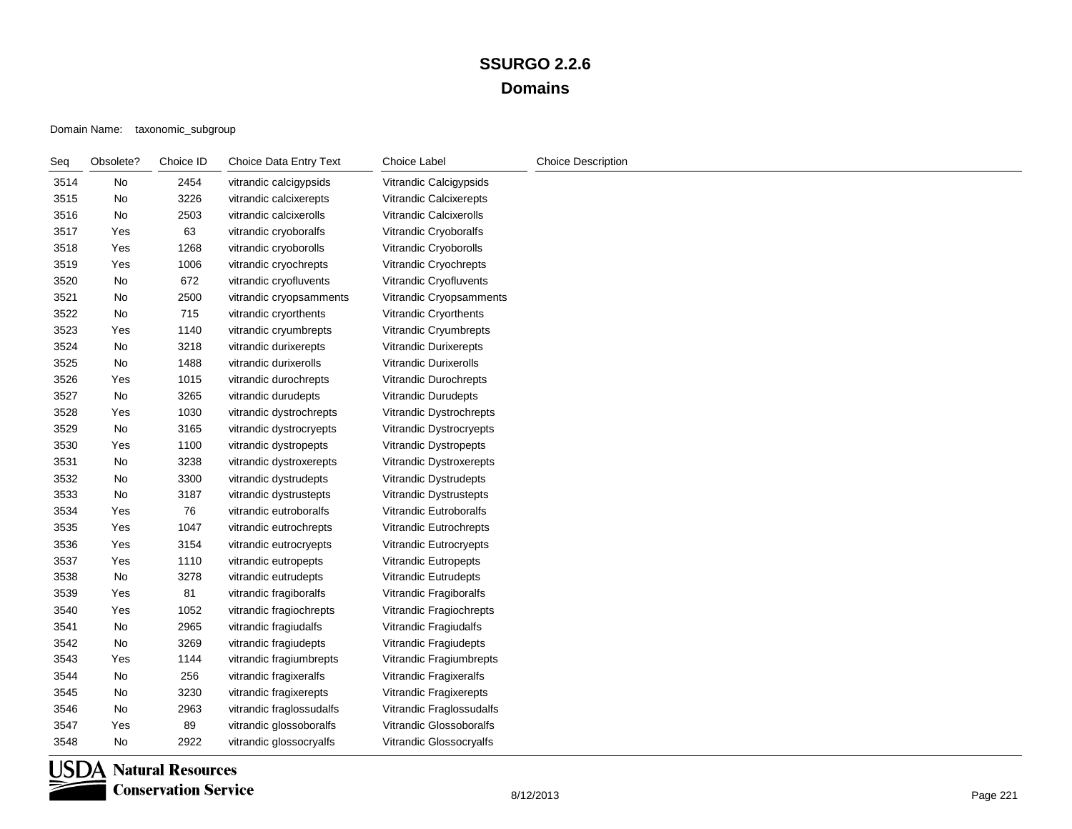Domain Name: taxonomic\_subgroup

| Seq  | Obsolete? | Choice ID | Choice Data Entry Text   | Choice Label                 | <b>Choice Description</b> |
|------|-----------|-----------|--------------------------|------------------------------|---------------------------|
| 3514 | No        | 2454      | vitrandic calcigypsids   | Vitrandic Calcigypsids       |                           |
| 3515 | No        | 3226      | vitrandic calcixerepts   | Vitrandic Calcixerepts       |                           |
| 3516 | No        | 2503      | vitrandic calcixerolls   | Vitrandic Calcixerolls       |                           |
| 3517 | Yes       | 63        | vitrandic cryoboralfs    | Vitrandic Cryoboralfs        |                           |
| 3518 | Yes       | 1268      | vitrandic cryoborolls    | Vitrandic Cryoborolls        |                           |
| 3519 | Yes       | 1006      | vitrandic cryochrepts    | Vitrandic Cryochrepts        |                           |
| 3520 | No        | 672       | vitrandic cryofluvents   | Vitrandic Cryofluvents       |                           |
| 3521 | No        | 2500      | vitrandic cryopsamments  | Vitrandic Cryopsamments      |                           |
| 3522 | No        | 715       | vitrandic cryorthents    | Vitrandic Cryorthents        |                           |
| 3523 | Yes       | 1140      | vitrandic cryumbrepts    | Vitrandic Cryumbrepts        |                           |
| 3524 | No        | 3218      | vitrandic durixerepts    | Vitrandic Durixerepts        |                           |
| 3525 | No        | 1488      | vitrandic durixerolls    | <b>Vitrandic Durixerolls</b> |                           |
| 3526 | Yes       | 1015      | vitrandic durochrepts    | Vitrandic Durochrepts        |                           |
| 3527 | No        | 3265      | vitrandic durudepts      | Vitrandic Durudepts          |                           |
| 3528 | Yes       | 1030      | vitrandic dystrochrepts  | Vitrandic Dystrochrepts      |                           |
| 3529 | No        | 3165      | vitrandic dystrocryepts  | Vitrandic Dystrocryepts      |                           |
| 3530 | Yes       | 1100      | vitrandic dystropepts    | Vitrandic Dystropepts        |                           |
| 3531 | No        | 3238      | vitrandic dystroxerepts  | Vitrandic Dystroxerepts      |                           |
| 3532 | No        | 3300      | vitrandic dystrudepts    | Vitrandic Dystrudepts        |                           |
| 3533 | No        | 3187      | vitrandic dystrustepts   | Vitrandic Dystrustepts       |                           |
| 3534 | Yes       | 76        | vitrandic eutroboralfs   | Vitrandic Eutroboralfs       |                           |
| 3535 | Yes       | 1047      | vitrandic eutrochrepts   | Vitrandic Eutrochrepts       |                           |
| 3536 | Yes       | 3154      | vitrandic eutrocryepts   | Vitrandic Eutrocryepts       |                           |
| 3537 | Yes       | 1110      | vitrandic eutropepts     | <b>Vitrandic Eutropepts</b>  |                           |
| 3538 | No        | 3278      | vitrandic eutrudepts     | Vitrandic Eutrudepts         |                           |
| 3539 | Yes       | 81        | vitrandic fragiboralfs   | Vitrandic Fragiboralfs       |                           |
| 3540 | Yes       | 1052      | vitrandic fragiochrepts  | Vitrandic Fragiochrepts      |                           |
| 3541 | No        | 2965      | vitrandic fragiudalfs    | Vitrandic Fragiudalfs        |                           |
| 3542 | No        | 3269      | vitrandic fragiudepts    | Vitrandic Fragiudepts        |                           |
| 3543 | Yes       | 1144      | vitrandic fragiumbrepts  | Vitrandic Fragiumbrepts      |                           |
| 3544 | No        | 256       | vitrandic fragixeralfs   | Vitrandic Fragixeralfs       |                           |
| 3545 | No        | 3230      | vitrandic fragixerepts   | Vitrandic Fragixerepts       |                           |
| 3546 | No        | 2963      | vitrandic fraglossudalfs | Vitrandic Fraglossudalfs     |                           |
| 3547 | Yes       | 89        | vitrandic glossoboralfs  | Vitrandic Glossoboralfs      |                           |
| 3548 | No        | 2922      | vitrandic glossocryalfs  | Vitrandic Glossocryalfs      |                           |

**USDA** Natural Resources **Conservation Service**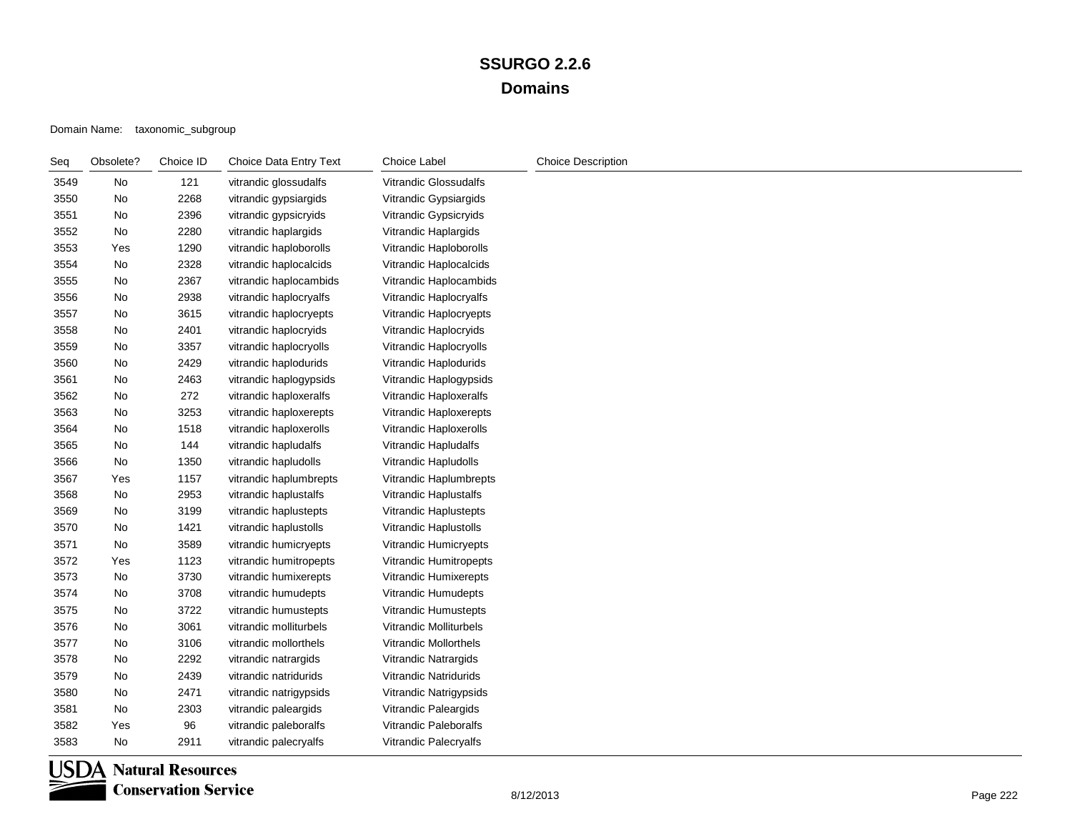Domain Name: taxonomic\_subgroup

| Seq  | Obsolete? | Choice ID | Choice Data Entry Text | Choice Label                 | <b>Choice Description</b> |
|------|-----------|-----------|------------------------|------------------------------|---------------------------|
| 3549 | No        | 121       | vitrandic glossudalfs  | Vitrandic Glossudalfs        |                           |
| 3550 | No        | 2268      | vitrandic gypsiargids  | Vitrandic Gypsiargids        |                           |
| 3551 | No        | 2396      | vitrandic gypsicryids  | Vitrandic Gypsicryids        |                           |
| 3552 | No        | 2280      | vitrandic haplargids   | Vitrandic Haplargids         |                           |
| 3553 | Yes       | 1290      | vitrandic haploborolls | Vitrandic Haploborolls       |                           |
| 3554 | No        | 2328      | vitrandic haplocalcids | Vitrandic Haplocalcids       |                           |
| 3555 | No        | 2367      | vitrandic haplocambids | Vitrandic Haplocambids       |                           |
| 3556 | No        | 2938      | vitrandic haplocryalfs | Vitrandic Haplocryalfs       |                           |
| 3557 | No        | 3615      | vitrandic haplocryepts | Vitrandic Haplocryepts       |                           |
| 3558 | No        | 2401      | vitrandic haplocryids  | Vitrandic Haplocryids        |                           |
| 3559 | No        | 3357      | vitrandic haplocryolls | Vitrandic Haplocryolls       |                           |
| 3560 | No        | 2429      | vitrandic haplodurids  | Vitrandic Haplodurids        |                           |
| 3561 | No        | 2463      | vitrandic haplogypsids | Vitrandic Haplogypsids       |                           |
| 3562 | No        | 272       | vitrandic haploxeralfs | Vitrandic Haploxeralfs       |                           |
| 3563 | No        | 3253      | vitrandic haploxerepts | Vitrandic Haploxerepts       |                           |
| 3564 | No        | 1518      | vitrandic haploxerolls | Vitrandic Haploxerolls       |                           |
| 3565 | No        | 144       | vitrandic hapludalfs   | Vitrandic Hapludalfs         |                           |
| 3566 | No        | 1350      | vitrandic hapludolls   | Vitrandic Hapludolls         |                           |
| 3567 | Yes       | 1157      | vitrandic haplumbrepts | Vitrandic Haplumbrepts       |                           |
| 3568 | No        | 2953      | vitrandic haplustalfs  | <b>Vitrandic Haplustalfs</b> |                           |
| 3569 | No        | 3199      | vitrandic haplustepts  | Vitrandic Haplustepts        |                           |
| 3570 | No        | 1421      | vitrandic haplustolls  | Vitrandic Haplustolls        |                           |
| 3571 | No        | 3589      | vitrandic humicryepts  | Vitrandic Humicryepts        |                           |
| 3572 | Yes       | 1123      | vitrandic humitropepts | Vitrandic Humitropepts       |                           |
| 3573 | No.       | 3730      | vitrandic humixerepts  | Vitrandic Humixerepts        |                           |
| 3574 | No        | 3708      | vitrandic humudepts    | Vitrandic Humudepts          |                           |
| 3575 | No        | 3722      | vitrandic humustepts   | Vitrandic Humustepts         |                           |
| 3576 | No        | 3061      | vitrandic molliturbels | Vitrandic Molliturbels       |                           |
| 3577 | No        | 3106      | vitrandic mollorthels  | Vitrandic Mollorthels        |                           |
| 3578 | No        | 2292      | vitrandic natrargids   | Vitrandic Natrargids         |                           |
| 3579 | No        | 2439      | vitrandic natridurids  | Vitrandic Natridurids        |                           |
| 3580 | No        | 2471      | vitrandic natrigypsids | Vitrandic Natrigypsids       |                           |
| 3581 | No        | 2303      | vitrandic paleargids   | Vitrandic Paleargids         |                           |
| 3582 | Yes       | 96        | vitrandic paleboralfs  | <b>Vitrandic Paleboralfs</b> |                           |
| 3583 | No        | 2911      | vitrandic palecryalfs  | Vitrandic Palecryalfs        |                           |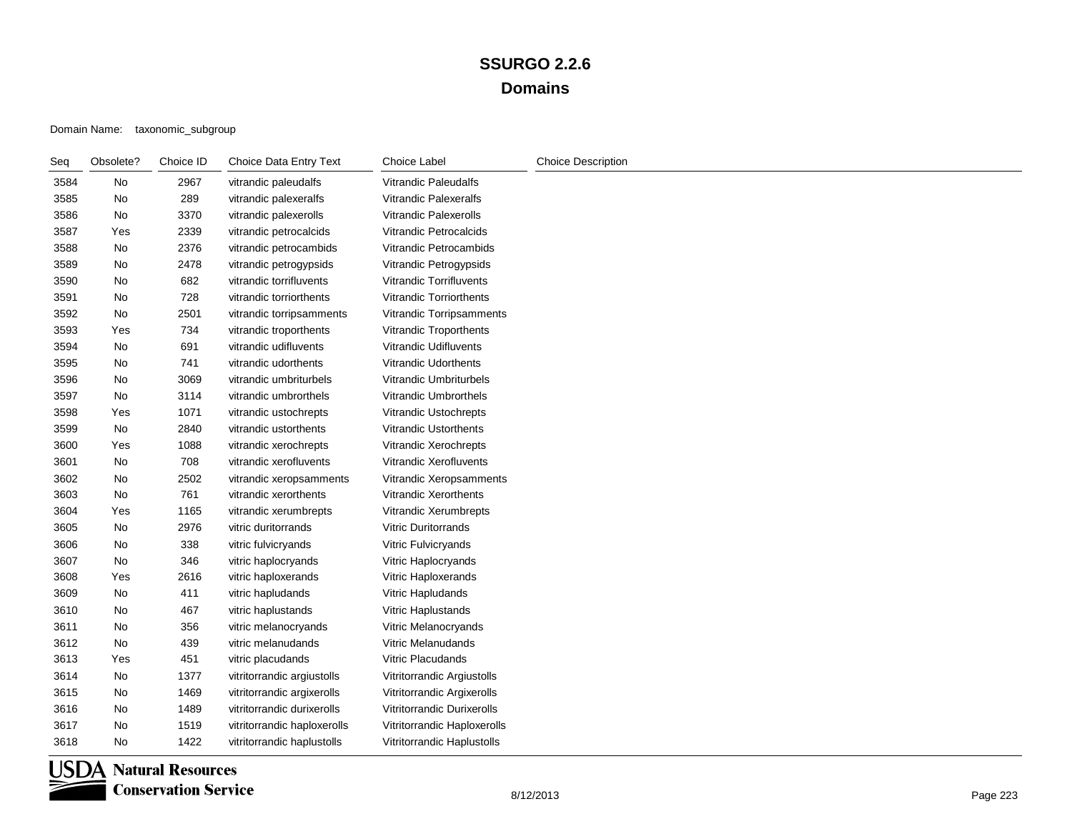#### Domain Name: taxonomic\_subgroup

| Seq  | Obsolete? | Choice ID | Choice Data Entry Text      | Choice Label                      | <b>Choice Description</b> |
|------|-----------|-----------|-----------------------------|-----------------------------------|---------------------------|
| 3584 | No        | 2967      | vitrandic paleudalfs        | <b>Vitrandic Paleudalfs</b>       |                           |
| 3585 | No        | 289       | vitrandic palexeralfs       | <b>Vitrandic Palexeralfs</b>      |                           |
| 3586 | No        | 3370      | vitrandic palexerolls       | <b>Vitrandic Palexerolls</b>      |                           |
| 3587 | Yes       | 2339      | vitrandic petrocalcids      | Vitrandic Petrocalcids            |                           |
| 3588 | No        | 2376      | vitrandic petrocambids      | Vitrandic Petrocambids            |                           |
| 3589 | No        | 2478      | vitrandic petrogypsids      | Vitrandic Petrogypsids            |                           |
| 3590 | No        | 682       | vitrandic torrifluvents     | <b>Vitrandic Torrifluvents</b>    |                           |
| 3591 | No        | 728       | vitrandic torriorthents     | <b>Vitrandic Torriorthents</b>    |                           |
| 3592 | No        | 2501      | vitrandic torripsamments    | <b>Vitrandic Torripsamments</b>   |                           |
| 3593 | Yes       | 734       | vitrandic troporthents      | <b>Vitrandic Troporthents</b>     |                           |
| 3594 | No        | 691       | vitrandic udifluvents       | <b>Vitrandic Udifluvents</b>      |                           |
| 3595 | No        | 741       | vitrandic udorthents        | Vitrandic Udorthents              |                           |
| 3596 | No        | 3069      | vitrandic umbriturbels      | Vitrandic Umbriturbels            |                           |
| 3597 | No        | 3114      | vitrandic umbrorthels       | Vitrandic Umbrorthels             |                           |
| 3598 | Yes       | 1071      | vitrandic ustochrepts       | Vitrandic Ustochrepts             |                           |
| 3599 | No        | 2840      | vitrandic ustorthents       | Vitrandic Ustorthents             |                           |
| 3600 | Yes       | 1088      | vitrandic xerochrepts       | Vitrandic Xerochrepts             |                           |
| 3601 | No        | 708       | vitrandic xerofluvents      | Vitrandic Xerofluvents            |                           |
| 3602 | No        | 2502      | vitrandic xeropsamments     | Vitrandic Xeropsamments           |                           |
| 3603 | No        | 761       | vitrandic xerorthents       | Vitrandic Xerorthents             |                           |
| 3604 | Yes       | 1165      | vitrandic xerumbrepts       | Vitrandic Xerumbrepts             |                           |
| 3605 | No        | 2976      | vitric duritorrands         | Vitric Duritorrands               |                           |
| 3606 | No        | 338       | vitric fulvicryands         | Vitric Fulvicryands               |                           |
| 3607 | No        | 346       | vitric haplocryands         | Vitric Haplocryands               |                           |
| 3608 | Yes       | 2616      | vitric haploxerands         | Vitric Haploxerands               |                           |
| 3609 | No        | 411       | vitric hapludands           | Vitric Hapludands                 |                           |
| 3610 | No        | 467       | vitric haplustands          | Vitric Haplustands                |                           |
| 3611 | No        | 356       | vitric melanocryands        | Vitric Melanocryands              |                           |
| 3612 | No        | 439       | vitric melanudands          | Vitric Melanudands                |                           |
| 3613 | Yes       | 451       | vitric placudands           | Vitric Placudands                 |                           |
| 3614 | No        | 1377      | vitritorrandic argiustolls  | Vitritorrandic Argiustolls        |                           |
| 3615 | No        | 1469      | vitritorrandic argixerolls  | Vitritorrandic Argixerolls        |                           |
| 3616 | No        | 1489      | vitritorrandic durixerolls  | <b>Vitritorrandic Durixerolls</b> |                           |
| 3617 | No        | 1519      | vitritorrandic haploxerolls | Vitritorrandic Haploxerolls       |                           |
| 3618 | No        | 1422      | vitritorrandic haplustolls  | Vitritorrandic Haplustolls        |                           |

**USDA** Natural Resources **Conservation Service**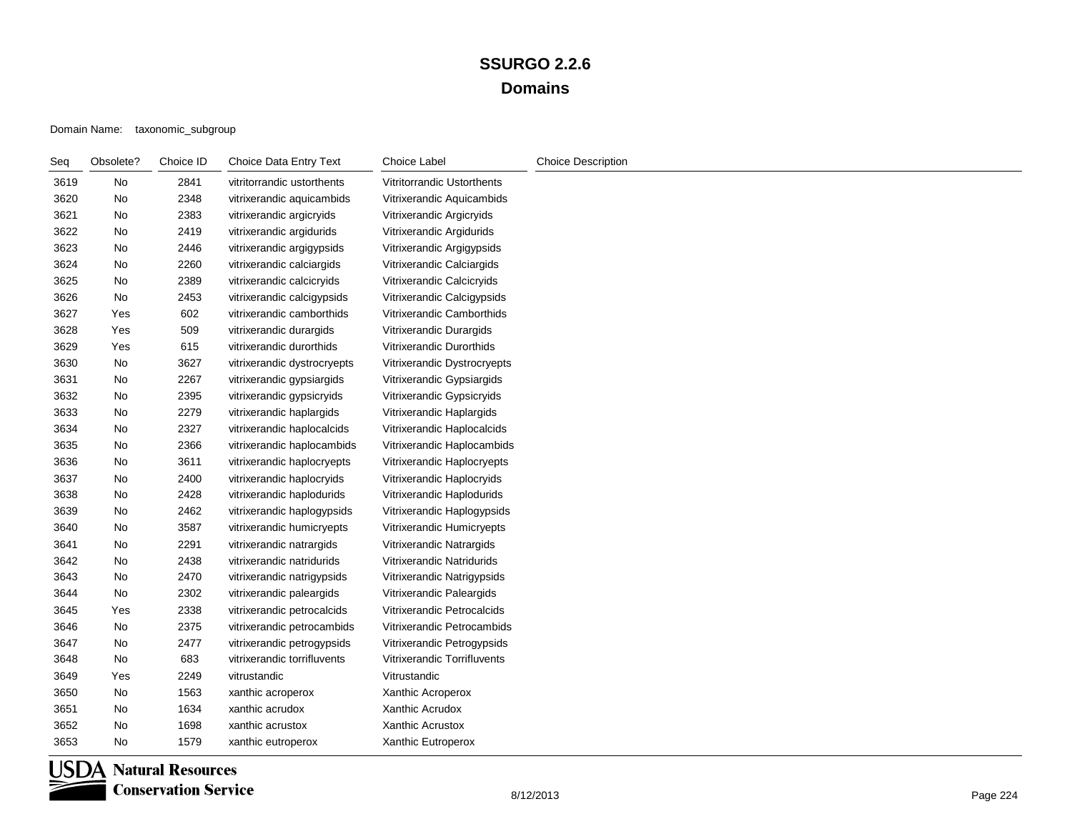Domain Name: taxonomic\_subgroup

| Seq  | Obsolete? | Choice ID | Choice Data Entry Text      | <b>Choice Label</b>         | <b>Choice Description</b> |
|------|-----------|-----------|-----------------------------|-----------------------------|---------------------------|
| 3619 | No        | 2841      | vitritorrandic ustorthents  | Vitritorrandic Ustorthents  |                           |
| 3620 | No        | 2348      | vitrixerandic aquicambids   | Vitrixerandic Aquicambids   |                           |
| 3621 | No        | 2383      | vitrixerandic argicryids    | Vitrixerandic Argicryids    |                           |
| 3622 | No        | 2419      | vitrixerandic argidurids    | Vitrixerandic Argidurids    |                           |
| 3623 | No        | 2446      | vitrixerandic argigypsids   | Vitrixerandic Argigypsids   |                           |
| 3624 | No        | 2260      | vitrixerandic calciargids   | Vitrixerandic Calciargids   |                           |
| 3625 | No        | 2389      | vitrixerandic calcicryids   | Vitrixerandic Calcicryids   |                           |
| 3626 | No        | 2453      | vitrixerandic calcigypsids  | Vitrixerandic Calcigypsids  |                           |
| 3627 | Yes       | 602       | vitrixerandic camborthids   | Vitrixerandic Camborthids   |                           |
| 3628 | Yes       | 509       | vitrixerandic durargids     | Vitrixerandic Durargids     |                           |
| 3629 | Yes       | 615       | vitrixerandic durorthids    | Vitrixerandic Durorthids    |                           |
| 3630 | No        | 3627      | vitrixerandic dystrocryepts | Vitrixerandic Dystrocryepts |                           |
| 3631 | No        | 2267      | vitrixerandic gypsiargids   | Vitrixerandic Gypsiargids   |                           |
| 3632 | No        | 2395      | vitrixerandic gypsicryids   | Vitrixerandic Gypsicryids   |                           |
| 3633 | No        | 2279      | vitrixerandic haplargids    | Vitrixerandic Haplargids    |                           |
| 3634 | No        | 2327      | vitrixerandic haplocalcids  | Vitrixerandic Haplocalcids  |                           |
| 3635 | No        | 2366      | vitrixerandic haplocambids  | Vitrixerandic Haplocambids  |                           |
| 3636 | No        | 3611      | vitrixerandic haplocryepts  | Vitrixerandic Haplocryepts  |                           |
| 3637 | No        | 2400      | vitrixerandic haplocryids   | Vitrixerandic Haplocryids   |                           |
| 3638 | No        | 2428      | vitrixerandic haplodurids   | Vitrixerandic Haplodurids   |                           |
| 3639 | No        | 2462      | vitrixerandic haplogypsids  | Vitrixerandic Haplogypsids  |                           |
| 3640 | No        | 3587      | vitrixerandic humicryepts   | Vitrixerandic Humicryepts   |                           |
| 3641 | No        | 2291      | vitrixerandic natrargids    | Vitrixerandic Natrargids    |                           |
| 3642 | No        | 2438      | vitrixerandic natridurids   | Vitrixerandic Natridurids   |                           |
| 3643 | No        | 2470      | vitrixerandic natrigypsids  | Vitrixerandic Natrigypsids  |                           |
| 3644 | No        | 2302      | vitrixerandic paleargids    | Vitrixerandic Paleargids    |                           |
| 3645 | Yes       | 2338      | vitrixerandic petrocalcids  | Vitrixerandic Petrocalcids  |                           |
| 3646 | No        | 2375      | vitrixerandic petrocambids  | Vitrixerandic Petrocambids  |                           |
| 3647 | No        | 2477      | vitrixerandic petrogypsids  | Vitrixerandic Petrogypsids  |                           |
| 3648 | No        | 683       | vitrixerandic torrifluvents | Vitrixerandic Torrifluvents |                           |
| 3649 | Yes       | 2249      | vitrustandic                | Vitrustandic                |                           |
| 3650 | No        | 1563      | xanthic acroperox           | Xanthic Acroperox           |                           |
| 3651 | No        | 1634      | xanthic acrudox             | Xanthic Acrudox             |                           |
| 3652 | No        | 1698      | xanthic acrustox            | Xanthic Acrustox            |                           |
| 3653 | No        | 1579      | xanthic eutroperox          | Xanthic Eutroperox          |                           |
|      |           |           |                             |                             |                           |

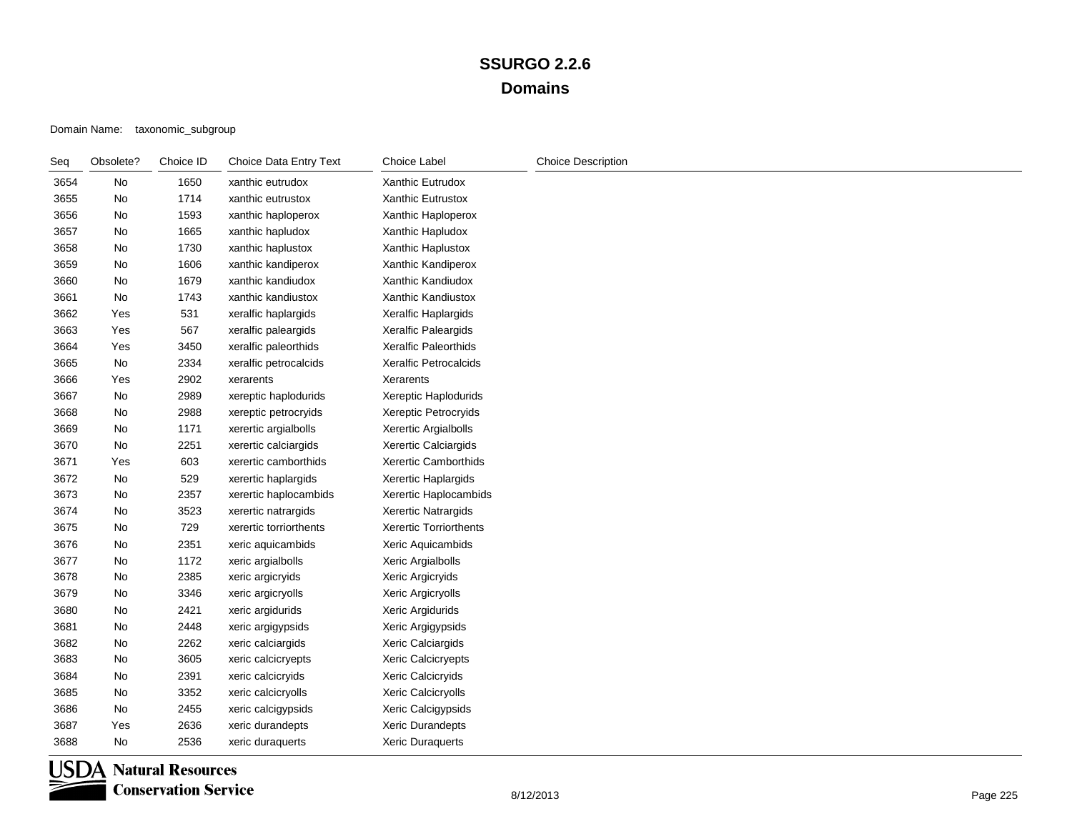#### Domain Name: taxonomic\_subgroup

| Seq  | Obsolete? | Choice ID | Choice Data Entry Text | Choice Label           | <b>Choice Description</b> |
|------|-----------|-----------|------------------------|------------------------|---------------------------|
| 3654 | No        | 1650      | xanthic eutrudox       | Xanthic Eutrudox       |                           |
| 3655 | No        | 1714      | xanthic eutrustox      | Xanthic Eutrustox      |                           |
| 3656 | No        | 1593      | xanthic haploperox     | Xanthic Haploperox     |                           |
| 3657 | No        | 1665      | xanthic hapludox       | Xanthic Hapludox       |                           |
| 3658 | No        | 1730      | xanthic haplustox      | Xanthic Haplustox      |                           |
| 3659 | No        | 1606      | xanthic kandiperox     | Xanthic Kandiperox     |                           |
| 3660 | No        | 1679      | xanthic kandiudox      | Xanthic Kandiudox      |                           |
| 3661 | No        | 1743      | xanthic kandiustox     | Xanthic Kandiustox     |                           |
| 3662 | Yes       | 531       | xeralfic haplargids    | Xeralfic Haplargids    |                           |
| 3663 | Yes       | 567       | xeralfic paleargids    | Xeralfic Paleargids    |                           |
| 3664 | Yes       | 3450      | xeralfic paleorthids   | Xeralfic Paleorthids   |                           |
| 3665 | No        | 2334      | xeralfic petrocalcids  | Xeralfic Petrocalcids  |                           |
| 3666 | Yes       | 2902      | xerarents              | Xerarents              |                           |
| 3667 | No        | 2989      | xereptic haplodurids   | Xereptic Haplodurids   |                           |
| 3668 | No        | 2988      | xereptic petrocryids   | Xereptic Petrocryids   |                           |
| 3669 | No        | 1171      | xerertic argialbolls   | Xerertic Argialbolls   |                           |
| 3670 | No        | 2251      | xerertic calciargids   | Xerertic Calciargids   |                           |
| 3671 | Yes       | 603       | xerertic camborthids   | Xerertic Camborthids   |                           |
| 3672 | No        | 529       | xerertic haplargids    | Xerertic Haplargids    |                           |
| 3673 | No        | 2357      | xerertic haplocambids  | Xerertic Haplocambids  |                           |
| 3674 | No        | 3523      | xerertic natrargids    | Xerertic Natrargids    |                           |
| 3675 | No        | 729       | xerertic torriorthents | Xerertic Torriorthents |                           |
| 3676 | No        | 2351      | xeric aquicambids      | Xeric Aquicambids      |                           |
| 3677 | No        | 1172      | xeric argialbolls      | Xeric Argialbolls      |                           |
| 3678 | No        | 2385      | xeric argicryids       | Xeric Argicryids       |                           |
| 3679 | No        | 3346      | xeric argicryolls      | Xeric Argicryolls      |                           |
| 3680 | No        | 2421      | xeric argidurids       | Xeric Argidurids       |                           |
| 3681 | No        | 2448      | xeric argigypsids      | Xeric Argigypsids      |                           |
| 3682 | No        | 2262      | xeric calciargids      | Xeric Calciargids      |                           |
| 3683 | No        | 3605      | xeric calcicryepts     | Xeric Calcicryepts     |                           |
| 3684 | No        | 2391      | xeric calcicryids      | Xeric Calcicryids      |                           |
| 3685 | No        | 3352      | xeric calcicryolls     | Xeric Calcicryolls     |                           |
| 3686 | No        | 2455      | xeric calcigypsids     | Xeric Calcigypsids     |                           |
| 3687 | Yes       | 2636      | xeric durandepts       | Xeric Durandepts       |                           |
| 3688 | No        | 2536      | xeric duraquerts       | Xeric Duraquerts       |                           |

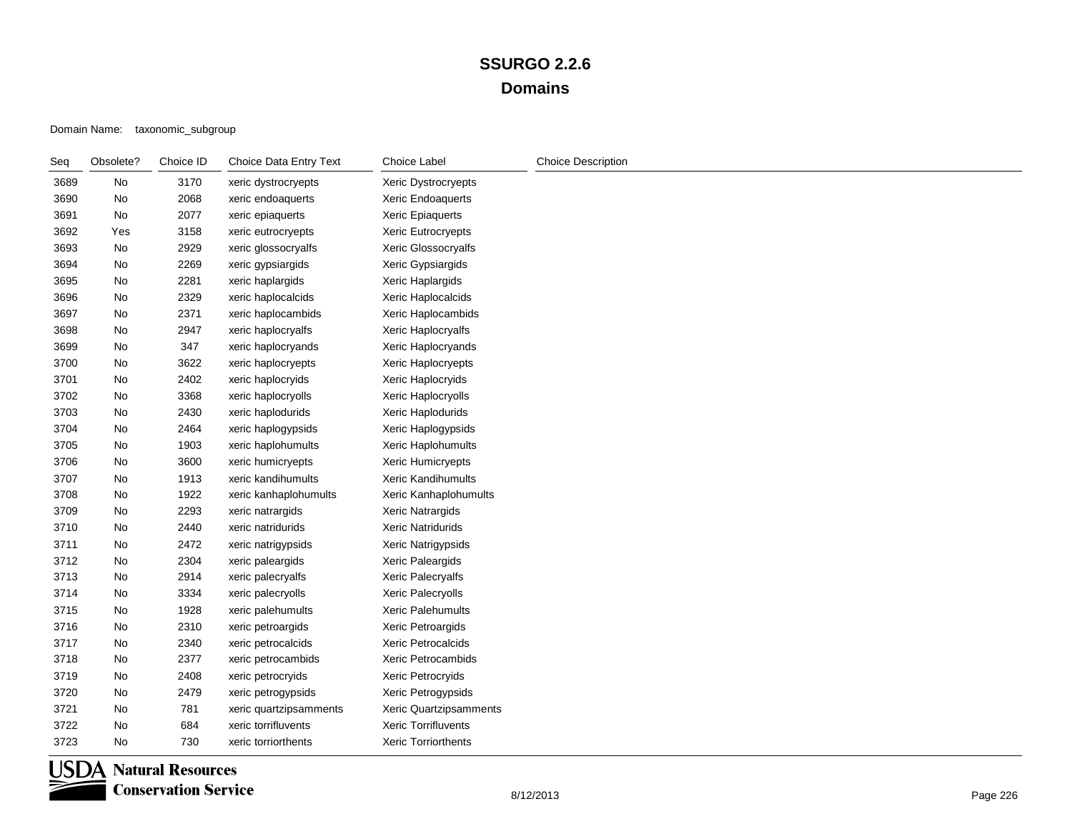#### Domain Name: taxonomic\_subgroup

| Seq  | Obsolete? | Choice ID | Choice Data Entry Text | Choice Label           | <b>Choice Description</b> |
|------|-----------|-----------|------------------------|------------------------|---------------------------|
| 3689 | No        | 3170      | xeric dystrocryepts    | Xeric Dystrocryepts    |                           |
| 3690 | No        | 2068      | xeric endoaquerts      | Xeric Endoaquerts      |                           |
| 3691 | No        | 2077      | xeric epiaquerts       | Xeric Epiaquerts       |                           |
| 3692 | Yes       | 3158      | xeric eutrocryepts     | Xeric Eutrocryepts     |                           |
| 3693 | No        | 2929      | xeric glossocryalfs    | Xeric Glossocryalfs    |                           |
| 3694 | No        | 2269      | xeric gypsiargids      | Xeric Gypsiargids      |                           |
| 3695 | No        | 2281      | xeric haplargids       | Xeric Haplargids       |                           |
| 3696 | No        | 2329      | xeric haplocalcids     | Xeric Haplocalcids     |                           |
| 3697 | No        | 2371      | xeric haplocambids     | Xeric Haplocambids     |                           |
| 3698 | No        | 2947      | xeric haplocryalfs     | Xeric Haplocryalfs     |                           |
| 3699 | No        | 347       | xeric haplocryands     | Xeric Haplocryands     |                           |
| 3700 | No        | 3622      | xeric haplocryepts     | Xeric Haplocryepts     |                           |
| 3701 | No        | 2402      | xeric haplocryids      | Xeric Haplocryids      |                           |
| 3702 | No        | 3368      | xeric haplocryolls     | Xeric Haplocryolls     |                           |
| 3703 | No        | 2430      | xeric haplodurids      | Xeric Haplodurids      |                           |
| 3704 | No        | 2464      | xeric haplogypsids     | Xeric Haplogypsids     |                           |
| 3705 | No        | 1903      | xeric haplohumults     | Xeric Haplohumults     |                           |
| 3706 | No        | 3600      | xeric humicryepts      | Xeric Humicryepts      |                           |
| 3707 | No        | 1913      | xeric kandihumults     | Xeric Kandihumults     |                           |
| 3708 | No        | 1922      | xeric kanhaplohumults  | Xeric Kanhaplohumults  |                           |
| 3709 | No        | 2293      | xeric natrargids       | Xeric Natrargids       |                           |
| 3710 | No        | 2440      | xeric natridurids      | Xeric Natridurids      |                           |
| 3711 | No        | 2472      | xeric natrigypsids     | Xeric Natrigypsids     |                           |
| 3712 | No        | 2304      | xeric paleargids       | Xeric Paleargids       |                           |
| 3713 | No        | 2914      | xeric palecryalfs      | Xeric Palecryalfs      |                           |
| 3714 | No        | 3334      | xeric palecryolls      | Xeric Palecryolls      |                           |
| 3715 | No        | 1928      | xeric palehumults      | Xeric Palehumults      |                           |
| 3716 | No        | 2310      | xeric petroargids      | Xeric Petroargids      |                           |
| 3717 | No        | 2340      | xeric petrocalcids     | Xeric Petrocalcids     |                           |
| 3718 | No        | 2377      | xeric petrocambids     | Xeric Petrocambids     |                           |
| 3719 | No        | 2408      | xeric petrocryids      | Xeric Petrocryids      |                           |
| 3720 | No        | 2479      | xeric petrogypsids     | Xeric Petrogypsids     |                           |
| 3721 | No        | 781       | xeric quartzipsamments | Xeric Quartzipsamments |                           |
| 3722 | No        | 684       | xeric torrifluvents    | Xeric Torrifluvents    |                           |
| 3723 | No        | 730       | xeric torriorthents    | Xeric Torriorthents    |                           |

**USDA** Natural Resources **Conservation Service**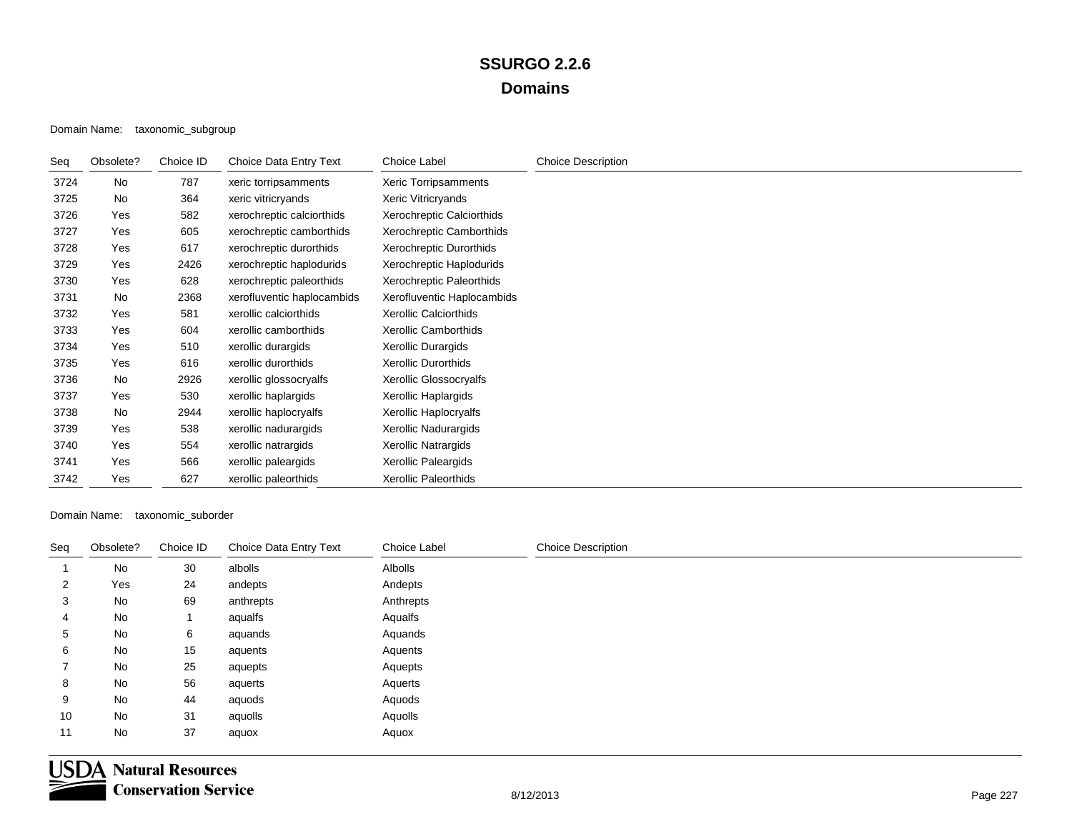#### Domain Name: taxonomic\_subgroup

| Seq  | Obsolete? | Choice ID | Choice Data Entry Text     | Choice Label               | <b>Choice Description</b> |
|------|-----------|-----------|----------------------------|----------------------------|---------------------------|
| 3724 | No        | 787       | xeric torripsamments       | Xeric Torripsamments       |                           |
| 3725 | No        | 364       | xeric vitricryands         | Xeric Vitricryands         |                           |
| 3726 | Yes       | 582       | xerochreptic calciorthids  | Xerochreptic Calciorthids  |                           |
| 3727 | Yes       | 605       | xerochreptic camborthids   | Xerochreptic Camborthids   |                           |
| 3728 | Yes       | 617       | xerochreptic durorthids    | Xerochreptic Durorthids    |                           |
| 3729 | Yes       | 2426      | xerochreptic haplodurids   | Xerochreptic Haplodurids   |                           |
| 3730 | Yes       | 628       | xerochreptic paleorthids   | Xerochreptic Paleorthids   |                           |
| 3731 | No        | 2368      | xerofluventic haplocambids | Xerofluventic Haplocambids |                           |
| 3732 | Yes       | 581       | xerollic calciorthids      | Xerollic Calciorthids      |                           |
| 3733 | Yes       | 604       | xerollic camborthids       | Xerollic Camborthids       |                           |
| 3734 | Yes       | 510       | xerollic durargids         | Xerollic Durargids         |                           |
| 3735 | Yes       | 616       | xerollic durorthids        | Xerollic Durorthids        |                           |
| 3736 | No        | 2926      | xerollic glossocryalfs     | Xerollic Glossocryalfs     |                           |
| 3737 | Yes       | 530       | xerollic haplargids        | Xerollic Haplargids        |                           |
| 3738 | No        | 2944      | xerollic haplocryalfs      | Xerollic Haplocryalfs      |                           |
| 3739 | Yes       | 538       | xerollic nadurargids       | Xerollic Nadurargids       |                           |
| 3740 | Yes       | 554       | xerollic natrargids        | Xerollic Natrargids        |                           |
| 3741 | Yes       | 566       | xerollic paleargids        | Xerollic Paleargids        |                           |
| 3742 | Yes       | 627       | xerollic paleorthids       | Xerollic Paleorthids       |                           |

#### Domain Name: taxonomic\_suborder

| Seq | Obsolete? | Choice ID | Choice Data Entry Text | Choice Label | <b>Choice Description</b> |
|-----|-----------|-----------|------------------------|--------------|---------------------------|
|     | No        | 30        | albolls                | Albolls      |                           |
| 2   | Yes       | 24        | andepts                | Andepts      |                           |
| 3   | No        | 69        | anthrepts              | Anthrepts    |                           |
| 4   | No        |           | aqualfs                | Aqualfs      |                           |
| 5   | No        | 6         | aquands                | Aquands      |                           |
| 6   | No        | 15        | aquents                | Aquents      |                           |
|     | No        | 25        | aquepts                | Aquepts      |                           |
| 8   | No        | 56        | aquerts                | Aquerts      |                           |
| 9   | No        | 44        | aquods                 | Aquods       |                           |
| 10  | No        | 31        | aquolls                | Aquolls      |                           |
| 11  | No        | 37        | aquox                  | Aquox        |                           |

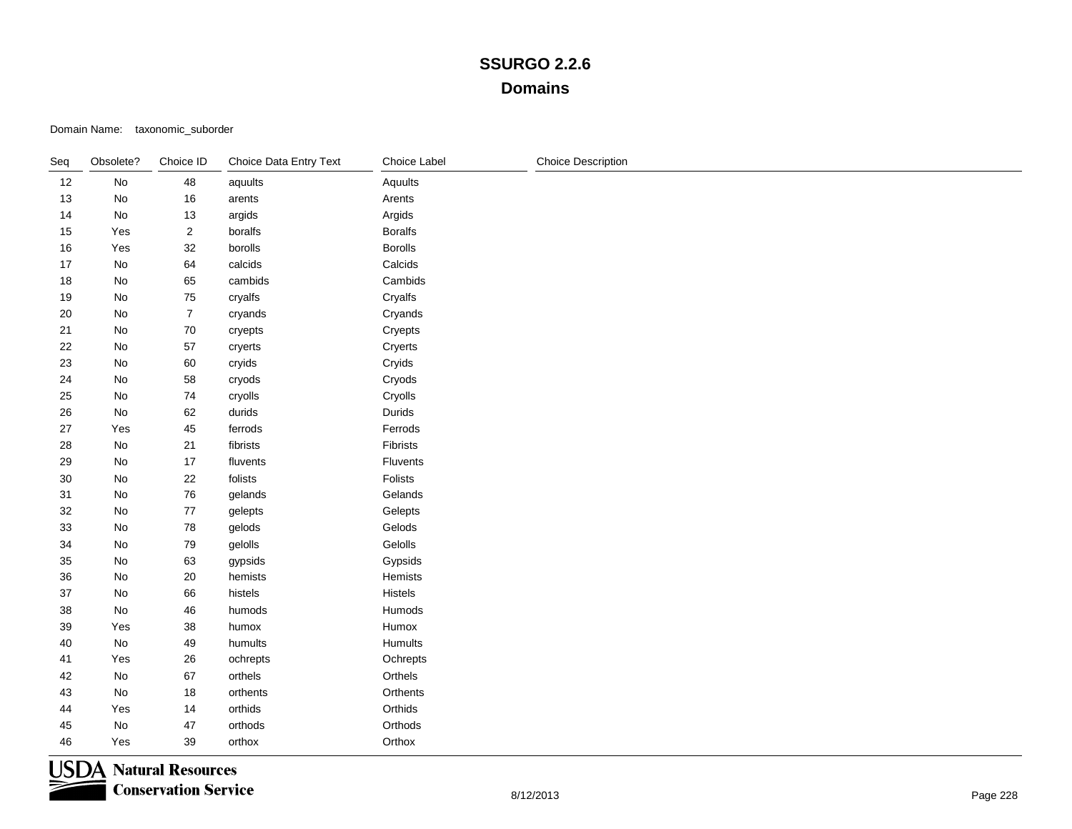Domain Name: taxonomic\_suborder

| Seq | Obsolete?                    | Choice ID      | Choice Data Entry Text | Choice Label   | <b>Choice Description</b> |
|-----|------------------------------|----------------|------------------------|----------------|---------------------------|
| 12  | No                           | 48             | aquults                | Aquults        |                           |
| 13  | No                           | 16             | arents                 | Arents         |                           |
| 14  | No                           | $13$           | argids                 | Argids         |                           |
| 15  | Yes                          | $\overline{2}$ | boralfs                | <b>Boralfs</b> |                           |
| 16  | Yes                          | 32             | borolls                | <b>Borolls</b> |                           |
| 17  | $\operatorname{\mathsf{No}}$ | 64             | calcids                | Calcids        |                           |
| 18  | No                           | 65             | cambids                | Cambids        |                           |
| 19  | No                           | 75             | cryalfs                | Cryalfs        |                           |
| 20  | No                           | $\overline{7}$ | cryands                | Cryands        |                           |
| 21  | No                           | $70\,$         | cryepts                | Cryepts        |                           |
| 22  | No                           | 57             | cryerts                | Cryerts        |                           |
| 23  | No                           | 60             | cryids                 | Cryids         |                           |
| 24  | No                           | 58             | cryods                 | Cryods         |                           |
| 25  | No                           | 74             | cryolls                | Cryolls        |                           |
| 26  | No                           | 62             | durids                 | Durids         |                           |
| 27  | Yes                          | 45             | ferrods                | Ferrods        |                           |
| 28  | No                           | 21             | fibrists               | Fibrists       |                           |
| 29  | No                           | 17             | fluvents               | Fluvents       |                           |
| 30  | No                           | 22             | folists                | Folists        |                           |
| 31  | No                           | 76             | gelands                | Gelands        |                           |
| 32  | No                           | ${\bf 77}$     | gelepts                | Gelepts        |                           |
| 33  | No                           | 78             | gelods                 | Gelods         |                           |
| 34  | No                           | 79             | gelolls                | Gelolls        |                           |
| 35  | No                           | 63             | gypsids                | Gypsids        |                           |
| 36  | No                           | $20\,$         | hemists                | Hemists        |                           |
| 37  | No                           | 66             | histels                | Histels        |                           |
| 38  | No                           | 46             | humods                 | Humods         |                           |
| 39  | Yes                          | 38             | humox                  | Humox          |                           |
| 40  | No                           | 49             | humults                | Humults        |                           |
| 41  | Yes                          | $26\,$         | ochrepts               | Ochrepts       |                           |
| 42  | No                           | 67             | orthels                | Orthels        |                           |
| 43  | No                           | 18             | orthents               | Orthents       |                           |
| 44  | Yes                          | 14             | orthids                | Orthids        |                           |
| 45  | No                           | 47             | orthods                | Orthods        |                           |
| 46  | Yes                          | 39             | orthox                 | Orthox         |                           |

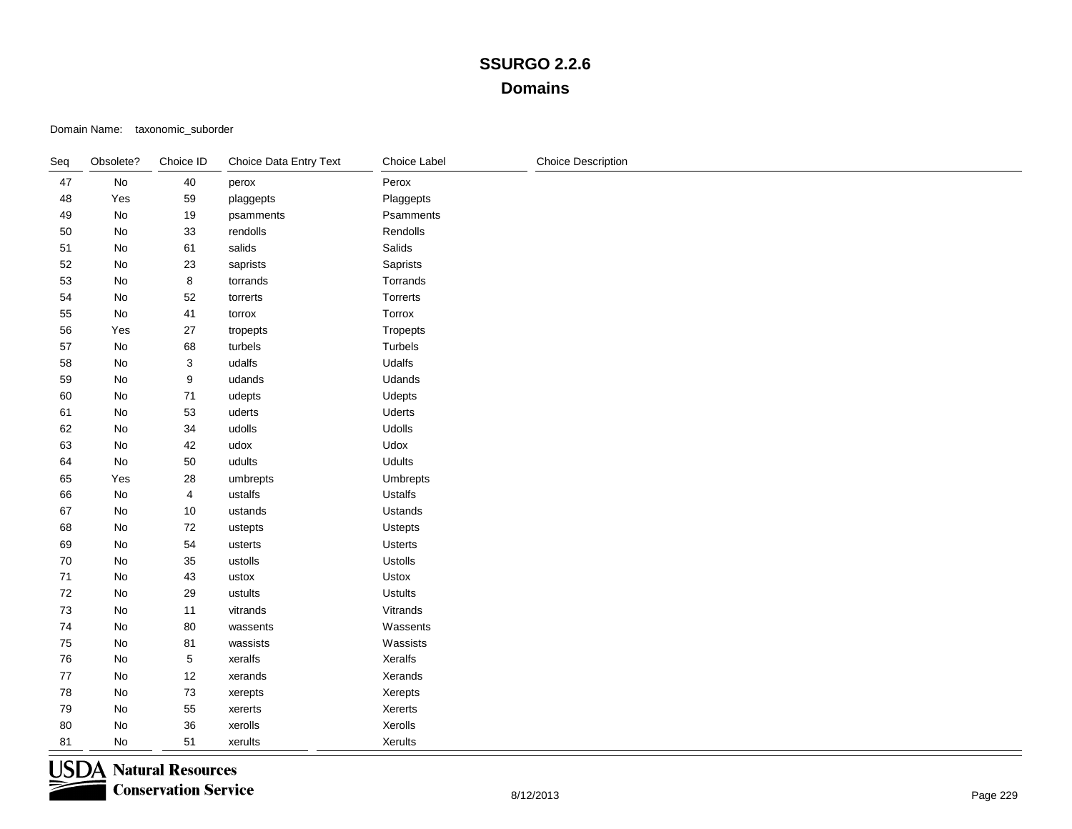Domain Name: taxonomic\_suborder

| Seq | Obsolete?     | Choice ID               | Choice Data Entry Text | Choice Label   | <b>Choice Description</b> |
|-----|---------------|-------------------------|------------------------|----------------|---------------------------|
| 47  | No            | 40                      | perox                  | Perox          |                           |
| 48  | Yes           | 59                      | plaggepts              | Plaggepts      |                           |
| 49  | No            | 19                      | psamments              | Psamments      |                           |
| 50  | No            | $33\,$                  | rendolls               | Rendolls       |                           |
| 51  | No            | 61                      | salids                 | Salids         |                           |
| 52  | $\mathsf{No}$ | 23                      | saprists               | Saprists       |                           |
| 53  | No            | $\bf8$                  | torrands               | Torrands       |                           |
| 54  | No            | 52                      | torrerts               | Torrerts       |                           |
| 55  | $\mathsf{No}$ | 41                      | torrox                 | Torrox         |                           |
| 56  | Yes           | 27                      | tropepts               | Tropepts       |                           |
| 57  | No            | 68                      | turbels                | Turbels        |                           |
| 58  | No            | 3                       | udalfs                 | Udalfs         |                           |
| 59  | No            | $\boldsymbol{9}$        | udands                 | Udands         |                           |
| 60  | No            | 71                      | udepts                 | <b>Udepts</b>  |                           |
| 61  | No            | 53                      | uderts                 | Uderts         |                           |
| 62  | No            | 34                      | udolls                 | Udolls         |                           |
| 63  | $\mathsf{No}$ | 42                      | udox                   | Udox           |                           |
| 64  | No            | 50                      | udults                 | <b>Udults</b>  |                           |
| 65  | Yes           | 28                      | umbrepts               | Umbrepts       |                           |
| 66  | No            | $\overline{\mathbf{4}}$ | ustalfs                | Ustalfs        |                           |
| 67  | No            | $10$                    | ustands                | Ustands        |                           |
| 68  | No            | 72                      | ustepts                | <b>Ustepts</b> |                           |
| 69  | No            | 54                      | usterts                | <b>Usterts</b> |                           |
| 70  | $\mathsf{No}$ | $35\,$                  | ustolls                | Ustolls        |                           |
| 71  | No            | 43                      | ustox                  | Ustox          |                           |
| 72  | No            | 29                      | ustults                | <b>Ustults</b> |                           |
| 73  | No            | 11                      | vitrands               | Vitrands       |                           |
| 74  | No            | 80                      | wassents               | Wassents       |                           |
| 75  | No            | 81                      | wassists               | Wassists       |                           |
| 76  | No            | $\sqrt{5}$              | xeralfs                | Xeralfs        |                           |
| 77  | No            | 12                      | xerands                | Xerands        |                           |
| 78  | No            | 73                      | xerepts                | Xerepts        |                           |
| 79  | No            | 55                      | xererts                | Xererts        |                           |
| 80  | No            | 36                      | xerolls                | Xerolls        |                           |
| 81  | No            | 51                      | xerults                | Xerults        |                           |

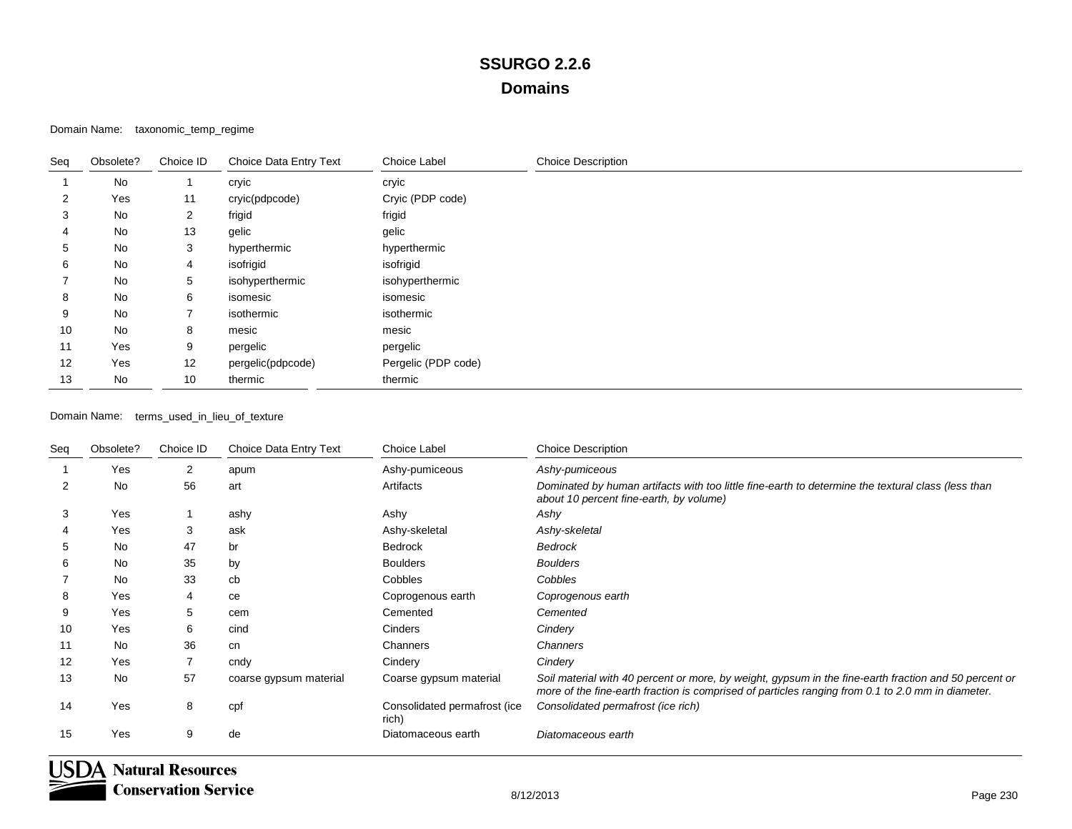#### Domain Name: taxonomic\_temp\_regime

| Seq | Obsolete? | Choice ID      | Choice Data Entry Text | Choice Label        | <b>Choice Description</b> |
|-----|-----------|----------------|------------------------|---------------------|---------------------------|
|     | No        |                | cryic                  | cryic               |                           |
| 2   | Yes       | 11             | cryic(pdpcode)         | Cryic (PDP code)    |                           |
| 3   | No        | $\overline{2}$ | frigid                 | frigid              |                           |
| 4   | No        | 13             | gelic                  | gelic               |                           |
| 5   | No        | 3              | hyperthermic           | hyperthermic        |                           |
| 6   | No        | 4              | isofrigid              | isofrigid           |                           |
|     | No        | 5              | isohyperthermic        | isohyperthermic     |                           |
| 8   | No        | 6              | isomesic               | isomesic            |                           |
| 9   | No        |                | isothermic             | isothermic          |                           |
| 10  | No        | 8              | mesic                  | mesic               |                           |
| 11  | Yes       | 9              | pergelic               | pergelic            |                           |
| 12  | Yes       | 12             | pergelic(pdpcode)      | Pergelic (PDP code) |                           |
| 13  | No        | 10             | thermic                | thermic             |                           |

#### Domain Name: terms\_used\_in\_lieu\_of\_texture

| Seq | Obsolete? | Choice ID | Choice Data Entry Text | Choice Label                          | <b>Choice Description</b>                                                                                                                                                                                  |
|-----|-----------|-----------|------------------------|---------------------------------------|------------------------------------------------------------------------------------------------------------------------------------------------------------------------------------------------------------|
|     | Yes       | 2         | apum                   | Ashy-pumiceous                        | Ashy-pumiceous                                                                                                                                                                                             |
| 2   | No        | 56        | art                    | Artifacts                             | Dominated by human artifacts with too little fine-earth to determine the textural class (less than<br>about 10 percent fine-earth, by volume)                                                              |
| 3   | Yes       |           | ashy                   | Ashy                                  | Ashy                                                                                                                                                                                                       |
|     | Yes       | 3         | ask                    | Ashy-skeletal                         | Ashy-skeletal                                                                                                                                                                                              |
| 5   | No        | 47        | br                     | Bedrock                               | <b>Bedrock</b>                                                                                                                                                                                             |
| 6   | No        | 35        | by                     | <b>Boulders</b>                       | <b>Boulders</b>                                                                                                                                                                                            |
|     | No        | 33        | cb                     | Cobbles                               | Cobbles                                                                                                                                                                                                    |
| 8   | Yes       | 4         | ce                     | Coprogenous earth                     | Coprogenous earth                                                                                                                                                                                          |
| 9   | Yes       | 5         | cem                    | Cemented                              | Cemented                                                                                                                                                                                                   |
| 10  | Yes       | 6         | cind                   | Cinders                               | Cindery                                                                                                                                                                                                    |
| 11  | No        | 36        | cn                     | Channers                              | Channers                                                                                                                                                                                                   |
| 12  | Yes       | 7         | cndy                   | Cindery                               | Cindery                                                                                                                                                                                                    |
| 13  | No        | 57        | coarse gypsum material | Coarse gypsum material                | Soil material with 40 percent or more, by weight, gypsum in the fine-earth fraction and 50 percent or<br>more of the fine-earth fraction is comprised of particles ranging from 0.1 to 2.0 mm in diameter. |
| 14  | Yes       | 8         | cpf                    | Consolidated permafrost (ice<br>rich) | Consolidated permafrost (ice rich)                                                                                                                                                                         |
| 15  | Yes       | 9         | de                     | Diatomaceous earth                    | Diatomaceous earth                                                                                                                                                                                         |

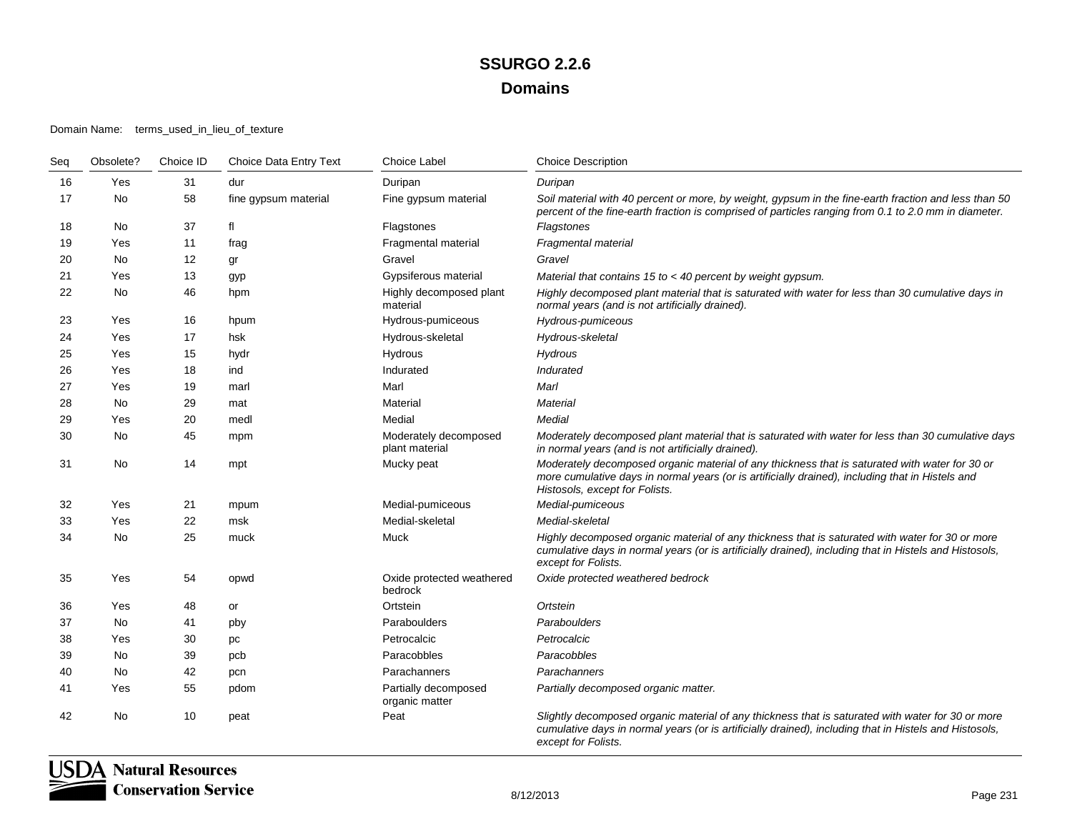#### Domain Name: terms\_used\_in\_lieu\_of\_texture

| Seq | Obsolete? | Choice ID | Choice Data Entry Text | <b>Choice Label</b>                     | <b>Choice Description</b>                                                                                                                                                                                                            |
|-----|-----------|-----------|------------------------|-----------------------------------------|--------------------------------------------------------------------------------------------------------------------------------------------------------------------------------------------------------------------------------------|
| 16  | Yes       | 31        | dur                    | Duripan                                 | Duripan                                                                                                                                                                                                                              |
| 17  | No        | 58        | fine gypsum material   | Fine gypsum material                    | Soil material with 40 percent or more, by weight, gypsum in the fine-earth fraction and less than 50<br>percent of the fine-earth fraction is comprised of particles ranging from 0.1 to 2.0 mm in diameter.                         |
| 18  | No        | 37        | fl                     | Flagstones                              | Flagstones                                                                                                                                                                                                                           |
| 19  | Yes       | 11        | frag                   | Fragmental material                     | Fragmental material                                                                                                                                                                                                                  |
| 20  | <b>No</b> | 12        | gr                     | Gravel                                  | Gravel                                                                                                                                                                                                                               |
| 21  | Yes       | 13        | gyp                    | Gypsiferous material                    | Material that contains $15$ to $<$ 40 percent by weight gypsum.                                                                                                                                                                      |
| 22  | No        | 46        | hpm                    | Highly decomposed plant<br>material     | Highly decomposed plant material that is saturated with water for less than 30 cumulative days in<br>normal years (and is not artificially drained).                                                                                 |
| 23  | Yes       | 16        | hpum                   | Hydrous-pumiceous                       | Hydrous-pumiceous                                                                                                                                                                                                                    |
| 24  | Yes       | 17        | hsk                    | Hydrous-skeletal                        | Hydrous-skeletal                                                                                                                                                                                                                     |
| 25  | Yes       | 15        | hydr                   | Hydrous                                 | Hydrous                                                                                                                                                                                                                              |
| 26  | Yes       | 18        | ind                    | Indurated                               | Indurated                                                                                                                                                                                                                            |
| 27  | Yes       | 19        | marl                   | Marl                                    | Marl                                                                                                                                                                                                                                 |
| 28  | No        | 29        | mat                    | Material                                | Material                                                                                                                                                                                                                             |
| 29  | Yes       | 20        | medl                   | Medial                                  | Medial                                                                                                                                                                                                                               |
| 30  | No.       | 45        | mpm                    | Moderately decomposed<br>plant material | Moderately decomposed plant material that is saturated with water for less than 30 cumulative days<br>in normal years (and is not artificially drained).                                                                             |
| 31  | No        | 14        | mpt                    | Mucky peat                              | Moderately decomposed organic material of any thickness that is saturated with water for 30 or<br>more cumulative days in normal years (or is artificially drained), including that in Histels and<br>Histosols, except for Folists. |
| 32  | Yes       | 21        | mpum                   | Medial-pumiceous                        | Medial-pumiceous                                                                                                                                                                                                                     |
| 33  | Yes       | 22        | msk                    | Medial-skeletal                         | Medial-skeletal                                                                                                                                                                                                                      |
| 34  | No        | 25        | muck                   | Muck                                    | Highly decomposed organic material of any thickness that is saturated with water for 30 or more<br>cumulative days in normal years (or is artificially drained), including that in Histels and Histosols,<br>except for Folists.     |
| 35  | Yes       | 54        | opwd                   | Oxide protected weathered<br>bedrock    | Oxide protected weathered bedrock                                                                                                                                                                                                    |
| 36  | Yes       | 48        | or                     | Ortstein                                | Ortstein                                                                                                                                                                                                                             |
| 37  | No        | 41        | pby                    | Paraboulders                            | Paraboulders                                                                                                                                                                                                                         |
| 38  | Yes       | 30        | pc                     | Petrocalcic                             | Petrocalcic                                                                                                                                                                                                                          |
| 39  | No        | 39        | pcb                    | Paracobbles                             | Paracobbles                                                                                                                                                                                                                          |
| 40  | No        | 42        | pcn                    | Parachanners                            | Parachanners                                                                                                                                                                                                                         |
| 41  | Yes       | 55        | pdom                   | Partially decomposed<br>organic matter  | Partially decomposed organic matter.                                                                                                                                                                                                 |
| 42  | No        | 10        | peat                   | Peat                                    | Slightly decomposed organic material of any thickness that is saturated with water for 30 or more<br>cumulative days in normal years (or is artificially drained), including that in Histels and Histosols,<br>except for Folists.   |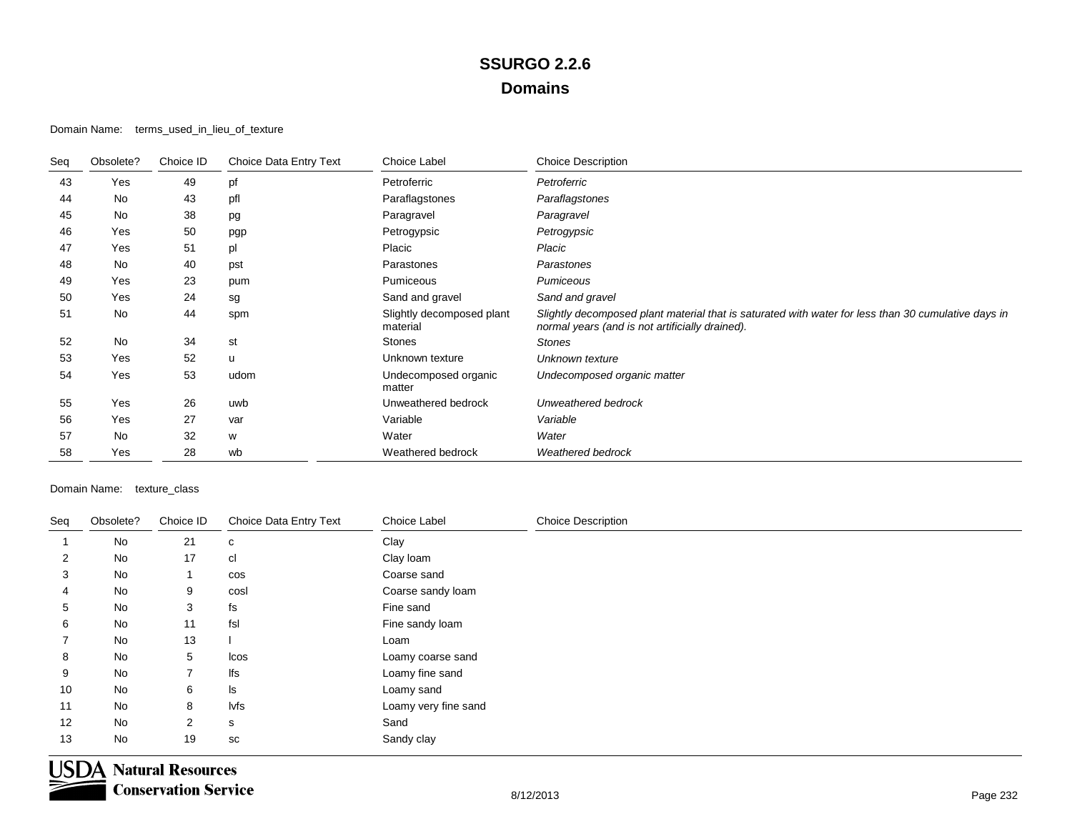#### Domain Name: terms\_used\_in\_lieu\_of\_texture

| Seq | Obsolete? | Choice ID | Choice Data Entry Text | Choice Label                          | <b>Choice Description</b>                                                                                                                              |
|-----|-----------|-----------|------------------------|---------------------------------------|--------------------------------------------------------------------------------------------------------------------------------------------------------|
| 43  | Yes       | 49        | pf                     | Petroferric                           | Petroferric                                                                                                                                            |
| 44  | <b>No</b> | 43        | pfl                    | Paraflagstones                        | Paraflagstones                                                                                                                                         |
| 45  | No        | 38        | pg                     | Paragravel                            | Paragravel                                                                                                                                             |
| 46  | Yes       | 50        | pgp                    | Petrogypsic                           | Petrogypsic                                                                                                                                            |
| 47  | Yes       | 51        | pl                     | Placic                                | Placic                                                                                                                                                 |
| 48  | No        | 40        | pst                    | Parastones                            | Parastones                                                                                                                                             |
| 49  | Yes       | 23        | pum                    | Pumiceous                             | Pumiceous                                                                                                                                              |
| 50  | Yes       | 24        | sg                     | Sand and gravel                       | Sand and gravel                                                                                                                                        |
| 51  | No        | 44        | spm                    | Slightly decomposed plant<br>material | Slightly decomposed plant material that is saturated with water for less than 30 cumulative days in<br>normal years (and is not artificially drained). |
| 52  | No        | 34        | st                     | Stones                                | Stones                                                                                                                                                 |
| 53  | Yes       | 52        | u                      | Unknown texture                       | Unknown texture                                                                                                                                        |
| 54  | Yes       | 53        | udom                   | Undecomposed organic<br>matter        | Undecomposed organic matter                                                                                                                            |
| 55  | Yes       | 26        | uwb                    | Unweathered bedrock                   | Unweathered bedrock                                                                                                                                    |
| 56  | Yes       | 27        | var                    | Variable                              | Variable                                                                                                                                               |
| 57  | No        | 32        | w                      | Water                                 | Water                                                                                                                                                  |
| 58  | Yes       | 28        | wb                     | Weathered bedrock                     | Weathered bedrock                                                                                                                                      |

#### Domain Name: texture\_class

| Seq            | Obsolete? | Choice ID      | Choice Data Entry Text | Choice Label         | <b>Choice Description</b> |
|----------------|-----------|----------------|------------------------|----------------------|---------------------------|
|                | No        | 21             | c                      | Clay                 |                           |
| $\overline{2}$ | No        | 17             | cl                     | Clay loam            |                           |
| 3              | No        |                | cos                    | Coarse sand          |                           |
| 4              | No        | 9              | cosl                   | Coarse sandy loam    |                           |
| 5              | No        | 3              | fs                     | Fine sand            |                           |
| 6              | No        | 11             | fsl                    | Fine sandy loam      |                           |
|                | No        | 13             |                        | Loam                 |                           |
| 8              | No        | 5              | Icos                   | Loamy coarse sand    |                           |
| 9              | No        | 7              | lfs                    | Loamy fine sand      |                           |
| 10             | No        | 6              | ls                     | Loamy sand           |                           |
| 11             | No        | 8              | lvfs                   | Loamy very fine sand |                           |
| 12             | No        | $\overline{2}$ | s                      | Sand                 |                           |
| 13             | No        | 19             | SC                     | Sandy clay           |                           |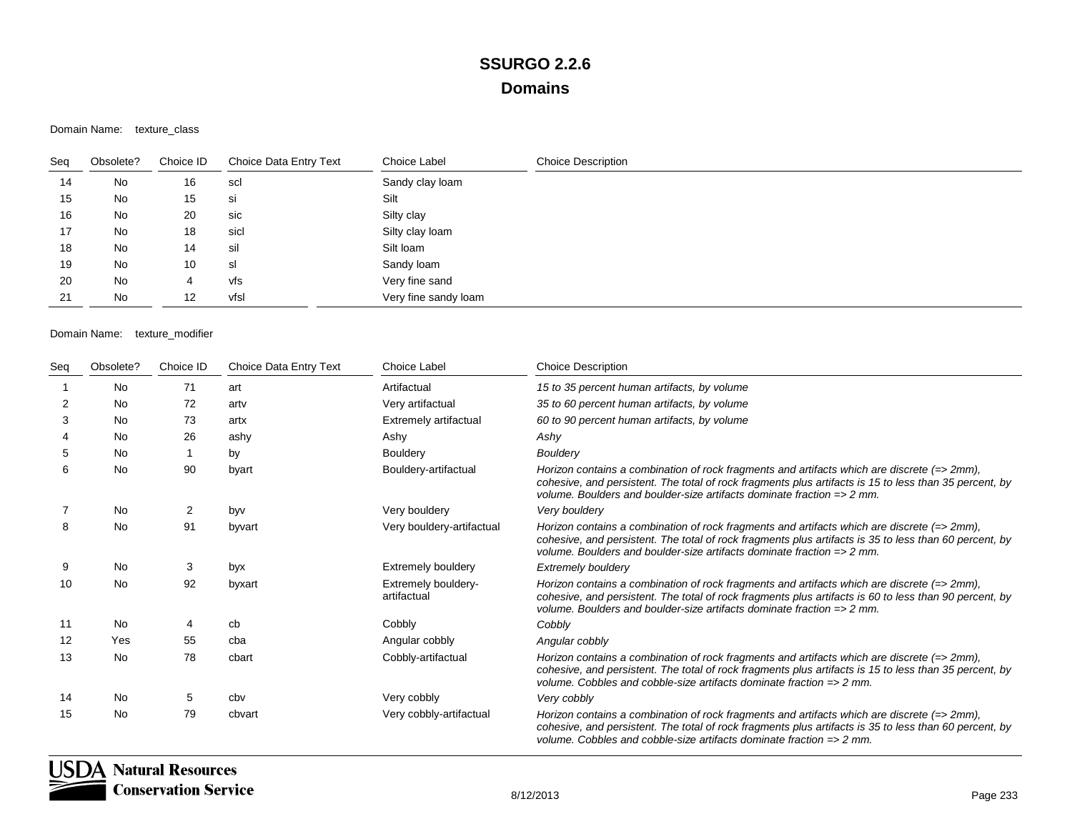#### Domain Name: texture\_class

| Seq | Obsolete? | Choice ID | Choice Data Entry Text | Choice Label         | <b>Choice Description</b> |
|-----|-----------|-----------|------------------------|----------------------|---------------------------|
| 14  | No        | 16        | scl                    | Sandy clay loam      |                           |
| 15  | No        | 15        | si                     | Silt                 |                           |
| 16  | No        | 20        | sic                    | Silty clay           |                           |
| 17  | No        | 18        | sicl                   | Silty clay loam      |                           |
| 18  | No        | 14        | sil                    | Silt loam            |                           |
| 19  | No        | 10        | sl                     | Sandy loam           |                           |
| 20  | No        | 4         | vfs                    | Very fine sand       |                           |
| 21  | No        | 12        | vfsl                   | Very fine sandy loam |                           |

| Seq | Obsolete? | Choice ID | Choice Data Entry Text | <b>Choice Label</b>                | <b>Choice Description</b>                                                                                                                                                                                                                                                                   |
|-----|-----------|-----------|------------------------|------------------------------------|---------------------------------------------------------------------------------------------------------------------------------------------------------------------------------------------------------------------------------------------------------------------------------------------|
|     | No        | 71        | art                    | Artifactual                        | 15 to 35 percent human artifacts, by volume                                                                                                                                                                                                                                                 |
| 2   | No        | 72        | artv                   | Very artifactual                   | 35 to 60 percent human artifacts, by volume                                                                                                                                                                                                                                                 |
| 3   | <b>No</b> | 73        | artx                   | Extremely artifactual              | 60 to 90 percent human artifacts, by volume                                                                                                                                                                                                                                                 |
|     | <b>No</b> | 26        | ashy                   | Ashy                               | Ashy                                                                                                                                                                                                                                                                                        |
|     | <b>No</b> |           | by                     | <b>Bouldery</b>                    | <b>Bouldery</b>                                                                                                                                                                                                                                                                             |
| 6   | No        | 90        | byart                  | Bouldery-artifactual               | Horizon contains a combination of rock fragments and artifacts which are discrete $(=$ 2mm),<br>cohesive, and persistent. The total of rock fragments plus artifacts is 15 to less than 35 percent, by<br>volume. Boulders and boulder-size artifacts dominate fraction $\Rightarrow$ 2 mm. |
|     | <b>No</b> | 2         | byv                    | Very bouldery                      | Very bouldery                                                                                                                                                                                                                                                                               |
|     | No        | 91        | byvart                 | Very bouldery-artifactual          | Horizon contains a combination of rock fragments and artifacts which are discrete $(=$ 2mm),<br>cohesive, and persistent. The total of rock fragments plus artifacts is 35 to less than 60 percent, by<br>volume. Boulders and boulder-size artifacts dominate fraction $\Rightarrow$ 2 mm. |
|     | <b>No</b> | 3         | byx                    | Extremely bouldery                 | <b>Extremely bouldery</b>                                                                                                                                                                                                                                                                   |
| 10  | <b>No</b> | 92        | byxart                 | Extremely bouldery-<br>artifactual | Horizon contains a combination of rock fragments and artifacts which are discrete $(=$ 2mm),<br>cohesive, and persistent. The total of rock fragments plus artifacts is 60 to less than 90 percent, by<br>volume. Boulders and boulder-size artifacts dominate fraction $\Rightarrow$ 2 mm. |
| 11  | <b>No</b> | 4         | cb                     | Cobbly                             | Cobbly                                                                                                                                                                                                                                                                                      |
| 12  | Yes       | 55        | cba                    | Angular cobbly                     | Angular cobbly                                                                                                                                                                                                                                                                              |
| 13  | <b>No</b> | 78        | cbart                  | Cobbly-artifactual                 | Horizon contains a combination of rock fragments and artifacts which are discrete $(=$ 2mm),<br>cohesive, and persistent. The total of rock fragments plus artifacts is 15 to less than 35 percent, by<br>volume. Cobbles and cobble-size artifacts dominate fraction $\Rightarrow$ 2 mm.   |
| 14  | <b>No</b> | 5         | cby                    | Very cobbly                        | Very cobbly                                                                                                                                                                                                                                                                                 |
| 15  | <b>No</b> | 79        | cbvart                 | Very cobbly-artifactual            | Horizon contains a combination of rock fragments and artifacts which are discrete $(=$ 2mm),<br>cohesive, and persistent. The total of rock fragments plus artifacts is 35 to less than 60 percent, by<br>volume. Cobbles and cobble-size artifacts dominate fraction $\Rightarrow$ 2 mm.   |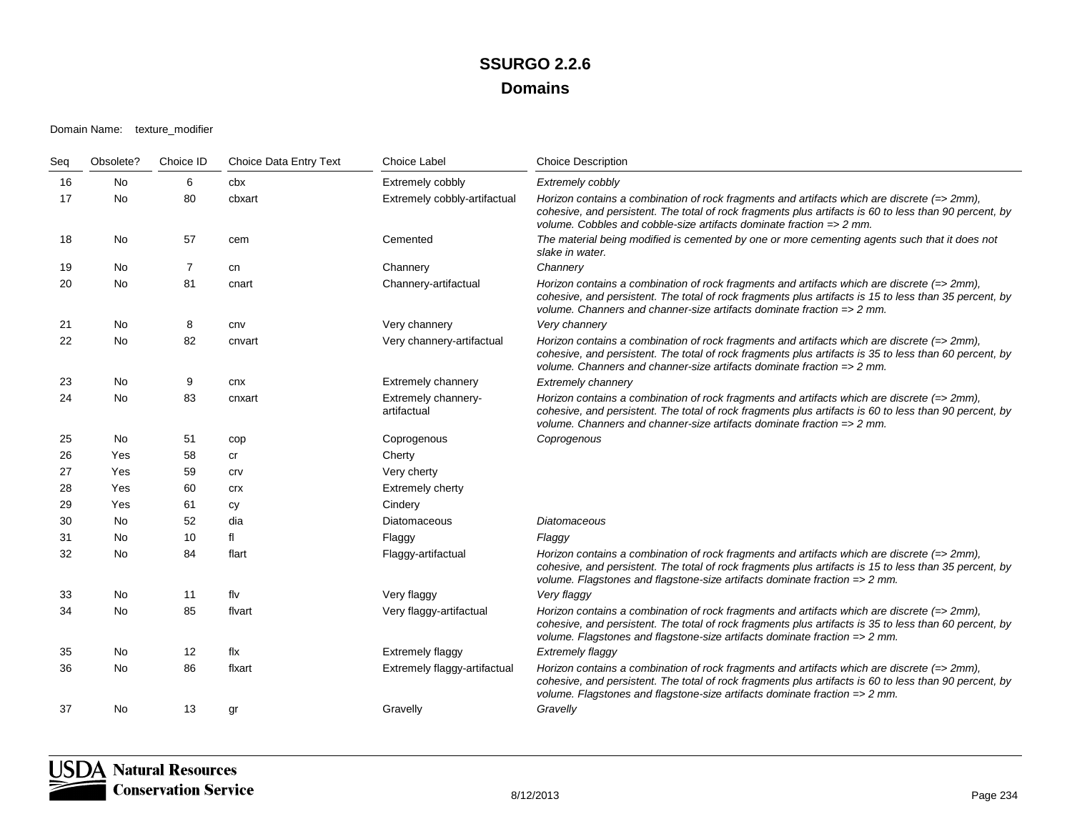| Seq | Obsolete? | Choice ID      | Choice Data Entry Text | <b>Choice Label</b>                | <b>Choice Description</b>                                                                                                                                                                                                                                                                  |
|-----|-----------|----------------|------------------------|------------------------------------|--------------------------------------------------------------------------------------------------------------------------------------------------------------------------------------------------------------------------------------------------------------------------------------------|
| 16  | No        | 6              | cbx                    | Extremely cobbly                   | Extremely cobbly                                                                                                                                                                                                                                                                           |
| 17  | <b>No</b> | 80             | cbxart                 | Extremely cobbly-artifactual       | Horizon contains a combination of rock fragments and artifacts which are discrete (=> 2mm),<br>cohesive, and persistent. The total of rock fragments plus artifacts is 60 to less than 90 percent, by<br>volume. Cobbles and cobble-size artifacts dominate fraction => 2 mm.              |
| 18  | No        | 57             | cem                    | Cemented                           | The material being modified is cemented by one or more cementing agents such that it does not<br>slake in water.                                                                                                                                                                           |
| 19  | No.       | $\overline{7}$ | cn                     | Channery                           | Channery                                                                                                                                                                                                                                                                                   |
| 20  | No.       | 81             | cnart                  | Channery-artifactual               | Horizon contains a combination of rock fragments and artifacts which are discrete (=> 2mm),<br>cohesive, and persistent. The total of rock fragments plus artifacts is 15 to less than 35 percent, by<br>volume. Channers and channer-size artifacts dominate fraction => 2 mm.            |
| 21  | No.       | 8              | cnv                    | Very channery                      | Very channery                                                                                                                                                                                                                                                                              |
| 22  | No.       | 82             | cnvart                 | Very channery-artifactual          | Horizon contains a combination of rock fragments and artifacts which are discrete (=> 2mm),<br>cohesive, and persistent. The total of rock fragments plus artifacts is 35 to less than 60 percent, by<br>volume. Channers and channer-size artifacts dominate fraction $\Rightarrow$ 2 mm. |
| 23  | No        | 9              | cnx                    | <b>Extremely channery</b>          | <b>Extremely channery</b>                                                                                                                                                                                                                                                                  |
| 24  | No        | 83             | cnxart                 | Extremely channery-<br>artifactual | Horizon contains a combination of rock fragments and artifacts which are discrete (=> 2mm),<br>cohesive, and persistent. The total of rock fragments plus artifacts is 60 to less than 90 percent, by<br>volume. Channers and channer-size artifacts dominate fraction $\Rightarrow$ 2 mm. |
| 25  | No        | 51             | cop                    | Coprogenous                        | Coprogenous                                                                                                                                                                                                                                                                                |
| 26  | Yes       | 58             | cr                     | Cherty                             |                                                                                                                                                                                                                                                                                            |
| 27  | Yes       | 59             | crv                    | Very cherty                        |                                                                                                                                                                                                                                                                                            |
| 28  | Yes       | 60             | <b>Crx</b>             | Extremely cherty                   |                                                                                                                                                                                                                                                                                            |
| 29  | Yes       | 61             | cy                     | Cindery                            |                                                                                                                                                                                                                                                                                            |
| 30  | No        | 52             | dia                    | Diatomaceous                       | <b>Diatomaceous</b>                                                                                                                                                                                                                                                                        |
| 31  | No        | 10             | f <sub>l</sub>         | Flaggy                             | Flaggy                                                                                                                                                                                                                                                                                     |
| 32  | No        | 84             | flart                  | Flaggy-artifactual                 | Horizon contains a combination of rock fragments and artifacts which are discrete (=> 2mm),<br>cohesive, and persistent. The total of rock fragments plus artifacts is 15 to less than 35 percent, by<br>volume. Flagstones and flagstone-size artifacts dominate fraction => 2 mm.        |
| 33  | No        | 11             | flv                    | Very flaggy                        | Very flaggy                                                                                                                                                                                                                                                                                |
| 34  | No.       | 85             | flvart                 | Very flaggy-artifactual            | Horizon contains a combination of rock fragments and artifacts which are discrete $(=$ 2mm),<br>cohesive, and persistent. The total of rock fragments plus artifacts is 35 to less than 60 percent, by<br>volume. Flagstones and flagstone-size artifacts dominate fraction => 2 mm.       |
| 35  | No        | 12             | flx                    | <b>Extremely flaggy</b>            | <b>Extremely flaggy</b>                                                                                                                                                                                                                                                                    |
| 36  | <b>No</b> | 86             | flxart                 | Extremely flaggy-artifactual       | Horizon contains a combination of rock fragments and artifacts which are discrete (=> 2mm),<br>cohesive, and persistent. The total of rock fragments plus artifacts is 60 to less than 90 percent, by<br>volume. Flagstones and flagstone-size artifacts dominate fraction => 2 mm.        |
| 37  | No        | 13             | gr                     | Gravelly                           | Gravelly                                                                                                                                                                                                                                                                                   |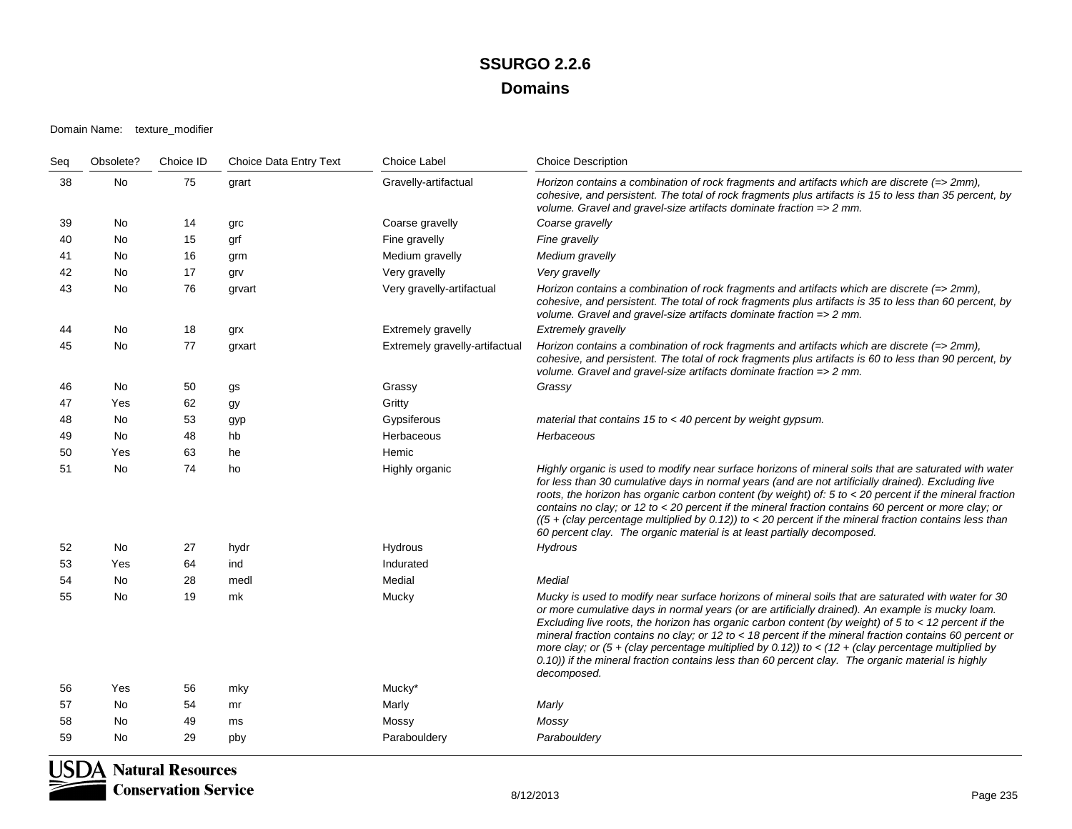| Seq | Obsolete? | Choice ID                                        | Choice Data Entry Text | <b>Choice Label</b>            | <b>Choice Description</b>                                                                                                                                                                                                                                                                                                                                                                                                                                                                                                                                                                                                                                                             |
|-----|-----------|--------------------------------------------------|------------------------|--------------------------------|---------------------------------------------------------------------------------------------------------------------------------------------------------------------------------------------------------------------------------------------------------------------------------------------------------------------------------------------------------------------------------------------------------------------------------------------------------------------------------------------------------------------------------------------------------------------------------------------------------------------------------------------------------------------------------------|
| 38  | No        | 75                                               | grart                  | Gravelly-artifactual           | Horizon contains a combination of rock fragments and artifacts which are discrete (=> 2mm),<br>cohesive, and persistent. The total of rock fragments plus artifacts is 15 to less than 35 percent, by<br>volume. Gravel and gravel-size artifacts dominate fraction => 2 mm.                                                                                                                                                                                                                                                                                                                                                                                                          |
| 39  | No        | 14                                               | grc                    | Coarse gravelly                | Coarse gravelly                                                                                                                                                                                                                                                                                                                                                                                                                                                                                                                                                                                                                                                                       |
| 40  | No        | 15                                               | grf                    | Fine gravelly                  | Fine gravelly                                                                                                                                                                                                                                                                                                                                                                                                                                                                                                                                                                                                                                                                         |
| 41  | No        | 16                                               | grm                    | Medium gravelly                | Medium gravelly                                                                                                                                                                                                                                                                                                                                                                                                                                                                                                                                                                                                                                                                       |
| 42  | No        | 17                                               | grv                    | Very gravelly                  | Very gravelly                                                                                                                                                                                                                                                                                                                                                                                                                                                                                                                                                                                                                                                                         |
| 43  | No        | 76                                               | grvart                 | Very gravelly-artifactual      | Horizon contains a combination of rock fragments and artifacts which are discrete (=> 2mm),<br>cohesive, and persistent. The total of rock fragments plus artifacts is 35 to less than 60 percent, by<br>volume. Gravel and gravel-size artifacts dominate fraction => 2 mm.                                                                                                                                                                                                                                                                                                                                                                                                          |
| 44  | No        | 18                                               | grx                    | Extremely gravelly             | <b>Extremely gravelly</b>                                                                                                                                                                                                                                                                                                                                                                                                                                                                                                                                                                                                                                                             |
| 45  | No        | 77                                               | grxart                 | Extremely gravelly-artifactual | Horizon contains a combination of rock fragments and artifacts which are discrete (=> 2mm),<br>cohesive, and persistent. The total of rock fragments plus artifacts is 60 to less than 90 percent, by<br>volume. Gravel and gravel-size artifacts dominate fraction => 2 mm.                                                                                                                                                                                                                                                                                                                                                                                                          |
| 46  | No.       | 50                                               | gs                     | Grassy                         | Grassy                                                                                                                                                                                                                                                                                                                                                                                                                                                                                                                                                                                                                                                                                |
| 47  | Yes       | 62                                               | gу                     | Gritty                         |                                                                                                                                                                                                                                                                                                                                                                                                                                                                                                                                                                                                                                                                                       |
| 48  | No        | 53                                               | gyp                    | Gypsiferous                    | material that contains $15$ to $\lt 40$ percent by weight gypsum.                                                                                                                                                                                                                                                                                                                                                                                                                                                                                                                                                                                                                     |
| 49  | No        | 48                                               | hb                     | Herbaceous                     | Herbaceous                                                                                                                                                                                                                                                                                                                                                                                                                                                                                                                                                                                                                                                                            |
| 50  | Yes       | 63                                               | he                     | Hemic                          |                                                                                                                                                                                                                                                                                                                                                                                                                                                                                                                                                                                                                                                                                       |
| 51  | <b>No</b> | 74                                               | ho                     | Highly organic                 | Highly organic is used to modify near surface horizons of mineral soils that are saturated with water<br>for less than 30 cumulative days in normal years (and are not artificially drained). Excluding live<br>roots, the horizon has organic carbon content (by weight) of: 5 to < 20 percent if the mineral fraction<br>contains no clay; or 12 to $<$ 20 percent if the mineral fraction contains 60 percent or more clay; or<br>$(5 +$ (clay percentage multiplied by 0.12)) to < 20 percent if the mineral fraction contains less than<br>60 percent clay. The organic material is at least partially decomposed.                                                               |
| 52  | No        | 27                                               | hydr                   | Hydrous                        | Hydrous                                                                                                                                                                                                                                                                                                                                                                                                                                                                                                                                                                                                                                                                               |
| 53  | Yes       | 64                                               | ind                    | Indurated                      |                                                                                                                                                                                                                                                                                                                                                                                                                                                                                                                                                                                                                                                                                       |
| 54  | No        | 28                                               | medl                   | Medial                         | Medial                                                                                                                                                                                                                                                                                                                                                                                                                                                                                                                                                                                                                                                                                |
| 55  | <b>No</b> | 19                                               | mk                     | Mucky                          | Mucky is used to modify near surface horizons of mineral soils that are saturated with water for 30<br>or more cumulative days in normal years (or are artificially drained). An example is mucky loam.<br>Excluding live roots, the horizon has organic carbon content (by weight) of $5$ to $\lt$ 12 percent if the<br>mineral fraction contains no clay; or 12 to < 18 percent if the mineral fraction contains 60 percent or<br>more clay; or $(5 + (c \text{lay percentage multiplied by 0.12}))$ to < $(12 + (c \text{lay percentage multiplied by 0.12}))$<br>0.10)) if the mineral fraction contains less than 60 percent clay. The organic material is highly<br>decomposed. |
| 56  | Yes       | 56                                               | mky                    | Mucky <sup>*</sup>             |                                                                                                                                                                                                                                                                                                                                                                                                                                                                                                                                                                                                                                                                                       |
| 57  | No        | 54                                               | mr                     | Marly                          | Marly                                                                                                                                                                                                                                                                                                                                                                                                                                                                                                                                                                                                                                                                                 |
| 58  | No        | 49                                               | ms                     | Mossy                          | Mossy                                                                                                                                                                                                                                                                                                                                                                                                                                                                                                                                                                                                                                                                                 |
| 59  | No        | 29                                               | pby                    | Parabouldery                   | Parabouldery                                                                                                                                                                                                                                                                                                                                                                                                                                                                                                                                                                                                                                                                          |
|     |           | <b>Natural Resources</b><br>Conservation Service |                        |                                |                                                                                                                                                                                                                                                                                                                                                                                                                                                                                                                                                                                                                                                                                       |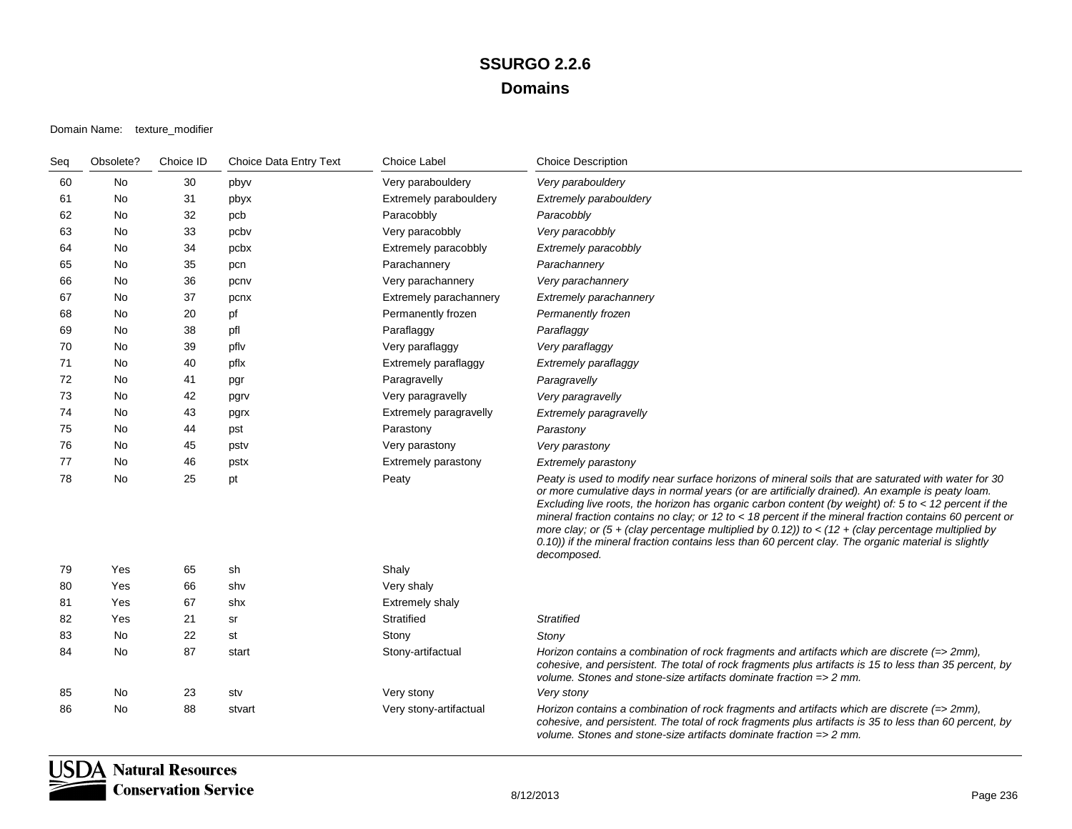| Seq | Obsolete? | Choice ID | Choice Data Entry Text | <b>Choice Label</b>    | <b>Choice Description</b>                                                                                                                                                                                                                                                                                                                                                                                                                                                                                                                                                                                                                                   |
|-----|-----------|-----------|------------------------|------------------------|-------------------------------------------------------------------------------------------------------------------------------------------------------------------------------------------------------------------------------------------------------------------------------------------------------------------------------------------------------------------------------------------------------------------------------------------------------------------------------------------------------------------------------------------------------------------------------------------------------------------------------------------------------------|
| 60  | No        | 30        | pbyv                   | Very parabouldery      | Very parabouldery                                                                                                                                                                                                                                                                                                                                                                                                                                                                                                                                                                                                                                           |
| 61  | No        | 31        | pbyx                   | Extremely parabouldery | Extremely parabouldery                                                                                                                                                                                                                                                                                                                                                                                                                                                                                                                                                                                                                                      |
| 62  | No        | 32        | pcb                    | Paracobbly             | Paracobbly                                                                                                                                                                                                                                                                                                                                                                                                                                                                                                                                                                                                                                                  |
| 63  | No        | 33        | pcbv                   | Very paracobbly        | Very paracobbly                                                                                                                                                                                                                                                                                                                                                                                                                                                                                                                                                                                                                                             |
| 64  | No        | 34        | pcbx                   | Extremely paracobbly   | Extremely paracobbly                                                                                                                                                                                                                                                                                                                                                                                                                                                                                                                                                                                                                                        |
| 65  | No        | 35        | pcn                    | Parachannery           | Parachannery                                                                                                                                                                                                                                                                                                                                                                                                                                                                                                                                                                                                                                                |
| 66  | No        | 36        | pcnv                   | Very parachannery      | Very parachannery                                                                                                                                                                                                                                                                                                                                                                                                                                                                                                                                                                                                                                           |
| 67  | No        | 37        | pcnx                   | Extremely parachannery | Extremely parachannery                                                                                                                                                                                                                                                                                                                                                                                                                                                                                                                                                                                                                                      |
| 68  | No        | 20        | рf                     | Permanently frozen     | Permanently frozen                                                                                                                                                                                                                                                                                                                                                                                                                                                                                                                                                                                                                                          |
| 69  | No        | 38        | pfl                    | Paraflaggy             | Paraflaggy                                                                                                                                                                                                                                                                                                                                                                                                                                                                                                                                                                                                                                                  |
| 70  | No        | 39        | pflv                   | Very paraflaggy        | Very paraflaggy                                                                                                                                                                                                                                                                                                                                                                                                                                                                                                                                                                                                                                             |
| 71  | No        | 40        | pflx                   | Extremely paraflaggy   | Extremely paraflaggy                                                                                                                                                                                                                                                                                                                                                                                                                                                                                                                                                                                                                                        |
| 72  | No        | 41        | pgr                    | Paragravelly           | Paragravelly                                                                                                                                                                                                                                                                                                                                                                                                                                                                                                                                                                                                                                                |
| 73  | No        | 42        | pgrv                   | Very paragravelly      | Very paragravelly                                                                                                                                                                                                                                                                                                                                                                                                                                                                                                                                                                                                                                           |
| 74  | No        | 43        | pgrx                   | Extremely paragravelly | Extremely paragravelly                                                                                                                                                                                                                                                                                                                                                                                                                                                                                                                                                                                                                                      |
| 75  | No        | 44        | pst                    | Parastony              | Parastony                                                                                                                                                                                                                                                                                                                                                                                                                                                                                                                                                                                                                                                   |
| 76  | No        | 45        | pstv                   | Very parastony         | Very parastony                                                                                                                                                                                                                                                                                                                                                                                                                                                                                                                                                                                                                                              |
| 77  | No        | 46        | pstx                   | Extremely parastony    | <b>Extremely parastony</b>                                                                                                                                                                                                                                                                                                                                                                                                                                                                                                                                                                                                                                  |
| 78  | No        | 25        | pt                     | Peaty                  | Peaty is used to modify near surface horizons of mineral soils that are saturated with water for 30<br>or more cumulative days in normal years (or are artificially drained). An example is peaty loam.<br>Excluding live roots, the horizon has organic carbon content (by weight) of: $5$ to $<$ 12 percent if the<br>mineral fraction contains no clay; or 12 to < 18 percent if the mineral fraction contains 60 percent or<br>more clay; or (5 + (clay percentage multiplied by 0.12)) to < (12 + (clay percentage multiplied by<br>0.10)) if the mineral fraction contains less than 60 percent clay. The organic material is slightly<br>decomposed. |
| 79  | Yes       | 65        | sh                     | Shaly                  |                                                                                                                                                                                                                                                                                                                                                                                                                                                                                                                                                                                                                                                             |
| 80  | Yes       | 66        | shv                    | Very shaly             |                                                                                                                                                                                                                                                                                                                                                                                                                                                                                                                                                                                                                                                             |
| 81  | Yes       | 67        | shx                    | Extremely shaly        |                                                                                                                                                                                                                                                                                                                                                                                                                                                                                                                                                                                                                                                             |
| 82  | Yes       | 21        | sr                     | Stratified             | <b>Stratified</b>                                                                                                                                                                                                                                                                                                                                                                                                                                                                                                                                                                                                                                           |
| 83  | No        | 22        | st                     | Stony                  | Stony                                                                                                                                                                                                                                                                                                                                                                                                                                                                                                                                                                                                                                                       |
| 84  | No        | 87        | start                  | Stony-artifactual      | Horizon contains a combination of rock fragments and artifacts which are discrete (=> 2mm),<br>cohesive, and persistent. The total of rock fragments plus artifacts is 15 to less than 35 percent, by<br>volume. Stones and stone-size artifacts dominate fraction => 2 mm.                                                                                                                                                                                                                                                                                                                                                                                 |
| 85  | No        | 23        | stv                    | Very stony             | Very stony                                                                                                                                                                                                                                                                                                                                                                                                                                                                                                                                                                                                                                                  |
| 86  | No        | 88        | stvart                 | Very stony-artifactual | Horizon contains a combination of rock fragments and artifacts which are discrete $(=$ 2mm),<br>cohesive, and persistent. The total of rock fragments plus artifacts is 35 to less than 60 percent, by<br>volume. Stones and stone-size artifacts dominate fraction => 2 mm.                                                                                                                                                                                                                                                                                                                                                                                |

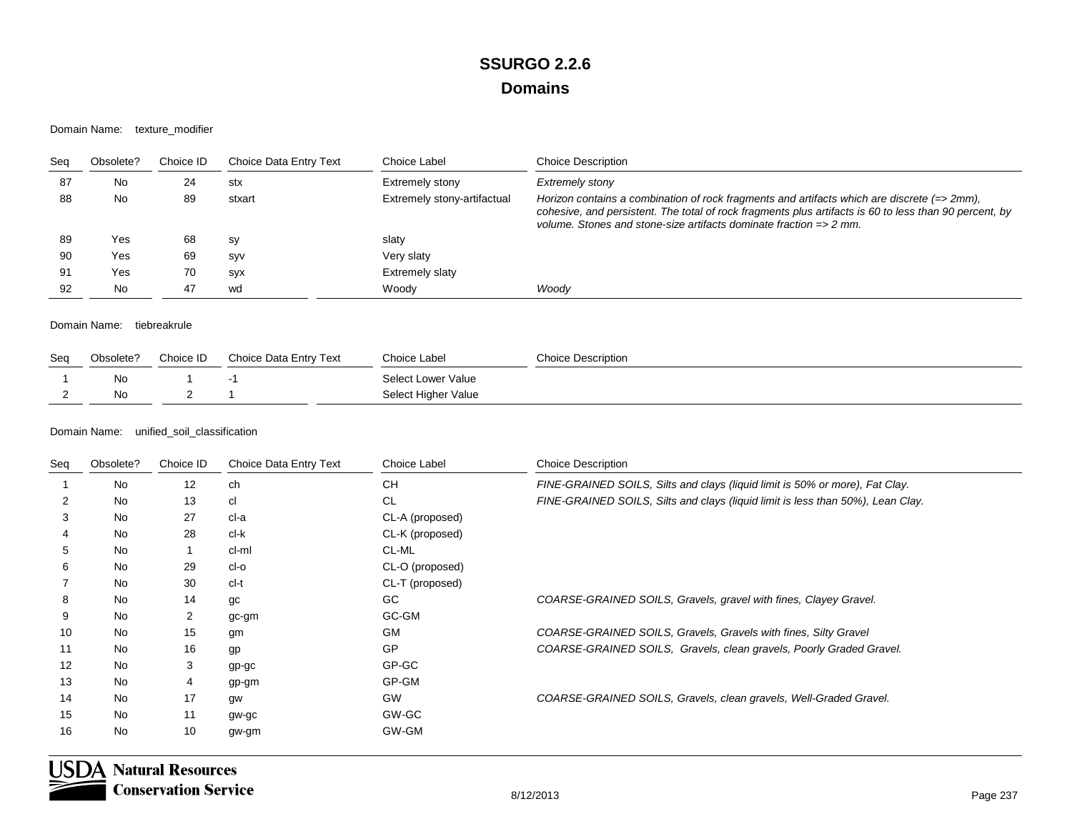#### Domain Name: texture\_modifier

| Sea | Obsolete? | Choice ID | Choice Data Entry Text | Choice Label                | <b>Choice Description</b>                                                                                                                                                                                                                                                               |
|-----|-----------|-----------|------------------------|-----------------------------|-----------------------------------------------------------------------------------------------------------------------------------------------------------------------------------------------------------------------------------------------------------------------------------------|
| 87  | No.       | 24        | stx                    | Extremely stony             | Extremely stony                                                                                                                                                                                                                                                                         |
| 88  | No        | 89        | stxart                 | Extremely stony-artifactual | Horizon contains a combination of rock fragments and artifacts which are discrete $(=$ 2mm),<br>cohesive, and persistent. The total of rock fragments plus artifacts is 60 to less than 90 percent, by<br>volume. Stones and stone-size artifacts dominate fraction $\Rightarrow$ 2 mm. |
| -89 | Yes       | 68        | sy                     | slaty                       |                                                                                                                                                                                                                                                                                         |
| 90  | Yes       | 69        | <b>SVV</b>             | Very slaty                  |                                                                                                                                                                                                                                                                                         |
| 91  | Yes       | 70        | <b>SVX</b>             | Extremely slaty             |                                                                                                                                                                                                                                                                                         |
| 92  | No        | 47        | wd                     | Woody                       | Woody                                                                                                                                                                                                                                                                                   |

#### Domain Name: tiebreakrule

| Seq | Obsolete? | Choice ID | Choice Data Entry Text | <b>Choice Label</b> | Choice Description |
|-----|-----------|-----------|------------------------|---------------------|--------------------|
|     | Nc        |           |                        | Select Lower Value  |                    |
|     | No        |           |                        | Select Higher Value |                    |

Domain Name: unified\_soil\_classification

| Seq | Obsolete? | Choice ID      | Choice Data Entry Text | Choice Label    | <b>Choice Description</b>                                                       |
|-----|-----------|----------------|------------------------|-----------------|---------------------------------------------------------------------------------|
|     | <b>No</b> | 12             | ch                     | <b>CH</b>       | FINE-GRAINED SOILS, Silts and clays (liquid limit is 50% or more), Fat Clay.    |
| 2   | No.       | 13             | cl                     | <b>CL</b>       | FINE-GRAINED SOILS, Silts and clays (liquid limit is less than 50%), Lean Clay. |
| 3   | No        | 27             | cl-a                   | CL-A (proposed) |                                                                                 |
|     | No        | 28             | cl-k                   | CL-K (proposed) |                                                                                 |
| 5   | No        |                | cl-ml                  | CL-ML           |                                                                                 |
| 6   | No        | 29             | cl-o                   | CL-O (proposed) |                                                                                 |
|     | No        | 30             | cl-t                   | CL-T (proposed) |                                                                                 |
| 8   | No        | 14             | gc                     | GC              | COARSE-GRAINED SOILS, Gravels, gravel with fines, Clayey Gravel.                |
| 9   | No        | $\overline{2}$ | gc-gm                  | GC-GM           |                                                                                 |
| 10  | No        | 15             | gm                     | <b>GM</b>       | COARSE-GRAINED SOILS, Gravels, Gravels with fines, Silty Gravel                 |
| 11  | No.       | 16             | gp                     | GP              | COARSE-GRAINED SOILS, Gravels, clean gravels, Poorly Graded Gravel.             |
| 12  | No        | 3              | gp-gc                  | GP-GC           |                                                                                 |
| 13  | No        | 4              | gp-gm                  | GP-GM           |                                                                                 |
| 14  | No        | 17             | gw                     | <b>GW</b>       | COARSE-GRAINED SOILS, Gravels, clean gravels, Well-Graded Gravel.               |
| 15  | No.       | 11             | gw-gc                  | GW-GC           |                                                                                 |
| 16  | No        | 10             | gw-gm                  | GW-GM           |                                                                                 |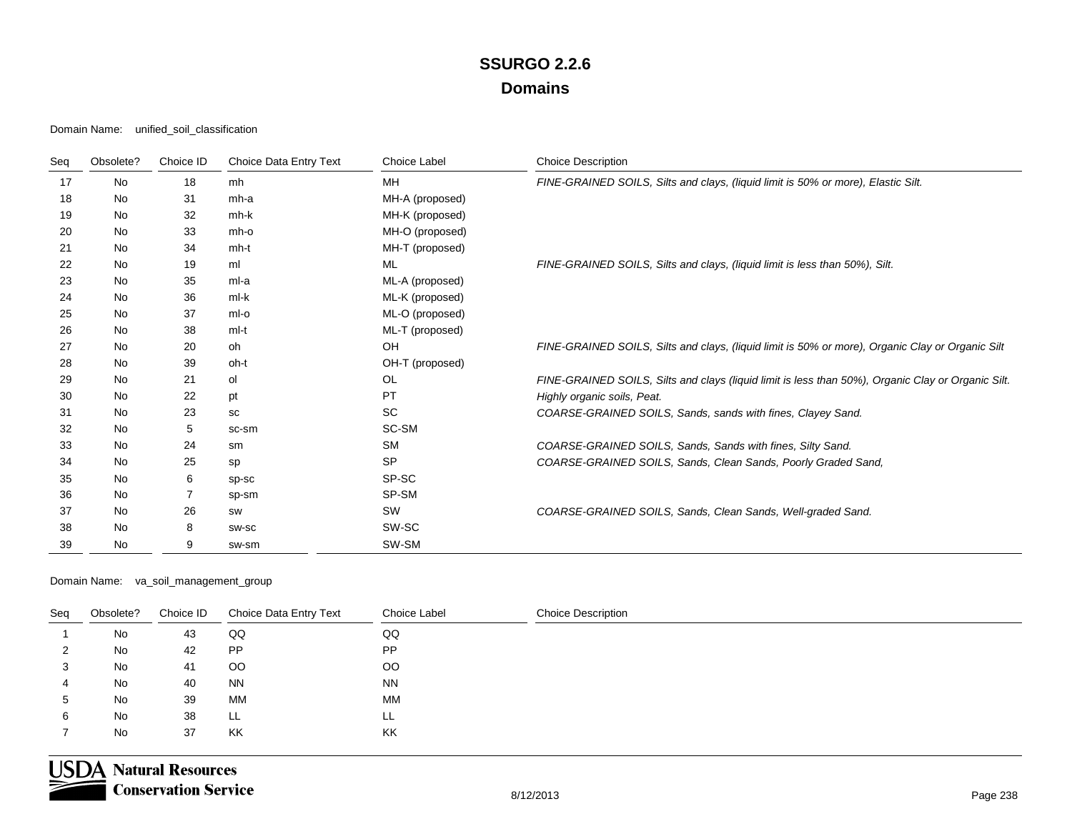#### Domain Name: unified\_soil\_classification

| Seq | Obsolete? | Choice ID | Choice Data Entry Text | Choice Label    | <b>Choice Description</b>                                                                          |
|-----|-----------|-----------|------------------------|-----------------|----------------------------------------------------------------------------------------------------|
| 17  | No        | 18        | mh                     | MН              | FINE-GRAINED SOILS, Silts and clays, (liquid limit is 50% or more), Elastic Silt.                  |
| 18  | No        | 31        | mh-a                   | MH-A (proposed) |                                                                                                    |
| 19  | No        | 32        | mh-k                   | MH-K (proposed) |                                                                                                    |
| 20  | No        | 33        | mh-o                   | MH-O (proposed) |                                                                                                    |
| 21  | No        | 34        | mh-t                   | MH-T (proposed) |                                                                                                    |
| 22  | No        | 19        | ml                     | ML              | FINE-GRAINED SOILS, Silts and clays, (liquid limit is less than 50%), Silt.                        |
| 23  | No        | 35        | ml-a                   | ML-A (proposed) |                                                                                                    |
| 24  | No        | 36        | $ml-k$                 | ML-K (proposed) |                                                                                                    |
| 25  | No        | 37        | ml-o                   | ML-O (proposed) |                                                                                                    |
| 26  | No.       | 38        | ml-t                   | ML-T (proposed) |                                                                                                    |
| 27  | No        | 20        | oh                     | OH              | FINE-GRAINED SOILS, Silts and clays, (liquid limit is 50% or more), Organic Clay or Organic Silt   |
| 28  | No        | 39        | oh-t                   | OH-T (proposed) |                                                                                                    |
| 29  | No        | 21        | ol                     | OL              | FINE-GRAINED SOILS, Silts and clays (liquid limit is less than 50%), Organic Clay or Organic Silt. |
| 30  | No        | 22        | pt                     | PT              | Highly organic soils, Peat.                                                                        |
| 31  | No        | 23        | SC                     | <b>SC</b>       | COARSE-GRAINED SOILS, Sands, sands with fines, Clayey Sand.                                        |
| 32  | No        | 5         | sc-sm                  | SC-SM           |                                                                                                    |
| 33  | No        | 24        | sm                     | <b>SM</b>       | COARSE-GRAINED SOILS, Sands, Sands with fines, Silty Sand.                                         |
| 34  | <b>No</b> | 25        | sp                     | <b>SP</b>       | COARSE-GRAINED SOILS, Sands, Clean Sands, Poorly Graded Sand,                                      |
| 35  | No        | 6         | sp-sc                  | SP-SC           |                                                                                                    |
| 36  | No        |           | sp-sm                  | SP-SM           |                                                                                                    |
| 37  | <b>No</b> | 26        | SW                     | SW              | COARSE-GRAINED SOILS, Sands, Clean Sands, Well-graded Sand.                                        |
| 38  | No        | 8         | SW-SC                  | SW-SC           |                                                                                                    |
| 39  | No        | 9         | sw-sm                  | SW-SM           |                                                                                                    |

Domain Name: va\_soil\_management\_group

|         |    |               | Choice Label | <b>Choice Description</b> |
|---------|----|---------------|--------------|---------------------------|
| No      | 43 | QQ            | QQ           |                           |
| No      | 42 | PP            | <b>PP</b>    |                           |
| No      | 41 | <sub>OO</sub> | <b>OO</b>    |                           |
| No<br>4 | 40 | <b>NN</b>     | <b>NN</b>    |                           |
| No<br>G | 39 | МM            | МM           |                           |
| No<br>6 | 38 | LL            | LL           |                           |
| No      | 37 | KK            | KK           |                           |

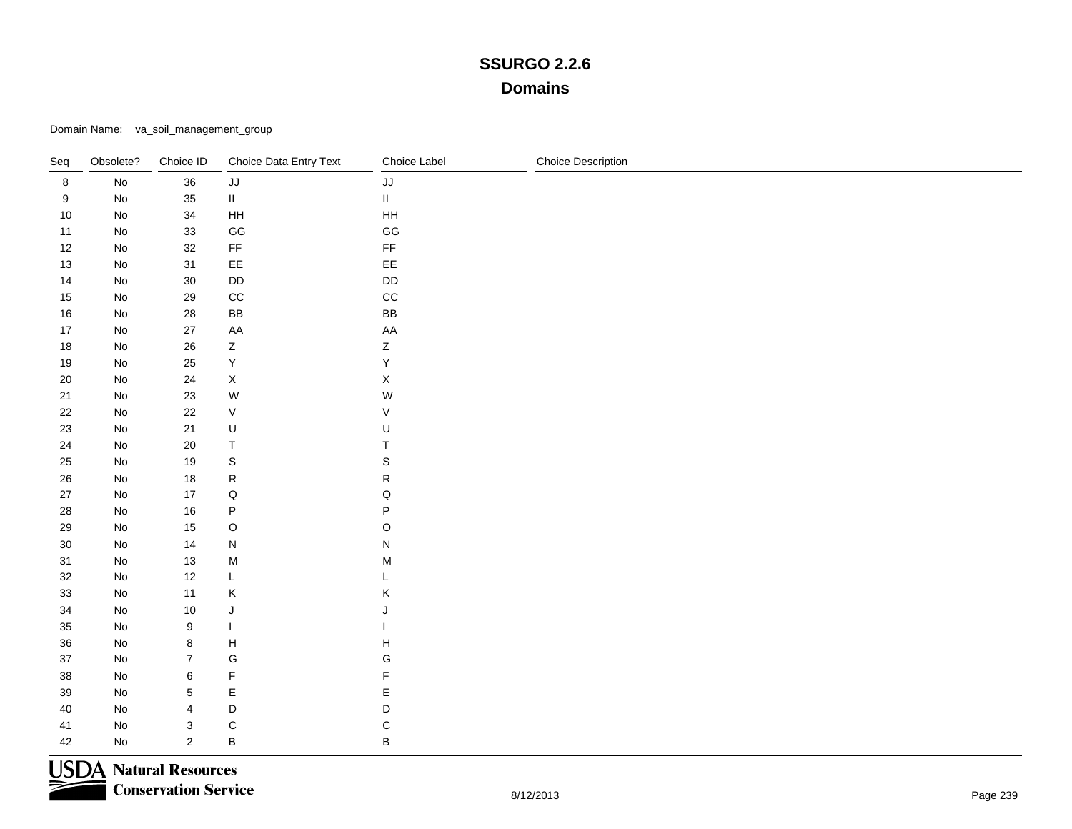Domain Name: va\_soil\_management\_group

| Seq     | Obsolete?                    | Choice ID        | Choice Data Entry Text                                                                | Choice Label           | <b>Choice Description</b> |
|---------|------------------------------|------------------|---------------------------------------------------------------------------------------|------------------------|---------------------------|
| $\,8\,$ | $\mathsf{No}$                | $36\,$           | JJ                                                                                    | JJ                     |                           |
| 9       | $\operatorname{\mathsf{No}}$ | $35\,$           | $\ensuremath{\mathsf{III}}\xspace$                                                    | $\mathbf H$            |                           |
| 10      | $\operatorname{\mathsf{No}}$ | 34               | HH                                                                                    | $\mathsf{HH}$          |                           |
| 11      | $\operatorname{\mathsf{No}}$ | $33\,$           | $\mathsf{GG}$                                                                         | $\mathsf{G}\mathsf{G}$ |                           |
| 12      | $\operatorname{\mathsf{No}}$ | 32               | $\mathsf{FF}% _{0}$                                                                   | $\mathsf{FF}% _{0}$    |                           |
| 13      | $\operatorname{\mathsf{No}}$ | 31               | $\mathsf{EE}$                                                                         | EE                     |                           |
| 14      | No                           | $30\,$           | DD                                                                                    | DD                     |                           |
| 15      | No                           | 29               | CC                                                                                    | $_{\rm CC}$            |                           |
| 16      | $\operatorname{\mathsf{No}}$ | 28               | ${\sf BB}$                                                                            | BB                     |                           |
| 17      | No                           | $27\,$           | AA                                                                                    | AA                     |                           |
| 18      | $\operatorname{\mathsf{No}}$ | $26\,$           | $\mathsf Z$                                                                           | $\mathsf Z$            |                           |
| 19      | No                           | 25               | $\sf Y$                                                                               | Υ                      |                           |
| 20      | No                           | 24               | $\mathsf X$                                                                           | $\mathsf X$            |                           |
| 21      | $\operatorname{\mathsf{No}}$ | $23\,$           | ${\sf W}$                                                                             | W                      |                           |
| 22      | No                           | 22               | $\mathsf V$                                                                           | $\vee$                 |                           |
| 23      | $\operatorname{\mathsf{No}}$ | 21               | $\sf U$                                                                               | $\sf U$                |                           |
| $24\,$  | $\operatorname{\mathsf{No}}$ | $20\,$           | $\sf T$                                                                               | $\sf T$                |                           |
| 25      | No                           | $19$             | $\mathsf S$                                                                           | $\mathbb S$            |                           |
| 26      | $\operatorname{\mathsf{No}}$ | $18\,$           | ${\sf R}$                                                                             | ${\sf R}$              |                           |
| 27      | $\operatorname{\mathsf{No}}$ | 17               | $\mathsf Q$                                                                           | ${\sf Q}$              |                           |
| 28      | No                           | $16\,$           | P                                                                                     | P                      |                           |
| 29      | No                           | 15               | $\circ$                                                                               | $\circ$                |                           |
| 30      | No                           | 14               | ${\sf N}$                                                                             | ${\sf N}$              |                           |
| 31      | No                           | 13               | $\mathsf{M}% _{T}=\mathsf{M}_{T}\!\left( a,b\right) ,\ \mathsf{M}_{T}=\mathsf{M}_{T}$ | ${\sf M}$              |                           |
| 32      | No                           | $12$             | L                                                                                     | $\mathsf L$            |                           |
| 33      | No                           | 11               | $\sf K$                                                                               | Κ                      |                           |
| 34      | No                           | $10\,$           | J                                                                                     | J                      |                           |
| 35      | $\operatorname{\mathsf{No}}$ | $\boldsymbol{9}$ | $\overline{\phantom{a}}$                                                              |                        |                           |
| 36      | No                           | $\,$ 8 $\,$      | $\boldsymbol{\mathsf{H}}$                                                             | H                      |                           |
| $37\,$  | $\operatorname{\mathsf{No}}$ | $\overline{7}$   | ${\mathsf G}$                                                                         | G                      |                           |
| $38\,$  | $\operatorname{\mathsf{No}}$ | $\,6$            | F                                                                                     | $\mathsf F$            |                           |
| 39      | $\operatorname{\mathsf{No}}$ | $\mathbf 5$      | $\mathsf E$                                                                           | E                      |                           |
| 40      | $\operatorname{\mathsf{No}}$ | 4                | $\mathsf D$                                                                           | D                      |                           |
| 41      | No                           | $\sqrt{3}$       | ${\bf C}$                                                                             | $\mathsf C$            |                           |
| 42      | No                           | $\overline{c}$   | $\sf B$                                                                               | В                      |                           |

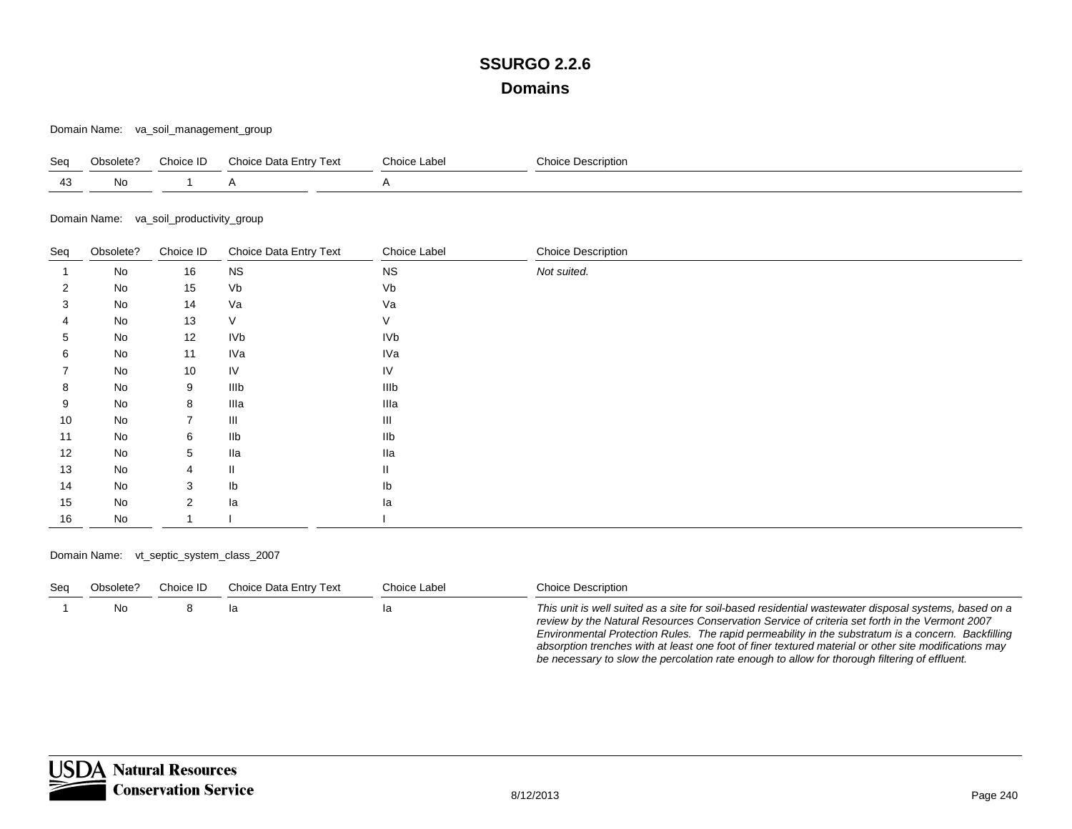Domain Name: va\_soil\_management\_group

| Seq | Obsolete? | Choice ID | Choice Data Entry Text | Choice Label | Choice Description |
|-----|-----------|-----------|------------------------|--------------|--------------------|
| ΛC  | No        |           |                        |              |                    |

Domain Name: va\_soil\_productivity\_group

| Seq | Obsolete? | Choice ID      | Choice Data Entry Text | Choice Label | <b>Choice Description</b> |
|-----|-----------|----------------|------------------------|--------------|---------------------------|
|     | No        | 16             | <b>NS</b>              | $_{\rm NS}$  | Not suited.               |
| 2   | No        | 15             | Vb                     | Vb           |                           |
| 3   | No        | 14             | Va                     | Va           |                           |
| 4   | No        | 13             | V                      | V            |                           |
| 5   | No        | 12             | <b>IVb</b>             | <b>IVb</b>   |                           |
| 6   | No        | 11             | IVa                    | IVa          |                           |
|     | No        | 10             | IV                     | IV           |                           |
| 8   | No        | 9              | IIIb                   | IIIb         |                           |
| 9   | No        | 8              | Illa                   | Illa         |                           |
| 10  | No        | $\overline{7}$ | Ш                      | Ш            |                           |
| 11  | No        | 6              | IIb                    | IIb          |                           |
| 12  | No        | 5              | lla                    | Ila          |                           |
| 13  | No        | 4              | Ш.                     | Ш            |                           |
| 14  | No        | 3              | Ib                     | Ib           |                           |
| 15  | No        | $\overline{2}$ | la                     | la           |                           |
| 16  | No        |                |                        |              |                           |

#### Domain Name: vt\_septic\_system\_class\_2007

| Sea | Obsolete? | Choice ID | Choice Data Entry Text | Choice Label | <b>Choice Description</b>                                                                                                                                                                                                                                                                                                                                                                                                                                                                                               |
|-----|-----------|-----------|------------------------|--------------|-------------------------------------------------------------------------------------------------------------------------------------------------------------------------------------------------------------------------------------------------------------------------------------------------------------------------------------------------------------------------------------------------------------------------------------------------------------------------------------------------------------------------|
|     | No.       |           | la                     | la           | This unit is well suited as a site for soil-based residential wastewater disposal systems, based on a<br>review by the Natural Resources Conservation Service of criteria set forth in the Vermont 2007<br>Environmental Protection Rules. The rapid permeability in the substratum is a concern. Backfilling<br>absorption trenches with at least one foot of finer textured material or other site modifications may<br>be necessary to slow the percolation rate enough to allow for thorough filtering of effluent. |

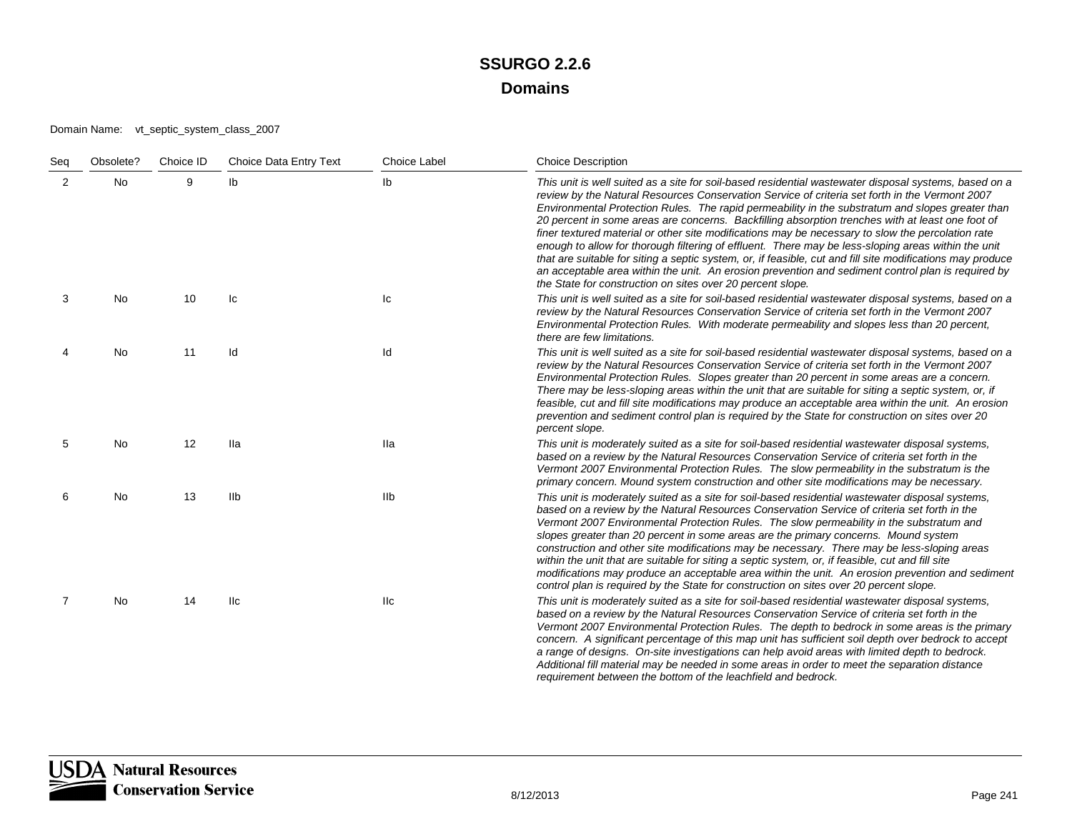#### Domain Name: vt\_septic\_system\_class\_2007

| Seq | Obsolete? | Choice ID | Choice Data Entry Text | <b>Choice Label</b> | <b>Choice Description</b>                                                                                                                                                                                                                                                                                                                                                                                                                                                                                                                                                                                                                                                                                                                                                                                                                                                                                     |
|-----|-----------|-----------|------------------------|---------------------|---------------------------------------------------------------------------------------------------------------------------------------------------------------------------------------------------------------------------------------------------------------------------------------------------------------------------------------------------------------------------------------------------------------------------------------------------------------------------------------------------------------------------------------------------------------------------------------------------------------------------------------------------------------------------------------------------------------------------------------------------------------------------------------------------------------------------------------------------------------------------------------------------------------|
| 2   | No        | 9         | Ib                     | lb                  | This unit is well suited as a site for soil-based residential wastewater disposal systems, based on a<br>review by the Natural Resources Conservation Service of criteria set forth in the Vermont 2007<br>Environmental Protection Rules. The rapid permeability in the substratum and slopes greater than<br>20 percent in some areas are concerns. Backfilling absorption trenches with at least one foot of<br>finer textured material or other site modifications may be necessary to slow the percolation rate<br>enough to allow for thorough filtering of effluent. There may be less-sloping areas within the unit<br>that are suitable for siting a septic system, or, if feasible, cut and fill site modifications may produce<br>an acceptable area within the unit. An erosion prevention and sediment control plan is required by<br>the State for construction on sites over 20 percent slope. |
| 3   | No        | 10        | lс                     | Iс                  | This unit is well suited as a site for soil-based residential wastewater disposal systems, based on a<br>review by the Natural Resources Conservation Service of criteria set forth in the Vermont 2007<br>Environmental Protection Rules. With moderate permeability and slopes less than 20 percent,<br>there are few limitations.                                                                                                                                                                                                                                                                                                                                                                                                                                                                                                                                                                          |
|     | No        | 11        | Id                     | ld                  | This unit is well suited as a site for soil-based residential wastewater disposal systems, based on a<br>review by the Natural Resources Conservation Service of criteria set forth in the Vermont 2007<br>Environmental Protection Rules. Slopes greater than 20 percent in some areas are a concern.<br>There may be less-sloping areas within the unit that are suitable for siting a septic system, or, if<br>feasible, cut and fill site modifications may produce an acceptable area within the unit. An erosion<br>prevention and sediment control plan is required by the State for construction on sites over 20<br>percent slope.                                                                                                                                                                                                                                                                   |
| 5   | No        | 12        | lla                    | Ila                 | This unit is moderately suited as a site for soil-based residential wastewater disposal systems,<br>based on a review by the Natural Resources Conservation Service of criteria set forth in the<br>Vermont 2007 Environmental Protection Rules. The slow permeability in the substratum is the<br>primary concern. Mound system construction and other site modifications may be necessary.                                                                                                                                                                                                                                                                                                                                                                                                                                                                                                                  |
| 6   | No        | 13        | Ilb                    | IIb                 | This unit is moderately suited as a site for soil-based residential wastewater disposal systems,<br>based on a review by the Natural Resources Conservation Service of criteria set forth in the<br>Vermont 2007 Environmental Protection Rules. The slow permeability in the substratum and<br>slopes greater than 20 percent in some areas are the primary concerns. Mound system<br>construction and other site modifications may be necessary. There may be less-sloping areas<br>within the unit that are suitable for siting a septic system, or, if feasible, cut and fill site<br>modifications may produce an acceptable area within the unit. An erosion prevention and sediment<br>control plan is required by the State for construction on sites over 20 percent slope.                                                                                                                          |
|     | No        | 14        | <b>IIc</b>             | llc                 | This unit is moderately suited as a site for soil-based residential wastewater disposal systems,<br>based on a review by the Natural Resources Conservation Service of criteria set forth in the<br>Vermont 2007 Environmental Protection Rules. The depth to bedrock in some areas is the primary<br>concern. A significant percentage of this map unit has sufficient soil depth over bedrock to accept<br>a range of designs. On-site investigations can help avoid areas with limited depth to bedrock.<br>Additional fill material may be needed in some areas in order to meet the separation distance<br>requirement between the bottom of the leachfield and bedrock.                                                                                                                                                                                                                                 |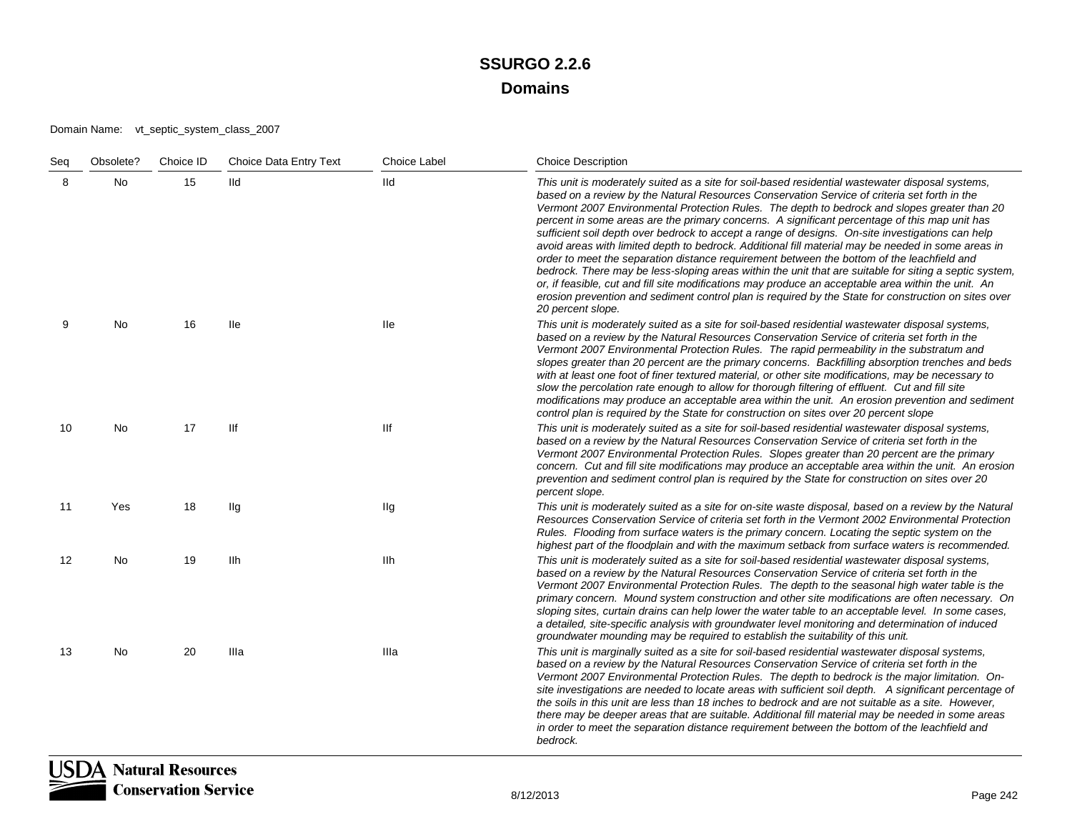#### Domain Name: vt\_septic\_system\_class\_2007

| Seq | Obsolete? | Choice ID | <b>Choice Data Entry Text</b> | <b>Choice Label</b> | <b>Choice Description</b>                                                                                                                                                                                                                                                                                                                                                                                                                                                                                                                                                                                                                                                                                                                                                                                                                                                                                                                                                                                                                               |
|-----|-----------|-----------|-------------------------------|---------------------|---------------------------------------------------------------------------------------------------------------------------------------------------------------------------------------------------------------------------------------------------------------------------------------------------------------------------------------------------------------------------------------------------------------------------------------------------------------------------------------------------------------------------------------------------------------------------------------------------------------------------------------------------------------------------------------------------------------------------------------------------------------------------------------------------------------------------------------------------------------------------------------------------------------------------------------------------------------------------------------------------------------------------------------------------------|
| 8   | No        | 15        | Ild                           | lld                 | This unit is moderately suited as a site for soil-based residential wastewater disposal systems,<br>based on a review by the Natural Resources Conservation Service of criteria set forth in the<br>Vermont 2007 Environmental Protection Rules. The depth to bedrock and slopes greater than 20<br>percent in some areas are the primary concerns. A significant percentage of this map unit has<br>sufficient soil depth over bedrock to accept a range of designs. On-site investigations can help<br>avoid areas with limited depth to bedrock. Additional fill material may be needed in some areas in<br>order to meet the separation distance requirement between the bottom of the leachfield and<br>bedrock. There may be less-sloping areas within the unit that are suitable for siting a septic system,<br>or, if feasible, cut and fill site modifications may produce an acceptable area within the unit. An<br>erosion prevention and sediment control plan is required by the State for construction on sites over<br>20 percent slope. |
| 9   | No        | 16        | lle                           | lle                 | This unit is moderately suited as a site for soil-based residential wastewater disposal systems,<br>based on a review by the Natural Resources Conservation Service of criteria set forth in the<br>Vermont 2007 Environmental Protection Rules. The rapid permeability in the substratum and<br>slopes greater than 20 percent are the primary concerns. Backfilling absorption trenches and beds<br>with at least one foot of finer textured material, or other site modifications, may be necessary to<br>slow the percolation rate enough to allow for thorough filtering of effluent. Cut and fill site<br>modifications may produce an acceptable area within the unit. An erosion prevention and sediment<br>control plan is required by the State for construction on sites over 20 percent slope                                                                                                                                                                                                                                               |
| 10  | No        | 17        | llf                           | llf                 | This unit is moderately suited as a site for soil-based residential wastewater disposal systems,<br>based on a review by the Natural Resources Conservation Service of criteria set forth in the<br>Vermont 2007 Environmental Protection Rules. Slopes greater than 20 percent are the primary<br>concern. Cut and fill site modifications may produce an acceptable area within the unit. An erosion<br>prevention and sediment control plan is required by the State for construction on sites over 20<br>percent slope.                                                                                                                                                                                                                                                                                                                                                                                                                                                                                                                             |
| 11  | Yes       | 18        | Ilg                           | Ilg                 | This unit is moderately suited as a site for on-site waste disposal, based on a review by the Natural<br>Resources Conservation Service of criteria set forth in the Vermont 2002 Environmental Protection<br>Rules. Flooding from surface waters is the primary concern. Locating the septic system on the<br>highest part of the floodplain and with the maximum setback from surface waters is recommended.                                                                                                                                                                                                                                                                                                                                                                                                                                                                                                                                                                                                                                          |
| 12  | No        | 19        | Ilh                           | Ilh                 | This unit is moderately suited as a site for soil-based residential wastewater disposal systems,<br>based on a review by the Natural Resources Conservation Service of criteria set forth in the<br>Vermont 2007 Environmental Protection Rules. The depth to the seasonal high water table is the<br>primary concern. Mound system construction and other site modifications are often necessary. On<br>sloping sites, curtain drains can help lower the water table to an acceptable level. In some cases,<br>a detailed, site-specific analysis with groundwater level monitoring and determination of induced<br>groundwater mounding may be required to establish the suitability of this unit.                                                                                                                                                                                                                                                                                                                                                    |
| 13  | No        | 20        | Illa                          | Illa                | This unit is marginally suited as a site for soil-based residential wastewater disposal systems,<br>based on a review by the Natural Resources Conservation Service of criteria set forth in the<br>Vermont 2007 Environmental Protection Rules. The depth to bedrock is the major limitation. On-<br>site investigations are needed to locate areas with sufficient soil depth. A significant percentage of<br>the soils in this unit are less than 18 inches to bedrock and are not suitable as a site. However,<br>there may be deeper areas that are suitable. Additional fill material may be needed in some areas<br>in order to meet the separation distance requirement between the bottom of the leachfield and<br>bedrock.                                                                                                                                                                                                                                                                                                                    |

₹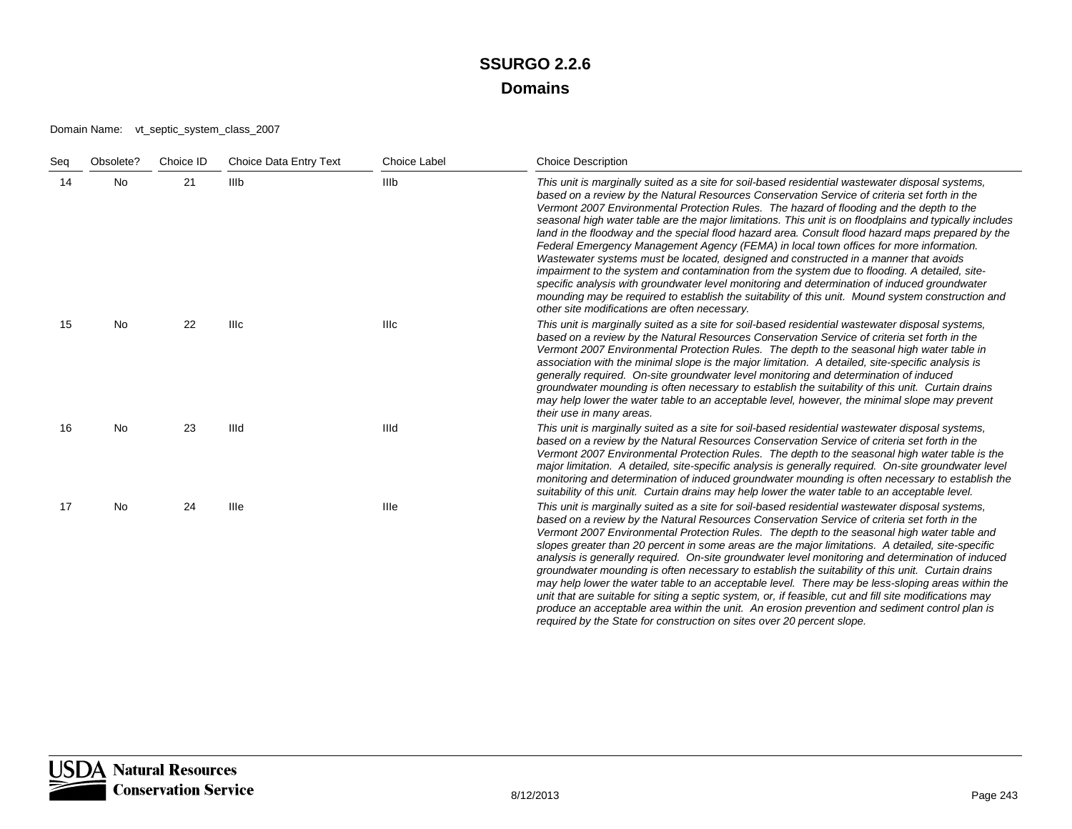#### Domain Name: vt\_septic\_system\_class\_2007

| Seq | Obsolete? | Choice ID | Choice Data Entry Text | Choice Label | <b>Choice Description</b>                                                                                                                                                                                                                                                                                                                                                                                                                                                                                                                                                                                                                                                                                                                                                                                                                                                                                                                                                                                                                             |
|-----|-----------|-----------|------------------------|--------------|-------------------------------------------------------------------------------------------------------------------------------------------------------------------------------------------------------------------------------------------------------------------------------------------------------------------------------------------------------------------------------------------------------------------------------------------------------------------------------------------------------------------------------------------------------------------------------------------------------------------------------------------------------------------------------------------------------------------------------------------------------------------------------------------------------------------------------------------------------------------------------------------------------------------------------------------------------------------------------------------------------------------------------------------------------|
| 14  | No        | 21        | <b>IIIb</b>            | <b>IIIb</b>  | This unit is marginally suited as a site for soil-based residential wastewater disposal systems,<br>based on a review by the Natural Resources Conservation Service of criteria set forth in the<br>Vermont 2007 Environmental Protection Rules. The hazard of flooding and the depth to the<br>seasonal high water table are the major limitations. This unit is on floodplains and typically includes<br>land in the floodway and the special flood hazard area. Consult flood hazard maps prepared by the<br>Federal Emergency Management Agency (FEMA) in local town offices for more information.<br>Wastewater systems must be located, designed and constructed in a manner that avoids<br>impairment to the system and contamination from the system due to flooding. A detailed, site-<br>specific analysis with groundwater level monitoring and determination of induced groundwater<br>mounding may be required to establish the suitability of this unit. Mound system construction and<br>other site modifications are often necessary. |
| 15  | <b>No</b> | 22        | Illc                   | IIIc         | This unit is marginally suited as a site for soil-based residential wastewater disposal systems,<br>based on a review by the Natural Resources Conservation Service of criteria set forth in the<br>Vermont 2007 Environmental Protection Rules. The depth to the seasonal high water table in<br>association with the minimal slope is the major limitation. A detailed, site-specific analysis is<br>generally required. On-site groundwater level monitoring and determination of induced<br>groundwater mounding is often necessary to establish the suitability of this unit. Curtain drains<br>may help lower the water table to an acceptable level, however, the minimal slope may prevent<br>their use in many areas.                                                                                                                                                                                                                                                                                                                        |
| 16  | No        | 23        | IIId                   | IIId         | This unit is marginally suited as a site for soil-based residential wastewater disposal systems,<br>based on a review by the Natural Resources Conservation Service of criteria set forth in the<br>Vermont 2007 Environmental Protection Rules. The depth to the seasonal high water table is the<br>major limitation. A detailed, site-specific analysis is generally required. On-site groundwater level<br>monitoring and determination of induced groundwater mounding is often necessary to establish the<br>suitability of this unit. Curtain drains may help lower the water table to an acceptable level.                                                                                                                                                                                                                                                                                                                                                                                                                                    |
| 17  | <b>No</b> | 24        | Ille                   | Ille         | This unit is marginally suited as a site for soil-based residential wastewater disposal systems,<br>based on a review by the Natural Resources Conservation Service of criteria set forth in the<br>Vermont 2007 Environmental Protection Rules. The depth to the seasonal high water table and<br>slopes greater than 20 percent in some areas are the major limitations. A detailed, site-specific<br>analysis is generally required. On-site groundwater level monitoring and determination of induced<br>groundwater mounding is often necessary to establish the suitability of this unit. Curtain drains<br>may help lower the water table to an acceptable level. There may be less-sloping areas within the<br>unit that are suitable for siting a septic system, or, if feasible, cut and fill site modifications may<br>produce an acceptable area within the unit. An erosion prevention and sediment control plan is<br>required by the State for construction on sites over 20 percent slope.                                            |

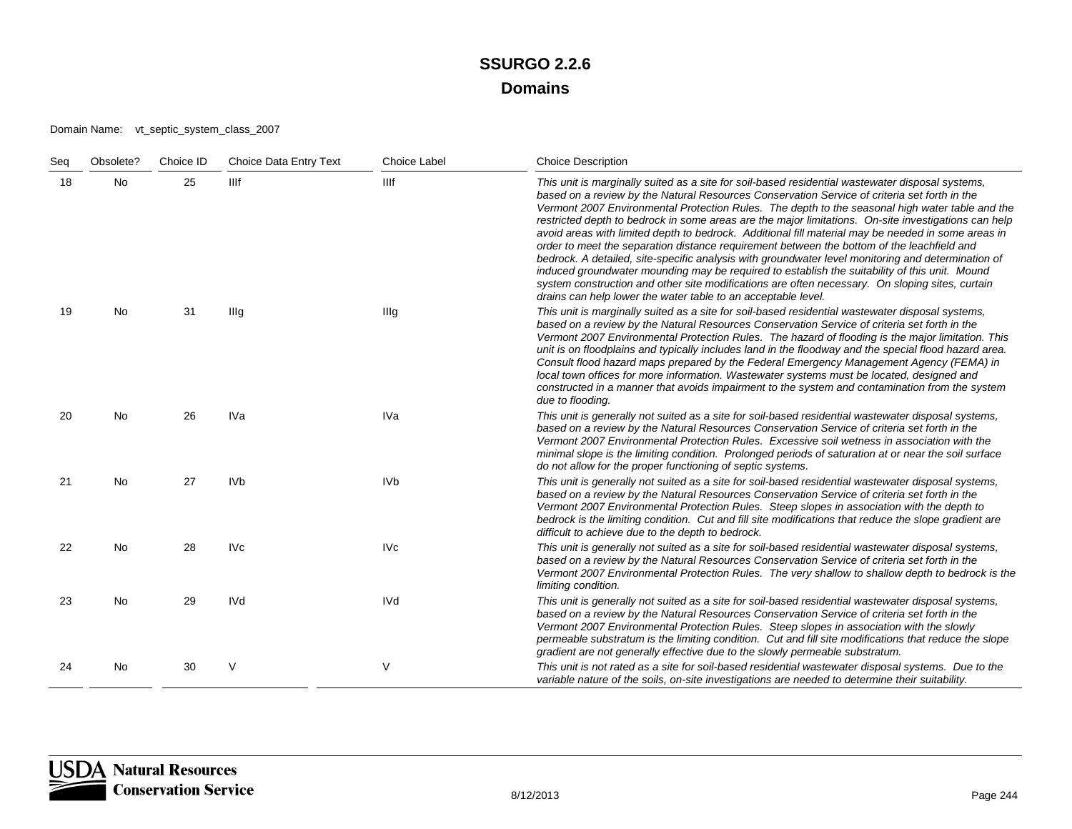#### Domain Name: vt\_septic\_system\_class\_2007

| Seq | Obsolete? | Choice ID | Choice Data Entry Text | Choice Label | <b>Choice Description</b>                                                                                                                                                                                                                                                                                                                                                                                                                                                                                                                                                                                                                                                                                                                                                                                                                                                                                                                                                                  |
|-----|-----------|-----------|------------------------|--------------|--------------------------------------------------------------------------------------------------------------------------------------------------------------------------------------------------------------------------------------------------------------------------------------------------------------------------------------------------------------------------------------------------------------------------------------------------------------------------------------------------------------------------------------------------------------------------------------------------------------------------------------------------------------------------------------------------------------------------------------------------------------------------------------------------------------------------------------------------------------------------------------------------------------------------------------------------------------------------------------------|
| 18  | No        | 25        | IIIf                   | IIIf         | This unit is marginally suited as a site for soil-based residential wastewater disposal systems,<br>based on a review by the Natural Resources Conservation Service of criteria set forth in the<br>Vermont 2007 Environmental Protection Rules. The depth to the seasonal high water table and the<br>restricted depth to bedrock in some areas are the major limitations. On-site investigations can help<br>avoid areas with limited depth to bedrock. Additional fill material may be needed in some areas in<br>order to meet the separation distance requirement between the bottom of the leachfield and<br>bedrock. A detailed, site-specific analysis with groundwater level monitoring and determination of<br>induced groundwater mounding may be required to establish the suitability of this unit. Mound<br>system construction and other site modifications are often necessary. On sloping sites, curtain<br>drains can help lower the water table to an acceptable level. |
| 19  | No        | 31        | Illg                   | Illg         | This unit is marginally suited as a site for soil-based residential wastewater disposal systems,<br>based on a review by the Natural Resources Conservation Service of criteria set forth in the<br>Vermont 2007 Environmental Protection Rules. The hazard of flooding is the major limitation. This<br>unit is on floodplains and typically includes land in the floodway and the special flood hazard area.<br>Consult flood hazard maps prepared by the Federal Emergency Management Agency (FEMA) in<br>local town offices for more information. Wastewater systems must be located, designed and<br>constructed in a manner that avoids impairment to the system and contamination from the system<br>due to flooding.                                                                                                                                                                                                                                                               |
| 20  | No        | 26        | IVa                    | <b>IVa</b>   | This unit is generally not suited as a site for soil-based residential wastewater disposal systems,<br>based on a review by the Natural Resources Conservation Service of criteria set forth in the<br>Vermont 2007 Environmental Protection Rules. Excessive soil wetness in association with the<br>minimal slope is the limiting condition. Prolonged periods of saturation at or near the soil surface<br>do not allow for the proper functioning of septic systems.                                                                                                                                                                                                                                                                                                                                                                                                                                                                                                                   |
| 21  | No        | 27        | <b>IVb</b>             | <b>IVb</b>   | This unit is generally not suited as a site for soil-based residential wastewater disposal systems,<br>based on a review by the Natural Resources Conservation Service of criteria set forth in the<br>Vermont 2007 Environmental Protection Rules. Steep slopes in association with the depth to<br>bedrock is the limiting condition. Cut and fill site modifications that reduce the slope gradient are<br>difficult to achieve due to the depth to bedrock.                                                                                                                                                                                                                                                                                                                                                                                                                                                                                                                            |
| 22  | No        | 28        | <b>IVc</b>             | <b>IVc</b>   | This unit is generally not suited as a site for soil-based residential wastewater disposal systems,<br>based on a review by the Natural Resources Conservation Service of criteria set forth in the<br>Vermont 2007 Environmental Protection Rules. The very shallow to shallow depth to bedrock is the<br>limiting condition.                                                                                                                                                                                                                                                                                                                                                                                                                                                                                                                                                                                                                                                             |
| 23  | No        | 29        | <b>IVd</b>             | <b>IVd</b>   | This unit is generally not suited as a site for soil-based residential wastewater disposal systems,<br>based on a review by the Natural Resources Conservation Service of criteria set forth in the<br>Vermont 2007 Environmental Protection Rules. Steep slopes in association with the slowly<br>permeable substratum is the limiting condition. Cut and fill site modifications that reduce the slope<br>gradient are not generally effective due to the slowly permeable substratum.                                                                                                                                                                                                                                                                                                                                                                                                                                                                                                   |
| 24  | No        | 30        | V                      | $\vee$       | This unit is not rated as a site for soil-based residential wastewater disposal systems. Due to the<br>variable nature of the soils, on-site investigations are needed to determine their suitability.                                                                                                                                                                                                                                                                                                                                                                                                                                                                                                                                                                                                                                                                                                                                                                                     |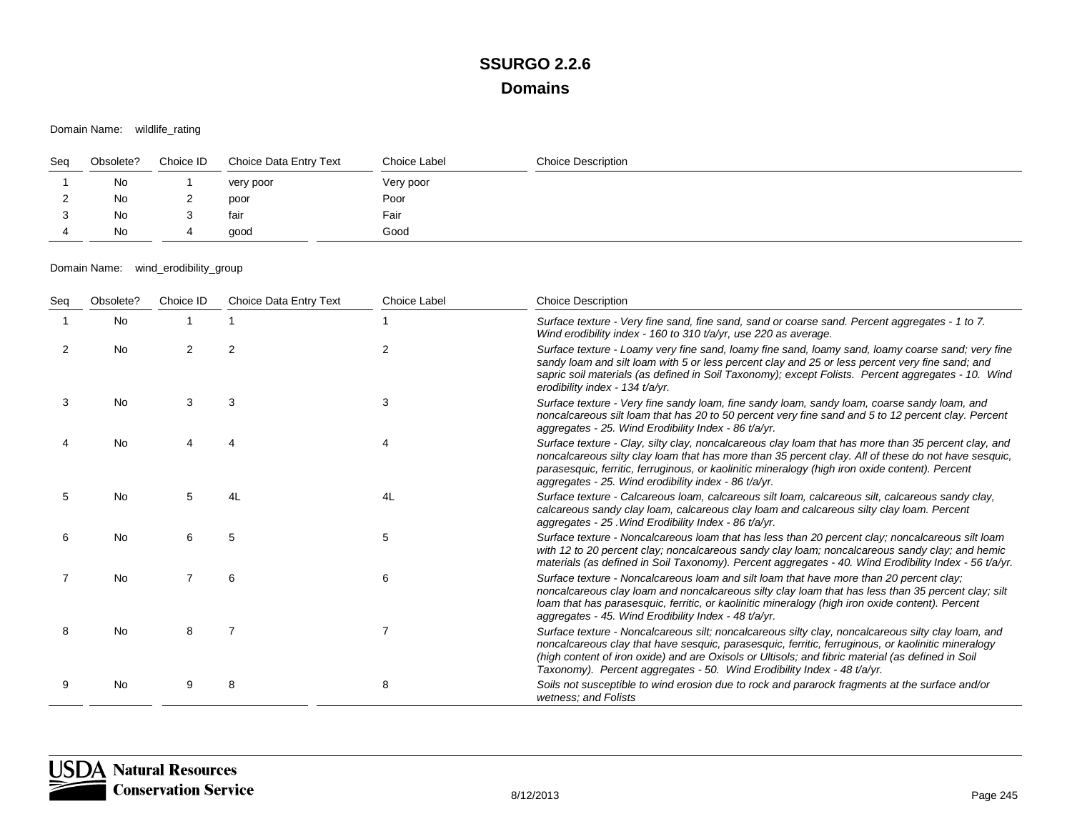Domain Name: wildlife\_rating

| Seq      | Obsolete? | Choice ID     | Choice Data Entry Text | Choice Label | <b>Choice Description</b> |
|----------|-----------|---------------|------------------------|--------------|---------------------------|
|          | No        |               | very poor              | Very poor    |                           |
| <u>_</u> | No        | C<br><u>_</u> | poor                   | Poor         |                           |
|          | No        |               | fair                   | Fair         |                           |
|          | No        | ↵             | good                   | Good         |                           |

#### Domain Name: wind\_erodibility\_group

| Seq | Obsolete? | Choice ID | Choice Data Entry Text | Choice Label | <b>Choice Description</b>                                                                                                                                                                                                                                                                                                                                                                |
|-----|-----------|-----------|------------------------|--------------|------------------------------------------------------------------------------------------------------------------------------------------------------------------------------------------------------------------------------------------------------------------------------------------------------------------------------------------------------------------------------------------|
|     | <b>No</b> |           |                        |              | Surface texture - Very fine sand, fine sand, sand or coarse sand. Percent aggregates - 1 to 7.<br>Wind erodibility index - 160 to 310 t/a/yr, use 220 as average.                                                                                                                                                                                                                        |
|     | No        | 2         |                        |              | Surface texture - Loamy very fine sand, loamy fine sand, loamy sand, loamy coarse sand; very fine<br>sandy loam and silt loam with 5 or less percent clay and 25 or less percent very fine sand; and<br>sapric soil materials (as defined in Soil Taxonomy); except Folists. Percent aggregates - 10. Wind<br>erodibility index - 134 t/a/yr.                                            |
| 3   | <b>No</b> | 3         | 3                      | 3            | Surface texture - Very fine sandy loam, fine sandy loam, sandy loam, coarse sandy loam, and<br>noncalcareous silt loam that has 20 to 50 percent very fine sand and 5 to 12 percent clay. Percent<br>aggregates - 25. Wind Erodibility Index - 86 t/a/yr.                                                                                                                                |
|     | <b>No</b> |           |                        |              | Surface texture - Clay, silty clay, noncalcareous clay loam that has more than 35 percent clay, and<br>noncalcareous silty clay loam that has more than 35 percent clay. All of these do not have sesquic,<br>parasesquic, ferritic, ferruginous, or kaolinitic mineralogy (high iron oxide content). Percent<br>aggregates - 25. Wind erodibility index - 86 t/a/yr.                    |
| 5   | <b>No</b> | 5         | 4L                     | 4L           | Surface texture - Calcareous Ioam, calcareous silt Ioam, calcareous silt, calcareous sandy clay,<br>calcareous sandy clay loam, calcareous clay loam and calcareous silty clay loam. Percent<br>aggregates - 25. Wind Erodibility Index - 86 t/a/yr.                                                                                                                                     |
| 6   | <b>No</b> | 6         | 5                      | 5            | Surface texture - Noncalcareous loam that has less than 20 percent clay; noncalcareous silt loam<br>with 12 to 20 percent clay; noncalcareous sandy clay loam; noncalcareous sandy clay; and hemic<br>materials (as defined in Soil Taxonomy). Percent aggregates - 40. Wind Erodibility Index - 56 t/a/yr.                                                                              |
|     | <b>No</b> |           | 6                      | 6            | Surface texture - Noncalcareous loam and silt loam that have more than 20 percent clay;<br>noncalcareous clay loam and noncalcareous silty clay loam that has less than 35 percent clay; silt<br>loam that has parasesquic, ferritic, or kaolinitic mineralogy (high iron oxide content). Percent<br>aggregates - 45. Wind Erodibility Index - 48 t/a/yr.                                |
|     | <b>No</b> | 8         |                        |              | Surface texture - Noncalcareous silt; noncalcareous silty clay, noncalcareous silty clay loam, and<br>noncalcareous clay that have sesquic, parasesquic, ferritic, ferruginous, or kaolinitic mineralogy<br>(high content of iron oxide) and are Oxisols or Ultisols; and fibric material (as defined in Soil<br>Taxonomy). Percent aggregates - 50. Wind Erodibility Index - 48 t/a/yr. |
|     | <b>No</b> |           |                        | 8            | Soils not susceptible to wind erosion due to rock and pararock fragments at the surface and/or<br>wetness; and Folists                                                                                                                                                                                                                                                                   |

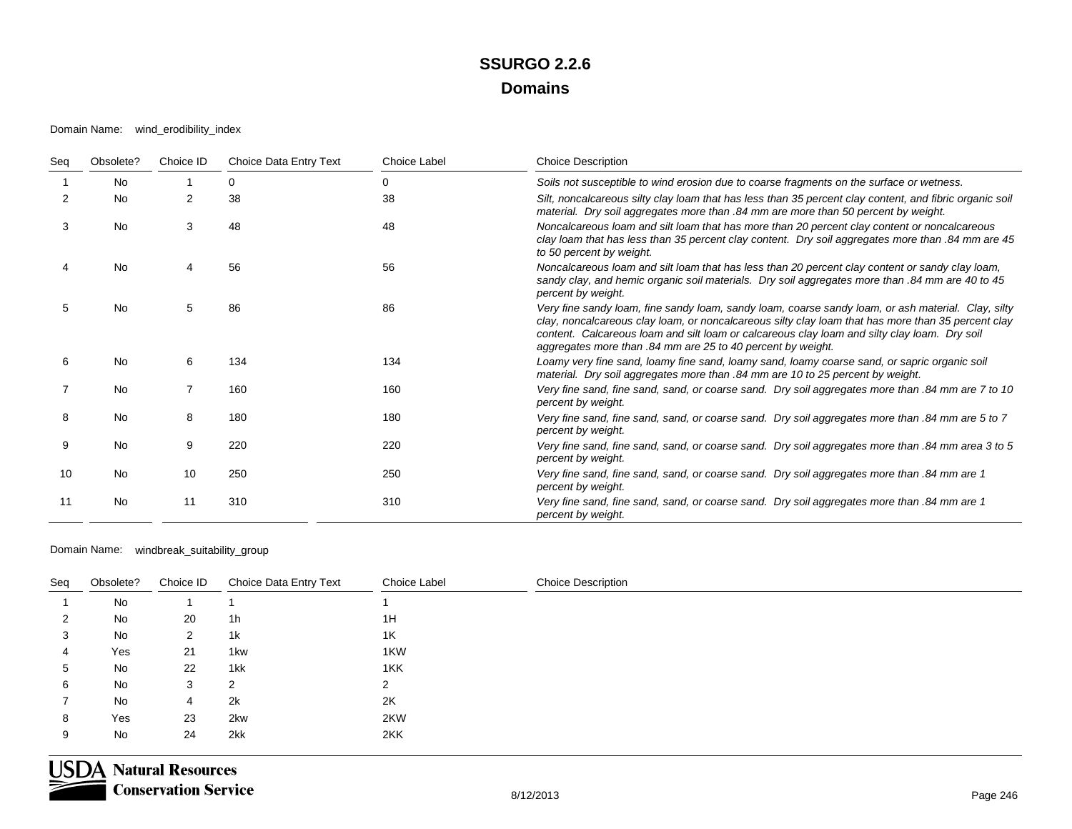Domain Name: wind\_erodibility\_index

| Seq | Obsolete? | Choice ID | Choice Data Entry Text | Choice Label | <b>Choice Description</b>                                                                                                                                                                                                                                                                                                                                               |
|-----|-----------|-----------|------------------------|--------------|-------------------------------------------------------------------------------------------------------------------------------------------------------------------------------------------------------------------------------------------------------------------------------------------------------------------------------------------------------------------------|
|     | <b>No</b> |           | 0                      |              | Soils not susceptible to wind erosion due to coarse fragments on the surface or wetness.                                                                                                                                                                                                                                                                                |
| 2   | <b>No</b> | 2         | 38                     | 38           | Silt, noncalcareous silty clay loam that has less than 35 percent clay content, and fibric organic soil<br>material. Dry soil aggregates more than .84 mm are more than 50 percent by weight.                                                                                                                                                                           |
| 3   | No        | 3         | 48                     | 48           | Noncalcareous loam and silt loam that has more than 20 percent clay content or noncalcareous<br>clay loam that has less than 35 percent clay content. Dry soil aggregates more than .84 mm are 45<br>to 50 percent by weight.                                                                                                                                           |
|     | <b>No</b> | 4         | 56                     | 56           | Noncalcareous loam and silt loam that has less than 20 percent clay content or sandy clay loam,<br>sandy clay, and hemic organic soil materials. Dry soil aggregates more than .84 mm are 40 to 45<br>percent by weight.                                                                                                                                                |
| 5   | <b>No</b> | 5         | 86                     | 86           | Very fine sandy loam, fine sandy loam, sandy loam, coarse sandy loam, or ash material. Clay, silty<br>clay, noncalcareous clay loam, or noncalcareous silty clay loam that has more than 35 percent clay<br>content. Calcareous loam and silt loam or calcareous clay loam and silty clay loam. Dry soil<br>aggregates more than .84 mm are 25 to 40 percent by weight. |
| 6   | <b>No</b> | 6         | 134                    | 134          | Loamy very fine sand, loamy fine sand, loamy sand, loamy coarse sand, or sapric organic soil<br>material. Dry soil aggregates more than .84 mm are 10 to 25 percent by weight.                                                                                                                                                                                          |
|     | <b>No</b> |           | 160                    | 160          | Very fine sand, fine sand, sand, or coarse sand. Dry soil aggregates more than .84 mm are 7 to 10<br>percent by weight.                                                                                                                                                                                                                                                 |
| 8   | <b>No</b> | 8         | 180                    | 180          | Very fine sand, fine sand, sand, or coarse sand. Dry soil aggregates more than .84 mm are 5 to 7<br>percent by weight.                                                                                                                                                                                                                                                  |
| 9   | <b>No</b> | 9         | 220                    | 220          | Very fine sand, fine sand, sand, or coarse sand. Dry soil aggregates more than .84 mm area 3 to 5<br>percent by weight.                                                                                                                                                                                                                                                 |
| 10  | No        | 10        | 250                    | 250          | Very fine sand, fine sand, sand, or coarse sand. Dry soil aggregates more than .84 mm are 1<br>percent by weight.                                                                                                                                                                                                                                                       |
| 11  | No        | 11        | 310                    | 310          | Very fine sand, fine sand, sand, or coarse sand. Dry soil aggregates more than .84 mm are 1<br>percent by weight.                                                                                                                                                                                                                                                       |

Domain Name: windbreak\_suitability\_group

| Seq | Obsolete? | Choice ID | Choice Data Entry Text | Choice Label | <b>Choice Description</b> |
|-----|-----------|-----------|------------------------|--------------|---------------------------|
|     | No        |           |                        |              |                           |
|     | No        | 20        | 1 <sub>h</sub>         | 1H           |                           |
| 3   | No        | 2         | 1k                     | 1K           |                           |
| 4   | Yes       | 21        | 1 <sub>kw</sub>        | 1KW          |                           |
| 5   | No        | 22        | 1kk                    | 1KK          |                           |
| 6   | No        | 3         | 2                      | 2            |                           |
|     | No        | 4         | 2k                     | 2K           |                           |
| 8   | Yes       | 23        | 2kw                    | 2KW          |                           |
|     | No        | 24        | 2kk                    | 2KK          |                           |

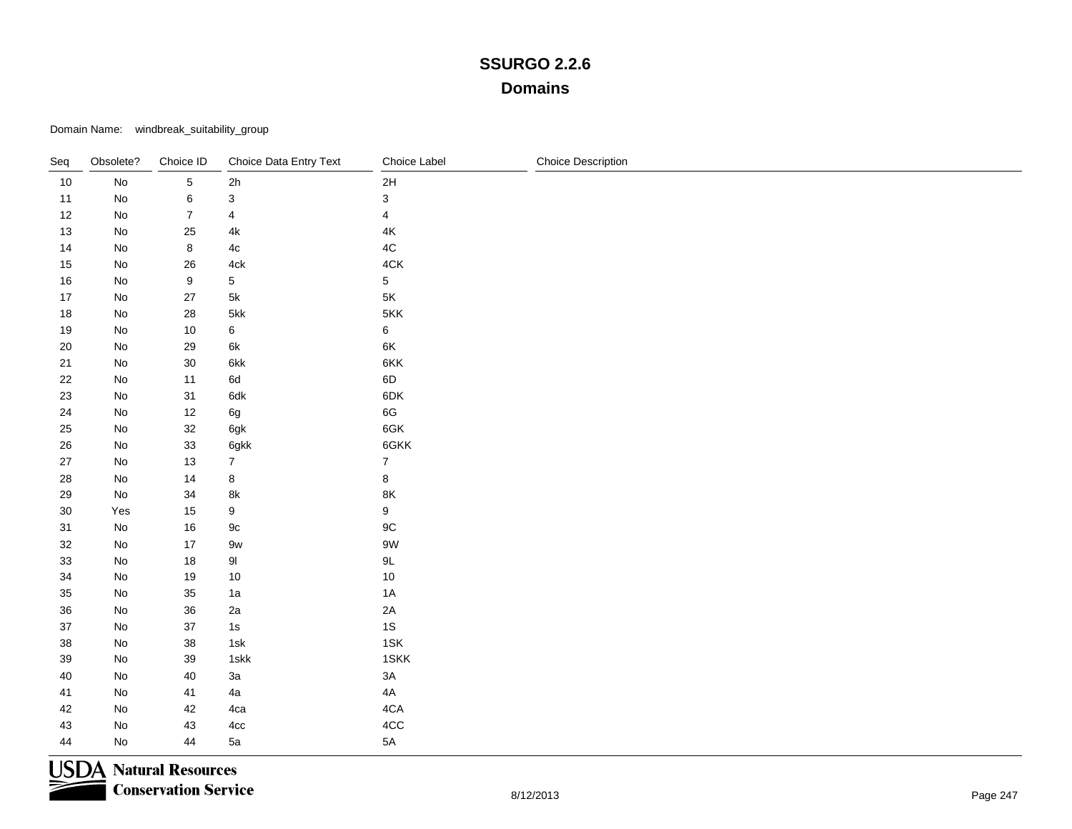Domain Name: windbreak\_suitability\_group

| Seq    | Obsolete?                    | Choice ID        | Choice Data Entry Text | Choice Label            | <b>Choice Description</b> |
|--------|------------------------------|------------------|------------------------|-------------------------|---------------------------|
| 10     | $\mathsf{No}$                | $\,$ 5 $\,$      | 2h                     | 2H                      |                           |
| 11     | No                           | $\,6\,$          | 3                      | $\mathbf{3}$            |                           |
| 12     | No                           | $\boldsymbol{7}$ | 4                      | $\overline{\mathbf{4}}$ |                           |
| 13     | No                           | 25               | $4\mathsf{k}$          | $4\mathsf{K}$           |                           |
| 14     | No                           | $\bf8$           | $4\mathrm{c}$          | $4\mathrm{C}$           |                           |
| 15     | No                           | $26\,$           | 4ck                    | 4CK                     |                           |
| 16     | No                           | $\boldsymbol{9}$ | 5                      | 5                       |                           |
| 17     | No                           | $27\,$           | $5\mathsf{k}$          | $5\mathsf{K}$           |                           |
| 18     | No                           | ${\bf 28}$       | 5kk                    | 5KK                     |                           |
| 19     | No                           | $10$             | 6                      | 6                       |                           |
| 20     | No                           | 29               | 6k                     | 6K                      |                           |
| 21     | No                           | $30\,$           | 6kk                    | 6KK                     |                           |
| 22     | No                           | 11               | 6d                     | 6D                      |                           |
| 23     | No                           | 31               | 6dk                    | 6DK                     |                           |
| 24     | $\operatorname{\mathsf{No}}$ | $12\,$           | 6g                     | 6G                      |                           |
| 25     | ${\sf No}$                   | $32\,$           | 6gk                    | 6GK                     |                           |
| $26\,$ | No                           | 33               | 6gkk                   | 6GKK                    |                           |
| 27     | No                           | $13$             | $\overline{7}$         | $\overline{7}$          |                           |
| 28     | $\operatorname{\mathsf{No}}$ | 14               | $\bf 8$                | 8                       |                           |
| 29     | $\operatorname{\mathsf{No}}$ | 34               | $8\mathsf{k}$          | $8\mathsf{K}$           |                           |
| $30\,$ | Yes                          | $15\,$           | $\boldsymbol{9}$       | 9                       |                           |
| 31     | No                           | $16\,$           | $9\mathrm{c}$          | $9\mathrm{C}$           |                           |
| 32     | No                           | $17$             | 9w                     | 9W                      |                           |
| 33     | No                           | $18\,$           | $9\mathsf{l}$          | $9 \mathsf{L}$          |                           |
| 34     | $\operatorname{\mathsf{No}}$ | $19$             | $10\,$                 | $10$                    |                           |
| 35     | No                           | $35\,$           | 1a                     | $1A$                    |                           |
| 36     | No                           | $36\,$           | 2a                     | $2A$                    |                           |
| 37     | $\operatorname{\mathsf{No}}$ | $37\,$           | $1s$                   | $1S$                    |                           |
| 38     | $\operatorname{\mathsf{No}}$ | $38\,$           | $1$ sk                 | 1SK                     |                           |
| 39     | No                           | $39\,$           | 1skk                   | 1SKK                    |                           |
| 40     | No                           | $40\,$           | 3a                     | $3A$                    |                           |
| 41     | $\operatorname{\mathsf{No}}$ | 41               | 4a                     | $4A$                    |                           |
| 42     | $\operatorname{\mathsf{No}}$ | 42               | 4ca                    | 4CA                     |                           |
| 43     | No                           | 43               | 4cc                    | $4{\rm CC}$             |                           |
| 44     | No                           | 44               | 5a                     | 5A                      |                           |